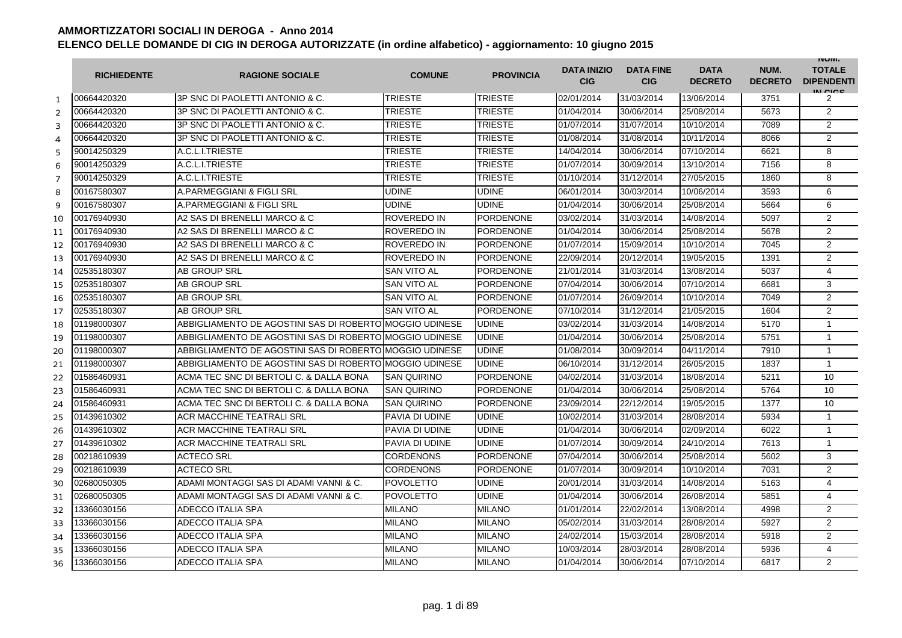|                | <b>RICHIEDENTE</b> | <b>RAGIONE SOCIALE</b>                                  | <b>COMUNE</b>      | <b>PROVINCIA</b> | <b>DATA INIZIO</b><br><b>CIG</b> | <b>DATA FINE</b><br><b>CIG</b> | <b>DATA</b><br><b>DECRETO</b> | NUM.<br><b>DECRETO</b> | <b>INUIVI.</b><br><b>TOTALE</b><br><b>DIPENDENTI</b><br>IN CIGO |
|----------------|--------------------|---------------------------------------------------------|--------------------|------------------|----------------------------------|--------------------------------|-------------------------------|------------------------|-----------------------------------------------------------------|
| $\mathbf{1}$   | 00664420320        | 3P SNC DI PAOLETTI ANTONIO & C.                         | <b>TRIESTE</b>     | <b>TRIESTE</b>   | 02/01/2014                       | 31/03/2014                     | 13/06/2014                    | 3751                   | 2                                                               |
| $\overline{2}$ | 00664420320        | 3P SNC DI PAOLETTI ANTONIO & C.                         | TRIESTE            | TRIESTE          | 01/04/2014                       | 30/06/2014                     | 25/08/2014                    | 5673                   | $\overline{2}$                                                  |
| 3              | 00664420320        | 3P SNC DI PAOLETTI ANTONIO & C.                         | TRIESTE            | TRIESTE          | 01/07/2014                       | 31/07/2014                     | 10/10/2014                    | 7089                   | $\overline{2}$                                                  |
| 4              | 00664420320        | 3P SNC DI PAOLETTI ANTONIO & C.                         | <b>TRIESTE</b>     | <b>TRIESTE</b>   | 01/08/2014                       | 31/08/2014                     | 10/11/2014                    | 8066                   | $\overline{2}$                                                  |
| 5              | 90014250329        | A.C.L.I.TRIESTE                                         | <b>TRIESTE</b>     | TRIESTE          | 14/04/2014                       | 30/06/2014                     | 07/10/2014                    | 6621                   | 8                                                               |
| 6              | 90014250329        | A.C.L.I.TRIESTE                                         | <b>TRIESTE</b>     | <b>TRIESTE</b>   | 01/07/2014                       | 30/09/2014                     | 13/10/2014                    | 7156                   | 8                                                               |
| $\overline{7}$ | 90014250329        | A.C.L.I.TRIESTE                                         | <b>TRIESTE</b>     | <b>TRIESTE</b>   | 01/10/2014                       | 31/12/2014                     | 27/05/2015                    | 1860                   | 8                                                               |
| 8              | 00167580307        | A.PARMEGGIANI & FIGLI SRL                               | UDINE              | <b>UDINE</b>     | 06/01/2014                       | 30/03/2014                     | 10/06/2014                    | 3593                   | 6                                                               |
| 9              | 00167580307        | A.PARMEGGIANI & FIGLI SRL                               | <b>UDINE</b>       | <b>UDINE</b>     | 01/04/2014                       | 30/06/2014                     | 25/08/2014                    | 5664                   | 6                                                               |
| 10             | 00176940930        | A2 SAS DI BRENELLI MARCO & C                            | <b>ROVEREDO IN</b> | <b>PORDENONE</b> | 03/02/2014                       | 31/03/2014                     | 14/08/2014                    | 5097                   | $\overline{2}$                                                  |
| 11             | 00176940930        | A2 SAS DI BRENELLI MARCO & C                            | <b>ROVEREDO IN</b> | <b>PORDENONE</b> | 01/04/2014                       | 30/06/2014                     | 25/08/2014                    | 5678                   | $\overline{2}$                                                  |
| 12             | 00176940930        | A2 SAS DI BRENELLI MARCO & C                            | <b>ROVEREDO IN</b> | <b>PORDENONE</b> | 01/07/2014                       | 15/09/2014                     | 10/10/2014                    | 7045                   | $\overline{2}$                                                  |
| 13             | 00176940930        | A2 SAS DI BRENELLI MARCO & C                            | <b>ROVEREDO IN</b> | <b>PORDENONE</b> | 22/09/2014                       | 20/12/2014                     | 19/05/2015                    | 1391                   | $\overline{2}$                                                  |
| 14             | 02535180307        | <b>AB GROUP SRL</b>                                     | <b>SAN VITO AL</b> | <b>PORDENONE</b> | 21/01/2014                       | 31/03/2014                     | 13/08/2014                    | 5037                   | 4                                                               |
| 15             | 02535180307        | AB GROUP SRL                                            | <b>SAN VITO AL</b> | <b>PORDENONE</b> | 07/04/2014                       | 30/06/2014                     | 07/10/2014                    | 6681                   | 3                                                               |
| 16             | 02535180307        | AB GROUP SRL                                            | <b>SAN VITO AL</b> | <b>PORDENONE</b> | 01/07/2014                       | 26/09/2014                     | 10/10/2014                    | 7049                   | $\overline{2}$                                                  |
| 17             | 02535180307        | AB GROUP SRL                                            | <b>SAN VITO AL</b> | <b>PORDENONE</b> | 07/10/2014                       | 31/12/2014                     | 21/05/2015                    | 1604                   | $\overline{2}$                                                  |
| 18             | 01198000307        | ABBIGLIAMENTO DE AGOSTINI SAS DI ROBERTO MOGGIO UDINESE |                    | <b>UDINE</b>     | 03/02/2014                       | 31/03/2014                     | 14/08/2014                    | 5170                   | $\mathbf{1}$                                                    |
| 19             | 01198000307        | ABBIGLIAMENTO DE AGOSTINI SAS DI ROBERTO MOGGIO UDINESE |                    | <b>UDINE</b>     | 01/04/2014                       | 30/06/2014                     | 25/08/2014                    | 5751                   | $\mathbf{1}$                                                    |
| 20             | 01198000307        | ABBIGLIAMENTO DE AGOSTINI SAS DI ROBERTO MOGGIO UDINESE |                    | <b>UDINE</b>     | 01/08/2014                       | 30/09/2014                     | 04/11/2014                    | 7910                   | $\mathbf{1}$                                                    |
| 21             | 01198000307        | ABBIGLIAMENTO DE AGOSTINI SAS DI ROBERTO MOGGIO UDINESE |                    | <b>UDINE</b>     | 06/10/2014                       | 31/12/2014                     | 26/05/2015                    | 1837                   | $\mathbf{1}$                                                    |
| 22             | 01586460931        | ACMA TEC SNC DI BERTOLI C. & DALLA BONA                 | <b>SAN QUIRINO</b> | <b>PORDENONE</b> | 04/02/2014                       | 31/03/2014                     | 18/08/2014                    | 5211                   | 10                                                              |
| 23             | 01586460931        | ACMA TEC SNC DI BERTOLI C. & DALLA BONA                 | <b>SAN QUIRINO</b> | <b>PORDENONE</b> | 01/04/2014                       | 30/06/2014                     | 25/08/2014                    | 5764                   | 10                                                              |
| 24             | 01586460931        | ACMA TEC SNC DI BERTOLI C. & DALLA BONA                 | <b>SAN QUIRINO</b> | <b>PORDENONE</b> | 23/09/2014                       | 22/12/2014                     | 19/05/2015                    | 1377                   | 10                                                              |
| 25             | 01439610302        | ACR MACCHINE TEATRALI SRL                               | PAVIA DI UDINE     | <b>UDINE</b>     | 10/02/2014                       | 31/03/2014                     | 28/08/2014                    | 5934                   | $\mathbf{1}$                                                    |
| 26             | 01439610302        | ACR MACCHINE TEATRALI SRL                               | PAVIA DI UDINE     | <b>UDINE</b>     | 01/04/2014                       | 30/06/2014                     | 02/09/2014                    | 6022                   | $\mathbf{1}$                                                    |
| 27             | 01439610302        | ACR MACCHINE TEATRALI SRL                               | PAVIA DI UDINE     | <b>UDINE</b>     | 01/07/2014                       | 30/09/2014                     | 24/10/2014                    | 7613                   | $\mathbf{1}$                                                    |
| 28             | 00218610939        | <b>ACTECO SRL</b>                                       | <b>CORDENONS</b>   | <b>PORDENONE</b> | 07/04/2014                       | 30/06/2014                     | 25/08/2014                    | 5602                   | 3                                                               |
| 29             | 00218610939        | <b>ACTECO SRL</b>                                       | <b>CORDENONS</b>   | <b>PORDENONE</b> | 01/07/2014                       | 30/09/2014                     | 10/10/2014                    | 7031                   | $\overline{2}$                                                  |
| 30             | 02680050305        | ADAMI MONTAGGI SAS DI ADAMI VANNI & C.                  | <b>POVOLETTO</b>   | <b>UDINE</b>     | 20/01/2014                       | 31/03/2014                     | 14/08/2014                    | 5163                   | $\overline{4}$                                                  |
| 31             | 02680050305        | ADAMI MONTAGGI SAS DI ADAMI VANNI & C.                  | <b>POVOLETTO</b>   | <b>UDINE</b>     | 01/04/2014                       | 30/06/2014                     | 26/08/2014                    | 5851                   | $\overline{4}$                                                  |
| 32             | 13366030156        | ADECCO ITALIA SPA                                       | <b>MILANO</b>      | <b>MILANO</b>    | 01/01/2014                       | 22/02/2014                     | 13/08/2014                    | 4998                   | 2                                                               |
| 33             | 13366030156        | ADECCO ITALIA SPA                                       | <b>MILANO</b>      | <b>MILANO</b>    | 05/02/2014                       | 31/03/2014                     | 28/08/2014                    | 5927                   | $\overline{2}$                                                  |
| 34             | 13366030156        | ADECCO ITALIA SPA                                       | <b>MILANO</b>      | <b>MILANO</b>    | 24/02/2014                       | 15/03/2014                     | 28/08/2014                    | 5918                   | $\overline{2}$                                                  |
| 35             | 13366030156        | ADECCO ITALIA SPA                                       | <b>MILANO</b>      | <b>MILANO</b>    | 10/03/2014                       | 28/03/2014                     | 28/08/2014                    | 5936                   | 4                                                               |
| 36             | 13366030156        | ADECCO ITALIA SPA                                       | <b>MILANO</b>      | <b>MILANO</b>    | 01/04/2014                       | 30/06/2014                     | 07/10/2014                    | 6817                   | $\overline{2}$                                                  |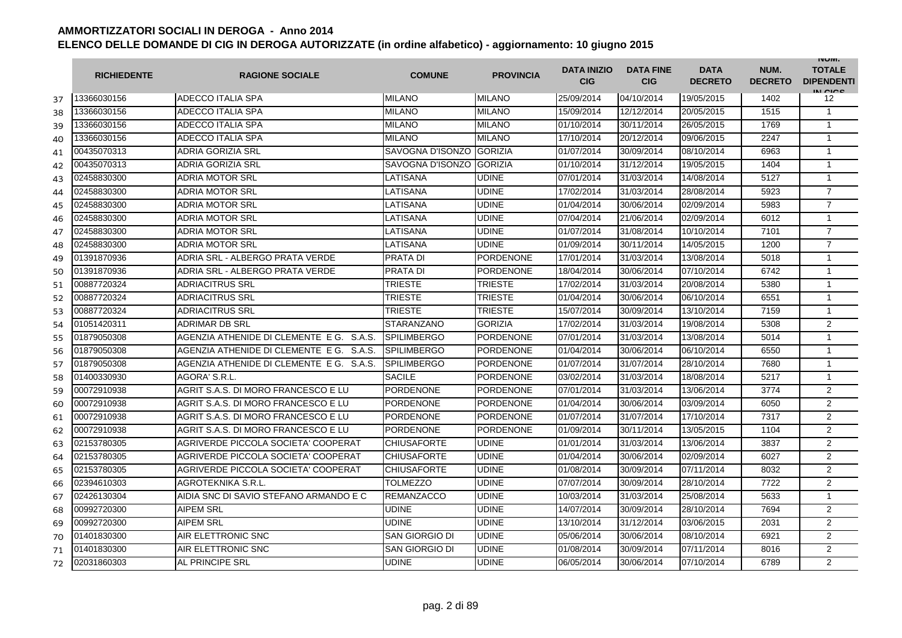|    | <b>RICHIEDENTE</b> | <b>RAGIONE SOCIALE</b>                   | <b>COMUNE</b>         | <b>PROVINCIA</b> | <b>DATA INIZIO</b><br><b>CIG</b> | <b>DATA FINE</b><br><b>CIG</b> | <b>DATA</b><br><b>DECRETO</b> | NUM.<br><b>DECRETO</b> | <b>INUIVI.</b><br><b>TOTALE</b><br><b>DIPENDENTI</b><br>IN CIGO |
|----|--------------------|------------------------------------------|-----------------------|------------------|----------------------------------|--------------------------------|-------------------------------|------------------------|-----------------------------------------------------------------|
| 37 | 13366030156        | <b>ADECCO ITALIA SPA</b>                 | <b>MILANO</b>         | <b>MILANO</b>    | 25/09/2014                       | 04/10/2014                     | 19/05/2015                    | 1402                   | 12                                                              |
| 38 | 13366030156        | ADECCO ITALIA SPA                        | <b>MILANO</b>         | <b>MILANO</b>    | 15/09/2014                       | 12/12/2014                     | 20/05/2015                    | 1515                   | $\mathbf{1}$                                                    |
| 39 | 13366030156        | ADECCO ITALIA SPA                        | <b>MILANO</b>         | <b>MILANO</b>    | 01/10/2014                       | 30/11/2014                     | 26/05/2015                    | 1769                   | $\mathbf{1}$                                                    |
| 40 | 13366030156        | <b>ADECCO ITALIA SPA</b>                 | <b>MILANO</b>         | <b>MILANO</b>    | 17/10/2014                       | 20/12/2014                     | 09/06/2015                    | 2247                   | $\mathbf{1}$                                                    |
| 41 | 00435070313        | <b>ADRIA GORIZIA SRL</b>                 | SAVOGNA D'ISONZO      | <b>GORIZIA</b>   | 01/07/2014                       | 30/09/2014                     | 08/10/2014                    | 6963                   | $\mathbf{1}$                                                    |
| 42 | 00435070313        | <b>ADRIA GORIZIA SRL</b>                 | SAVOGNA D'ISONZO      | <b>GORIZIA</b>   | 01/10/2014                       | 31/12/2014                     | 19/05/2015                    | 1404                   | $\mathbf{1}$                                                    |
| 43 | 02458830300        | <b>ADRIA MOTOR SRL</b>                   | LATISANA              | <b>UDINE</b>     | 07/01/2014                       | 31/03/2014                     | 14/08/2014                    | 5127                   | $\mathbf{1}$                                                    |
| 44 | 02458830300        | <b>ADRIA MOTOR SRL</b>                   | LATISANA              | <b>UDINE</b>     | 17/02/2014                       | 31/03/2014                     | 28/08/2014                    | 5923                   | $\overline{7}$                                                  |
| 45 | 02458830300        | <b>ADRIA MOTOR SRL</b>                   | LATISANA              | <b>UDINE</b>     | 01/04/2014                       | 30/06/2014                     | 02/09/2014                    | 5983                   | $\overline{7}$                                                  |
| 46 | 02458830300        | <b>ADRIA MOTOR SRL</b>                   | LATISANA              | <b>UDINE</b>     | 07/04/2014                       | 21/06/2014                     | 02/09/2014                    | 6012                   | $\mathbf{1}$                                                    |
| 47 | 02458830300        | <b>ADRIA MOTOR SRL</b>                   | LATISANA              | <b>UDINE</b>     | 01/07/2014                       | 31/08/2014                     | 10/10/2014                    | 7101                   | $\overline{7}$                                                  |
| 48 | 02458830300        | <b>ADRIA MOTOR SRL</b>                   | LATISANA              | <b>UDINE</b>     | 01/09/2014                       | 30/11/2014                     | 14/05/2015                    | 1200                   | $\overline{7}$                                                  |
| 49 | 01391870936        | ADRIA SRL - ALBERGO PRATA VERDE          | <b>PRATA DI</b>       | <b>PORDENONE</b> | 17/01/2014                       | 31/03/2014                     | 13/08/2014                    | 5018                   | $\mathbf{1}$                                                    |
| 50 | 01391870936        | ADRIA SRL - ALBERGO PRATA VERDE          | <b>PRATA DI</b>       | <b>PORDENONE</b> | 18/04/2014                       | 30/06/2014                     | 07/10/2014                    | 6742                   | $\mathbf{1}$                                                    |
| 51 | 00887720324        | <b>ADRIACITRUS SRL</b>                   | <b>TRIESTE</b>        | <b>TRIESTE</b>   | 17/02/2014                       | 31/03/2014                     | 20/08/2014                    | 5380                   | $\mathbf{1}$                                                    |
| 52 | 00887720324        | <b>ADRIACITRUS SRL</b>                   | TRIESTE               | <b>TRIESTE</b>   | 01/04/2014                       | 30/06/2014                     | 06/10/2014                    | 6551                   | $\mathbf{1}$                                                    |
| 53 | 00887720324        | <b>ADRIACITRUS SRL</b>                   | <b>TRIESTE</b>        | <b>TRIESTE</b>   | 15/07/2014                       | 30/09/2014                     | 13/10/2014                    | 7159                   | $\mathbf{1}$                                                    |
| 54 | 01051420311        | <b>ADRIMAR DB SRL</b>                    | STARANZANO            | <b>GORIZIA</b>   | 17/02/2014                       | 31/03/2014                     | 19/08/2014                    | 5308                   | $\overline{2}$                                                  |
| 55 | 01879050308        | AGENZIA ATHENIDE DI CLEMENTE E G. S.A.S. | <b>SPILIMBERGO</b>    | <b>PORDENONE</b> | 07/01/2014                       | 31/03/2014                     | 13/08/2014                    | 5014                   | $\mathbf{1}$                                                    |
| 56 | 01879050308        | AGENZIA ATHENIDE DI CLEMENTE E G. S.A.S. | <b>SPILIMBERGO</b>    | <b>PORDENONE</b> | 01/04/2014                       | 30/06/2014                     | 06/10/2014                    | 6550                   | $\mathbf{1}$                                                    |
| 57 | 01879050308        | AGENZIA ATHENIDE DI CLEMENTE E G. S.A.S. | <b>SPILIMBERGO</b>    | <b>PORDENONE</b> | 01/07/2014                       | 31/07/2014                     | 28/10/2014                    | 7680                   | $\mathbf{1}$                                                    |
| 58 | 01400330930        | AGORA' S.R.L.                            | <b>SACILE</b>         | PORDENONE        | 03/02/2014                       | 31/03/2014                     | 18/08/2014                    | 5217                   | $\mathbf{1}$                                                    |
| 59 | 00072910938        | AGRIT S.A.S. DI MORO FRANCESCO E LU      | <b>PORDENONE</b>      | <b>PORDENONE</b> | 07/01/2014                       | 31/03/2014                     | 13/06/2014                    | 3774                   | $\overline{2}$                                                  |
| 60 | 00072910938        | AGRIT S.A.S. DI MORO FRANCESCO E LU      | <b>PORDENONE</b>      | <b>PORDENONE</b> | 01/04/2014                       | 30/06/2014                     | 03/09/2014                    | 6050                   | $\overline{2}$                                                  |
| 61 | 00072910938        | AGRIT S.A.S. DI MORO FRANCESCO E LU      | <b>PORDENONE</b>      | <b>PORDENONE</b> | 01/07/2014                       | 31/07/2014                     | 17/10/2014                    | 7317                   | 2                                                               |
| 62 | 00072910938        | AGRIT S.A.S. DI MORO FRANCESCO E LU      | <b>PORDENONE</b>      | <b>PORDENONE</b> | 01/09/2014                       | 30/11/2014                     | 13/05/2015                    | 1104                   | 2                                                               |
| 63 | 02153780305        | AGRIVERDE PICCOLA SOCIETA' COOPERAT      | <b>CHIUSAFORTE</b>    | <b>UDINE</b>     | 01/01/2014                       | 31/03/2014                     | 13/06/2014                    | 3837                   | $\overline{2}$                                                  |
| 64 | 02153780305        | AGRIVERDE PICCOLA SOCIETA' COOPERAT      | <b>CHIUSAFORTE</b>    | <b>UDINE</b>     | 01/04/2014                       | 30/06/2014                     | 02/09/2014                    | 6027                   | 2                                                               |
| 65 | 02153780305        | AGRIVERDE PICCOLA SOCIETA' COOPERAT      | <b>CHIUSAFORTE</b>    | <b>UDINE</b>     | 01/08/2014                       | 30/09/2014                     | 07/11/2014                    | 8032                   | 2                                                               |
| 66 | 02394610303        | AGROTEKNIKA S.R.L.                       | TOLMEZZO              | <b>UDINE</b>     | 07/07/2014                       | 30/09/2014                     | 28/10/2014                    | 7722                   | 2                                                               |
| 67 | 02426130304        | AIDIA SNC DI SAVIO STEFANO ARMANDO E C   | <b>REMANZACCO</b>     | <b>UDINE</b>     | 10/03/2014                       | 31/03/2014                     | 25/08/2014                    | 5633                   | $\mathbf{1}$                                                    |
| 68 | 00992720300        | <b>AIPEM SRL</b>                         | <b>UDINE</b>          | <b>UDINE</b>     | 14/07/2014                       | 30/09/2014                     | 28/10/2014                    | 7694                   | 2                                                               |
| 69 | 00992720300        | <b>AIPEM SRL</b>                         | <b>UDINE</b>          | <b>UDINE</b>     | 13/10/2014                       | 31/12/2014                     | 03/06/2015                    | 2031                   | 2                                                               |
| 70 | 01401830300        | AIR ELETTRONIC SNC                       | <b>SAN GIORGIO DI</b> | <b>UDINE</b>     | 05/06/2014                       | 30/06/2014                     | 08/10/2014                    | 6921                   | 2                                                               |
| 71 | 01401830300        | AIR ELETTRONIC SNC                       | <b>SAN GIORGIO DI</b> | <b>UDINE</b>     | 01/08/2014                       | 30/09/2014                     | 07/11/2014                    | 8016                   | 2                                                               |
| 72 | 02031860303        | <b>AL PRINCIPE SRL</b>                   | <b>UDINE</b>          | <b>UDINE</b>     | 06/05/2014                       | 30/06/2014                     | 07/10/2014                    | 6789                   | 2                                                               |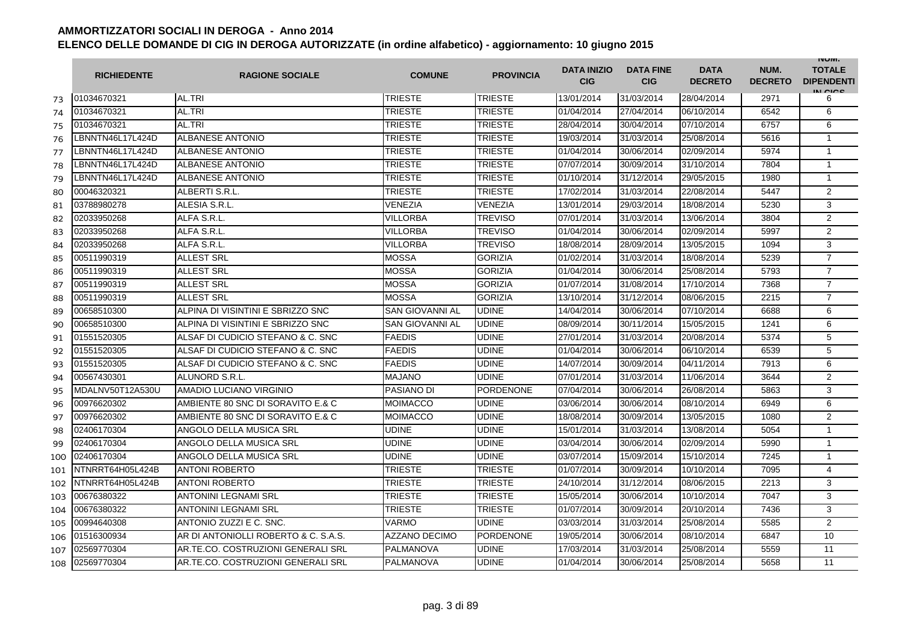|     | <b>RICHIEDENTE</b> | <b>RAGIONE SOCIALE</b>               | <b>COMUNE</b>          | <b>PROVINCIA</b> | <b>DATA INIZIO</b><br><b>CIG</b> | <b>DATA FINE</b><br><b>CIG</b> | <b>DATA</b><br><b>DECRETO</b> | NUM.<br><b>DECRETO</b> | <b>INUIVI.</b><br><b>TOTALE</b><br><b>DIPENDENTI</b><br>IN CIGO |
|-----|--------------------|--------------------------------------|------------------------|------------------|----------------------------------|--------------------------------|-------------------------------|------------------------|-----------------------------------------------------------------|
| 73  | 01034670321        | AL.TRI                               | <b>TRIESTE</b>         | <b>TRIESTE</b>   | 13/01/2014                       | 31/03/2014                     | 28/04/2014                    | 2971                   | 6                                                               |
| 74  | 01034670321        | AL.TRI                               | TRIESTE                | <b>TRIESTE</b>   | 01/04/2014                       | 27/04/2014                     | 06/10/2014                    | 6542                   | 6                                                               |
| 75  | 01034670321        | AL.TRI                               | <b>TRIESTE</b>         | <b>TRIESTE</b>   | 28/04/2014                       | 30/04/2014                     | 07/10/2014                    | 6757                   | 6                                                               |
| 76  | LBNNTN46L17L424D   | <b>ALBANESE ANTONIO</b>              | <b>TRIESTE</b>         | <b>TRIESTE</b>   | 19/03/2014                       | 31/03/2014                     | 25/08/2014                    | 5616                   | $\mathbf{1}$                                                    |
| 77  | BNNTN46L17L424D    | <b>ALBANESE ANTONIO</b>              | <b>TRIESTE</b>         | <b>TRIESTE</b>   | 01/04/2014                       | 30/06/2014                     | 02/09/2014                    | 5974                   | $\overline{1}$                                                  |
| 78  | BNNTN46L17L424D    | <b>ALBANESE ANTONIO</b>              | <b>TRIESTE</b>         | <b>TRIESTE</b>   | 07/07/2014                       | 30/09/2014                     | 31/10/2014                    | 7804                   | $\overline{1}$                                                  |
| 79  | _BNNTN46L17L424D   | <b>ALBANESE ANTONIO</b>              | <b>TRIESTE</b>         | <b>TRIESTE</b>   | 01/10/2014                       | 31/12/2014                     | 29/05/2015                    | 1980                   | $\overline{1}$                                                  |
| 80  | 00046320321        | ALBERTI S.R.L.                       | <b>TRIESTE</b>         | <b>TRIESTE</b>   | 17/02/2014                       | 31/03/2014                     | 22/08/2014                    | 5447                   | $\overline{2}$                                                  |
| 81  | 03788980278        | ALESIA S.R.L.                        | <b>VENEZIA</b>         | <b>VENEZIA</b>   | 13/01/2014                       | 29/03/2014                     | 18/08/2014                    | 5230                   | 3                                                               |
| 82  | 02033950268        | ALFA S.R.L.                          | <b>VILLORBA</b>        | <b>TREVISO</b>   | 07/01/2014                       | 31/03/2014                     | 13/06/2014                    | 3804                   | $\overline{2}$                                                  |
| 83  | 02033950268        | ALFA S.R.L.                          | <b>VILLORBA</b>        | <b>TREVISO</b>   | 01/04/2014                       | 30/06/2014                     | 02/09/2014                    | 5997                   | $\overline{2}$                                                  |
| 84  | 02033950268        | ALFA S.R.L.                          | <b>VILLORBA</b>        | <b>TREVISO</b>   | 18/08/2014                       | 28/09/2014                     | 13/05/2015                    | 1094                   | 3                                                               |
| 85  | 00511990319        | <b>ALLEST SRL</b>                    | <b>MOSSA</b>           | <b>GORIZIA</b>   | 01/02/2014                       | 31/03/2014                     | 18/08/2014                    | 5239                   | $\overline{7}$                                                  |
| 86  | 00511990319        | <b>ALLEST SRL</b>                    | <b>MOSSA</b>           | <b>GORIZIA</b>   | 01/04/2014                       | 30/06/2014                     | 25/08/2014                    | 5793                   | $\overline{7}$                                                  |
| 87  | 00511990319        | <b>ALLEST SRL</b>                    | <b>MOSSA</b>           | <b>GORIZIA</b>   | 01/07/2014                       | 31/08/2014                     | 17/10/2014                    | 7368                   | $\overline{7}$                                                  |
| 88  | 00511990319        | <b>ALLEST SRL</b>                    | <b>MOSSA</b>           | <b>GORIZIA</b>   | 13/10/2014                       | 31/12/2014                     | 08/06/2015                    | 2215                   | $\overline{7}$                                                  |
| 89  | 00658510300        | ALPINA DI VISINTINI E SBRIZZO SNC    | <b>SAN GIOVANNI AL</b> | <b>UDINE</b>     | 14/04/2014                       | 30/06/2014                     | 07/10/2014                    | 6688                   | 6                                                               |
| 90  | 00658510300        | ALPINA DI VISINTINI E SBRIZZO SNC    | <b>SAN GIOVANNI AL</b> | <b>UDINE</b>     | 08/09/2014                       | 30/11/2014                     | 15/05/2015                    | 1241                   | 6                                                               |
| 91  | 01551520305        | ALSAF DI CUDICIO STEFANO & C. SNC    | <b>FAEDIS</b>          | <b>UDINE</b>     | 27/01/2014                       | 31/03/2014                     | 20/08/2014                    | 5374                   | 5                                                               |
| 92  | 01551520305        | ALSAF DI CUDICIO STEFANO & C. SNC    | <b>FAEDIS</b>          | <b>UDINE</b>     | 01/04/2014                       | 30/06/2014                     | 06/10/2014                    | 6539                   | 5                                                               |
| 93  | 01551520305        | ALSAF DI CUDICIO STEFANO & C. SNC    | <b>FAEDIS</b>          | <b>UDINE</b>     | 14/07/2014                       | 30/09/2014                     | 04/11/2014                    | 7913                   | 6                                                               |
| 94  | 00567430301        | ALUNORD S.R.L.                       | <b>MAJANO</b>          | <b>UDINE</b>     | 07/01/2014                       | 31/03/2014                     | 11/06/2014                    | 3644                   | $\overline{2}$                                                  |
| 95  | MDALNV50T12A530U   | AMADIO LUCIANO VIRGINIO              | PASIANO DI             | <b>PORDENONE</b> | 07/04/2014                       | 30/06/2014                     | 26/08/2014                    | 5863                   | 3                                                               |
| 96  | 00976620302        | AMBIENTE 80 SNC DI SORAVITO E.& C    | <b>MOIMACCO</b>        | <b>UDINE</b>     | 03/06/2014                       | 30/06/2014                     | 08/10/2014                    | 6949                   | 6                                                               |
| 97  | 00976620302        | AMBIENTE 80 SNC DI SORAVITO E.& C    | <b>MOIMACCO</b>        | <b>UDINE</b>     | 18/08/2014                       | 30/09/2014                     | 13/05/2015                    | 1080                   | $\overline{2}$                                                  |
| 98  | 02406170304        | ANGOLO DELLA MUSICA SRL              | <b>UDINE</b>           | <b>UDINE</b>     | 15/01/2014                       | 31/03/2014                     | 13/08/2014                    | 5054                   | $\mathbf{1}$                                                    |
| 99  | 02406170304        | ANGOLO DELLA MUSICA SRL              | <b>UDINE</b>           | <b>UDINE</b>     | 03/04/2014                       | 30/06/2014                     | 02/09/2014                    | 5990                   | $\mathbf{1}$                                                    |
| 100 | 02406170304        | ANGOLO DELLA MUSICA SRL              | <b>UDINE</b>           | <b>UDINE</b>     | 03/07/2014                       | 15/09/2014                     | 15/10/2014                    | 7245                   | $\mathbf{1}$                                                    |
| 101 | NTNRRT64H05L424B   | <b>ANTONI ROBERTO</b>                | <b>TRIESTE</b>         | <b>TRIESTE</b>   | 01/07/2014                       | 30/09/2014                     | 10/10/2014                    | 7095                   | $\overline{4}$                                                  |
| 102 | NTNRRT64H05L424B   | <b>ANTONI ROBERTO</b>                | TRIESTE                | <b>TRIESTE</b>   | 24/10/2014                       | 31/12/2014                     | 08/06/2015                    | 2213                   | 3                                                               |
| 103 | 00676380322        | <b>ANTONINI LEGNAMI SRL</b>          | TRIESTE                | <b>TRIESTE</b>   | 15/05/2014                       | 30/06/2014                     | 10/10/2014                    | 7047                   | 3                                                               |
| 104 | 00676380322        | <b>ANTONINI LEGNAMI SRL</b>          | <b>TRIESTE</b>         | <b>TRIESTE</b>   | 01/07/2014                       | 30/09/2014                     | 20/10/2014                    | 7436                   | 3                                                               |
| 105 | 00994640308        | ANTONIO ZUZZI E C. SNC.              | <b>VARMO</b>           | <b>UDINE</b>     | 03/03/2014                       | 31/03/2014                     | 25/08/2014                    | 5585                   | $\overline{2}$                                                  |
| 106 | 01516300934        | AR DI ANTONIOLLI ROBERTO & C. S.A.S. | <b>AZZANO DECIMO</b>   | <b>PORDENONE</b> | 19/05/2014                       | 30/06/2014                     | 08/10/2014                    | 6847                   | 10                                                              |
| 107 | 02569770304        | AR.TE.CO. COSTRUZIONI GENERALI SRL   | <b>PALMANOVA</b>       | <b>UDINE</b>     | 17/03/2014                       | 31/03/2014                     | 25/08/2014                    | 5559                   | 11                                                              |
| 108 | 02569770304        | AR.TE.CO. COSTRUZIONI GENERALI SRL   | <b>PALMANOVA</b>       | <b>UDINE</b>     | 01/04/2014                       | 30/06/2014                     | 25/08/2014                    | 5658                   | 11                                                              |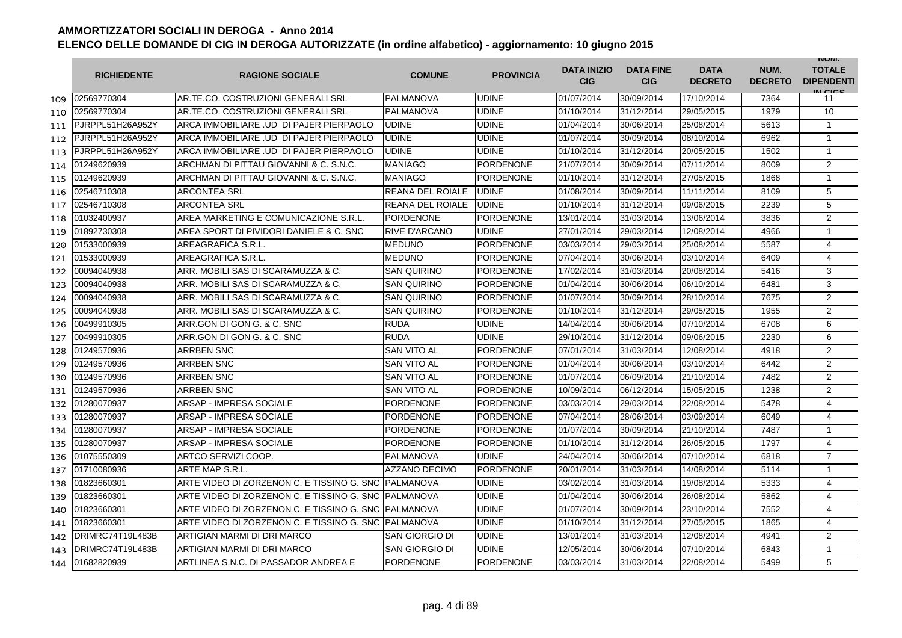|     | <b>RICHIEDENTE</b> | <b>RAGIONE SOCIALE</b>                                | <b>COMUNE</b>           | <b>PROVINCIA</b> | <b>DATA INIZIO</b><br><b>CIG</b> | <b>DATA FINE</b><br><b>CIG</b> | <b>DATA</b><br><b>DECRETO</b> | NUM.<br><b>DECRETO</b> | <b>INUIVI.</b><br><b>TOTALE</b><br><b>DIPENDENTI</b><br>IN CICS |
|-----|--------------------|-------------------------------------------------------|-------------------------|------------------|----------------------------------|--------------------------------|-------------------------------|------------------------|-----------------------------------------------------------------|
| 109 | 02569770304        | AR.TE.CO. COSTRUZIONI GENERALI SRL                    | <b>PALMANOVA</b>        | <b>UDINE</b>     | 01/07/2014                       | 30/09/2014                     | 17/10/2014                    | 7364                   | -11                                                             |
| 110 | 02569770304        | AR.TE.CO. COSTRUZIONI GENERALI SRL                    | <b>PALMANOVA</b>        | <b>UDINE</b>     | 01/10/2014                       | 31/12/2014                     | 29/05/2015                    | 1979                   | 10                                                              |
| 111 | PJRPPL51H26A952Y   | ARCA IMMOBILIARE .UD DI PAJER PIERPAOLO               | <b>UDINE</b>            | <b>UDINE</b>     | 01/04/2014                       | 30/06/2014                     | 25/08/2014                    | 5613                   | 1                                                               |
| 112 | PJRPPL51H26A952Y   | ARCA IMMOBILIARE .UD DI PAJER PIERPAOLO               | <b>UDINE</b>            | <b>UDINE</b>     | 01/07/2014                       | 30/09/2014                     | 08/10/2014                    | 6962                   | $\mathbf{1}$                                                    |
| 113 | PJRPPL51H26A952Y   | ARCA IMMOBILIARE .UD DI PAJER PIERPAOLO               | <b>UDINE</b>            | <b>UDINE</b>     | 01/10/2014                       | 31/12/2014                     | 20/05/2015                    | 1502                   | $\mathbf{1}$                                                    |
| 114 | 01249620939        | ARCHMAN DI PITTAU GIOVANNI & C. S.N.C.                | <b>MANIAGO</b>          | <b>PORDENONE</b> | 21/07/2014                       | 30/09/2014                     | 07/11/2014                    | 8009                   | 2                                                               |
| 115 | 01249620939        | ARCHMAN DI PITTAU GIOVANNI & C. S.N.C.                | <b>MANIAGO</b>          | <b>PORDENONE</b> | 01/10/2014                       | 31/12/2014                     | 27/05/2015                    | 1868                   | $\mathbf{1}$                                                    |
| 116 | 02546710308        | <b>ARCONTEA SRL</b>                                   | <b>REANA DEL ROIALE</b> | <b>UDINE</b>     | 01/08/2014                       | 30/09/2014                     | 11/11/2014                    | 8109                   | 5                                                               |
| 117 | 02546710308        | <b>ARCONTEA SRL</b>                                   | <b>REANA DEL ROIALE</b> | <b>UDINE</b>     | 01/10/2014                       | 31/12/2014                     | 09/06/2015                    | 2239                   | 5                                                               |
| 118 | 01032400937        | AREA MARKETING E COMUNICAZIONE S.R.L.                 | <b>PORDENONE</b>        | <b>PORDENONE</b> | 13/01/2014                       | 31/03/2014                     | 13/06/2014                    | 3836                   | $\overline{2}$                                                  |
| 119 | 01892730308        | AREA SPORT DI PIVIDORI DANIELE & C. SNC               | <b>RIVE D'ARCANO</b>    | <b>UDINE</b>     | 27/01/2014                       | 29/03/2014                     | 12/08/2014                    | 4966                   | $\mathbf{1}$                                                    |
| 120 | 01533000939        | AREAGRAFICA S.R.L.                                    | <b>MEDUNO</b>           | <b>PORDENONE</b> | 03/03/2014                       | 29/03/2014                     | 25/08/2014                    | 5587                   | $\overline{4}$                                                  |
| 121 | 01533000939        | AREAGRAFICA S.R.L.                                    | <b>MEDUNO</b>           | <b>PORDENONE</b> | 07/04/2014                       | 30/06/2014                     | 03/10/2014                    | 6409                   | $\overline{4}$                                                  |
| 122 | 00094040938        | ARR. MOBILI SAS DI SCARAMUZZA & C.                    | <b>SAN QUIRINO</b>      | <b>PORDENONE</b> | 17/02/2014                       | 31/03/2014                     | 20/08/2014                    | 5416                   | 3                                                               |
| 123 | 00094040938        | ARR. MOBILI SAS DI SCARAMUZZA & C.                    | <b>SAN QUIRINO</b>      | <b>PORDENONE</b> | 01/04/2014                       | 30/06/2014                     | 06/10/2014                    | 6481                   | 3                                                               |
| 124 | 00094040938        | ARR. MOBILI SAS DI SCARAMUZZA & C.                    | <b>SAN QUIRINO</b>      | <b>PORDENONE</b> | 01/07/2014                       | 30/09/2014                     | 28/10/2014                    | 7675                   | $\overline{2}$                                                  |
| 125 | 00094040938        | ARR. MOBILI SAS DI SCARAMUZZA & C.                    | <b>SAN QUIRINO</b>      | <b>PORDENONE</b> | 01/10/2014                       | 31/12/2014                     | 29/05/2015                    | 1955                   | $\overline{2}$                                                  |
| 126 | 00499910305        | ARR.GON DI GON G. & C. SNC                            | <b>RUDA</b>             | <b>UDINE</b>     | 14/04/2014                       | 30/06/2014                     | 07/10/2014                    | 6708                   | 6                                                               |
| 127 | 00499910305        | ARR.GON DI GON G. & C. SNC                            | <b>RUDA</b>             | <b>UDINE</b>     | 29/10/2014                       | 31/12/2014                     | 09/06/2015                    | 2230                   | 6                                                               |
| 128 | 01249570936        | <b>ARRBEN SNC</b>                                     | <b>SAN VITO AL</b>      | <b>PORDENONE</b> | 07/01/2014                       | 31/03/2014                     | 12/08/2014                    | 4918                   | 2                                                               |
| 129 | 01249570936        | <b>ARRBEN SNC</b>                                     | SAN VITO AL             | <b>PORDENONE</b> | 01/04/2014                       | 30/06/2014                     | 03/10/2014                    | 6442                   | $\overline{2}$                                                  |
| 130 | 01249570936        | <b>ARRBEN SNC</b>                                     | SAN VITO AL             | <b>PORDENONE</b> | 01/07/2014                       | 06/09/2014                     | 21/10/2014                    | 7482                   | 2                                                               |
| 131 | 01249570936        | <b>ARRBEN SNC</b>                                     | SAN VITO AL             | <b>PORDENONE</b> | 10/09/2014                       | 06/12/2014                     | 15/05/2015                    | 1238                   | 2                                                               |
| 132 | 01280070937        | ARSAP - IMPRESA SOCIALE                               | <b>PORDENONE</b>        | <b>PORDENONE</b> | 03/03/2014                       | 29/03/2014                     | 22/08/2014                    | 5478                   | $\overline{4}$                                                  |
| 133 | 01280070937        | <b>ARSAP - IMPRESA SOCIALE</b>                        | <b>PORDENONE</b>        | PORDENONE        | 07/04/2014                       | 28/06/2014                     | 03/09/2014                    | 6049                   | $\overline{4}$                                                  |
| 134 | 01280070937        | ARSAP - IMPRESA SOCIALE                               | PORDENONE               | <b>PORDENONE</b> | 01/07/2014                       | 30/09/2014                     | 21/10/2014                    | 7487                   | $\mathbf{1}$                                                    |
| 135 | 01280070937        | ARSAP - IMPRESA SOCIALE                               | PORDENONE               | <b>PORDENONE</b> | 01/10/2014                       | 31/12/2014                     | 26/05/2015                    | 1797                   | 4                                                               |
| 136 | 01075550309        | ARTCO SERVIZI COOP.                                   | PALMANOVA               | <b>UDINE</b>     | 24/04/2014                       | 30/06/2014                     | 07/10/2014                    | 6818                   | $\overline{7}$                                                  |
| 137 | 01710080936        | ARTE MAP S.R.L.                                       | <b>AZZANO DECIMO</b>    | <b>PORDENONE</b> | 20/01/2014                       | 31/03/2014                     | 14/08/2014                    | 5114                   | $\mathbf{1}$                                                    |
| 138 | 01823660301        | ARTE VIDEO DI ZORZENON C. E TISSINO G. SNC            | <b>PALMANOVA</b>        | <b>UDINE</b>     | 03/02/2014                       | 31/03/2014                     | 19/08/2014                    | 5333                   | $\overline{4}$                                                  |
| 139 | 01823660301        | ARTE VIDEO DI ZORZENON C. E TISSINO G. SNC IPALMANOVA |                         | <b>UDINE</b>     | 01/04/2014                       | 30/06/2014                     | 26/08/2014                    | 5862                   | 4                                                               |
| 140 | 01823660301        | ARTE VIDEO DI ZORZENON C. E TISSINO G. SNC  PALMANOVA |                         | <b>UDINE</b>     | 01/07/2014                       | 30/09/2014                     | 23/10/2014                    | 7552                   | 4                                                               |
| 141 | 01823660301        | ARTE VIDEO DI ZORZENON C. E TISSINO G. SNC IPALMANOVA |                         | <b>UDINE</b>     | 01/10/2014                       | 31/12/2014                     | 27/05/2015                    | 1865                   | 4                                                               |
| 142 | DRIMRC74T19L483B   | ARTIGIAN MARMI DI DRI MARCO                           | <b>SAN GIORGIO DI</b>   | <b>UDINE</b>     | 13/01/2014                       | 31/03/2014                     | 12/08/2014                    | 4941                   | 2                                                               |
| 143 | DRIMRC74T19L483B   | ARTIGIAN MARMI DI DRI MARCO                           | SAN GIORGIO DI          | <b>UDINE</b>     | 12/05/2014                       | 30/06/2014                     | 07/10/2014                    | 6843                   | $\mathbf{1}$                                                    |
| 144 | 01682820939        | ARTLINEA S.N.C. DI PASSADOR ANDREA E                  | <b>PORDENONE</b>        | <b>PORDENONE</b> | 03/03/2014                       | 31/03/2014                     | 22/08/2014                    | 5499                   | 5                                                               |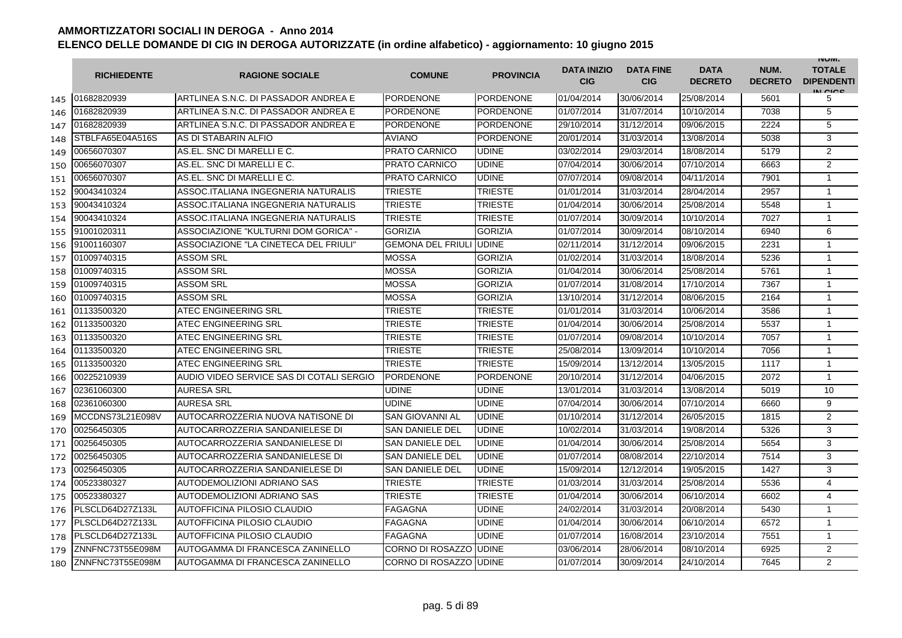|     | <b>RICHIEDENTE</b> | <b>RAGIONE SOCIALE</b>                   | <b>COMUNE</b>                   | <b>PROVINCIA</b> | <b>DATA INIZIO</b><br><b>CIG</b> | <b>DATA FINE</b><br><b>CIG</b> | <b>DATA</b><br><b>DECRETO</b> | NUM.<br><b>DECRETO</b> | <b>INUIVI.</b><br><b>TOTALE</b><br><b>DIPENDENTI</b><br>IN CIGO |
|-----|--------------------|------------------------------------------|---------------------------------|------------------|----------------------------------|--------------------------------|-------------------------------|------------------------|-----------------------------------------------------------------|
| 145 | 01682820939        | ARTLINEA S.N.C. DI PASSADOR ANDREA E     | PORDENONE                       | <b>PORDENONE</b> | 01/04/2014                       | 30/06/2014                     | 25/08/2014                    | 5601                   | 5                                                               |
| 146 | 01682820939        | ARTLINEA S.N.C. DI PASSADOR ANDREA E     | <b>PORDENONE</b>                | <b>PORDENONE</b> | 01/07/2014                       | 31/07/2014                     | 10/10/2014                    | 7038                   | 5                                                               |
| 147 | 01682820939        | ARTLINEA S.N.C. DI PASSADOR ANDREA E     | <b>PORDENONE</b>                | <b>PORDENONE</b> | 29/10/2014                       | 31/12/2014                     | 09/06/2015                    | 2224                   | 5                                                               |
| 148 | STBLFA65E04A516S   | AS DI STABARIN ALFIO                     | <b>AVIANO</b>                   | PORDENONE        | 20/01/2014                       | 31/03/2014                     | 13/08/2014                    | 5038                   | 3                                                               |
| 149 | 00656070307        | AS.EL. SNC DI MARELLI E C.               | <b>PRATO CARNICO</b>            | <b>UDINE</b>     | 03/02/2014                       | 29/03/2014                     | 18/08/2014                    | 5179                   | 2                                                               |
| 150 | 00656070307        | AS.EL. SNC DI MARELLI E C.               | <b>PRATO CARNICO</b>            | <b>UDINE</b>     | 07/04/2014                       | 30/06/2014                     | 07/10/2014                    | 6663                   | 2                                                               |
| 151 | 00656070307        | AS.EL. SNC DI MARELLI E C.               | <b>PRATO CARNICO</b>            | <b>UDINE</b>     | 07/07/2014                       | 09/08/2014                     | 04/11/2014                    | 7901                   | $\mathbf{1}$                                                    |
| 152 | 90043410324        | ASSOC.ITALIANA INGEGNERIA NATURALIS      | <b>TRIESTE</b>                  | <b>TRIESTE</b>   | 01/01/2014                       | 31/03/2014                     | 28/04/2014                    | 2957                   | $\mathbf{1}$                                                    |
| 153 | 90043410324        | ASSOC.ITALIANA INGEGNERIA NATURALIS      | <b>TRIESTE</b>                  | TRIESTE          | 01/04/2014                       | 30/06/2014                     | 25/08/2014                    | 5548                   | $\mathbf{1}$                                                    |
| 154 | 90043410324        | ASSOC.ITALIANA INGEGNERIA NATURALIS      | <b>TRIESTE</b>                  | <b>TRIESTE</b>   | 01/07/2014                       | 30/09/2014                     | 10/10/2014                    | 7027                   | $\mathbf{1}$                                                    |
| 155 | 91001020311        | ASSOCIAZIONE "KULTURNI DOM GORICA" -     | <b>GORIZIA</b>                  | <b>GORIZIA</b>   | 01/07/2014                       | 30/09/2014                     | 08/10/2014                    | 6940                   | 6                                                               |
| 156 | 91001160307        | ASSOCIAZIONE "LA CINETECA DEL FRIULI"    | <b>GEMONA DEL FRIULI JUDINE</b> |                  | 02/11/2014                       | 31/12/2014                     | 09/06/2015                    | 2231                   | $\mathbf{1}$                                                    |
| 157 | 01009740315        | <b>ASSOM SRL</b>                         | <b>MOSSA</b>                    | <b>GORIZIA</b>   | 01/02/2014                       | 31/03/2014                     | 18/08/2014                    | 5236                   | $\mathbf{1}$                                                    |
| 158 | 01009740315        | <b>ASSOM SRL</b>                         | <b>MOSSA</b>                    | <b>GORIZIA</b>   | 01/04/2014                       | 30/06/2014                     | 25/08/2014                    | 5761                   | $\mathbf{1}$                                                    |
| 159 | 01009740315        | <b>ASSOM SRL</b>                         | <b>MOSSA</b>                    | <b>GORIZIA</b>   | 01/07/2014                       | 31/08/2014                     | 17/10/2014                    | 7367                   | $\mathbf{1}$                                                    |
| 160 | 01009740315        | <b>ASSOM SRL</b>                         | <b>MOSSA</b>                    | <b>GORIZIA</b>   | 13/10/2014                       | 31/12/2014                     | 08/06/2015                    | 2164                   | $\mathbf{1}$                                                    |
| 161 | 01133500320        | ATEC ENGINEERING SRL                     | <b>TRIESTE</b>                  | <b>TRIESTE</b>   | 01/01/2014                       | 31/03/2014                     | 10/06/2014                    | 3586                   | $\mathbf{1}$                                                    |
| 162 | 01133500320        | <b>ATEC ENGINEERING SRL</b>              | TRIESTE                         | TRIESTE          | 01/04/2014                       | 30/06/2014                     | 25/08/2014                    | 5537                   | 1                                                               |
| 163 | 01133500320        | <b>ATEC ENGINEERING SRL</b>              | TRIESTE                         | TRIESTE          | 01/07/2014                       | 09/08/2014                     | 10/10/2014                    | 7057                   | $\mathbf{1}$                                                    |
| 164 | 01133500320        | <b>ATEC ENGINEERING SRL</b>              | <b>TRIESTE</b>                  | <b>TRIESTE</b>   | 25/08/2014                       | 13/09/2014                     | 10/10/2014                    | 7056                   | $\mathbf{1}$                                                    |
| 165 | 01133500320        | <b>ATEC ENGINEERING SRL</b>              | <b>TRIESTE</b>                  | <b>TRIESTE</b>   | 15/09/2014                       | 13/12/2014                     | 13/05/2015                    | 1117                   | $\mathbf{1}$                                                    |
| 166 | 00225210939        | AUDIO VIDEO SERVICE SAS DI COTALI SERGIO | <b>PORDENONE</b>                | <b>PORDENONE</b> | 20/10/2014                       | 31/12/2014                     | 04/06/2015                    | 2072                   | $\mathbf{1}$                                                    |
| 167 | 02361060300        | <b>AURESA SRL</b>                        | <b>UDINE</b>                    | <b>UDINE</b>     | 13/01/2014                       | 31/03/2014                     | 13/08/2014                    | 5019                   | 10                                                              |
| 168 | 02361060300        | <b>AURESA SRL</b>                        | <b>UDINE</b>                    | <b>UDINE</b>     | 07/04/2014                       | 30/06/2014                     | 07/10/2014                    | 6660                   | 9                                                               |
| 169 | MCCDNS73L21E098V   | AUTOCARROZZERIA NUOVA NATISONE DI        | <b>SAN GIOVANNI AL</b>          | <b>UDINE</b>     | 01/10/2014                       | 31/12/2014                     | 26/05/2015                    | 1815                   | $\overline{2}$                                                  |
| 170 | 00256450305        | AUTOCARROZZERIA SANDANIELESE DI          | <b>SAN DANIELE DEL</b>          | <b>UDINE</b>     | 10/02/2014                       | 31/03/2014                     | 19/08/2014                    | 5326                   | 3                                                               |
| 171 | 00256450305        | AUTOCARROZZERIA SANDANIELESE DI          | SAN DANIELE DEL                 | <b>UDINE</b>     | 01/04/2014                       | 30/06/2014                     | 25/08/2014                    | 5654                   | 3                                                               |
| 172 | 00256450305        | AUTOCARROZZERIA SANDANIELESE DI          | <b>SAN DANIELE DEL</b>          | <b>UDINE</b>     | 01/07/2014                       | 08/08/2014                     | 22/10/2014                    | 7514                   | 3                                                               |
| 173 | 00256450305        | AUTOCARROZZERIA SANDANIELESE DI          | <b>SAN DANIELE DEL</b>          | <b>UDINE</b>     | 15/09/2014                       | 12/12/2014                     | 19/05/2015                    | 1427                   | 3                                                               |
| 174 | 00523380327        | AUTODEMOLIZIONI ADRIANO SAS              | <b>TRIESTE</b>                  | <b>TRIESTE</b>   | 01/03/2014                       | 31/03/2014                     | 25/08/2014                    | 5536                   | $\overline{4}$                                                  |
| 175 | 00523380327        | AUTODEMOLIZIONI ADRIANO SAS              | <b>TRIESTE</b>                  | TRIESTE          | 01/04/2014                       | 30/06/2014                     | 06/10/2014                    | 6602                   | $\overline{4}$                                                  |
| 176 | PLSCLD64D27Z133L   | AUTOFFICINA PILOSIO CLAUDIO              | <b>FAGAGNA</b>                  | <b>UDINE</b>     | 24/02/2014                       | 31/03/2014                     | 20/08/2014                    | 5430                   | $\mathbf{1}$                                                    |
| 177 | PLSCLD64D27Z133L   | AUTOFFICINA PILOSIO CLAUDIO              | <b>FAGAGNA</b>                  | <b>UDINE</b>     | 01/04/2014                       | 30/06/2014                     | 06/10/2014                    | 6572                   | $\mathbf{1}$                                                    |
| 178 | PLSCLD64D27Z133L   | AUTOFFICINA PILOSIO CLAUDIO              | <b>FAGAGNA</b>                  | <b>UDINE</b>     | 01/07/2014                       | 16/08/2014                     | 23/10/2014                    | 7551                   | $\mathbf{1}$                                                    |
| 179 | ZNNFNC73T55E098M   | AUTOGAMMA DI FRANCESCA ZANINELLO         | <b>CORNO DI ROSAZZO UDINE</b>   |                  | 03/06/2014                       | 28/06/2014                     | 08/10/2014                    | 6925                   | 2                                                               |
| 180 | ZNNFNC73T55E098M   | AUTOGAMMA DI FRANCESCA ZANINELLO         | <b>CORNO DI ROSAZZO UDINE</b>   |                  | 01/07/2014                       | 30/09/2014                     | 24/10/2014                    | 7645                   | $\overline{2}$                                                  |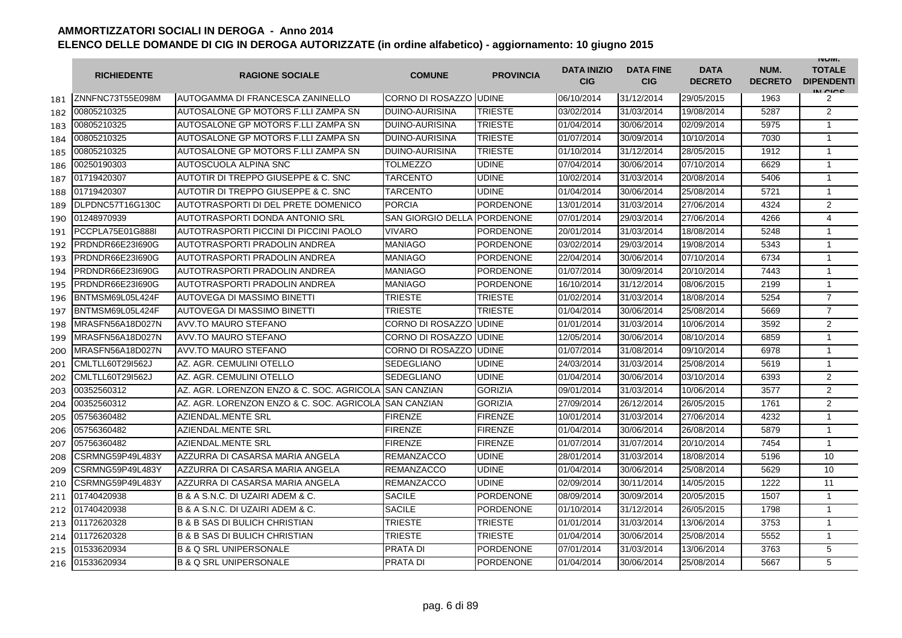|     | <b>RICHIEDENTE</b> | <b>RAGIONE SOCIALE</b>                                 | <b>COMUNE</b>                  | <b>PROVINCIA</b> | <b>DATA INIZIO</b><br>CIG | <b>DATA FINE</b><br><b>CIG</b> | <b>DATA</b><br><b>DECRETO</b> | NUM.<br><b>DECRETO</b> | <b>INUIVI.</b><br><b>TOTALE</b><br><b>DIPENDENTI</b><br>IN CICS |
|-----|--------------------|--------------------------------------------------------|--------------------------------|------------------|---------------------------|--------------------------------|-------------------------------|------------------------|-----------------------------------------------------------------|
| 181 | ZNNFNC73T55E098M   | AUTOGAMMA DI FRANCESCA ZANINELLO                       | <b>CORNO DI ROSAZZO JUDINE</b> |                  | 06/10/2014                | 31/12/2014                     | 29/05/2015                    | 1963                   | 2                                                               |
| 182 | 00805210325        | AUTOSALONE GP MOTORS F.LLI ZAMPA SN                    | <b>DUINO-AURISINA</b>          | <b>TRIESTE</b>   | 03/02/2014                | 31/03/2014                     | 19/08/2014                    | 5287                   | 2                                                               |
| 183 | 00805210325        | AUTOSALONE GP MOTORS F.LLI ZAMPA SN                    | <b>DUINO-AURISINA</b>          | TRIESTE          | 01/04/2014                | 30/06/2014                     | 02/09/2014                    | 5975                   | 1                                                               |
| 184 | 00805210325        | AUTOSALONE GP MOTORS F.LLI ZAMPA SN                    | <b>DUINO-AURISINA</b>          | <b>TRIESTE</b>   | 01/07/2014                | 30/09/2014                     | 10/10/2014                    | 7030                   | $\mathbf{1}$                                                    |
| 185 | 00805210325        | AUTOSALONE GP MOTORS F.LLI ZAMPA SN                    | DUINO-AURISINA                 | <b>TRIESTE</b>   | 01/10/2014                | 31/12/2014                     | 28/05/2015                    | 1912                   | $\mathbf{1}$                                                    |
| 186 | 00250190303        | AUTOSCUOLA ALPINA SNC                                  | <b>TOLMEZZO</b>                | <b>UDINE</b>     | 07/04/2014                | 30/06/2014                     | 07/10/2014                    | 6629                   | $\mathbf{1}$                                                    |
| 187 | 01719420307        | <b>AUTOTIR DI TREPPO GIUSEPPE &amp; C. SNC</b>         | <b>TARCENTO</b>                | <b>UDINE</b>     | 10/02/2014                | 31/03/2014                     | 20/08/2014                    | 5406                   | $\mathbf{1}$                                                    |
| 188 | 01719420307        | AUTOTIR DI TREPPO GIUSEPPE & C. SNC                    | TARCENTO                       | <b>UDINE</b>     | 01/04/2014                | 30/06/2014                     | 25/08/2014                    | 5721                   | $\mathbf{1}$                                                    |
| 189 | DLPDNC57T16G130C   | AUTOTRASPORTI DI DEL PRETE DOMENICO                    | <b>PORCIA</b>                  | <b>PORDENONE</b> | 13/01/2014                | 31/03/2014                     | 27/06/2014                    | 4324                   | $\overline{2}$                                                  |
| 190 | 01248970939        | AUTOTRASPORTI DONDA ANTONIO SRL                        | SAN GIORGIO DELLA PORDENONE    |                  | 07/01/2014                | 29/03/2014                     | 27/06/2014                    | 4266                   | $\overline{4}$                                                  |
| 191 | PCCPLA75E01G888I   | AUTOTRASPORTI PICCINI DI PICCINI PAOLO                 | <b>VIVARO</b>                  | <b>PORDENONE</b> | 20/01/2014                | 31/03/2014                     | 18/08/2014                    | 5248                   | $\mathbf{1}$                                                    |
| 192 | PRDNDR66E23I690G   | AUTOTRASPORTI PRADOLIN ANDREA                          | <b>MANIAGO</b>                 | <b>PORDENONE</b> | 03/02/2014                | 29/03/2014                     | 19/08/2014                    | 5343                   | $\mathbf{1}$                                                    |
| 193 | PRDNDR66E23I690G   | AUTOTRASPORTI PRADOLIN ANDREA                          | <b>MANIAGO</b>                 | <b>PORDENONE</b> | 22/04/2014                | 30/06/2014                     | 07/10/2014                    | 6734                   | $\mathbf{1}$                                                    |
| 194 | PRDNDR66E23I690G   | AUTOTRASPORTI PRADOLIN ANDREA                          | <b>MANIAGO</b>                 | <b>PORDENONE</b> | 01/07/2014                | 30/09/2014                     | 20/10/2014                    | 7443                   | 1                                                               |
| 195 | PRDNDR66E23I690G   | AUTOTRASPORTI PRADOLIN ANDREA                          | <b>MANIAGO</b>                 | <b>PORDENONE</b> | 16/10/2014                | 31/12/2014                     | 08/06/2015                    | 2199                   | $\mathbf{1}$                                                    |
| 196 | BNTMSM69L05L424F   | <b>AUTOVEGA DI MASSIMO BINETTI</b>                     | <b>TRIESTE</b>                 | <b>TRIESTE</b>   | 01/02/2014                | 31/03/2014                     | 18/08/2014                    | 5254                   | $\overline{7}$                                                  |
| 197 | BNTMSM69L05L424F   | AUTOVEGA DI MASSIMO BINETTI                            | <b>TRIESTE</b>                 | TRIESTE          | 01/04/2014                | 30/06/2014                     | 25/08/2014                    | 5669                   | $\overline{7}$                                                  |
| 198 | MRASFN56A18D027N   | <b>AVV.TO MAURO STEFANO</b>                            | <b>CORNO DI ROSAZZO UDINE</b>  |                  | 01/01/2014                | 31/03/2014                     | 10/06/2014                    | 3592                   | $\overline{2}$                                                  |
| 199 | MRASFN56A18D027N   | <b>AVV.TO MAURO STEFANO</b>                            | CORNO DI ROSAZZO IUDINE        |                  | 12/05/2014                | 30/06/2014                     | 08/10/2014                    | 6859                   | 1                                                               |
| 200 | MRASFN56A18D027N   | AVV.TO MAURO STEFANO                                   | CORNO DI ROSAZZO IUDINE        |                  | 01/07/2014                | 31/08/2014                     | 09/10/2014                    | 6978                   | $\mathbf{1}$                                                    |
| 201 | CMLTLL60T29I562J   | AZ. AGR. CEMULINI OTELLO                               | SEDEGLIANO                     | <b>UDINE</b>     | 24/03/2014                | 31/03/2014                     | 25/08/2014                    | 5619                   | $\mathbf{1}$                                                    |
| 202 | CMLTLL60T29I562J   | AZ. AGR. CEMULINI OTELLO                               | SEDEGLIANO                     | <b>UDINE</b>     | 01/04/2014                | 30/06/2014                     | 03/10/2014                    | 6393                   | 2                                                               |
| 203 | 00352560312        | AZ. AGR. LORENZON ENZO & C. SOC. AGRICOLA ISAN CANZIAN |                                | <b>GORIZIA</b>   | 09/01/2014                | 31/03/2014                     | 10/06/2014                    | 3577                   | 2                                                               |
| 204 | 00352560312        | AZ. AGR. LORENZON ENZO & C. SOC. AGRICOLA ISAN CANZIAN |                                | <b>GORIZIA</b>   | 27/09/2014                | 26/12/2014                     | 26/05/2015                    | 1761                   | $\overline{2}$                                                  |
| 205 | 05756360482        | AZIENDAL.MENTE SRL                                     | <b>FIRENZE</b>                 | <b>FIRENZE</b>   | 10/01/2014                | 31/03/2014                     | 27/06/2014                    | 4232                   | $\mathbf{1}$                                                    |
| 206 | 05756360482        | <b>AZIENDAL.MENTE SRL</b>                              | <b>FIRENZE</b>                 | <b>FIRENZE</b>   | 01/04/2014                | 30/06/2014                     | 26/08/2014                    | 5879                   | $\mathbf{1}$                                                    |
| 207 | 05756360482        | AZIENDAL.MENTE SRL                                     | <b>FIRENZE</b>                 | <b>FIRENZE</b>   | 01/07/2014                | 31/07/2014                     | 20/10/2014                    | 7454                   | $\mathbf{1}$                                                    |
| 208 | CSRMNG59P49L483Y   | AZZURRA DI CASARSA MARIA ANGELA                        | <b>REMANZACCO</b>              | <b>UDINE</b>     | 28/01/2014                | 31/03/2014                     | 18/08/2014                    | 5196                   | 10                                                              |
| 209 | CSRMNG59P49L483Y   | AZZURRA DI CASARSA MARIA ANGELA                        | <b>REMANZACCO</b>              | <b>UDINE</b>     | 01/04/2014                | 30/06/2014                     | 25/08/2014                    | 5629                   | 10                                                              |
| 210 | CSRMNG59P49L483Y   | AZZURRA DI CASARSA MARIA ANGELA                        | <b>REMANZACCO</b>              | <b>UDINE</b>     | 02/09/2014                | 30/11/2014                     | 14/05/2015                    | 1222                   | 11                                                              |
| 211 | 01740420938        | B & A S.N.C. DI UZAIRI ADEM & C.                       | <b>SACILE</b>                  | <b>PORDENONE</b> | 08/09/2014                | 30/09/2014                     | 20/05/2015                    | 1507                   | $\mathbf{1}$                                                    |
| 212 | 01740420938        | B & A S.N.C. DI UZAIRI ADEM & C.                       | <b>SACILE</b>                  | <b>PORDENONE</b> | 01/10/2014                | 31/12/2014                     | 26/05/2015                    | 1798                   | $\mathbf{1}$                                                    |
| 213 | 01172620328        | <b>B &amp; B SAS DI BULICH CHRISTIAN</b>               | <b>TRIESTE</b>                 | TRIESTE          | 01/01/2014                | 31/03/2014                     | 13/06/2014                    | 3753                   | $\mathbf{1}$                                                    |
| 214 | 01172620328        | <b>B &amp; B SAS DI BULICH CHRISTIAN</b>               | TRIESTE                        | <b>TRIESTE</b>   | 01/04/2014                | 30/06/2014                     | 25/08/2014                    | 5552                   | $\mathbf{1}$                                                    |
| 215 | 01533620934        | <b>B &amp; Q SRL UNIPERSONALE</b>                      | PRATA DI                       | <b>PORDENONE</b> | 07/01/2014                | 31/03/2014                     | 13/06/2014                    | 3763                   | 5                                                               |
| 216 | 01533620934        | <b>B &amp; Q SRL UNIPERSONALE</b>                      | <b>PRATA DI</b>                | <b>PORDENONE</b> | 01/04/2014                | 30/06/2014                     | 25/08/2014                    | 5667                   | 5                                                               |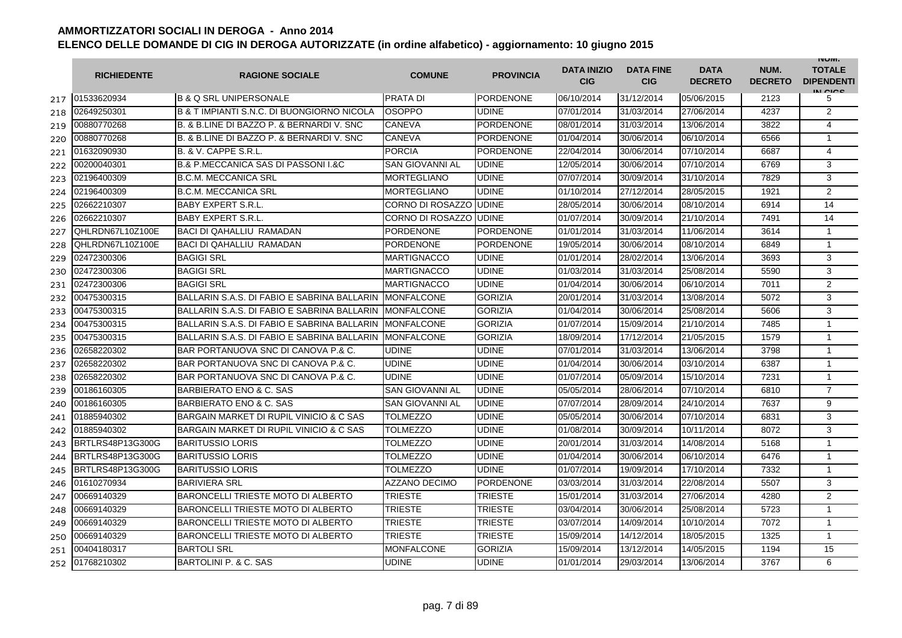|     | <b>RICHIEDENTE</b> | <b>RAGIONE SOCIALE</b>                             | <b>COMUNE</b>          | <b>PROVINCIA</b> | <b>DATA INIZIO</b><br><b>CIG</b> | <b>DATA FINE</b><br><b>CIG</b> | <b>DATA</b><br><b>DECRETO</b> | NUM.<br><b>DECRETO</b> | <b>INUIVI.</b><br><b>TOTALE</b><br><b>DIPENDENTI</b><br>IN CIGO |
|-----|--------------------|----------------------------------------------------|------------------------|------------------|----------------------------------|--------------------------------|-------------------------------|------------------------|-----------------------------------------------------------------|
| 217 | 01533620934        | <b>B &amp; Q SRL UNIPERSONALE</b>                  | <b>PRATA DI</b>        | <b>PORDENONE</b> | 06/10/2014                       | 31/12/2014                     | 05/06/2015                    | 2123                   | 5                                                               |
| 218 | 02649250301        | B & T IMPIANTI S.N.C. DI BUONGIORNO NICOLA         | <b>OSOPPO</b>          | <b>UDINE</b>     | 07/01/2014                       | 31/03/2014                     | 27/06/2014                    | 4237                   | 2                                                               |
| 219 | 00880770268        | B. & B.LINE DI BAZZO P. & BERNARDI V. SNC          | CANEVA                 | <b>PORDENONE</b> | 08/01/2014                       | 31/03/2014                     | 13/06/2014                    | 3822                   | $\overline{4}$                                                  |
| 220 | 00880770268        | B. & B.LINE DI BAZZO P. & BERNARDI V. SNC          | CANEVA                 | PORDENONE        | 01/04/2014                       | 30/06/2014                     | 06/10/2014                    | 6566                   | 1                                                               |
| 221 | 01632090930        | B. & V. CAPPE S.R.L.                               | <b>PORCIA</b>          | <b>PORDENONE</b> | 22/04/2014                       | 30/06/2014                     | 07/10/2014                    | 6687                   | 4                                                               |
| 222 | 00200040301        | <b>B.&amp; P.MECCANICA SAS DI PASSONI I.&amp;C</b> | <b>SAN GIOVANNI AL</b> | <b>UDINE</b>     | 12/05/2014                       | 30/06/2014                     | 07/10/2014                    | 6769                   | 3                                                               |
| 223 | 02196400309        | IB.C.M. MECCANICA SRL                              | <b>MORTEGLIANO</b>     | <b>UDINE</b>     | 07/07/2014                       | 30/09/2014                     | 31/10/2014                    | 7829                   | 3                                                               |
| 224 | 02196400309        | <b>B.C.M. MECCANICA SRL</b>                        | <b>MORTEGLIANO</b>     | <b>UDINE</b>     | 01/10/2014                       | 27/12/2014                     | 28/05/2015                    | 1921                   | 2                                                               |
| 225 | 02662210307        | <b>BABY EXPERT S.R.L.</b>                          | CORNO DI ROSAZZO       | <b>UDINE</b>     | 28/05/2014                       | 30/06/2014                     | 08/10/2014                    | 6914                   | 14                                                              |
| 226 | 02662210307        | <b>BABY EXPERT S.R.L.</b>                          | CORNO DI ROSAZZO       | <b>UDINE</b>     | 01/07/2014                       | 30/09/2014                     | 21/10/2014                    | 7491                   | 14                                                              |
| 227 | QHLRDN67L10Z100E   | <b>BACI DI QAHALLIU RAMADAN</b>                    | <b>PORDENONE</b>       | <b>PORDENONE</b> | 01/01/2014                       | 31/03/2014                     | 11/06/2014                    | 3614                   | 1                                                               |
| 228 | QHLRDN67L10Z100E   | BACI DI QAHALLIU RAMADAN                           | <b>PORDENONE</b>       | <b>PORDENONE</b> | 19/05/2014                       | 30/06/2014                     | 08/10/2014                    | 6849                   | $\mathbf{1}$                                                    |
| 229 | 02472300306        | <b>BAGIGI SRL</b>                                  | <b>MARTIGNACCO</b>     | <b>UDINE</b>     | 01/01/2014                       | 28/02/2014                     | 13/06/2014                    | 3693                   | 3                                                               |
| 230 | 02472300306        | <b>BAGIGI SRL</b>                                  | <b>MARTIGNACCO</b>     | <b>UDINE</b>     | 01/03/2014                       | 31/03/2014                     | 25/08/2014                    | 5590                   | 3                                                               |
| 231 | 02472300306        | <b>BAGIGI SRL</b>                                  | <b>MARTIGNACCO</b>     | <b>UDINE</b>     | 01/04/2014                       | 30/06/2014                     | 06/10/2014                    | 7011                   | 2                                                               |
| 232 | 00475300315        | BALLARIN S.A.S. DI FABIO E SABRINA BALLARIN        | <b>IMONFALCONE</b>     | <b>GORIZIA</b>   | 20/01/2014                       | 31/03/2014                     | 13/08/2014                    | 5072                   | 3                                                               |
| 233 | 00475300315        | BALLARIN S.A.S. DI FABIO E SABRINA BALLARIN        | <b>MONFALCONE</b>      | <b>GORIZIA</b>   | 01/04/2014                       | 30/06/2014                     | 25/08/2014                    | 5606                   | 3                                                               |
| 234 | 00475300315        | BALLARIN S.A.S. DI FABIO E SABRINA BALLARIN        | <b>MONFALCONE</b>      | <b>GORIZIA</b>   | 01/07/2014                       | 15/09/2014                     | 21/10/2014                    | 7485                   | 1                                                               |
| 235 | 00475300315        | BALLARIN S.A.S. DI FABIO E SABRINA BALLARIN        | <b>MONFALCONE</b>      | <b>GORIZIA</b>   | 18/09/2014                       | 17/12/2014                     | 21/05/2015                    | 1579                   | $\mathbf{1}$                                                    |
| 236 | 02658220302        | BAR PORTANUOVA SNC DI CANOVA P.& C.                | <b>UDINE</b>           | <b>UDINE</b>     | 07/01/2014                       | 31/03/2014                     | 13/06/2014                    | 3798                   | $\mathbf{1}$                                                    |
| 237 | 02658220302        | BAR PORTANUOVA SNC DI CANOVA P.& C.                | UDINE                  | <b>UDINE</b>     | 01/04/2014                       | 30/06/2014                     | 03/10/2014                    | 6387                   | $\mathbf{1}$                                                    |
| 238 | 02658220302        | BAR PORTANUOVA SNC DI CANOVA P.& C.                | <b>UDINE</b>           | <b>UDINE</b>     | 01/07/2014                       | 05/09/2014                     | 15/10/2014                    | 7231                   | $\mathbf{1}$                                                    |
| 239 | 00186160305        | BARBIERATO ENO & C. SAS                            | <b>SAN GIOVANNI AL</b> | <b>UDINE</b>     | 05/05/2014                       | 28/06/2014                     | 07/10/2014                    | 6810                   | $\overline{7}$                                                  |
| 240 | 00186160305        | <b>BARBIERATO ENO &amp; C. SAS</b>                 | SAN GIOVANNI AL        | <b>UDINE</b>     | 07/07/2014                       | 28/09/2014                     | 24/10/2014                    | 7637                   | 9                                                               |
| 241 | 01885940302        | BARGAIN MARKET DI RUPIL VINICIO & C SAS            | TOLMEZZO               | <b>UDINE</b>     | 05/05/2014                       | 30/06/2014                     | 07/10/2014                    | 6831                   | 3                                                               |
| 242 | 01885940302        | BARGAIN MARKET DI RUPIL VINICIO & C SAS            | <b>TOLMEZZO</b>        | <b>UDINE</b>     | 01/08/2014                       | 30/09/2014                     | 10/11/2014                    | 8072                   | 3                                                               |
| 243 | BRTLRS48P13G300G   | IBARITUSSIO LORIS                                  | TOLMEZZO               | <b>UDINE</b>     | 20/01/2014                       | 31/03/2014                     | 14/08/2014                    | 5168                   | $\mathbf{1}$                                                    |
| 244 | BRTLRS48P13G300G   | <b>BARITUSSIO LORIS</b>                            | TOLMEZZO               | <b>UDINE</b>     | 01/04/2014                       | 30/06/2014                     | 06/10/2014                    | 6476                   | $\mathbf{1}$                                                    |
| 245 | BRTLRS48P13G300G   | <b>BARITUSSIO LORIS</b>                            | TOLMEZZO               | <b>UDINE</b>     | 01/07/2014                       | 19/09/2014                     | 17/10/2014                    | 7332                   | $\mathbf{1}$                                                    |
| 246 | 01610270934        | <b>BARIVIERA SRL</b>                               | AZZANO DECIMO          | <b>PORDENONE</b> | 03/03/2014                       | 31/03/2014                     | 22/08/2014                    | 5507                   | 3                                                               |
| 247 | 00669140329        | <b>BARONCELLI TRIESTE MOTO DI ALBERTO</b>          | <b>TRIESTE</b>         | <b>TRIESTE</b>   | 15/01/2014                       | 31/03/2014                     | 27/06/2014                    | 4280                   | $\overline{2}$                                                  |
| 248 | 00669140329        | <b>BARONCELLI TRIESTE MOTO DI ALBERTO</b>          | <b>TRIESTE</b>         | TRIESTE          | 03/04/2014                       | 30/06/2014                     | 25/08/2014                    | 5723                   | $\mathbf{1}$                                                    |
| 249 | 00669140329        | <b>BARONCELLI TRIESTE MOTO DI ALBERTO</b>          | <b>TRIESTE</b>         | <b>TRIESTE</b>   | 03/07/2014                       | 14/09/2014                     | 10/10/2014                    | 7072                   | $\mathbf{1}$                                                    |
| 250 | 00669140329        | <b>BARONCELLI TRIESTE MOTO DI ALBERTO</b>          | <b>TRIESTE</b>         | <b>TRIESTE</b>   | 15/09/2014                       | 14/12/2014                     | 18/05/2015                    | 1325                   | $\mathbf{1}$                                                    |
| 251 | 00404180317        | <b>BARTOLI SRL</b>                                 | <b>MONFALCONE</b>      | <b>GORIZIA</b>   | 15/09/2014                       | 13/12/2014                     | 14/05/2015                    | 1194                   | 15                                                              |
| 252 | 01768210302        | BARTOLINI P. & C. SAS                              | UDINE                  | <b>UDINE</b>     | 01/01/2014                       | 29/03/2014                     | 13/06/2014                    | 3767                   | 6                                                               |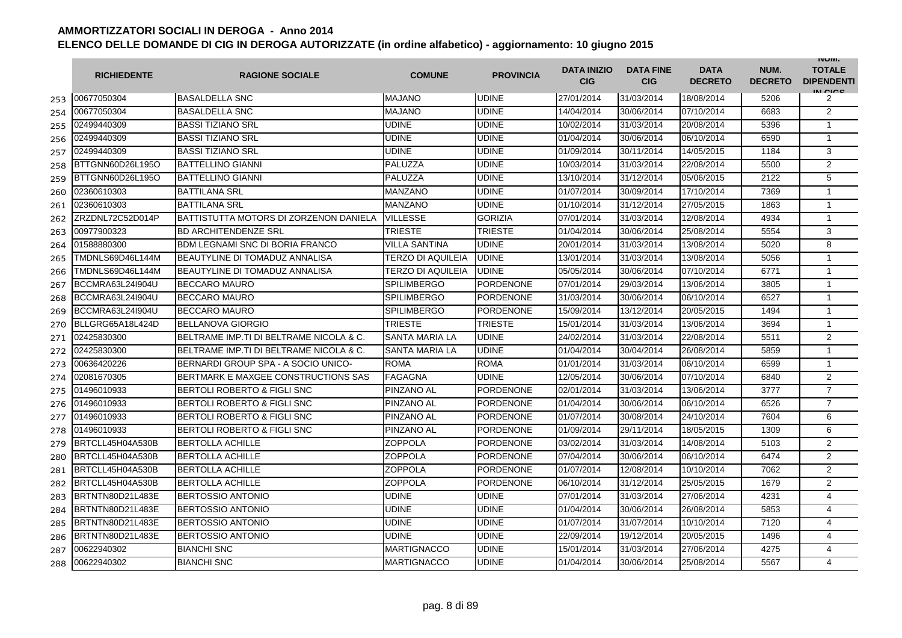|     | <b>RICHIEDENTE</b> | <b>RAGIONE SOCIALE</b>                  | <b>COMUNE</b>         | <b>PROVINCIA</b> | <b>DATA INIZIO</b><br><b>CIG</b> | <b>DATA FINE</b><br><b>CIG</b> | <b>DATA</b><br><b>DECRETO</b> | NUM.<br><b>DECRETO</b> | <b>INUIVI.</b><br><b>TOTALE</b><br><b>DIPENDENTI</b><br>IN CIGO |
|-----|--------------------|-----------------------------------------|-----------------------|------------------|----------------------------------|--------------------------------|-------------------------------|------------------------|-----------------------------------------------------------------|
| 253 | 00677050304        | <b>BASALDELLA SNC</b>                   | <b>MAJANO</b>         | <b>UDINE</b>     | 27/01/2014                       | 31/03/2014                     | 18/08/2014                    | 5206                   | 2                                                               |
| 254 | 00677050304        | <b>BASALDELLA SNC</b>                   | <b>MAJANO</b>         | <b>UDINE</b>     | 14/04/2014                       | 30/06/2014                     | 07/10/2014                    | 6683                   | 2                                                               |
| 255 | 02499440309        | <b>BASSI TIZIANO SRL</b>                | <b>UDINE</b>          | <b>UDINE</b>     | 10/02/2014                       | 31/03/2014                     | 20/08/2014                    | 5396                   | $\mathbf{1}$                                                    |
| 256 | 02499440309        | <b>BASSI TIZIANO SRL</b>                | <b>UDINE</b>          | <b>UDINE</b>     | 01/04/2014                       | 30/06/2014                     | 06/10/2014                    | 6590                   | 1                                                               |
| 257 | 02499440309        | <b>BASSI TIZIANO SRL</b>                | <b>UDINE</b>          | <b>UDINE</b>     | 01/09/2014                       | 30/11/2014                     | 14/05/2015                    | 1184                   | 3                                                               |
| 258 | BTTGNN60D26L195O   | <b>BATTELLINO GIANNI</b>                | PALUZZA               | <b>UDINE</b>     | 10/03/2014                       | 31/03/2014                     | 22/08/2014                    | 5500                   | 2                                                               |
| 259 | BTTGNN60D26L195O   | <b>BATTELLINO GIANNI</b>                | PALUZZA               | <b>UDINE</b>     | 13/10/2014                       | 31/12/2014                     | 05/06/2015                    | 2122                   | 5                                                               |
| 260 | 02360610303        | <b>BATTILANA SRL</b>                    | <b>MANZANO</b>        | <b>UDINE</b>     | 01/07/2014                       | 30/09/2014                     | 17/10/2014                    | 7369                   | $\mathbf{1}$                                                    |
| 261 | 02360610303        | <b>BATTILANA SRL</b>                    | <b>MANZANO</b>        | <b>UDINE</b>     | 01/10/2014                       | 31/12/2014                     | 27/05/2015                    | 1863                   | $\mathbf{1}$                                                    |
| 262 | ZRZDNL72C52D014P   | BATTISTUTTA MOTORS DI ZORZENON DANIELA  | <b>VILLESSE</b>       | <b>GORIZIA</b>   | 07/01/2014                       | 31/03/2014                     | 12/08/2014                    | 4934                   | $\mathbf{1}$                                                    |
| 263 | 00977900323        | <b>BD ARCHITENDENZE SRL</b>             | <b>TRIESTE</b>        | <b>TRIESTE</b>   | 01/04/2014                       | 30/06/2014                     | 25/08/2014                    | 5554                   | 3                                                               |
| 264 | 01588880300        | <b>BDM LEGNAMI SNC DI BORIA FRANCO</b>  | <b>VILLA SANTINA</b>  | <b>UDINE</b>     | 20/01/2014                       | 31/03/2014                     | 13/08/2014                    | 5020                   | 8                                                               |
| 265 | TMDNLS69D46L144M   | <b>BEAUTYLINE DI TOMADUZ ANNALISA</b>   | TERZO DI AQUILEIA     | <b>UDINE</b>     | 13/01/2014                       | 31/03/2014                     | 13/08/2014                    | 5056                   | $\mathbf{1}$                                                    |
| 266 | TMDNLS69D46L144M   | <b>BEAUTYLINE DI TOMADUZ ANNALISA</b>   | TERZO DI AQUILEIA     | <b>UDINE</b>     | 05/05/2014                       | 30/06/2014                     | 07/10/2014                    | 6771                   | 1                                                               |
| 267 | BCCMRA63L24I904U   | <b>BECCARO MAURO</b>                    | <b>SPILIMBERGO</b>    | <b>PORDENONE</b> | 07/01/2014                       | 29/03/2014                     | 13/06/2014                    | 3805                   | $\mathbf{1}$                                                    |
| 268 | BCCMRA63L24I904U   | <b>BECCARO MAURO</b>                    | <b>SPILIMBERGO</b>    | <b>PORDENONE</b> | 31/03/2014                       | 30/06/2014                     | 06/10/2014                    | 6527                   | $\mathbf{1}$                                                    |
| 269 | BCCMRA63L24I904U   | <b>BECCARO MAURO</b>                    | <b>SPILIMBERGO</b>    | PORDENONE        | 15/09/2014                       | 13/12/2014                     | 20/05/2015                    | 1494                   | $\mathbf{1}$                                                    |
| 270 | BLLGRG65A18L424D   | <b>BELLANOVA GIORGIO</b>                | <b>TRIESTE</b>        | TRIESTE          | 15/01/2014                       | 31/03/2014                     | 13/06/2014                    | 3694                   | 1                                                               |
| 271 | 02425830300        | BELTRAME IMP.TI DI BELTRAME NICOLA & C. | SANTA MARIA LA        | <b>UDINE</b>     | 24/02/2014                       | 31/03/2014                     | 22/08/2014                    | 5511                   | 2                                                               |
| 272 | 02425830300        | BELTRAME IMP.TI DI BELTRAME NICOLA & C. | <b>SANTA MARIA LA</b> | <b>UDINE</b>     | 01/04/2014                       | 30/04/2014                     | 26/08/2014                    | 5859                   | $\mathbf{1}$                                                    |
| 273 | 00636420226        | BERNARDI GROUP SPA - A SOCIO UNICO-     | <b>ROMA</b>           | <b>ROMA</b>      | 01/01/2014                       | 31/03/2014                     | 06/10/2014                    | 6599                   | 1                                                               |
| 274 | 02081670305        | BERTMARK E MAXGEE CONSTRUCTIONS SAS     | <b>FAGAGNA</b>        | <b>UDINE</b>     | 12/05/2014                       | 30/06/2014                     | 07/10/2014                    | 6840                   | 2                                                               |
| 275 | 01496010933        | BERTOLI ROBERTO & FIGLI SNC             | PINZANO AL            | PORDENONE        | 02/01/2014                       | 31/03/2014                     | 13/06/2014                    | 3777                   | $\overline{7}$                                                  |
| 276 | 01496010933        | <b>BERTOLI ROBERTO &amp; FIGLI SNC</b>  | PINZANO AL            | <b>PORDENONE</b> | 01/04/2014                       | 30/06/2014                     | 06/10/2014                    | 6526                   | $\overline{7}$                                                  |
| 277 | 01496010933        | <b>BERTOLI ROBERTO &amp; FIGLI SNC</b>  | <b>PINZANO AL</b>     | <b>PORDENONE</b> | 01/07/2014                       | 30/08/2014                     | 24/10/2014                    | 7604                   | 6                                                               |
| 278 | 01496010933        | <b>BERTOLI ROBERTO &amp; FIGLI SNC</b>  | PINZANO AL            | <b>PORDENONE</b> | 01/09/2014                       | 29/11/2014                     | 18/05/2015                    | 1309                   | 6                                                               |
| 279 | BRTCLL45H04A530B   | <b>BERTOLLA ACHILLE</b>                 | ZOPPOLA               | <b>PORDENONE</b> | 03/02/2014                       | 31/03/2014                     | 14/08/2014                    | 5103                   | 2                                                               |
| 280 | BRTCLL45H04A530B   | <b>BERTOLLA ACHILLE</b>                 | ZOPPOLA               | <b>PORDENONE</b> | 07/04/2014                       | 30/06/2014                     | 06/10/2014                    | 6474                   | 2                                                               |
| 281 | BRTCLL45H04A530B   | <b>BERTOLLA ACHILLE</b>                 | ZOPPOLA               | <b>PORDENONE</b> | 01/07/2014                       | 12/08/2014                     | 10/10/2014                    | 7062                   | 2                                                               |
| 282 | BRTCLL45H04A530B   | <b>BERTOLLA ACHILLE</b>                 | ZOPPOLA               | <b>PORDENONE</b> | 06/10/2014                       | 31/12/2014                     | 25/05/2015                    | 1679                   | $\overline{2}$                                                  |
| 283 | BRTNTN80D21L483E   | <b>BERTOSSIO ANTONIO</b>                | <b>UDINE</b>          | <b>UDINE</b>     | 07/01/2014                       | 31/03/2014                     | 27/06/2014                    | 4231                   | $\overline{4}$                                                  |
| 284 | BRTNTN80D21L483E   | <b>BERTOSSIO ANTONIO</b>                | <b>UDINE</b>          | <b>UDINE</b>     | 01/04/2014                       | 30/06/2014                     | 26/08/2014                    | 5853                   | 4                                                               |
| 285 | BRTNTN80D21L483E   | <b>BERTOSSIO ANTONIO</b>                | <b>UDINE</b>          | <b>UDINE</b>     | 01/07/2014                       | 31/07/2014                     | 10/10/2014                    | 7120                   | 4                                                               |
| 286 | BRTNTN80D21L483E   | <b>BERTOSSIO ANTONIO</b>                | <b>UDINE</b>          | <b>UDINE</b>     | 22/09/2014                       | 19/12/2014                     | 20/05/2015                    | 1496                   | 4                                                               |
| 287 | 00622940302        | <b>BIANCHI SNC</b>                      | <b>MARTIGNACCO</b>    | <b>UDINE</b>     | 15/01/2014                       | 31/03/2014                     | 27/06/2014                    | 4275                   | 4                                                               |
| 288 | 00622940302        | <b>BIANCHI SNC</b>                      | <b>MARTIGNACCO</b>    | <b>UDINE</b>     | 01/04/2014                       | 30/06/2014                     | 25/08/2014                    | 5567                   | 4                                                               |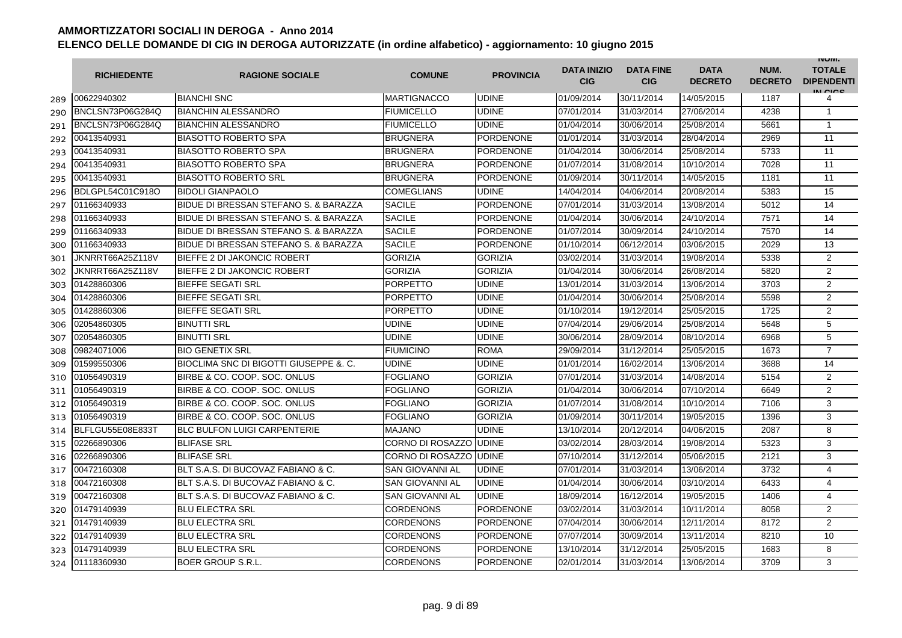|     | <b>RICHIEDENTE</b> | <b>RAGIONE SOCIALE</b>                | <b>COMUNE</b>           | <b>PROVINCIA</b> | <b>DATA INIZIO</b><br><b>CIG</b> | <b>DATA FINE</b><br><b>CIG</b> | <b>DATA</b><br><b>DECRETO</b> | NUM.<br><b>DECRETO</b> | <b>INUIVI.</b><br><b>TOTALE</b><br><b>DIPENDENTI</b><br>IN CIGO |
|-----|--------------------|---------------------------------------|-------------------------|------------------|----------------------------------|--------------------------------|-------------------------------|------------------------|-----------------------------------------------------------------|
| 289 | 00622940302        | <b>BIANCHI SNC</b>                    | <b>MARTIGNACCO</b>      | <b>UDINE</b>     | 01/09/2014                       | 30/11/2014                     | 14/05/2015                    | 1187                   | 4                                                               |
| 290 | BNCLSN73P06G284Q   | <b>BIANCHIN ALESSANDRO</b>            | <b>FIUMICELLO</b>       | <b>UDINE</b>     | 07/01/2014                       | 31/03/2014                     | 27/06/2014                    | 4238                   | $\overline{1}$                                                  |
| 291 | BNCLSN73P06G284Q   | <b>BIANCHIN ALESSANDRO</b>            | <b>FIUMICELLO</b>       | <b>UDINE</b>     | 01/04/2014                       | 30/06/2014                     | 25/08/2014                    | 5661                   | $\mathbf{1}$                                                    |
| 292 | 00413540931        | <b>BIASOTTO ROBERTO SPA</b>           | <b>BRUGNERA</b>         | PORDENONE        | 01/01/2014                       | 31/03/2014                     | 28/04/2014                    | 2969                   | 11                                                              |
| 293 | 00413540931        | <b>BIASOTTO ROBERTO SPA</b>           | <b>BRUGNERA</b>         | <b>PORDENONE</b> | 01/04/2014                       | 30/06/2014                     | 25/08/2014                    | 5733                   | 11                                                              |
| 294 | 00413540931        | <b>BIASOTTO ROBERTO SPA</b>           | <b>BRUGNERA</b>         | <b>PORDENONE</b> | 01/07/2014                       | 31/08/2014                     | 10/10/2014                    | 7028                   | 11                                                              |
| 295 | 00413540931        | <b>BIASOTTO ROBERTO SRL</b>           | <b>BRUGNERA</b>         | <b>PORDENONE</b> | 01/09/2014                       | 30/11/2014                     | 14/05/2015                    | 1181                   | 11                                                              |
| 296 | BDLGPL54C01C918O   | <b>BIDOLI GIANPAOLO</b>               | <b>COMEGLIANS</b>       | <b>UDINE</b>     | 14/04/2014                       | 04/06/2014                     | 20/08/2014                    | 5383                   | 15                                                              |
| 297 | 01166340933        | BIDUE DI BRESSAN STEFANO S. & BARAZZA | <b>SACILE</b>           | <b>PORDENONE</b> | 07/01/2014                       | 31/03/2014                     | 13/08/2014                    | 5012                   | 14                                                              |
| 298 | 01166340933        | BIDUE DI BRESSAN STEFANO S. & BARAZZA | <b>SACILE</b>           | PORDENONE        | 01/04/2014                       | 30/06/2014                     | 24/10/2014                    | 7571                   | 14                                                              |
| 299 | 01166340933        | BIDUE DI BRESSAN STEFANO S. & BARAZZA | <b>SACILE</b>           | <b>PORDENONE</b> | 01/07/2014                       | 30/09/2014                     | 24/10/2014                    | 7570                   | 14                                                              |
| 300 | 01166340933        | BIDUE DI BRESSAN STEFANO S. & BARAZZA | <b>SACILE</b>           | <b>PORDENONE</b> | 01/10/2014                       | 06/12/2014                     | 03/06/2015                    | 2029                   | 13                                                              |
| 301 | JKNRRT66A25Z118V   | <b>BIEFFE 2 DI JAKONCIC ROBERT</b>    | <b>GORIZIA</b>          | <b>GORIZIA</b>   | 03/02/2014                       | 31/03/2014                     | 19/08/2014                    | 5338                   | $\overline{2}$                                                  |
| 302 | JKNRRT66A25Z118V   | BIEFFE 2 DI JAKONCIC ROBERT           | <b>GORIZIA</b>          | <b>GORIZIA</b>   | 01/04/2014                       | 30/06/2014                     | 26/08/2014                    | 5820                   | 2                                                               |
| 303 | 01428860306        | <b>BIEFFE SEGATI SRL</b>              | <b>PORPETTO</b>         | <b>UDINE</b>     | 13/01/2014                       | 31/03/2014                     | 13/06/2014                    | 3703                   | $\mathbf{2}$                                                    |
| 304 | 01428860306        | <b>BIEFFE SEGATI SRL</b>              | <b>PORPETTO</b>         | <b>UDINE</b>     | 01/04/2014                       | 30/06/2014                     | 25/08/2014                    | 5598                   | $\overline{2}$                                                  |
| 305 | 01428860306        | <b>BIEFFE SEGATI SRL</b>              | <b>PORPETTO</b>         | <b>UDINE</b>     | 01/10/2014                       | 19/12/2014                     | 25/05/2015                    | 1725                   | $\overline{2}$                                                  |
| 306 | 02054860305        | <b>BINUTTI SRL</b>                    | <b>UDINE</b>            | <b>UDINE</b>     | 07/04/2014                       | 29/06/2014                     | 25/08/2014                    | 5648                   | 5                                                               |
| 307 | 02054860305        | <b>BINUTTI SRL</b>                    | <b>UDINE</b>            | <b>UDINE</b>     | 30/06/2014                       | 28/09/2014                     | 08/10/2014                    | 6968                   | 5                                                               |
| 308 | 09824071006        | <b>BIO GENETIX SRL</b>                | <b>FIUMICINO</b>        | <b>ROMA</b>      | 29/09/2014                       | 31/12/2014                     | 25/05/2015                    | 1673                   | $\overline{7}$                                                  |
| 309 | 01599550306        | BIOCLIMA SNC DI BIGOTTI GIUSEPPE &.C. | <b>UDINE</b>            | <b>UDINE</b>     | 01/01/2014                       | 16/02/2014                     | 13/06/2014                    | 3688                   | 14                                                              |
| 310 | 01056490319        | BIRBE & CO. COOP. SOC. ONLUS          | <b>FOGLIANO</b>         | <b>GORIZIA</b>   | 07/01/2014                       | 31/03/2014                     | 14/08/2014                    | 5154                   | 2                                                               |
| 311 | 01056490319        | BIRBE & CO. COOP. SOC. ONLUS          | <b>FOGLIANO</b>         | <b>GORIZIA</b>   | 01/04/2014                       | 30/06/2014                     | 07/10/2014                    | 6649                   | $\mathbf{2}$                                                    |
| 312 | 01056490319        | BIRBE & CO. COOP, SOC. ONLUS          | <b>FOGLIANO</b>         | <b>GORIZIA</b>   | 01/07/2014                       | 31/08/2014                     | 10/10/2014                    | 7106                   | 3                                                               |
| 313 | 01056490319        | BIRBE & CO. COOP, SOC. ONLUS          | <b>FOGLIANO</b>         | <b>GORIZIA</b>   | 01/09/2014                       | 30/11/2014                     | 19/05/2015                    | 1396                   | 3                                                               |
| 314 | BLFLGU55E08E833T   | <b>BLC BULFON LUIGI CARPENTERIE</b>   | <b>MAJANO</b>           | <b>UDINE</b>     | 13/10/2014                       | 20/12/2014                     | 04/06/2015                    | 2087                   | 8                                                               |
| 315 | 02266890306        | <b>BLIFASE SRL</b>                    | CORNO DI ROSAZZO IUDINE |                  | 03/02/2014                       | 28/03/2014                     | 19/08/2014                    | 5323                   | 3                                                               |
| 316 | 02266890306        | <b>BLIFASE SRL</b>                    | CORNO DI ROSAZZO IUDINE |                  | 07/10/2014                       | 31/12/2014                     | 05/06/2015                    | 2121                   | 3                                                               |
| 317 | 00472160308        | BLT S.A.S. DI BUCOVAZ FABIANO & C.    | <b>SAN GIOVANNI AL</b>  | <b>UDINE</b>     | 07/01/2014                       | 31/03/2014                     | 13/06/2014                    | 3732                   | 4                                                               |
| 318 | 00472160308        | BLT S.A.S. DI BUCOVAZ FABIANO & C.    | SAN GIOVANNI AL         | <b>UDINE</b>     | 01/04/2014                       | 30/06/2014                     | 03/10/2014                    | 6433                   | 4                                                               |
| 319 | 00472160308        | BLT S.A.S. DI BUCOVAZ FABIANO & C.    | SAN GIOVANNI AL         | <b>UDINE</b>     | 18/09/2014                       | 16/12/2014                     | 19/05/2015                    | 1406                   | 4                                                               |
| 320 | 01479140939        | <b>BLU ELECTRA SRL</b>                | <b>CORDENONS</b>        | <b>PORDENONE</b> | 03/02/2014                       | 31/03/2014                     | 10/11/2014                    | 8058                   | 2                                                               |
| 321 | 01479140939        | <b>BLU ELECTRA SRL</b>                | <b>CORDENONS</b>        | <b>PORDENONE</b> | 07/04/2014                       | 30/06/2014                     | 12/11/2014                    | 8172                   | 2                                                               |
| 322 | 01479140939        | <b>BLU ELECTRA SRL</b>                | <b>CORDENONS</b>        | <b>PORDENONE</b> | 07/07/2014                       | 30/09/2014                     | 13/11/2014                    | 8210                   | 10                                                              |
| 323 | 01479140939        | <b>BLU ELECTRA SRL</b>                | <b>CORDENONS</b>        | <b>PORDENONE</b> | 13/10/2014                       | 31/12/2014                     | 25/05/2015                    | 1683                   | 8                                                               |
| 324 | 01118360930        | <b>BOER GROUP S.R.L.</b>              | <b>CORDENONS</b>        | <b>PORDENONE</b> | 02/01/2014                       | 31/03/2014                     | 13/06/2014                    | 3709                   | 3                                                               |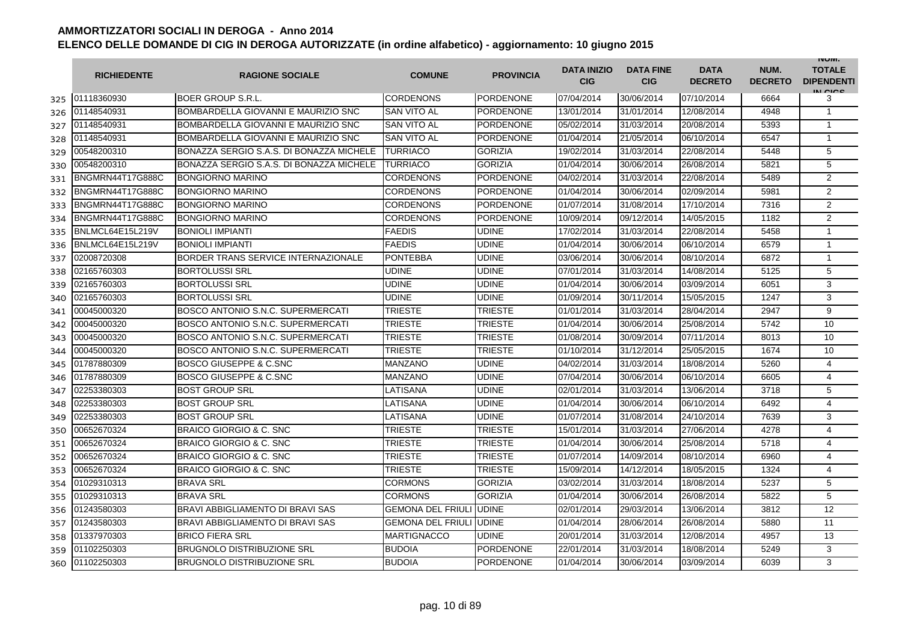|     | <b>RICHIEDENTE</b> | <b>RAGIONE SOCIALE</b>                   | <b>COMUNE</b>                   | <b>PROVINCIA</b> | <b>DATA INIZIO</b><br><b>CIG</b> | <b>DATA FINE</b><br><b>CIG</b> | <b>DATA</b><br><b>DECRETO</b> | NUM.<br><b>DECRETO</b> | <b>INUIVI.</b><br><b>TOTALE</b><br><b>DIPENDENTI</b><br>IN CIGO |
|-----|--------------------|------------------------------------------|---------------------------------|------------------|----------------------------------|--------------------------------|-------------------------------|------------------------|-----------------------------------------------------------------|
| 325 | 01118360930        | <b>BOER GROUP S.R.L.</b>                 | <b>CORDENONS</b>                | PORDENONE        | 07/04/2014                       | 30/06/2014                     | 07/10/2014                    | 6664                   | 3                                                               |
| 326 | 01148540931        | BOMBARDELLA GIOVANNI E MAURIZIO SNC      | <b>SAN VITO AL</b>              | <b>PORDENONE</b> | 13/01/2014                       | 31/01/2014                     | 12/08/2014                    | 4948                   | $\overline{1}$                                                  |
| 327 | 01148540931        | BOMBARDELLA GIOVANNI E MAURIZIO SNC      | <b>SAN VITO AL</b>              | <b>PORDENONE</b> | 05/02/2014                       | 31/03/2014                     | 20/08/2014                    | 5393                   | $\overline{1}$                                                  |
| 328 | 01148540931        | BOMBARDELLA GIOVANNI E MAURIZIO SNC      | SAN VITO AL                     | PORDENONE        | 01/04/2014                       | 21/05/2014                     | 06/10/2014                    | 6547                   | $\mathbf{1}$                                                    |
| 329 | 00548200310        | BONAZZA SERGIO S.A.S. DI BONAZZA MICHELE | <b>TURRIACO</b>                 | <b>GORIZIA</b>   | 19/02/2014                       | 31/03/2014                     | 22/08/2014                    | 5448                   | 5                                                               |
| 330 | 00548200310        | BONAZZA SERGIO S.A.S. DI BONAZZA MICHELE | <b>TURRIACO</b>                 | <b>GORIZIA</b>   | 01/04/2014                       | 30/06/2014                     | 26/08/2014                    | 5821                   | 5                                                               |
| 331 | BNGMRN44T17G888C   | <b>BONGIORNO MARINO</b>                  | <b>CORDENONS</b>                | <b>PORDENONE</b> | 04/02/2014                       | 31/03/2014                     | 22/08/2014                    | 5489                   | 2                                                               |
| 332 | BNGMRN44T17G888C   | <b>BONGIORNO MARINO</b>                  | <b>CORDENONS</b>                | <b>PORDENONE</b> | 01/04/2014                       | 30/06/2014                     | 02/09/2014                    | 5981                   | 2                                                               |
| 333 | BNGMRN44T17G888C   | <b>BONGIORNO MARINO</b>                  | <b>CORDENONS</b>                | <b>PORDENONE</b> | 01/07/2014                       | 31/08/2014                     | 17/10/2014                    | 7316                   | 2                                                               |
| 334 | BNGMRN44T17G888C   | <b>BONGIORNO MARINO</b>                  | <b>CORDENONS</b>                | PORDENONE        | 10/09/2014                       | 09/12/2014                     | 14/05/2015                    | 1182                   | $\overline{2}$                                                  |
| 335 | BNLMCL64E15L219V   | <b>BONIOLI IMPIANTI</b>                  | <b>FAEDIS</b>                   | <b>UDINE</b>     | 17/02/2014                       | 31/03/2014                     | 22/08/2014                    | 5458                   | $\overline{1}$                                                  |
| 336 | BNLMCL64E15L219V   | <b>BONIOLI IMPIANTI</b>                  | <b>FAEDIS</b>                   | <b>UDINE</b>     | 01/04/2014                       | 30/06/2014                     | 06/10/2014                    | 6579                   | $\mathbf{1}$                                                    |
| 337 | 02008720308        | BORDER TRANS SERVICE INTERNAZIONALE      | <b>PONTEBBA</b>                 | <b>UDINE</b>     | 03/06/2014                       | 30/06/2014                     | 08/10/2014                    | 6872                   | $\mathbf{1}$                                                    |
| 338 | 02165760303        | <b>BORTOLUSSI SRL</b>                    | <b>UDINE</b>                    | <b>UDINE</b>     | 07/01/2014                       | 31/03/2014                     | 14/08/2014                    | 5125                   | 5                                                               |
| 339 | 02165760303        | <b>BORTOLUSSI SRL</b>                    | <b>UDINE</b>                    | <b>UDINE</b>     | 01/04/2014                       | 30/06/2014                     | 03/09/2014                    | 6051                   | 3                                                               |
| 340 | 02165760303        | <b>BORTOLUSSI SRL</b>                    | <b>UDINE</b>                    | <b>UDINE</b>     | 01/09/2014                       | 30/11/2014                     | 15/05/2015                    | 1247                   | 3                                                               |
| 341 | 00045000320        | BOSCO ANTONIO S.N.C. SUPERMERCATI        | TRIESTE                         | <b>TRIESTE</b>   | 01/01/2014                       | 31/03/2014                     | 28/04/2014                    | 2947                   | 9                                                               |
| 342 | 00045000320        | BOSCO ANTONIO S.N.C. SUPERMERCATI        | <b>TRIESTE</b>                  | TRIESTE          | 01/04/2014                       | 30/06/2014                     | 25/08/2014                    | 5742                   | 10                                                              |
| 343 | 00045000320        | BOSCO ANTONIO S.N.C. SUPERMERCATI        | TRIESTE                         | TRIESTE          | 01/08/2014                       | 30/09/2014                     | 07/11/2014                    | 8013                   | 10                                                              |
| 344 | 00045000320        | BOSCO ANTONIO S.N.C. SUPERMERCATI        | <b>TRIESTE</b>                  | <b>TRIESTE</b>   | 01/10/2014                       | 31/12/2014                     | 25/05/2015                    | 1674                   | 10                                                              |
| 345 | 01787880309        | <b>BOSCO GIUSEPPE &amp; C.SNC</b>        | <b>MANZANO</b>                  | <b>UDINE</b>     | 04/02/2014                       | 31/03/2014                     | 18/08/2014                    | 5260                   | 4                                                               |
| 346 | 01787880309        | <b>BOSCO GIUSEPPE &amp; C.SNC</b>        | <b>MANZANO</b>                  | <b>UDINE</b>     | 07/04/2014                       | 30/06/2014                     | 06/10/2014                    | 6605                   | $\overline{4}$                                                  |
| 347 | 02253380303        | <b>BOST GROUP SRL</b>                    | LATISANA                        | <b>UDINE</b>     | 02/01/2014                       | 31/03/2014                     | 13/06/2014                    | 3718                   | 5                                                               |
| 348 | 02253380303        | <b>BOST GROUP SRL</b>                    | LATISANA                        | <b>UDINE</b>     | 01/04/2014                       | 30/06/2014                     | 06/10/2014                    | 6492                   | 4                                                               |
| 349 | 02253380303        | <b>BOST GROUP SRL</b>                    | LATISANA                        | <b>UDINE</b>     | 01/07/2014                       | 31/08/2014                     | 24/10/2014                    | 7639                   | 3                                                               |
| 350 | 00652670324        | <b>BRAICO GIORGIO &amp; C. SNC</b>       | TRIESTE                         | <b>TRIESTE</b>   | 15/01/2014                       | 31/03/2014                     | 27/06/2014                    | 4278                   | 4                                                               |
| 351 | 00652670324        | BRAICO GIORGIO & C. SNC                  | TRIESTE                         | TRIESTE          | 01/04/2014                       | 30/06/2014                     | 25/08/2014                    | 5718                   | 4                                                               |
| 352 | 00652670324        | <b>BRAICO GIORGIO &amp; C. SNC</b>       | TRIESTE                         | <b>TRIESTE</b>   | 01/07/2014                       | 14/09/2014                     | 08/10/2014                    | 6960                   | 4                                                               |
| 353 | 00652670324        | <b>BRAICO GIORGIO &amp; C. SNC</b>       | <b>TRIESTE</b>                  | <b>TRIESTE</b>   | 15/09/2014                       | 14/12/2014                     | 18/05/2015                    | 1324                   | 4                                                               |
| 354 | 01029310313        | <b>BRAVA SRL</b>                         | <b>CORMONS</b>                  | <b>GORIZIA</b>   | 03/02/2014                       | 31/03/2014                     | 18/08/2014                    | 5237                   | 5                                                               |
| 355 | 01029310313        | <b>BRAVA SRL</b>                         | <b>CORMONS</b>                  | <b>GORIZIA</b>   | 01/04/2014                       | 30/06/2014                     | 26/08/2014                    | 5822                   | 5                                                               |
| 356 | 01243580303        | BRAVI ABBIGLIAMENTO DI BRAVI SAS         | <b>GEMONA DEL FRIULI JUDINE</b> |                  | 02/01/2014                       | 29/03/2014                     | 13/06/2014                    | 3812                   | 12                                                              |
| 357 | 01243580303        | BRAVI ABBIGLIAMENTO DI BRAVI SAS         | <b>GEMONA DEL FRIULI</b>        | <b>UDINE</b>     | 01/04/2014                       | 28/06/2014                     | 26/08/2014                    | 5880                   | 11                                                              |
| 358 | 01337970303        | <b>BRICO FIERA SRL</b>                   | <b>MARTIGNACCO</b>              | <b>UDINE</b>     | 20/01/2014                       | 31/03/2014                     | 12/08/2014                    | 4957                   | 13                                                              |
| 359 | 01102250303        | <b>BRUGNOLO DISTRIBUZIONE SRL</b>        | <b>BUDOIA</b>                   | <b>PORDENONE</b> | 22/01/2014                       | 31/03/2014                     | 18/08/2014                    | 5249                   | 3                                                               |
| 360 | 01102250303        | <b>BRUGNOLO DISTRIBUZIONE SRL</b>        | <b>BUDOIA</b>                   | <b>PORDENONE</b> | 01/04/2014                       | 30/06/2014                     | 03/09/2014                    | 6039                   | 3                                                               |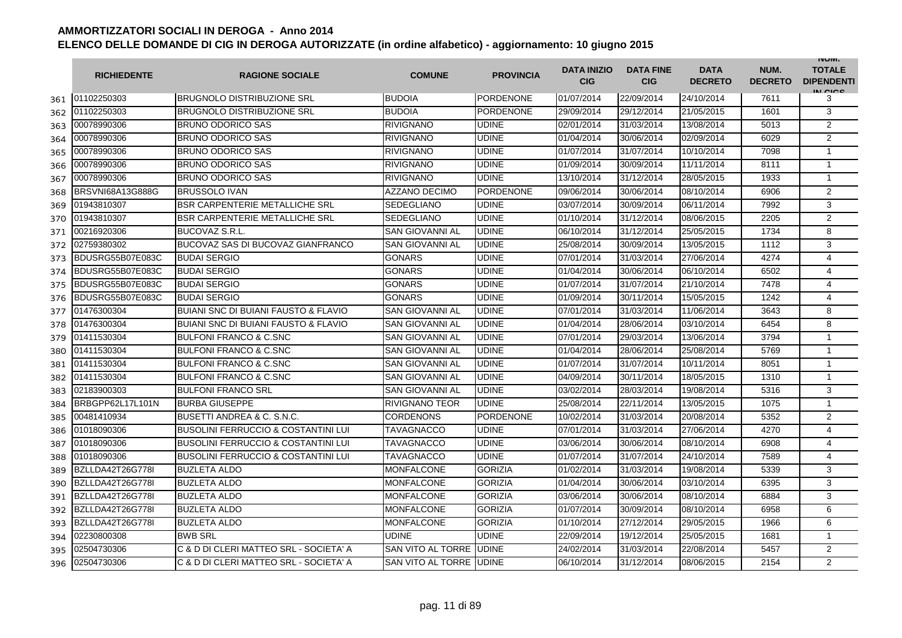|     | <b>RICHIEDENTE</b>      | <b>RAGIONE SOCIALE</b>                          | <b>COMUNE</b>          | <b>PROVINCIA</b> | <b>DATA INIZIO</b><br><b>CIG</b> | <b>DATA FINE</b><br><b>CIG</b> | <b>DATA</b><br><b>DECRETO</b> | NUM.<br><b>DECRETO</b> | <b>INUIVI.</b><br><b>TOTALE</b><br><b>DIPENDENTI</b><br>IN CICS |
|-----|-------------------------|-------------------------------------------------|------------------------|------------------|----------------------------------|--------------------------------|-------------------------------|------------------------|-----------------------------------------------------------------|
| 361 | 01102250303             | <b>BRUGNOLO DISTRIBUZIONE SRL</b>               | <b>BUDOIA</b>          | <b>PORDENONE</b> | 01/07/2014                       | 22/09/2014                     | 24/10/2014                    | 7611                   | 3                                                               |
| 362 | 01102250303             | <b>BRUGNOLO DISTRIBUZIONE SRL</b>               | <b>BUDOIA</b>          | PORDENONE        | 29/09/2014                       | 29/12/2014                     | 21/05/2015                    | 1601                   | 3                                                               |
| 363 | 00078990306             | <b>BRUNO ODORICO SAS</b>                        | <b>RIVIGNANO</b>       | <b>UDINE</b>     | 02/01/2014                       | 31/03/2014                     | 13/08/2014                    | 5013                   | $\overline{2}$                                                  |
| 364 | 00078990306             | <b>BRUNO ODORICO SAS</b>                        | <b>RIVIGNANO</b>       | <b>UDINE</b>     | 01/04/2014                       | 30/06/2014                     | 02/09/2014                    | 6029                   | 2                                                               |
| 365 | 00078990306             | <b>BRUNO ODORICO SAS</b>                        | <b>RIVIGNANO</b>       | <b>UDINE</b>     | 01/07/2014                       | 31/07/2014                     | 10/10/2014                    | 7098                   | $\mathbf{1}$                                                    |
| 366 | 00078990306             | <b>BRUNO ODORICO SAS</b>                        | <b>RIVIGNANO</b>       | <b>UDINE</b>     | 01/09/2014                       | 30/09/2014                     | 11/11/2014                    | 8111                   | $\mathbf{1}$                                                    |
| 367 | 00078990306             | <b>BRUNO ODORICO SAS</b>                        | <b>RIVIGNANO</b>       | <b>UDINE</b>     | 13/10/2014                       | 31/12/2014                     | 28/05/2015                    | 1933                   | $\mathbf{1}$                                                    |
| 368 | <b>BRSVNI68A13G888G</b> | <b>BRUSSOLO IVAN</b>                            | <b>AZZANO DECIMO</b>   | <b>PORDENONE</b> | 09/06/2014                       | 30/06/2014                     | 08/10/2014                    | 6906                   | $\overline{2}$                                                  |
| 369 | 01943810307             | <b>BSR CARPENTERIE METALLICHE SRL</b>           | <b>SEDEGLIANO</b>      | <b>UDINE</b>     | 03/07/2014                       | 30/09/2014                     | 06/11/2014                    | 7992                   | 3                                                               |
| 370 | 01943810307             | <b>BSR CARPENTERIE METALLICHE SRL</b>           | <b>SEDEGLIANO</b>      | <b>UDINE</b>     | 01/10/2014                       | 31/12/2014                     | 08/06/2015                    | 2205                   | $\overline{2}$                                                  |
| 371 | 00216920306             | <b>BUCOVAZ S.R.L</b>                            | SAN GIOVANNI AL        | <b>UDINE</b>     | 06/10/2014                       | 31/12/2014                     | 25/05/2015                    | 1734                   | 8                                                               |
| 372 | 02759380302             | BUCOVAZ SAS DI BUCOVAZ GIANFRANCO               | SAN GIOVANNI AL        | <b>UDINE</b>     | 25/08/2014                       | 30/09/2014                     | 13/05/2015                    | 1112                   | 3                                                               |
| 373 | BDUSRG55B07E083C        | <b>BUDAI SERGIO</b>                             | <b>GONARS</b>          | <b>UDINE</b>     | 07/01/2014                       | 31/03/2014                     | 27/06/2014                    | 4274                   | $\overline{4}$                                                  |
| 374 | BDUSRG55B07E083C        | <b>BUDAI SERGIO</b>                             | <b>GONARS</b>          | <b>UDINE</b>     | 01/04/2014                       | 30/06/2014                     | 06/10/2014                    | 6502                   | $\overline{4}$                                                  |
| 375 | BDUSRG55B07E083C        | <b>BUDAI SERGIO</b>                             | <b>GONARS</b>          | <b>UDINE</b>     | 01/07/2014                       | 31/07/2014                     | 21/10/2014                    | 7478                   | 4                                                               |
| 376 | BDUSRG55B07E083C        | <b>BUDAI SERGIO</b>                             | <b>GONARS</b>          | <b>UDINE</b>     | 01/09/2014                       | 30/11/2014                     | 15/05/2015                    | 1242                   | $\overline{4}$                                                  |
| 377 | 01476300304             | <b>BUIANI SNC DI BUIANI FAUSTO &amp; FLAVIO</b> | <b>SAN GIOVANNI AL</b> | <b>UDINE</b>     | 07/01/2014                       | 31/03/2014                     | 11/06/2014                    | 3643                   | 8                                                               |
| 378 | 01476300304             | <b>BUIANI SNC DI BUIANI FAUSTO &amp; FLAVIO</b> | <b>SAN GIOVANNI AL</b> | <b>UDINE</b>     | 01/04/2014                       | 28/06/2014                     | 03/10/2014                    | 6454                   | 8                                                               |
| 379 | 01411530304             | BULFONI FRANCO & C.SNC                          | SAN GIOVANNI AL        | <b>UDINE</b>     | 07/01/2014                       | 29/03/2014                     | 13/06/2014                    | 3794                   | 1                                                               |
| 380 | 01411530304             | <b>BULFONI FRANCO &amp; C.SNC</b>               | <b>SAN GIOVANNI AL</b> | <b>UDINE</b>     | 01/04/2014                       | 28/06/2014                     | 25/08/2014                    | 5769                   | 1                                                               |
| 381 | 01411530304             | <b>BULFONI FRANCO &amp; C.SNC</b>               | SAN GIOVANNI AL        | <b>UDINE</b>     | 01/07/2014                       | 31/07/2014                     | 10/11/2014                    | 8051                   | $\mathbf{1}$                                                    |
| 382 | 01411530304             | <b>BULFONI FRANCO &amp; C.SNC</b>               | SAN GIOVANNI AL        | <b>UDINE</b>     | 04/09/2014                       | 30/11/2014                     | 18/05/2015                    | 1310                   | $\mathbf{1}$                                                    |
| 383 | 02183900303             | <b>BULFONI FRANCO SRL</b>                       | SAN GIOVANNI AL        | <b>UDINE</b>     | 03/02/2014                       | 28/03/2014                     | 19/08/2014                    | 5316                   | 3                                                               |
| 384 | BRBGPP62L17L101N        | <b>BURBA GIUSEPPE</b>                           | RIVIGNANO TEOR         | <b>UDINE</b>     | 25/08/2014                       | 22/11/2014                     | 13/05/2015                    | 1075                   | $\mathbf{1}$                                                    |
| 385 | 00481410934             | BUSETTI ANDREA & C. S.N.C.                      | <b>CORDENONS</b>       | <b>PORDENONE</b> | 10/02/2014                       | 31/03/2014                     | 20/08/2014                    | 5352                   | 2                                                               |
| 386 | 01018090306             | <b>BUSOLINI FERRUCCIO &amp; COSTANTINI LUI</b>  | <b>TAVAGNACCO</b>      | <b>UDINE</b>     | 07/01/2014                       | 31/03/2014                     | 27/06/2014                    | 4270                   | $\overline{4}$                                                  |
| 387 | 01018090306             | <b>BUSOLINI FERRUCCIO &amp; COSTANTINI LUI</b>  | <b>TAVAGNACCO</b>      | <b>UDINE</b>     | 03/06/2014                       | 30/06/2014                     | 08/10/2014                    | 6908                   | 4                                                               |
| 388 | 01018090306             | <b>BUSOLINI FERRUCCIO &amp; COSTANTINI LUI</b>  | <b>TAVAGNACCO</b>      | <b>UDINE</b>     | 01/07/2014                       | 31/07/2014                     | 24/10/2014                    | 7589                   | 4                                                               |
| 389 | BZLLDA42T26G778I        | <b>BUZLETA ALDO</b>                             | <b>MONFALCONE</b>      | <b>GORIZIA</b>   | 01/02/2014                       | 31/03/2014                     | 19/08/2014                    | 5339                   | 3                                                               |
| 390 | BZLLDA42T26G778I        | <b>BUZLETA ALDO</b>                             | <b>MONFALCONE</b>      | <b>GORIZIA</b>   | 01/04/2014                       | 30/06/2014                     | 03/10/2014                    | 6395                   | 3                                                               |
| 391 | BZLLDA42T26G778I        | <b>BUZLETA ALDO</b>                             | <b>MONFALCONE</b>      | <b>GORIZIA</b>   | 03/06/2014                       | 30/06/2014                     | 08/10/2014                    | 6884                   | 3                                                               |
| 392 | BZLLDA42T26G778I        | <b>BUZLETA ALDO</b>                             | <b>MONFALCONE</b>      | <b>GORIZIA</b>   | 01/07/2014                       | 30/09/2014                     | 08/10/2014                    | 6958                   | 6                                                               |
| 393 | BZLLDA42T26G778I        | <b>BUZLETA ALDO</b>                             | <b>MONFALCONE</b>      | <b>GORIZIA</b>   | 01/10/2014                       | 27/12/2014                     | 29/05/2015                    | 1966                   | 6                                                               |
| 394 | 02230800308             | <b>BWB SRL</b>                                  | UDINE                  | <b>UDINE</b>     | 22/09/2014                       | 19/12/2014                     | 25/05/2015                    | 1681                   | $\mathbf{1}$                                                    |
| 395 | 02504730306             | C & D DI CLERI MATTEO SRL - SOCIETA' A          | SAN VITO AL TORRE      | <b>UDINE</b>     | 24/02/2014                       | 31/03/2014                     | 22/08/2014                    | 5457                   | $\overline{2}$                                                  |
| 396 | 02504730306             | C & D DI CLERI MATTEO SRL - SOCIETA' A          | SAN VITO AL TORRE      | <b>UDINE</b>     | 06/10/2014                       | 31/12/2014                     | 08/06/2015                    | 2154                   | 2                                                               |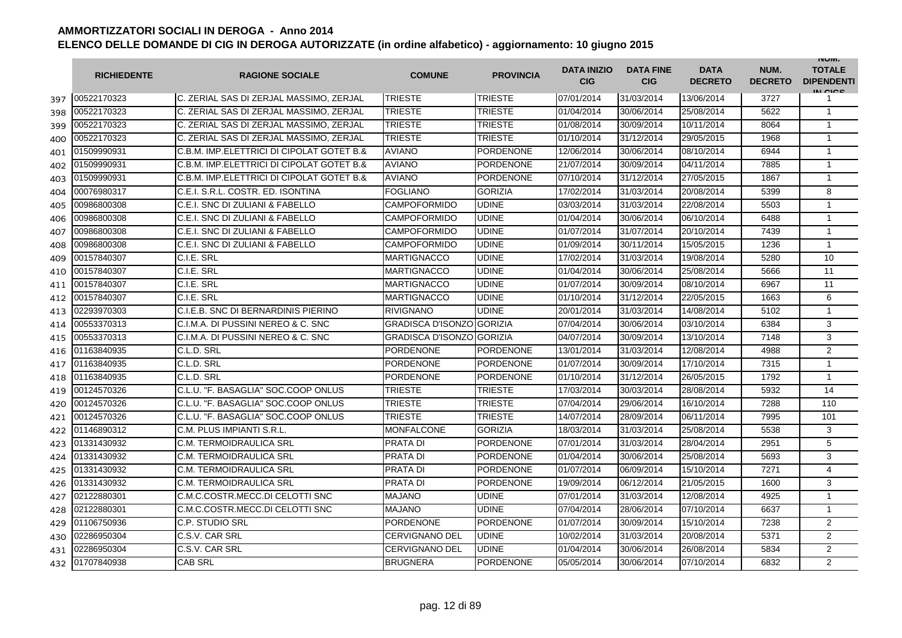|     | <b>RICHIEDENTE</b> | <b>RAGIONE SOCIALE</b>                    | <b>COMUNE</b>             | <b>PROVINCIA</b> | <b>DATA INIZIO</b><br><b>CIG</b> | <b>DATA FINE</b><br><b>CIG</b> | <b>DATA</b><br><b>DECRETO</b> | NUM.<br><b>DECRETO</b> | <b>INUIVI.</b><br><b>TOTALE</b><br><b>DIPENDENTI</b><br>IN CIGO |
|-----|--------------------|-------------------------------------------|---------------------------|------------------|----------------------------------|--------------------------------|-------------------------------|------------------------|-----------------------------------------------------------------|
| 397 | 00522170323        | C. ZERIAL SAS DI ZERJAL MASSIMO, ZERJAL   | <b>TRIESTE</b>            | <b>TRIESTE</b>   | 07/01/2014                       | 31/03/2014                     | 13/06/2014                    | 3727                   | 1                                                               |
| 398 | 00522170323        | C. ZERIAL SAS DI ZERJAL MASSIMO. ZERJAL   | TRIESTE                   | TRIESTE          | 01/04/2014                       | 30/06/2014                     | 25/08/2014                    | 5622                   | $\mathbf{1}$                                                    |
| 399 | 00522170323        | C. ZERIAL SAS DI ZERJAL MASSIMO. ZERJAL   | TRIESTE                   | <b>TRIESTE</b>   | 01/08/2014                       | 30/09/2014                     | 10/11/2014                    | 8064                   | $\mathbf{1}$                                                    |
| 400 | 00522170323        | C. ZERIAL SAS DI ZERJAL MASSIMO, ZERJAL   | TRIESTE                   | <b>TRIESTE</b>   | 01/10/2014                       | 31/12/2014                     | 29/05/2015                    | 1968                   | 1                                                               |
| 401 | 01509990931        | C.B.M. IMP.ELETTRICI DI CIPOLAT GOTET B.& | <b>AVIANO</b>             | PORDENONE        | 12/06/2014                       | 30/06/2014                     | 08/10/2014                    | 6944                   | $\mathbf{1}$                                                    |
| 402 | 01509990931        | C.B.M. IMP.ELETTRICI DI CIPOLAT GOTET B.& | <b>AVIANO</b>             | <b>PORDENONE</b> | 21/07/2014                       | 30/09/2014                     | 04/11/2014                    | 7885                   | $\mathbf{1}$                                                    |
| 403 | 01509990931        | C.B.M. IMP.ELETTRICI DI CIPOLAT GOTET B.& | <b>AVIANO</b>             | <b>PORDENONE</b> | 07/10/2014                       | 31/12/2014                     | 27/05/2015                    | 1867                   | $\mathbf{1}$                                                    |
| 404 | 00076980317        | C.E.I. S.R.L. COSTR. ED. ISONTINA         | <b>FOGLIANO</b>           | <b>GORIZIA</b>   | 17/02/2014                       | 31/03/2014                     | 20/08/2014                    | 5399                   | 8                                                               |
| 405 | 00986800308        | C.E.I. SNC DI ZULIANI & FABELLO           | <b>CAMPOFORMIDO</b>       | <b>UDINE</b>     | 03/03/2014                       | 31/03/2014                     | 22/08/2014                    | 5503                   | $\mathbf{1}$                                                    |
| 406 | 00986800308        | C.E.I. SNC DI ZULIANI & FABELLO           | <b>CAMPOFORMIDO</b>       | <b>UDINE</b>     | 01/04/2014                       | 30/06/2014                     | 06/10/2014                    | 6488                   | $\mathbf{1}$                                                    |
| 407 | 00986800308        | C.E.I. SNC DI ZULIANI & FABELLO           | <b>CAMPOFORMIDO</b>       | <b>UDINE</b>     | 01/07/2014                       | 31/07/2014                     | 20/10/2014                    | 7439                   | 1                                                               |
| 408 | 00986800308        | C.E.I. SNC DI ZULIANI & FABELLO           | <b>CAMPOFORMIDO</b>       | <b>UDINE</b>     | 01/09/2014                       | 30/11/2014                     | 15/05/2015                    | 1236                   | $\mathbf{1}$                                                    |
| 409 | 00157840307        | C.I.E. SRL                                | <b>MARTIGNACCO</b>        | <b>UDINE</b>     | 17/02/2014                       | 31/03/2014                     | 19/08/2014                    | 5280                   | 10                                                              |
| 410 | 00157840307        | C.I.E. SRL                                | <b>MARTIGNACCO</b>        | <b>UDINE</b>     | 01/04/2014                       | 30/06/2014                     | 25/08/2014                    | 5666                   | 11                                                              |
| 411 | 00157840307        | C.I.E. SRL                                | <b>MARTIGNACCO</b>        | <b>UDINE</b>     | 01/07/2014                       | 30/09/2014                     | 08/10/2014                    | 6967                   | 11                                                              |
| 412 | 00157840307        | C.I.E. SRL                                | <b>MARTIGNACCO</b>        | <b>UDINE</b>     | 01/10/2014                       | 31/12/2014                     | 22/05/2015                    | 1663                   | 6                                                               |
| 413 | 02293970303        | C.I.E.B. SNC DI BERNARDINIS PIERINO       | <b>RIVIGNANO</b>          | <b>UDINE</b>     | 20/01/2014                       | 31/03/2014                     | 14/08/2014                    | 5102                   | $\mathbf{1}$                                                    |
| 414 | 00553370313        | C.I.M.A. DI PUSSINI NEREO & C. SNC        | GRADISCA D'ISONZO GORIZIA |                  | 07/04/2014                       | 30/06/2014                     | 03/10/2014                    | 6384                   | 3                                                               |
| 415 | 00553370313        | C.I.M.A. DI PUSSINI NEREO & C. SNC        | GRADISCA D'ISONZO GORIZIA |                  | 04/07/2014                       | 30/09/2014                     | 13/10/2014                    | 7148                   | 3                                                               |
| 416 | 01163840935        | C.L.D. SRL                                | <b>PORDENONE</b>          | <b>PORDENONE</b> | 13/01/2014                       | 31/03/2014                     | 12/08/2014                    | 4988                   | $\overline{2}$                                                  |
| 417 | 01163840935        | C.L.D. SRL                                | <b>PORDENONE</b>          | <b>PORDENONE</b> | 01/07/2014                       | 30/09/2014                     | 17/10/2014                    | 7315                   | $\mathbf{1}$                                                    |
| 418 | 01163840935        | C.L.D. SRL                                | <b>PORDENONE</b>          | <b>PORDENONE</b> | 01/10/2014                       | 31/12/2014                     | 26/05/2015                    | 1792                   | $\mathbf{1}$                                                    |
| 419 | 00124570326        | C.L.U. "F. BASAGLIA" SOC.COOP ONLUS       | <b>TRIESTE</b>            | <b>TRIESTE</b>   | 17/03/2014                       | 30/03/2014                     | 28/08/2014                    | 5932                   | 14                                                              |
| 420 | 00124570326        | C.L.U. "F. BASAGLIA" SOC.COOP ONLUS       | TRIESTE                   | <b>TRIESTE</b>   | 07/04/2014                       | 29/06/2014                     | 16/10/2014                    | 7288                   | 110                                                             |
| 421 | 00124570326        | C.L.U. "F. BASAGLIA" SOC.COOP ONLUS       | <b>TRIESTE</b>            | <b>TRIESTE</b>   | 14/07/2014                       | 28/09/2014                     | 06/11/2014                    | 7995                   | 101                                                             |
| 422 | 01146890312        | C.M. PLUS IMPIANTI S.R.L.                 | <b>MONFALCONE</b>         | <b>GORIZIA</b>   | 18/03/2014                       | 31/03/2014                     | 25/08/2014                    | 5538                   | 3                                                               |
| 423 | 01331430932        | C.M. TERMOIDRAULICA SRL                   | <b>PRATA DI</b>           | <b>PORDENONE</b> | 07/01/2014                       | 31/03/2014                     | 28/04/2014                    | 2951                   | 5                                                               |
| 424 | 01331430932        | C.M. TERMOIDRAULICA SRL                   | <b>PRATA DI</b>           | <b>PORDENONE</b> | 01/04/2014                       | 30/06/2014                     | 25/08/2014                    | 5693                   | 3                                                               |
| 425 | 01331430932        | C.M. TERMOIDRAULICA SRL                   | <b>PRATA DI</b>           | <b>PORDENONE</b> | 01/07/2014                       | 06/09/2014                     | 15/10/2014                    | 7271                   | $\overline{4}$                                                  |
| 426 | 01331430932        | C.M. TERMOIDRAULICA SRL                   | PRATA DI                  | <b>PORDENONE</b> | 19/09/2014                       | 06/12/2014                     | 21/05/2015                    | 1600                   | 3                                                               |
| 427 | 02122880301        | C.M.C.COSTR.MECC.DI CELOTTI SNC           | <b>MAJANO</b>             | <b>UDINE</b>     | 07/01/2014                       | 31/03/2014                     | 12/08/2014                    | 4925                   | 1                                                               |
| 428 | 02122880301        | C.M.C.COSTR.MECC.DI CELOTTI SNC           | <b>MAJANO</b>             | <b>UDINE</b>     | 07/04/2014                       | 28/06/2014                     | 07/10/2014                    | 6637                   | $\mathbf{1}$                                                    |
| 429 | 01106750936        | C.P. STUDIO SRL                           | <b>PORDENONE</b>          | <b>PORDENONE</b> | 01/07/2014                       | 30/09/2014                     | 15/10/2014                    | 7238                   | $\overline{2}$                                                  |
| 430 | 02286950304        | C.S.V. CAR SRL                            | <b>CERVIGNANO DEL</b>     | <b>UDINE</b>     | 10/02/2014                       | 31/03/2014                     | 20/08/2014                    | 5371                   | $\overline{2}$                                                  |
| 431 | 02286950304        | C.S.V. CAR SRL                            | <b>CERVIGNANO DEL</b>     | <b>UDINE</b>     | 01/04/2014                       | 30/06/2014                     | 26/08/2014                    | 5834                   | $\overline{2}$                                                  |
| 432 | 01707840938        | <b>CAB SRL</b>                            | <b>BRUGNERA</b>           | <b>PORDENONE</b> | 05/05/2014                       | 30/06/2014                     | 07/10/2014                    | 6832                   | $\overline{2}$                                                  |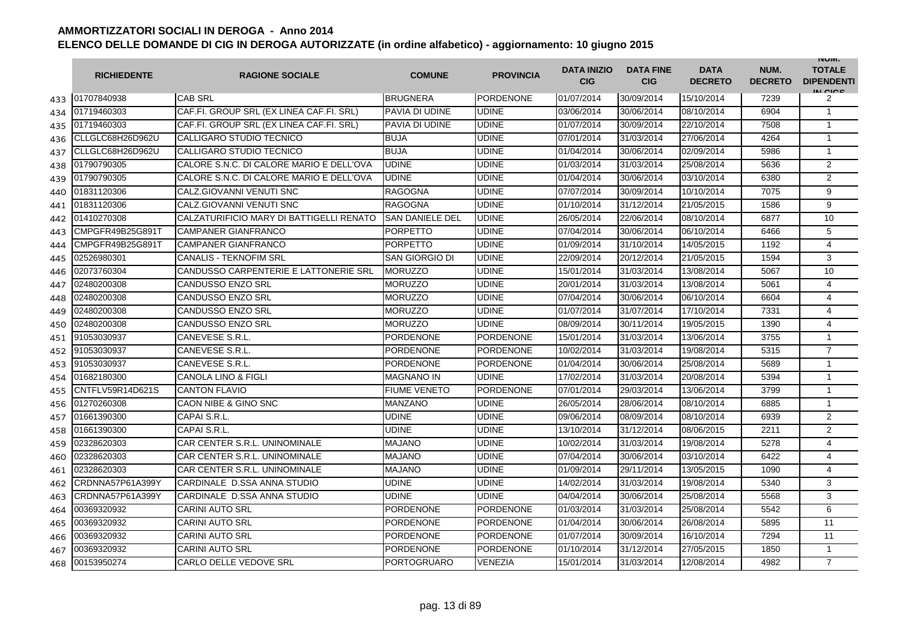|     | <b>RICHIEDENTE</b> | <b>RAGIONE SOCIALE</b>                   | <b>COMUNE</b>          | <b>PROVINCIA</b> | <b>DATA INIZIO</b><br><b>CIG</b> | <b>DATA FINE</b><br><b>CIG</b> | <b>DATA</b><br><b>DECRETO</b> | NUM.<br><b>DECRETO</b> | <b>INUIVI.</b><br><b>TOTALE</b><br><b>DIPENDENTI</b><br>IN CICO |
|-----|--------------------|------------------------------------------|------------------------|------------------|----------------------------------|--------------------------------|-------------------------------|------------------------|-----------------------------------------------------------------|
| 433 | 01707840938        | <b>CAB SRL</b>                           | <b>BRUGNERA</b>        | <b>PORDENONE</b> | 01/07/2014                       | 30/09/2014                     | 15/10/2014                    | 7239                   | 2                                                               |
| 434 | 01719460303        | CAF.FI. GROUP SRL (EX LINEA CAF.FI. SRL) | PAVIA DI UDINE         | <b>UDINE</b>     | 03/06/2014                       | 30/06/2014                     | 08/10/2014                    | 6904                   | $\mathbf{1}$                                                    |
| 435 | 01719460303        | CAF.FI. GROUP SRL (EX LINEA CAF.FI. SRL) | PAVIA DI UDINE         | <b>UDINE</b>     | 01/07/2014                       | 30/09/2014                     | 22/10/2014                    | 7508                   | $\mathbf{1}$                                                    |
| 436 | CLLGLC68H26D962U   | CALLIGARO STUDIO TECNICO                 | <b>BUJA</b>            | <b>UDINE</b>     | 07/01/2014                       | 31/03/2014                     | 27/06/2014                    | 4264                   | 1                                                               |
| 437 | CLLGLC68H26D962U   | CALLIGARO STUDIO TECNICO                 | <b>BUJA</b>            | <b>UDINE</b>     | 01/04/2014                       | 30/06/2014                     | 02/09/2014                    | 5986                   | $\mathbf{1}$                                                    |
| 438 | 01790790305        | CALORE S.N.C. DI CALORE MARIO E DELL'OVA | <b>UDINE</b>           | <b>UDINE</b>     | 01/03/2014                       | 31/03/2014                     | 25/08/2014                    | 5636                   | 2                                                               |
| 439 | 01790790305        | CALORE S.N.C. DI CALORE MARIO E DELL'OVA | <b>UDINE</b>           | <b>UDINE</b>     | 01/04/2014                       | 30/06/2014                     | 03/10/2014                    | 6380                   | 2                                                               |
| 440 | 01831120306        | CALZ.GIOVANNI VENUTI SNC                 | <b>RAGOGNA</b>         | <b>UDINE</b>     | 07/07/2014                       | 30/09/2014                     | 10/10/2014                    | 7075                   | 9                                                               |
| 441 | 01831120306        | CALZ.GIOVANNI VENUTI SNC                 | <b>RAGOGNA</b>         | <b>UDINE</b>     | 01/10/2014                       | 31/12/2014                     | 21/05/2015                    | 1586                   | 9                                                               |
| 442 | 01410270308        | CALZATURIFICIO MARY DI BATTIGELLI RENATO | <b>SAN DANIELE DEL</b> | <b>UDINE</b>     | 26/05/2014                       | 22/06/2014                     | 08/10/2014                    | 6877                   | 10                                                              |
| 443 | CMPGFR49B25G891T   | <b>CAMPANER GIANFRANCO</b>               | <b>PORPETTO</b>        | <b>UDINE</b>     | 07/04/2014                       | 30/06/2014                     | 06/10/2014                    | 6466                   | 5                                                               |
| 444 | CMPGFR49B25G891T   | <b>CAMPANER GIANFRANCO</b>               | <b>PORPETTO</b>        | <b>UDINE</b>     | 01/09/2014                       | 31/10/2014                     | 14/05/2015                    | 1192                   | 4                                                               |
| 445 | 02526980301        | <b>CANALIS - TEKNOFIM SRL</b>            | SAN GIORGIO DI         | <b>UDINE</b>     | 22/09/2014                       | 20/12/2014                     | 21/05/2015                    | 1594                   | 3                                                               |
| 446 | 02073760304        | CANDUSSO CARPENTERIE E LATTONERIE SRL    | <b>MORUZZO</b>         | <b>UDINE</b>     | 15/01/2014                       | 31/03/2014                     | 13/08/2014                    | 5067                   | 10                                                              |
| 447 | 02480200308        | <b>CANDUSSO ENZO SRL</b>                 | <b>MORUZZO</b>         | <b>UDINE</b>     | 20/01/2014                       | 31/03/2014                     | 13/08/2014                    | 5061                   | $\overline{4}$                                                  |
| 448 | 02480200308        | <b>CANDUSSO ENZO SRL</b>                 | <b>MORUZZO</b>         | <b>UDINE</b>     | 07/04/2014                       | 30/06/2014                     | 06/10/2014                    | 6604                   | $\overline{4}$                                                  |
| 449 | 02480200308        | <b>CANDUSSO ENZO SRL</b>                 | <b>MORUZZO</b>         | <b>UDINE</b>     | 01/07/2014                       | 31/07/2014                     | 17/10/2014                    | 7331                   | $\overline{4}$                                                  |
| 450 | 02480200308        | <b>CANDUSSO ENZO SRL</b>                 | <b>MORUZZO</b>         | <b>UDINE</b>     | 08/09/2014                       | 30/11/2014                     | 19/05/2015                    | 1390                   | $\overline{4}$                                                  |
| 451 | 91053030937        | CANEVESE S.R.L.                          | <b>PORDENONE</b>       | <b>PORDENONE</b> | 15/01/2014                       | 31/03/2014                     | 13/06/2014                    | 3755                   | $\mathbf{1}$                                                    |
| 452 | 91053030937        | CANEVESE S.R.L.                          | <b>PORDENONE</b>       | <b>PORDENONE</b> | 10/02/2014                       | 31/03/2014                     | 19/08/2014                    | 5315                   | $\overline{7}$                                                  |
| 453 | 91053030937        | CANEVESE S.R.L                           | <b>PORDENONE</b>       | <b>PORDENONE</b> | 01/04/2014                       | 30/06/2014                     | 25/08/2014                    | 5689                   | $\mathbf{1}$                                                    |
| 454 | 01682180300        | <b>CANOLA LINO &amp; FIGLI</b>           | <b>MAGNANO IN</b>      | <b>UDINE</b>     | 17/02/2014                       | 31/03/2014                     | 20/08/2014                    | 5394                   | $\mathbf{1}$                                                    |
| 455 | CNTFLV59R14D621S   | <b>CANTON FLAVIO</b>                     | <b>FIUME VENETO</b>    | PORDENONE        | 07/01/2014                       | 29/03/2014                     | 13/06/2014                    | 3799                   | 1                                                               |
| 456 | 01270260308        | CAON NIBE & GINO SNC                     | MANZANO                | <b>UDINE</b>     | 26/05/2014                       | 28/06/2014                     | 08/10/2014                    | 6885                   | 1                                                               |
| 457 | 01661390300        | CAPAI S.R.L.                             | UDINE                  | <b>UDINE</b>     | 09/06/2014                       | 08/09/2014                     | 08/10/2014                    | 6939                   | 2                                                               |
| 458 | 01661390300        | CAPAI S.R.L.                             | UDINE                  | <b>UDINE</b>     | 13/10/2014                       | 31/12/2014                     | 08/06/2015                    | 2211                   | 2                                                               |
| 459 | 02328620303        | CAR CENTER S.R.L. UNINOMINALE            | <b>MAJANO</b>          | <b>UDINE</b>     | 10/02/2014                       | 31/03/2014                     | 19/08/2014                    | 5278                   | 4                                                               |
| 460 | 02328620303        | CAR CENTER S.R.L. UNINOMINALE            | <b>MAJANO</b>          | <b>UDINE</b>     | 07/04/2014                       | 30/06/2014                     | 03/10/2014                    | 6422                   | 4                                                               |
| 461 | 02328620303        | CAR CENTER S.R.L. UNINOMINALE            | <b>MAJANO</b>          | <b>UDINE</b>     | 01/09/2014                       | 29/11/2014                     | 13/05/2015                    | 1090                   | 4                                                               |
| 462 | CRDNNA57P61A399Y   | CARDINALE D.SSA ANNA STUDIO              | UDINE                  | UDINE            | 14/02/2014                       | 31/03/2014                     | 19/08/2014                    | 5340                   | 3                                                               |
| 463 | CRDNNA57P61A399Y   | CARDINALE D.SSA ANNA STUDIO              | UDINE                  | <b>UDINE</b>     | 04/04/2014                       | 30/06/2014                     | 25/08/2014                    | 5568                   | 3                                                               |
| 464 | 00369320932        | <b>CARINI AUTO SRL</b>                   | <b>PORDENONE</b>       | <b>PORDENONE</b> | 01/03/2014                       | 31/03/2014                     | 25/08/2014                    | 5542                   | 6                                                               |
| 465 | 00369320932        | <b>CARINI AUTO SRL</b>                   | <b>PORDENONE</b>       | <b>PORDENONE</b> | 01/04/2014                       | 30/06/2014                     | 26/08/2014                    | 5895                   | 11                                                              |
| 466 | 00369320932        | <b>CARINI AUTO SRL</b>                   | <b>PORDENONE</b>       | <b>PORDENONE</b> | 01/07/2014                       | 30/09/2014                     | 16/10/2014                    | 7294                   | 11                                                              |
| 467 | 00369320932        | <b>CARINI AUTO SRL</b>                   | <b>PORDENONE</b>       | <b>PORDENONE</b> | 01/10/2014                       | 31/12/2014                     | 27/05/2015                    | 1850                   | $\mathbf{1}$                                                    |
| 468 | 00153950274        | CARLO DELLE VEDOVE SRL                   | <b>PORTOGRUARO</b>     | VENEZIA          | 15/01/2014                       | 31/03/2014                     | 12/08/2014                    | 4982                   | $\overline{7}$                                                  |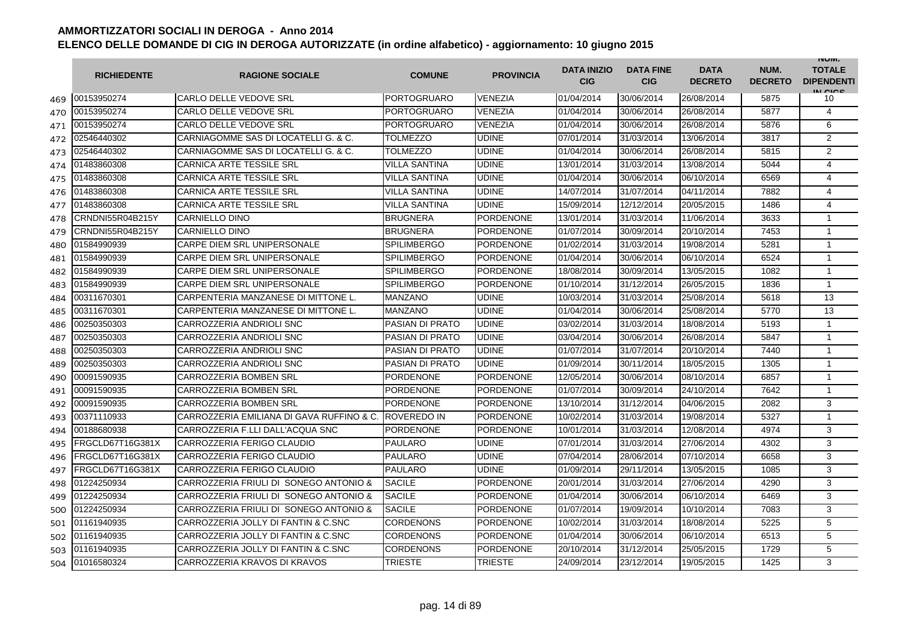|     | <b>RICHIEDENTE</b> | <b>RAGIONE SOCIALE</b>                    | <b>COMUNE</b>          | <b>PROVINCIA</b> | <b>DATA INIZIO</b><br><b>CIG</b> | <b>DATA FINE</b><br><b>CIG</b> | <b>DATA</b><br><b>DECRETO</b> | NUM.<br><b>DECRETO</b> | <b>INUIVI.</b><br><b>TOTALE</b><br><b>DIPENDENTI</b><br>IN CICS |
|-----|--------------------|-------------------------------------------|------------------------|------------------|----------------------------------|--------------------------------|-------------------------------|------------------------|-----------------------------------------------------------------|
| 469 | 00153950274        | <b>CARLO DELLE VEDOVE SRL</b>             | <b>PORTOGRUARO</b>     | <b>VENEZIA</b>   | 01/04/2014                       | 30/06/2014                     | 26/08/2014                    | 5875                   | 10                                                              |
| 470 | 00153950274        | CARLO DELLE VEDOVE SRL                    | <b>PORTOGRUARO</b>     | <b>VENEZIA</b>   | 01/04/2014                       | 30/06/2014                     | 26/08/2014                    | 5877                   | $\overline{4}$                                                  |
| 471 | 00153950274        | <b>CARLO DELLE VEDOVE SRL</b>             | <b>PORTOGRUARO</b>     | <b>VENEZIA</b>   | 01/04/2014                       | 30/06/2014                     | 26/08/2014                    | 5876                   | 6                                                               |
| 472 | 02546440302        | CARNIAGOMME SAS DI LOCATELLI G. & C.      | <b>TOLMEZZO</b>        | <b>UDINE</b>     | 07/01/2014                       | 31/03/2014                     | 13/06/2014                    | 3817                   | 2                                                               |
| 473 | 02546440302        | CARNIAGOMME SAS DI LOCATELLI G. & C.      | <b>TOLMEZZO</b>        | <b>UDINE</b>     | 01/04/2014                       | 30/06/2014                     | 26/08/2014                    | 5815                   | $\overline{2}$                                                  |
| 474 | 01483860308        | <b>CARNICA ARTE TESSILE SRL</b>           | <b>VILLA SANTINA</b>   | <b>UDINE</b>     | 13/01/2014                       | 31/03/2014                     | 13/08/2014                    | 5044                   | 4                                                               |
| 475 | 01483860308        | <b>CARNICA ARTE TESSILE SRL</b>           | <b>VILLA SANTINA</b>   | <b>UDINE</b>     | 01/04/2014                       | 30/06/2014                     | 06/10/2014                    | 6569                   | 4                                                               |
| 476 | 01483860308        | <b>CARNICA ARTE TESSILE SRL</b>           | <b>VILLA SANTINA</b>   | <b>UDINE</b>     | 14/07/2014                       | 31/07/2014                     | 04/11/2014                    | 7882                   | 4                                                               |
| 477 | 01483860308        | <b>CARNICA ARTE TESSILE SRL</b>           | <b>VILLA SANTINA</b>   | <b>UDINE</b>     | 15/09/2014                       | 12/12/2014                     | 20/05/2015                    | 1486                   | $\overline{4}$                                                  |
| 478 | CRNDNI55R04B215Y   | <b>CARNIELLO DINO</b>                     | <b>BRUGNERA</b>        | <b>PORDENONE</b> | 13/01/2014                       | 31/03/2014                     | 11/06/2014                    | 3633                   | 1                                                               |
| 479 | CRNDNI55R04B215Y   | CARNIELLO DINO                            | <b>BRUGNERA</b>        | PORDENONE        | 01/07/2014                       | 30/09/2014                     | 20/10/2014                    | 7453                   | $\mathbf{1}$                                                    |
| 480 | 01584990939        | CARPE DIEM SRL UNIPERSONALE               | <b>SPILIMBERGO</b>     | <b>PORDENONE</b> | 01/02/2014                       | 31/03/2014                     | 19/08/2014                    | 5281                   | $\mathbf{1}$                                                    |
| 481 | 01584990939        | CARPE DIEM SRL UNIPERSONALE               | <b>SPILIMBERGO</b>     | <b>PORDENONE</b> | 01/04/2014                       | 30/06/2014                     | 06/10/2014                    | 6524                   | $\mathbf{1}$                                                    |
| 482 | 01584990939        | CARPE DIEM SRL UNIPERSONALE               | <b>SPILIMBERGO</b>     | <b>PORDENONE</b> | 18/08/2014                       | 30/09/2014                     | 13/05/2015                    | 1082                   | $\mathbf{1}$                                                    |
| 483 | 01584990939        | CARPE DIEM SRL UNIPERSONALE               | <b>SPILIMBERGO</b>     | <b>PORDENONE</b> | 01/10/2014                       | 31/12/2014                     | 26/05/2015                    | 1836                   | $\mathbf{1}$                                                    |
| 484 | 00311670301        | CARPENTERIA MANZANESE DI MITTONE L        | <b>MANZANO</b>         | <b>UDINE</b>     | 10/03/2014                       | 31/03/2014                     | 25/08/2014                    | 5618                   | 13                                                              |
| 485 | 00311670301        | CARPENTERIA MANZANESE DI MITTONE L        | <b>MANZANO</b>         | <b>UDINE</b>     | 01/04/2014                       | 30/06/2014                     | 25/08/2014                    | 5770                   | 13                                                              |
| 486 | 00250350303        | CARROZZERIA ANDRIOLI SNC                  | PASIAN DI PRATO        | <b>UDINE</b>     | 03/02/2014                       | 31/03/2014                     | 18/08/2014                    | 5193                   | $\mathbf{1}$                                                    |
| 487 | 00250350303        | CARROZZERIA ANDRIOLI SNC                  | PASIAN DI PRATO        | <b>UDINE</b>     | 03/04/2014                       | 30/06/2014                     | 26/08/2014                    | 5847                   | 1                                                               |
| 488 | 00250350303        | CARROZZERIA ANDRIOLI SNC                  | <b>PASIAN DI PRATO</b> | <b>UDINE</b>     | 01/07/2014                       | 31/07/2014                     | 20/10/2014                    | 7440                   | 1                                                               |
| 489 | 00250350303        | CARROZZERIA ANDRIOLI SNC                  | PASIAN DI PRATO        | <b>UDINE</b>     | 01/09/2014                       | 30/11/2014                     | 18/05/2015                    | 1305                   | $\mathbf{1}$                                                    |
| 490 | 00091590935        | CARROZZERIA BOMBEN SRL                    | <b>PORDENONE</b>       | <b>PORDENONE</b> | 12/05/2014                       | 30/06/2014                     | 08/10/2014                    | 6857                   | 1                                                               |
| 491 | 00091590935        | CARROZZERIA BOMBEN SRL                    | <b>PORDENONE</b>       | <b>PORDENONE</b> | 01/07/2014                       | 30/09/2014                     | 24/10/2014                    | 7642                   | $\mathbf{1}$                                                    |
| 492 | 00091590935        | CARROZZERIA BOMBEN SRL                    | <b>PORDENONE</b>       | <b>PORDENONE</b> | 13/10/2014                       | 31/12/2014                     | 04/06/2015                    | 2082                   | 3                                                               |
| 493 | 00371110933        | CARROZZERIA EMILIANA DI GAVA RUFFINO & C. | <b>ROVEREDO IN</b>     | PORDENONE        | 10/02/2014                       | 31/03/2014                     | 19/08/2014                    | 5327                   | $\mathbf{1}$                                                    |
| 494 | 00188680938        | CARROZZERIA F.LLI DALL'ACQUA SNC          | <b>PORDENONE</b>       | <b>PORDENONE</b> | 10/01/2014                       | 31/03/2014                     | 12/08/2014                    | 4974                   | 3                                                               |
| 495 | FRGCLD67T16G381X   | CARROZZERIA FERIGO CLAUDIO                | <b>PAULARO</b>         | <b>UDINE</b>     | 07/01/2014                       | 31/03/2014                     | 27/06/2014                    | 4302                   | 3                                                               |
| 496 | FRGCLD67T16G381X   | CARROZZERIA FERIGO CLAUDIO                | <b>PAULARO</b>         | <b>UDINE</b>     | 07/04/2014                       | 28/06/2014                     | 07/10/2014                    | 6658                   | 3                                                               |
| 497 | FRGCLD67T16G381X   | CARROZZERIA FERIGO CLAUDIO                | <b>PAULARO</b>         | <b>UDINE</b>     | 01/09/2014                       | 29/11/2014                     | 13/05/2015                    | 1085                   | 3                                                               |
| 498 | 01224250934        | CARROZZERIA FRIULI DI SONEGO ANTONIO &    | <b>SACILE</b>          | <b>PORDENONE</b> | 20/01/2014                       | 31/03/2014                     | 27/06/2014                    | 4290                   | 3                                                               |
| 499 | 01224250934        | CARROZZERIA FRIULI DI SONEGO ANTONIO &    | <b>SACILE</b>          | <b>PORDENONE</b> | 01/04/2014                       | 30/06/2014                     | 06/10/2014                    | 6469                   | 3                                                               |
| 500 | 01224250934        | CARROZZERIA FRIULI DI SONEGO ANTONIO &    | <b>SACILE</b>          | <b>PORDENONE</b> | 01/07/2014                       | 19/09/2014                     | 10/10/2014                    | 7083                   | 3                                                               |
| 501 | 01161940935        | CARROZZERIA JOLLY DI FANTIN & C.SNC       | <b>CORDENONS</b>       | <b>PORDENONE</b> | 10/02/2014                       | 31/03/2014                     | 18/08/2014                    | 5225                   | 5                                                               |
| 502 | 01161940935        | CARROZZERIA JOLLY DI FANTIN & C.SNC       | <b>CORDENONS</b>       | <b>PORDENONE</b> | 01/04/2014                       | 30/06/2014                     | 06/10/2014                    | 6513                   | 5                                                               |
| 503 | 01161940935        | CARROZZERIA JOLLY DI FANTIN & C.SNC       | CORDENONS              | <b>PORDENONE</b> | 20/10/2014                       | 31/12/2014                     | 25/05/2015                    | 1729                   | 5                                                               |
| 504 | 01016580324        | CARROZZERIA KRAVOS DI KRAVOS              | TRIESTE                | <b>TRIESTE</b>   | 24/09/2014                       | 23/12/2014                     | 19/05/2015                    | 1425                   | 3                                                               |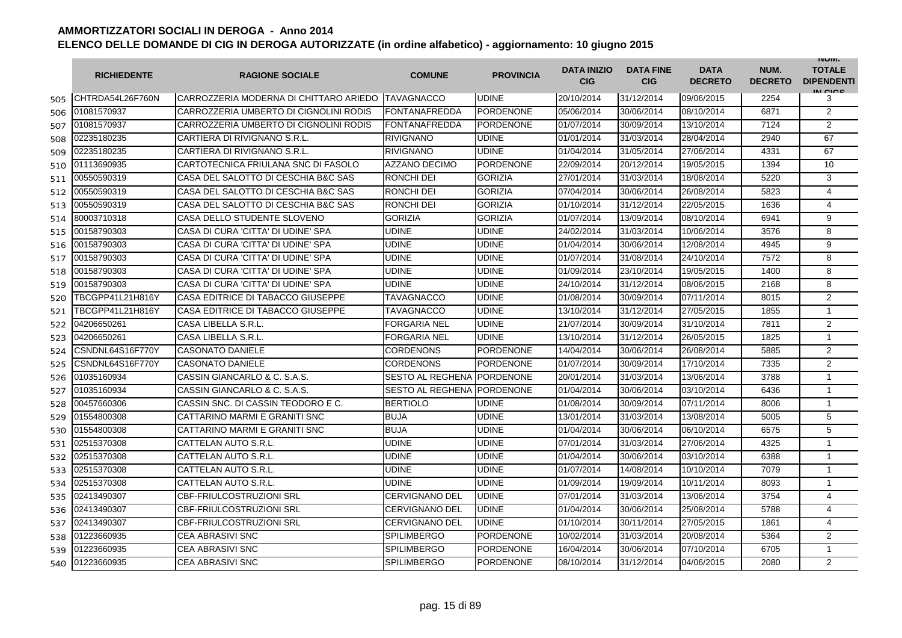|     | <b>RICHIEDENTE</b> | <b>RAGIONE SOCIALE</b>                            | <b>COMUNE</b>           | <b>PROVINCIA</b> | <b>DATA INIZIO</b><br><b>CIG</b> | <b>DATA FINE</b><br><b>CIG</b> | <b>DATA</b><br><b>DECRETO</b> | NUM.<br><b>DECRETO</b> | <b>INUIVI.</b><br><b>TOTALE</b><br><b>DIPENDENTI</b><br>IN CIGO |
|-----|--------------------|---------------------------------------------------|-------------------------|------------------|----------------------------------|--------------------------------|-------------------------------|------------------------|-----------------------------------------------------------------|
| 505 | CHTRDA54L26F760N   | CARROZZERIA MODERNA DI CHITTARO ARIEDO TAVAGNACCO |                         | <b>UDINE</b>     | 20/10/2014                       | 31/12/2014                     | 09/06/2015                    | 2254                   | 3                                                               |
| 506 | 01081570937        | CARROZZERIA UMBERTO DI CIGNOLINI RODIS            | FONTANAFREDDA           | PORDENONE        | 05/06/2014                       | 30/06/2014                     | 08/10/2014                    | 6871                   | 2                                                               |
| 507 | 01081570937        | CARROZZERIA UMBERTO DI CIGNOLINI RODIS            | <b>FONTANAFREDDA</b>    | <b>PORDENONE</b> | 01/07/2014                       | 30/09/2014                     | 13/10/2014                    | 7124                   | $\overline{2}$                                                  |
| 508 | 02235180235        | CARTIERA DI RIVIGNANO S.R.L.                      | <b>RIVIGNANO</b>        | <b>UDINE</b>     | 01/01/2014                       | 31/03/2014                     | 28/04/2014                    | 2940                   | 67                                                              |
| 509 | 02235180235        | CARTIERA DI RIVIGNANO S.R.L.                      | <b>RIVIGNANO</b>        | <b>UDINE</b>     | 01/04/2014                       | 31/05/2014                     | 27/06/2014                    | 4331                   | 67                                                              |
| 510 | 01113690935        | CARTOTECNICA FRIULANA SNC DI FASOLO               | AZZANO DECIMO           | <b>PORDENONE</b> | 22/09/2014                       | 20/12/2014                     | 19/05/2015                    | 1394                   | 10                                                              |
| 511 | 00550590319        | CASA DEL SALOTTO DI CESCHIA B&C SAS               | RONCHI DEI              | <b>GORIZIA</b>   | 27/01/2014                       | 31/03/2014                     | 18/08/2014                    | 5220                   | 3                                                               |
| 512 | 00550590319        | CASA DEL SALOTTO DI CESCHIA B&C SAS               | <b>RONCHI DEI</b>       | <b>GORIZIA</b>   | 07/04/2014                       | 30/06/2014                     | 26/08/2014                    | 5823                   | $\overline{4}$                                                  |
| 513 | 00550590319        | CASA DEL SALOTTO DI CESCHIA B&C SAS               | <b>RONCHI DEI</b>       | <b>GORIZIA</b>   | 01/10/2014                       | 31/12/2014                     | 22/05/2015                    | 1636                   | 4                                                               |
| 514 | 80003710318        | CASA DELLO STUDENTE SLOVENO                       | <b>GORIZIA</b>          | <b>GORIZIA</b>   | 01/07/2014                       | 13/09/2014                     | 08/10/2014                    | 6941                   | 9                                                               |
| 515 | 00158790303        | CASA DI CURA 'CITTA' DI UDINE' SPA                | <b>UDINE</b>            | <b>UDINE</b>     | 24/02/2014                       | 31/03/2014                     | 10/06/2014                    | 3576                   | 8                                                               |
| 516 | 00158790303        | CASA DI CURA 'CITTA' DI UDINE' SPA                | <b>UDINE</b>            | <b>UDINE</b>     | 01/04/2014                       | 30/06/2014                     | 12/08/2014                    | 4945                   | 9                                                               |
| 517 | 00158790303        | CASA DI CURA 'CITTA' DI UDINE' SPA                | <b>UDINE</b>            | <b>UDINE</b>     | 01/07/2014                       | 31/08/2014                     | 24/10/2014                    | 7572                   | 8                                                               |
| 518 | 00158790303        | CASA DI CURA 'CITTA' DI UDINE' SPA                | <b>UDINE</b>            | <b>UDINE</b>     | 01/09/2014                       | 23/10/2014                     | 19/05/2015                    | 1400                   | 8                                                               |
| 519 | 00158790303        | CASA DI CURA 'CITTA' DI UDINE' SPA                | <b>UDINE</b>            | <b>UDINE</b>     | 24/10/2014                       | 31/12/2014                     | 08/06/2015                    | 2168                   | 8                                                               |
| 520 | TBCGPP41L21H816Y   | CASA EDITRICE DI TABACCO GIUSEPPE                 | TAVAGNACCO              | <b>UDINE</b>     | 01/08/2014                       | 30/09/2014                     | 07/11/2014                    | 8015                   | 2                                                               |
| 521 | TBCGPP41L21H816Y   | CASA EDITRICE DI TABACCO GIUSEPPE                 | TAVAGNACCO              | <b>UDINE</b>     | 13/10/2014                       | 31/12/2014                     | 27/05/2015                    | 1855                   | $\overline{1}$                                                  |
| 522 | 04206650261        | CASA LIBELLA S.R.L.                               | <b>FORGARIA NEL</b>     | <b>UDINE</b>     | 21/07/2014                       | 30/09/2014                     | 31/10/2014                    | 7811                   | $\overline{2}$                                                  |
| 523 | 04206650261        | CASA LIBELLA S.R.L.                               | <b>FORGARIA NEL</b>     | <b>UDINE</b>     | 13/10/2014                       | 31/12/2014                     | 26/05/2015                    | 1825                   | $\mathbf{1}$                                                    |
| 524 | CSNDNL64S16F770Y   | <b>CASONATO DANIELE</b>                           | <b>CORDENONS</b>        | <b>PORDENONE</b> | 14/04/2014                       | 30/06/2014                     | 26/08/2014                    | 5885                   | 2                                                               |
| 525 | CSNDNL64S16F770Y   | <b>CASONATO DANIELE</b>                           | <b>CORDENONS</b>        | <b>PORDENONE</b> | 01/07/2014                       | 30/09/2014                     | 17/10/2014                    | 7335                   | 2                                                               |
| 526 | 01035160934        | CASSIN GIANCARLO & C. S.A.S.                      | <b>SESTO AL REGHENA</b> | <b>PORDENONE</b> | 20/01/2014                       | 31/03/2014                     | 13/06/2014                    | 3788                   | $\mathbf{1}$                                                    |
| 527 | 01035160934        | CASSIN GIANCARLO & C. S.A.S.                      | <b>SESTO AL REGHENA</b> | PORDENONE        | 01/04/2014                       | 30/06/2014                     | 03/10/2014                    | 6436                   | $\mathbf 1$                                                     |
| 528 | 00457660306        | CASSIN SNC. DI CASSIN TEODORO E C.                | <b>BERTIOLO</b>         | <b>UDINE</b>     | 01/08/2014                       | 30/09/2014                     | 07/11/2014                    | 8006                   | $\overline{1}$                                                  |
| 529 | 01554800308        | CATTARINO MARMI E GRANITI SNC                     | <b>BUJA</b>             | <b>UDINE</b>     | 13/01/2014                       | 31/03/2014                     | 13/08/2014                    | 5005                   | 5                                                               |
| 530 | 01554800308        | CATTARINO MARMI E GRANITI SNC                     | <b>BUJA</b>             | <b>UDINE</b>     | 01/04/2014                       | 30/06/2014                     | 06/10/2014                    | 6575                   | 5                                                               |
| 531 | 02515370308        | CATTELAN AUTO S.R.L.                              | <b>UDINE</b>            | <b>UDINE</b>     | 07/01/2014                       | 31/03/2014                     | 27/06/2014                    | 4325                   | $\mathbf{1}$                                                    |
| 532 | 02515370308        | CATTELAN AUTO S.R.L.                              | <b>UDINE</b>            | <b>UDINE</b>     | 01/04/2014                       | 30/06/2014                     | 03/10/2014                    | 6388                   | $\overline{1}$                                                  |
| 533 | 02515370308        | CATTELAN AUTO S.R.L.                              | <b>UDINE</b>            | <b>UDINE</b>     | 01/07/2014                       | 14/08/2014                     | 10/10/2014                    | 7079                   | $\overline{1}$                                                  |
| 534 | 02515370308        | CATTELAN AUTO S.R.L.                              | <b>UDINE</b>            | <b>UDINE</b>     | 01/09/2014                       | 19/09/2014                     | 10/11/2014                    | 8093                   | $\mathbf{1}$                                                    |
| 535 | 02413490307        | CBF-FRIULCOSTRUZIONI SRL                          | <b>CERVIGNANO DEL</b>   | <b>UDINE</b>     | 07/01/2014                       | 31/03/2014                     | 13/06/2014                    | 3754                   | 4                                                               |
| 536 | 02413490307        | <b>CBF-FRIULCOSTRUZIONI SRL</b>                   | <b>CERVIGNANO DEL</b>   | <b>UDINE</b>     | 01/04/2014                       | 30/06/2014                     | 25/08/2014                    | 5788                   | 4                                                               |
| 537 | 02413490307        | <b>CBF-FRIULCOSTRUZIONI SRL</b>                   | <b>CERVIGNANO DEL</b>   | <b>UDINE</b>     | 01/10/2014                       | 30/11/2014                     | 27/05/2015                    | 1861                   | 4                                                               |
| 538 | 01223660935        | <b>CEA ABRASIVI SNC</b>                           | <b>SPILIMBERGO</b>      | <b>PORDENONE</b> | 10/02/2014                       | 31/03/2014                     | 20/08/2014                    | 5364                   | 2                                                               |
| 539 | 01223660935        | <b>CEA ABRASIVI SNC</b>                           | <b>SPILIMBERGO</b>      | <b>PORDENONE</b> | 16/04/2014                       | 30/06/2014                     | 07/10/2014                    | 6705                   | $\mathbf{1}$                                                    |
| 540 | 01223660935        | <b>CEA ABRASIVI SNC</b>                           | <b>SPILIMBERGO</b>      | <b>PORDENONE</b> | 08/10/2014                       | 31/12/2014                     | 04/06/2015                    | 2080                   | 2                                                               |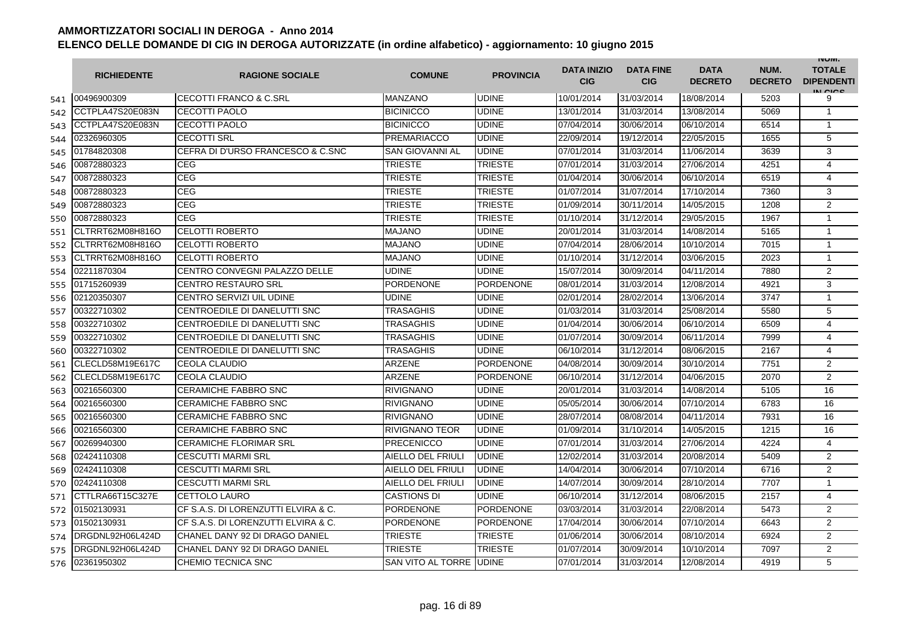|     | <b>RICHIEDENTE</b> | <b>RAGIONE SOCIALE</b>              | <b>COMUNE</b>          | <b>PROVINCIA</b> | <b>DATA INIZIO</b><br><b>CIG</b> | <b>DATA FINE</b><br><b>CIG</b> | <b>DATA</b><br><b>DECRETO</b> | NUM.<br><b>DECRETO</b> | <b>INUIVI.</b><br><b>TOTALE</b><br><b>DIPENDENTI</b><br>IN CICE |
|-----|--------------------|-------------------------------------|------------------------|------------------|----------------------------------|--------------------------------|-------------------------------|------------------------|-----------------------------------------------------------------|
| 541 | 00496900309        | <b>CECOTTI FRANCO &amp; C.SRL</b>   | <b>MANZANO</b>         | <b>UDINE</b>     | 10/01/2014                       | 31/03/2014                     | 18/08/2014                    | 5203                   | 9                                                               |
| 542 | CCTPLA47S20E083N   | CECOTTI PAOLO                       | <b>BICINICCO</b>       | <b>UDINE</b>     | 13/01/2014                       | 31/03/2014                     | 13/08/2014                    | 5069                   | $\mathbf{1}$                                                    |
| 543 | CCTPLA47S20E083N   | CECOTTI PAOLO                       | <b>BICINICCO</b>       | <b>UDINE</b>     | 07/04/2014                       | 30/06/2014                     | 06/10/2014                    | 6514                   | $\mathbf{1}$                                                    |
| 544 | 02326960305        | <b>CECOTTI SRL</b>                  | <b>PREMARIACCO</b>     | <b>UDINE</b>     | 22/09/2014                       | 19/12/2014                     | 22/05/2015                    | 1655                   | 5                                                               |
| 545 | 01784820308        | CEFRA DI D'URSO FRANCESCO & C.SNC   | <b>SAN GIOVANNI AL</b> | <b>UDINE</b>     | 07/01/2014                       | 31/03/2014                     | 11/06/2014                    | 3639                   | 3                                                               |
| 546 | 00872880323        | <b>CEG</b>                          | <b>TRIESTE</b>         | <b>TRIESTE</b>   | 07/01/2014                       | 31/03/2014                     | 27/06/2014                    | 4251                   | 4                                                               |
| 547 | 00872880323        | CEG                                 | <b>TRIESTE</b>         | <b>TRIESTE</b>   | 01/04/2014                       | 30/06/2014                     | 06/10/2014                    | 6519                   | 4                                                               |
| 548 | 00872880323        | <b>CEG</b>                          | <b>TRIESTE</b>         | <b>TRIESTE</b>   | 01/07/2014                       | 31/07/2014                     | 17/10/2014                    | 7360                   | 3                                                               |
| 549 | 00872880323        | <b>CEG</b>                          | <b>TRIESTE</b>         | <b>TRIESTE</b>   | 01/09/2014                       | 30/11/2014                     | 14/05/2015                    | 1208                   | $\overline{2}$                                                  |
| 550 | 00872880323        | <b>CEG</b>                          | <b>TRIESTE</b>         | <b>TRIESTE</b>   | 01/10/2014                       | 31/12/2014                     | 29/05/2015                    | 1967                   | $\overline{1}$                                                  |
| 551 | CLTRRT62M08H816O   | <b>CELOTTI ROBERTO</b>              | <b>MAJANO</b>          | <b>UDINE</b>     | 20/01/2014                       | 31/03/2014                     | 14/08/2014                    | 5165                   | 1                                                               |
| 552 | CLTRRT62M08H816O   | <b>CELOTTI ROBERTO</b>              | <b>MAJANO</b>          | UDINE            | 07/04/2014                       | 28/06/2014                     | 10/10/2014                    | 7015                   | $\mathbf{1}$                                                    |
| 553 | CLTRRT62M08H816O   | <b>CELOTTI ROBERTO</b>              | <b>MAJANO</b>          | <b>UDINE</b>     | 01/10/2014                       | 31/12/2014                     | 03/06/2015                    | 2023                   | $\mathbf{1}$                                                    |
| 554 | 02211870304        | CENTRO CONVEGNI PALAZZO DELLE       | <b>UDINE</b>           | <b>UDINE</b>     | 15/07/2014                       | 30/09/2014                     | 04/11/2014                    | 7880                   | 2                                                               |
| 555 | 01715260939        | <b>CENTRO RESTAURO SRL</b>          | <b>PORDENONE</b>       | <b>PORDENONE</b> | 08/01/2014                       | 31/03/2014                     | 12/08/2014                    | 4921                   | 3                                                               |
| 556 | 02120350307        | CENTRO SERVIZI UIL UDINE            | UDINE                  | <b>UDINE</b>     | 02/01/2014                       | 28/02/2014                     | 13/06/2014                    | 3747                   | $\mathbf{1}$                                                    |
| 557 | 00322710302        | CENTROEDILE DI DANELUTTI SNC        | TRASAGHIS              | <b>UDINE</b>     | 01/03/2014                       | 31/03/2014                     | 25/08/2014                    | 5580                   | 5                                                               |
| 558 | 00322710302        | CENTROEDILE DI DANELUTTI SNC        | TRASAGHIS              | <b>UDINE</b>     | 01/04/2014                       | 30/06/2014                     | 06/10/2014                    | 6509                   | 4                                                               |
| 559 | 00322710302        | CENTROEDILE DI DANELUTTI SNC        | TRASAGHIS              | <b>UDINE</b>     | 01/07/2014                       | 30/09/2014                     | 06/11/2014                    | 7999                   | 4                                                               |
| 560 | 00322710302        | CENTROEDILE DI DANELUTTI SNC        | TRASAGHIS              | <b>UDINE</b>     | 06/10/2014                       | 31/12/2014                     | 08/06/2015                    | 2167                   | 4                                                               |
| 561 | CLECLD58M19E617C   | <b>CEOLA CLAUDIO</b>                | <b>ARZENE</b>          | <b>PORDENONE</b> | 04/08/2014                       | 30/09/2014                     | 30/10/2014                    | 7751                   | $\overline{2}$                                                  |
| 562 | CLECLD58M19E617C   | CEOLA CLAUDIO                       | <b>ARZENE</b>          | <b>PORDENONE</b> | 06/10/2014                       | 31/12/2014                     | 04/06/2015                    | 2070                   | $\overline{2}$                                                  |
| 563 | 00216560300        | <b>CERAMICHE FABBRO SNC</b>         | <b>RIVIGNANO</b>       | <b>UDINE</b>     | 20/01/2014                       | 31/03/2014                     | 14/08/2014                    | 5105                   | 16                                                              |
| 564 | 00216560300        | <b>CERAMICHE FABBRO SNC</b>         | <b>RIVIGNANO</b>       | <b>UDINE</b>     | 05/05/2014                       | 30/06/2014                     | 07/10/2014                    | 6783                   | 16                                                              |
| 565 | 00216560300        | <b>CERAMICHE FABBRO SNC</b>         | <b>RIVIGNANO</b>       | <b>UDINE</b>     | 28/07/2014                       | 08/08/2014                     | 04/11/2014                    | 7931                   | 16                                                              |
| 566 | 00216560300        | <b>CERAMICHE FABBRO SNC</b>         | <b>RIVIGNANO TEOR</b>  | <b>UDINE</b>     | 01/09/2014                       | 31/10/2014                     | 14/05/2015                    | 1215                   | 16                                                              |
| 567 | 00269940300        | <b>CERAMICHE FLORIMAR SRL</b>       | <b>PRECENICCO</b>      | <b>UDINE</b>     | 07/01/2014                       | 31/03/2014                     | 27/06/2014                    | 4224                   | 4                                                               |
| 568 | 02424110308        | <b>CESCUTTI MARMI SRL</b>           | AIELLO DEL FRIULI      | <b>UDINE</b>     | 12/02/2014                       | 31/03/2014                     | 20/08/2014                    | 5409                   | 2                                                               |
| 569 | 02424110308        | <b>CESCUTTI MARMI SRL</b>           | AIELLO DEL FRIULI      | <b>UDINE</b>     | 14/04/2014                       | 30/06/2014                     | 07/10/2014                    | 6716                   | 2                                                               |
| 570 | 02424110308        | <b>CESCUTTI MARMI SRL</b>           | AIELLO DEL FRIULI      | <b>UDINE</b>     | 14/07/2014                       | 30/09/2014                     | 28/10/2014                    | 7707                   | $\mathbf{1}$                                                    |
| 571 | CTTLRA66T15C327E   | CETTOLO LAURO                       | <b>CASTIONS DI</b>     | <b>UDINE</b>     | 06/10/2014                       | 31/12/2014                     | 08/06/2015                    | 2157                   | 4                                                               |
| 572 | 01502130931        | CF S.A.S. DI LORENZUTTI ELVIRA & C. | <b>PORDENONE</b>       | <b>PORDENONE</b> | 03/03/2014                       | 31/03/2014                     | 22/08/2014                    | 5473                   | 2                                                               |
| 573 | 01502130931        | CF S.A.S. DI LORENZUTTI ELVIRA & C. | <b>PORDENONE</b>       | <b>PORDENONE</b> | 17/04/2014                       | 30/06/2014                     | 07/10/2014                    | 6643                   | $\overline{2}$                                                  |
| 574 | DRGDNL92H06L424D   | CHANEL DANY 92 DI DRAGO DANIEL      | <b>TRIESTE</b>         | <b>TRIESTE</b>   | 01/06/2014                       | 30/06/2014                     | 08/10/2014                    | 6924                   | 2                                                               |
| 575 | DRGDNL92H06L424D   | CHANEL DANY 92 DI DRAGO DANIEL      | <b>TRIESTE</b>         | <b>TRIESTE</b>   | 01/07/2014                       | 30/09/2014                     | 10/10/2014                    | 7097                   | $\overline{2}$                                                  |
| 576 | 02361950302        | CHEMIO TECNICA SNC                  | SAN VITO AL TORRE      | <b>UDINE</b>     | 07/01/2014                       | 31/03/2014                     | 12/08/2014                    | 4919                   | 5                                                               |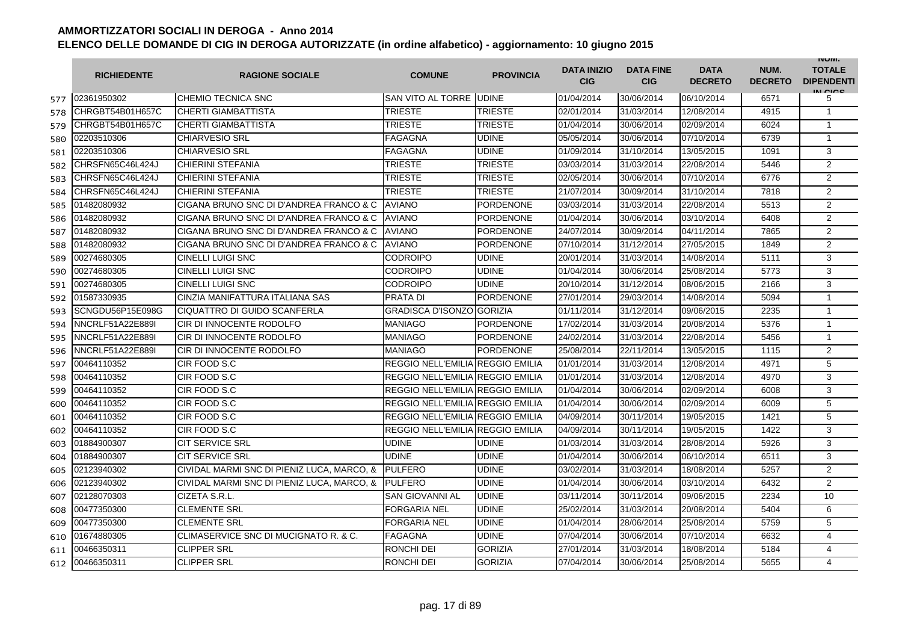|     | <b>RICHIEDENTE</b>      | <b>RAGIONE SOCIALE</b>                     | <b>COMUNE</b>                    | <b>PROVINCIA</b> | <b>DATA INIZIO</b><br><b>CIG</b> | <b>DATA FINE</b><br><b>CIG</b> | <b>DATA</b><br><b>DECRETO</b> | NUM.<br><b>DECRETO</b> | <b>INUIVI.</b><br><b>TOTALE</b><br><b>DIPENDENTI</b><br>IN CICS |
|-----|-------------------------|--------------------------------------------|----------------------------------|------------------|----------------------------------|--------------------------------|-------------------------------|------------------------|-----------------------------------------------------------------|
| 577 | 02361950302             | CHEMIO TECNICA SNC                         | <b>SAN VITO AL TORRE JUDINE</b>  |                  | 01/04/2014                       | 30/06/2014                     | 06/10/2014                    | 6571                   | 5                                                               |
| 578 | CHRGBT54B01H657C        | <b>CHERTI GIAMBATTISTA</b>                 | TRIESTE                          | TRIESTE          | 02/01/2014                       | 31/03/2014                     | 12/08/2014                    | 4915                   | $\mathbf{1}$                                                    |
| 579 | CHRGBT54B01H657C        | <b>CHERTI GIAMBATTISTA</b>                 | <b>TRIESTE</b>                   | <b>TRIESTE</b>   | 01/04/2014                       | 30/06/2014                     | 02/09/2014                    | 6024                   | 1                                                               |
| 580 | 02203510306             | <b>CHIARVESIO SRL</b>                      | <b>FAGAGNA</b>                   | <b>UDINE</b>     | 05/05/2014                       | 30/06/2014                     | 07/10/2014                    | 6739                   | $\mathbf{1}$                                                    |
| 581 | 02203510306             | <b>CHIARVESIO SRL</b>                      | <b>FAGAGNA</b>                   | <b>UDINE</b>     | 01/09/2014                       | 31/10/2014                     | 13/05/2015                    | 1091                   | 3                                                               |
| 582 | CHRSFN65C46L424J        | <b>CHIERINI STEFANIA</b>                   | <b>TRIESTE</b>                   | <b>TRIESTE</b>   | 03/03/2014                       | 31/03/2014                     | 22/08/2014                    | 5446                   | 2                                                               |
| 583 | CHRSFN65C46L424J        | <b>CHIERINI STEFANIA</b>                   | TRIESTE                          | <b>TRIESTE</b>   | 02/05/2014                       | 30/06/2014                     | 07/10/2014                    | 6776                   | $\overline{2}$                                                  |
| 584 | CHRSFN65C46L424J        | CHIERINI STEFANIA                          | TRIESTE                          | <b>TRIESTE</b>   | 21/07/2014                       | 30/09/2014                     | 31/10/2014                    | 7818                   | $\overline{2}$                                                  |
| 585 | 01482080932             | CIGANA BRUNO SNC DI D'ANDREA FRANCO & C    | <b>AVIANO</b>                    | <b>PORDENONE</b> | 03/03/2014                       | 31/03/2014                     | 22/08/2014                    | 5513                   | 2                                                               |
| 586 | 01482080932             | CIGANA BRUNO SNC DI D'ANDREA FRANCO & C    | <b>AVIANO</b>                    | <b>PORDENONE</b> | 01/04/2014                       | 30/06/2014                     | 03/10/2014                    | 6408                   | $\overline{2}$                                                  |
| 587 | 01482080932             | CIGANA BRUNO SNC DI D'ANDREA FRANCO & C    | <b>AVIANO</b>                    | <b>PORDENONE</b> | 24/07/2014                       | 30/09/2014                     | 04/11/2014                    | 7865                   | $\overline{2}$                                                  |
| 588 | 01482080932             | CIGANA BRUNO SNC DI D'ANDREA FRANCO & C    | <b>AVIANO</b>                    | <b>PORDENONE</b> | 07/10/2014                       | 31/12/2014                     | 27/05/2015                    | 1849                   | 2                                                               |
| 589 | 00274680305             | <b>CINELLI LUIGI SNC</b>                   | <b>CODROIPO</b>                  | <b>UDINE</b>     | 20/01/2014                       | 31/03/2014                     | 14/08/2014                    | 5111                   | 3                                                               |
| 590 | 00274680305             | <b>CINELLI LUIGI SNC</b>                   | <b>CODROIPO</b>                  | <b>UDINE</b>     | 01/04/2014                       | 30/06/2014                     | 25/08/2014                    | 5773                   | 3                                                               |
| 591 | 00274680305             | <b>CINELLI LUIGI SNC</b>                   | <b>CODROIPO</b>                  | <b>UDINE</b>     | 20/10/2014                       | 31/12/2014                     | 08/06/2015                    | 2166                   | 3                                                               |
| 592 | 01587330935             | CINZIA MANIFATTURA ITALIANA SAS            | <b>PRATA DI</b>                  | <b>PORDENONE</b> | 27/01/2014                       | 29/03/2014                     | 14/08/2014                    | 5094                   | $\mathbf{1}$                                                    |
| 593 | SCNGDU56P15E098G        | CIQUATTRO DI GUIDO SCANFERLA               | <b>GRADISCA D'ISONZO GORIZIA</b> |                  | 01/11/2014                       | 31/12/2014                     | 09/06/2015                    | 2235                   | $\mathbf{1}$                                                    |
| 594 | NNCRLF51A22E889I        | CIR DI INNOCENTE RODOLFO                   | <b>MANIAGO</b>                   | PORDENONE        | 17/02/2014                       | 31/03/2014                     | 20/08/2014                    | 5376                   | $\mathbf{1}$                                                    |
| 595 | NNCRLF51A22E889I        | CIR DI INNOCENTE RODOLFO                   | <b>MANIAGO</b>                   | <b>PORDENONE</b> | 24/02/2014                       | 31/03/2014                     | 22/08/2014                    | 5456                   | 1                                                               |
| 596 | <b>NNCRLF51A22E889I</b> | CIR DI INNOCENTE RODOLFO                   | <b>MANIAGO</b>                   | <b>PORDENONE</b> | 25/08/2014                       | 22/11/2014                     | 13/05/2015                    | 1115                   | $\overline{2}$                                                  |
| 597 | 00464110352             | CIR FOOD S.C                               | REGGIO NELL'EMILIA REGGIO EMILIA |                  | 01/01/2014                       | 31/03/2014                     | 12/08/2014                    | 4971                   | 5                                                               |
| 598 | 00464110352             | CIR FOOD S.C                               | REGGIO NELL'EMILIA REGGIO EMILIA |                  | 01/01/2014                       | 31/03/2014                     | 12/08/2014                    | 4970                   | 3                                                               |
| 599 | 00464110352             | CIR FOOD S.C                               | REGGIO NELL'EMILIA REGGIO EMILIA |                  | 01/04/2014                       | 30/06/2014                     | 02/09/2014                    | 6008                   | 3                                                               |
| 600 | 00464110352             | CIR FOOD S.C                               | REGGIO NELL'EMILIA REGGIO EMILIA |                  | 01/04/2014                       | 30/06/2014                     | 02/09/2014                    | 6009                   | 5                                                               |
| 601 | 00464110352             | CIR FOOD S.C                               | REGGIO NELL'EMILIA REGGIO EMILIA |                  | 04/09/2014                       | 30/11/2014                     | 19/05/2015                    | 1421                   | 5                                                               |
| 602 | 00464110352             | CIR FOOD S.C                               | REGGIO NELL'EMILIA REGGIO EMILIA |                  | 04/09/2014                       | 30/11/2014                     | 19/05/2015                    | 1422                   | 3                                                               |
| 603 | 01884900307             | <b>CIT SERVICE SRL</b>                     | <b>UDINE</b>                     | <b>UDINE</b>     | 01/03/2014                       | 31/03/2014                     | 28/08/2014                    | 5926                   | 3                                                               |
| 604 | 01884900307             | <b>CIT SERVICE SRL</b>                     | <b>UDINE</b>                     | <b>UDINE</b>     | 01/04/2014                       | 30/06/2014                     | 06/10/2014                    | 6511                   | 3                                                               |
| 605 | 02123940302             | CIVIDAL MARMI SNC DI PIENIZ LUCA, MARCO, & | <b>PULFERO</b>                   | <b>UDINE</b>     | 03/02/2014                       | 31/03/2014                     | 18/08/2014                    | 5257                   | $\overline{2}$                                                  |
| 606 | 02123940302             | CIVIDAL MARMI SNC DI PIENIZ LUCA, MARCO, & | <b>PULFERO</b>                   | <b>UDINE</b>     | 01/04/2014                       | 30/06/2014                     | 03/10/2014                    | 6432                   | $\overline{2}$                                                  |
| 607 | 02128070303             | CIZETA S.R.L.                              | <b>SAN GIOVANNI AL</b>           | <b>UDINE</b>     | 03/11/2014                       | 30/11/2014                     | 09/06/2015                    | 2234                   | 10                                                              |
| 608 | 00477350300             | <b>CLEMENTE SRL</b>                        | FORGARIA NEL                     | <b>UDINE</b>     | 25/02/2014                       | 31/03/2014                     | 20/08/2014                    | 5404                   | 6                                                               |
| 609 | 00477350300             | <b>CLEMENTE SRL</b>                        | <b>FORGARIA NEL</b>              | <b>UDINE</b>     | 01/04/2014                       | 28/06/2014                     | 25/08/2014                    | 5759                   | 5                                                               |
| 610 | 01674880305             | CLIMASERVICE SNC DI MUCIGNATO R. & C.      | <b>FAGAGNA</b>                   | <b>UDINE</b>     | 07/04/2014                       | 30/06/2014                     | 07/10/2014                    | 6632                   | $\overline{4}$                                                  |
| 611 | 00466350311             | <b>CLIPPER SRL</b>                         | RONCHI DEI                       | <b>GORIZIA</b>   | 27/01/2014                       | 31/03/2014                     | 18/08/2014                    | 5184                   | $\overline{4}$                                                  |
| 612 | 00466350311             | <b>CLIPPER SRL</b>                         | RONCHI DEI                       | <b>GORIZIA</b>   | 07/04/2014                       | 30/06/2014                     | 25/08/2014                    | 5655                   | $\overline{4}$                                                  |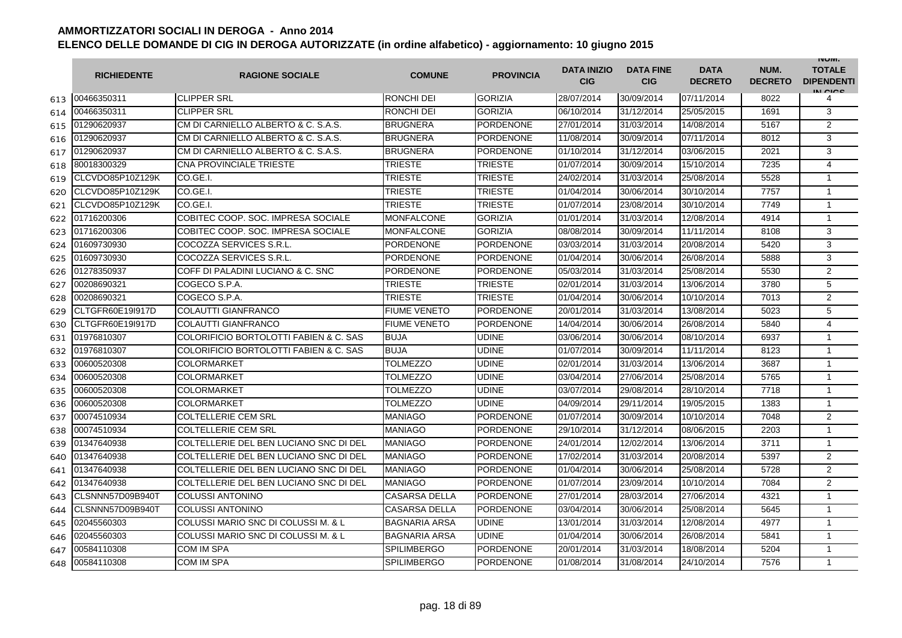|     | <b>RICHIEDENTE</b> | <b>RAGIONE SOCIALE</b>                            | <b>COMUNE</b>        | <b>PROVINCIA</b> | <b>DATA INIZIO</b><br><b>CIG</b> | <b>DATA FINE</b><br><b>CIG</b> | <b>DATA</b><br><b>DECRETO</b> | NUM.<br><b>DECRETO</b> | <b>INUIVI.</b><br><b>TOTALE</b><br><b>DIPENDENTI</b><br>IN CIGO |
|-----|--------------------|---------------------------------------------------|----------------------|------------------|----------------------------------|--------------------------------|-------------------------------|------------------------|-----------------------------------------------------------------|
| 613 | 00466350311        | <b>CLIPPER SRL</b>                                | RONCHI DEI           | <b>GORIZIA</b>   | 28/07/2014                       | 30/09/2014                     | 07/11/2014                    | 8022                   | 4                                                               |
| 614 | 00466350311        | <b>CLIPPER SRL</b>                                | RONCHI DEI           | <b>GORIZIA</b>   | 06/10/2014                       | 31/12/2014                     | 25/05/2015                    | 1691                   | 3                                                               |
| 615 | 01290620937        | CM DI CARNIELLO ALBERTO & C. S.A.S.               | <b>BRUGNERA</b>      | <b>PORDENONE</b> | 27/01/2014                       | 31/03/2014                     | 14/08/2014                    | 5167                   | $\overline{2}$                                                  |
| 616 | 01290620937        | CM DI CARNIELLO ALBERTO & C. S.A.S.               | <b>BRUGNERA</b>      | PORDENONE        | 11/08/2014                       | 30/09/2014                     | 07/11/2014                    | 8012                   | 3                                                               |
| 617 | 01290620937        | CM DI CARNIELLO ALBERTO & C. S.A.S.               | <b>BRUGNERA</b>      | <b>PORDENONE</b> | 01/10/2014                       | 31/12/2014                     | 03/06/2015                    | 2021                   | 3                                                               |
| 618 | 80018300329        | CNA PROVINCIALE TRIESTE                           | <b>TRIESTE</b>       | <b>TRIESTE</b>   | 01/07/2014                       | 30/09/2014                     | 15/10/2014                    | 7235                   | $\overline{4}$                                                  |
| 619 | CLCVDO85P10Z129K   | CO.GE.I.                                          | <b>TRIESTE</b>       | TRIESTE          | 24/02/2014                       | 31/03/2014                     | 25/08/2014                    | 5528                   | $\mathbf{1}$                                                    |
| 620 | CLCVDO85P10Z129K   | CO.GE.I.                                          | <b>TRIESTE</b>       | <b>TRIESTE</b>   | 01/04/2014                       | 30/06/2014                     | 30/10/2014                    | 7757                   | $\overline{1}$                                                  |
| 621 | CLCVDO85P10Z129K   | CO.GE.I.                                          | <b>TRIESTE</b>       | <b>TRIESTE</b>   | 01/07/2014                       | 23/08/2014                     | 30/10/2014                    | 7749                   | $\mathbf{1}$                                                    |
| 622 | 01716200306        | COBITEC COOP. SOC. IMPRESA SOCIALE                | <b>MONFALCONE</b>    | <b>GORIZIA</b>   | 01/01/2014                       | 31/03/2014                     | 12/08/2014                    | 4914                   | $\overline{1}$                                                  |
| 623 | 01716200306        | COBITEC COOP, SOC. IMPRESA SOCIALE                | <b>MONFALCONE</b>    | <b>GORIZIA</b>   | 08/08/2014                       | 30/09/2014                     | 11/11/2014                    | 8108                   | 3                                                               |
| 624 | 01609730930        | COCOZZA SERVICES S.R.L.                           | <b>PORDENONE</b>     | <b>PORDENONE</b> | 03/03/2014                       | 31/03/2014                     | 20/08/2014                    | 5420                   | 3                                                               |
| 625 | 01609730930        | COCOZZA SERVICES S.R.L.                           | <b>PORDENONE</b>     | <b>PORDENONE</b> | 01/04/2014                       | 30/06/2014                     | 26/08/2014                    | 5888                   | 3                                                               |
| 626 | 01278350937        | COFF DI PALADINI LUCIANO & C. SNC                 | <b>PORDENONE</b>     | <b>PORDENONE</b> | 05/03/2014                       | 31/03/2014                     | 25/08/2014                    | 5530                   | 2                                                               |
| 627 | 00208690321        | COGECO S.P.A.                                     | TRIESTE              | <b>TRIESTE</b>   | 02/01/2014                       | 31/03/2014                     | 13/06/2014                    | 3780                   | 5                                                               |
| 628 | 00208690321        | COGECO S.P.A.                                     | <b>TRIESTE</b>       | <b>TRIESTE</b>   | 01/04/2014                       | 30/06/2014                     | 10/10/2014                    | 7013                   | $\overline{2}$                                                  |
| 629 | CLTGFR60E19l917D   | COLAUTTI GIANFRANCO                               | <b>FIUME VENETO</b>  | <b>PORDENONE</b> | 20/01/2014                       | 31/03/2014                     | 13/08/2014                    | 5023                   | 5                                                               |
| 630 | CLTGFR60E19I917D   | <b>COLAUTTI GIANFRANCO</b>                        | <b>FIUME VENETO</b>  | <b>PORDENONE</b> | 14/04/2014                       | 30/06/2014                     | 26/08/2014                    | 5840                   | 4                                                               |
| 631 | 01976810307        | <b>COLORIFICIO BORTOLOTTI FABIEN &amp; C. SAS</b> | <b>BUJA</b>          | <b>UDINE</b>     | 03/06/2014                       | 30/06/2014                     | 08/10/2014                    | 6937                   | $\overline{1}$                                                  |
| 632 | 01976810307        | <b>COLORIFICIO BORTOLOTTI FABIEN &amp; C. SAS</b> | <b>BUJA</b>          | <b>UDINE</b>     | 01/07/2014                       | 30/09/2014                     | 11/11/2014                    | 8123                   | $\mathbf{1}$                                                    |
| 633 | 00600520308        | <b>COLORMARKET</b>                                | <b>TOLMEZZO</b>      | <b>UDINE</b>     | 02/01/2014                       | 31/03/2014                     | 13/06/2014                    | 3687                   | $\mathbf{1}$                                                    |
| 634 | 00600520308        | <b>COLORMARKET</b>                                | <b>TOLMEZZO</b>      | <b>UDINE</b>     | 03/04/2014                       | 27/06/2014                     | 25/08/2014                    | 5765                   | $\mathbf{1}$                                                    |
| 635 | 00600520308        | <b>COLORMARKET</b>                                | <b>TOLMEZZO</b>      | <b>UDINE</b>     | 03/07/2014                       | 29/08/2014                     | 28/10/2014                    | 7718                   | $\mathbf{1}$                                                    |
| 636 | 00600520308        | <b>COLORMARKET</b>                                | TOLMEZZO             | <b>UDINE</b>     | 04/09/2014                       | 29/11/2014                     | 19/05/2015                    | 1383                   | $\overline{1}$                                                  |
| 637 | 00074510934        | <b>COLTELLERIE CEM SRL</b>                        | <b>MANIAGO</b>       | <b>PORDENONE</b> | 01/07/2014                       | 30/09/2014                     | 10/10/2014                    | 7048                   | 2                                                               |
| 638 | 00074510934        | <b>COLTELLERIE CEM SRL</b>                        | <b>MANIAGO</b>       | <b>PORDENONE</b> | 29/10/2014                       | 31/12/2014                     | 08/06/2015                    | 2203                   | $\mathbf{1}$                                                    |
| 639 | 01347640938        | COLTELLERIE DEL BEN LUCIANO SNC DI DEL            | <b>MANIAGO</b>       | <b>PORDENONE</b> | 24/01/2014                       | 12/02/2014                     | 13/06/2014                    | 3711                   | $\mathbf{1}$                                                    |
| 640 | 01347640938        | COLTELLERIE DEL BEN LUCIANO SNC DI DEL            | <b>MANIAGO</b>       | <b>PORDENONE</b> | 17/02/2014                       | 31/03/2014                     | 20/08/2014                    | 5397                   | $\overline{2}$                                                  |
| 641 | 01347640938        | COLTELLERIE DEL BEN LUCIANO SNC DI DEL            | <b>MANIAGO</b>       | <b>PORDENONE</b> | 01/04/2014                       | 30/06/2014                     | 25/08/2014                    | 5728                   | $\overline{2}$                                                  |
| 642 | 01347640938        | COLTELLERIE DEL BEN LUCIANO SNC DI DEL            | <b>MANIAGO</b>       | <b>PORDENONE</b> | 01/07/2014                       | 23/09/2014                     | 10/10/2014                    | 7084                   | $\overline{2}$                                                  |
| 643 | CLSNNN57D09B940T   | <b>COLUSSI ANTONINO</b>                           | <b>CASARSA DELLA</b> | PORDENONE        | 27/01/2014                       | 28/03/2014                     | 27/06/2014                    | 4321                   | $\mathbf{1}$                                                    |
| 644 | CLSNNN57D09B940T   | <b>COLUSSI ANTONINO</b>                           | <b>CASARSA DELLA</b> | <b>PORDENONE</b> | 03/04/2014                       | 30/06/2014                     | 25/08/2014                    | 5645                   | $\overline{1}$                                                  |
| 645 | 02045560303        | <b>COLUSSI MARIO SNC DI COLUSSI M. &amp; L</b>    | <b>BAGNARIA ARSA</b> | <b>UDINE</b>     | 13/01/2014                       | 31/03/2014                     | 12/08/2014                    | 4977                   | $\mathbf{1}$                                                    |
| 646 | 02045560303        | COLUSSI MARIO SNC DI COLUSSI M. & L               | <b>BAGNARIA ARSA</b> | <b>UDINE</b>     | 01/04/2014                       | 30/06/2014                     | 26/08/2014                    | 5841                   | $\mathbf{1}$                                                    |
| 647 | 00584110308        | COM IM SPA                                        | <b>SPILIMBERGO</b>   | <b>PORDENONE</b> | 20/01/2014                       | 31/03/2014                     | 18/08/2014                    | 5204                   | $\mathbf{1}$                                                    |
| 648 | 00584110308        | <b>COM IM SPA</b>                                 | <b>SPILIMBERGO</b>   | <b>PORDENONE</b> | 01/08/2014                       | 31/08/2014                     | 24/10/2014                    | 7576                   | $\mathbf{1}$                                                    |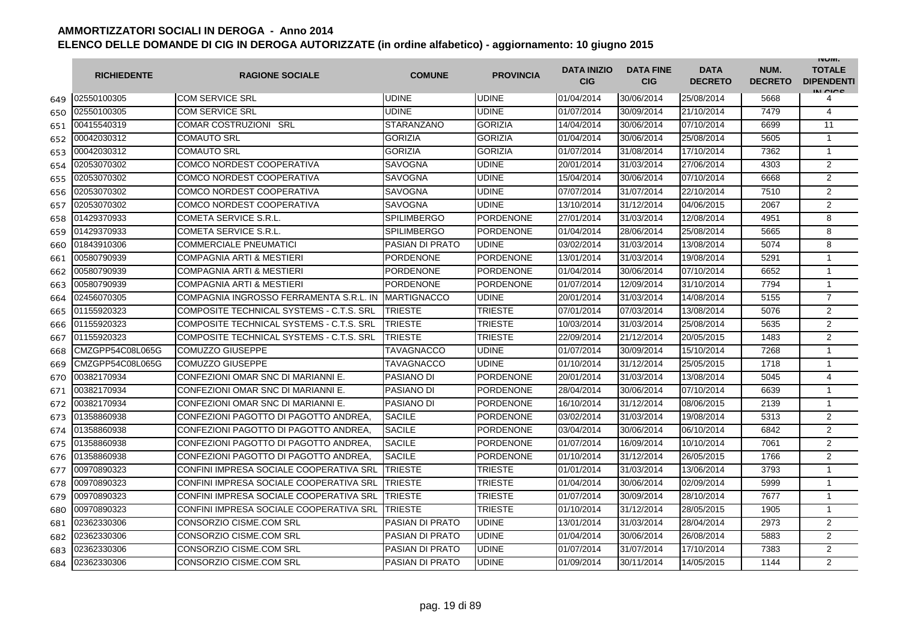|     | <b>RICHIEDENTE</b> | <b>RAGIONE SOCIALE</b>                   | <b>COMUNE</b>          | <b>PROVINCIA</b> | <b>DATA INIZIO</b><br><b>CIG</b> | <b>DATA FINE</b><br><b>CIG</b> | <b>DATA</b><br><b>DECRETO</b> | NUM.<br><b>DECRETO</b> | <b>INUIVI.</b><br><b>TOTALE</b><br><b>DIPENDENTI</b><br>IN CIGO |
|-----|--------------------|------------------------------------------|------------------------|------------------|----------------------------------|--------------------------------|-------------------------------|------------------------|-----------------------------------------------------------------|
| 649 | 02550100305        | <b>COM SERVICE SRL</b>                   | <b>UDINE</b>           | <b>UDINE</b>     | 01/04/2014                       | 30/06/2014                     | 25/08/2014                    | 5668                   | 4                                                               |
| 650 | 02550100305        | <b>COM SERVICE SRL</b>                   | UDINE                  | <b>UDINE</b>     | 01/07/2014                       | 30/09/2014                     | 21/10/2014                    | 7479                   | 4                                                               |
| 651 | 00415540319        | <b>COMAR COSTRUZIONI SRL</b>             | <b>STARANZANO</b>      | <b>GORIZIA</b>   | 14/04/2014                       | 30/06/2014                     | 07/10/2014                    | 6699                   | 11                                                              |
| 652 | 00042030312        | <b>COMAUTO SRL</b>                       | <b>GORIZIA</b>         | <b>GORIZIA</b>   | 01/04/2014                       | 30/06/2014                     | 25/08/2014                    | 5605                   | 1                                                               |
| 653 | 00042030312        | <b>COMAUTO SRL</b>                       | <b>GORIZIA</b>         | <b>GORIZIA</b>   | 01/07/2014                       | 31/08/2014                     | 17/10/2014                    | 7362                   | $\mathbf{1}$                                                    |
| 654 | 02053070302        | <b>COMCO NORDEST COOPERATIVA</b>         | <b>SAVOGNA</b>         | <b>UDINE</b>     | 20/01/2014                       | 31/03/2014                     | 27/06/2014                    | 4303                   | 2                                                               |
| 655 | 02053070302        | <b>COMCO NORDEST COOPERATIVA</b>         | <b>SAVOGNA</b>         | <b>UDINE</b>     | 15/04/2014                       | 30/06/2014                     | 07/10/2014                    | 6668                   | 2                                                               |
| 656 | 02053070302        | <b>COMCO NORDEST COOPERATIVA</b>         | <b>SAVOGNA</b>         | <b>UDINE</b>     | 07/07/2014                       | 31/07/2014                     | 22/10/2014                    | 7510                   | 2                                                               |
| 657 | 02053070302        | COMCO NORDEST COOPERATIVA                | <b>SAVOGNA</b>         | <b>UDINE</b>     | 13/10/2014                       | 31/12/2014                     | 04/06/2015                    | 2067                   | 2                                                               |
| 658 | 01429370933        | COMETA SERVICE S.R.L.                    | <b>SPILIMBERGO</b>     | PORDENONE        | 27/01/2014                       | 31/03/2014                     | 12/08/2014                    | 4951                   | 8                                                               |
| 659 | 01429370933        | COMETA SERVICE S.R.L.                    | <b>SPILIMBERGO</b>     | <b>PORDENONE</b> | 01/04/2014                       | 28/06/2014                     | 25/08/2014                    | 5665                   | 8                                                               |
| 660 | 01843910306        | <b>COMMERCIALE PNEUMATICI</b>            | PASIAN DI PRATO        | <b>UDINE</b>     | 03/02/2014                       | 31/03/2014                     | 13/08/2014                    | 5074                   | 8                                                               |
| 661 | 00580790939        | <b>COMPAGNIA ARTI &amp; MESTIERI</b>     | <b>PORDENONE</b>       | <b>PORDENONE</b> | 13/01/2014                       | 31/03/2014                     | 19/08/2014                    | 5291                   | $\mathbf{1}$                                                    |
| 662 | 00580790939        | <b>COMPAGNIA ARTI &amp; MESTIERI</b>     | <b>PORDENONE</b>       | <b>PORDENONE</b> | 01/04/2014                       | 30/06/2014                     | 07/10/2014                    | 6652                   | $\mathbf{1}$                                                    |
| 663 | 00580790939        | <b>COMPAGNIA ARTI &amp; MESTIERI</b>     | <b>PORDENONE</b>       | <b>PORDENONE</b> | 01/07/2014                       | 12/09/2014                     | 31/10/2014                    | 7794                   | $\mathbf{1}$                                                    |
| 664 | 02456070305        | COMPAGNIA INGROSSO FERRAMENTA S.R.L. IN  | <b>MARTIGNACCO</b>     | <b>UDINE</b>     | 20/01/2014                       | 31/03/2014                     | 14/08/2014                    | 5155                   | $\overline{7}$                                                  |
| 665 | 01155920323        | COMPOSITE TECHNICAL SYSTEMS - C.T.S. SRL | <b>TRIESTE</b>         | <b>TRIESTE</b>   | 07/01/2014                       | 07/03/2014                     | 13/08/2014                    | 5076                   | $\overline{2}$                                                  |
| 666 | 01155920323        | COMPOSITE TECHNICAL SYSTEMS - C.T.S. SRL | <b>TRIESTE</b>         | TRIESTE          | 10/03/2014                       | 31/03/2014                     | 25/08/2014                    | 5635                   | $\overline{2}$                                                  |
| 667 | 01155920323        | COMPOSITE TECHNICAL SYSTEMS - C.T.S. SRL | TRIESTE                | TRIESTE          | 22/09/2014                       | 21/12/2014                     | 20/05/2015                    | 1483                   | 2                                                               |
| 668 | CMZGPP54C08L065G   | <b>COMUZZO GIUSEPPE</b>                  | <b>TAVAGNACCO</b>      | <b>UDINE</b>     | 01/07/2014                       | 30/09/2014                     | 15/10/2014                    | 7268                   | $\mathbf{1}$                                                    |
| 669 | CMZGPP54C08L065G   | <b>COMUZZO GIUSEPPE</b>                  | <b>TAVAGNACCO</b>      | <b>UDINE</b>     | 01/10/2014                       | 31/12/2014                     | 25/05/2015                    | 1718                   | $\mathbf{1}$                                                    |
| 670 | 00382170934        | CONFEZIONI OMAR SNC DI MARIANNI E.       | <b>PASIANO DI</b>      | <b>PORDENONE</b> | 20/01/2014                       | 31/03/2014                     | 13/08/2014                    | 5045                   | 4                                                               |
| 671 | 00382170934        | CONFEZIONI OMAR SNC DI MARIANNI E.       | PASIANO DI             | PORDENONE        | 28/04/2014                       | 30/06/2014                     | 07/10/2014                    | 6639                   | 1                                                               |
| 672 | 00382170934        | CONFEZIONI OMAR SNC DI MARIANNI E.       | PASIANO DI             | PORDENONE        | 16/10/2014                       | 31/12/2014                     | 08/06/2015                    | 2139                   | 1                                                               |
| 673 | 01358860938        | CONFEZIONI PAGOTTO DI PAGOTTO ANDREA.    | <b>SACILE</b>          | <b>PORDENONE</b> | 03/02/2014                       | 31/03/2014                     | 19/08/2014                    | 5313                   | 2                                                               |
| 674 | 01358860938        | CONFEZIONI PAGOTTO DI PAGOTTO ANDREA.    | <b>SACILE</b>          | <b>PORDENONE</b> | 03/04/2014                       | 30/06/2014                     | 06/10/2014                    | 6842                   | $\overline{2}$                                                  |
| 675 | 01358860938        | CONFEZIONI PAGOTTO DI PAGOTTO ANDREA.    | <b>SACILE</b>          | <b>PORDENONE</b> | 01/07/2014                       | 16/09/2014                     | 10/10/2014                    | 7061                   | $\overline{2}$                                                  |
| 676 | 01358860938        | CONFEZIONI PAGOTTO DI PAGOTTO ANDREA.    | <b>SACILE</b>          | <b>PORDENONE</b> | 01/10/2014                       | 31/12/2014                     | 26/05/2015                    | 1766                   | 2                                                               |
| 677 | 00970890323        | CONFINI IMPRESA SOCIALE COOPERATIVA SRL  | <b>TRIESTE</b>         | <b>TRIESTE</b>   | 01/01/2014                       | 31/03/2014                     | 13/06/2014                    | 3793                   | $\mathbf{1}$                                                    |
| 678 | 00970890323        | CONFINI IMPRESA SOCIALE COOPERATIVA SRI  | <b>TRIESTE</b>         | <b>TRIESTE</b>   | 01/04/2014                       | 30/06/2014                     | 02/09/2014                    | 5999                   | $\mathbf{1}$                                                    |
| 679 | 00970890323        | CONFINI IMPRESA SOCIALE COOPERATIVA SRL  | <b>TRIESTE</b>         | <b>TRIESTE</b>   | 01/07/2014                       | 30/09/2014                     | 28/10/2014                    | 7677                   | 1                                                               |
| 680 | 00970890323        | CONFINI IMPRESA SOCIALE COOPERATIVA SRL  | <b>TRIESTE</b>         | TRIESTE          | 01/10/2014                       | 31/12/2014                     | 28/05/2015                    | 1905                   | $\mathbf{1}$                                                    |
| 681 | 02362330306        | CONSORZIO CISME.COM SRL                  | <b>PASIAN DI PRATO</b> | <b>UDINE</b>     | 13/01/2014                       | 31/03/2014                     | 28/04/2014                    | 2973                   | $\overline{2}$                                                  |
| 682 | 02362330306        | CONSORZIO CISME.COM SRL                  | <b>PASIAN DI PRATO</b> | <b>UDINE</b>     | 01/04/2014                       | 30/06/2014                     | 26/08/2014                    | 5883                   | $\overline{2}$                                                  |
| 683 | 02362330306        | CONSORZIO CISME.COM SRL                  | <b>PASIAN DI PRATO</b> | <b>UDINE</b>     | 01/07/2014                       | 31/07/2014                     | 17/10/2014                    | 7383                   | $\overline{2}$                                                  |
| 684 | 02362330306        | <b>CONSORZIO CISME.COM SRL</b>           | <b>PASIAN DI PRATO</b> | <b>UDINE</b>     | 01/09/2014                       | 30/11/2014                     | 14/05/2015                    | 1144                   | $\overline{2}$                                                  |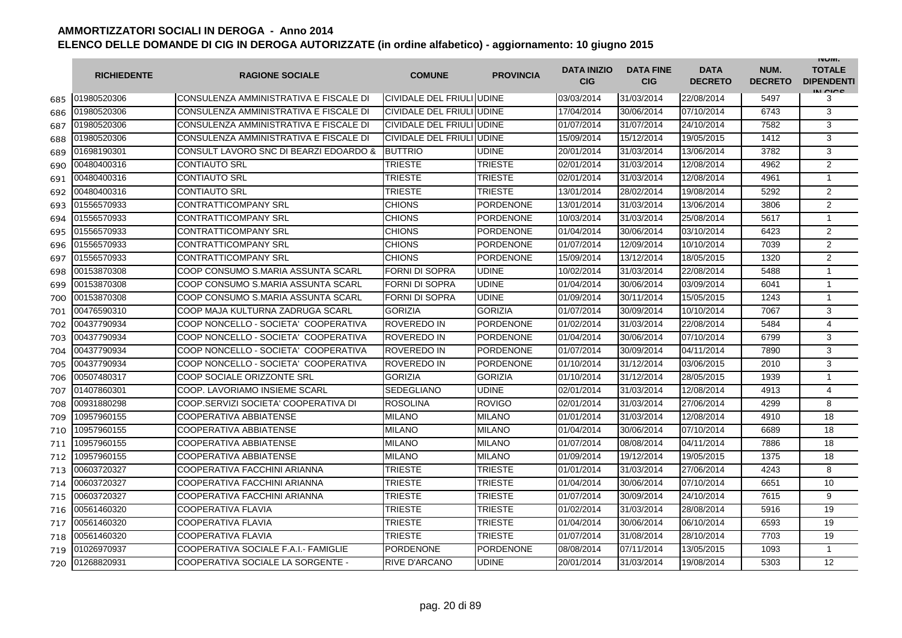|     | <b>RICHIEDENTE</b> | <b>RAGIONE SOCIALE</b>                 | <b>COMUNE</b>             | <b>PROVINCIA</b> | <b>DATA INIZIO</b><br><b>CIG</b> | <b>DATA FINE</b><br><b>CIG</b> | <b>DATA</b><br><b>DECRETO</b> | NUM.<br><b>DECRETO</b> | <b>INUIVI.</b><br><b>TOTALE</b><br><b>DIPENDENTI</b><br>IN CICS |
|-----|--------------------|----------------------------------------|---------------------------|------------------|----------------------------------|--------------------------------|-------------------------------|------------------------|-----------------------------------------------------------------|
| 685 | 01980520306        | CONSULENZA AMMINISTRATIVA E FISCALE DI | CIVIDALE DEL FRIULI UDINE |                  | 03/03/2014                       | 31/03/2014                     | 22/08/2014                    | 5497                   | 3                                                               |
| 686 | 01980520306        | CONSULENZA AMMINISTRATIVA E FISCALE DI | CIVIDALE DEL FRIULI UDINE |                  | 17/04/2014                       | 30/06/2014                     | 07/10/2014                    | 6743                   | 3                                                               |
| 687 | 01980520306        | CONSULENZA AMMINISTRATIVA E FISCALE DI | CIVIDALE DEL FRIULI UDINE |                  | 01/07/2014                       | 31/07/2014                     | 24/10/2014                    | 7582                   | 3                                                               |
| 688 | 01980520306        | CONSULENZA AMMINISTRATIVA E FISCALE DI | CIVIDALE DEL FRIULI UDINE |                  | 15/09/2014                       | 15/12/2014                     | 19/05/2015                    | 1412                   | 3                                                               |
| 689 | 01698190301        | CONSULT LAVORO SNC DI BEARZI EDOARDO & | <b>BUTTRIO</b>            | <b>UDINE</b>     | 20/01/2014                       | 31/03/2014                     | 13/06/2014                    | 3782                   | 3                                                               |
| 690 | 00480400316        | <b>CONTIAUTO SRL</b>                   | <b>TRIESTE</b>            | <b>TRIESTE</b>   | 02/01/2014                       | 31/03/2014                     | 12/08/2014                    | 4962                   | 2                                                               |
| 691 | 00480400316        | <b>CONTIAUTO SRL</b>                   | <b>TRIESTE</b>            | <b>TRIESTE</b>   | 02/01/2014                       | 31/03/2014                     | 12/08/2014                    | 4961                   | $\mathbf{1}$                                                    |
| 692 | 00480400316        | <b>CONTIAUTO SRL</b>                   | <b>TRIESTE</b>            | TRIESTE          | 13/01/2014                       | 28/02/2014                     | 19/08/2014                    | 5292                   | $\overline{2}$                                                  |
| 693 | 01556570933        | <b>CONTRATTICOMPANY SRL</b>            | <b>CHIONS</b>             | <b>PORDENONE</b> | 13/01/2014                       | 31/03/2014                     | 13/06/2014                    | 3806                   | 2                                                               |
| 694 | 01556570933        | <b>CONTRATTICOMPANY SRL</b>            | <b>CHIONS</b>             | <b>PORDENONE</b> | 10/03/2014                       | 31/03/2014                     | 25/08/2014                    | 5617                   | $\mathbf{1}$                                                    |
| 695 | 01556570933        | <b>CONTRATTICOMPANY SRL</b>            | <b>CHIONS</b>             | PORDENONE        | 01/04/2014                       | 30/06/2014                     | 03/10/2014                    | 6423                   | $\overline{2}$                                                  |
| 696 | 01556570933        | <b>CONTRATTICOMPANY SRL</b>            | <b>CHIONS</b>             | <b>PORDENONE</b> | 01/07/2014                       | 12/09/2014                     | 10/10/2014                    | 7039                   | 2                                                               |
| 697 | 01556570933        | <b>CONTRATTICOMPANY SRL</b>            | <b>CHIONS</b>             | <b>PORDENONE</b> | 15/09/2014                       | 13/12/2014                     | 18/05/2015                    | 1320                   | 2                                                               |
| 698 | 00153870308        | COOP CONSUMO S.MARIA ASSUNTA SCARL     | <b>FORNI DI SOPRA</b>     | <b>UDINE</b>     | 10/02/2014                       | 31/03/2014                     | 22/08/2014                    | 5488                   | $\mathbf{1}$                                                    |
| 699 | 00153870308        | COOP CONSUMO S.MARIA ASSUNTA SCARL     | <b>FORNI DI SOPRA</b>     | <b>UDINE</b>     | 01/04/2014                       | 30/06/2014                     | 03/09/2014                    | 6041                   | $\mathbf{1}$                                                    |
| 700 | 00153870308        | COOP CONSUMO S.MARIA ASSUNTA SCARL     | <b>FORNI DI SOPRA</b>     | <b>UDINE</b>     | 01/09/2014                       | 30/11/2014                     | 15/05/2015                    | 1243                   | $\mathbf{1}$                                                    |
| 701 | 00476590310        | COOP MAJA KULTURNA ZADRUGA SCARL       | <b>GORIZIA</b>            | <b>GORIZIA</b>   | 01/07/2014                       | 30/09/2014                     | 10/10/2014                    | 7067                   | 3                                                               |
| 702 | 00437790934        | COOP NONCELLO - SOCIETA' COOPERATIVA   | ROVEREDO IN               | PORDENONE        | 01/02/2014                       | 31/03/2014                     | 22/08/2014                    | 5484                   | $\overline{4}$                                                  |
| 703 | 00437790934        | COOP NONCELLO - SOCIETA' COOPERATIVA   | <b>ROVEREDO IN</b>        | <b>PORDENONE</b> | 01/04/2014                       | 30/06/2014                     | 07/10/2014                    | 6799                   | 3                                                               |
| 704 | 00437790934        | COOP NONCELLO - SOCIETA' COOPERATIVA   | <b>ROVEREDO IN</b>        | <b>PORDENONE</b> | 01/07/2014                       | 30/09/2014                     | 04/11/2014                    | 7890                   | 3                                                               |
| 705 | 00437790934        | COOP NONCELLO - SOCIETA' COOPERATIVA   | ROVEREDO IN               | <b>PORDENONE</b> | 01/10/2014                       | 31/12/2014                     | 03/06/2015                    | 2010                   | 3                                                               |
| 706 | 00507480317        | COOP SOCIALE ORIZZONTE SRL             | <b>GORIZIA</b>            | <b>GORIZIA</b>   | 01/10/2014                       | 31/12/2014                     | 28/05/2015                    | 1939                   | $\mathbf{1}$                                                    |
| 707 | 01407860301        | COOP. LAVORIAMO INSIEME SCARL          | <b>SEDEGLIANO</b>         | <b>UDINE</b>     | 02/01/2014                       | 31/03/2014                     | 12/08/2014                    | 4913                   | $\overline{4}$                                                  |
| 708 | 00931880298        | COOP.SERVIZI SOCIETA' COOPERATIVA DI   | <b>ROSOLINA</b>           | <b>ROVIGO</b>    | 02/01/2014                       | 31/03/2014                     | 27/06/2014                    | 4299                   | 8                                                               |
| 709 | 10957960155        | <b>COOPERATIVA ABBIATENSE</b>          | <b>MILANO</b>             | <b>MILANO</b>    | 01/01/2014                       | 31/03/2014                     | 12/08/2014                    | 4910                   | 18                                                              |
| 710 | 10957960155        | <b>COOPERATIVA ABBIATENSE</b>          | <b>MILANO</b>             | <b>MILANO</b>    | 01/04/2014                       | 30/06/2014                     | 07/10/2014                    | 6689                   | 18                                                              |
| 711 | 10957960155        | <b>COOPERATIVA ABBIATENSE</b>          | <b>MILANO</b>             | <b>MILANO</b>    | 01/07/2014                       | 08/08/2014                     | 04/11/2014                    | 7886                   | 18                                                              |
| 712 | 10957960155        | COOPERATIVA ABBIATENSE                 | <b>MILANO</b>             | <b>MILANO</b>    | 01/09/2014                       | 19/12/2014                     | 19/05/2015                    | 1375                   | 18                                                              |
| 713 | 00603720327        | COOPERATIVA FACCHINI ARIANNA           | <b>TRIESTE</b>            | <b>TRIESTE</b>   | 01/01/2014                       | 31/03/2014                     | 27/06/2014                    | 4243                   | 8                                                               |
| 714 | 00603720327        | COOPERATIVA FACCHINI ARIANNA           | TRIESTE                   | <b>TRIESTE</b>   | 01/04/2014                       | 30/06/2014                     | 07/10/2014                    | 6651                   | 10                                                              |
| 715 | 00603720327        | COOPERATIVA FACCHINI ARIANNA           | TRIESTE                   | TRIESTE          | 01/07/2014                       | 30/09/2014                     | 24/10/2014                    | 7615                   | 9                                                               |
| 716 | 00561460320        | <b>COOPERATIVA FLAVIA</b>              | TRIESTE                   | <b>TRIESTE</b>   | 01/02/2014                       | 31/03/2014                     | 28/08/2014                    | 5916                   | 19                                                              |
| 717 | 00561460320        | <b>COOPERATIVA FLAVIA</b>              | <b>TRIESTE</b>            | <b>TRIESTE</b>   | 01/04/2014                       | 30/06/2014                     | 06/10/2014                    | 6593                   | 19                                                              |
| 718 | 00561460320        | <b>COOPERATIVA FLAVIA</b>              | <b>TRIESTE</b>            | <b>TRIESTE</b>   | 01/07/2014                       | 31/08/2014                     | 28/10/2014                    | 7703                   | 19                                                              |
| 719 | 01026970937        | COOPERATIVA SOCIALE F.A.I. FAMIGLIE    | <b>PORDENONE</b>          | <b>PORDENONE</b> | 08/08/2014                       | 07/11/2014                     | 13/05/2015                    | 1093                   | $\mathbf{1}$                                                    |
| 720 | 01268820931        | COOPERATIVA SOCIALE LA SORGENTE -      | <b>RIVE D'ARCANO</b>      | <b>UDINE</b>     | 20/01/2014                       | 31/03/2014                     | 19/08/2014                    | 5303                   | 12                                                              |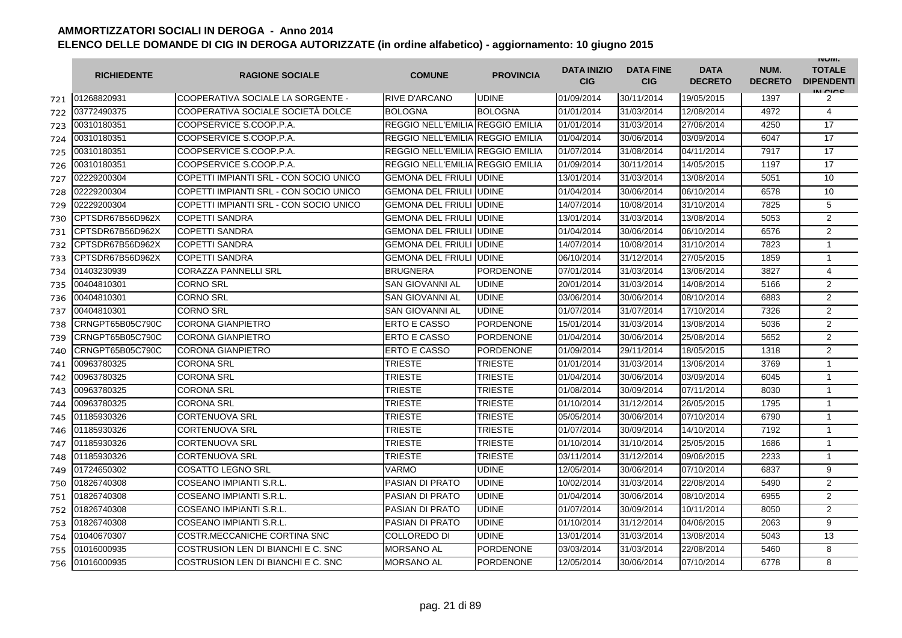|     | <b>RICHIEDENTE</b> | <b>RAGIONE SOCIALE</b>                 | <b>COMUNE</b>                    | <b>PROVINCIA</b> | <b>DATA INIZIO</b><br><b>CIG</b> | <b>DATA FINE</b><br><b>CIG</b> | <b>DATA</b><br><b>DECRETO</b> | NUM.<br><b>DECRETO</b> | <b>INUIVI.</b><br><b>TOTALE</b><br><b>DIPENDENTI</b><br>IN CICS |
|-----|--------------------|----------------------------------------|----------------------------------|------------------|----------------------------------|--------------------------------|-------------------------------|------------------------|-----------------------------------------------------------------|
| 721 | 01268820931        | COOPERATIVA SOCIALE LA SORGENTE -      | <b>RIVE D'ARCANO</b>             | <b>UDINE</b>     | 01/09/2014                       | 30/11/2014                     | 19/05/2015                    | 1397                   | 2                                                               |
| 722 | 03772490375        | COOPERATIVA SOCIALE SOCIETÀ DOLCE      | <b>BOLOGNA</b>                   | <b>BOLOGNA</b>   | 01/01/2014                       | 31/03/2014                     | 12/08/2014                    | 4972                   | $\overline{4}$                                                  |
| 723 | 00310180351        | COOPSERVICE S.COOP.P.A.                | REGGIO NELL'EMILIA REGGIO EMILIA |                  | 01/01/2014                       | 31/03/2014                     | 27/06/2014                    | 4250                   | 17                                                              |
| 724 | 00310180351        | COOPSERVICE S.COOP.P.A.                | REGGIO NELL'EMILIA REGGIO EMILIA |                  | 01/04/2014                       | 30/06/2014                     | 03/09/2014                    | 6047                   | 17                                                              |
| 725 | 00310180351        | COOPSERVICE S.COOP.P.A.                | REGGIO NELL'EMILIA REGGIO EMILIA |                  | 01/07/2014                       | 31/08/2014                     | 04/11/2014                    | 7917                   | 17                                                              |
| 726 | 00310180351        | COOPSERVICE S.COOP.P.A.                | REGGIO NELL'EMILIA REGGIO EMILIA |                  | 01/09/2014                       | 30/11/2014                     | 14/05/2015                    | 1197                   | 17                                                              |
| 727 | 02229200304        | COPETTI IMPIANTI SRL - CON SOCIO UNICO | <b>GEMONA DEL FRIULI</b>         | <b>UDINE</b>     | 13/01/2014                       | 31/03/2014                     | 13/08/2014                    | 5051                   | 10                                                              |
| 728 | 02229200304        | COPETTI IMPIANTI SRL - CON SOCIO UNICO | <b>GEMONA DEL FRIULI</b>         | <b>UDINE</b>     | 01/04/2014                       | 30/06/2014                     | 06/10/2014                    | 6578                   | 10                                                              |
| 729 | 02229200304        | COPETTI IMPIANTI SRL - CON SOCIO UNICO | <b>GEMONA DEL FRIULI</b>         | <b>UDINE</b>     | 14/07/2014                       | 10/08/2014                     | 31/10/2014                    | 7825                   | 5                                                               |
| 730 | CPTSDR67B56D962X   | <b>COPETTI SANDRA</b>                  | <b>GEMONA DEL FRIULI</b>         | <b>UDINE</b>     | 13/01/2014                       | 31/03/2014                     | 13/08/2014                    | 5053                   | $\overline{2}$                                                  |
| 731 | CPTSDR67B56D962X   | <b>COPETTI SANDRA</b>                  | <b>GEMONA DEL FRIULI</b>         | <b>UDINE</b>     | 01/04/2014                       | 30/06/2014                     | 06/10/2014                    | 6576                   | $\overline{2}$                                                  |
| 732 | CPTSDR67B56D962X   | <b>COPETTI SANDRA</b>                  | <b>GEMONA DEL FRIULI IUDINE</b>  |                  | 14/07/2014                       | 10/08/2014                     | 31/10/2014                    | 7823                   | $\mathbf{1}$                                                    |
| 733 | CPTSDR67B56D962X   | <b>COPETTI SANDRA</b>                  | <b>GEMONA DEL FRIULI JUDINE</b>  |                  | 06/10/2014                       | 31/12/2014                     | 27/05/2015                    | 1859                   | $\mathbf{1}$                                                    |
| 734 | 01403230939        | <b>CORAZZA PANNELLI SRL</b>            | <b>BRUGNERA</b>                  | <b>PORDENONE</b> | 07/01/2014                       | 31/03/2014                     | 13/06/2014                    | 3827                   | $\overline{4}$                                                  |
| 735 | 00404810301        | <b>CORNO SRL</b>                       | SAN GIOVANNI AL                  | <b>UDINE</b>     | 20/01/2014                       | 31/03/2014                     | 14/08/2014                    | 5166                   | 2                                                               |
| 736 | 00404810301        | <b>CORNO SRL</b>                       | <b>SAN GIOVANNI AL</b>           | <b>UDINE</b>     | 03/06/2014                       | 30/06/2014                     | 08/10/2014                    | 6883                   | $\overline{2}$                                                  |
| 737 | 00404810301        | <b>CORNO SRL</b>                       | <b>SAN GIOVANNI AL</b>           | <b>UDINE</b>     | 01/07/2014                       | 31/07/2014                     | 17/10/2014                    | 7326                   | 2                                                               |
| 738 | CRNGPT65B05C790C   | <b>CORONA GIANPIETRO</b>               | <b>ERTO E CASSO</b>              | PORDENONE        | 15/01/2014                       | 31/03/2014                     | 13/08/2014                    | 5036                   | $\overline{2}$                                                  |
| 739 | CRNGPT65B05C790C   | <b>CORONA GIANPIETRO</b>               | ERTO E CASSO                     | <b>PORDENONE</b> | 01/04/2014                       | 30/06/2014                     | 25/08/2014                    | 5652                   | $\overline{2}$                                                  |
| 740 | CRNGPT65B05C790C   | <b>CORONA GIANPIETRO</b>               | <b>ERTO E CASSO</b>              | <b>PORDENONE</b> | 01/09/2014                       | 29/11/2014                     | 18/05/2015                    | 1318                   | $\overline{2}$                                                  |
| 741 | 00963780325        | <b>CORONA SRL</b>                      | TRIESTE                          | <b>TRIESTE</b>   | 01/01/2014                       | 31/03/2014                     | 13/06/2014                    | 3769                   | $\mathbf{1}$                                                    |
| 742 | 00963780325        | <b>CORONA SRL</b>                      | TRIESTE                          | TRIESTE          | 01/04/2014                       | 30/06/2014                     | 03/09/2014                    | 6045                   | $\mathbf{1}$                                                    |
| 743 | 00963780325        | <b>CORONA SRL</b>                      | <b>TRIESTE</b>                   | <b>TRIESTE</b>   | 01/08/2014                       | 30/09/2014                     | 07/11/2014                    | 8030                   | $\mathbf{1}$                                                    |
| 744 | 00963780325        | <b>CORONA SRL</b>                      | TRIESTE                          | TRIESTE          | 01/10/2014                       | 31/12/2014                     | 26/05/2015                    | 1795                   | $\mathbf{1}$                                                    |
| 745 | 01185930326        | <b>CORTENUOVA SRL</b>                  | <b>TRIESTE</b>                   | <b>TRIESTE</b>   | 05/05/2014                       | 30/06/2014                     | 07/10/2014                    | 6790                   | $\mathbf{1}$                                                    |
| 746 | 01185930326        | <b>CORTENUOVA SRL</b>                  | <b>TRIESTE</b>                   | <b>TRIESTE</b>   | 01/07/2014                       | 30/09/2014                     | 14/10/2014                    | 7192                   | $\mathbf{1}$                                                    |
| 747 | 01185930326        | <b>CORTENUOVA SRL</b>                  | <b>TRIESTE</b>                   | <b>TRIESTE</b>   | 01/10/2014                       | 31/10/2014                     | 25/05/2015                    | 1686                   | $\mathbf{1}$                                                    |
| 748 | 01185930326        | <b>CORTENUOVA SRL</b>                  | <b>TRIESTE</b>                   | <b>TRIESTE</b>   | 03/11/2014                       | 31/12/2014                     | 09/06/2015                    | 2233                   | $\mathbf{1}$                                                    |
| 749 | 01724650302        | <b>COSATTO LEGNO SRL</b>               | <b>VARMO</b>                     | <b>UDINE</b>     | 12/05/2014                       | 30/06/2014                     | 07/10/2014                    | 6837                   | 9                                                               |
| 750 | 01826740308        | COSEANO IMPIANTI S.R.L.                | <b>PASIAN DI PRATO</b>           | <b>UDINE</b>     | 10/02/2014                       | 31/03/2014                     | 22/08/2014                    | 5490                   | $\overline{2}$                                                  |
| 751 | 01826740308        | COSEANO IMPIANTI S.R.L.                | <b>PASIAN DI PRATO</b>           | <b>UDINE</b>     | 01/04/2014                       | 30/06/2014                     | 08/10/2014                    | 6955                   | 2                                                               |
| 752 | 01826740308        | COSEANO IMPIANTI S.R.L                 | <b>PASIAN DI PRATO</b>           | <b>UDINE</b>     | 01/07/2014                       | 30/09/2014                     | 10/11/2014                    | 8050                   | $\overline{2}$                                                  |
| 753 | 01826740308        | COSEANO IMPIANTI S.R.L.                | <b>PASIAN DI PRATO</b>           | <b>UDINE</b>     | 01/10/2014                       | 31/12/2014                     | 04/06/2015                    | 2063                   | 9                                                               |
| 754 | 01040670307        | COSTR.MECCANICHE CORTINA SNC           | <b>COLLOREDO DI</b>              | <b>UDINE</b>     | 13/01/2014                       | 31/03/2014                     | 13/08/2014                    | 5043                   | 13                                                              |
| 755 | 01016000935        | COSTRUSION LEN DI BIANCHI E C. SNC     | <b>MORSANO AL</b>                | <b>PORDENONE</b> | 03/03/2014                       | 31/03/2014                     | 22/08/2014                    | 5460                   | 8                                                               |
| 756 | 01016000935        | COSTRUSION LEN DI BIANCHI E C. SNC     | <b>MORSANO AL</b>                | <b>PORDENONE</b> | 12/05/2014                       | 30/06/2014                     | 07/10/2014                    | 6778                   | 8                                                               |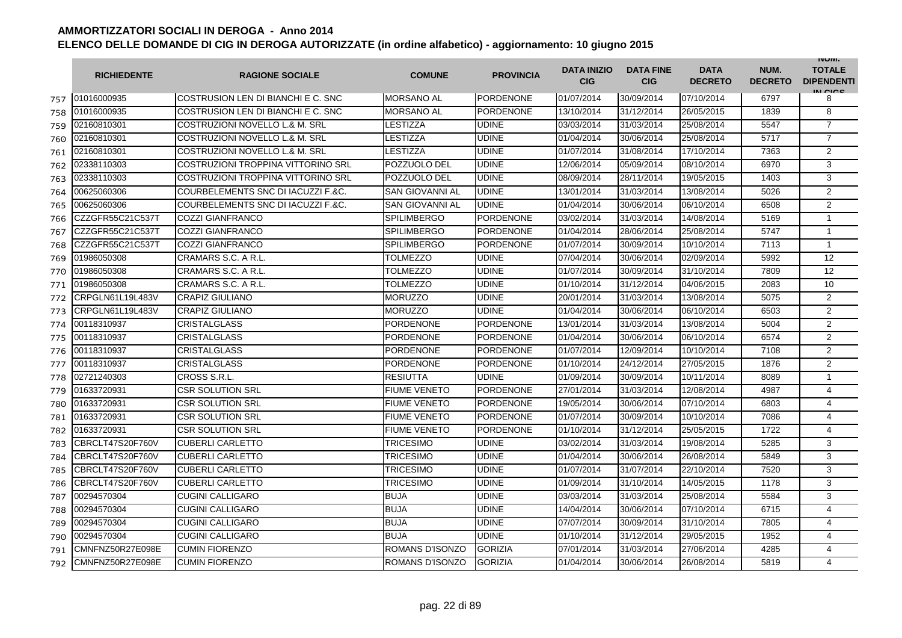|     | <b>RICHIEDENTE</b> | <b>RAGIONE SOCIALE</b>             | <b>COMUNE</b>          | <b>PROVINCIA</b> | <b>DATA INIZIO</b><br><b>CIG</b> | <b>DATA FINE</b><br><b>CIG</b> | <b>DATA</b><br><b>DECRETO</b> | NUM.<br><b>DECRETO</b> | <b>INUIVI.</b><br><b>TOTALE</b><br><b>DIPENDENTI</b><br>IN CIGO |
|-----|--------------------|------------------------------------|------------------------|------------------|----------------------------------|--------------------------------|-------------------------------|------------------------|-----------------------------------------------------------------|
| 757 | 01016000935        | COSTRUSION LEN DI BIANCHI E C. SNC | <b>MORSANO AL</b>      | <b>PORDENONE</b> | 01/07/2014                       | 30/09/2014                     | 07/10/2014                    | 6797                   | 8                                                               |
| 758 | 01016000935        | COSTRUSION LEN DI BIANCHI E C. SNC | <b>MORSANO AL</b>      | <b>PORDENONE</b> | 13/10/2014                       | 31/12/2014                     | 26/05/2015                    | 1839                   | 8                                                               |
| 759 | 02160810301        | COSTRUZIONI NOVELLO L.& M. SRL     | LESTIZZA               | <b>UDINE</b>     | 03/03/2014                       | 31/03/2014                     | 25/08/2014                    | 5547                   | $\overline{7}$                                                  |
| 760 | 02160810301        | COSTRUZIONI NOVELLO L.& M. SRL     | LESTIZZA               | <b>UDINE</b>     | 01/04/2014                       | 30/06/2014                     | 25/08/2014                    | 5717                   | $\overline{7}$                                                  |
| 761 | 02160810301        | COSTRUZIONI NOVELLO L.& M. SRL     | LESTIZZA               | <b>UDINE</b>     | 01/07/2014                       | 31/08/2014                     | 17/10/2014                    | 7363                   | 2                                                               |
| 762 | 02338110303        | COSTRUZIONI TROPPINA VITTORINO SRL | POZZUOLO DEL           | <b>UDINE</b>     | 12/06/2014                       | 05/09/2014                     | 08/10/2014                    | 6970                   | 3                                                               |
| 763 | 02338110303        | COSTRUZIONI TROPPINA VITTORINO SRL | POZZUOLO DEL           | <b>UDINE</b>     | 08/09/2014                       | 28/11/2014                     | 19/05/2015                    | 1403                   | 3                                                               |
| 764 | 00625060306        | COURBELEMENTS SNC DI IACUZZI F.&C. | <b>SAN GIOVANNI AL</b> | <b>UDINE</b>     | 13/01/2014                       | 31/03/2014                     | 13/08/2014                    | 5026                   | 2                                                               |
| 765 | 00625060306        | COURBELEMENTS SNC DI IACUZZI F.&C. | <b>SAN GIOVANNI AL</b> | <b>UDINE</b>     | 01/04/2014                       | 30/06/2014                     | 06/10/2014                    | 6508                   | 2                                                               |
| 766 | CZZGFR55C21C537T   | <b>COZZI GIANFRANCO</b>            | <b>SPILIMBERGO</b>     | PORDENONE        | 03/02/2014                       | 31/03/2014                     | 14/08/2014                    | 5169                   | $\mathbf{1}$                                                    |
| 767 | CZZGFR55C21C537T   | <b>COZZI GIANFRANCO</b>            | <b>SPILIMBERGO</b>     | <b>PORDENONE</b> | 01/04/2014                       | 28/06/2014                     | 25/08/2014                    | 5747                   | 1                                                               |
| 768 | CZZGFR55C21C537T   | <b>COZZI GIANFRANCO</b>            | <b>SPILIMBERGO</b>     | <b>PORDENONE</b> | 01/07/2014                       | 30/09/2014                     | 10/10/2014                    | 7113                   | $\mathbf{1}$                                                    |
| 769 | 01986050308        | CRAMARS S.C. A R.L.                | TOLMEZZO               | <b>UDINE</b>     | 07/04/2014                       | 30/06/2014                     | 02/09/2014                    | 5992                   | 12                                                              |
| 770 | 01986050308        | CRAMARS S.C. A R.L.                | TOLMEZZO               | <b>UDINE</b>     | 01/07/2014                       | 30/09/2014                     | 31/10/2014                    | 7809                   | $12 \overline{ }$                                               |
| 771 | 01986050308        | CRAMARS S.C. A R.L.                | TOLMEZZO               | <b>UDINE</b>     | 01/10/2014                       | 31/12/2014                     | 04/06/2015                    | 2083                   | 10                                                              |
| 772 | CRPGLN61L19L483V   | <b>CRAPIZ GIULIANO</b>             | <b>MORUZZO</b>         | <b>UDINE</b>     | 20/01/2014                       | 31/03/2014                     | 13/08/2014                    | 5075                   | 2                                                               |
| 773 | CRPGLN61L19L483V   | <b>CRAPIZ GIULIANO</b>             | <b>MORUZZO</b>         | <b>UDINE</b>     | 01/04/2014                       | 30/06/2014                     | 06/10/2014                    | 6503                   | $\overline{2}$                                                  |
| 774 | 00118310937        | <b>CRISTALGLASS</b>                | <b>PORDENONE</b>       | PORDENONE        | 13/01/2014                       | 31/03/2014                     | 13/08/2014                    | 5004                   | $\overline{2}$                                                  |
| 775 | 00118310937        | <b>CRISTALGLASS</b>                | <b>PORDENONE</b>       | <b>PORDENONE</b> | 01/04/2014                       | 30/06/2014                     | 06/10/2014                    | 6574                   | 2                                                               |
| 776 | 00118310937        | <b>CRISTALGLASS</b>                | <b>PORDENONE</b>       | <b>PORDENONE</b> | 01/07/2014                       | 12/09/2014                     | 10/10/2014                    | 7108                   | $\overline{2}$                                                  |
| 777 | 00118310937        | <b>CRISTALGLASS</b>                | <b>PORDENONE</b>       | <b>PORDENONE</b> | 01/10/2014                       | 24/12/2014                     | 27/05/2015                    | 1876                   | $\overline{2}$                                                  |
| 778 | 02721240303        | CROSS S.R.L.                       | <b>RESIUTTA</b>        | <b>UDINE</b>     | 01/09/2014                       | 30/09/2014                     | 10/11/2014                    | 8089                   | $\mathbf{1}$                                                    |
| 779 | 01633720931        | <b>CSR SOLUTION SRL</b>            | <b>FIUME VENETO</b>    | PORDENONE        | 27/01/2014                       | 31/03/2014                     | 12/08/2014                    | 4987                   | 4                                                               |
| 780 | 01633720931        | <b>CSR SOLUTION SRL</b>            | <b>FIUME VENETO</b>    | PORDENONE        | 19/05/2014                       | 30/06/2014                     | 07/10/2014                    | 6803                   | $\overline{4}$                                                  |
| 781 | 01633720931        | <b>CSR SOLUTION SRL</b>            | FIUME VENETO           | <b>PORDENONE</b> | 01/07/2014                       | 30/09/2014                     | 10/10/2014                    | 7086                   | 4                                                               |
| 782 | 01633720931        | <b>CSR SOLUTION SRL</b>            | <b>FIUME VENETO</b>    | <b>PORDENONE</b> | 01/10/2014                       | 31/12/2014                     | 25/05/2015                    | 1722                   | 4                                                               |
| 783 | CBRCLT47S20F760V   | <b>CUBERLI CARLETTO</b>            | TRICESIMO              | <b>UDINE</b>     | 03/02/2014                       | 31/03/2014                     | 19/08/2014                    | 5285                   | 3                                                               |
| 784 | CBRCLT47S20F760V   | <b>CUBERLI CARLETTO</b>            | TRICESIMO              | <b>UDINE</b>     | 01/04/2014                       | 30/06/2014                     | 26/08/2014                    | 5849                   | 3                                                               |
| 785 | CBRCLT47S20F760V   | <b>CUBERLI CARLETTO</b>            | TRICESIMO              | <b>UDINE</b>     | 01/07/2014                       | 31/07/2014                     | 22/10/2014                    | 7520                   | 3                                                               |
| 786 | CBRCLT47S20F760V   | <b>CUBERLI CARLETTO</b>            | TRICESIMO              | UDINE            | 01/09/2014                       | 31/10/2014                     | 14/05/2015                    | 1178                   | 3                                                               |
| 787 | 00294570304        | <b>CUGINI CALLIGARO</b>            | <b>BUJA</b>            | <b>UDINE</b>     | 03/03/2014                       | 31/03/2014                     | 25/08/2014                    | 5584                   | 3                                                               |
| 788 | 00294570304        | <b>CUGINI CALLIGARO</b>            | <b>BUJA</b>            | <b>UDINE</b>     | 14/04/2014                       | 30/06/2014                     | 07/10/2014                    | 6715                   | $\overline{4}$                                                  |
| 789 | 00294570304        | <b>CUGINI CALLIGARO</b>            | <b>BUJA</b>            | <b>UDINE</b>     | 07/07/2014                       | 30/09/2014                     | 31/10/2014                    | 7805                   | $\overline{4}$                                                  |
| 790 | 00294570304        | <b>CUGINI CALLIGARO</b>            | <b>BUJA</b>            | <b>UDINE</b>     | 01/10/2014                       | 31/12/2014                     | 29/05/2015                    | 1952                   | 4                                                               |
| 791 | CMNFNZ50R27E098E   | <b>CUMIN FIORENZO</b>              | ROMANS D'ISONZO        | <b>GORIZIA</b>   | 07/01/2014                       | 31/03/2014                     | 27/06/2014                    | 4285                   | 4                                                               |
| 792 | CMNFNZ50R27E098E   | <b>CUMIN FIORENZO</b>              | ROMANS D'ISONZO        | <b>GORIZIA</b>   | 01/04/2014                       | 30/06/2014                     | 26/08/2014                    | 5819                   | 4                                                               |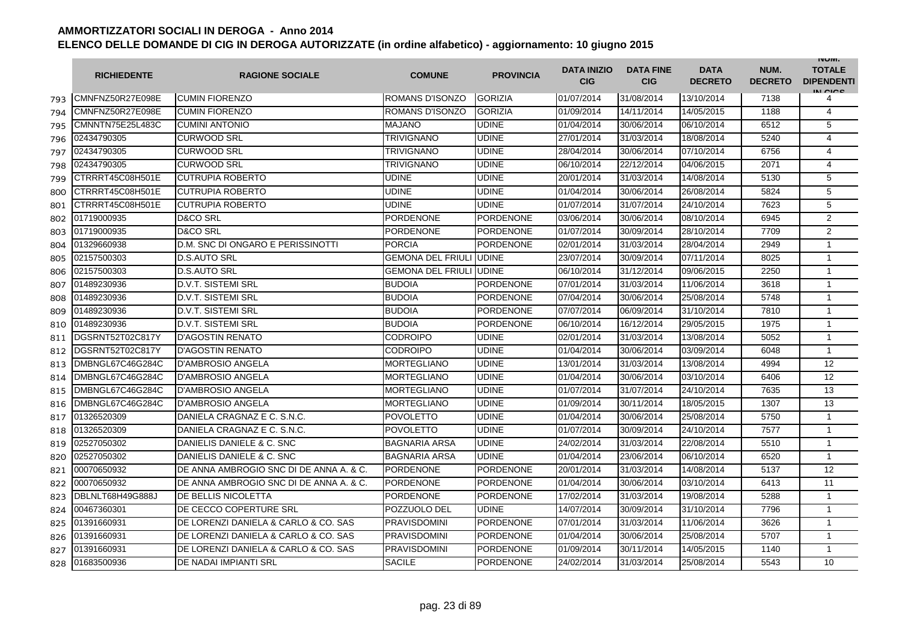|     | <b>RICHIEDENTE</b> | <b>RAGIONE SOCIALE</b>                  | <b>COMUNE</b>                   | <b>PROVINCIA</b> | <b>DATA INIZIO</b><br><b>CIG</b> | <b>DATA FINE</b><br><b>CIG</b> | <b>DATA</b><br><b>DECRETO</b> | NUM.<br><b>DECRETO</b> | <b>INUIVI.</b><br><b>TOTALE</b><br><b>DIPENDENTI</b><br>IN CICO |
|-----|--------------------|-----------------------------------------|---------------------------------|------------------|----------------------------------|--------------------------------|-------------------------------|------------------------|-----------------------------------------------------------------|
| 793 | CMNFNZ50R27E098E   | <b>CUMIN FIORENZO</b>                   | <b>ROMANS D'ISONZO</b>          | <b>GORIZIA</b>   | 01/07/2014                       | 31/08/2014                     | 13/10/2014                    | 7138                   | 4                                                               |
| 794 | CMNFNZ50R27E098E   | <b>CUMIN FIORENZO</b>                   | ROMANS D'ISONZO                 | <b>GORIZIA</b>   | 01/09/2014                       | 14/11/2014                     | 14/05/2015                    | 1188                   | 4                                                               |
| 795 | CMNNTN75E25L483C   | <b>CUMINI ANTONIO</b>                   | <b>MAJANO</b>                   | <b>UDINE</b>     | 01/04/2014                       | 30/06/2014                     | 06/10/2014                    | 6512                   | 5                                                               |
| 796 | 02434790305        | <b>CURWOOD SRL</b>                      | <b>TRIVIGNANO</b>               | <b>UDINE</b>     | 27/01/2014                       | 31/03/2014                     | 18/08/2014                    | 5240                   | $\overline{4}$                                                  |
| 797 | 02434790305        | <b>CURWOOD SRL</b>                      | TRIVIGNANO                      | <b>UDINE</b>     | 28/04/2014                       | 30/06/2014                     | 07/10/2014                    | 6756                   | 4                                                               |
| 798 | 02434790305        | <b>CURWOOD SRL</b>                      | <b>TRIVIGNANO</b>               | <b>UDINE</b>     | 06/10/2014                       | 22/12/2014                     | 04/06/2015                    | 2071                   | 4                                                               |
| 799 | CTRRRT45C08H501E   | <b>CUTRUPIA ROBERTO</b>                 | <b>UDINE</b>                    | <b>UDINE</b>     | 20/01/2014                       | 31/03/2014                     | 14/08/2014                    | 5130                   | 5                                                               |
| 800 | CTRRRT45C08H501E   | <b>CUTRUPIA ROBERTO</b>                 | <b>UDINE</b>                    | <b>UDINE</b>     | 01/04/2014                       | 30/06/2014                     | 26/08/2014                    | 5824                   | 5                                                               |
| 801 | CTRRRT45C08H501E   | <b>CUTRUPIA ROBERTO</b>                 | <b>UDINE</b>                    | <b>UDINE</b>     | 01/07/2014                       | 31/07/2014                     | 24/10/2014                    | 7623                   | 5                                                               |
| 802 | 01719000935        | <b>D&amp;CO SRL</b>                     | PORDENONE                       | PORDENONE        | 03/06/2014                       | 30/06/2014                     | 08/10/2014                    | 6945                   | $\overline{2}$                                                  |
| 803 | 01719000935        | <b>D&amp;CO SRL</b>                     | <b>PORDENONE</b>                | PORDENONE        | 01/07/2014                       | 30/09/2014                     | 28/10/2014                    | 7709                   | $\overline{2}$                                                  |
| 804 | 01329660938        | D.M. SNC DI ONGARO E PERISSINOTTI       | <b>PORCIA</b>                   | <b>PORDENONE</b> | 02/01/2014                       | 31/03/2014                     | 28/04/2014                    | 2949                   | $\mathbf{1}$                                                    |
| 805 | 02157500303        | <b>D.S.AUTO SRL</b>                     | <b>GEMONA DEL FRIULI UDINE</b>  |                  | 23/07/2014                       | 30/09/2014                     | 07/11/2014                    | 8025                   | $\mathbf{1}$                                                    |
| 806 | 02157500303        | <b>D.S.AUTO SRL</b>                     | <b>GEMONA DEL FRIULI JUDINE</b> |                  | 06/10/2014                       | 31/12/2014                     | 09/06/2015                    | 2250                   | 1                                                               |
| 807 | 01489230936        | <b>D.V.T. SISTEMI SRL</b>               | <b>BUDOIA</b>                   | <b>PORDENONE</b> | 07/01/2014                       | 31/03/2014                     | 11/06/2014                    | 3618                   | $\mathbf{1}$                                                    |
| 808 | 01489230936        | <b>D.V.T. SISTEMI SRL</b>               | <b>BUDOIA</b>                   | <b>PORDENONE</b> | 07/04/2014                       | 30/06/2014                     | 25/08/2014                    | 5748                   | $\mathbf{1}$                                                    |
| 809 | 01489230936        | D.V.T. SISTEMI SRL                      | <b>BUDOIA</b>                   | PORDENONE        | 07/07/2014                       | 06/09/2014                     | 31/10/2014                    | 7810                   | $\mathbf{1}$                                                    |
| 810 | 01489230936        | <b>D.V.T. SISTEMI SRL</b>               | <b>BUDOIA</b>                   | <b>PORDENONE</b> | 06/10/2014                       | 16/12/2014                     | 29/05/2015                    | 1975                   | 1                                                               |
| 811 | DGSRNT52T02C817Y   | <b>D'AGOSTIN RENATO</b>                 | <b>CODROIPO</b>                 | <b>UDINE</b>     | 02/01/2014                       | 31/03/2014                     | 13/08/2014                    | 5052                   | $\mathbf{1}$                                                    |
| 812 | DGSRNT52T02C817Y   | <b>D'AGOSTIN RENATO</b>                 | <b>CODROIPO</b>                 | <b>UDINE</b>     | 01/04/2014                       | 30/06/2014                     | 03/09/2014                    | 6048                   | $\mathbf{1}$                                                    |
| 813 | DMBNGL67C46G284C   | <b>D'AMBROSIO ANGELA</b>                | <b>MORTEGLIANO</b>              | <b>UDINE</b>     | 13/01/2014                       | 31/03/2014                     | 13/08/2014                    | 4994                   | 12                                                              |
| 814 | DMBNGL67C46G284C   | <b>D'AMBROSIO ANGELA</b>                | <b>MORTEGLIANO</b>              | <b>UDINE</b>     | 01/04/2014                       | 30/06/2014                     | 03/10/2014                    | 6406                   | 12                                                              |
| 815 | DMBNGL67C46G284C   | <b>D'AMBROSIO ANGELA</b>                | <b>MORTEGLIANO</b>              | <b>UDINE</b>     | 01/07/2014                       | 31/07/2014                     | 24/10/2014                    | 7635                   | 13                                                              |
| 816 | DMBNGL67C46G284C   | <b>D'AMBROSIO ANGELA</b>                | <b>MORTEGLIANO</b>              | <b>UDINE</b>     | 01/09/2014                       | 30/11/2014                     | 18/05/2015                    | 1307                   | 13                                                              |
| 817 | 01326520309        | DANIELA CRAGNAZ E C. S.N.C.             | <b>POVOLETTO</b>                | <b>UDINE</b>     | 01/04/2014                       | 30/06/2014                     | 25/08/2014                    | 5750                   | $\mathbf{1}$                                                    |
| 818 | 01326520309        | DANIELA CRAGNAZ E C. S.N.C.             | <b>POVOLETTO</b>                | <b>UDINE</b>     | 01/07/2014                       | 30/09/2014                     | 24/10/2014                    | 7577                   | $\mathbf{1}$                                                    |
| 819 | 02527050302        | DANIELIS DANIELE & C. SNC               | <b>BAGNARIA ARSA</b>            | <b>UDINE</b>     | 24/02/2014                       | 31/03/2014                     | 22/08/2014                    | 5510                   | $\mathbf{1}$                                                    |
| 820 | 02527050302        | DANIELIS DANIELE & C. SNC               | <b>BAGNARIA ARSA</b>            | <b>UDINE</b>     | 01/04/2014                       | 23/06/2014                     | 06/10/2014                    | 6520                   | $\mathbf{1}$                                                    |
| 821 | 00070650932        | DE ANNA AMBROGIO SNC DI DE ANNA A. & C. | <b>PORDENONE</b>                | <b>PORDENONE</b> | 20/01/2014                       | 31/03/2014                     | 14/08/2014                    | 5137                   | 12                                                              |
| 822 | 00070650932        | DE ANNA AMBROGIO SNC DI DE ANNA A. & C. | <b>PORDENONE</b>                | <b>PORDENONE</b> | 01/04/2014                       | 30/06/2014                     | 03/10/2014                    | 6413                   | 11                                                              |
| 823 | DBLNLT68H49G888J   | DE BELLIS NICOLETTA                     | <b>PORDENONE</b>                | PORDENONE        | 17/02/2014                       | 31/03/2014                     | 19/08/2014                    | 5288                   | 1                                                               |
| 824 | 00467360301        | DE CECCO COPERTURE SRL                  | POZZUOLO DEL                    | <b>UDINE</b>     | 14/07/2014                       | 30/09/2014                     | 31/10/2014                    | 7796                   | $\mathbf{1}$                                                    |
| 825 | 01391660931        | DE LORENZI DANIELA & CARLO & CO. SAS    | <b>PRAVISDOMINI</b>             | <b>PORDENONE</b> | 07/01/2014                       | 31/03/2014                     | 11/06/2014                    | 3626                   | $\mathbf{1}$                                                    |
| 826 | 01391660931        | DE LORENZI DANIELA & CARLO & CO. SAS    | <b>PRAVISDOMINI</b>             | <b>PORDENONE</b> | 01/04/2014                       | 30/06/2014                     | 25/08/2014                    | 5707                   | $\mathbf{1}$                                                    |
| 827 | 01391660931        | DE LORENZI DANIELA & CARLO & CO. SAS    | <b>PRAVISDOMINI</b>             | <b>PORDENONE</b> | 01/09/2014                       | 30/11/2014                     | 14/05/2015                    | 1140                   | $\mathbf{1}$                                                    |
| 828 | 01683500936        | DE NADAI IMPIANTI SRL                   | <b>SACILE</b>                   | <b>PORDENONE</b> | 24/02/2014                       | 31/03/2014                     | 25/08/2014                    | 5543                   | 10                                                              |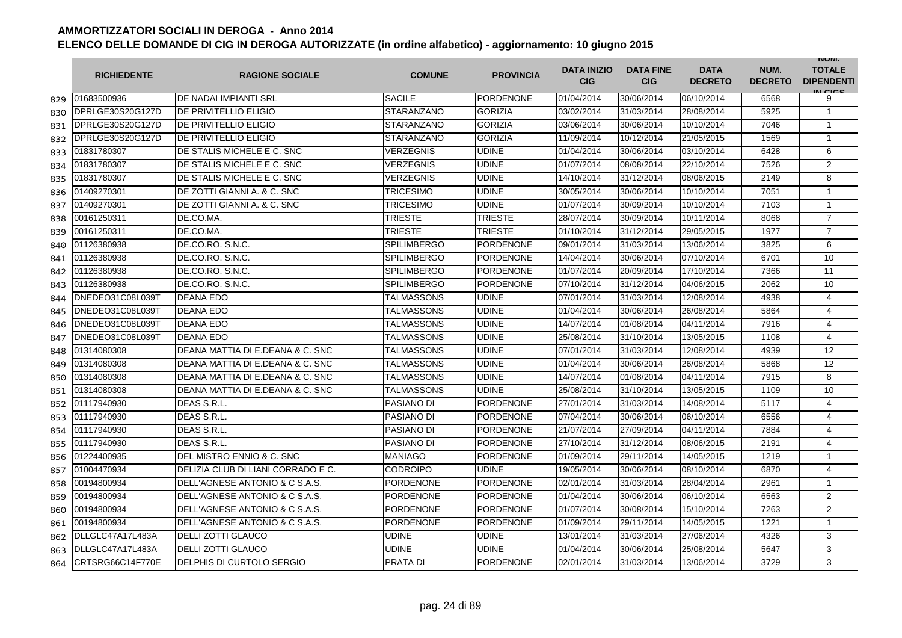|     | <b>RICHIEDENTE</b> | <b>RAGIONE SOCIALE</b>             | <b>COMUNE</b>      | <b>PROVINCIA</b> | <b>DATA INIZIO</b><br><b>CIG</b> | <b>DATA FINE</b><br><b>CIG</b> | <b>DATA</b><br><b>DECRETO</b> | NUM.<br><b>DECRETO</b> | <b>INUIVI.</b><br><b>TOTALE</b><br><b>DIPENDENTI</b><br>IN CICS |
|-----|--------------------|------------------------------------|--------------------|------------------|----------------------------------|--------------------------------|-------------------------------|------------------------|-----------------------------------------------------------------|
| 829 | 01683500936        | DE NADAI IMPIANTI SRL              | <b>SACILE</b>      | PORDENONE        | 01/04/2014                       | 30/06/2014                     | 06/10/2014                    | 6568                   | 9                                                               |
| 830 | DPRLGE30S20G127D   | DE PRIVITELLIO ELIGIO              | <b>STARANZANO</b>  | <b>GORIZIA</b>   | 03/02/2014                       | 31/03/2014                     | 28/08/2014                    | 5925                   | $\mathbf{1}$                                                    |
| 831 | DPRLGE30S20G127D   | <b>DE PRIVITELLIO ELIGIO</b>       | <b>STARANZANO</b>  | <b>GORIZIA</b>   | 03/06/2014                       | 30/06/2014                     | 10/10/2014                    | 7046                   | 1                                                               |
| 832 | DPRLGE30S20G127D   | DE PRIVITELLIO ELIGIO              | <b>STARANZANO</b>  | <b>GORIZIA</b>   | 11/09/2014                       | 10/12/2014                     | 21/05/2015                    | 1569                   | $\mathbf{1}$                                                    |
| 833 | 01831780307        | DE STALIS MICHELE E C. SNC         | VERZEGNIS          | <b>UDINE</b>     | 01/04/2014                       | 30/06/2014                     | 03/10/2014                    | 6428                   | 6                                                               |
| 834 | 01831780307        | DE STALIS MICHELE E C. SNC         | <b>VERZEGNIS</b>   | <b>UDINE</b>     | 01/07/2014                       | 08/08/2014                     | 22/10/2014                    | 7526                   | 2                                                               |
| 835 | 01831780307        | DE STALIS MICHELE E C. SNC         | <b>VERZEGNIS</b>   | <b>UDINE</b>     | 14/10/2014                       | 31/12/2014                     | 08/06/2015                    | 2149                   | 8                                                               |
| 836 | 01409270301        | DE ZOTTI GIANNI A. & C. SNC        | <b>TRICESIMO</b>   | <b>UDINE</b>     | 30/05/2014                       | 30/06/2014                     | 10/10/2014                    | 7051                   | 1                                                               |
| 837 | 01409270301        | DE ZOTTI GIANNI A. & C. SNC        | <b>TRICESIMO</b>   | <b>UDINE</b>     | 01/07/2014                       | 30/09/2014                     | 10/10/2014                    | 7103                   | 1                                                               |
| 838 | 00161250311        | DE.CO.MA.                          | <b>TRIESTE</b>     | <b>TRIESTE</b>   | 28/07/2014                       | 30/09/2014                     | 10/11/2014                    | 8068                   | $\overline{7}$                                                  |
| 839 | 00161250311        | DE.CO.MA.                          | TRIESTE            | <b>TRIESTE</b>   | 01/10/2014                       | 31/12/2014                     | 29/05/2015                    | 1977                   | $\overline{7}$                                                  |
| 840 | 01126380938        | DE.CO.RO. S.N.C.                   | <b>SPILIMBERGO</b> | <b>PORDENONE</b> | 09/01/2014                       | 31/03/2014                     | 13/06/2014                    | 3825                   | 6                                                               |
| 841 | 01126380938        | DE.CO.RO. S.N.C.                   | <b>SPILIMBERGO</b> | <b>PORDENONE</b> | 14/04/2014                       | 30/06/2014                     | 07/10/2014                    | 6701                   | 10                                                              |
| 842 | 01126380938        | DE.CO.RO. S.N.C.                   | <b>SPILIMBERGO</b> | PORDENONE        | 01/07/2014                       | 20/09/2014                     | 17/10/2014                    | 7366                   | 11                                                              |
| 843 | 01126380938        | DE.CO.RO. S.N.C.                   | <b>SPILIMBERGO</b> | <b>PORDENONE</b> | 07/10/2014                       | 31/12/2014                     | 04/06/2015                    | 2062                   | 10                                                              |
| 844 | DNEDEO31C08L039T   | <b>DEANA EDO</b>                   | TALMASSONS         | <b>UDINE</b>     | 07/01/2014                       | 31/03/2014                     | 12/08/2014                    | 4938                   | 4                                                               |
| 845 | DNEDEO31C08L039T   | <b>DEANA EDO</b>                   | TALMASSONS         | <b>UDINE</b>     | 01/04/2014                       | 30/06/2014                     | 26/08/2014                    | 5864                   | 4                                                               |
| 846 | DNEDEO31C08L039T   | <b>DEANA EDO</b>                   | TALMASSONS         | <b>UDINE</b>     | 14/07/2014                       | 01/08/2014                     | 04/11/2014                    | 7916                   | $\overline{4}$                                                  |
| 847 | DNEDEO31C08L039T   | <b>DEANA EDO</b>                   | TALMASSONS         | <b>UDINE</b>     | 25/08/2014                       | 31/10/2014                     | 13/05/2015                    | 1108                   | $\overline{4}$                                                  |
| 848 | 01314080308        | DEANA MATTIA DI E.DEANA & C. SNC   | TALMASSONS         | <b>UDINE</b>     | 07/01/2014                       | 31/03/2014                     | 12/08/2014                    | 4939                   | 12                                                              |
| 849 | 01314080308        | DEANA MATTIA DI E.DEANA & C. SNC   | TALMASSONS         | <b>UDINE</b>     | 01/04/2014                       | 30/06/2014                     | 26/08/2014                    | 5868                   | 12                                                              |
| 850 | 01314080308        | DEANA MATTIA DI E.DEANA & C. SNC   | TALMASSONS         | <b>UDINE</b>     | 14/07/2014                       | 01/08/2014                     | 04/11/2014                    | 7915                   | 8                                                               |
| 851 | 01314080308        | DEANA MATTIA DI E.DEANA & C. SNC   | TALMASSONS         | <b>UDINE</b>     | 25/08/2014                       | 31/10/2014                     | 13/05/2015                    | 1109                   | 10                                                              |
| 852 | 01117940930        | DEAS S.R.L.                        | <b>PASIANO DI</b>  | <b>PORDENONE</b> | 27/01/2014                       | 31/03/2014                     | 14/08/2014                    | 5117                   | 4                                                               |
| 853 | 01117940930        | DEAS S.R.L.                        | <b>PASIANO DI</b>  | PORDENONE        | 07/04/2014                       | 30/06/2014                     | 06/10/2014                    | 6556                   | $\overline{4}$                                                  |
| 854 | 01117940930        | DEAS S.R.L.                        | <b>PASIANO DI</b>  | <b>PORDENONE</b> | 21/07/2014                       | 27/09/2014                     | 04/11/2014                    | 7884                   | 4                                                               |
| 855 | 01117940930        | DEAS S.R.L                         | PASIANO DI         | PORDENONE        | 27/10/2014                       | 31/12/2014                     | 08/06/2015                    | 2191                   | 4                                                               |
| 856 | 01224400935        | DEL MISTRO ENNIO & C. SNC          | <b>MANIAGO</b>     | <b>PORDENONE</b> | 01/09/2014                       | 29/11/2014                     | 14/05/2015                    | 1219                   | $\mathbf{1}$                                                    |
| 857 | 01004470934        | DELIZIA CLUB DI LIANI CORRADO E C. | <b>CODROIPO</b>    | <b>UDINE</b>     | 19/05/2014                       | 30/06/2014                     | 08/10/2014                    | 6870                   | 4                                                               |
| 858 | 00194800934        | DELL'AGNESE ANTONIO & C S.A.S.     | <b>PORDENONE</b>   | <b>PORDENONE</b> | 02/01/2014                       | 31/03/2014                     | 28/04/2014                    | 2961                   | 1                                                               |
| 859 | 00194800934        | DELL'AGNESE ANTONIO & C S.A.S.     | <b>PORDENONE</b>   | <b>PORDENONE</b> | 01/04/2014                       | 30/06/2014                     | 06/10/2014                    | 6563                   | 2                                                               |
| 860 | 00194800934        | DELL'AGNESE ANTONIO & C S.A.S.     | <b>PORDENONE</b>   | <b>PORDENONE</b> | 01/07/2014                       | 30/08/2014                     | 15/10/2014                    | 7263                   | 2                                                               |
| 861 | 00194800934        | DELL'AGNESE ANTONIO & C S.A.S.     | <b>PORDENONE</b>   | <b>PORDENONE</b> | 01/09/2014                       | 29/11/2014                     | 14/05/2015                    | 1221                   | $\mathbf{1}$                                                    |
| 862 | DLLGLC47A17L483A   | <b>DELLI ZOTTI GLAUCO</b>          | <b>UDINE</b>       | <b>UDINE</b>     | 13/01/2014                       | 31/03/2014                     | 27/06/2014                    | 4326                   | 3                                                               |
| 863 | DLLGLC47A17L483A   | <b>DELLI ZOTTI GLAUCO</b>          | <b>UDINE</b>       | <b>UDINE</b>     | 01/04/2014                       | 30/06/2014                     | 25/08/2014                    | 5647                   | 3                                                               |
| 864 | CRTSRG66C14F770E   | DELPHIS DI CURTOLO SERGIO          | <b>PRATA DI</b>    | <b>PORDENONE</b> | 02/01/2014                       | 31/03/2014                     | 13/06/2014                    | 3729                   | 3                                                               |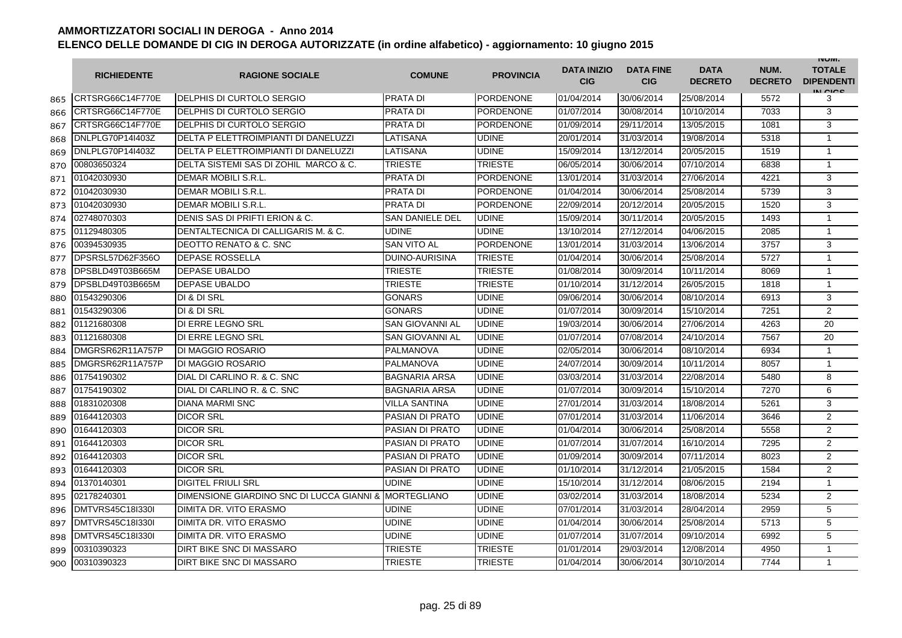|     | <b>RICHIEDENTE</b> | <b>RAGIONE SOCIALE</b>                                | <b>COMUNE</b>          | <b>PROVINCIA</b> | <b>DATA INIZIO</b><br><b>CIG</b> | <b>DATA FINE</b><br><b>CIG</b> | <b>DATA</b><br><b>DECRETO</b> | NUM.<br><b>DECRETO</b> | <b>INUIVI.</b><br><b>TOTALE</b><br><b>DIPENDENTI</b><br>IN CIGO |
|-----|--------------------|-------------------------------------------------------|------------------------|------------------|----------------------------------|--------------------------------|-------------------------------|------------------------|-----------------------------------------------------------------|
| 865 | CRTSRG66C14F770E   | DELPHIS DI CURTOLO SERGIO                             | <b>PRATA DI</b>        | PORDENONE        | 01/04/2014                       | 30/06/2014                     | 25/08/2014                    | 5572                   | 3                                                               |
| 866 | CRTSRG66C14F770E   | DELPHIS DI CURTOLO SERGIO                             | <b>PRATA DI</b>        | <b>PORDENONE</b> | 01/07/2014                       | 30/08/2014                     | 10/10/2014                    | 7033                   | 3                                                               |
| 867 | CRTSRG66C14F770E   | DELPHIS DI CURTOLO SERGIO                             | <b>PRATA DI</b>        | PORDENONE        | 01/09/2014                       | 29/11/2014                     | 13/05/2015                    | 1081                   | 3                                                               |
| 868 | DNLPLG70P14I403Z   | DELTA P ELETTROIMPIANTI DI DANELUZZI                  | LATISANA               | <b>UDINE</b>     | 20/01/2014                       | 31/03/2014                     | 19/08/2014                    | 5318                   | 1                                                               |
| 869 | DNLPLG70P14I403Z   | DELTA P ELETTROIMPIANTI DI DANELUZZI                  | LATISANA               | <b>UDINE</b>     | 15/09/2014                       | 13/12/2014                     | 20/05/2015                    | 1519                   | $\mathbf{1}$                                                    |
| 870 | 00803650324        | DELTA SISTEMI SAS DI ZOHIL MARCO & C.                 | <b>TRIESTE</b>         | TRIESTE          | 06/05/2014                       | 30/06/2014                     | 07/10/2014                    | 6838                   | $\mathbf{1}$                                                    |
| 871 | 01042030930        | <b>DEMAR MOBILI S.R.L</b>                             | <b>PRATA DI</b>        | <b>PORDENONE</b> | 13/01/2014                       | 31/03/2014                     | 27/06/2014                    | 4221                   | 3                                                               |
| 872 | 01042030930        | DEMAR MOBILI S.R.L.                                   | <b>PRATA DI</b>        | <b>PORDENONE</b> | 01/04/2014                       | 30/06/2014                     | 25/08/2014                    | 5739                   | 3                                                               |
| 873 | 01042030930        | DEMAR MOBILI S.R.L.                                   | <b>PRATA DI</b>        | <b>PORDENONE</b> | 22/09/2014                       | 20/12/2014                     | 20/05/2015                    | 1520                   | 3                                                               |
| 874 | 02748070303        | DENIS SAS DI PRIFTI ERION & C.                        | <b>SAN DANIELE DEL</b> | <b>UDINE</b>     | 15/09/2014                       | 30/11/2014                     | 20/05/2015                    | 1493                   | $\mathbf{1}$                                                    |
| 875 | 01129480305        | DENTALTECNICA DI CALLIGARIS M. & C.                   | <b>UDINE</b>           | <b>UDINE</b>     | 13/10/2014                       | 27/12/2014                     | 04/06/2015                    | 2085                   | 1                                                               |
| 876 | 00394530935        | DEOTTO RENATO & C. SNC                                | <b>SAN VITO AL</b>     | <b>PORDENONE</b> | 13/01/2014                       | 31/03/2014                     | 13/06/2014                    | 3757                   | 3                                                               |
| 877 | DPSRSL57D62F356O   | <b>DEPASE ROSSELLA</b>                                | <b>DUINO-AURISINA</b>  | <b>TRIESTE</b>   | 01/04/2014                       | 30/06/2014                     | 25/08/2014                    | 5727                   | $\mathbf{1}$                                                    |
| 878 | DPSBLD49T03B665M   | <b>DEPASE UBALDO</b>                                  | <b>TRIESTE</b>         | <b>TRIESTE</b>   | 01/08/2014                       | 30/09/2014                     | 10/11/2014                    | 8069                   | $\mathbf{1}$                                                    |
| 879 | DPSBLD49T03B665M   | <b>DEPASE UBALDO</b>                                  | <b>TRIESTE</b>         | <b>TRIESTE</b>   | 01/10/2014                       | 31/12/2014                     | 26/05/2015                    | 1818                   | $\mathbf{1}$                                                    |
| 880 | 01543290306        | DI & DI SRL                                           | <b>GONARS</b>          | <b>UDINE</b>     | 09/06/2014                       | 30/06/2014                     | 08/10/2014                    | 6913                   | 3                                                               |
| 881 | 01543290306        | DI & DI SRL                                           | <b>GONARS</b>          | <b>UDINE</b>     | 01/07/2014                       | 30/09/2014                     | 15/10/2014                    | 7251                   | 2                                                               |
| 882 | 01121680308        | DI ERRE LEGNO SRL                                     | <b>SAN GIOVANNI AL</b> | <b>UDINE</b>     | 19/03/2014                       | 30/06/2014                     | 27/06/2014                    | 4263                   | 20                                                              |
| 883 | 01121680308        | DI ERRE LEGNO SRL                                     | <b>SAN GIOVANNI AL</b> | <b>UDINE</b>     | 01/07/2014                       | 07/08/2014                     | 24/10/2014                    | 7567                   | 20                                                              |
| 884 | DMGRSR62R11A757P   | <b>DI MAGGIO ROSARIO</b>                              | PALMANOVA              | <b>UDINE</b>     | 02/05/2014                       | 30/06/2014                     | 08/10/2014                    | 6934                   | $\mathbf{1}$                                                    |
| 885 | DMGRSR62R11A757P   | <b>DI MAGGIO ROSARIO</b>                              | <b>PALMANOVA</b>       | <b>UDINE</b>     | 24/07/2014                       | 30/09/2014                     | 10/11/2014                    | 8057                   | $\mathbf{1}$                                                    |
| 886 | 01754190302        | DIAL DI CARLINO R. & C. SNC                           | <b>BAGNARIA ARSA</b>   | <b>UDINE</b>     | 03/03/2014                       | 31/03/2014                     | 22/08/2014                    | 5480                   | 8                                                               |
| 887 | 01754190302        | DIAL DI CARLINO R. & C. SNC                           | <b>BAGNARIA ARSA</b>   | <b>UDINE</b>     | 01/07/2014                       | 30/09/2014                     | 15/10/2014                    | 7270                   | 6                                                               |
| 888 | 01831020308        | <b>DIANA MARMI SNC</b>                                | <b>VILLA SANTINA</b>   | <b>UDINE</b>     | 27/01/2014                       | 31/03/2014                     | 18/08/2014                    | 5261                   | 3                                                               |
| 889 | 01644120303        | <b>DICOR SRL</b>                                      | <b>PASIAN DI PRATO</b> | <b>UDINE</b>     | 07/01/2014                       | 31/03/2014                     | 11/06/2014                    | 3646                   | 2                                                               |
| 890 | 01644120303        | <b>DICOR SRL</b>                                      | PASIAN DI PRATO        | <b>UDINE</b>     | 01/04/2014                       | 30/06/2014                     | 25/08/2014                    | 5558                   | 2                                                               |
| 891 | 01644120303        | <b>DICOR SRL</b>                                      | <b>PASIAN DI PRATO</b> | <b>UDINE</b>     | 01/07/2014                       | 31/07/2014                     | 16/10/2014                    | 7295                   | $\overline{2}$                                                  |
| 892 | 01644120303        | <b>DICOR SRL</b>                                      | PASIAN DI PRATO        | <b>UDINE</b>     | 01/09/2014                       | 30/09/2014                     | 07/11/2014                    | 8023                   | 2                                                               |
| 893 | 01644120303        | <b>DICOR SRL</b>                                      | <b>PASIAN DI PRATO</b> | <b>UDINE</b>     | 01/10/2014                       | 31/12/2014                     | 21/05/2015                    | 1584                   | $\overline{2}$                                                  |
| 894 | 01370140301        | DIGITEL FRIULI SRL                                    | <b>UDINE</b>           | <b>UDINE</b>     | 15/10/2014                       | 31/12/2014                     | 08/06/2015                    | 2194                   | $\mathbf{1}$                                                    |
| 895 | 02178240301        | DIMENSIONE GIARDINO SNC DI LUCCA GIANNI & MORTEGLIANO |                        | <b>UDINE</b>     | 03/02/2014                       | 31/03/2014                     | 18/08/2014                    | 5234                   | $\overline{2}$                                                  |
| 896 | DMTVRS45C18I330I   | <b>DIMITA DR. VITO ERASMO</b>                         | <b>UDINE</b>           | <b>UDINE</b>     | 07/01/2014                       | 31/03/2014                     | 28/04/2014                    | 2959                   | 5                                                               |
| 897 | DMTVRS45C18I330I   | DIMITA DR. VITO ERASMO                                | <b>UDINE</b>           | <b>UDINE</b>     | 01/04/2014                       | 30/06/2014                     | 25/08/2014                    | 5713                   | 5                                                               |
| 898 | DMTVRS45C18I330I   | DIMITA DR. VITO ERASMO                                | <b>UDINE</b>           | <b>UDINE</b>     | 01/07/2014                       | 31/07/2014                     | 09/10/2014                    | 6992                   | 5                                                               |
| 899 | 00310390323        | DIRT BIKE SNC DI MASSARO                              | <b>TRIESTE</b>         | TRIESTE          | 01/01/2014                       | 29/03/2014                     | 12/08/2014                    | 4950                   | $\mathbf{1}$                                                    |
| 900 | 00310390323        | DIRT BIKE SNC DI MASSARO                              | TRIESTE                | <b>TRIESTE</b>   | 01/04/2014                       | 30/06/2014                     | 30/10/2014                    | 7744                   | $\mathbf{1}$                                                    |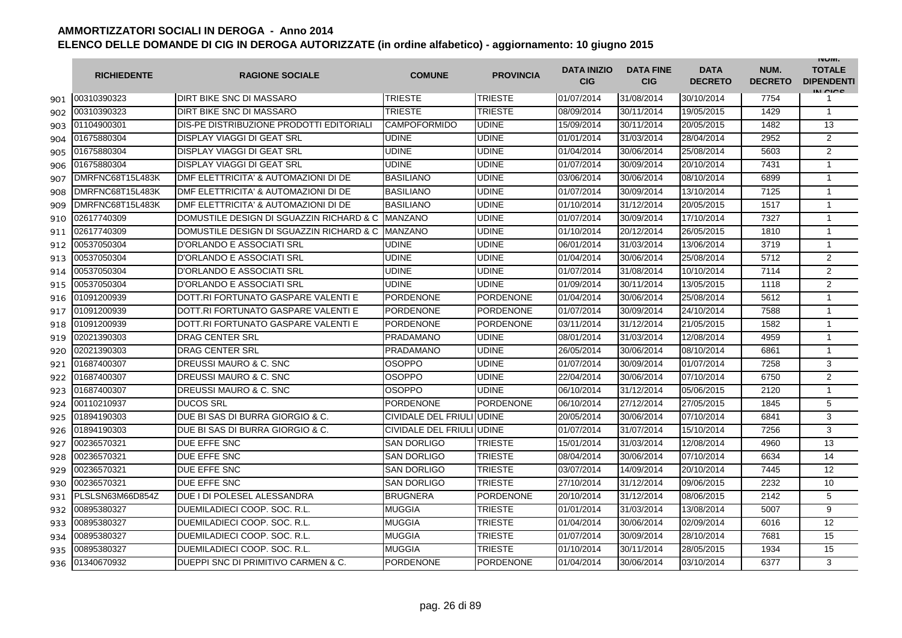|     | <b>RICHIEDENTE</b> | <b>RAGIONE SOCIALE</b>                   | <b>COMUNE</b>             | <b>PROVINCIA</b> | <b>DATA INIZIO</b><br><b>CIG</b> | <b>DATA FINE</b><br><b>CIG</b> | <b>DATA</b><br><b>DECRETO</b> | NUM.<br><b>DECRETO</b> | <b>INUIVI.</b><br><b>TOTALE</b><br><b>DIPENDENTI</b><br>IN CIGO |
|-----|--------------------|------------------------------------------|---------------------------|------------------|----------------------------------|--------------------------------|-------------------------------|------------------------|-----------------------------------------------------------------|
| 901 | 00310390323        | <b>DIRT BIKE SNC DI MASSARO</b>          | <b>TRIESTE</b>            | <b>TRIESTE</b>   | 01/07/2014                       | 31/08/2014                     | 30/10/2014                    | 7754                   | 1                                                               |
| 902 | 00310390323        | DIRT BIKE SNC DI MASSARO                 | TRIESTE                   | TRIESTE          | 08/09/2014                       | 30/11/2014                     | 19/05/2015                    | 1429                   | $\mathbf{1}$                                                    |
| 903 | 01104900301        | DIS-PE DISTRIBUZIONE PRODOTTI EDITORIALI | <b>CAMPOFORMIDO</b>       | <b>UDINE</b>     | 15/09/2014                       | 30/11/2014                     | 20/05/2015                    | 1482                   | 13                                                              |
| 904 | 01675880304        | <b>DISPLAY VIAGGI DI GEAT SRL</b>        | <b>UDINE</b>              | <b>UDINE</b>     | 01/01/2014                       | 31/03/2014                     | 28/04/2014                    | 2952                   | $\overline{2}$                                                  |
| 905 | 01675880304        | DISPLAY VIAGGI DI GEAT SRL               | <b>UDINE</b>              | <b>UDINE</b>     | 01/04/2014                       | 30/06/2014                     | 25/08/2014                    | 5603                   | 2                                                               |
| 906 | 01675880304        | DISPLAY VIAGGI DI GEAT SRL               | <b>UDINE</b>              | <b>UDINE</b>     | 01/07/2014                       | 30/09/2014                     | 20/10/2014                    | 7431                   | $\mathbf{1}$                                                    |
| 907 | DMRFNC68T15L483K   | DMF ELETTRICITA' & AUTOMAZIONI DI DE     | <b>BASILIANO</b>          | <b>UDINE</b>     | 03/06/2014                       | 30/06/2014                     | 08/10/2014                    | 6899                   | $\mathbf{1}$                                                    |
| 908 | DMRFNC68T15L483K   | DMF ELETTRICITA' & AUTOMAZIONI DI DE     | <b>BASILIANO</b>          | <b>UDINE</b>     | 01/07/2014                       | 30/09/2014                     | 13/10/2014                    | 7125                   | $\mathbf{1}$                                                    |
| 909 | DMRFNC68T15L483K   | DMF ELETTRICITA' & AUTOMAZIONI DI DE     | <b>BASILIANO</b>          | <b>UDINE</b>     | 01/10/2014                       | 31/12/2014                     | 20/05/2015                    | 1517                   | $\mathbf{1}$                                                    |
| 910 | 02617740309        | DOMUSTILE DESIGN DI SGUAZZIN RICHARD & C | <b>MANZANO</b>            | <b>UDINE</b>     | 01/07/2014                       | 30/09/2014                     | 17/10/2014                    | 7327                   | $\mathbf{1}$                                                    |
| 911 | 02617740309        | DOMUSTILE DESIGN DI SGUAZZIN RICHARD & C | <b>MANZANO</b>            | <b>UDINE</b>     | 01/10/2014                       | 20/12/2014                     | 26/05/2015                    | 1810                   | 1                                                               |
| 912 | 00537050304        | D'ORLANDO E ASSOCIATI SRL                | UDINE                     | <b>UDINE</b>     | 06/01/2014                       | 31/03/2014                     | 13/06/2014                    | 3719                   | $\mathbf{1}$                                                    |
| 913 | 00537050304        | D'ORLANDO E ASSOCIATI SRL                | UDINE                     | <b>UDINE</b>     | 01/04/2014                       | 30/06/2014                     | 25/08/2014                    | 5712                   | $\overline{2}$                                                  |
| 914 | 00537050304        | D'ORLANDO E ASSOCIATI SRL                | UDINE                     | <b>UDINE</b>     | 01/07/2014                       | 31/08/2014                     | 10/10/2014                    | 7114                   | $\overline{2}$                                                  |
| 915 | 00537050304        | D'ORLANDO E ASSOCIATI SRL                | UDINE                     | <b>UDINE</b>     | 01/09/2014                       | 30/11/2014                     | 13/05/2015                    | 1118                   | 2                                                               |
| 916 | 01091200939        | DOTT.RI FORTUNATO GASPARE VALENTI E      | <b>PORDENONE</b>          | <b>PORDENONE</b> | 01/04/2014                       | 30/06/2014                     | 25/08/2014                    | 5612                   | $\mathbf{1}$                                                    |
| 917 | 01091200939        | DOTT.RI FORTUNATO GASPARE VALENTI E      | PORDENONE                 | PORDENONE        | 01/07/2014                       | 30/09/2014                     | 24/10/2014                    | 7588                   | 1                                                               |
| 918 | 01091200939        | DOTT.RI FORTUNATO GASPARE VALENTI E      | <b>PORDENONE</b>          | <b>PORDENONE</b> | 03/11/2014                       | 31/12/2014                     | 21/05/2015                    | 1582                   | 1                                                               |
| 919 | 02021390303        | <b>DRAG CENTER SRL</b>                   | <b>PRADAMANO</b>          | <b>UDINE</b>     | 08/01/2014                       | 31/03/2014                     | 12/08/2014                    | 4959                   | $\mathbf{1}$                                                    |
| 920 | 02021390303        | <b>DRAG CENTER SRL</b>                   | <b>PRADAMANO</b>          | <b>UDINE</b>     | 26/05/2014                       | 30/06/2014                     | 08/10/2014                    | 6861                   | $\mathbf{1}$                                                    |
| 921 | 01687400307        | DREUSSI MAURO & C. SNC                   | <b>OSOPPO</b>             | <b>UDINE</b>     | 01/07/2014                       | 30/09/2014                     | 01/07/2014                    | 7258                   | 3                                                               |
| 922 | 01687400307        | DREUSSI MAURO & C. SNC                   | <b>OSOPPO</b>             | <b>UDINE</b>     | 22/04/2014                       | 30/06/2014                     | 07/10/2014                    | 6750                   | $\overline{2}$                                                  |
| 923 | 01687400307        | DREUSSI MAURO & C. SNC                   | <b>OSOPPO</b>             | <b>UDINE</b>     | 06/10/2014                       | 31/12/2014                     | 05/06/2015                    | 2120                   | 1                                                               |
| 924 | 00110210937        | <b>DUCOS SRL</b>                         | <b>PORDENONE</b>          | <b>PORDENONE</b> | 06/10/2014                       | 27/12/2014                     | 27/05/2015                    | 1845                   | 5                                                               |
| 925 | 01894190303        | DUE BI SAS DI BURRA GIORGIO & C.         | CIVIDALE DEL FRIULI UDINE |                  | 20/05/2014                       | 30/06/2014                     | 07/10/2014                    | 6841                   | 3                                                               |
| 926 | 01894190303        | DUE BI SAS DI BURRA GIORGIO & C.         | CIVIDALE DEL FRIULI UDINE |                  | 01/07/2014                       | 31/07/2014                     | 15/10/2014                    | 7256                   | 3                                                               |
| 927 | 00236570321        | DUE EFFE SNC                             | SAN DORLIGO               | TRIESTE          | 15/01/2014                       | 31/03/2014                     | 12/08/2014                    | 4960                   | 13                                                              |
| 928 | 00236570321        | DUE EFFE SNC                             | SAN DORLIGO               | <b>TRIESTE</b>   | 08/04/2014                       | 30/06/2014                     | 07/10/2014                    | 6634                   | 14                                                              |
| 929 | 00236570321        | DUE EFFE SNC                             | <b>SAN DORLIGO</b>        | <b>TRIESTE</b>   | 03/07/2014                       | 14/09/2014                     | 20/10/2014                    | 7445                   | 12                                                              |
| 930 | 00236570321        | DUE EFFE SNC                             | <b>SAN DORLIGO</b>        | <b>TRIESTE</b>   | 27/10/2014                       | 31/12/2014                     | 09/06/2015                    | 2232                   | 10                                                              |
| 931 | PLSLSN63M66D854Z   | DUE I DI POLESEL ALESSANDRA              | <b>BRUGNERA</b>           | <b>PORDENONE</b> | 20/10/2014                       | 31/12/2014                     | 08/06/2015                    | 2142                   | 5                                                               |
| 932 | 00895380327        | DUEMILADIECI COOP, SOC. R.L              | <b>MUGGIA</b>             | TRIESTE          | 01/01/2014                       | 31/03/2014                     | 13/08/2014                    | 5007                   | 9                                                               |
| 933 | 00895380327        | DUEMILADIECI COOP, SOC. R.L.             | <b>MUGGIA</b>             | <b>TRIESTE</b>   | 01/04/2014                       | 30/06/2014                     | 02/09/2014                    | 6016                   | 12                                                              |
| 934 | 00895380327        | DUEMILADIECI COOP, SOC. R.L.             | <b>MUGGIA</b>             | <b>TRIESTE</b>   | 01/07/2014                       | 30/09/2014                     | 28/10/2014                    | 7681                   | 15                                                              |
| 935 | 00895380327        | DUEMILADIECI COOP, SOC. R.L.             | <b>MUGGIA</b>             | <b>TRIESTE</b>   | 01/10/2014                       | 30/11/2014                     | 28/05/2015                    | 1934                   | 15                                                              |
| 936 | 01340670932        | DUEPPI SNC DI PRIMITIVO CARMEN & C.      | <b>PORDENONE</b>          | <b>PORDENONE</b> | 01/04/2014                       | 30/06/2014                     | 03/10/2014                    | 6377                   | 3                                                               |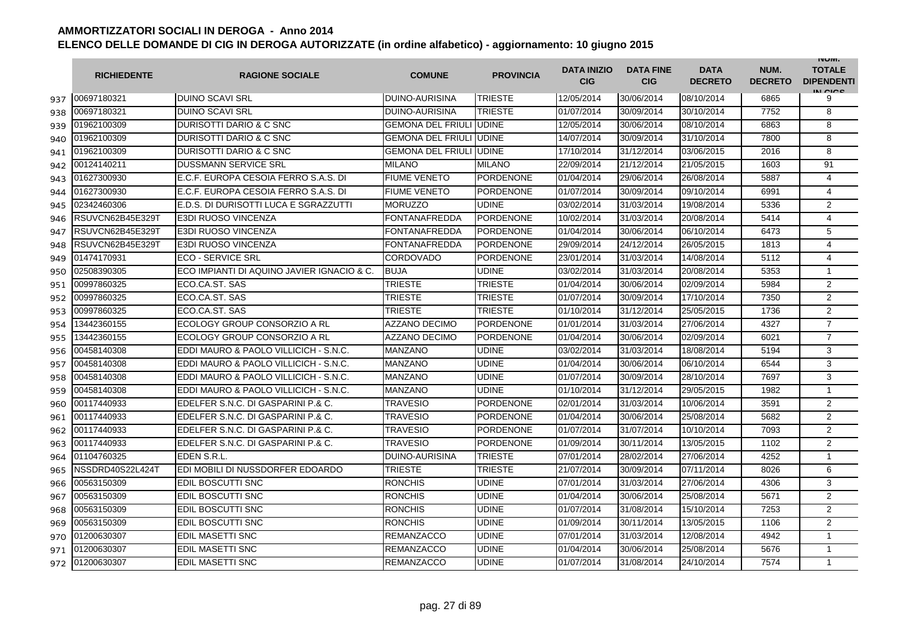|     | <b>RICHIEDENTE</b> | <b>RAGIONE SOCIALE</b>                     | <b>COMUNE</b>                  | <b>PROVINCIA</b> | <b>DATA INIZIO</b><br><b>CIG</b> | <b>DATA FINE</b><br><b>CIG</b> | <b>DATA</b><br><b>DECRETO</b> | NUM.<br><b>DECRETO</b> | <b>INUIVI.</b><br><b>TOTALE</b><br><b>DIPENDENTI</b><br>IN CIGO |
|-----|--------------------|--------------------------------------------|--------------------------------|------------------|----------------------------------|--------------------------------|-------------------------------|------------------------|-----------------------------------------------------------------|
| 937 | 00697180321        | <b>DUINO SCAVI SRL</b>                     | <b>DUINO-AURISINA</b>          | <b>TRIESTE</b>   | 12/05/2014                       | 30/06/2014                     | 08/10/2014                    | 6865                   | 9                                                               |
| 938 | 00697180321        | <b>DUINO SCAVI SRL</b>                     | <b>DUINO-AURISINA</b>          | <b>TRIESTE</b>   | 01/07/2014                       | 30/09/2014                     | 30/10/2014                    | 7752                   | 8                                                               |
| 939 | 01962100309        | DURISOTTI DARIO & C SNC                    | <b>GEMONA DEL FRIULI</b>       | <b>UDINE</b>     | 12/05/2014                       | 30/06/2014                     | 08/10/2014                    | 6863                   | 8                                                               |
| 940 | 01962100309        | DURISOTTI DARIO & C SNC                    | <b>GEMONA DEL FRIULI</b>       | <b>UDINE</b>     | 14/07/2014                       | 30/09/2014                     | 31/10/2014                    | 7800                   | 8                                                               |
| 941 | 01962100309        | DURISOTTI DARIO & C SNC                    | <b>GEMONA DEL FRIULI UDINE</b> |                  | 17/10/2014                       | 31/12/2014                     | 03/06/2015                    | 2016                   | 8                                                               |
| 942 | 00124140211        | <b>DUSSMANN SERVICE SRL</b>                | <b>MILANO</b>                  | <b>MILANO</b>    | 22/09/2014                       | 21/12/2014                     | 21/05/2015                    | 1603                   | 91                                                              |
| 943 | 01627300930        | E.C.F. EUROPA CESOIA FERRO S.A.S. DI       | <b>FIUME VENETO</b>            | <b>PORDENONE</b> | 01/04/2014                       | 29/06/2014                     | 26/08/2014                    | 5887                   | 4                                                               |
| 944 | 01627300930        | E.C.F. EUROPA CESOIA FERRO S.A.S. DI       | <b>FIUME VENETO</b>            | <b>PORDENONE</b> | 01/07/2014                       | 30/09/2014                     | 09/10/2014                    | 6991                   | 4                                                               |
| 945 | 02342460306        | E.D.S. DI DURISOTTI LUCA E SGRAZZUTTI      | <b>MORUZZO</b>                 | <b>UDINE</b>     | 03/02/2014                       | 31/03/2014                     | 19/08/2014                    | 5336                   | $\overline{2}$                                                  |
| 946 | RSUVCN62B45E329T   | <b>E3DI RUOSO VINCENZA</b>                 | <b>FONTANAFREDDA</b>           | PORDENONE        | 10/02/2014                       | 31/03/2014                     | 20/08/2014                    | 5414                   | $\overline{\mathbf{4}}$                                         |
| 947 | RSUVCN62B45E329T   | <b>E3DI RUOSO VINCENZA</b>                 | FONTANAFREDDA                  | <b>PORDENONE</b> | 01/04/2014                       | 30/06/2014                     | 06/10/2014                    | 6473                   | 5                                                               |
| 948 | RSUVCN62B45E329T   | E3DI RUOSO VINCENZA                        | FONTANAFREDDA                  | <b>PORDENONE</b> | 29/09/2014                       | 24/12/2014                     | 26/05/2015                    | 1813                   | 4                                                               |
| 949 | 01474170931        | <b>ECO - SERVICE SRL</b>                   | <b>CORDOVADO</b>               | <b>PORDENONE</b> | 23/01/2014                       | 31/03/2014                     | 14/08/2014                    | 5112                   | 4                                                               |
| 950 | 02508390305        | ECO IMPIANTI DI AQUINO JAVIER IGNACIO & C. | <b>BUJA</b>                    | <b>UDINE</b>     | 03/02/2014                       | 31/03/2014                     | 20/08/2014                    | 5353                   | $\mathbf{1}$                                                    |
| 951 | 00997860325        | ECO.CA.ST. SAS                             | TRIESTE                        | TRIESTE          | 01/04/2014                       | 30/06/2014                     | 02/09/2014                    | 5984                   | 2                                                               |
| 952 | 00997860325        | ECO.CA.ST. SAS                             | <b>TRIESTE</b>                 | <b>TRIESTE</b>   | 01/07/2014                       | 30/09/2014                     | 17/10/2014                    | 7350                   | $\overline{2}$                                                  |
| 953 | 00997860325        | ECO.CA.ST. SAS                             | TRIESTE                        | TRIESTE          | 01/10/2014                       | 31/12/2014                     | 25/05/2015                    | 1736                   | $\overline{2}$                                                  |
| 954 | 13442360155        | ECOLOGY GROUP CONSORZIO A RL               | <b>AZZANO DECIMO</b>           | PORDENONE        | 01/01/2014                       | 31/03/2014                     | 27/06/2014                    | 4327                   | $\overline{7}$                                                  |
| 955 | 3442360155         | ECOLOGY GROUP CONSORZIO A RL               | <b>AZZANO DECIMO</b>           | <b>PORDENONE</b> | 01/04/2014                       | 30/06/2014                     | 02/09/2014                    | 6021                   | $\overline{7}$                                                  |
| 956 | 00458140308        | EDDI MAURO & PAOLO VILLICICH - S.N.C.      | <b>MANZANO</b>                 | <b>UDINE</b>     | 03/02/2014                       | 31/03/2014                     | 18/08/2014                    | 5194                   | 3                                                               |
| 957 | 00458140308        | EDDI MAURO & PAOLO VILLICICH - S.N.C.      | <b>MANZANO</b>                 | <b>UDINE</b>     | 01/04/2014                       | 30/06/2014                     | 06/10/2014                    | 6544                   | 3                                                               |
| 958 | 00458140308        | EDDI MAURO & PAOLO VILLICICH - S.N.C.      | <b>MANZANO</b>                 | <b>UDINE</b>     | 01/07/2014                       | 30/09/2014                     | 28/10/2014                    | 7697                   | 3                                                               |
| 959 | 00458140308        | EDDI MAURO & PAOLO VILLICICH - S.N.C.      | MANZANO                        | <b>UDINE</b>     | 01/10/2014                       | 31/12/2014                     | 29/05/2015                    | 1982                   | 1                                                               |
| 960 | 00117440933        | EDELFER S.N.C. DI GASPARINI P.& C.         | TRAVESIO                       | <b>PORDENONE</b> | 02/01/2014                       | 31/03/2014                     | 10/06/2014                    | 3591                   | $\overline{2}$                                                  |
| 961 | 00117440933        | EDELFER S.N.C. DI GASPARINI P.& C.         | <b>TRAVESIO</b>                | <b>PORDENONE</b> | 01/04/2014                       | 30/06/2014                     | 25/08/2014                    | 5682                   | 2                                                               |
| 962 | 00117440933        | EDELFER S.N.C. DI GASPARINI P.& C.         | <b>TRAVESIO</b>                | <b>PORDENONE</b> | 01/07/2014                       | 31/07/2014                     | 10/10/2014                    | 7093                   | $\overline{2}$                                                  |
| 963 | 00117440933        | EDELFER S.N.C. DI GASPARINI P.& C.         | TRAVESIO                       | <b>PORDENONE</b> | 01/09/2014                       | 30/11/2014                     | 13/05/2015                    | 1102                   | $\overline{2}$                                                  |
| 964 | 01104760325        | EDEN S.R.L.                                | <b>DUINO-AURISINA</b>          | <b>TRIESTE</b>   | 07/01/2014                       | 28/02/2014                     | 27/06/2014                    | 4252                   | $\mathbf{1}$                                                    |
| 965 | NSSDRD40S22L424T   | EDI MOBILI DI NUSSDORFER EDOARDO           | <b>TRIESTE</b>                 | <b>TRIESTE</b>   | 21/07/2014                       | 30/09/2014                     | 07/11/2014                    | 8026                   | 6                                                               |
| 966 | 00563150309        | EDIL BOSCUTTI SNC                          | <b>RONCHIS</b>                 | UDINE            | 07/01/2014                       | 31/03/2014                     | 27/06/2014                    | 4306                   | 3                                                               |
| 967 | 00563150309        | EDIL BOSCUTTI SNC                          | <b>RONCHIS</b>                 | <b>UDINE</b>     | 01/04/2014                       | 30/06/2014                     | 25/08/2014                    | 5671                   | $\overline{2}$                                                  |
| 968 | 00563150309        | <b>EDIL BOSCUTTI SNC</b>                   | <b>RONCHIS</b>                 | <b>UDINE</b>     | 01/07/2014                       | 31/08/2014                     | 15/10/2014                    | 7253                   | 2                                                               |
| 969 | 00563150309        | <b>EDIL BOSCUTTI SNC</b>                   | <b>RONCHIS</b>                 | <b>UDINE</b>     | 01/09/2014                       | 30/11/2014                     | 13/05/2015                    | 1106                   | $\overline{2}$                                                  |
| 970 | 01200630307        | <b>EDIL MASETTI SNC</b>                    | <b>REMANZACCO</b>              | <b>UDINE</b>     | 07/01/2014                       | 31/03/2014                     | 12/08/2014                    | 4942                   | $\mathbf{1}$                                                    |
| 971 | 01200630307        | <b>EDIL MASETTI SNC</b>                    | <b>REMANZACCO</b>              | <b>UDINE</b>     | 01/04/2014                       | 30/06/2014                     | 25/08/2014                    | 5676                   | $\mathbf{1}$                                                    |
| 972 | 01200630307        | <b>EDIL MASETTI SNC</b>                    | <b>REMANZACCO</b>              | <b>UDINE</b>     | 01/07/2014                       | 31/08/2014                     | 24/10/2014                    | 7574                   | $\mathbf{1}$                                                    |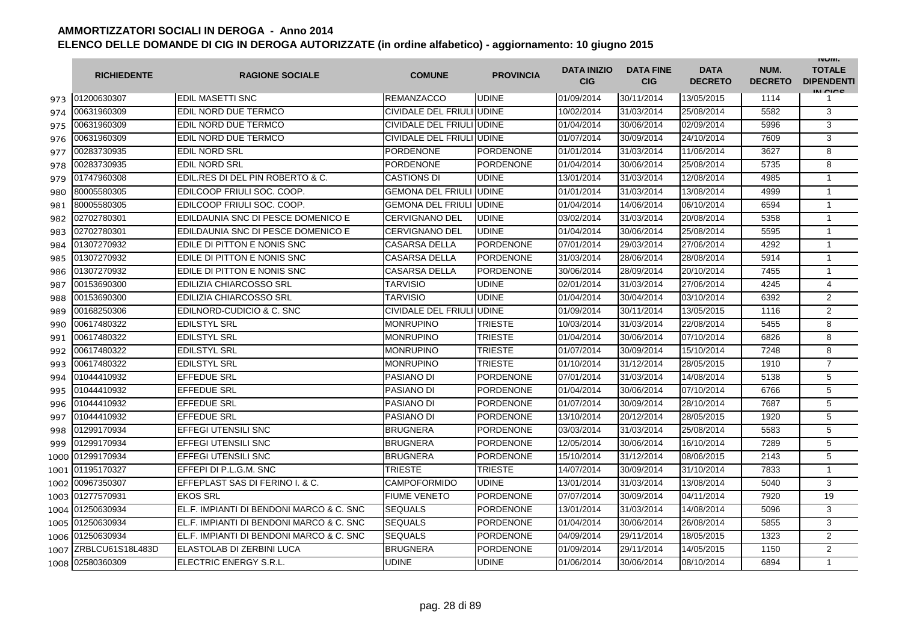|      | <b>RICHIEDENTE</b> | <b>RAGIONE SOCIALE</b>                   | <b>COMUNE</b>             | <b>PROVINCIA</b> | <b>DATA INIZIO</b><br><b>CIG</b> | <b>DATA FINE</b><br><b>CIG</b> | <b>DATA</b><br><b>DECRETO</b> | NUM.<br><b>DECRETO</b> | <b>INUIVI.</b><br><b>TOTALE</b><br><b>DIPENDENTI</b><br>IN CICE |
|------|--------------------|------------------------------------------|---------------------------|------------------|----------------------------------|--------------------------------|-------------------------------|------------------------|-----------------------------------------------------------------|
| 973  | 01200630307        | <b>EDIL MASETTI SNC</b>                  | <b>REMANZACCO</b>         | <b>UDINE</b>     | 01/09/2014                       | 30/11/2014                     | 13/05/2015                    | 1114                   |                                                                 |
| 974  | 00631960309        | EDIL NORD DUE TERMCO                     | CIVIDALE DEL FRIULI UDINE |                  | 10/02/2014                       | 31/03/2014                     | 25/08/2014                    | 5582                   | 3                                                               |
| 975  | 00631960309        | EDIL NORD DUE TERMCO                     | CIVIDALE DEL FRIULI UDINE |                  | 01/04/2014                       | 30/06/2014                     | 02/09/2014                    | 5996                   | 3                                                               |
| 976  | 00631960309        | EDIL NORD DUE TERMCO                     | CIVIDALE DEL FRIULI UDINE |                  | 01/07/2014                       | 30/09/2014                     | 24/10/2014                    | 7609                   | 3                                                               |
| 977  | 00283730935        | <b>EDIL NORD SRL</b>                     | <b>PORDENONE</b>          | PORDENONE        | 01/01/2014                       | 31/03/2014                     | 11/06/2014                    | 3627                   | 8                                                               |
| 978  | 00283730935        | <b>EDIL NORD SRL</b>                     | <b>PORDENONE</b>          | <b>PORDENONE</b> | 01/04/2014                       | 30/06/2014                     | 25/08/2014                    | 5735                   | 8                                                               |
| 979  | 01747960308        | EDIL.RES DI DEL PIN ROBERTO & C.         | <b>CASTIONS DI</b>        | <b>UDINE</b>     | 13/01/2014                       | 31/03/2014                     | 12/08/2014                    | 4985                   | $\mathbf{1}$                                                    |
| 980  | 80005580305        | EDILCOOP FRIULI SOC. COOP.               | <b>GEMONA DEL FRIULI</b>  | <b>UDINE</b>     | 01/01/2014                       | 31/03/2014                     | 13/08/2014                    | 4999                   | $\mathbf{1}$                                                    |
| 981  | 80005580305        | EDILCOOP FRIULI SOC. COOP.               | <b>GEMONA DEL FRIULI</b>  | <b>UDINE</b>     | 01/04/2014                       | 14/06/2014                     | 06/10/2014                    | 6594                   | $\mathbf{1}$                                                    |
| 982  | 02702780301        | EDILDAUNIA SNC DI PESCE DOMENICO E       | <b>CERVIGNANO DEL</b>     | UDINE            | 03/02/2014                       | 31/03/2014                     | 20/08/2014                    | 5358                   | $\mathbf{1}$                                                    |
| 983  | 02702780301        | EDILDAUNIA SNC DI PESCE DOMENICO E       | <b>CERVIGNANO DEL</b>     | <b>UDINE</b>     | 01/04/2014                       | 30/06/2014                     | 25/08/2014                    | 5595                   | 1                                                               |
| 984  | 01307270932        | EDILE DI PITTON E NONIS SNC              | <b>CASARSA DELLA</b>      | <b>PORDENONE</b> | 07/01/2014                       | 29/03/2014                     | 27/06/2014                    | 4292                   | $\mathbf{1}$                                                    |
| 985  | 01307270932        | EDILE DI PITTON E NONIS SNC              | <b>CASARSA DELLA</b>      | <b>PORDENONE</b> | 31/03/2014                       | 28/06/2014                     | 28/08/2014                    | 5914                   | $\mathbf{1}$                                                    |
| 986  | 01307270932        | EDILE DI PITTON E NONIS SNC              | <b>CASARSA DELLA</b>      | <b>PORDENONE</b> | 30/06/2014                       | 28/09/2014                     | 20/10/2014                    | 7455                   | $\mathbf{1}$                                                    |
| 987  | 00153690300        | <b>EDILIZIA CHIARCOSSO SRL</b>           | <b>TARVISIO</b>           | <b>UDINE</b>     | 02/01/2014                       | 31/03/2014                     | 27/06/2014                    | 4245                   | $\overline{4}$                                                  |
| 988  | 00153690300        | <b>EDILIZIA CHIARCOSSO SRL</b>           | <b>TARVISIO</b>           | <b>UDINE</b>     | 01/04/2014                       | 30/04/2014                     | 03/10/2014                    | 6392                   | 2                                                               |
| 989  | 00168250306        | EDILNORD-CUDICIO & C. SNC                | CIVIDALE DEL FRIULI UDINE |                  | 01/09/2014                       | 30/11/2014                     | 13/05/2015                    | 1116                   | $\overline{2}$                                                  |
| 990  | 00617480322        | <b>EDILSTYL SRL</b>                      | <b>MONRUPINO</b>          | TRIESTE          | 10/03/2014                       | 31/03/2014                     | 22/08/2014                    | 5455                   | 8                                                               |
| 991  | 00617480322        | <b>EDILSTYL SRL</b>                      | MONRUPINO                 | TRIESTE          | 01/04/2014                       | 30/06/2014                     | 07/10/2014                    | 6826                   | 8                                                               |
| 992  | 00617480322        | <b>EDILSTYL SRL</b>                      | MONRUPINO                 | <b>TRIESTE</b>   | 01/07/2014                       | 30/09/2014                     | 15/10/2014                    | 7248                   | 8                                                               |
| 993  | 00617480322        | <b>EDILSTYL SRL</b>                      | <b>MONRUPINO</b>          | <b>TRIESTE</b>   | 01/10/2014                       | 31/12/2014                     | 28/05/2015                    | 1910                   | $\overline{7}$                                                  |
| 994  | 01044410932        | <b>EFFEDUE SRL</b>                       | <b>PASIANO DI</b>         | <b>PORDENONE</b> | 07/01/2014                       | 31/03/2014                     | 14/08/2014                    | 5138                   | 5                                                               |
| 995  | 01044410932        | EFFEDUE SRL                              | PASIANO DI                | PORDENONE        | 01/04/2014                       | 30/06/2014                     | 07/10/2014                    | 6766                   | 5                                                               |
| 996  | 01044410932        | <b>EFFEDUE SRL</b>                       | PASIANO DI                | <b>PORDENONE</b> | 01/07/2014                       | 30/09/2014                     | 28/10/2014                    | 7687                   | 5                                                               |
| 997  | 01044410932        | <b>EFFEDUE SRL</b>                       | <b>PASIANO DI</b>         | <b>PORDENONE</b> | 13/10/2014                       | 20/12/2014                     | 28/05/2015                    | 1920                   | 5                                                               |
| 998  | 01299170934        | <b>EFFEGI UTENSILI SNC</b>               | <b>BRUGNERA</b>           | <b>PORDENONE</b> | 03/03/2014                       | 31/03/2014                     | 25/08/2014                    | 5583                   | 5                                                               |
| 999  | 01299170934        | <b>EFFEGI UTENSILI SNC</b>               | <b>BRUGNERA</b>           | <b>PORDENONE</b> | 12/05/2014                       | 30/06/2014                     | 16/10/2014                    | 7289                   | 5                                                               |
| 1000 | 01299170934        | <b>EFFEGI UTENSILI SNC</b>               | <b>BRUGNERA</b>           | <b>PORDENONE</b> | 15/10/2014                       | 31/12/2014                     | 08/06/2015                    | 2143                   | 5                                                               |
| 1001 | 01195170327        | EFFEPI DI P.L.G.M. SNC                   | <b>TRIESTE</b>            | <b>TRIESTE</b>   | 14/07/2014                       | 30/09/2014                     | 31/10/2014                    | 7833                   | $\mathbf{1}$                                                    |
| 1002 | 00967350307        | EFFEPLAST SAS DI FERINO I. & C.          | CAMPOFORMIDO              | UDINE            | 13/01/2014                       | 31/03/2014                     | 13/08/2014                    | 5040                   | 3                                                               |
|      | 1003 01277570931   | <b>EKOS SRL</b>                          | <b>FIUME VENETO</b>       | <b>PORDENONE</b> | 07/07/2014                       | 30/09/2014                     | 04/11/2014                    | 7920                   | 19                                                              |
|      | 1004 01250630934   | EL.F. IMPIANTI DI BENDONI MARCO & C. SNC | <b>SEQUALS</b>            | <b>PORDENONE</b> | 13/01/2014                       | 31/03/2014                     | 14/08/2014                    | 5096                   | 3                                                               |
|      | 1005 01250630934   | EL.F. IMPIANTI DI BENDONI MARCO & C. SNC | <b>SEQUALS</b>            | <b>PORDENONE</b> | 01/04/2014                       | 30/06/2014                     | 26/08/2014                    | 5855                   | 3                                                               |
|      | 1006 01250630934   | EL.F. IMPIANTI DI BENDONI MARCO & C. SNC | <b>SEQUALS</b>            | <b>PORDENONE</b> | 04/09/2014                       | 29/11/2014                     | 18/05/2015                    | 1323                   | 2                                                               |
| 1007 | ZRBLCU61S18L483D   | ELASTOLAB DI ZERBINI LUCA                | <b>BRUGNERA</b>           | <b>PORDENONE</b> | 01/09/2014                       | 29/11/2014                     | 14/05/2015                    | 1150                   | 2                                                               |
| 1008 | 02580360309        | ELECTRIC ENERGY S.R.L.                   | UDINE                     | <b>UDINE</b>     | 01/06/2014                       | 30/06/2014                     | 08/10/2014                    | 6894                   | $\mathbf{1}$                                                    |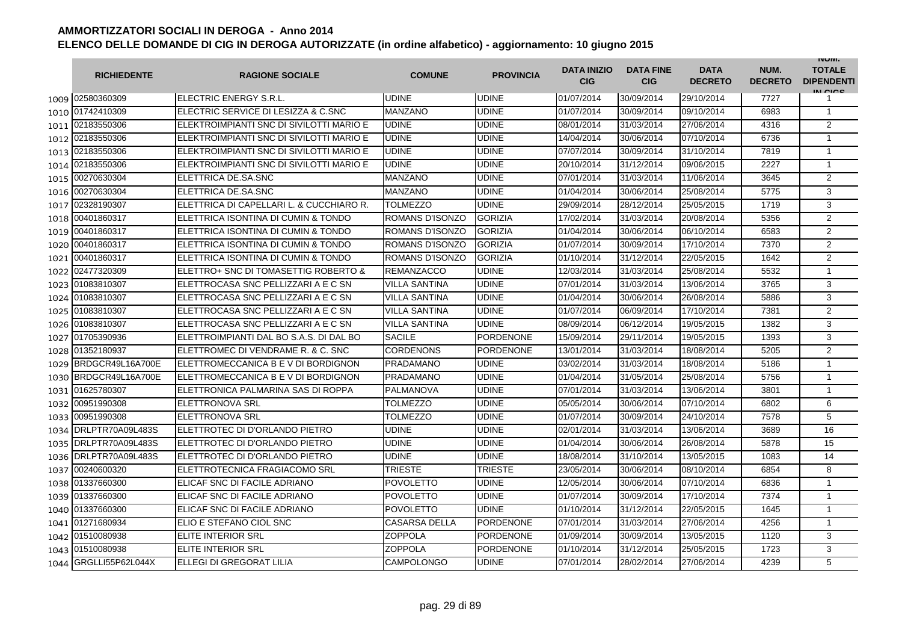|      | <b>RICHIEDENTE</b>    | <b>RAGIONE SOCIALE</b>                   | <b>COMUNE</b>        | <b>PROVINCIA</b> | <b>DATA INIZIO</b><br><b>CIG</b> | <b>DATA FINE</b><br><b>CIG</b> | <b>DATA</b><br><b>DECRETO</b> | NUM.<br><b>DECRETO</b> | <b>INUIVI.</b><br><b>TOTALE</b><br><b>DIPENDENTI</b><br>IN CICS |
|------|-----------------------|------------------------------------------|----------------------|------------------|----------------------------------|--------------------------------|-------------------------------|------------------------|-----------------------------------------------------------------|
|      | 1009 02580360309      | IELECTRIC ENERGY S.R.L.                  | <b>UDINE</b>         | <b>UDINE</b>     | 01/07/2014                       | 30/09/2014                     | 29/10/2014                    | 7727                   |                                                                 |
|      | 1010 01742410309      | ELECTRIC SERVICE DI LESIZZA & C.SNC      | MANZANO              | <b>UDINE</b>     | 01/07/2014                       | 30/09/2014                     | 09/10/2014                    | 6983                   | $\mathbf{1}$                                                    |
|      | 1011 02183550306      | ELEKTROIMPIANTI SNC DI SIVILOTTI MARIO E | <b>UDINE</b>         | <b>UDINE</b>     | 08/01/2014                       | 31/03/2014                     | 27/06/2014                    | 4316                   | 2                                                               |
|      | 1012 02183550306      | ELEKTROIMPIANTI SNC DI SIVILOTTI MARIO E | <b>UDINE</b>         | <b>UDINE</b>     | 14/04/2014                       | 30/06/2014                     | 07/10/2014                    | 6736                   | $\mathbf{1}$                                                    |
|      | 1013 02183550306      | ELEKTROIMPIANTI SNC DI SIVILOTTI MARIO E | UDINE                | <b>UDINE</b>     | 07/07/2014                       | 30/09/2014                     | 31/10/2014                    | 7819                   | $\mathbf{1}$                                                    |
| 1014 | 02183550306           | ELEKTROIMPIANTI SNC DI SIVILOTTI MARIO E | <b>UDINE</b>         | <b>UDINE</b>     | 20/10/2014                       | 31/12/2014                     | 09/06/2015                    | 2227                   | $\mathbf{1}$                                                    |
| 1015 | 00270630304           | ELETTRICA DE.SA.SNC                      | <b>MANZANO</b>       | <b>UDINE</b>     | 07/01/2014                       | 31/03/2014                     | 11/06/2014                    | 3645                   | 2                                                               |
| 1016 | 00270630304           | ELETTRICA DE.SA.SNC                      | <b>MANZANO</b>       | <b>UDINE</b>     | 01/04/2014                       | 30/06/2014                     | 25/08/2014                    | 5775                   | 3                                                               |
| 1017 | 02328190307           | ELETTRICA DI CAPELLARI L. & CUCCHIARO R. | <b>TOLMEZZO</b>      | <b>UDINE</b>     | 29/09/2014                       | 28/12/2014                     | 25/05/2015                    | 1719                   | 3                                                               |
| 1018 | 00401860317           | ELETTRICA ISONTINA DI CUMIN & TONDO      | ROMANS D'ISONZO      | <b>GORIZIA</b>   | 17/02/2014                       | 31/03/2014                     | 20/08/2014                    | 5356                   | 2                                                               |
| 1019 | 00401860317           | ELETTRICA ISONTINA DI CUMIN & TONDO      | ROMANS D'ISONZO      | <b>GORIZIA</b>   | 01/04/2014                       | 30/06/2014                     | 06/10/2014                    | 6583                   | $\overline{2}$                                                  |
| 1020 | 00401860317           | ELETTRICA ISONTINA DI CUMIN & TONDO      | ROMANS D'ISONZO      | <b>GORIZIA</b>   | 01/07/2014                       | 30/09/2014                     | 17/10/2014                    | 7370                   | 2                                                               |
| 1021 | 00401860317           | ELETTRICA ISONTINA DI CUMIN & TONDO      | ROMANS D'ISONZO      | <b>GORIZIA</b>   | 01/10/2014                       | 31/12/2014                     | 22/05/2015                    | 1642                   | $\overline{2}$                                                  |
| 1022 | 02477320309           | ELETTRO+ SNC DI TOMASETTIG ROBERTO &     | <b>REMANZACCO</b>    | <b>UDINE</b>     | 12/03/2014                       | 31/03/2014                     | 25/08/2014                    | 5532                   | $\mathbf{1}$                                                    |
| 1023 | 01083810307           | ELETTROCASA SNC PELLIZZARI A E C SN      | <b>VILLA SANTINA</b> | <b>UDINE</b>     | 07/01/2014                       | 31/03/2014                     | 13/06/2014                    | 3765                   | 3                                                               |
| 1024 | 01083810307           | ELETTROCASA SNC PELLIZZARI A E C SN      | <b>VILLA SANTINA</b> | <b>UDINE</b>     | 01/04/2014                       | 30/06/2014                     | 26/08/2014                    | 5886                   | 3                                                               |
| 1025 | 01083810307           | ELETTROCASA SNC PELLIZZARI A E C SN      | <b>VILLA SANTINA</b> | <b>UDINE</b>     | 01/07/2014                       | 06/09/2014                     | 17/10/2014                    | 7381                   | 2                                                               |
| 1026 | 01083810307           | ELETTROCASA SNC PELLIZZARI A E C SN      | <b>VILLA SANTINA</b> | <b>UDINE</b>     | 08/09/2014                       | 06/12/2014                     | 19/05/2015                    | 1382                   | 3                                                               |
| 1027 | 01705390936           | ELETTROIMPIANTI DAL BO S.A.S. DI DAL BO  | <b>SACILE</b>        | <b>PORDENONE</b> | 15/09/2014                       | 29/11/2014                     | 19/05/2015                    | 1393                   | 3                                                               |
| 1028 | 01352180937           | ELETTROMEC DI VENDRAME R. & C. SNC       | <b>CORDENONS</b>     | <b>PORDENONE</b> | 13/01/2014                       | 31/03/2014                     | 18/08/2014                    | 5205                   | 2                                                               |
| 1029 | BRDGCR49L16A700E      | ELETTROMECCANICA B E V DI BORDIGNON      | PRADAMANO            | <b>UDINE</b>     | 03/02/2014                       | 31/03/2014                     | 18/08/2014                    | 5186                   | $\mathbf{1}$                                                    |
| 1030 | BRDGCR49L16A700E      | ELETTROMECCANICA B E V DI BORDIGNON      | PRADAMANO            | <b>UDINE</b>     | 01/04/2014                       | 31/05/2014                     | 25/08/2014                    | 5756                   | $\mathbf{1}$                                                    |
| 1031 | 01625780307           | IELETTRONICA PALMARINA SAS DI ROPPA      | PALMANOVA            | <b>UDINE</b>     | 07/01/2014                       | 31/03/2014                     | 13/06/2014                    | 3801                   | $\mathbf{1}$                                                    |
|      | 1032 00951990308      | <b>ELETTRONOVA SRL</b>                   | TOLMEZZO             | <b>UDINE</b>     | 05/05/2014                       | 30/06/2014                     | 07/10/2014                    | 6802                   | 6                                                               |
|      | 1033 00951990308      | <b>ELETTRONOVA SRL</b>                   | <b>TOLMEZZO</b>      | <b>UDINE</b>     | 01/07/2014                       | 30/09/2014                     | 24/10/2014                    | 7578                   | 5                                                               |
| 1034 | DRLPTR70A09L483S      | ELETTROTEC DI D'ORLANDO PIETRO           | <b>UDINE</b>         | <b>UDINE</b>     | 02/01/2014                       | 31/03/2014                     | 13/06/2014                    | 3689                   | 16                                                              |
| 1035 | DRLPTR70A09L483S      | ELETTROTEC DI D'ORLANDO PIETRO           | <b>UDINE</b>         | <b>UDINE</b>     | 01/04/2014                       | 30/06/2014                     | 26/08/2014                    | 5878                   | 15                                                              |
|      | 1036 DRLPTR70A09L483S | ELETTROTEC DI D'ORLANDO PIETRO           | <b>UDINE</b>         | <b>UDINE</b>     | 18/08/2014                       | 31/10/2014                     | 13/05/2015                    | 1083                   | 14                                                              |
| 1037 | 00240600320           | ELETTROTECNICA FRAGIACOMO SRL            | <b>TRIESTE</b>       | <b>TRIESTE</b>   | 23/05/2014                       | 30/06/2014                     | 08/10/2014                    | 6854                   | 8                                                               |
| 1038 | 01337660300           | ELICAF SNC DI FACILE ADRIANO             | <b>POVOLETTO</b>     | <b>UDINE</b>     | 12/05/2014                       | 30/06/2014                     | 07/10/2014                    | 6836                   | 1                                                               |
| 1039 | 01337660300           | ELICAF SNC DI FACILE ADRIANO             | <b>POVOLETTO</b>     | <b>UDINE</b>     | 01/07/2014                       | 30/09/2014                     | 17/10/2014                    | 7374                   | $\mathbf{1}$                                                    |
| 1040 | 01337660300           | ELICAF SNC DI FACILE ADRIANO             | POVOLETTO            | <b>UDINE</b>     | 01/10/2014                       | 31/12/2014                     | 22/05/2015                    | 1645                   | $\mathbf{1}$                                                    |
| 1041 | 01271680934           | ELIO E STEFANO CIOL SNC                  | <b>CASARSA DELLA</b> | <b>PORDENONE</b> | 07/01/2014                       | 31/03/2014                     | 27/06/2014                    | 4256                   | $\mathbf{1}$                                                    |
| 1042 | 01510080938           | <b>ELITE INTERIOR SRL</b>                | ZOPPOLA              | <b>PORDENONE</b> | 01/09/2014                       | 30/09/2014                     | 13/05/2015                    | 1120                   | 3                                                               |
|      | 1043 01510080938      | ELITE INTERIOR SRL                       | ZOPPOLA              | <b>PORDENONE</b> | 01/10/2014                       | 31/12/2014                     | 25/05/2015                    | 1723                   | 3                                                               |
| 1044 | GRGLLI55P62L044X      | ELLEGI DI GREGORAT LILIA                 | <b>CAMPOLONGO</b>    | <b>UDINE</b>     | 07/01/2014                       | 28/02/2014                     | 27/06/2014                    | 4239                   | 5                                                               |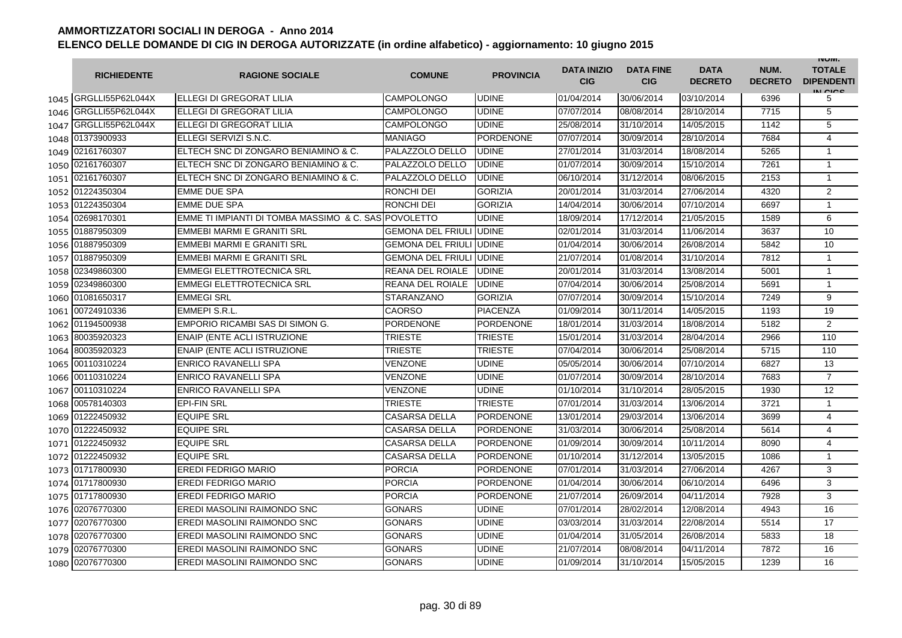|      | <b>RICHIEDENTE</b>    | <b>RAGIONE SOCIALE</b>                               | <b>COMUNE</b>                   | <b>PROVINCIA</b> | <b>DATA INIZIO</b><br><b>CIG</b> | <b>DATA FINE</b><br><b>CIG</b> | <b>DATA</b><br><b>DECRETO</b> | NUM.<br><b>DECRETO</b> | <b>INUIVI.</b><br><b>TOTALE</b><br><b>DIPENDENTI</b><br>IN CIGO |
|------|-----------------------|------------------------------------------------------|---------------------------------|------------------|----------------------------------|--------------------------------|-------------------------------|------------------------|-----------------------------------------------------------------|
|      | 1045 GRGLLI55P62L044X | ELLEGI DI GREGORAT LILIA                             | CAMPOLONGO                      | <b>UDINE</b>     | 01/04/2014                       | 30/06/2014                     | 03/10/2014                    | 6396                   | 5                                                               |
| 1046 | GRGLLI55P62L044X      | ELLEGI DI GREGORAT LILIA                             | <b>CAMPOLONGO</b>               | <b>UDINE</b>     | 07/07/2014                       | 08/08/2014                     | 28/10/2014                    | 7715                   | 5                                                               |
| 1047 | GRGLLI55P62L044X      | ELLEGI DI GREGORAT LILIA                             | <b>CAMPOLONGO</b>               | <b>UDINE</b>     | 25/08/2014                       | 31/10/2014                     | 14/05/2015                    | 1142                   | 5                                                               |
|      | 1048 01373900933      | ELLEGI SERVIZI S.N.C.                                | MANIAGO                         | <b>PORDENONE</b> | 07/07/2014                       | 30/09/2014                     | 28/10/2014                    | 7684                   | $\overline{4}$                                                  |
|      | 1049 02161760307      | ELTECH SNC DI ZONGARO BENIAMINO & C.                 | PALAZZOLO DELLO                 | <b>UDINE</b>     | 27/01/2014                       | 31/03/2014                     | 18/08/2014                    | 5265                   | $\mathbf{1}$                                                    |
|      | 1050 02161760307      | ELTECH SNC DI ZONGARO BENIAMINO & C.                 | PALAZZOLO DELLO                 | <b>UDINE</b>     | 01/07/2014                       | 30/09/2014                     | 15/10/2014                    | 7261                   | $\mathbf{1}$                                                    |
|      | 1051 02161760307      | ELTECH SNC DI ZONGARO BENIAMINO & C.                 | PALAZZOLO DELLO                 | <b>UDINE</b>     | 06/10/2014                       | 31/12/2014                     | 08/06/2015                    | 2153                   | $\mathbf{1}$                                                    |
|      | 1052 01224350304      | <b>EMME DUE SPA</b>                                  | RONCHI DEI                      | <b>GORIZIA</b>   | 20/01/2014                       | 31/03/2014                     | 27/06/2014                    | 4320                   | $\overline{2}$                                                  |
|      | 1053 01224350304      | <b>EMME DUE SPA</b>                                  | RONCHI DEI                      | <b>GORIZIA</b>   | 14/04/2014                       | 30/06/2014                     | 07/10/2014                    | 6697                   | $\mathbf{1}$                                                    |
|      | 1054 02698170301      | EMME TI IMPIANTI DI TOMBA MASSIMO & C. SAS POVOLETTO |                                 | <b>UDINE</b>     | 18/09/2014                       | 17/12/2014                     | 21/05/2015                    | 1589                   | 6                                                               |
|      | 1055 01887950309      | EMMEBI MARMI E GRANITI SRL                           | <b>GEMONA DEL FRIULI UDINE</b>  |                  | 02/01/2014                       | 31/03/2014                     | 11/06/2014                    | 3637                   | 10                                                              |
| 1056 | 01887950309           | EMMEBI MARMI E GRANITI SRL                           | <b>GEMONA DEL FRIULI JUDINE</b> |                  | 01/04/2014                       | 30/06/2014                     | 26/08/2014                    | 5842                   | 10                                                              |
| 1057 | 01887950309           | EMMEBI MARMI E GRANITI SRL                           | <b>GEMONA DEL FRIULI</b>        | <b>UDINE</b>     | 21/07/2014                       | 01/08/2014                     | 31/10/2014                    | 7812                   | $\mathbf{1}$                                                    |
| 1058 | 02349860300           | <b>EMMEGI ELETTROTECNICA SRL</b>                     | REANA DEL ROIALE                | <b>UDINE</b>     | 20/01/2014                       | 31/03/2014                     | 13/08/2014                    | 5001                   | $\mathbf{1}$                                                    |
| 1059 | 02349860300           | <b>EMMEGI ELETTROTECNICA SRL</b>                     | REANA DEL ROIALE                | <b>UDINE</b>     | 07/04/2014                       | 30/06/2014                     | 25/08/2014                    | 5691                   | $\mathbf{1}$                                                    |
|      | 1060 01081650317      | <b>EMMEGI SRL</b>                                    | <b>STARANZANO</b>               | <b>GORIZIA</b>   | 07/07/2014                       | 30/09/2014                     | 15/10/2014                    | 7249                   | 9                                                               |
|      | 1061 00724910336      | EMMEPI S.R.L.                                        | CAORSO                          | <b>PIACENZA</b>  | 01/09/2014                       | 30/11/2014                     | 14/05/2015                    | 1193                   | 19                                                              |
|      | 1062 01194500938      | EMPORIO RICAMBI SAS DI SIMON G.                      | <b>PORDENONE</b>                | <b>PORDENONE</b> | 18/01/2014                       | 31/03/2014                     | 18/08/2014                    | 5182                   | $\overline{2}$                                                  |
|      | 1063 80035920323      | <b>ENAIP (ENTE ACLI ISTRUZIONE</b>                   | TRIESTE                         | <b>TRIESTE</b>   | 15/01/2014                       | 31/03/2014                     | 28/04/2014                    | 2966                   | 110                                                             |
|      | 1064 80035920323      | <b>ENAIP (ENTE ACLI ISTRUZIONE</b>                   | TRIESTE                         | <b>TRIESTE</b>   | 07/04/2014                       | 30/06/2014                     | 25/08/2014                    | 5715                   | 110                                                             |
|      | 1065 00110310224      | <b>ENRICO RAVANELLI SPA</b>                          | VENZONE                         | <b>UDINE</b>     | 05/05/2014                       | 30/06/2014                     | 07/10/2014                    | 6827                   | 13                                                              |
| 1066 | 00110310224           | <b>ENRICO RAVANELLI SPA</b>                          | <b>VENZONE</b>                  | <b>UDINE</b>     | 01/07/2014                       | 30/09/2014                     | 28/10/2014                    | 7683                   | $\overline{7}$                                                  |
| 1067 | 00110310224           | <b>ENRICO RAVANELLI SPA</b>                          | <b>VENZONE</b>                  | <b>UDINE</b>     | 01/10/2014                       | 31/10/2014                     | 28/05/2015                    | 1930                   | 12                                                              |
|      | 1068 00578140303      | <b>EPI-FIN SRL</b>                                   | <b>TRIESTE</b>                  | <b>TRIESTE</b>   | 07/01/2014                       | 31/03/2014                     | 13/06/2014                    | 3721                   | 1                                                               |
|      | 1069 01222450932      | <b>EQUIPE SRL</b>                                    | <b>CASARSA DELLA</b>            | <b>PORDENONE</b> | 13/01/2014                       | 29/03/2014                     | 13/06/2014                    | 3699                   | $\overline{4}$                                                  |
|      | 1070 01222450932      | <b>EQUIPE SRL</b>                                    | <b>CASARSA DELLA</b>            | <b>PORDENONE</b> | 31/03/2014                       | 30/06/2014                     | 25/08/2014                    | 5614                   | $\overline{4}$                                                  |
|      | 1071 01222450932      | <b>EQUIPE SRL</b>                                    | CASARSA DELLA                   | <b>PORDENONE</b> | 01/09/2014                       | 30/09/2014                     | 10/11/2014                    | 8090                   | 4                                                               |
|      | 1072 01222450932      | <b>EQUIPE SRL</b>                                    | <b>CASARSA DELLA</b>            | <b>PORDENONE</b> | 01/10/2014                       | 31/12/2014                     | 13/05/2015                    | 1086                   | $\mathbf{1}$                                                    |
|      | 1073 01717800930      | <b>EREDI FEDRIGO MARIO</b>                           | <b>PORCIA</b>                   | <b>PORDENONE</b> | 07/01/2014                       | 31/03/2014                     | 27/06/2014                    | 4267                   | 3                                                               |
|      | 1074 01717800930      | EREDI FEDRIGO MARIO                                  | <b>PORCIA</b>                   | <b>PORDENONE</b> | 01/04/2014                       | 30/06/2014                     | 06/10/2014                    | 6496                   | 3                                                               |
|      | 1075 01717800930      | <b>EREDI FEDRIGO MARIO</b>                           | <b>PORCIA</b>                   | <b>PORDENONE</b> | 21/07/2014                       | 26/09/2014                     | 04/11/2014                    | 7928                   | 3                                                               |
|      | 1076 02076770300      | <b>EREDI MASOLINI RAIMONDO SNC</b>                   | <b>GONARS</b>                   | <b>UDINE</b>     | 07/01/2014                       | 28/02/2014                     | 12/08/2014                    | 4943                   | 16                                                              |
|      | 1077 02076770300      | EREDI MASOLINI RAIMONDO SNC                          | <b>GONARS</b>                   | <b>UDINE</b>     | 03/03/2014                       | 31/03/2014                     | 22/08/2014                    | 5514                   | 17                                                              |
|      | 1078 02076770300      | <b>EREDI MASOLINI RAIMONDO SNC</b>                   | <b>GONARS</b>                   | <b>UDINE</b>     | 01/04/2014                       | 31/05/2014                     | 26/08/2014                    | 5833                   | 18                                                              |
| 1079 | 02076770300           | <b>EREDI MASOLINI RAIMONDO SNC</b>                   | <b>GONARS</b>                   | <b>UDINE</b>     | 21/07/2014                       | 08/08/2014                     | 04/11/2014                    | 7872                   | 16                                                              |
|      | 1080 02076770300      | <b>EREDI MASOLINI RAIMONDO SNC</b>                   | <b>GONARS</b>                   | <b>UDINE</b>     | 01/09/2014                       | 31/10/2014                     | 15/05/2015                    | 1239                   | 16                                                              |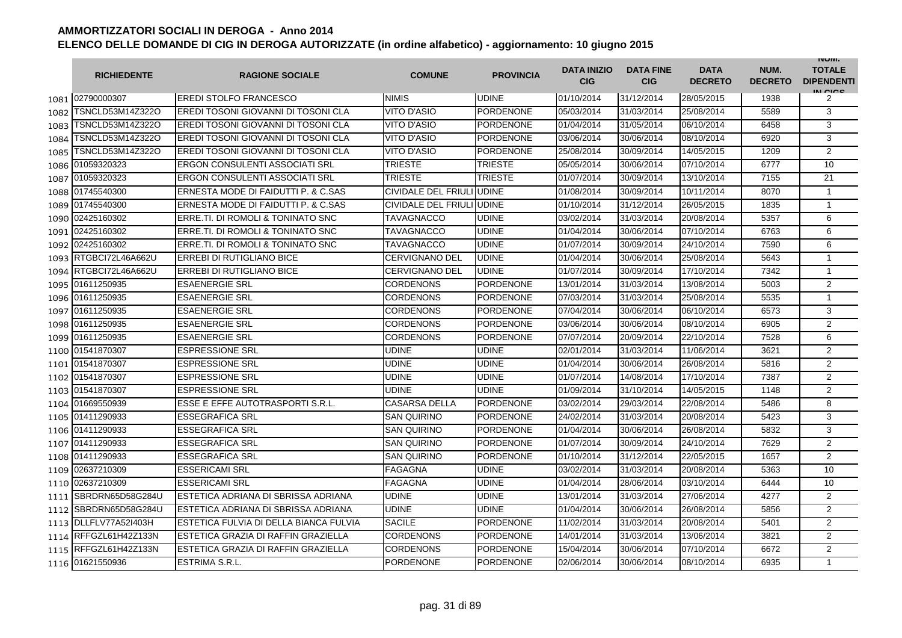|      | <b>RICHIEDENTE</b>    | <b>RAGIONE SOCIALE</b>                 | <b>COMUNE</b>              | <b>PROVINCIA</b> | <b>DATA INIZIO</b><br><b>CIG</b> | <b>DATA FINE</b><br><b>CIG</b> | <b>DATA</b><br><b>DECRETO</b> | NUM.<br><b>DECRETO</b> | <b>INUIVI.</b><br><b>TOTALE</b><br><b>DIPENDENTI</b><br>IN CICE |
|------|-----------------------|----------------------------------------|----------------------------|------------------|----------------------------------|--------------------------------|-------------------------------|------------------------|-----------------------------------------------------------------|
|      | 1081 02790000307      | <b>EREDI STOLFO FRANCESCO</b>          | <b>NIMIS</b>               | <b>UDINE</b>     | 01/10/2014                       | 31/12/2014                     | 28/05/2015                    | 1938                   | 2                                                               |
| 1082 | TSNCLD53M14Z322O      | EREDI TOSONI GIOVANNI DI TOSONI CLA    | <b>VITO D'ASIO</b>         | <b>PORDENONE</b> | 05/03/2014                       | 31/03/2014                     | 25/08/2014                    | 5589                   | 3                                                               |
| 1083 | TSNCLD53M14Z322O      | EREDI TOSONI GIOVANNI DI TOSONI CLA    | <b>VITO D'ASIO</b>         | <b>PORDENONE</b> | 01/04/2014                       | 31/05/2014                     | 06/10/2014                    | 6458                   | 3                                                               |
| 1084 | TSNCLD53M14Z322O      | EREDI TOSONI GIOVANNI DI TOSONI CLA    | <b>VITO D'ASIO</b>         | PORDENONE        | 03/06/2014                       | 30/06/2014                     | 08/10/2014                    | 6920                   | 3                                                               |
| 1085 | TSNCLD53M14Z322O      | EREDI TOSONI GIOVANNI DI TOSONI CLA    | VITO D'ASIO                | PORDENONE        | 25/08/2014                       | 30/09/2014                     | 14/05/2015                    | 1209                   | 2                                                               |
|      | 1086 01059320323      | <b>ERGON CONSULENTI ASSOCIATI SRL</b>  | <b>TRIESTE</b>             | <b>TRIESTE</b>   | 05/05/2014                       | 30/06/2014                     | 07/10/2014                    | 6777                   | 10                                                              |
|      | 1087 01059320323      | <b>ERGON CONSULENTI ASSOCIATI SRL</b>  | <b>TRIESTE</b>             | <b>TRIESTE</b>   | 01/07/2014                       | 30/09/2014                     | 13/10/2014                    | 7155                   | 21                                                              |
|      | 1088 01745540300      | ERNESTA MODE DI FAIDUTTI P. & C.SAS    | <b>CIVIDALE DEL FRIULI</b> | <b>UDINE</b>     | 01/08/2014                       | 30/09/2014                     | 10/11/2014                    | 8070                   | $\mathbf{1}$                                                    |
|      | 1089 01745540300      | ERNESTA MODE DI FAIDUTTI P. & C.SAS    | <b>CIVIDALE DEL FRIULI</b> | <b>UDINE</b>     | 01/10/2014                       | 31/12/2014                     | 26/05/2015                    | 1835                   | $\mathbf{1}$                                                    |
| 1090 | 02425160302           | ERRE.TI. DI ROMOLI & TONINATO SNC      | TAVAGNACCO                 | <b>UDINE</b>     | 03/02/2014                       | 31/03/2014                     | 20/08/2014                    | 5357                   | 6                                                               |
| 1091 | 02425160302           | ERRE.TI. DI ROMOLI & TONINATO SNC      | TAVAGNACCO                 | <b>UDINE</b>     | 01/04/2014                       | 30/06/2014                     | 07/10/2014                    | 6763                   | 6                                                               |
| 1092 | 02425160302           | ERRE.TI. DI ROMOLI & TONINATO SNC      | TAVAGNACCO                 | <b>UDINE</b>     | 01/07/2014                       | 30/09/2014                     | 24/10/2014                    | 7590                   | 6                                                               |
| 1093 | RTGBCI72L46A662U      | <b>ERREBI DI RUTIGLIANO BICE</b>       | <b>CERVIGNANO DEL</b>      | <b>UDINE</b>     | 01/04/2014                       | 30/06/2014                     | 25/08/2014                    | 5643                   | $\mathbf{1}$                                                    |
| 1094 | RTGBCI72L46A662U      | <b>ERREBI DI RUTIGLIANO BICE</b>       | <b>CERVIGNANO DEL</b>      | <b>UDINE</b>     | 01/07/2014                       | 30/09/2014                     | 17/10/2014                    | 7342                   | 1                                                               |
|      | 1095 01611250935      | <b>ESAENERGIE SRL</b>                  | <b>CORDENONS</b>           | <b>PORDENONE</b> | 13/01/2014                       | 31/03/2014                     | 13/08/2014                    | 5003                   | 2                                                               |
|      | 1096 01611250935      | <b>ESAENERGIE SRL</b>                  | <b>CORDENONS</b>           | <b>PORDENONE</b> | 07/03/2014                       | 31/03/2014                     | 25/08/2014                    | 5535                   | $\mathbf{1}$                                                    |
|      | 1097 01611250935      | <b>ESAENERGIE SRL</b>                  | <b>CORDENONS</b>           | PORDENONE        | 07/04/2014                       | 30/06/2014                     | 06/10/2014                    | 6573                   | 3                                                               |
|      | 1098 01611250935      | <b>ESAENERGIE SRL</b>                  | <b>CORDENONS</b>           | <b>PORDENONE</b> | 03/06/2014                       | 30/06/2014                     | 08/10/2014                    | 6905                   | $\overline{2}$                                                  |
|      | 1099 01611250935      | <b>ESAENERGIE SRL</b>                  | <b>CORDENONS</b>           | <b>PORDENONE</b> | 07/07/2014                       | 20/09/2014                     | 22/10/2014                    | 7528                   | 6                                                               |
|      | 1100 01541870307      | <b>ESPRESSIONE SRL</b>                 | <b>UDINE</b>               | <b>UDINE</b>     | 02/01/2014                       | 31/03/2014                     | 11/06/2014                    | 3621                   | 2                                                               |
|      | 1101 01541870307      | <b>ESPRESSIONE SRL</b>                 | <b>UDINE</b>               | <b>UDINE</b>     | 01/04/2014                       | 30/06/2014                     | 26/08/2014                    | 5816                   | $\mathbf{2}$                                                    |
|      | 1102 01541870307      | <b>ESPRESSIONE SRL</b>                 | <b>UDINE</b>               | <b>UDINE</b>     | 01/07/2014                       | 14/08/2014                     | 17/10/2014                    | 7387                   | 2                                                               |
|      | 1103 01541870307      | <b>ESPRESSIONE SRL</b>                 | <b>UDINE</b>               | <b>UDINE</b>     | 01/09/2014                       | 31/10/2014                     | 14/05/2015                    | 1148                   | $\overline{2}$                                                  |
|      | 1104 01669550939      | ESSE E EFFE AUTOTRASPORTI S.R.L.       | <b>CASARSA DELLA</b>       | <b>PORDENONE</b> | 03/02/2014                       | 29/03/2014                     | 22/08/2014                    | 5486                   | 8                                                               |
| 1105 | 01411290933           | <b>ESSEGRAFICA SRL</b>                 | <b>SAN QUIRINO</b>         | <b>PORDENONE</b> | 24/02/2014                       | 31/03/2014                     | 20/08/2014                    | 5423                   | 3                                                               |
|      | 1106 01411290933      | <b>ESSEGRAFICA SRL</b>                 | <b>SAN QUIRINO</b>         | <b>PORDENONE</b> | 01/04/2014                       | 30/06/2014                     | 26/08/2014                    | 5832                   | 3                                                               |
|      | 1107 01411290933      | ESSEGRAFICA SRL                        | <b>SAN QUIRINO</b>         | <b>PORDENONE</b> | 01/07/2014                       | 30/09/2014                     | 24/10/2014                    | 7629                   | $\overline{2}$                                                  |
|      | 1108 01411290933      | <b>ESSEGRAFICA SRL</b>                 | <b>SAN QUIRINO</b>         | <b>PORDENONE</b> | 01/10/2014                       | 31/12/2014                     | 22/05/2015                    | 1657                   | 2                                                               |
| 1109 | 02637210309           | ESSERICAMI SRL                         | <b>FAGAGNA</b>             | <b>UDINE</b>     | 03/02/2014                       | 31/03/2014                     | 20/08/2014                    | 5363                   | 10                                                              |
|      | 1110 02637210309      | <b>ESSERICAMI SRL</b>                  | <b>FAGAGNA</b>             | UDINE            | 01/04/2014                       | 28/06/2014                     | 03/10/2014                    | 6444                   | 10                                                              |
|      | 1111 SBRDRN65D58G284U | ESTETICA ADRIANA DI SBRISSA ADRIANA    | <b>UDINE</b>               | <b>UDINE</b>     | 13/01/2014                       | 31/03/2014                     | 27/06/2014                    | 4277                   | $\mathbf{2}$                                                    |
|      | 1112 SBRDRN65D58G284U | ESTETICA ADRIANA DI SBRISSA ADRIANA    | <b>UDINE</b>               | <b>UDINE</b>     | 01/04/2014                       | 30/06/2014                     | 26/08/2014                    | 5856                   | 2                                                               |
|      | 1113 DLLFLV77A521403H | ESTETICA FULVIA DI DELLA BIANCA FULVIA | <b>SACILE</b>              | <b>PORDENONE</b> | 11/02/2014                       | 31/03/2014                     | 20/08/2014                    | 5401                   | 2                                                               |
|      | 1114 RFFGZL61H42Z133N | ESTETICA GRAZIA DI RAFFIN GRAZIELLA    | <b>CORDENONS</b>           | <b>PORDENONE</b> | 14/01/2014                       | 31/03/2014                     | 13/06/2014                    | 3821                   | $\overline{2}$                                                  |
|      | 1115 RFFGZL61H42Z133N | ESTETICA GRAZIA DI RAFFIN GRAZIELLA    | <b>CORDENONS</b>           | <b>PORDENONE</b> | 15/04/2014                       | 30/06/2014                     | 07/10/2014                    | 6672                   | 2                                                               |
|      | 1116 01621550936      | ESTRIMA S.R.L.                         | <b>PORDENONE</b>           | <b>PORDENONE</b> | 02/06/2014                       | 30/06/2014                     | 08/10/2014                    | 6935                   | $\mathbf{1}$                                                    |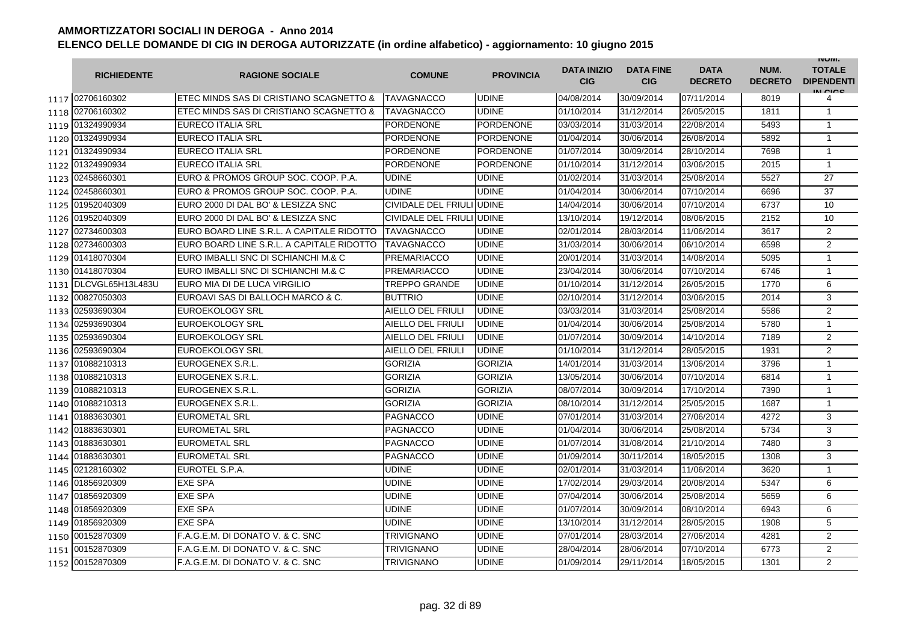|      | <b>RICHIEDENTE</b>    | <b>RAGIONE SOCIALE</b>                    | <b>COMUNE</b>             | <b>PROVINCIA</b> | <b>DATA INIZIO</b><br><b>CIG</b> | <b>DATA FINE</b><br><b>CIG</b> | <b>DATA</b><br><b>DECRETO</b> | NUM.<br><b>DECRETO</b> | <b>INUIVI.</b><br><b>TOTALE</b><br><b>DIPENDENTI</b><br>IN CICS |
|------|-----------------------|-------------------------------------------|---------------------------|------------------|----------------------------------|--------------------------------|-------------------------------|------------------------|-----------------------------------------------------------------|
|      | 1117 02706160302      | IETEC MINDS SAS DI CRISTIANO SCAGNETTO &  | <b>TAVAGNACCO</b>         | <b>UDINE</b>     | 04/08/2014                       | 30/09/2014                     | 07/11/2014                    | 8019                   | 4                                                               |
|      | 1118 02706160302      | ETEC MINDS SAS DI CRISTIANO SCAGNETTO &   | TAVAGNACCO                | <b>UDINE</b>     | 01/10/2014                       | 31/12/2014                     | 26/05/2015                    | 1811                   | $\mathbf{1}$                                                    |
|      | 1119 01324990934      | <b>EURECO ITALIA SRL</b>                  | <b>PORDENONE</b>          | PORDENONE        | 03/03/2014                       | 31/03/2014                     | 22/08/2014                    | 5493                   | $\mathbf{1}$                                                    |
|      | 1120 01324990934      | EURECO ITALIA SRL                         | <b>PORDENONE</b>          | <b>PORDENONE</b> | 01/04/2014                       | 30/06/2014                     | 26/08/2014                    | 5892                   | $\mathbf{1}$                                                    |
|      | 1121 01324990934      | EURECO ITALIA SRL                         | <b>PORDENONE</b>          | <b>PORDENONE</b> | 01/07/2014                       | 30/09/2014                     | 28/10/2014                    | 7698                   | $\mathbf{1}$                                                    |
|      | 1122 01324990934      | EURECO ITALIA SRL                         | <b>PORDENONE</b>          | <b>PORDENONE</b> | 01/10/2014                       | 31/12/2014                     | 03/06/2015                    | 2015                   | $\mathbf{1}$                                                    |
|      | 1123 02458660301      | EURO & PROMOS GROUP SOC. COOP. P.A.       | <b>UDINE</b>              | <b>UDINE</b>     | 01/02/2014                       | 31/03/2014                     | 25/08/2014                    | 5527                   | 27                                                              |
|      | 1124 02458660301      | EURO & PROMOS GROUP SOC. COOP. P.A.       | <b>UDINE</b>              | <b>UDINE</b>     | 01/04/2014                       | 30/06/2014                     | 07/10/2014                    | 6696                   | 37                                                              |
| 1125 | 01952040309           | EURO 2000 DI DAL BO' & LESIZZA SNC        | CIVIDALE DEL FRIULI UDINE |                  | 14/04/2014                       | 30/06/2014                     | 07/10/2014                    | 6737                   | 10                                                              |
| 1126 | 01952040309           | EURO 2000 DI DAL BO' & LESIZZA SNC        | CIVIDALE DEL FRIULI UDINE |                  | 13/10/2014                       | 19/12/2014                     | 08/06/2015                    | 2152                   | 10                                                              |
| 1127 | 02734600303           | EURO BOARD LINE S.R.L. A CAPITALE RIDOTTO | TAVAGNACCO                | <b>UDINE</b>     | 02/01/2014                       | 28/03/2014                     | 11/06/2014                    | 3617                   | $\overline{2}$                                                  |
| 1128 | 02734600303           | EURO BOARD LINE S.R.L. A CAPITALE RIDOTTO | <b>TAVAGNACCO</b>         | <b>UDINE</b>     | 31/03/2014                       | 30/06/2014                     | 06/10/2014                    | 6598                   | 2                                                               |
| 1129 | 01418070304           | EURO IMBALLI SNC DI SCHIANCHI M.& C       | <b>PREMARIACCO</b>        | <b>UDINE</b>     | 20/01/2014                       | 31/03/2014                     | 14/08/2014                    | 5095                   | $\mathbf{1}$                                                    |
|      | 1130 01418070304      | EURO IMBALLI SNC DI SCHIANCHI M.& C       | <b>PREMARIACCO</b>        | <b>UDINE</b>     | 23/04/2014                       | 30/06/2014                     | 07/10/2014                    | 6746                   | $\mathbf{1}$                                                    |
|      | 1131 DLCVGL65H13L483U | EURO MIA DI DE LUCA VIRGILIO              | <b>TREPPO GRANDE</b>      | <b>UDINE</b>     | 01/10/2014                       | 31/12/2014                     | 26/05/2015                    | 1770                   | 6                                                               |
|      | 1132 00827050303      | EUROAVI SAS DI BALLOCH MARCO & C.         | <b>BUTTRIO</b>            | <b>UDINE</b>     | 02/10/2014                       | 31/12/2014                     | 03/06/2015                    | 2014                   | 3                                                               |
| 1133 | 02593690304           | EUROEKOLOGY SRL                           | AIELLO DEL FRIULI         | <b>UDINE</b>     | 03/03/2014                       | 31/03/2014                     | 25/08/2014                    | 5586                   | $\overline{2}$                                                  |
| 1134 | 02593690304           | <b>EUROEKOLOGY SRL</b>                    | AIELLO DEL FRIULI         | <b>UDINE</b>     | 01/04/2014                       | 30/06/2014                     | 25/08/2014                    | 5780                   | $\mathbf{1}$                                                    |
| 1135 | 02593690304           | <b>EUROEKOLOGY SRL</b>                    | AIELLO DEL FRIULI         | <b>UDINE</b>     | 01/07/2014                       | 30/09/2014                     | 14/10/2014                    | 7189                   | $\overline{2}$                                                  |
| 1136 | 02593690304           | EUROEKOLOGY SRL                           | AIELLO DEL FRIULI         | <b>UDINE</b>     | 01/10/2014                       | 31/12/2014                     | 28/05/2015                    | 1931                   | 2                                                               |
|      | 1137 01088210313      | EUROGENEX S.R.L.                          | <b>GORIZIA</b>            | <b>GORIZIA</b>   | 14/01/2014                       | 31/03/2014                     | 13/06/2014                    | 3796                   | $\mathbf{1}$                                                    |
|      | 1138 01088210313      | EUROGENEX S.R.L.                          | <b>GORIZIA</b>            | <b>GORIZIA</b>   | 13/05/2014                       | 30/06/2014                     | 07/10/2014                    | 6814                   | $\mathbf{1}$                                                    |
|      | 1139 01088210313      | <b>EUROGENEX S.R.L.</b>                   | <b>GORIZIA</b>            | <b>GORIZIA</b>   | 08/07/2014                       | 30/09/2014                     | 17/10/2014                    | 7390                   | $\mathbf{1}$                                                    |
|      | 1140 01088210313      | EUROGENEX S.R.L.                          | <b>GORIZIA</b>            | <b>GORIZIA</b>   | 08/10/2014                       | 31/12/2014                     | 25/05/2015                    | 1687                   | $\mathbf{1}$                                                    |
|      | 1141 01883630301      | <b>EUROMETAL SRL</b>                      | <b>PAGNACCO</b>           | <b>UDINE</b>     | 07/01/2014                       | 31/03/2014                     | 27/06/2014                    | 4272                   | 3                                                               |
|      | 1142 01883630301      | <b>EUROMETAL SRL</b>                      | PAGNACCO                  | <b>UDINE</b>     | 01/04/2014                       | 30/06/2014                     | 25/08/2014                    | 5734                   | 3                                                               |
|      | 1143 01883630301      | <b>EUROMETAL SRL</b>                      | <b>PAGNACCO</b>           | <b>UDINE</b>     | 01/07/2014                       | 31/08/2014                     | 21/10/2014                    | 7480                   | 3                                                               |
|      | 1144 01883630301      | <b>EUROMETAL SRL</b>                      | PAGNACCO                  | <b>UDINE</b>     | 01/09/2014                       | 30/11/2014                     | 18/05/2015                    | 1308                   | 3                                                               |
|      | 1145 02128160302      | EUROTEL S.P.A.                            | <b>UDINE</b>              | <b>UDINE</b>     | 02/01/2014                       | 31/03/2014                     | 11/06/2014                    | 3620                   | $\mathbf{1}$                                                    |
| 1146 | 01856920309           | <b>EXE SPA</b>                            | <b>UDINE</b>              | <b>UDINE</b>     | 17/02/2014                       | 29/03/2014                     | 20/08/2014                    | 5347                   | 6                                                               |
| 1147 | 01856920309           | <b>EXE SPA</b>                            | <b>UDINE</b>              | <b>UDINE</b>     | 07/04/2014                       | 30/06/2014                     | 25/08/2014                    | 5659                   | 6                                                               |
| 1148 | 01856920309           | <b>EXE SPA</b>                            | UDINE                     | <b>UDINE</b>     | 01/07/2014                       | 30/09/2014                     | 08/10/2014                    | 6943                   | 6                                                               |
| 1149 | 01856920309           | <b>EXE SPA</b>                            | <b>UDINE</b>              | <b>UDINE</b>     | 13/10/2014                       | 31/12/2014                     | 28/05/2015                    | 1908                   | 5                                                               |
|      | 1150 00152870309      | F.A.G.E.M. DI DONATO V. & C. SNC          | TRIVIGNANO                | <b>UDINE</b>     | 07/01/2014                       | 28/03/2014                     | 27/06/2014                    | 4281                   | 2                                                               |
|      | 1151 00152870309      | F.A.G.E.M. DI DONATO V. & C. SNC          | TRIVIGNANO                | <b>UDINE</b>     | 28/04/2014                       | 28/06/2014                     | 07/10/2014                    | 6773                   | $\overline{2}$                                                  |
|      | 1152 00152870309      | F.A.G.E.M. DI DONATO V. & C. SNC          | <b>TRIVIGNANO</b>         | <b>UDINE</b>     | 01/09/2014                       | 29/11/2014                     | 18/05/2015                    | 1301                   | $\mathfrak{p}$                                                  |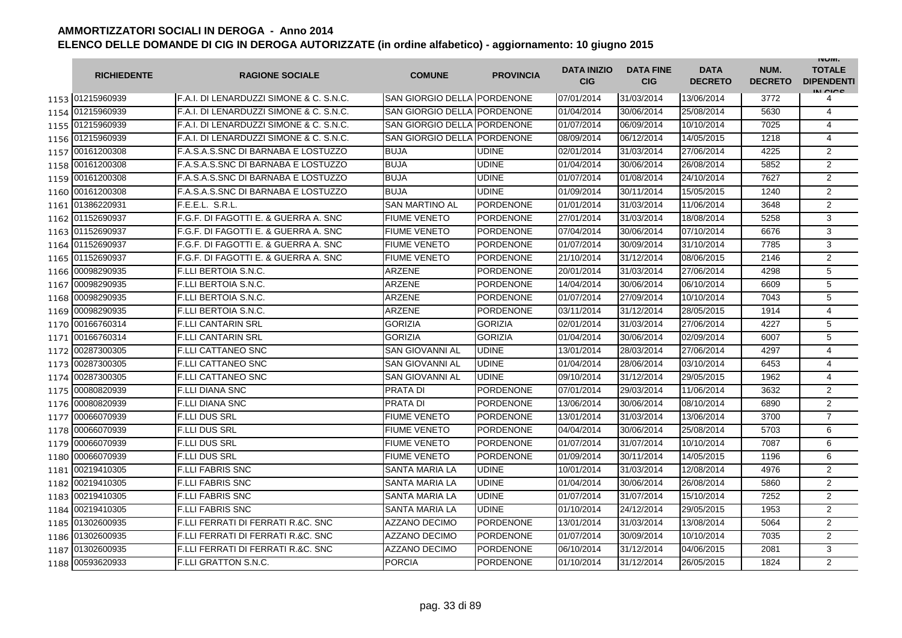|      | <b>RICHIEDENTE</b> | <b>RAGIONE SOCIALE</b>                        | <b>COMUNE</b>               | <b>PROVINCIA</b> | <b>DATA INIZIO</b><br><b>CIG</b> | <b>DATA FINE</b><br><b>CIG</b> | <b>DATA</b><br><b>DECRETO</b> | NUM.<br><b>DECRETO</b> | <b>INUIVI.</b><br><b>TOTALE</b><br><b>DIPENDENTI</b><br>IN CICE |
|------|--------------------|-----------------------------------------------|-----------------------------|------------------|----------------------------------|--------------------------------|-------------------------------|------------------------|-----------------------------------------------------------------|
|      | 1153 01215960939   | IF.A.I. DI LENARDUZZI SIMONE & C. S.N.C.      | SAN GIORGIO DELLA PORDENONE |                  | 07/01/2014                       | 31/03/2014                     | 13/06/2014                    | 3772                   | 4                                                               |
|      | 1154 01215960939   | F.A.I. DI LENARDUZZI SIMONE & C. S.N.C.       | SAN GIORGIO DELLA PORDENONE |                  | 01/04/2014                       | 30/06/2014                     | 25/08/2014                    | 5630                   | 4                                                               |
|      | 1155 01215960939   | F.A.I. DI LENARDUZZI SIMONE & C. S.N.C.       | SAN GIORGIO DELLA PORDENONE |                  | 01/07/2014                       | 06/09/2014                     | 10/10/2014                    | 7025                   | $\overline{4}$                                                  |
|      | 1156 01215960939   | F.A.I. DI LENARDUZZI SIMONE & C. S.N.C.       | <b>SAN GIORGIO DELLA</b>    | PORDENONE        | 08/09/2014                       | 06/12/2014                     | 14/05/2015                    | 1218                   | 4                                                               |
|      | 1157 00161200308   | F.A.S.A.S.SNC DI BARNABA E LOSTUZZO           | <b>BUJA</b>                 | <b>UDINE</b>     | 02/01/2014                       | 31/03/2014                     | 27/06/2014                    | 4225                   | 2                                                               |
|      | 1158 00161200308   | F.A.S.A.S.SNC DI BARNABA E LOSTUZZO           | <b>BUJA</b>                 | <b>UDINE</b>     | 01/04/2014                       | 30/06/2014                     | 26/08/2014                    | 5852                   | $\overline{2}$                                                  |
|      | 1159 00161200308   | F.A.S.A.S.SNC DI BARNABA E LOSTUZZO           | <b>BUJA</b>                 | <b>UDINE</b>     | 01/07/2014                       | 01/08/2014                     | 24/10/2014                    | 7627                   | $\overline{2}$                                                  |
|      | 1160 00161200308   | F.A.S.A.S.SNC DI BARNABA E LOSTUZZO           | <b>BUJA</b>                 | <b>UDINE</b>     | 01/09/2014                       | 30/11/2014                     | 15/05/2015                    | 1240                   | $\overline{2}$                                                  |
|      | 1161 01386220931   | F.E.E.L. S.R.L.                               | <b>SAN MARTINO AL</b>       | <b>PORDENONE</b> | 01/01/2014                       | 31/03/2014                     | 11/06/2014                    | 3648                   | $\overline{2}$                                                  |
|      | 1162 01152690937   | F.G.F. DI FAGOTTI E. & GUERRA A. SNC          | <b>FIUME VENETO</b>         | <b>PORDENONE</b> | 27/01/2014                       | 31/03/2014                     | 18/08/2014                    | 5258                   | 3                                                               |
| 1163 | 01152690937        | F.G.F. DI FAGOTTI E. & GUERRA A. SNC          | <b>FIUME VENETO</b>         | <b>PORDENONE</b> | 07/04/2014                       | 30/06/2014                     | 07/10/2014                    | 6676                   | 3                                                               |
| 1164 | 01152690937        | F.G.F. DI FAGOTTI E. & GUERRA A. SNC          | <b>FIUME VENETO</b>         | <b>PORDENONE</b> | 01/07/2014                       | 30/09/2014                     | 31/10/2014                    | 7785                   | 3                                                               |
| 1165 | 01152690937        | F.G.F. DI FAGOTTI E. & GUERRA A. SNC          | <b>FIUME VENETO</b>         | <b>PORDENONE</b> | 21/10/2014                       | 31/12/2014                     | 08/06/2015                    | 2146                   | $\overline{2}$                                                  |
| 1166 | 00098290935        | <b>F.LLI BERTOIA S.N.C.</b>                   | <b>ARZENE</b>               | <b>PORDENONE</b> | 20/01/2014                       | 31/03/2014                     | 27/06/2014                    | 4298                   | 5                                                               |
| 1167 | 00098290935        | <b>F.LLI BERTOIA S.N.C.</b>                   | ARZENE                      | <b>PORDENONE</b> | 14/04/2014                       | 30/06/2014                     | 06/10/2014                    | 6609                   | 5                                                               |
| 1168 | 00098290935        | <b>F.LLI BERTOIA S.N.C.</b>                   | <b>ARZENE</b>               | <b>PORDENONE</b> | 01/07/2014                       | 27/09/2014                     | 10/10/2014                    | 7043                   | 5                                                               |
| 1169 | 00098290935        | F.LLI BERTOIA S.N.C.                          | ARZENE                      | PORDENONE        | 03/11/2014                       | 31/12/2014                     | 28/05/2015                    | 1914                   | 4                                                               |
|      | 1170 00166760314   | <b>F.LLI CANTARIN SRL</b>                     | <b>GORIZIA</b>              | <b>GORIZIA</b>   | 02/01/2014                       | 31/03/2014                     | 27/06/2014                    | 4227                   | 5                                                               |
|      | 1171 00166760314   | <b>F.LLI CANTARIN SRL</b>                     | <b>GORIZIA</b>              | <b>GORIZIA</b>   | 01/04/2014                       | 30/06/2014                     | 02/09/2014                    | 6007                   | 5                                                               |
|      | 1172 00287300305   | <b>F.LLI CATTANEO SNC</b>                     | <b>SAN GIOVANNI AL</b>      | <b>UDINE</b>     | 13/01/2014                       | 28/03/2014                     | 27/06/2014                    | 4297                   | 4                                                               |
|      | 1173 00287300305   | <b>F.LLI CATTANEO SNC</b>                     | <b>SAN GIOVANNI AL</b>      | <b>UDINE</b>     | 01/04/2014                       | 28/06/2014                     | 03/10/2014                    | 6453                   | 4                                                               |
|      | 1174 00287300305   | <b>F.LLI CATTANEO SNC</b>                     | <b>SAN GIOVANNI AL</b>      | <b>UDINE</b>     | 09/10/2014                       | 31/12/2014                     | 29/05/2015                    | 1962                   | $\overline{4}$                                                  |
|      | 1175 00080820939   | <b>F.LLI DIANA SNC</b>                        | PRATA DI                    | <b>PORDENONE</b> | 07/01/2014                       | 29/03/2014                     | 11/06/2014                    | 3632                   | $\overline{2}$                                                  |
| 1176 | 00080820939        | F.LLI DIANA SNC                               | <b>PRATA DI</b>             | <b>PORDENONE</b> | 13/06/2014                       | 30/06/2014                     | 08/10/2014                    | 6890                   | $\overline{2}$                                                  |
| 1177 | 00066070939        | <b>F.LLI DUS SRL</b>                          | <b>FIUME VENETO</b>         | <b>PORDENONE</b> | 13/01/2014                       | 31/03/2014                     | 13/06/2014                    | 3700                   | $\overline{7}$                                                  |
| 1178 | 00066070939        | <b>F.LLI DUS SRL</b>                          | <b>FIUME VENETO</b>         | <b>PORDENONE</b> | 04/04/2014                       | 30/06/2014                     | 25/08/2014                    | 5703                   | 6                                                               |
| 1179 | 00066070939        | <b>F.LLI DUS SRL</b>                          | <b>FIUME VENETO</b>         | <b>PORDENONE</b> | 01/07/2014                       | 31/07/2014                     | 10/10/2014                    | 7087                   | 6                                                               |
|      | 1180 00066070939   | <b>F.LLI DUS SRL</b>                          | <b>FIUME VENETO</b>         | <b>PORDENONE</b> | 01/09/2014                       | 30/11/2014                     | 14/05/2015                    | 1196                   | 6                                                               |
|      | 1181 00219410305   | <b>F.LLI FABRIS SNC</b>                       | <b>SANTA MARIA LA</b>       | <b>UDINE</b>     | 10/01/2014                       | 31/03/2014                     | 12/08/2014                    | 4976                   | 2                                                               |
|      | 1182 00219410305   | F.LLI FABRIS SNC                              | SANTA MARIA LA              | <b>UDINE</b>     | 01/04/2014                       | 30/06/2014                     | 26/08/2014                    | 5860                   | $\overline{2}$                                                  |
|      | 1183 00219410305   | <b>F.LLI FABRIS SNC</b>                       | SANTA MARIA LA              | <b>UDINE</b>     | 01/07/2014                       | 31/07/2014                     | 15/10/2014                    | 7252                   | $\overline{2}$                                                  |
|      | 1184 00219410305   | <b>F.LLI FABRIS SNC</b>                       | SANTA MARIA LA              | <b>UDINE</b>     | 01/10/2014                       | 24/12/2014                     | 29/05/2015                    | 1953                   | 2                                                               |
|      | 1185 01302600935   | F.LLI FERRATI DI FERRATI R.&C. SNC            | <b>AZZANO DECIMO</b>        | <b>PORDENONE</b> | 13/01/2014                       | 31/03/2014                     | 13/08/2014                    | 5064                   | $\overline{2}$                                                  |
|      | 1186 01302600935   | <b>F.LLI FERRATI DI FERRATI R.&amp;C. SNC</b> | <b>AZZANO DECIMO</b>        | <b>PORDENONE</b> | 01/07/2014                       | 30/09/2014                     | 10/10/2014                    | 7035                   | $\overline{2}$                                                  |
|      | 1187 01302600935   | F.LLI FERRATI DI FERRATI R.&C. SNC            | <b>AZZANO DECIMO</b>        | <b>PORDENONE</b> | 06/10/2014                       | 31/12/2014                     | 04/06/2015                    | 2081                   | 3                                                               |
|      | 1188 00593620933   | <b>F.LLI GRATTON S.N.C.</b>                   | <b>PORCIA</b>               | <b>PORDENONE</b> | 01/10/2014                       | 31/12/2014                     | 26/05/2015                    | 1824                   | $\overline{2}$                                                  |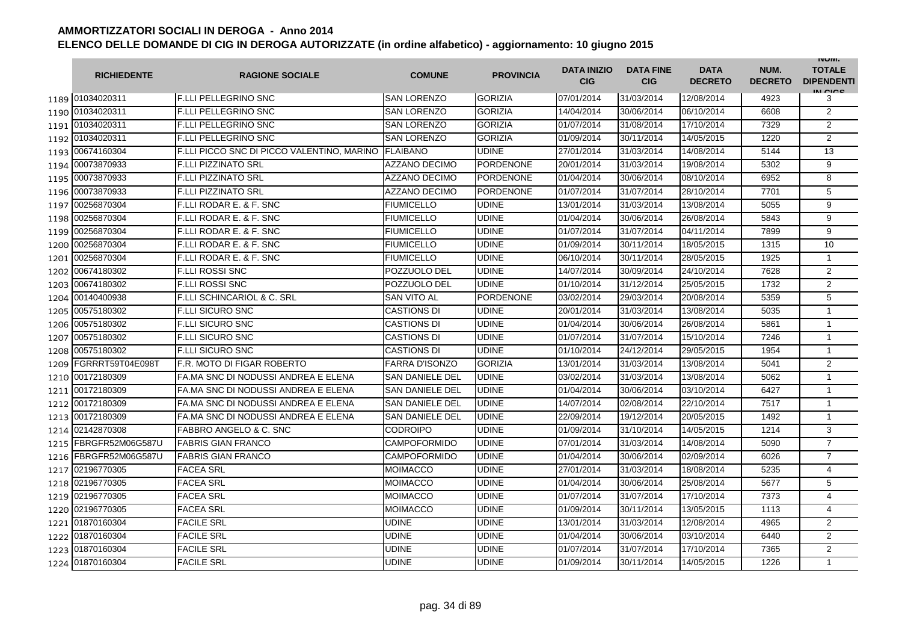|      | <b>RICHIEDENTE</b>      | <b>RAGIONE SOCIALE</b>                     | <b>COMUNE</b>          | <b>PROVINCIA</b> | <b>DATA INIZIO</b><br><b>CIG</b> | <b>DATA FINE</b><br><b>CIG</b> | <b>DATA</b><br><b>DECRETO</b> | NUM.<br><b>DECRETO</b> | <b>INUIVI.</b><br><b>TOTALE</b><br><b>DIPENDENTI</b><br>IN CIGO |
|------|-------------------------|--------------------------------------------|------------------------|------------------|----------------------------------|--------------------------------|-------------------------------|------------------------|-----------------------------------------------------------------|
|      | 1189 01034020311        | <b>IF.LLI PELLEGRINO SNC</b>               | <b>SAN LORENZO</b>     | <b>GORIZIA</b>   | 07/01/2014                       | 31/03/2014                     | 12/08/2014                    | 4923                   | 3                                                               |
|      | 1190 01034020311        | <b>F.LLI PELLEGRINO SNC</b>                | <b>SAN LORENZO</b>     | <b>GORIZIA</b>   | 14/04/2014                       | 30/06/2014                     | 06/10/2014                    | 6608                   | 2                                                               |
|      | 1191 01034020311        | <b>F.LLI PELLEGRINO SNC</b>                | <b>SAN LORENZO</b>     | <b>GORIZIA</b>   | 01/07/2014                       | 31/08/2014                     | 17/10/2014                    | 7329                   | $\overline{2}$                                                  |
|      | 1192 01034020311        | F.LLI PELLEGRINO SNC                       | <b>SAN LORENZO</b>     | <b>GORIZIA</b>   | 01/09/2014                       | 30/11/2014                     | 14/05/2015                    | 1220                   | $\overline{2}$                                                  |
|      | 1193 00674160304        | F.LLI PICCO SNC DI PICCO VALENTINO, MARINO | <b>FLAIBANO</b>        | <b>UDINE</b>     | 27/01/2014                       | 31/03/2014                     | 14/08/2014                    | 5144                   | 13                                                              |
|      | 1194 00073870933        | <b>F.LLI PIZZINATO SRL</b>                 | <b>AZZANO DECIMO</b>   | <b>PORDENONE</b> | 20/01/2014                       | 31/03/2014                     | 19/08/2014                    | 5302                   | 9                                                               |
|      | 1195 00073870933        | <b>F.LLI PIZZINATO SRL</b>                 | <b>AZZANO DECIMO</b>   | <b>PORDENONE</b> | 01/04/2014                       | 30/06/2014                     | 08/10/2014                    | 6952                   | 8                                                               |
|      | 1196 00073870933        | <b>F.LLI PIZZINATO SRL</b>                 | <b>AZZANO DECIMO</b>   | <b>PORDENONE</b> | 01/07/2014                       | 31/07/2014                     | 28/10/2014                    | 7701                   | 5                                                               |
|      | 1197 00256870304        | F.LLI RODAR E. & F. SNC                    | <b>FIUMICELLO</b>      | <b>UDINE</b>     | 13/01/2014                       | 31/03/2014                     | 13/08/2014                    | 5055                   | 9                                                               |
|      | 1198 00256870304        | F.LLI RODAR E. & F. SNC                    | <b>FIUMICELLO</b>      | <b>UDINE</b>     | 01/04/2014                       | 30/06/2014                     | 26/08/2014                    | 5843                   | 9                                                               |
| 1199 | 00256870304             | <b>F.LLI RODAR E. &amp; F. SNC</b>         | <b>FIUMICELLO</b>      | <b>UDINE</b>     | 01/07/2014                       | 31/07/2014                     | 04/11/2014                    | 7899                   | 9                                                               |
| 1200 | 00256870304             | F.LLI RODAR E. & F. SNC                    | <b>FIUMICELLO</b>      | <b>UDINE</b>     | 01/09/2014                       | 30/11/2014                     | 18/05/2015                    | 1315                   | 10                                                              |
| 1201 | 00256870304             | F.LLI RODAR E. & F. SNC                    | <b>FIUMICELLO</b>      | <b>UDINE</b>     | 06/10/2014                       | 30/11/2014                     | 28/05/2015                    | 1925                   | $\mathbf{1}$                                                    |
|      | 1202 00674180302        | <b>F.LLI ROSSI SNC</b>                     | POZZUOLO DEL           | <b>UDINE</b>     | 14/07/2014                       | 30/09/2014                     | 24/10/2014                    | 7628                   | $\overline{2}$                                                  |
| 1203 | 00674180302             | <b>F.LLI ROSSI SNC</b>                     | POZZUOLO DEL           | <b>UDINE</b>     | 01/10/2014                       | 31/12/2014                     | 25/05/2015                    | 1732                   | 2                                                               |
| 1204 | 00140400938             | <b>F.LLI SCHINCARIOL &amp; C. SRL</b>      | <b>SAN VITO AL</b>     | <b>PORDENONE</b> | 03/02/2014                       | 29/03/2014                     | 20/08/2014                    | 5359                   | 5                                                               |
|      | 1205 00575180302        | <b>F.LLI SICURO SNC</b>                    | <b>CASTIONS DI</b>     | <b>UDINE</b>     | 20/01/2014                       | 31/03/2014                     | 13/08/2014                    | 5035                   | $\mathbf{1}$                                                    |
|      | 1206 00575180302        | <b>F.LLI SICURO SNC</b>                    | <b>CASTIONS DI</b>     | <b>UDINE</b>     | 01/04/2014                       | 30/06/2014                     | 26/08/2014                    | 5861                   | 1                                                               |
|      | 1207 00575180302        | <b>F.LLI SICURO SNC</b>                    | CASTIONS DI            | <b>UDINE</b>     | 01/07/2014                       | 31/07/2014                     | 15/10/2014                    | 7246                   | $\mathbf{1}$                                                    |
|      | 1208 00575180302        | F.LLI SICURO SNC                           | <b>CASTIONS DI</b>     | <b>UDINE</b>     | 01/10/2014                       | 24/12/2014                     | 29/05/2015                    | 1954                   | $\mathbf{1}$                                                    |
| 1209 | FGRRRT59T04E098T        | F.R. MOTO DI FIGAR ROBERTO                 | <b>FARRA D'ISONZO</b>  | <b>GORIZIA</b>   | 13/01/2014                       | 31/03/2014                     | 13/08/2014                    | 5041                   | $\overline{2}$                                                  |
|      | 1210 00172180309        | FA.MA SNC DI NODUSSI ANDREA E ELENA        | <b>SAN DANIELE DEL</b> | <b>UDINE</b>     | 03/02/2014                       | 31/03/2014                     | 13/08/2014                    | 5062                   | $\mathbf{1}$                                                    |
|      | 1211 00172180309        | FA.MA SNC DI NODUSSI ANDREA E ELENA        | <b>SAN DANIELE DEL</b> | <b>UDINE</b>     | 01/04/2014                       | 30/06/2014                     | 03/10/2014                    | 6427                   | $\mathbf{1}$                                                    |
|      | 1212 00172180309        | FA.MA SNC DI NODUSSI ANDREA E ELENA        | <b>SAN DANIELE DEL</b> | <b>UDINE</b>     | 14/07/2014                       | 02/08/2014                     | 22/10/2014                    | 7517                   | 1                                                               |
|      | 1213 00172180309        | FA.MA SNC DI NODUSSI ANDREA E ELENA        | <b>SAN DANIELE DEL</b> | <b>UDINE</b>     | 22/09/2014                       | 19/12/2014                     | 20/05/2015                    | 1492                   | $\mathbf{1}$                                                    |
| 1214 | 02142870308             | FABBRO ANGELO & C. SNC                     | <b>CODROIPO</b>        | <b>UDINE</b>     | 01/09/2014                       | 31/10/2014                     | 14/05/2015                    | 1214                   | 3                                                               |
| 1215 | FBRGFR52M06G587U        | <b>FABRIS GIAN FRANCO</b>                  | <b>CAMPOFORMIDO</b>    | <b>UDINE</b>     | 07/01/2014                       | 31/03/2014                     | 14/08/2014                    | 5090                   | $\overline{7}$                                                  |
|      | 1216   FBRGFR52M06G587U | <b>FABRIS GIAN FRANCO</b>                  | <b>CAMPOFORMIDO</b>    | <b>UDINE</b>     | 01/04/2014                       | 30/06/2014                     | 02/09/2014                    | 6026                   | $\overline{7}$                                                  |
|      | 1217 02196770305        | <b>FACEA SRL</b>                           | MOIMACCO               | <b>UDINE</b>     | 27/01/2014                       | 31/03/2014                     | 18/08/2014                    | 5235                   | $\overline{4}$                                                  |
|      | 1218 02196770305        | <b>FACEA SRL</b>                           | MOIMACCO               | <b>UDINE</b>     | 01/04/2014                       | 30/06/2014                     | 25/08/2014                    | 5677                   | 5                                                               |
|      | 1219 02196770305        | <b>FACEA SRL</b>                           | MOIMACCO               | <b>UDINE</b>     | 01/07/2014                       | 31/07/2014                     | 17/10/2014                    | 7373                   | 4                                                               |
|      | 1220 02196770305        | <b>FACEA SRL</b>                           | <b>MOIMACCO</b>        | <b>UDINE</b>     | 01/09/2014                       | 30/11/2014                     | 13/05/2015                    | 1113                   | 4                                                               |
|      | 1221 01870160304        | <b>FACILE SRL</b>                          | <b>UDINE</b>           | <b>UDINE</b>     | 13/01/2014                       | 31/03/2014                     | 12/08/2014                    | 4965                   | $\overline{2}$                                                  |
|      | 1222 01870160304        | <b>FACILE SRL</b>                          | <b>UDINE</b>           | <b>UDINE</b>     | 01/04/2014                       | 30/06/2014                     | 03/10/2014                    | 6440                   | $\overline{2}$                                                  |
|      | 1223 01870160304        | <b>FACILE SRL</b>                          | <b>UDINE</b>           | <b>UDINE</b>     | 01/07/2014                       | 31/07/2014                     | 17/10/2014                    | 7365                   | $\overline{2}$                                                  |
|      | 1224 01870160304        | <b>FACILE SRL</b>                          | <b>UDINE</b>           | <b>UDINE</b>     | 01/09/2014                       | 30/11/2014                     | 14/05/2015                    | 1226                   | $\mathbf{1}$                                                    |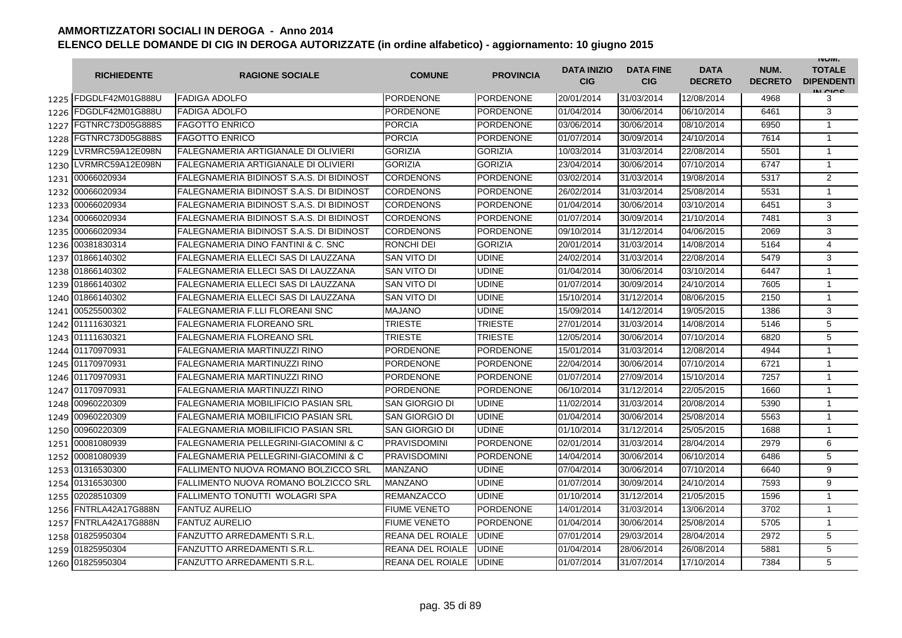|      | <b>RICHIEDENTE</b>    | <b>RAGIONE SOCIALE</b>                           | <b>COMUNE</b>           | <b>PROVINCIA</b> | <b>DATA INIZIO</b><br><b>CIG</b> | <b>DATA FINE</b><br><b>CIG</b> | <b>DATA</b><br><b>DECRETO</b> | NUM.<br><b>DECRETO</b> | <b>INUIVI.</b><br><b>TOTALE</b><br><b>DIPENDENTI</b><br>IN CICE |
|------|-----------------------|--------------------------------------------------|-------------------------|------------------|----------------------------------|--------------------------------|-------------------------------|------------------------|-----------------------------------------------------------------|
|      | 1225 FDGDLF42M01G888U | <b>FADIGA ADOLFO</b>                             | PORDENONE               | <b>PORDENONE</b> | 20/01/2014                       | 31/03/2014                     | 12/08/2014                    | 4968                   | 3                                                               |
| 1226 | FDGDLF42M01G888U      | <b>FADIGA ADOLFO</b>                             | <b>PORDENONE</b>        | <b>PORDENONE</b> | 01/04/2014                       | 30/06/2014                     | 06/10/2014                    | 6461                   | 3                                                               |
| 1227 | FGTNRC73D05G888S      | <b>FAGOTTO ENRICO</b>                            | <b>PORCIA</b>           | <b>PORDENONE</b> | 03/06/2014                       | 30/06/2014                     | 08/10/2014                    | 6950                   | $\mathbf{1}$                                                    |
| 1228 | FGTNRC73D05G888S      | <b>FAGOTTO ENRICO</b>                            | <b>PORCIA</b>           | <b>PORDENONE</b> | 01/07/2014                       | 30/09/2014                     | 24/10/2014                    | 7614                   | $\mathbf{1}$                                                    |
| 1229 | LVRMRC59A12E098N      | <b>FALEGNAMERIA ARTIGIANALE DI OLIVIERI</b>      | <b>GORIZIA</b>          | <b>GORIZIA</b>   | 10/03/2014                       | 31/03/2014                     | 22/08/2014                    | 5501                   | $\mathbf{1}$                                                    |
| 1230 | LVRMRC59A12E098N      | <b>FALEGNAMERIA ARTIGIANALE DI OLIVIERI</b>      | <b>GORIZIA</b>          | <b>GORIZIA</b>   | 23/04/2014                       | 30/06/2014                     | 07/10/2014                    | 6747                   | $\mathbf{1}$                                                    |
|      | 1231 00066020934      | <b>FALEGNAMERIA BIDINOST S.A.S. DI BIDINOST</b>  | CORDENONS               | <b>PORDENONE</b> | 03/02/2014                       | 31/03/2014                     | 19/08/2014                    | 5317                   | $\overline{2}$                                                  |
| 1232 | 00066020934           | <b>FALEGNAMERIA BIDINOST S.A.S. DI BIDINOST</b>  | <b>CORDENONS</b>        | <b>PORDENONE</b> | 26/02/2014                       | 31/03/2014                     | 25/08/2014                    | 5531                   | $\mathbf{1}$                                                    |
| 1233 | 00066020934           | <b>FALEGNAMERIA BIDINOST S.A.S. DI BIDINOST</b>  | <b>CORDENONS</b>        | <b>PORDENONE</b> | 01/04/2014                       | 30/06/2014                     | 03/10/2014                    | 6451                   | 3                                                               |
|      | 1234 00066020934      | FALEGNAMERIA BIDINOST S.A.S. DI BIDINOST         | CORDENONS               | <b>PORDENONE</b> | 01/07/2014                       | 30/09/2014                     | 21/10/2014                    | 7481                   | 3                                                               |
| 1235 | 00066020934           | FALEGNAMERIA BIDINOST S.A.S. DI BIDINOST         | <b>CORDENONS</b>        | <b>PORDENONE</b> | 09/10/2014                       | 31/12/2014                     | 04/06/2015                    | 2069                   | 3                                                               |
| 1236 | 00381830314           | FALEGNAMERIA DINO FANTINI & C. SNC               | RONCHI DEI              | <b>GORIZIA</b>   | 20/01/2014                       | 31/03/2014                     | 14/08/2014                    | 5164                   | 4                                                               |
| 1237 | 01866140302           | FALEGNAMERIA ELLECI SAS DI LAUZZANA              | SAN VITO DI             | <b>UDINE</b>     | 24/02/2014                       | 31/03/2014                     | 22/08/2014                    | 5479                   | 3                                                               |
| 1238 | 01866140302           | FALEGNAMERIA ELLECI SAS DI LAUZZANA              | SAN VITO DI             | <b>UDINE</b>     | 01/04/2014                       | 30/06/2014                     | 03/10/2014                    | 6447                   | $\mathbf{1}$                                                    |
| 1239 | 01866140302           | FALEGNAMERIA ELLECI SAS DI LAUZZANA              | SAN VITO DI             | <b>UDINE</b>     | 01/07/2014                       | 30/09/2014                     | 24/10/2014                    | 7605                   | $\mathbf{1}$                                                    |
| 1240 | 01866140302           | FALEGNAMERIA ELLECI SAS DI LAUZZANA              | SAN VITO DI             | <b>UDINE</b>     | 15/10/2014                       | 31/12/2014                     | 08/06/2015                    | 2150                   | $\mathbf{1}$                                                    |
| 1241 | 00525500302           | FALEGNAMERIA F.LLI FLOREANI SNC                  | <b>MAJANO</b>           | <b>UDINE</b>     | 15/09/2014                       | 14/12/2014                     | 19/05/2015                    | 1386                   | 3                                                               |
|      | 1242 01111630321      | <b>FALEGNAMERIA FLOREANO SRL</b>                 | TRIESTE                 | <b>TRIESTE</b>   | 27/01/2014                       | 31/03/2014                     | 14/08/2014                    | 5146                   | 5                                                               |
|      | 1243 01111630321      | <b>FALEGNAMERIA FLOREANO SRL</b>                 | TRIESTE                 | <b>TRIESTE</b>   | 12/05/2014                       | 30/06/2014                     | 07/10/2014                    | 6820                   | 5                                                               |
|      | 1244 01170970931      | <b>FALEGNAMERIA MARTINUZZI RINO</b>              | <b>PORDENONE</b>        | <b>PORDENONE</b> | 15/01/2014                       | 31/03/2014                     | 12/08/2014                    | 4944                   | $\mathbf{1}$                                                    |
|      | 1245 01170970931      | <b>FALEGNAMERIA MARTINUZZI RINO</b>              | <b>PORDENONE</b>        | <b>PORDENONE</b> | 22/04/2014                       | 30/06/2014                     | 07/10/2014                    | 6721                   | $\mathbf{1}$                                                    |
| 1246 | 01170970931           | <b>FALEGNAMERIA MARTINUZZI RINO</b>              | <b>PORDENONE</b>        | <b>PORDENONE</b> | 01/07/2014                       | 27/09/2014                     | 15/10/2014                    | 7257                   | $\mathbf{1}$                                                    |
| 1247 | 01170970931           | <b>FALEGNAMERIA MARTINUZZI RINO</b>              | PORDENONE               | <b>PORDENONE</b> | 06/10/2014                       | 31/12/2014                     | 22/05/2015                    | 1660                   | $\mathbf{1}$                                                    |
| 1248 | 00960220309           | <b>FALEGNAMERIA MOBILIFICIO PASIAN SRL</b>       | SAN GIORGIO DI          | <b>UDINE</b>     | 11/02/2014                       | 31/03/2014                     | 20/08/2014                    | 5390                   | 1                                                               |
| 1249 | 00960220309           | <b>FALEGNAMERIA MOBILIFICIO PASIAN SRL</b>       | SAN GIORGIO DI          | <b>UDINE</b>     | 01/04/2014                       | 30/06/2014                     | 25/08/2014                    | 5563                   | $\mathbf{1}$                                                    |
| 1250 | 00960220309           | <b>FALEGNAMERIA MOBILIFICIO PASIAN SRL</b>       | SAN GIORGIO DI          | <b>UDINE</b>     | 01/10/2014                       | 31/12/2014                     | 25/05/2015                    | 1688                   | $\mathbf{1}$                                                    |
| 1251 | 00081080939           | <b>FALEGNAMERIA PELLEGRINI-GIACOMINI &amp; C</b> | <b>PRAVISDOMINI</b>     | <b>PORDENONE</b> | 02/01/2014                       | 31/03/2014                     | 28/04/2014                    | 2979                   | 6                                                               |
|      | 1252 00081080939      | <b>FALEGNAMERIA PELLEGRINI-GIACOMINI &amp; C</b> | <b>PRAVISDOMINI</b>     | <b>PORDENONE</b> | 14/04/2014                       | 30/06/2014                     | 06/10/2014                    | 6486                   | 5                                                               |
|      | 1253 01316530300      | FALLIMENTO NUOVA ROMANO BOLZICCO SRL             | MANZANO                 | <b>UDINE</b>     | 07/04/2014                       | 30/06/2014                     | 07/10/2014                    | 6640                   | 9                                                               |
|      | 1254 01316530300      | FALLIMENTO NUOVA ROMANO BOLZICCO SRL             | <b>MANZANO</b>          | <b>UDINE</b>     | 01/07/2014                       | 30/09/2014                     | 24/10/2014                    | 7593                   | 9                                                               |
|      | 1255 02028510309      | FALLIMENTO TONUTTI WOLAGRI SPA                   | <b>REMANZACCO</b>       | <b>UDINE</b>     | 01/10/2014                       | 31/12/2014                     | 21/05/2015                    | 1596                   | 1                                                               |
|      | 1256 FNTRLA42A17G888N | <b>FANTUZ AURELIO</b>                            | <b>FIUME VENETO</b>     | <b>PORDENONE</b> | 14/01/2014                       | 31/03/2014                     | 13/06/2014                    | 3702                   | $\mathbf{1}$                                                    |
|      | 1257 FNTRLA42A17G888N | <b>FANTUZ AURELIO</b>                            | <b>FIUME VENETO</b>     | <b>PORDENONE</b> | 01/04/2014                       | 30/06/2014                     | 25/08/2014                    | 5705                   | $\mathbf{1}$                                                    |
|      | 1258 01825950304      | <b>FANZUTTO ARREDAMENTI S.R.L.</b>               | REANA DEL ROIALE        | <b>UDINE</b>     | 07/01/2014                       | 29/03/2014                     | 28/04/2014                    | 2972                   | 5                                                               |
| 1259 | 01825950304           | <b>FANZUTTO ARREDAMENTI S.R.L.</b>               | <b>REANA DEL ROIALE</b> | <b>UDINE</b>     | 01/04/2014                       | 28/06/2014                     | 26/08/2014                    | 5881                   | 5                                                               |
|      | 1260 01825950304      | <b>FANZUTTO ARREDAMENTI S.R.L.</b>               | <b>REANA DEL ROIALE</b> | <b>UDINE</b>     | 01/07/2014                       | 31/07/2014                     | 17/10/2014                    | 7384                   | 5                                                               |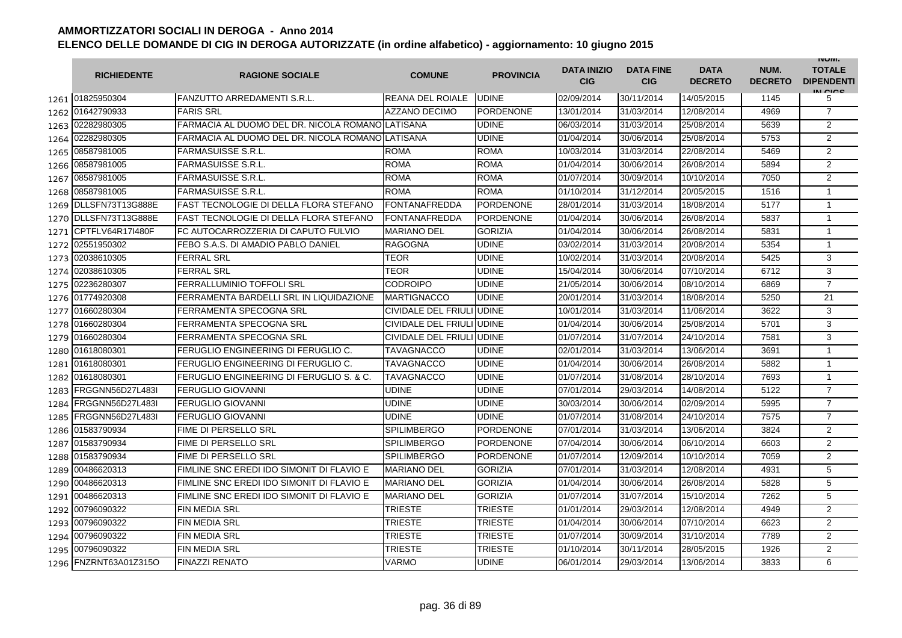|      | <b>RICHIEDENTE</b>    | <b>RAGIONE SOCIALE</b>                           | <b>COMUNE</b>             | <b>PROVINCIA</b> | <b>DATA INIZIO</b><br><b>CIG</b> | <b>DATA FINE</b><br><b>CIG</b> | <b>DATA</b><br><b>DECRETO</b> | NUM.<br><b>DECRETO</b> | <b>INUIVI.</b><br><b>TOTALE</b><br><b>DIPENDENTI</b><br>IN CIGO |
|------|-----------------------|--------------------------------------------------|---------------------------|------------------|----------------------------------|--------------------------------|-------------------------------|------------------------|-----------------------------------------------------------------|
|      | 1261 01825950304      | <b>FANZUTTO ARREDAMENTI S.R.L.</b>               | REANA DEL ROIALE          | <b>UDINE</b>     | 02/09/2014                       | 30/11/2014                     | 14/05/2015                    | 1145                   | 5                                                               |
|      | 1262 01642790933      | <b>FARIS SRL</b>                                 | <b>AZZANO DECIMO</b>      | <b>PORDENONE</b> | 13/01/2014                       | 31/03/2014                     | 12/08/2014                    | 4969                   | $\overline{7}$                                                  |
|      | 1263 02282980305      | FARMACIA AL DUOMO DEL DR. NICOLA ROMANO LATISANA |                           | <b>UDINE</b>     | 06/03/2014                       | 31/03/2014                     | 25/08/2014                    | 5639                   | $\overline{2}$                                                  |
|      | 1264 02282980305      | FARMACIA AL DUOMO DEL DR. NICOLA ROMANO LATISANA |                           | <b>UDINE</b>     | 01/04/2014                       | 30/06/2014                     | 25/08/2014                    | 5753                   | $\overline{2}$                                                  |
|      | 1265 08587981005      | <b>FARMASUISSE S.R.L.</b>                        | <b>ROMA</b>               | <b>ROMA</b>      | 10/03/2014                       | 31/03/2014                     | 22/08/2014                    | 5469                   | 2                                                               |
|      | 1266 08587981005      | <b>FARMASUISSE S.R.L</b>                         | <b>ROMA</b>               | <b>ROMA</b>      | 01/04/2014                       | 30/06/2014                     | 26/08/2014                    | 5894                   | $\overline{2}$                                                  |
| 1267 | 08587981005           | <b>FARMASUISSE S.R.L</b>                         | <b>ROMA</b>               | <b>ROMA</b>      | 01/07/2014                       | 30/09/2014                     | 10/10/2014                    | 7050                   | $\overline{2}$                                                  |
| 1268 | 08587981005           | <b>FARMASUISSE S.R.L.</b>                        | <b>ROMA</b>               | <b>ROMA</b>      | 01/10/2014                       | 31/12/2014                     | 20/05/2015                    | 1516                   | $\mathbf{1}$                                                    |
|      | 1269 DLLSFN73T13G888E | <b>FAST TECNOLOGIE DI DELLA FLORA STEFANO</b>    | <b>FONTANAFREDDA</b>      | <b>PORDENONE</b> | 28/01/2014                       | 31/03/2014                     | 18/08/2014                    | 5177                   | $\mathbf{1}$                                                    |
|      | 1270 DLLSFN73T13G888E | <b>FAST TECNOLOGIE DI DELLA FLORA STEFANO</b>    | FONTANAFREDDA             | <b>PORDENONE</b> | 01/04/2014                       | 30/06/2014                     | 26/08/2014                    | 5837                   | 1                                                               |
| 1271 | CPTFLV64R17I480F      | FC AUTOCARROZZERIA DI CAPUTO FULVIO              | <b>MARIANO DEL</b>        | <b>GORIZIA</b>   | 01/04/2014                       | 30/06/2014                     | 26/08/2014                    | 5831                   | 1                                                               |
| 1272 | 02551950302           | FEBO S.A.S. DI AMADIO PABLO DANIEL               | <b>RAGOGNA</b>            | <b>UDINE</b>     | 03/02/2014                       | 31/03/2014                     | 20/08/2014                    | 5354                   | $\mathbf{1}$                                                    |
| 1273 | 02038610305           | <b>FERRAL SRL</b>                                | TEOR                      | <b>UDINE</b>     | 10/02/2014                       | 31/03/2014                     | 20/08/2014                    | 5425                   | 3                                                               |
| 1274 | 02038610305           | <b>FERRAL SRL</b>                                | <b>TEOR</b>               | <b>UDINE</b>     | 15/04/2014                       | 30/06/2014                     | 07/10/2014                    | 6712                   | 3                                                               |
| 1275 | 02236280307           | <b>FERRALLUMINIO TOFFOLI SRL</b>                 | CODROIPO                  | <b>UDINE</b>     | 21/05/2014                       | 30/06/2014                     | 08/10/2014                    | 6869                   | $\overline{7}$                                                  |
|      | 1276 01774920308      | FERRAMENTA BARDELLI SRL IN LIQUIDAZIONE          | <b>MARTIGNACCO</b>        | <b>UDINE</b>     | 20/01/2014                       | 31/03/2014                     | 18/08/2014                    | 5250                   | 21                                                              |
|      | 1277 01660280304      | FERRAMENTA SPECOGNA SRL                          | CIVIDALE DEL FRIULI UDINE |                  | 10/01/2014                       | 31/03/2014                     | 11/06/2014                    | 3622                   | 3                                                               |
|      | 1278 01660280304      | FERRAMENTA SPECOGNA SRL                          | CIVIDALE DEL FRIULI UDINE |                  | 01/04/2014                       | 30/06/2014                     | 25/08/2014                    | 5701                   | 3                                                               |
| 1279 | 01660280304           | FERRAMENTA SPECOGNA SRL                          | CIVIDALE DEL FRIULI UDINE |                  | 01/07/2014                       | 31/07/2014                     | 24/10/2014                    | 7581                   | 3                                                               |
|      | 1280 01618080301      | FERUGLIO ENGINEERING DI FERUGLIO C.              | TAVAGNACCO                | <b>UDINE</b>     | 02/01/2014                       | 31/03/2014                     | 13/06/2014                    | 3691                   | $\mathbf{1}$                                                    |
|      | 1281 01618080301      | FERUGLIO ENGINEERING DI FERUGLIO C.              | TAVAGNACCO                | <b>UDINE</b>     | 01/04/2014                       | 30/06/2014                     | 26/08/2014                    | 5882                   | 1                                                               |
| 1282 | 01618080301           | FERUGLIO ENGINEERING DI FERUGLIO S. & C.         | <b>TAVAGNACCO</b>         | <b>UDINE</b>     | 01/07/2014                       | 31/08/2014                     | 28/10/2014                    | 7693                   | $\mathbf{1}$                                                    |
| 1283 | FRGGNN56D27L483I      | <b>FERUGLIO GIOVANNI</b>                         | <b>UDINE</b>              | <b>UDINE</b>     | 07/01/2014                       | 29/03/2014                     | 14/08/2014                    | 5122                   | $\overline{7}$                                                  |
| 1284 | FRGGNN56D27L483I      | FERUGLIO GIOVANNI                                | UDINE                     | <b>UDINE</b>     | 30/03/2014                       | 30/06/2014                     | 02/09/2014                    | 5995                   | $\overline{7}$                                                  |
| 1285 | FRGGNN56D27L483I      | <b>FERUGLIO GIOVANNI</b>                         | <b>UDINE</b>              | <b>UDINE</b>     | 01/07/2014                       | 31/08/2014                     | 24/10/2014                    | 7575                   | $\overline{7}$                                                  |
| 1286 | 01583790934           | FIME DI PERSELLO SRL                             | SPILIMBERGO               | <b>PORDENONE</b> | 07/01/2014                       | 31/03/2014                     | 13/06/2014                    | 3824                   | $\overline{2}$                                                  |
| 1287 | 01583790934           | <b>FIME DI PERSELLO SRL</b>                      | <b>SPILIMBERGO</b>        | <b>PORDENONE</b> | 07/04/2014                       | 30/06/2014                     | 06/10/2014                    | 6603                   | $\overline{2}$                                                  |
| 1288 | 01583790934           | FIME DI PERSELLO SRL                             | <b>SPILIMBERGO</b>        | <b>PORDENONE</b> | 01/07/2014                       | 12/09/2014                     | 10/10/2014                    | 7059                   | $\overline{2}$                                                  |
|      | 1289 00486620313      | FIMLINE SNC EREDI IDO SIMONIT DI FLAVIO E        | <b>MARIANO DEL</b>        | <b>GORIZIA</b>   | 07/01/2014                       | 31/03/2014                     | 12/08/2014                    | 4931                   | 5                                                               |
|      | 1290 00486620313      | FIMLINE SNC EREDI IDO SIMONIT DI FLAVIO E        | <b>MARIANO DEL</b>        | <b>GORIZIA</b>   | 01/04/2014                       | 30/06/2014                     | 26/08/2014                    | 5828                   | 5                                                               |
|      | 1291 00486620313      | FIMLINE SNC EREDI IDO SIMONIT DI FLAVIO E        | <b>MARIANO DEL</b>        | <b>GORIZIA</b>   | 01/07/2014                       | 31/07/2014                     | 15/10/2014                    | 7262                   | 5                                                               |
|      | 1292 00796090322      | <b>FIN MEDIA SRL</b>                             | <b>TRIESTE</b>            | <b>TRIESTE</b>   | 01/01/2014                       | 29/03/2014                     | 12/08/2014                    | 4949                   | 2                                                               |
|      | 1293 00796090322      | <b>FIN MEDIA SRL</b>                             | <b>TRIESTE</b>            | <b>TRIESTE</b>   | 01/04/2014                       | 30/06/2014                     | 07/10/2014                    | 6623                   | $\overline{2}$                                                  |
|      | 1294 00796090322      | FIN MEDIA SRL                                    | TRIESTE                   | <b>TRIESTE</b>   | 01/07/2014                       | 30/09/2014                     | 31/10/2014                    | 7789                   | $\overline{2}$                                                  |
|      | 1295 00796090322      | <b>FIN MEDIA SRL</b>                             | TRIESTE                   | <b>TRIESTE</b>   | 01/10/2014                       | 30/11/2014                     | 28/05/2015                    | 1926                   | $\overline{2}$                                                  |
| 1296 | FNZRNT63A01Z315O      | <b>FINAZZI RENATO</b>                            | VARMO                     | <b>UDINE</b>     | 06/01/2014                       | 29/03/2014                     | 13/06/2014                    | 3833                   | 6                                                               |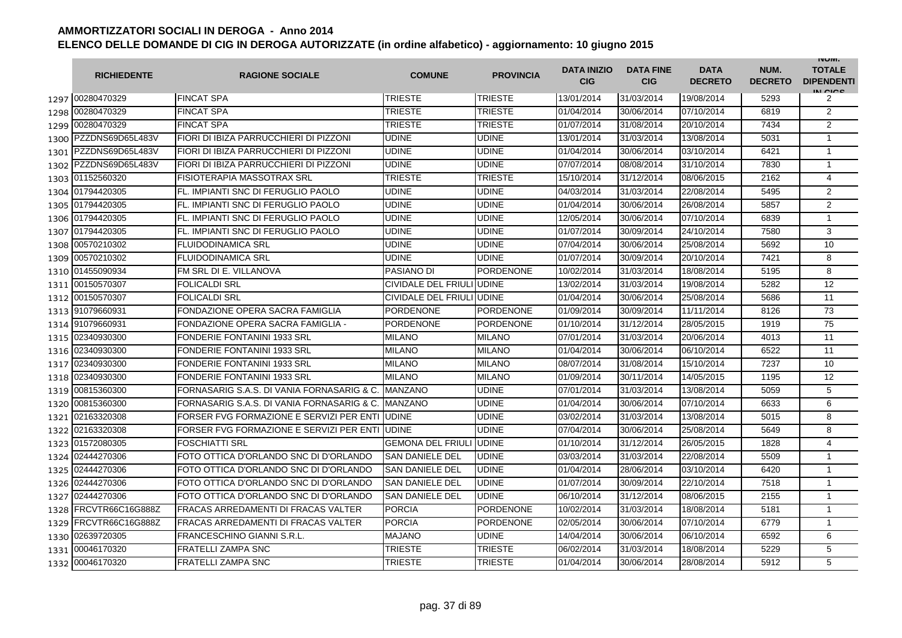|      | <b>RICHIEDENTE</b>    | <b>RAGIONE SOCIALE</b>                     | <b>COMUNE</b>             | <b>PROVINCIA</b> | <b>DATA INIZIO</b><br><b>CIG</b> | <b>DATA FINE</b><br><b>CIG</b> | <b>DATA</b><br><b>DECRETO</b> | NUM.<br><b>DECRETO</b> | <b>INUIVI.</b><br><b>TOTALE</b><br><b>DIPENDENTI</b><br>IN CIGO |
|------|-----------------------|--------------------------------------------|---------------------------|------------------|----------------------------------|--------------------------------|-------------------------------|------------------------|-----------------------------------------------------------------|
|      | 1297 00280470329      | <b>FINCAT SPA</b>                          | <b>TRIESTE</b>            | <b>TRIESTE</b>   | 13/01/2014                       | 31/03/2014                     | 19/08/2014                    | 5293                   | 2                                                               |
| 1298 | 00280470329           | <b>FINCAT SPA</b>                          | TRIESTE                   | <b>TRIESTE</b>   | 01/04/2014                       | 30/06/2014                     | 07/10/2014                    | 6819                   | $\overline{2}$                                                  |
|      | 1299 00280470329      | <b>FINCAT SPA</b>                          | TRIESTE                   | <b>TRIESTE</b>   | 01/07/2014                       | 31/08/2014                     | 20/10/2014                    | 7434                   | $\overline{2}$                                                  |
|      | 1300 PZZDNS69D65L483V | FIORI DI IBIZA PARRUCCHIERI DI PIZZONI     | UDINE                     | <b>UDINE</b>     | 13/01/2014                       | 31/03/2014                     | 13/08/2014                    | 5031                   | $\mathbf{1}$                                                    |
|      | 1301 PZZDNS69D65L483V | FIORI DI IBIZA PARRUCCHIERI DI PIZZONI     | UDINE                     | <b>UDINE</b>     | 01/04/2014                       | 30/06/2014                     | 03/10/2014                    | 6421                   | $\mathbf{1}$                                                    |
|      | 1302 PZZDNS69D65L483V | FIORI DI IBIZA PARRUCCHIERI DI PIZZONI     | <b>UDINE</b>              | <b>UDINE</b>     | 07/07/2014                       | 08/08/2014                     | 31/10/2014                    | 7830                   | $\mathbf{1}$                                                    |
|      | 1303 01152560320      | FISIOTERAPIA MASSOTRAX SRL                 | <b>TRIESTE</b>            | <b>TRIESTE</b>   | 15/10/2014                       | 31/12/2014                     | 08/06/2015                    | 2162                   | 4                                                               |
|      | 1304 01794420305      | FL. IMPIANTI SNC DI FERUGLIO PAOLO         | <b>UDINE</b>              | <b>UDINE</b>     | 04/03/2014                       | 31/03/2014                     | 22/08/2014                    | 5495                   | $\overline{2}$                                                  |
|      | 1305 01794420305      | FL. IMPIANTI SNC DI FERUGLIO PAOLO         | <b>UDINE</b>              | <b>UDINE</b>     | 01/04/2014                       | 30/06/2014                     | 26/08/2014                    | 5857                   | $\overline{2}$                                                  |
|      | 1306 01794420305      | FL. IMPIANTI SNC DI FERUGLIO PAOLO         | <b>UDINE</b>              | <b>UDINE</b>     | 12/05/2014                       | 30/06/2014                     | 07/10/2014                    | 6839                   | $\mathbf{1}$                                                    |
| 1307 | 01794420305           | FL. IMPIANTI SNC DI FERUGLIO PAOLO         | UDINE                     | <b>UDINE</b>     | 01/07/2014                       | 30/09/2014                     | 24/10/2014                    | 7580                   | 3                                                               |
| 1308 | 00570210302           | <b>FLUIDODINAMICA SRL</b>                  | UDINE                     | <b>UDINE</b>     | 07/04/2014                       | 30/06/2014                     | 25/08/2014                    | 5692                   | 10                                                              |
| 1309 | 00570210302           | <b>FLUIDODINAMICA SRL</b>                  | UDINE                     | <b>UDINE</b>     | 01/07/2014                       | 30/09/2014                     | 20/10/2014                    | 7421                   | 8                                                               |
| 1310 | 01455090934           | FM SRL DI E. VILLANOVA                     | PASIANO DI                | <b>PORDENONE</b> | 10/02/2014                       | 31/03/2014                     | 18/08/2014                    | 5195                   | 8                                                               |
| 1311 | 00150570307           | <b>FOLICALDI SRL</b>                       | CIVIDALE DEL FRIULI UDINE |                  | 13/02/2014                       | 31/03/2014                     | 19/08/2014                    | 5282                   | 12                                                              |
| 1312 | 00150570307           | <b>FOLICALDI SRL</b>                       | CIVIDALE DEL FRIULI UDINE |                  | 01/04/2014                       | 30/06/2014                     | 25/08/2014                    | 5686                   | 11                                                              |
|      | 1313 91079660931      | FONDAZIONE OPERA SACRA FAMIGLIA            | PORDENONE                 | <b>PORDENONE</b> | 01/09/2014                       | 30/09/2014                     | 11/11/2014                    | 8126                   | $\overline{73}$                                                 |
|      | 1314 91079660931      | FONDAZIONE OPERA SACRA FAMIGLIA -          | <b>PORDENONE</b>          | <b>PORDENONE</b> | 01/10/2014                       | 31/12/2014                     | 28/05/2015                    | 1919                   | 75                                                              |
|      | 1315 02340930300      | <b>FONDERIE FONTANINI 1933 SRL</b>         | <b>MILANO</b>             | <b>MILANO</b>    | 07/01/2014                       | 31/03/2014                     | 20/06/2014                    | 4013                   | 11                                                              |
|      | 1316 02340930300      | <b>FONDERIE FONTANINI 1933 SRL</b>         | <b>MILANO</b>             | <b>MILANO</b>    | 01/04/2014                       | 30/06/2014                     | 06/10/2014                    | 6522                   | 11                                                              |
| 1317 | 02340930300           | <b>FONDERIE FONTANINI 1933 SRL</b>         | <b>MILANO</b>             | <b>MILANO</b>    | 08/07/2014                       | 31/08/2014                     | 15/10/2014                    | 7237                   | 10                                                              |
| 1318 | 02340930300           | <b>FONDERIE FONTANINI 1933 SRL</b>         | <b>MILANO</b>             | <b>MILANO</b>    | 01/09/2014                       | 30/11/2014                     | 14/05/2015                    | 1195                   | 12                                                              |
| 1319 | 00815360300           | FORNASARIG S.A.S. DI VANIA FORNASARIG & C. | <b>MANZANO</b>            | <b>UDINE</b>     | 07/01/2014                       | 31/03/2014                     | 13/08/2014                    | 5059                   | 5                                                               |
| 1320 | 00815360300           | FORNASARIG S.A.S. DI VANIA FORNASARIG & C. | <b>MANZANO</b>            | <b>UDINE</b>     | 01/04/2014                       | 30/06/2014                     | 07/10/2014                    | 6633                   | 6                                                               |
| 1321 | 02163320308           | FORSER FVG FORMAZIONE E SERVIZI PER ENTI   | <b>UDINE</b>              | <b>UDINE</b>     | 03/02/2014                       | 31/03/2014                     | 13/08/2014                    | 5015                   | 8                                                               |
| 1322 | 02163320308           | FORSER FVG FORMAZIONE E SERVIZI PER ENTI   | <b>UDINE</b>              | <b>UDINE</b>     | 07/04/2014                       | 30/06/2014                     | 25/08/2014                    | 5649                   | 8                                                               |
| 1323 | 01572080305           | <b>FOSCHIATTI SRL</b>                      | <b>GEMONA DEL FRIULI</b>  | <b>UDINE</b>     | 01/10/2014                       | 31/12/2014                     | 26/05/2015                    | 1828                   | 4                                                               |
| 1324 | 02444270306           | FOTO OTTICA D'ORLANDO SNC DI D'ORLANDO     | <b>SAN DANIELE DEL</b>    | <b>UDINE</b>     | 03/03/2014                       | 31/03/2014                     | 22/08/2014                    | 5509                   | $\mathbf{1}$                                                    |
| 1325 | 02444270306           | FOTO OTTICA D'ORLANDO SNC DI D'ORLANDO     | <b>SAN DANIELE DEL</b>    | <b>UDINE</b>     | 01/04/2014                       | 28/06/2014                     | 03/10/2014                    | 6420                   | $\mathbf{1}$                                                    |
|      | 1326 02444270306      | FOTO OTTICA D'ORLANDO SNC DI D'ORLANDO     | <b>SAN DANIELE DEL</b>    | <b>UDINE</b>     | 01/07/2014                       | 30/09/2014                     | 22/10/2014                    | 7518                   | $\mathbf{1}$                                                    |
|      | 1327 02444270306      | FOTO OTTICA D'ORLANDO SNC DI D'ORLANDO     | <b>SAN DANIELE DEL</b>    | <b>UDINE</b>     | 06/10/2014                       | 31/12/2014                     | 08/06/2015                    | 2155                   | 1                                                               |
|      | 1328 FRCVTR66C16G888Z | <b>FRACAS ARREDAMENTI DI FRACAS VALTER</b> | <b>PORCIA</b>             | <b>PORDENONE</b> | 10/02/2014                       | 31/03/2014                     | 18/08/2014                    | 5181                   | $\mathbf{1}$                                                    |
| 1329 | FRCVTR66C16G888Z      | <b>FRACAS ARREDAMENTI DI FRACAS VALTER</b> | <b>PORCIA</b>             | <b>PORDENONE</b> | 02/05/2014                       | 30/06/2014                     | 07/10/2014                    | 6779                   | $\mathbf{1}$                                                    |
|      | 1330 02639720305      | FRANCESCHINO GIANNI S.R.L.                 | <b>MAJANO</b>             | <b>UDINE</b>     | 14/04/2014                       | 30/06/2014                     | 06/10/2014                    | 6592                   | 6                                                               |
| 1331 | 00046170320           | <b>FRATELLI ZAMPA SNC</b>                  | TRIESTE                   | <b>TRIESTE</b>   | 06/02/2014                       | 31/03/2014                     | 18/08/2014                    | 5229                   | 5                                                               |
| 1332 | 00046170320           | <b>FRATELLI ZAMPA SNC</b>                  | TRIESTE                   | <b>TRIESTE</b>   | 01/04/2014                       | 30/06/2014                     | 28/08/2014                    | 5912                   | 5                                                               |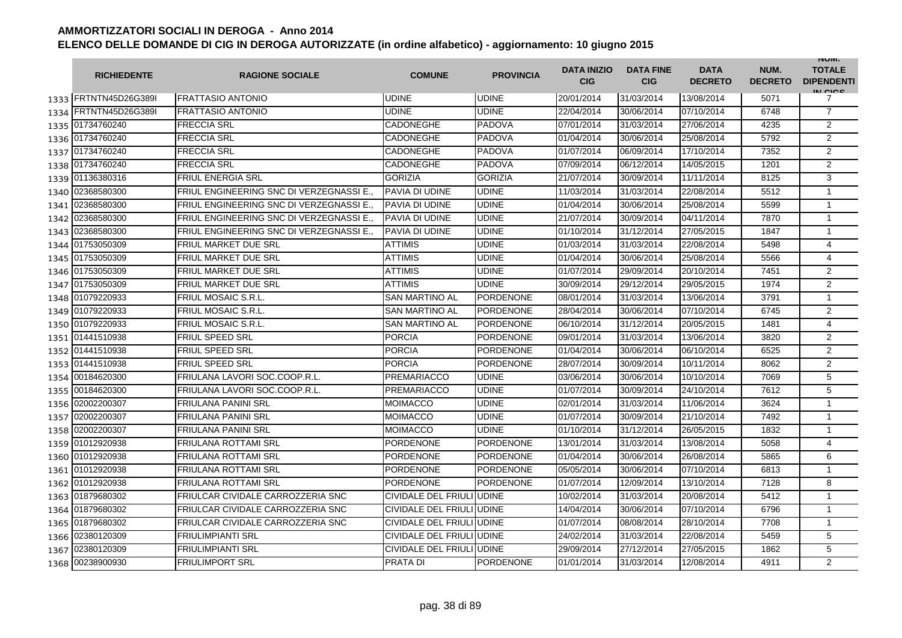|      | <b>RICHIEDENTE</b>    | <b>RAGIONE SOCIALE</b>                  | <b>COMUNE</b>             | <b>PROVINCIA</b> | <b>DATA INIZIO</b><br><b>CIG</b> | <b>DATA FINE</b><br><b>CIG</b> | <b>DATA</b><br><b>DECRETO</b> | NUM.<br><b>DECRETO</b> | <b>INUIVI.</b><br><b>TOTALE</b><br><b>DIPENDENTI</b><br>IN CICS |
|------|-----------------------|-----------------------------------------|---------------------------|------------------|----------------------------------|--------------------------------|-------------------------------|------------------------|-----------------------------------------------------------------|
|      | 1333 FRTNTN45D26G389  | <b>FRATTASIO ANTONIO</b>                | <b>UDINE</b>              | <b>UDINE</b>     | 20/01/2014                       | 31/03/2014                     | 13/08/2014                    | 5071                   | 7                                                               |
|      | 1334 FRTNTN45D26G389I | <b>FRATTASIO ANTONIO</b>                | UDINE                     | <b>UDINE</b>     | 22/04/2014                       | 30/06/2014                     | 07/10/2014                    | 6748                   | $\overline{7}$                                                  |
|      | 1335 01734760240      | <b>FRECCIA SRL</b>                      | CADONEGHE                 | <b>PADOVA</b>    | 07/01/2014                       | 31/03/2014                     | 27/06/2014                    | 4235                   | $\overline{2}$                                                  |
|      | 1336 01734760240      | <b>FRECCIA SRL</b>                      | CADONEGHE                 | <b>PADOVA</b>    | 01/04/2014                       | 30/06/2014                     | 25/08/2014                    | 5792                   | 2                                                               |
|      | 1337 01734760240      | <b>FRECCIA SRL</b>                      | CADONEGHE                 | <b>PADOVA</b>    | 01/07/2014                       | 06/09/2014                     | 17/10/2014                    | 7352                   | $\overline{2}$                                                  |
|      | 1338 01734760240      | <b>FRECCIA SRL</b>                      | <b>CADONEGHE</b>          | <b>PADOVA</b>    | 07/09/2014                       | 06/12/2014                     | 14/05/2015                    | 1201                   | $\overline{2}$                                                  |
|      | 1339 01136380316      | <b>FRIUL ENERGIA SRL</b>                | <b>GORIZIA</b>            | <b>GORIZIA</b>   | 21/07/2014                       | 30/09/2014                     | 11/11/2014                    | 8125                   | 3                                                               |
| 1340 | 02368580300           | FRIUL ENGINEERING SNC DI VERZEGNASSI E. | PAVIA DI UDINE            | <b>UDINE</b>     | 11/03/2014                       | 31/03/2014                     | 22/08/2014                    | 5512                   | $\mathbf{1}$                                                    |
| 1341 | 02368580300           | FRIUL ENGINEERING SNC DI VERZEGNASSI E. | PAVIA DI UDINE            | <b>UDINE</b>     | 01/04/2014                       | 30/06/2014                     | 25/08/2014                    | 5599                   | $\mathbf{1}$                                                    |
| 1342 | 02368580300           | FRIUL ENGINEERING SNC DI VERZEGNASSI E. | PAVIA DI UDINE            | <b>UDINE</b>     | 21/07/2014                       | 30/09/2014                     | 04/11/2014                    | 7870                   | $\mathbf{1}$                                                    |
| 1343 | 02368580300           | FRIUL ENGINEERING SNC DI VERZEGNASSI E. | PAVIA DI UDINE            | <b>UDINE</b>     | 01/10/2014                       | 31/12/2014                     | 27/05/2015                    | 1847                   | $\mathbf{1}$                                                    |
|      | 1344 01753050309      | <b>FRIUL MARKET DUE SRL</b>             | <b>ATTIMIS</b>            | <b>UDINE</b>     | 01/03/2014                       | 31/03/2014                     | 22/08/2014                    | 5498                   | 4                                                               |
|      | 1345 01753050309      | <b>FRIUL MARKET DUE SRL</b>             | <b>ATTIMIS</b>            | <b>UDINE</b>     | 01/04/2014                       | 30/06/2014                     | 25/08/2014                    | 5566                   | 4                                                               |
|      | 1346 01753050309      | <b>FRIUL MARKET DUE SRL</b>             | <b>ATTIMIS</b>            | <b>UDINE</b>     | 01/07/2014                       | 29/09/2014                     | 20/10/2014                    | 7451                   | $\overline{2}$                                                  |
|      | 1347 01753050309      | <b>FRIUL MARKET DUE SRL</b>             | <b>ATTIMIS</b>            | <b>UDINE</b>     | 30/09/2014                       | 29/12/2014                     | 29/05/2015                    | 1974                   | $\overline{2}$                                                  |
| 1348 | 01079220933           | <b>FRIUL MOSAIC S.R.L</b>               | <b>SAN MARTINO AL</b>     | <b>PORDENONE</b> | 08/01/2014                       | 31/03/2014                     | 13/06/2014                    | 3791                   | $\mathbf{1}$                                                    |
| 1349 | 01079220933           | <b>FRIUL MOSAIC S.R.L</b>               | <b>SAN MARTINO AL</b>     | <b>PORDENONE</b> | 28/04/2014                       | 30/06/2014                     | 07/10/2014                    | 6745                   | $\overline{2}$                                                  |
| 1350 | 01079220933           | <b>FRIUL MOSAIC S.R.L.</b>              | <b>SAN MARTINO AL</b>     | <b>PORDENONE</b> | 06/10/2014                       | 31/12/2014                     | 20/05/2015                    | 1481                   | $\overline{4}$                                                  |
|      | 1351 01441510938      | <b>FRIUL SPEED SRL</b>                  | <b>PORCIA</b>             | <b>PORDENONE</b> | 09/01/2014                       | 31/03/2014                     | 13/06/2014                    | 3820                   | $\overline{2}$                                                  |
| 1352 | 01441510938           | <b>FRIUL SPEED SRL</b>                  | <b>PORCIA</b>             | <b>PORDENONE</b> | 01/04/2014                       | 30/06/2014                     | 06/10/2014                    | 6525                   | $\overline{2}$                                                  |
|      | 1353 01441510938      | <b>FRIUL SPEED SRL</b>                  | <b>PORCIA</b>             | <b>PORDENONE</b> | 28/07/2014                       | 30/09/2014                     | 10/11/2014                    | 8062                   | $\overline{2}$                                                  |
|      | 1354 00184620300      | FRIULANA LAVORI SOC.COOP.R.L            | <b>PREMARIACCO</b>        | <b>UDINE</b>     | 03/06/2014                       | 30/06/2014                     | 10/10/2014                    | 7069                   | 5                                                               |
|      | 1355 00184620300      | FRIULANA LAVORI SOC.COOP.R.L.           | PREMARIACCO               | <b>UDINE</b>     | 01/07/2014                       | 30/09/2014                     | 24/10/2014                    | 7612                   | 5                                                               |
|      | 1356 02002200307      | <b>FRIULANA PANINI SRL</b>              | MOIMACCO                  | <b>UDINE</b>     | 02/01/2014                       | 31/03/2014                     | 11/06/2014                    | 3624                   | $\mathbf{1}$                                                    |
|      | 1357 02002200307      | <b>FRIULANA PANINI SRL</b>              | <b>MOIMACCO</b>           | <b>UDINE</b>     | 01/07/2014                       | 30/09/2014                     | 21/10/2014                    | 7492                   | $\mathbf{1}$                                                    |
|      | 1358 02002200307      | <b>FRIULANA PANINI SRL</b>              | <b>MOIMACCO</b>           | <b>UDINE</b>     | 01/10/2014                       | 31/12/2014                     | 26/05/2015                    | 1832                   | $\mathbf{1}$                                                    |
|      | 1359 01012920938      | <b>FRIULANA ROTTAMI SRL</b>             | PORDENONE                 | <b>PORDENONE</b> | 13/01/2014                       | 31/03/2014                     | 13/08/2014                    | 5058                   | 4                                                               |
|      | 1360 01012920938      | <b>FRIULANA ROTTAMI SRL</b>             | <b>PORDENONE</b>          | <b>PORDENONE</b> | 01/04/2014                       | 30/06/2014                     | 26/08/2014                    | 5865                   | 6                                                               |
|      | 1361 01012920938      | <b>FRIULANA ROTTAMI SRL</b>             | <b>PORDENONE</b>          | <b>PORDENONE</b> | 05/05/2014                       | 30/06/2014                     | 07/10/2014                    | 6813                   | 1                                                               |
| 1362 | 01012920938           | <b>FRIULANA ROTTAMI SRL</b>             | <b>PORDENONE</b>          | <b>PORDENONE</b> | 01/07/2014                       | 12/09/2014                     | 13/10/2014                    | 7128                   | 8                                                               |
| 1363 | 01879680302           | FRIULCAR CIVIDALE CARROZZERIA SNC       | CIVIDALE DEL FRIULI UDINE |                  | 10/02/2014                       | 31/03/2014                     | 20/08/2014                    | 5412                   | $\mathbf{1}$                                                    |
| 1364 | 01879680302           | FRIULCAR CIVIDALE CARROZZERIA SNC       | CIVIDALE DEL FRIULI UDINE |                  | 14/04/2014                       | 30/06/2014                     | 07/10/2014                    | 6796                   | $\mathbf{1}$                                                    |
| 1365 | 01879680302           | FRIULCAR CIVIDALE CARROZZERIA SNC       | CIVIDALE DEL FRIULI UDINE |                  | 01/07/2014                       | 08/08/2014                     | 28/10/2014                    | 7708                   | $\mathbf{1}$                                                    |
| 1366 | 02380120309           | <b>FRIULIMPIANTI SRL</b>                | CIVIDALE DEL FRIULI UDINE |                  | 24/02/2014                       | 31/03/2014                     | 22/08/2014                    | 5459                   | 5                                                               |
| 1367 | 02380120309           | <b>FRIULIMPIANTI SRL</b>                | CIVIDALE DEL FRIULI UDINE |                  | 29/09/2014                       | 27/12/2014                     | 27/05/2015                    | 1862                   | 5                                                               |
|      | 1368 00238900930      | <b>FRIULIMPORT SRL</b>                  | <b>PRATA DI</b>           | <b>PORDENONE</b> | 01/01/2014                       | 31/03/2014                     | 12/08/2014                    | 4911                   | 2                                                               |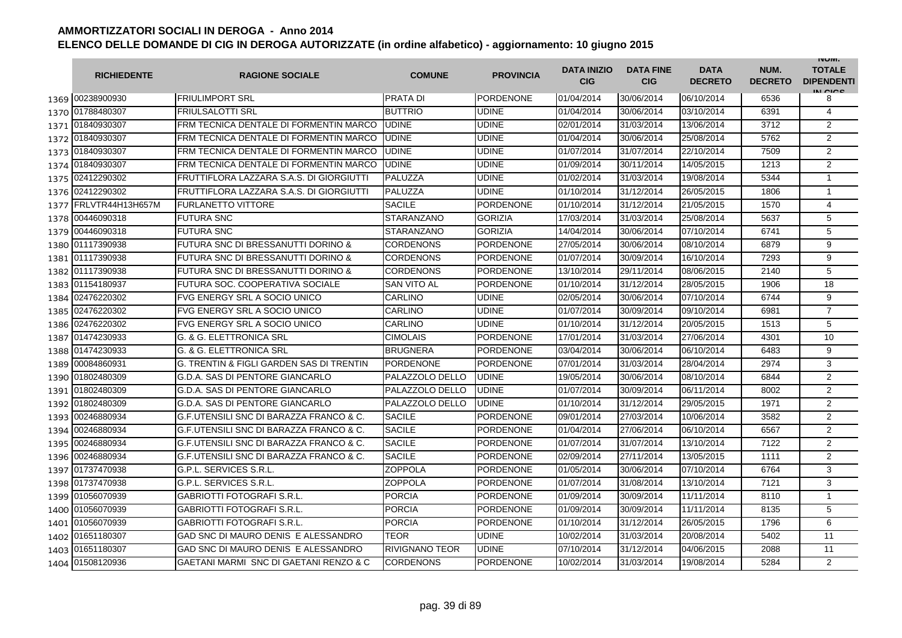|      | <b>RICHIEDENTE</b> | <b>RAGIONE SOCIALE</b>                        | <b>COMUNE</b>      | <b>PROVINCIA</b> | <b>DATA INIZIO</b><br><b>CIG</b> | <b>DATA FINE</b><br><b>CIG</b> | <b>DATA</b><br><b>DECRETO</b> | NUM.<br><b>DECRETO</b> | <b>INUIVI.</b><br><b>TOTALE</b><br><b>DIPENDENTI</b><br>IN CIGO |
|------|--------------------|-----------------------------------------------|--------------------|------------------|----------------------------------|--------------------------------|-------------------------------|------------------------|-----------------------------------------------------------------|
|      | 1369 00238900930   | <b>FRIULIMPORT SRL</b>                        | PRATA DI           | <b>PORDENONE</b> | 01/04/2014                       | 30/06/2014                     | 06/10/2014                    | 6536                   | 8                                                               |
|      | 1370 01788480307   | <b>FRIULSALOTTI SRL</b>                       | <b>BUTTRIO</b>     | <b>UDINE</b>     | 01/04/2014                       | 30/06/2014                     | 03/10/2014                    | 6391                   | 4                                                               |
|      | 1371 01840930307   | FRM TECNICA DENTALE DI FORMENTIN MARCO        | <b>UDINE</b>       | <b>UDINE</b>     | 02/01/2014                       | 31/03/2014                     | 13/06/2014                    | 3712                   | $\overline{2}$                                                  |
|      | 1372 01840930307   | FRM TECNICA DENTALE DI FORMENTIN MARCO        | <b>UDINE</b>       | <b>UDINE</b>     | 01/04/2014                       | 30/06/2014                     | 25/08/2014                    | 5762                   | $\overline{2}$                                                  |
|      | 1373 01840930307   | FRM TECNICA DENTALE DI FORMENTIN MARCO        | <b>UDINE</b>       | <b>UDINE</b>     | 01/07/2014                       | 31/07/2014                     | 22/10/2014                    | 7509                   | 2                                                               |
|      | 1374 01840930307   | FRM TECNICA DENTALE DI FORMENTIN MARCO        | <b>UDINE</b>       | <b>UDINE</b>     | 01/09/2014                       | 30/11/2014                     | 14/05/2015                    | 1213                   | $\overline{2}$                                                  |
|      | 1375 02412290302   | FRUTTIFLORA LAZZARA S.A.S. DI GIORGIUTTI      | PALUZZA            | <b>UDINE</b>     | 01/02/2014                       | 31/03/2014                     | 19/08/2014                    | 5344                   | $\mathbf{1}$                                                    |
|      | 1376 02412290302   | FRUTTIFLORA LAZZARA S.A.S. DI GIORGIUTTI      | PALUZZA            | <b>UDINE</b>     | 01/10/2014                       | 31/12/2014                     | 26/05/2015                    | 1806                   | $\mathbf{1}$                                                    |
| 1377 | FRLVTR44H13H657M   | <b>FURLANETTO VITTORE</b>                     | <b>SACILE</b>      | <b>PORDENONE</b> | 01/10/2014                       | 31/12/2014                     | 21/05/2015                    | 1570                   | 4                                                               |
| 1378 | 00446090318        | <b>FUTURA SNC</b>                             | <b>STARANZANO</b>  | <b>GORIZIA</b>   | 17/03/2014                       | 31/03/2014                     | 25/08/2014                    | 5637                   | 5                                                               |
|      | 1379 00446090318   | <b>FUTURA SNC</b>                             | STARANZANO         | <b>GORIZIA</b>   | 14/04/2014                       | 30/06/2014                     | 07/10/2014                    | 6741                   | 5                                                               |
| 1380 | 01117390938        | <b>FUTURA SNC DI BRESSANUTTI DORINO &amp;</b> | CORDENONS          | <b>PORDENONE</b> | 27/05/2014                       | 30/06/2014                     | 08/10/2014                    | 6879                   | 9                                                               |
| 1381 | 01117390938        | <b>FUTURA SNC DI BRESSANUTTI DORINO &amp;</b> | CORDENONS          | <b>PORDENONE</b> | 01/07/2014                       | 30/09/2014                     | 16/10/2014                    | 7293                   | 9                                                               |
| 1382 | 01117390938        | <b>FUTURA SNC DI BRESSANUTTI DORINO &amp;</b> | <b>CORDENONS</b>   | <b>PORDENONE</b> | 13/10/2014                       | 29/11/2014                     | 08/06/2015                    | 2140                   | 5                                                               |
| 1383 | 01154180937        | FUTURA SOC. COOPERATIVA SOCIALE               | <b>SAN VITO AL</b> | <b>PORDENONE</b> | 01/10/2014                       | 31/12/2014                     | 28/05/2015                    | 1906                   | 18                                                              |
|      | 1384 02476220302   | <b>FVG ENERGY SRL A SOCIO UNICO</b>           | CARLINO            | <b>UDINE</b>     | 02/05/2014                       | 30/06/2014                     | 07/10/2014                    | 6744                   | 9                                                               |
|      | 1385 02476220302   | FVG ENERGY SRL A SOCIO UNICO                  | CARLINO            | <b>UDINE</b>     | 01/07/2014                       | 30/09/2014                     | 09/10/2014                    | 6981                   | $\overline{7}$                                                  |
|      | 1386 02476220302   | <b>FVG ENERGY SRL A SOCIO UNICO</b>           | CARLINO            | <b>UDINE</b>     | 01/10/2014                       | 31/12/2014                     | 20/05/2015                    | 1513                   | 5                                                               |
|      | 1387 01474230933   | G. & G. ELETTRONICA SRL                       | CIMOLAIS           | <b>PORDENONE</b> | 17/01/2014                       | 31/03/2014                     | 27/06/2014                    | 4301                   | 10                                                              |
|      | 1388 01474230933   | G. & G. ELETTRONICA SRL                       | <b>BRUGNERA</b>    | <b>PORDENONE</b> | 03/04/2014                       | 30/06/2014                     | 06/10/2014                    | 6483                   | 9                                                               |
| 1389 | 00084860931        | G. TRENTIN & FIGLI GARDEN SAS DI TRENTIN      | <b>PORDENONE</b>   | <b>PORDENONE</b> | 07/01/2014                       | 31/03/2014                     | 28/04/2014                    | 2974                   | 3                                                               |
| 1390 | 01802480309        | G.D.A. SAS DI PENTORE GIANCARLO               | PALAZZOLO DELLO    | <b>UDINE</b>     | 19/05/2014                       | 30/06/2014                     | 08/10/2014                    | 6844                   | $\overline{2}$                                                  |
| 1391 | 01802480309        | G.D.A. SAS DI PENTORE GIANCARLO               | PALAZZOLO DELLO    | <b>UDINE</b>     | 01/07/2014                       | 30/09/2014                     | 06/11/2014                    | 8002                   | $\overline{2}$                                                  |
| 1392 | 01802480309        | G.D.A. SAS DI PENTORE GIANCARLO               | PALAZZOLO DELLO    | <b>UDINE</b>     | 01/10/2014                       | 31/12/2014                     | 29/05/2015                    | 1971                   | $\overline{2}$                                                  |
| 1393 | 00246880934        | G.F.UTENSILI SNC DI BARAZZA FRANCO & C.       | <b>SACILE</b>      | <b>PORDENONE</b> | 09/01/2014                       | 27/03/2014                     | 10/06/2014                    | 3582                   | 2                                                               |
| 1394 | 00246880934        | G.F.UTENSILI SNC DI BARAZZA FRANCO & C.       | <b>SACILE</b>      | <b>PORDENONE</b> | 01/04/2014                       | 27/06/2014                     | 06/10/2014                    | 6567                   | $\overline{2}$                                                  |
| 1395 | 00246880934        | G.F.UTENSILI SNC DI BARAZZA FRANCO & C.       | <b>SACILE</b>      | <b>PORDENONE</b> | 01/07/2014                       | 31/07/2014                     | 13/10/2014                    | 7122                   | $\overline{2}$                                                  |
| 1396 | 00246880934        | G.F.UTENSILI SNC DI BARAZZA FRANCO & C.       | <b>SACILE</b>      | <b>PORDENONE</b> | 02/09/2014                       | 27/11/2014                     | 13/05/2015                    | 1111                   | 2                                                               |
|      | 1397 01737470938   | G.P.L. SERVICES S.R.L.                        | ZOPPOLA            | <b>PORDENONE</b> | 01/05/2014                       | 30/06/2014                     | 07/10/2014                    | 6764                   | 3                                                               |
|      | 1398 01737470938   | G.P.L. SERVICES S.R.L.                        | ZOPPOLA            | <b>PORDENONE</b> | 01/07/2014                       | 31/08/2014                     | 13/10/2014                    | 7121                   | 3                                                               |
|      | 1399 01056070939   | <b>GABRIOTTI FOTOGRAFI S.R.L.</b>             | <b>PORCIA</b>      | <b>PORDENONE</b> | 01/09/2014                       | 30/09/2014                     | 11/11/2014                    | 8110                   | $\mathbf{1}$                                                    |
|      | 1400 01056070939   | <b>GABRIOTTI FOTOGRAFI S.R.L.</b>             | <b>PORCIA</b>      | <b>PORDENONE</b> | 01/09/2014                       | 30/09/2014                     | 11/11/2014                    | 8135                   | 5                                                               |
|      | 1401 01056070939   | <b>GABRIOTTI FOTOGRAFI S.R.L.</b>             | <b>PORCIA</b>      | <b>PORDENONE</b> | 01/10/2014                       | 31/12/2014                     | 26/05/2015                    | 1796                   | 6                                                               |
|      | 1402 01651180307   | GAD SNC DI MAURO DENIS E ALESSANDRO           | TEOR               | <b>UDINE</b>     | 10/02/2014                       | 31/03/2014                     | 20/08/2014                    | 5402                   | 11                                                              |
| 1403 | 01651180307        | GAD SNC DI MAURO DENIS E ALESSANDRO           | RIVIGNANO TEOR     | <b>UDINE</b>     | 07/10/2014                       | 31/12/2014                     | 04/06/2015                    | 2088                   | 11                                                              |
|      | 1404 01508120936   | GAETANI MARMI SNC DI GAETANI RENZO & C        | <b>CORDENONS</b>   | <b>PORDENONE</b> | 10/02/2014                       | 31/03/2014                     | 19/08/2014                    | 5284                   | $\overline{2}$                                                  |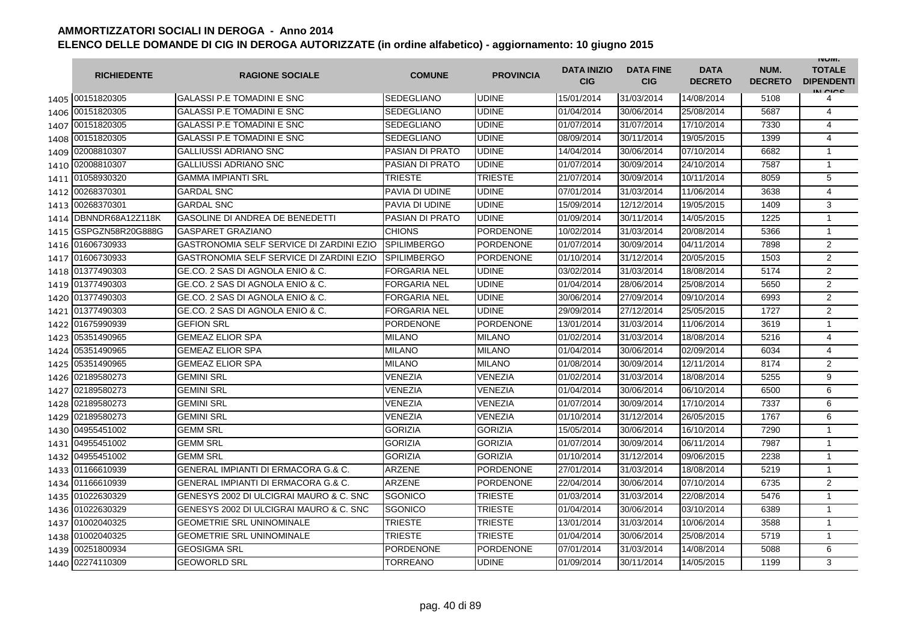|      | <b>RICHIEDENTE</b>    | <b>RAGIONE SOCIALE</b>                          | <b>COMUNE</b>          | <b>PROVINCIA</b> | <b>DATA INIZIO</b><br><b>CIG</b> | <b>DATA FINE</b><br><b>CIG</b> | <b>DATA</b><br><b>DECRETO</b> | NUM.<br><b>DECRETO</b> | <b>INUIVI.</b><br><b>TOTALE</b><br><b>DIPENDENTI</b><br>IN CIGO |
|------|-----------------------|-------------------------------------------------|------------------------|------------------|----------------------------------|--------------------------------|-------------------------------|------------------------|-----------------------------------------------------------------|
|      | 1405 00151820305      | <b>GALASSI P.E TOMADINI E SNC</b>               | SEDEGLIANO             | <b>UDINE</b>     | 15/01/2014                       | 31/03/2014                     | 14/08/2014                    | 5108                   | 4                                                               |
|      | 1406 00151820305      | <b>GALASSI P.E TOMADINI E SNC</b>               | <b>SEDEGLIANO</b>      | <b>UDINE</b>     | 01/04/2014                       | 30/06/2014                     | 25/08/2014                    | 5687                   | 4                                                               |
|      | 1407 00151820305      | <b>GALASSI P.E TOMADINI E SNC</b>               | <b>SEDEGLIANO</b>      | <b>UDINE</b>     | 01/07/2014                       | 31/07/2014                     | 17/10/2014                    | 7330                   | 4                                                               |
|      | 1408 00151820305      | <b>GALASSI P.E TOMADINI E SNC</b>               | SEDEGLIANO             | <b>UDINE</b>     | 08/09/2014                       | 30/11/2014                     | 19/05/2015                    | 1399                   | 4                                                               |
|      | 1409 02008810307      | <b>GALLIUSSI ADRIANO SNC</b>                    | <b>PASIAN DI PRATO</b> | <b>UDINE</b>     | 14/04/2014                       | 30/06/2014                     | 07/10/2014                    | 6682                   | $\mathbf{1}$                                                    |
|      | 1410 02008810307      | <b>GALLIUSSI ADRIANO SNC</b>                    | <b>PASIAN DI PRATO</b> | <b>UDINE</b>     | 01/07/2014                       | 30/09/2014                     | 24/10/2014                    | 7587                   | $\mathbf{1}$                                                    |
|      | 1411 01058930320      | <b>GAMMA IMPIANTI SRL</b>                       | <b>TRIESTE</b>         | <b>TRIESTE</b>   | 21/07/2014                       | 30/09/2014                     | 10/11/2014                    | 8059                   | 5                                                               |
|      | 1412 00268370301      | <b>GARDAL SNC</b>                               | PAVIA DI UDINE         | <b>UDINE</b>     | 07/01/2014                       | 31/03/2014                     | 11/06/2014                    | 3638                   | $\overline{4}$                                                  |
|      | 1413 00268370301      | <b>GARDAL SNC</b>                               | PAVIA DI UDINE         | <b>UDINE</b>     | 15/09/2014                       | 12/12/2014                     | 19/05/2015                    | 1409                   | 3                                                               |
|      | 1414 DBNNDR68A12Z118K | GASOLINE DI ANDREA DE BENEDETTI                 | PASIAN DI PRATO        | <b>UDINE</b>     | 01/09/2014                       | 30/11/2014                     | 14/05/2015                    | 1225                   | $\mathbf{1}$                                                    |
| 1415 | GSPGZN58R20G888G      | <b>GASPARET GRAZIANO</b>                        | CHIONS                 | <b>PORDENONE</b> | 10/02/2014                       | 31/03/2014                     | 20/08/2014                    | 5366                   | $\mathbf{1}$                                                    |
| 1416 | 01606730933           | <b>GASTRONOMIA SELF SERVICE DI ZARDINI EZIO</b> | <b>SPILIMBERGO</b>     | <b>PORDENONE</b> | 01/07/2014                       | 30/09/2014                     | 04/11/2014                    | 7898                   | $\overline{2}$                                                  |
| 1417 | 01606730933           | GASTRONOMIA SELF SERVICE DI ZARDINI EZIO        | <b>SPILIMBERGO</b>     | <b>PORDENONE</b> | 01/10/2014                       | 31/12/2014                     | 20/05/2015                    | 1503                   | $\overline{2}$                                                  |
| 1418 | 01377490303           | GE.CO. 2 SAS DI AGNOLA ENIO & C.                | FORGARIA NEL           | <b>UDINE</b>     | 03/02/2014                       | 31/03/2014                     | 18/08/2014                    | 5174                   | $\overline{2}$                                                  |
|      | 1419 01377490303      | GE.CO. 2 SAS DI AGNOLA ENIO & C.                | <b>FORGARIA NEL</b>    | <b>UDINE</b>     | 01/04/2014                       | 28/06/2014                     | 25/08/2014                    | 5650                   | 2                                                               |
|      | 1420 01377490303      | GE.CO. 2 SAS DI AGNOLA ENIO & C.                | <b>FORGARIA NEL</b>    | <b>UDINE</b>     | 30/06/2014                       | 27/09/2014                     | 09/10/2014                    | 6993                   | $\overline{2}$                                                  |
|      | 1421 01377490303      | GE.CO. 2 SAS DI AGNOLA ENIO & C.                | FORGARIA NEL           | <b>UDINE</b>     | 29/09/2014                       | 27/12/2014                     | 25/05/2015                    | 1727                   | $\overline{2}$                                                  |
|      | 1422 01675990939      | <b>GEFION SRL</b>                               | <b>PORDENONE</b>       | <b>PORDENONE</b> | 13/01/2014                       | 31/03/2014                     | 11/06/2014                    | 3619                   | $\mathbf{1}$                                                    |
|      | 1423 05351490965      | <b>GEMEAZ ELIOR SPA</b>                         | <b>MILANO</b>          | <b>MILANO</b>    | 01/02/2014                       | 31/03/2014                     | 18/08/2014                    | 5216                   | 4                                                               |
|      | 1424 05351490965      | <b>GEMEAZ ELIOR SPA</b>                         | <b>MILANO</b>          | <b>MILANO</b>    | 01/04/2014                       | 30/06/2014                     | 02/09/2014                    | 6034                   | 4                                                               |
| 1425 | 05351490965           | <b>GEMEAZ ELIOR SPA</b>                         | <b>MILANO</b>          | <b>MILANO</b>    | 01/08/2014                       | 30/09/2014                     | 12/11/2014                    | 8174                   | $\overline{2}$                                                  |
| 1426 | 02189580273           | <b>GEMINI SRL</b>                               | <b>VENEZIA</b>         | <b>VENEZIA</b>   | 01/02/2014                       | 31/03/2014                     | 18/08/2014                    | 5255                   | 9                                                               |
| 1427 | 02189580273           | <b>GEMINI SRL</b>                               | VENEZIA                | <b>VENEZIA</b>   | 01/04/2014                       | 30/06/2014                     | 06/10/2014                    | 6500                   | 6                                                               |
| 1428 | 02189580273           | <b>GEMINI SRL</b>                               | VENEZIA                | <b>VENEZIA</b>   | 01/07/2014                       | 30/09/2014                     | 17/10/2014                    | 7337                   | 6                                                               |
| 1429 | 02189580273           | <b>GEMINI SRL</b>                               | VENEZIA                | <b>VENEZIA</b>   | 01/10/2014                       | 31/12/2014                     | 26/05/2015                    | 1767                   | 6                                                               |
| 1430 | 04955451002           | <b>GEMM SRL</b>                                 | <b>GORIZIA</b>         | <b>GORIZIA</b>   | 15/05/2014                       | 30/06/2014                     | 16/10/2014                    | 7290                   | $\mathbf{1}$                                                    |
| 1431 | 04955451002           | <b>GEMM SRL</b>                                 | <b>GORIZIA</b>         | <b>GORIZIA</b>   | 01/07/2014                       | 30/09/2014                     | 06/11/2014                    | 7987                   | $\mathbf{1}$                                                    |
|      | 1432 04955451002      | <b>GEMM SRL</b>                                 | <b>GORIZIA</b>         | <b>GORIZIA</b>   | 01/10/2014                       | 31/12/2014                     | 09/06/2015                    | 2238                   | $\mathbf{1}$                                                    |
|      | 1433 01166610939      | <b>GENERAL IMPIANTI DI ERMACORA G.&amp; C.</b>  | <b>ARZENE</b>          | <b>PORDENONE</b> | 27/01/2014                       | 31/03/2014                     | 18/08/2014                    | 5219                   | $\mathbf{1}$                                                    |
|      | 1434 01166610939      | <b>GENERAL IMPIANTI DI ERMACORA G.&amp; C.</b>  | <b>ARZENE</b>          | <b>PORDENONE</b> | 22/04/2014                       | 30/06/2014                     | 07/10/2014                    | 6735                   | 2                                                               |
|      | 1435 01022630329      | GENESYS 2002 DI ULCIGRAI MAURO & C. SNC         | SGONICO                | <b>TRIESTE</b>   | 01/03/2014                       | 31/03/2014                     | 22/08/2014                    | 5476                   | 1                                                               |
|      | 1436 01022630329      | GENESYS 2002 DI ULCIGRAI MAURO & C. SNC         | SGONICO                | <b>TRIESTE</b>   | 01/04/2014                       | 30/06/2014                     | 03/10/2014                    | 6389                   | $\mathbf{1}$                                                    |
|      | 1437 01002040325      | <b>GEOMETRIE SRL UNINOMINALE</b>                | <b>TRIESTE</b>         | <b>TRIESTE</b>   | 13/01/2014                       | 31/03/2014                     | 10/06/2014                    | 3588                   | $\mathbf{1}$                                                    |
|      | 1438 01002040325      | <b>GEOMETRIE SRL UNINOMINALE</b>                | <b>TRIESTE</b>         | <b>TRIESTE</b>   | 01/04/2014                       | 30/06/2014                     | 25/08/2014                    | 5719                   | $\mathbf{1}$                                                    |
| 1439 | 00251800934           | <b>GEOSIGMA SRL</b>                             | <b>PORDENONE</b>       | <b>PORDENONE</b> | 07/01/2014                       | 31/03/2014                     | 14/08/2014                    | 5088                   | 6                                                               |
|      | 1440 02274110309      | <b>GEOWORLD SRL</b>                             | TORREANO               | <b>UDINE</b>     | 01/09/2014                       | 30/11/2014                     | 14/05/2015                    | 1199                   | 3                                                               |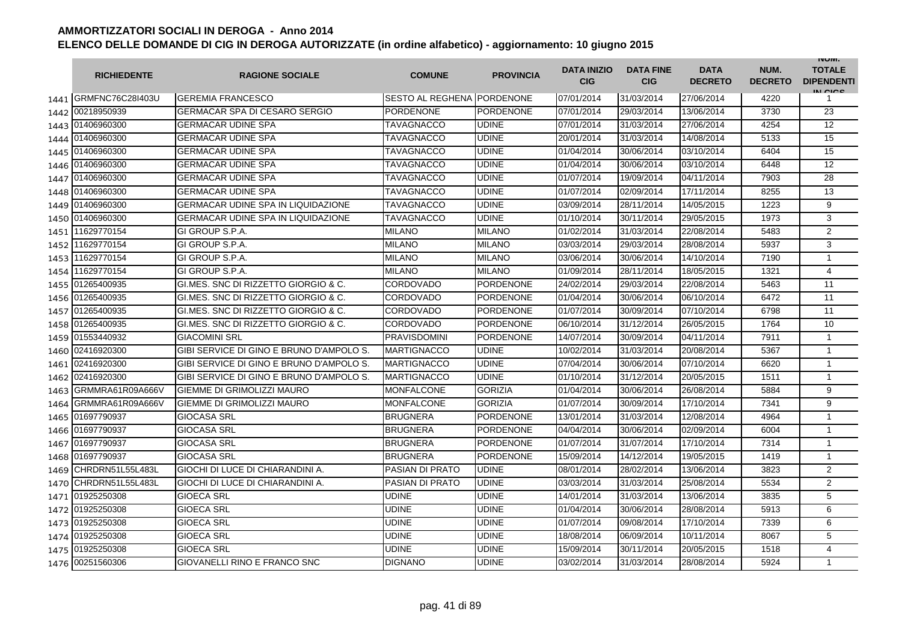|      | <b>RICHIEDENTE</b>    | <b>RAGIONE SOCIALE</b>                    | <b>COMUNE</b>              | <b>PROVINCIA</b> | <b>DATA INIZIO</b><br><b>CIG</b> | <b>DATA FINE</b><br><b>CIG</b> | <b>DATA</b><br><b>DECRETO</b> | NUM.<br><b>DECRETO</b> | <b>INUIVI.</b><br><b>TOTALE</b><br><b>DIPENDENTI</b><br>IN CIGO |
|------|-----------------------|-------------------------------------------|----------------------------|------------------|----------------------------------|--------------------------------|-------------------------------|------------------------|-----------------------------------------------------------------|
|      | 1441 GRMFNC76C28I403U | <b>GEREMIA FRANCESCO</b>                  | SESTO AL REGHENA PORDENONE |                  | 07/01/2014                       | 31/03/2014                     | 27/06/2014                    | 4220                   | 1                                                               |
| 1442 | 00218950939           | <b>GERMACAR SPA DI CESARO SERGIO</b>      | <b>PORDENONE</b>           | <b>PORDENONE</b> | 07/01/2014                       | 29/03/2014                     | 13/06/2014                    | 3730                   | 23                                                              |
|      | 1443 01406960300      | <b>GERMACAR UDINE SPA</b>                 | <b>TAVAGNACCO</b>          | <b>UDINE</b>     | 07/01/2014                       | 31/03/2014                     | 27/06/2014                    | 4254                   | 12                                                              |
|      | 1444 01406960300      | <b>GERMACAR UDINE SPA</b>                 | TAVAGNACCO                 | <b>UDINE</b>     | 20/01/2014                       | 31/03/2014                     | 14/08/2014                    | 5133                   | 15                                                              |
|      | 1445 01406960300      | <b>GERMACAR UDINE SPA</b>                 | <b>TAVAGNACCO</b>          | <b>UDINE</b>     | 01/04/2014                       | 30/06/2014                     | 03/10/2014                    | 6404                   | 15                                                              |
|      | 1446 01406960300      | <b>GERMACAR UDINE SPA</b>                 | <b>TAVAGNACCO</b>          | <b>UDINE</b>     | 01/04/2014                       | 30/06/2014                     | 03/10/2014                    | 6448                   | 12                                                              |
|      | 1447 01406960300      | <b>GERMACAR UDINE SPA</b>                 | TAVAGNACCO                 | <b>UDINE</b>     | 01/07/2014                       | 19/09/2014                     | 04/11/2014                    | 7903                   | 28                                                              |
| 1448 | 01406960300           | <b>GERMACAR UDINE SPA</b>                 | TAVAGNACCO                 | <b>UDINE</b>     | 01/07/2014                       | 02/09/2014                     | 17/11/2014                    | 8255                   | 13                                                              |
|      | 1449 01406960300      | <b>GERMACAR UDINE SPA IN LIQUIDAZIONE</b> | TAVAGNACCO                 | <b>UDINE</b>     | 03/09/2014                       | 28/11/2014                     | 14/05/2015                    | 1223                   | 9                                                               |
|      | 1450 01406960300      | <b>GERMACAR UDINE SPA IN LIQUIDAZIONE</b> | TAVAGNACCO                 | <b>UDINE</b>     | 01/10/2014                       | 30/11/2014                     | 29/05/2015                    | 1973                   | 3                                                               |
| 1451 | 11629770154           | GI GROUP S.P.A.                           | <b>MILANO</b>              | <b>MILANO</b>    | 01/02/2014                       | 31/03/2014                     | 22/08/2014                    | 5483                   | $\overline{2}$                                                  |
| 1452 | 11629770154           | GI GROUP S.P.A.                           | MILANO                     | <b>MILANO</b>    | 03/03/2014                       | 29/03/2014                     | 28/08/2014                    | 5937                   | 3                                                               |
| 1453 | 11629770154           | GI GROUP S.P.A.                           | MILANO                     | <b>MILANO</b>    | 03/06/2014                       | 30/06/2014                     | 14/10/2014                    | 7190                   | $\mathbf{1}$                                                    |
| 1454 | 11629770154           | GI GROUP S.P.A.                           | <b>MILANO</b>              | <b>MILANO</b>    | 01/09/2014                       | 28/11/2014                     | 18/05/2015                    | 1321                   | 4                                                               |
| 1455 | 01265400935           | GLMES, SNC DI RIZZETTO GIORGIO & C.       | CORDOVADO                  | <b>PORDENONE</b> | 24/02/2014                       | 29/03/2014                     | 22/08/2014                    | 5463                   | 11                                                              |
|      | 1456 01265400935      | GI.MES. SNC DI RIZZETTO GIORGIO & C.      | <b>CORDOVADO</b>           | <b>PORDENONE</b> | 01/04/2014                       | 30/06/2014                     | 06/10/2014                    | 6472                   | 11                                                              |
|      | 1457 01265400935      | GI.MES. SNC DI RIZZETTO GIORGIO & C.      | CORDOVADO                  | <b>PORDENONE</b> | 01/07/2014                       | 30/09/2014                     | 07/10/2014                    | 6798                   | 11                                                              |
|      | 1458 01265400935      | GI.MES. SNC DI RIZZETTO GIORGIO & C.      | CORDOVADO                  | <b>PORDENONE</b> | 06/10/2014                       | 31/12/2014                     | 26/05/2015                    | 1764                   | 10                                                              |
|      | 1459 01553440932      | <b>GIACOMINI SRL</b>                      | <b>PRAVISDOMINI</b>        | <b>PORDENONE</b> | 14/07/2014                       | 30/09/2014                     | 04/11/2014                    | 7911                   | $\mathbf{1}$                                                    |
|      | 1460 02416920300      | GIBI SERVICE DI GINO E BRUNO D'AMPOLO S.  | <b>MARTIGNACCO</b>         | <b>UDINE</b>     | 10/02/2014                       | 31/03/2014                     | 20/08/2014                    | 5367                   | $\mathbf{1}$                                                    |
|      | 1461 02416920300      | GIBI SERVICE DI GINO E BRUNO D'AMPOLO S.  | <b>MARTIGNACCO</b>         | <b>UDINE</b>     | 07/04/2014                       | 30/06/2014                     | 07/10/2014                    | 6620                   | $\mathbf{1}$                                                    |
| 1462 | 02416920300           | GIBI SERVICE DI GINO E BRUNO D'AMPOLO S.  | <b>MARTIGNACCO</b>         | <b>UDINE</b>     | 01/10/2014                       | 31/12/2014                     | 20/05/2015                    | 1511                   | $\mathbf{1}$                                                    |
| 1463 | GRMMRA61R09A666V      | <b>GIEMME DI GRIMOLIZZI MAURO</b>         | <b>MONFALCONE</b>          | <b>GORIZIA</b>   | 01/04/2014                       | 30/06/2014                     | 26/08/2014                    | 5884                   | 9                                                               |
| 1464 | GRMMRA61R09A666V      | <b>GIEMME DI GRIMOLIZZI MAURO</b>         | <b>MONFALCONE</b>          | <b>GORIZIA</b>   | 01/07/2014                       | 30/09/2014                     | 17/10/2014                    | 7341                   | 9                                                               |
| 1465 | 01697790937           | <b>GIOCASA SRL</b>                        | <b>BRUGNERA</b>            | <b>PORDENONE</b> | 13/01/2014                       | 31/03/2014                     | 12/08/2014                    | 4964                   | $\mathbf{1}$                                                    |
| 1466 | 01697790937           | <b>GIOCASA SRL</b>                        | <b>BRUGNERA</b>            | <b>PORDENONE</b> | 04/04/2014                       | 30/06/2014                     | 02/09/2014                    | 6004                   | $\mathbf{1}$                                                    |
| 1467 | 01697790937           | <b>GIOCASA SRL</b>                        | <b>BRUGNERA</b>            | <b>PORDENONE</b> | 01/07/2014                       | 31/07/2014                     | 17/10/2014                    | 7314                   | $\mathbf{1}$                                                    |
|      | 1468 01697790937      | <b>GIOCASA SRL</b>                        | <b>BRUGNERA</b>            | <b>PORDENONE</b> | 15/09/2014                       | 14/12/2014                     | 19/05/2015                    | 1419                   | $\mathbf{1}$                                                    |
| 1469 | CHRDRN51L55L483L      | GIOCHI DI LUCE DI CHIARANDINI A.          | PASIAN DI PRATO            | <b>UDINE</b>     | 08/01/2014                       | 28/02/2014                     | 13/06/2014                    | 3823                   | 2                                                               |
| 1470 | CHRDRN51L55L483L      | GIOCHI DI LUCE DI CHIARANDINI A.          | PASIAN DI PRATO            | <b>UDINE</b>     | 03/03/2014                       | 31/03/2014                     | 25/08/2014                    | 5534                   | $\overline{2}$                                                  |
|      | 1471 01925250308      | <b>GIOECA SRL</b>                         | UDINE                      | <b>UDINE</b>     | 14/01/2014                       | 31/03/2014                     | 13/06/2014                    | 3835                   | 5                                                               |
|      | 1472 01925250308      | <b>GIOECA SRL</b>                         | UDINE                      | <b>UDINE</b>     | 01/04/2014                       | 30/06/2014                     | 28/08/2014                    | 5913                   | 6                                                               |
|      | 1473 01925250308      | <b>GIOECA SRL</b>                         | UDINE                      | <b>UDINE</b>     | 01/07/2014                       | 09/08/2014                     | 17/10/2014                    | 7339                   | 6                                                               |
|      | 1474 01925250308      | <b>GIOECA SRL</b>                         | UDINE                      | <b>UDINE</b>     | 18/08/2014                       | 06/09/2014                     | 10/11/2014                    | 8067                   | 5                                                               |
| 1475 | 01925250308           | <b>GIOECA SRL</b>                         | UDINE                      | <b>UDINE</b>     | 15/09/2014                       | 30/11/2014                     | 20/05/2015                    | 1518                   | 4                                                               |
|      | 1476 00251560306      | GIOVANELLI RINO E FRANCO SNC              | <b>DIGNANO</b>             | <b>UDINE</b>     | 03/02/2014                       | 31/03/2014                     | 28/08/2014                    | 5924                   | $\mathbf{1}$                                                    |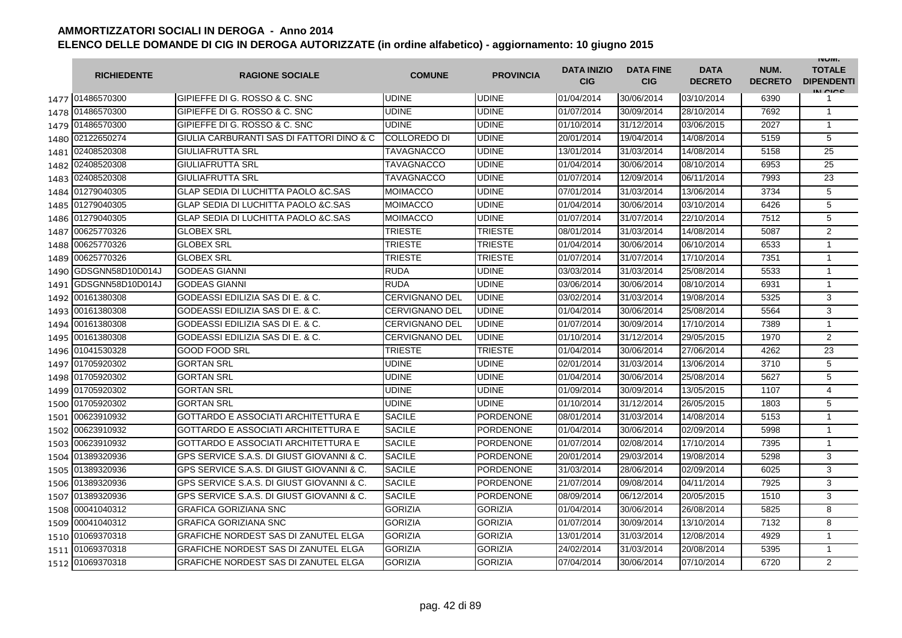|      | <b>RICHIEDENTE</b> | <b>RAGIONE SOCIALE</b>                         | <b>COMUNE</b>         | <b>PROVINCIA</b> | <b>DATA INIZIO</b><br><b>CIG</b> | <b>DATA FINE</b><br><b>CIG</b> | <b>DATA</b><br><b>DECRETO</b> | NUM.<br><b>DECRETO</b> | <b>INUIVI.</b><br><b>TOTALE</b><br><b>DIPENDENTI</b><br>IN CICO |
|------|--------------------|------------------------------------------------|-----------------------|------------------|----------------------------------|--------------------------------|-------------------------------|------------------------|-----------------------------------------------------------------|
|      | 1477 01486570300   | IGIPIEFFE DI G. ROSSO & C. SNC                 | <b>UDINE</b>          | <b>UDINE</b>     | 01/04/2014                       | 30/06/2014                     | 03/10/2014                    | 6390                   |                                                                 |
| 1478 | 01486570300        | GIPIEFFE DI G. ROSSO & C. SNC                  | <b>UDINE</b>          | <b>UDINE</b>     | 01/07/2014                       | 30/09/2014                     | 28/10/2014                    | 7692                   | $\mathbf{1}$                                                    |
| 1479 | 01486570300        | GIPIEFFE DI G. ROSSO & C. SNC                  | <b>UDINE</b>          | <b>UDINE</b>     | 01/10/2014                       | 31/12/2014                     | 03/06/2015                    | 2027                   | $\mathbf{1}$                                                    |
| 1480 | 02122650274        | GIULIA CARBURANTI SAS DI FATTORI DINO & C      | COLLOREDO DI          | <b>UDINE</b>     | 20/01/2014                       | 19/04/2014                     | 14/08/2014                    | 5159                   | 5                                                               |
| 1481 | 02408520308        | <b>GIULIAFRUTTA SRL</b>                        | TAVAGNACCO            | <b>UDINE</b>     | 13/01/2014                       | 31/03/2014                     | 14/08/2014                    | 5158                   | 25                                                              |
| 1482 | 02408520308        | <b>GIULIAFRUTTA SRL</b>                        | <b>TAVAGNACCO</b>     | <b>UDINE</b>     | 01/04/2014                       | 30/06/2014                     | 08/10/2014                    | 6953                   | 25                                                              |
| 1483 | 02408520308        | <b>GIULIAFRUTTA SRL</b>                        | TAVAGNACCO            | <b>UDINE</b>     | 01/07/2014                       | 12/09/2014                     | 06/11/2014                    | 7993                   | 23                                                              |
| 1484 | 01279040305        | <b>GLAP SEDIA DI LUCHITTA PAOLO &amp;C.SAS</b> | MOIMACCO              | <b>UDINE</b>     | 07/01/2014                       | 31/03/2014                     | 13/06/2014                    | 3734                   | 5                                                               |
| 1485 | 01279040305        | <b>GLAP SEDIA DI LUCHITTA PAOLO &amp;C.SAS</b> | MOIMACCO              | <b>UDINE</b>     | 01/04/2014                       | 30/06/2014                     | 03/10/2014                    | 6426                   | 5                                                               |
| 1486 | 01279040305        | <b>GLAP SEDIA DI LUCHITTA PAOLO &amp;C.SAS</b> | MOIMACCO              | <b>UDINE</b>     | 01/07/2014                       | 31/07/2014                     | 22/10/2014                    | 7512                   | 5                                                               |
| 1487 | 00625770326        | <b>GLOBEX SRL</b>                              | TRIESTE               | <b>TRIESTE</b>   | 08/01/2014                       | 31/03/2014                     | 14/08/2014                    | 5087                   | $\overline{2}$                                                  |
| 1488 | 00625770326        | <b>GLOBEX SRL</b>                              | TRIESTE               | <b>TRIESTE</b>   | 01/04/2014                       | 30/06/2014                     | 06/10/2014                    | 6533                   | $\mathbf{1}$                                                    |
| 1489 | 00625770326        | <b>GLOBEX SRL</b>                              | TRIESTE               | <b>TRIESTE</b>   | 01/07/2014                       | 31/07/2014                     | 17/10/2014                    | 7351                   | $\mathbf{1}$                                                    |
| 1490 | GDSGNN58D10D014J   | <b>GODEAS GIANNI</b>                           | RUDA                  | <b>UDINE</b>     | 03/03/2014                       | 31/03/2014                     | 25/08/2014                    | 5533                   | 1                                                               |
| 1491 | GDSGNN58D10D014J   | <b>GODEAS GIANNI</b>                           | <b>RUDA</b>           | <b>UDINE</b>     | 03/06/2014                       | 30/06/2014                     | 08/10/2014                    | 6931                   | $\mathbf{1}$                                                    |
| 1492 | 00161380308        | <b>GODEASSI EDILIZIA SAS DI E. &amp; C.</b>    | CERVIGNANO DEL        | <b>UDINE</b>     | 03/02/2014                       | 31/03/2014                     | 19/08/2014                    | 5325                   | 3                                                               |
| 1493 | 00161380308        | GODEASSI EDILIZIA SAS DI E. & C.               | CERVIGNANO DEL        | <b>UDINE</b>     | 01/04/2014                       | 30/06/2014                     | 25/08/2014                    | 5564                   | 3                                                               |
| 1494 | 00161380308        | GODEASSI EDILIZIA SAS DI E. & C.               | <b>CERVIGNANO DEL</b> | <b>UDINE</b>     | 01/07/2014                       | 30/09/2014                     | 17/10/2014                    | 7389                   | $\mathbf{1}$                                                    |
| 1495 | 00161380308        | GODEASSI EDILIZIA SAS DI E. & C.               | <b>CERVIGNANO DEL</b> | <b>UDINE</b>     | 01/10/2014                       | 31/12/2014                     | 29/05/2015                    | 1970                   | 2                                                               |
| 1496 | 01041530328        | <b>GOOD FOOD SRL</b>                           | <b>TRIESTE</b>        | <b>TRIESTE</b>   | 01/04/2014                       | 30/06/2014                     | 27/06/2014                    | 4262                   | 23                                                              |
| 1497 | 01705920302        | <b>GORTAN SRL</b>                              | <b>UDINE</b>          | <b>UDINE</b>     | 02/01/2014                       | 31/03/2014                     | 13/06/2014                    | 3710                   | 5                                                               |
| 1498 | 01705920302        | <b>GORTAN SRL</b>                              | <b>UDINE</b>          | <b>UDINE</b>     | 01/04/2014                       | 30/06/2014                     | 25/08/2014                    | 5627                   | 5                                                               |
| 1499 | 01705920302        | <b>GORTAN SRL</b>                              | <b>UDINE</b>          | <b>UDINE</b>     | 01/09/2014                       | 30/09/2014                     | 13/05/2015                    | 1107                   | $\overline{4}$                                                  |
| 1500 | 01705920302        | <b>GORTAN SRL</b>                              | <b>UDINE</b>          | <b>UDINE</b>     | 01/10/2014                       | 31/12/2014                     | 26/05/2015                    | 1803                   | 5                                                               |
| 1501 | 00623910932        | <b>GOTTARDO E ASSOCIATI ARCHITETTURA E</b>     | <b>SACILE</b>         | <b>PORDENONE</b> | 08/01/2014                       | 31/03/2014                     | 14/08/2014                    | 5153                   | $\mathbf{1}$                                                    |
| 1502 | 00623910932        | <b>GOTTARDO E ASSOCIATI ARCHITETTURA E</b>     | <b>SACILE</b>         | <b>PORDENONE</b> | 01/04/2014                       | 30/06/2014                     | 02/09/2014                    | 5998                   | $\mathbf{1}$                                                    |
| 1503 | 00623910932        | <b>GOTTARDO E ASSOCIATI ARCHITETTURA E</b>     | <b>SACILE</b>         | <b>PORDENONE</b> | 01/07/2014                       | 02/08/2014                     | 17/10/2014                    | 7395                   | $\mathbf{1}$                                                    |
| 1504 | 01389320936        | GPS SERVICE S.A.S. DI GIUST GIOVANNI & C.      | <b>SACILE</b>         | <b>PORDENONE</b> | 20/01/2014                       | 29/03/2014                     | 19/08/2014                    | 5298                   | 3                                                               |
| 1505 | 01389320936        | GPS SERVICE S.A.S. DI GIUST GIOVANNI & C.      | <b>SACILE</b>         | <b>PORDENONE</b> | 31/03/2014                       | 28/06/2014                     | 02/09/2014                    | 6025                   | 3                                                               |
| 1506 | 01389320936        | GPS SERVICE S.A.S. DI GIUST GIOVANNI & C.      | <b>SACILE</b>         | <b>PORDENONE</b> | 21/07/2014                       | 09/08/2014                     | 04/11/2014                    | 7925                   | 3                                                               |
| 1507 | 01389320936        | GPS SERVICE S.A.S. DI GIUST GIOVANNI & C.      | <b>SACILE</b>         | PORDENONE        | 08/09/2014                       | 06/12/2014                     | 20/05/2015                    | 1510                   | 3                                                               |
| 1508 | 00041040312        | <b>GRAFICA GORIZIANA SNC</b>                   | <b>GORIZIA</b>        | <b>GORIZIA</b>   | 01/04/2014                       | 30/06/2014                     | 26/08/2014                    | 5825                   | 8                                                               |
| 1509 | 00041040312        | <b>GRAFICA GORIZIANA SNC</b>                   | <b>GORIZIA</b>        | <b>GORIZIA</b>   | 01/07/2014                       | 30/09/2014                     | 13/10/2014                    | 7132                   | 8                                                               |
|      | 1510 01069370318   | <b>GRAFICHE NORDEST SAS DI ZANUTEL ELGA</b>    | <b>GORIZIA</b>        | <b>GORIZIA</b>   | 13/01/2014                       | 31/03/2014                     | 12/08/2014                    | 4929                   | $\mathbf{1}$                                                    |
| 1511 | 01069370318        | <b>GRAFICHE NORDEST SAS DI ZANUTEL ELGA</b>    | <b>GORIZIA</b>        | <b>GORIZIA</b>   | 24/02/2014                       | 31/03/2014                     | 20/08/2014                    | 5395                   | $\mathbf{1}$                                                    |
| 1512 | 01069370318        | <b>GRAFICHE NORDEST SAS DI ZANUTEL ELGA</b>    | <b>GORIZIA</b>        | <b>GORIZIA</b>   | 07/04/2014                       | 30/06/2014                     | 07/10/2014                    | 6720                   | $\overline{2}$                                                  |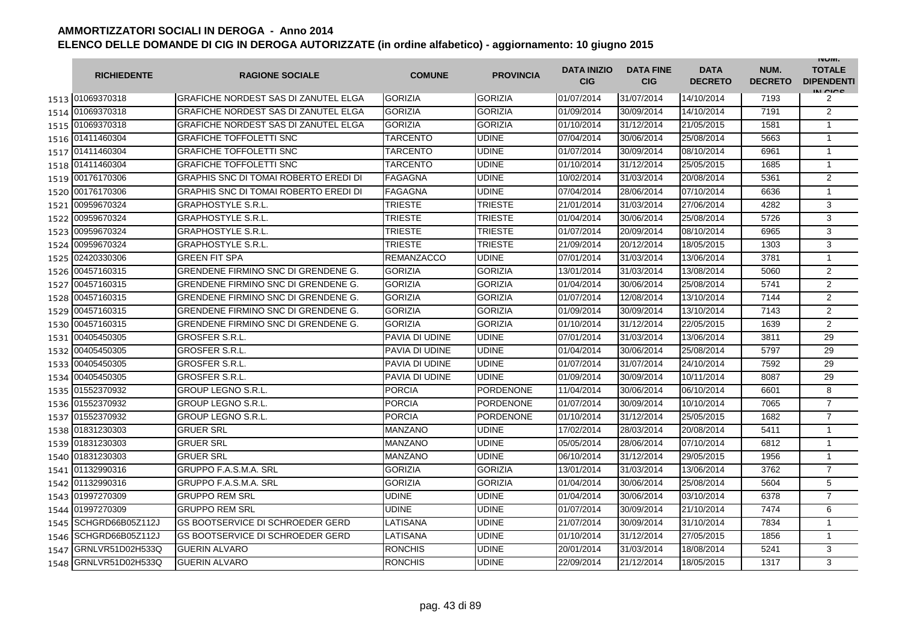|      | <b>RICHIEDENTE</b> | <b>RAGIONE SOCIALE</b>                       | <b>COMUNE</b>     | <b>PROVINCIA</b> | <b>DATA INIZIO</b><br><b>CIG</b> | <b>DATA FINE</b><br><b>CIG</b> | <b>DATA</b><br><b>DECRETO</b> | NUM.<br><b>DECRETO</b> | <b>INUIVI.</b><br><b>TOTALE</b><br><b>DIPENDENTI</b><br>IN CIGO |
|------|--------------------|----------------------------------------------|-------------------|------------------|----------------------------------|--------------------------------|-------------------------------|------------------------|-----------------------------------------------------------------|
|      | 1513 01069370318   | <b>GRAFICHE NORDEST SAS DI ZANUTEL ELGA</b>  | <b>GORIZIA</b>    | <b>GORIZIA</b>   | 01/07/2014                       | 31/07/2014                     | 14/10/2014                    | 7193                   | 2                                                               |
|      | 1514 01069370318   | <b>GRAFICHE NORDEST SAS DI ZANUTEL ELGA</b>  | <b>GORIZIA</b>    | <b>GORIZIA</b>   | 01/09/2014                       | 30/09/2014                     | 14/10/2014                    | 7191                   | $\overline{2}$                                                  |
|      | 1515 01069370318   | <b>GRAFICHE NORDEST SAS DI ZANUTEL ELGA</b>  | <b>GORIZIA</b>    | <b>GORIZIA</b>   | 01/10/2014                       | 31/12/2014                     | 21/05/2015                    | 1581                   | $\mathbf{1}$                                                    |
|      | 1516 01411460304   | <b>GRAFICHE TOFFOLETTI SNC</b>               | TARCENTO          | <b>UDINE</b>     | 07/04/2014                       | 30/06/2014                     | 25/08/2014                    | 5663                   | 1                                                               |
|      | 1517 01411460304   | <b>GRAFICHE TOFFOLETTI SNC</b>               | <b>TARCENTO</b>   | <b>UDINE</b>     | 01/07/2014                       | 30/09/2014                     | 08/10/2014                    | 6961                   | $\mathbf{1}$                                                    |
|      | 1518 01411460304   | <b>GRAFICHE TOFFOLETTI SNC</b>               | <b>TARCENTO</b>   | <b>UDINE</b>     | 01/10/2014                       | 31/12/2014                     | 25/05/2015                    | 1685                   | $\mathbf{1}$                                                    |
|      | 1519 00176170306   | <b>GRAPHIS SNC DI TOMAI ROBERTO EREDI DI</b> | <b>FAGAGNA</b>    | <b>UDINE</b>     | 10/02/2014                       | 31/03/2014                     | 20/08/2014                    | 5361                   | $\overline{2}$                                                  |
|      | 1520 00176170306   | <b>GRAPHIS SNC DI TOMAI ROBERTO EREDI DI</b> | <b>FAGAGNA</b>    | <b>UDINE</b>     | 07/04/2014                       | 28/06/2014                     | 07/10/2014                    | 6636                   | $\mathbf{1}$                                                    |
| 1521 | 00959670324        | <b>GRAPHOSTYLE S.R.L.</b>                    | <b>TRIESTE</b>    | <b>TRIESTE</b>   | 21/01/2014                       | 31/03/2014                     | 27/06/2014                    | 4282                   | 3                                                               |
| 1522 | 00959670324        | <b>GRAPHOSTYLE S.R.L.</b>                    | <b>TRIESTE</b>    | <b>TRIESTE</b>   | 01/04/2014                       | 30/06/2014                     | 25/08/2014                    | 5726                   | 3                                                               |
| 1523 | 00959670324        | <b>GRAPHOSTYLE S.R.L.</b>                    | <b>TRIESTE</b>    | <b>TRIESTE</b>   | 01/07/2014                       | 20/09/2014                     | 08/10/2014                    | 6965                   | 3                                                               |
| 1524 | 00959670324        | <b>GRAPHOSTYLE S.R.L.</b>                    | TRIESTE           | <b>TRIESTE</b>   | 21/09/2014                       | 20/12/2014                     | 18/05/2015                    | 1303                   | 3                                                               |
| 1525 | 02420330306        | <b>GREEN FIT SPA</b>                         | <b>REMANZACCO</b> | <b>UDINE</b>     | 07/01/2014                       | 31/03/2014                     | 13/06/2014                    | 3781                   | $\mathbf{1}$                                                    |
| 1526 | 00457160315        | <b>GRENDENE FIRMINO SNC DI GRENDENE G.</b>   | <b>GORIZIA</b>    | <b>GORIZIA</b>   | 13/01/2014                       | 31/03/2014                     | 13/08/2014                    | 5060                   | $\overline{2}$                                                  |
| 1527 | 00457160315        | <b>GRENDENE FIRMINO SNC DI GRENDENE G.</b>   | <b>GORIZIA</b>    | <b>GORIZIA</b>   | 01/04/2014                       | 30/06/2014                     | 25/08/2014                    | 5741                   | 2                                                               |
| 1528 | 00457160315        | <b>GRENDENE FIRMINO SNC DI GRENDENE G.</b>   | <b>GORIZIA</b>    | <b>GORIZIA</b>   | 01/07/2014                       | 12/08/2014                     | 13/10/2014                    | 7144                   | $\overline{2}$                                                  |
|      | 1529 00457160315   | <b>GRENDENE FIRMINO SNC DI GRENDENE G.</b>   | <b>GORIZIA</b>    | <b>GORIZIA</b>   | 01/09/2014                       | 30/09/2014                     | 13/10/2014                    | 7143                   | $\overline{2}$                                                  |
|      | 1530 00457160315   | GRENDENE FIRMINO SNC DI GRENDENE G.          | <b>GORIZIA</b>    | <b>GORIZIA</b>   | 01/10/2014                       | 31/12/2014                     | 22/05/2015                    | 1639                   | 2                                                               |
|      | 1531 00405450305   | <b>GROSFER S.R.L.</b>                        | PAVIA DI UDINE    | <b>UDINE</b>     | 07/01/2014                       | 31/03/2014                     | 13/06/2014                    | 3811                   | 29                                                              |
|      | 1532 00405450305   | <b>GROSFER S.R.L</b>                         | PAVIA DI UDINE    | <b>UDINE</b>     | 01/04/2014                       | 30/06/2014                     | 25/08/2014                    | 5797                   | 29                                                              |
| 1533 | 00405450305        | <b>GROSFER S.R.L</b>                         | PAVIA DI UDINE    | <b>UDINE</b>     | 01/07/2014                       | 31/07/2014                     | 24/10/2014                    | 7592                   | 29                                                              |
|      | 1534 00405450305   | <b>GROSFER S.R.L</b>                         | PAVIA DI UDINE    | <b>UDINE</b>     | 01/09/2014                       | 30/09/2014                     | 10/11/2014                    | 8087                   | 29                                                              |
|      | 1535 01552370932   | <b>GROUP LEGNO S.R.L</b>                     | <b>PORCIA</b>     | <b>PORDENONE</b> | 11/04/2014                       | 30/06/2014                     | 06/10/2014                    | 6601                   | 8                                                               |
|      | 1536 01552370932   | <b>GROUP LEGNO S.R.L</b>                     | <b>PORCIA</b>     | <b>PORDENONE</b> | 01/07/2014                       | 30/09/2014                     | 10/10/2014                    | 7065                   | $\overline{7}$                                                  |
| 1537 | 01552370932        | <b>GROUP LEGNO S.R.L.</b>                    | <b>PORCIA</b>     | <b>PORDENONE</b> | 01/10/2014                       | 31/12/2014                     | 25/05/2015                    | 1682                   | $\overline{7}$                                                  |
|      | 1538 01831230303   | <b>GRUER SRL</b>                             | MANZANO           | <b>UDINE</b>     | 17/02/2014                       | 28/03/2014                     | 20/08/2014                    | 5411                   | $\mathbf{1}$                                                    |
|      | 1539 01831230303   | <b>GRUER SRL</b>                             | MANZANO           | <b>UDINE</b>     | 05/05/2014                       | 28/06/2014                     | 07/10/2014                    | 6812                   | $\mathbf{1}$                                                    |
|      | 1540 01831230303   | <b>GRUER SRL</b>                             | MANZANO           | <b>UDINE</b>     | 06/10/2014                       | 31/12/2014                     | 29/05/2015                    | 1956                   | $\mathbf{1}$                                                    |
|      | 1541 01132990316   | <b>GRUPPO F.A.S.M.A. SRL</b>                 | <b>GORIZIA</b>    | <b>GORIZIA</b>   | 13/01/2014                       | 31/03/2014                     | 13/06/2014                    | 3762                   | $\overline{7}$                                                  |
|      | 1542 01132990316   | <b>GRUPPO F.A.S.M.A. SRL</b>                 | <b>GORIZIA</b>    | <b>GORIZIA</b>   | 01/04/2014                       | 30/06/2014                     | 25/08/2014                    | 5604                   | 5                                                               |
|      | 1543 01997270309   | <b>GRUPPO REM SRL</b>                        | UDINE             | <b>UDINE</b>     | 01/04/2014                       | 30/06/2014                     | 03/10/2014                    | 6378                   | $\overline{7}$                                                  |
|      | 1544 01997270309   | <b>GRUPPO REM SRL</b>                        | <b>UDINE</b>      | <b>UDINE</b>     | 01/07/2014                       | 30/09/2014                     | 21/10/2014                    | 7474                   | 6                                                               |
| 1545 | SCHGRD66B05Z112J   | <b>GS BOOTSERVICE DI SCHROEDER GERD</b>      | LATISANA          | <b>UDINE</b>     | 21/07/2014                       | 30/09/2014                     | 31/10/2014                    | 7834                   | $\mathbf{1}$                                                    |
| 1546 | SCHGRD66B05Z112J   | <b>GS BOOTSERVICE DI SCHROEDER GERD</b>      | LATISANA          | <b>UDINE</b>     | 01/10/2014                       | 31/12/2014                     | 27/05/2015                    | 1856                   | $\mathbf{1}$                                                    |
| 1547 | GRNLVR51D02H533Q   | <b>GUERIN ALVARO</b>                         | <b>RONCHIS</b>    | <b>UDINE</b>     | 20/01/2014                       | 31/03/2014                     | 18/08/2014                    | 5241                   | 3                                                               |
| 1548 | GRNLVR51D02H533Q   | <b>GUERIN ALVARO</b>                         | <b>RONCHIS</b>    | <b>UDINE</b>     | 22/09/2014                       | 21/12/2014                     | 18/05/2015                    | 1317                   | 3                                                               |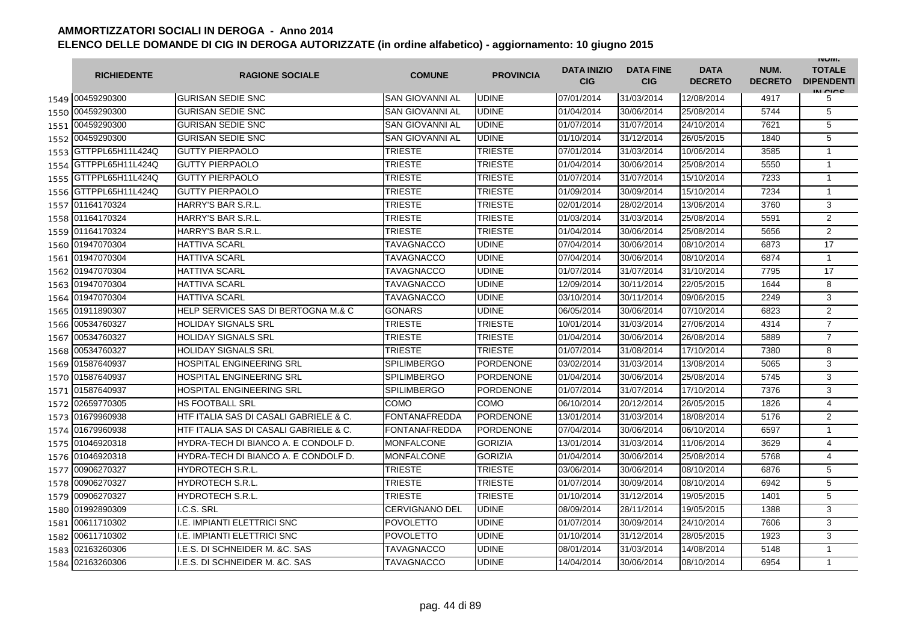|      | <b>RICHIEDENTE</b>    | <b>RAGIONE SOCIALE</b>                 | <b>COMUNE</b>          | <b>PROVINCIA</b> | <b>DATA INIZIO</b><br><b>CIG</b> | <b>DATA FINE</b><br><b>CIG</b> | <b>DATA</b><br><b>DECRETO</b> | NUM.<br><b>DECRETO</b> | <b>INUIVI.</b><br><b>TOTALE</b><br><b>DIPENDENTI</b><br>IN CICE |
|------|-----------------------|----------------------------------------|------------------------|------------------|----------------------------------|--------------------------------|-------------------------------|------------------------|-----------------------------------------------------------------|
|      | 1549 00459290300      | <b>GURISAN SEDIE SNC</b>               | SAN GIOVANNI AL        | <b>UDINE</b>     | 07/01/2014                       | 31/03/2014                     | 12/08/2014                    | 4917                   | 5                                                               |
|      | 1550 00459290300      | <b>GURISAN SEDIE SNC</b>               | <b>SAN GIOVANNI AL</b> | <b>UDINE</b>     | 01/04/2014                       | 30/06/2014                     | 25/08/2014                    | 5744                   | 5                                                               |
|      | 1551 00459290300      | <b>GURISAN SEDIE SNC</b>               | SAN GIOVANNI AL        | <b>UDINE</b>     | 01/07/2014                       | 31/07/2014                     | 24/10/2014                    | 7621                   | 5                                                               |
|      | 1552 00459290300      | <b>GURISAN SEDIE SNC</b>               | <b>SAN GIOVANNI AL</b> | <b>UDINE</b>     | 01/10/2014                       | 31/12/2014                     | 26/05/2015                    | 1840                   | 5                                                               |
|      | 1553 GTTPPL65H11L424Q | <b>GUTTY PIERPAOLO</b>                 | <b>TRIESTE</b>         | <b>TRIESTE</b>   | 07/01/2014                       | 31/03/2014                     | 10/06/2014                    | 3585                   | $\mathbf{1}$                                                    |
|      | 1554 GTTPPL65H11L424Q | <b>GUTTY PIERPAOLO</b>                 | <b>TRIESTE</b>         | <b>TRIESTE</b>   | 01/04/2014                       | 30/06/2014                     | 25/08/2014                    | 5550                   | $\mathbf{1}$                                                    |
|      | 1555 GTTPPL65H11L424Q | <b>GUTTY PIERPAOLO</b>                 | TRIESTE                | <b>TRIESTE</b>   | 01/07/2014                       | 31/07/2014                     | 15/10/2014                    | 7233                   | $\mathbf{1}$                                                    |
|      | 1556 GTTPPL65H11L424Q | <b>GUTTY PIERPAOLO</b>                 | <b>TRIESTE</b>         | <b>TRIESTE</b>   | 01/09/2014                       | 30/09/2014                     | 15/10/2014                    | 7234                   | $\mathbf{1}$                                                    |
|      | 1557 01164170324      | HARRY'S BAR S.R.L.                     | <b>TRIESTE</b>         | <b>TRIESTE</b>   | 02/01/2014                       | 28/02/2014                     | 13/06/2014                    | 3760                   | 3                                                               |
|      | 1558 01164170324      | HARRY'S BAR S.R.L.                     | TRIESTE                | <b>TRIESTE</b>   | 01/03/2014                       | 31/03/2014                     | 25/08/2014                    | 5591                   | $\overline{2}$                                                  |
|      | 1559 01164170324      | HARRY'S BAR S.R.L.                     | <b>TRIESTE</b>         | <b>TRIESTE</b>   | 01/04/2014                       | 30/06/2014                     | 25/08/2014                    | 5656                   | $\overline{2}$                                                  |
| 1560 | 01947070304           | <b>HATTIVA SCARL</b>                   | TAVAGNACCO             | <b>UDINE</b>     | 07/04/2014                       | 30/06/2014                     | 08/10/2014                    | 6873                   | 17                                                              |
|      | 1561 01947070304      | <b>HATTIVA SCARL</b>                   | TAVAGNACCO             | <b>UDINE</b>     | 07/04/2014                       | 30/06/2014                     | 08/10/2014                    | 6874                   | $\mathbf{1}$                                                    |
|      | 1562 01947070304      | <b>HATTIVA SCARL</b>                   | <b>TAVAGNACCO</b>      | <b>UDINE</b>     | 01/07/2014                       | 31/07/2014                     | 31/10/2014                    | 7795                   | 17                                                              |
|      | 1563 01947070304      | <b>HATTIVA SCARL</b>                   | TAVAGNACCO             | <b>UDINE</b>     | 12/09/2014                       | 30/11/2014                     | 22/05/2015                    | 1644                   | 8                                                               |
|      | 1564 01947070304      | <b>HATTIVA SCARL</b>                   | TAVAGNACCO             | <b>UDINE</b>     | 03/10/2014                       | 30/11/2014                     | 09/06/2015                    | 2249                   | 3                                                               |
|      | 1565 01911890307      | HELP SERVICES SAS DI BERTOGNA M.& C    | <b>GONARS</b>          | <b>UDINE</b>     | 06/05/2014                       | 30/06/2014                     | 07/10/2014                    | 6823                   | $\overline{2}$                                                  |
|      | 1566 00534760327      | <b>HOLIDAY SIGNALS SRL</b>             | <b>TRIESTE</b>         | <b>TRIESTE</b>   | 10/01/2014                       | 31/03/2014                     | 27/06/2014                    | 4314                   | $\overline{7}$                                                  |
|      | 1567 00534760327      | <b>HOLIDAY SIGNALS SRL</b>             | <b>TRIESTE</b>         | <b>TRIESTE</b>   | 01/04/2014                       | 30/06/2014                     | 26/08/2014                    | 5889                   | $\overline{7}$                                                  |
|      | 1568 00534760327      | <b>HOLIDAY SIGNALS SRL</b>             | <b>TRIESTE</b>         | <b>TRIESTE</b>   | 01/07/2014                       | 31/08/2014                     | 17/10/2014                    | 7380                   | 8                                                               |
|      | 1569 01587640937      | <b>HOSPITAL ENGINEERING SRL</b>        | <b>SPILIMBERGO</b>     | <b>PORDENONE</b> | 03/02/2014                       | 31/03/2014                     | 13/08/2014                    | 5065                   | 3                                                               |
|      | 1570 01587640937      | <b>HOSPITAL ENGINEERING SRL</b>        | <b>SPILIMBERGO</b>     | <b>PORDENONE</b> | 01/04/2014                       | 30/06/2014                     | 25/08/2014                    | 5745                   | 3                                                               |
|      | 1571 01587640937      | <b>HOSPITAL ENGINEERING SRL</b>        | <b>SPILIMBERGO</b>     | <b>PORDENONE</b> | 01/07/2014                       | 31/07/2014                     | 17/10/2014                    | 7376                   | 3                                                               |
| 1572 | 02659770305           | <b>HS FOOTBALL SRL</b>                 | COMO                   | <b>COMO</b>      | 06/10/2014                       | 20/12/2014                     | 26/05/2015                    | 1826                   | $\overline{4}$                                                  |
|      | 1573 01679960938      | HTF ITALIA SAS DI CASALI GABRIELE & C. | <b>FONTANAFREDDA</b>   | <b>PORDENONE</b> | 13/01/2014                       | 31/03/2014                     | 18/08/2014                    | 5176                   | $\overline{2}$                                                  |
|      | 1574 01679960938      | HTF ITALIA SAS DI CASALI GABRIELE & C. | FONTANAFREDDA          | <b>PORDENONE</b> | 07/04/2014                       | 30/06/2014                     | 06/10/2014                    | 6597                   | $\mathbf{1}$                                                    |
|      | 1575 01046920318      | HYDRA-TECH DI BIANCO A. E CONDOLF D.   | MONFALCONE             | <b>GORIZIA</b>   | 13/01/2014                       | 31/03/2014                     | 11/06/2014                    | 3629                   | 4                                                               |
|      | 1576 01046920318      | HYDRA-TECH DI BIANCO A. E CONDOLF D.   | <b>MONFALCONE</b>      | <b>GORIZIA</b>   | 01/04/2014                       | 30/06/2014                     | 25/08/2014                    | 5768                   | $\overline{4}$                                                  |
|      | 1577 00906270327      | <b>HYDROTECH S.R.L.</b>                | <b>TRIESTE</b>         | <b>TRIESTE</b>   | 03/06/2014                       | 30/06/2014                     | 08/10/2014                    | 6876                   | 5                                                               |
|      | 1578 00906270327      | <b>HYDROTECH S.R.L.</b>                | TRIESTE                | <b>TRIESTE</b>   | 01/07/2014                       | 30/09/2014                     | 08/10/2014                    | 6942                   | 5                                                               |
|      | 1579 00906270327      | <b>HYDROTECH S.R.L.</b>                | <b>TRIESTE</b>         | <b>TRIESTE</b>   | 01/10/2014                       | 31/12/2014                     | 19/05/2015                    | 1401                   | 5                                                               |
|      | 1580 01992890309      | I.C.S. SRL                             | <b>CERVIGNANO DEL</b>  | <b>UDINE</b>     | 08/09/2014                       | 28/11/2014                     | 19/05/2015                    | 1388                   | 3                                                               |
|      | 1581 00611710302      | <b>I.E. IMPIANTI ELETTRICI SNC</b>     | POVOLETTO              | <b>UDINE</b>     | 01/07/2014                       | 30/09/2014                     | 24/10/2014                    | 7606                   | 3                                                               |
|      | 1582 00611710302      | I.E. IMPIANTI ELETTRICI SNC            | <b>POVOLETTO</b>       | <b>UDINE</b>     | 01/10/2014                       | 31/12/2014                     | 28/05/2015                    | 1923                   | 3                                                               |
|      | 1583 02163260306      | I.E.S. DI SCHNEIDER M. &C. SAS         | TAVAGNACCO             | <b>UDINE</b>     | 08/01/2014                       | 31/03/2014                     | 14/08/2014                    | 5148                   | $\mathbf{1}$                                                    |
|      | 1584 02163260306      | I.E.S. DI SCHNEIDER M. &C. SAS         | TAVAGNACCO             | <b>UDINE</b>     | 14/04/2014                       | 30/06/2014                     | 08/10/2014                    | 6954                   | $\mathbf{1}$                                                    |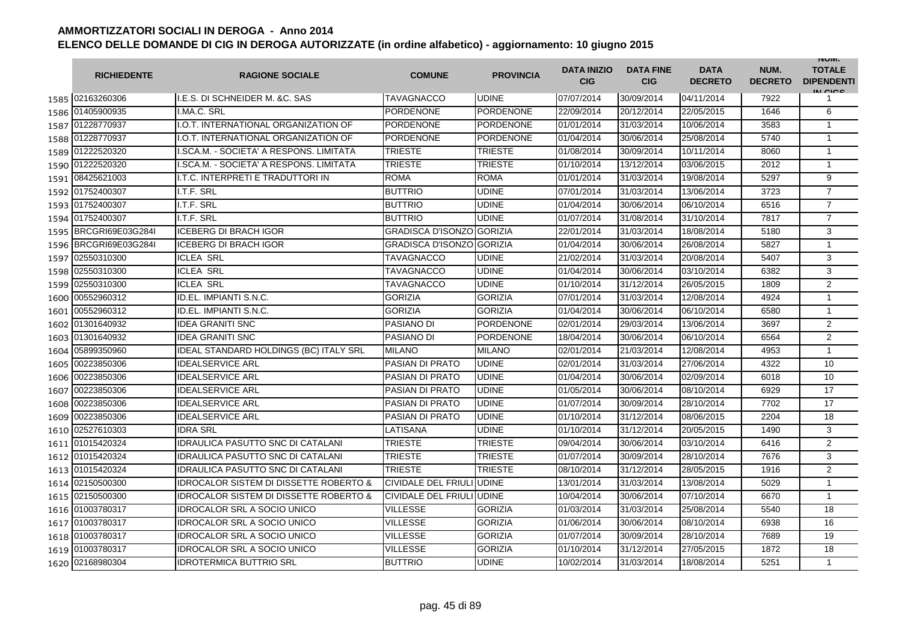|      | <b>RICHIEDENTE</b> | <b>RAGIONE SOCIALE</b>                            | <b>COMUNE</b>                    | <b>PROVINCIA</b> | <b>DATA INIZIO</b><br><b>CIG</b> | <b>DATA FINE</b><br><b>CIG</b> | <b>DATA</b><br><b>DECRETO</b> | NUM.<br><b>DECRETO</b> | <b>INUIVI.</b><br><b>TOTALE</b><br><b>DIPENDENTI</b><br>IN CIGO |
|------|--------------------|---------------------------------------------------|----------------------------------|------------------|----------------------------------|--------------------------------|-------------------------------|------------------------|-----------------------------------------------------------------|
|      | 1585 02163260306   | I.E.S. DI SCHNEIDER M. & C. SAS                   | TAVAGNACCO                       | <b>UDINE</b>     | 07/07/2014                       | 30/09/2014                     | 04/11/2014                    | 7922                   | 1                                                               |
|      | 1586 01405900935   | I.MA.C. SRL                                       | <b>PORDENONE</b>                 | <b>PORDENONE</b> | 22/09/2014                       | 20/12/2014                     | 22/05/2015                    | 1646                   | 6                                                               |
|      | 1587 01228770937   | I.O.T. INTERNATIONAL ORGANIZATION OF              | <b>PORDENONE</b>                 | <b>PORDENONE</b> | 01/01/2014                       | 31/03/2014                     | 10/06/2014                    | 3583                   | $\mathbf{1}$                                                    |
|      | 1588 01228770937   | I.O.T. INTERNATIONAL ORGANIZATION OF              | PORDENONE                        | <b>PORDENONE</b> | 01/04/2014                       | 30/06/2014                     | 25/08/2014                    | 5740                   | $\mathbf{1}$                                                    |
|      | 1589 01222520320   | I.SCA.M. - SOCIETA' A RESPONS. LIMITATA           | <b>TRIESTE</b>                   | <b>TRIESTE</b>   | 01/08/2014                       | 30/09/2014                     | 10/11/2014                    | 8060                   | $\mathbf{1}$                                                    |
|      | 1590 01222520320   | I.SCA.M. - SOCIETA' A RESPONS. LIMITATA           | <b>TRIESTE</b>                   | <b>TRIESTE</b>   | 01/10/2014                       | 13/12/2014                     | 03/06/2015                    | 2012                   | $\mathbf{1}$                                                    |
|      | 1591 08425621003   | <b>I.T.C. INTERPRETI E TRADUTTORI IN</b>          | <b>ROMA</b>                      | <b>ROMA</b>      | 01/01/2014                       | 31/03/2014                     | 19/08/2014                    | 5297                   | 9                                                               |
|      | 1592 01752400307   | I.T.F. SRL                                        | <b>BUTTRIO</b>                   | <b>UDINE</b>     | 07/01/2014                       | 31/03/2014                     | 13/06/2014                    | 3723                   | $\overline{7}$                                                  |
|      | 1593 01752400307   | I.T.F. SRL                                        | <b>BUTTRIO</b>                   | <b>UDINE</b>     | 01/04/2014                       | 30/06/2014                     | 06/10/2014                    | 6516                   | $\overline{7}$                                                  |
|      | 1594 01752400307   | I.T.F. SRL                                        | <b>BUTTRIO</b>                   | <b>UDINE</b>     | 01/07/2014                       | 31/08/2014                     | 31/10/2014                    | 7817                   | $\overline{7}$                                                  |
| 1595 | BRCGRI69E03G284I   | <b>ICEBERG DI BRACH IGOR</b>                      | <b>GRADISCA D'ISONZO GORIZIA</b> |                  | 22/01/2014                       | 31/03/2014                     | 18/08/2014                    | 5180                   | 3                                                               |
| 1596 | BRCGRI69E03G284I   | <b>ICEBERG DI BRACH IGOR</b>                      | GRADISCA D'ISONZO IGORIZIA       |                  | 01/04/2014                       | 30/06/2014                     | 26/08/2014                    | 5827                   | $\mathbf{1}$                                                    |
| 1597 | 02550310300        | <b>ICLEA SRL</b>                                  | TAVAGNACCO                       | <b>UDINE</b>     | 21/02/2014                       | 31/03/2014                     | 20/08/2014                    | 5407                   | 3                                                               |
| 1598 | 02550310300        | <b>ICLEA SRL</b>                                  | TAVAGNACCO                       | <b>UDINE</b>     | 01/04/2014                       | 30/06/2014                     | 03/10/2014                    | 6382                   | 3                                                               |
| 1599 | 02550310300        | <b>ICLEA SRL</b>                                  | TAVAGNACCO                       | <b>UDINE</b>     | 01/10/2014                       | 31/12/2014                     | 26/05/2015                    | 1809                   | $\overline{2}$                                                  |
|      | 1600 00552960312   | ID.EL. IMPIANTI S.N.C.                            | <b>GORIZIA</b>                   | <b>GORIZIA</b>   | 07/01/2014                       | 31/03/2014                     | 12/08/2014                    | 4924                   | $\mathbf{1}$                                                    |
|      | 1601 00552960312   | ID.EL. IMPIANTI S.N.C.                            | <b>GORIZIA</b>                   | <b>GORIZIA</b>   | 01/04/2014                       | 30/06/2014                     | 06/10/2014                    | 6580                   | $\mathbf{1}$                                                    |
|      | 1602 01301640932   | <b>IDEA GRANITI SNC</b>                           | PASIANO DI                       | <b>PORDENONE</b> | 02/01/2014                       | 29/03/2014                     | 13/06/2014                    | 3697                   | $\overline{2}$                                                  |
|      | 1603 01301640932   | <b>IDEA GRANITI SNC</b>                           | PASIANO DI                       | <b>PORDENONE</b> | 18/04/2014                       | 30/06/2014                     | 06/10/2014                    | 6564                   | 2                                                               |
|      | 1604 05899350960   | <b>IDEAL STANDARD HOLDINGS (BC) ITALY SRL</b>     | <b>MILANO</b>                    | <b>MILANO</b>    | 02/01/2014                       | 21/03/2014                     | 12/08/2014                    | 4953                   | $\mathbf{1}$                                                    |
| 1605 | 00223850306        | <b>IDEALSERVICE ARL</b>                           | PASIAN DI PRATO                  | <b>UDINE</b>     | 02/01/2014                       | 31/03/2014                     | 27/06/2014                    | 4322                   | 10                                                              |
| 1606 | 00223850306        | <b>IDEALSERVICE ARL</b>                           | PASIAN DI PRATO                  | <b>UDINE</b>     | 01/04/2014                       | 30/06/2014                     | 02/09/2014                    | 6018                   | 10                                                              |
| 1607 | 00223850306        | <b>IDEALSERVICE ARL</b>                           | PASIAN DI PRATO                  | <b>UDINE</b>     | 01/05/2014                       | 30/06/2014                     | 08/10/2014                    | 6929                   | 17                                                              |
| 1608 | 00223850306        | <b>IDEALSERVICE ARL</b>                           | <b>PASIAN DI PRATO</b>           | <b>UDINE</b>     | 01/07/2014                       | 30/09/2014                     | 28/10/2014                    | 7702                   | 17                                                              |
| 1609 | 00223850306        | <b>IDEALSERVICE ARL</b>                           | <b>PASIAN DI PRATO</b>           | <b>UDINE</b>     | 01/10/2014                       | 31/12/2014                     | 08/06/2015                    | 2204                   | 18                                                              |
| 1610 | 02527610303        | <b>IDRA SRL</b>                                   | LATISANA                         | <b>UDINE</b>     | 01/10/2014                       | 31/12/2014                     | 20/05/2015                    | 1490                   | 3                                                               |
|      | 1611 01015420324   | <b>IDRAULICA PASUTTO SNC DI CATALANI</b>          | TRIESTE                          | <b>TRIESTE</b>   | 09/04/2014                       | 30/06/2014                     | 03/10/2014                    | 6416                   | $\overline{2}$                                                  |
|      | 1612 01015420324   | <b>IDRAULICA PASUTTO SNC DI CATALANI</b>          | TRIESTE                          | <b>TRIESTE</b>   | 01/07/2014                       | 30/09/2014                     | 28/10/2014                    | 7676                   | 3                                                               |
|      | 1613 01015420324   | <b>IDRAULICA PASUTTO SNC DI CATALANI</b>          | <b>TRIESTE</b>                   | <b>TRIESTE</b>   | 08/10/2014                       | 31/12/2014                     | 28/05/2015                    | 1916                   | 2                                                               |
|      | 1614 02150500300   | <b>IDROCALOR SISTEM DI DISSETTE ROBERTO &amp;</b> | CIVIDALE DEL FRIULI UDINE        |                  | 13/01/2014                       | 31/03/2014                     | 13/08/2014                    | 5029                   | $\mathbf{1}$                                                    |
|      | 1615 02150500300   | <b>IDROCALOR SISTEM DI DISSETTE ROBERTO &amp;</b> | CIVIDALE DEL FRIULI UDINE        |                  | 10/04/2014                       | 30/06/2014                     | 07/10/2014                    | 6670                   | $\mathbf{1}$                                                    |
|      | 1616 01003780317   | <b>IDROCALOR SRL A SOCIO UNICO</b>                | <b>VILLESSE</b>                  | <b>GORIZIA</b>   | 01/03/2014                       | 31/03/2014                     | 25/08/2014                    | 5540                   | 18                                                              |
|      | 1617 01003780317   | <b>IDROCALOR SRL A SOCIO UNICO</b>                | <b>VILLESSE</b>                  | <b>GORIZIA</b>   | 01/06/2014                       | 30/06/2014                     | 08/10/2014                    | 6938                   | 16                                                              |
|      | 1618 01003780317   | <b>IDROCALOR SRL A SOCIO UNICO</b>                | <b>VILLESSE</b>                  | <b>GORIZIA</b>   | 01/07/2014                       | 30/09/2014                     | 28/10/2014                    | 7689                   | 19                                                              |
|      | 1619 01003780317   | <b>IDROCALOR SRL A SOCIO UNICO</b>                | <b>VILLESSE</b>                  | <b>GORIZIA</b>   | 01/10/2014                       | 31/12/2014                     | 27/05/2015                    | 1872                   | 18                                                              |
|      | 1620 02168980304   | <b>IDROTERMICA BUTTRIO SRL</b>                    | <b>BUTTRIO</b>                   | <b>UDINE</b>     | 10/02/2014                       | 31/03/2014                     | 18/08/2014                    | 5251                   | $\mathbf{1}$                                                    |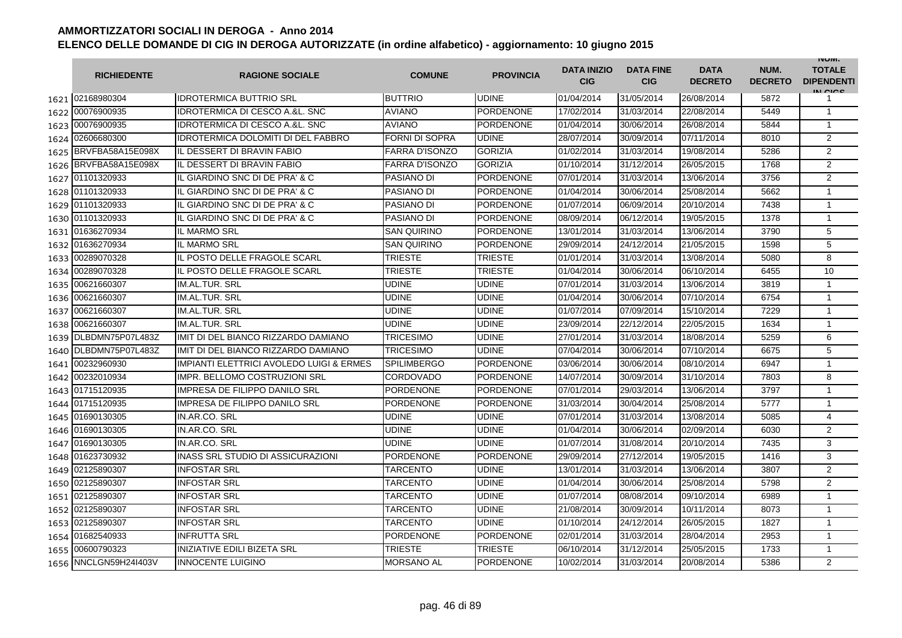|      | <b>RICHIEDENTE</b>    | <b>RAGIONE SOCIALE</b>                              | <b>COMUNE</b>         | <b>PROVINCIA</b> | <b>DATA INIZIO</b><br><b>CIG</b> | <b>DATA FINE</b><br><b>CIG</b> | <b>DATA</b><br><b>DECRETO</b> | NUM.<br><b>DECRETO</b> | <b>INUIVI.</b><br><b>TOTALE</b><br><b>DIPENDENTI</b><br>IN CICS |
|------|-----------------------|-----------------------------------------------------|-----------------------|------------------|----------------------------------|--------------------------------|-------------------------------|------------------------|-----------------------------------------------------------------|
|      | 1621 02168980304      | <b>IDROTERMICA BUTTRIO SRL</b>                      | <b>BUTTRIO</b>        | <b>UDINE</b>     | 01/04/2014                       | 31/05/2014                     | 26/08/2014                    | 5872                   | 1                                                               |
|      | 1622 00076900935      | <b>IDROTERMICA DI CESCO A.&amp;L. SNC</b>           | <b>AVIANO</b>         | <b>PORDENONE</b> | 17/02/2014                       | 31/03/2014                     | 22/08/2014                    | 5449                   | $\mathbf{1}$                                                    |
|      | 1623 00076900935      | <b>IDROTERMICA DI CESCO A.&amp;L. SNC</b>           | <b>AVIANO</b>         | <b>PORDENONE</b> | 01/04/2014                       | 30/06/2014                     | 26/08/2014                    | 5844                   | 1                                                               |
|      | 1624 02606680300      | <b>IDROTERMICA DOLOMITI DI DEL FABBRO</b>           | <b>FORNI DI SOPRA</b> | <b>UDINE</b>     | 28/07/2014                       | 30/09/2014                     | 07/11/2014                    | 8010                   | 2                                                               |
|      | 1625 BRVFBA58A15E098X | IL DESSERT DI BRAVIN FABIO                          | FARRA D'ISONZO        | <b>GORIZIA</b>   | 01/02/2014                       | 31/03/2014                     | 19/08/2014                    | 5286                   | $\overline{2}$                                                  |
|      | 1626 BRVFBA58A15E098X | IL DESSERT DI BRAVIN FABIO                          | <b>FARRA D'ISONZO</b> | <b>GORIZIA</b>   | 01/10/2014                       | 31/12/2014                     | 26/05/2015                    | 1768                   | $\overline{2}$                                                  |
| 1627 | 01101320933           | IL GIARDINO SNC DI DE PRA' & C                      | PASIANO DI            | <b>PORDENONE</b> | 07/01/2014                       | 31/03/2014                     | 13/06/2014                    | 3756                   | $\overline{2}$                                                  |
|      | 1628 01101320933      | IL GIARDINO SNC DI DE PRA' & C                      | PASIANO DI            | <b>PORDENONE</b> | 01/04/2014                       | 30/06/2014                     | 25/08/2014                    | 5662                   | 1                                                               |
|      | 1629 01101320933      | IL GIARDINO SNC DI DE PRA' & C                      | PASIANO DI            | <b>PORDENONE</b> | 01/07/2014                       | 06/09/2014                     | 20/10/2014                    | 7438                   | $\mathbf{1}$                                                    |
| 1630 | 01101320933           | IL GIARDINO SNC DI DE PRA' & C                      | PASIANO DI            | <b>PORDENONE</b> | 08/09/2014                       | 06/12/2014                     | 19/05/2015                    | 1378                   | $\mathbf{1}$                                                    |
| 1631 | 01636270934           | IL MARMO SRL                                        | SAN QUIRINO           | <b>PORDENONE</b> | 13/01/2014                       | 31/03/2014                     | 13/06/2014                    | 3790                   | 5                                                               |
| 1632 | 01636270934           | <b>IL MARMO SRL</b>                                 | SAN QUIRINO           | <b>PORDENONE</b> | 29/09/2014                       | 24/12/2014                     | 21/05/2015                    | 1598                   | 5                                                               |
|      | 1633 00289070328      | IL POSTO DELLE FRAGOLE SCARL                        | <b>TRIESTE</b>        | <b>TRIESTE</b>   | 01/01/2014                       | 31/03/2014                     | 13/08/2014                    | 5080                   | 8                                                               |
|      | 1634 00289070328      | IL POSTO DELLE FRAGOLE SCARL                        | TRIESTE               | <b>TRIESTE</b>   | 01/04/2014                       | 30/06/2014                     | 06/10/2014                    | 6455                   | 10                                                              |
| 1635 | 00621660307           | IM.AL.TUR. SRL                                      | <b>UDINE</b>          | <b>UDINE</b>     | 07/01/2014                       | 31/03/2014                     | 13/06/2014                    | 3819                   | $\mathbf{1}$                                                    |
| 1636 | 00621660307           | IM.AL.TUR. SRL                                      | UDINE                 | <b>UDINE</b>     | 01/04/2014                       | 30/06/2014                     | 07/10/2014                    | 6754                   | $\mathbf{1}$                                                    |
| 1637 | 00621660307           | IM.AL.TUR. SRL                                      | <b>UDINE</b>          | <b>UDINE</b>     | 01/07/2014                       | 07/09/2014                     | 15/10/2014                    | 7229                   | $\mathbf{1}$                                                    |
| 1638 | 00621660307           | <b>IM.AL.TUR. SRL</b>                               | <b>UDINE</b>          | <b>UDINE</b>     | 23/09/2014                       | 22/12/2014                     | 22/05/2015                    | 1634                   | $\mathbf{1}$                                                    |
| 1639 | DLBDMN75P07L483Z      | IMIT DI DEL BIANCO RIZZARDO DAMIANO                 | TRICESIMO             | <b>UDINE</b>     | 27/01/2014                       | 31/03/2014                     | 18/08/2014                    | 5259                   | 6                                                               |
| 1640 | DLBDMN75P07L483Z      | IMIT DI DEL BIANCO RIZZARDO DAMIANO                 | TRICESIMO             | <b>UDINE</b>     | 07/04/2014                       | 30/06/2014                     | 07/10/2014                    | 6675                   | 5                                                               |
| 1641 | 00232960930           | <b>IMPIANTI ELETTRICI AVOLEDO LUIGI &amp; ERMES</b> | <b>SPILIMBERGO</b>    | <b>PORDENONE</b> | 03/06/2014                       | 30/06/2014                     | 08/10/2014                    | 6947                   | $\mathbf{1}$                                                    |
| 1642 | 00232010934           | <b>IMPR. BELLOMO COSTRUZIONI SRL</b>                | CORDOVADO             | <b>PORDENONE</b> | 14/07/2014                       | 30/09/2014                     | 31/10/2014                    | 7803                   | 8                                                               |
|      | 1643 01715120935      | <b>IMPRESA DE FILIPPO DANILO SRL</b>                | PORDENONE             | <b>PORDENONE</b> | 07/01/2014                       | 29/03/2014                     | 13/06/2014                    | 3797                   | $\mathbf{1}$                                                    |
|      | 1644 01715120935      | <b>IMPRESA DE FILIPPO DANILO SRL</b>                | PORDENONE             | <b>PORDENONE</b> | 31/03/2014                       | 30/04/2014                     | 25/08/2014                    | 5777                   | $\mathbf{1}$                                                    |
|      | 1645 01690130305      | IN.AR.CO. SRL                                       | UDINE                 | <b>UDINE</b>     | 07/01/2014                       | 31/03/2014                     | 13/08/2014                    | 5085                   | $\overline{4}$                                                  |
|      | 1646 01690130305      | IN.AR.CO. SRL                                       | UDINE                 | <b>UDINE</b>     | 01/04/2014                       | 30/06/2014                     | 02/09/2014                    | 6030                   | $\overline{2}$                                                  |
| 1647 | 01690130305           | IN.AR.CO. SRL                                       | UDINE                 | <b>UDINE</b>     | 01/07/2014                       | 31/08/2014                     | 20/10/2014                    | 7435                   | 3                                                               |
| 1648 | 01623730932           | INASS SRL STUDIO DI ASSICURAZIONI                   | <b>PORDENONE</b>      | <b>PORDENONE</b> | 29/09/2014                       | 27/12/2014                     | 19/05/2015                    | 1416                   | 3                                                               |
| 1649 | 02125890307           | <b>INFOSTAR SRL</b>                                 | <b>TARCENTO</b>       | <b>UDINE</b>     | 13/01/2014                       | 31/03/2014                     | 13/06/2014                    | 3807                   | $\overline{2}$                                                  |
| 1650 | 02125890307           | <b>INFOSTAR SRL</b>                                 | TARCENTO              | <b>UDINE</b>     | 01/04/2014                       | 30/06/2014                     | 25/08/2014                    | 5798                   | $\overline{2}$                                                  |
| 1651 | 02125890307           | <b>INFOSTAR SRL</b>                                 | TARCENTO              | <b>UDINE</b>     | 01/07/2014                       | 08/08/2014                     | 09/10/2014                    | 6989                   | 1                                                               |
| 1652 | 02125890307           | <b>INFOSTAR SRL</b>                                 | TARCENTO              | <b>UDINE</b>     | 21/08/2014                       | 30/09/2014                     | 10/11/2014                    | 8073                   | $\mathbf{1}$                                                    |
| 1653 | 02125890307           | <b>INFOSTAR SRL</b>                                 | TARCENTO              | <b>UDINE</b>     | 01/10/2014                       | 24/12/2014                     | 26/05/2015                    | 1827                   | $\mathbf{1}$                                                    |
|      | 1654 01682540933      | <b>INFRUTTA SRL</b>                                 | <b>PORDENONE</b>      | <b>PORDENONE</b> | 02/01/2014                       | 31/03/2014                     | 28/04/2014                    | 2953                   | $\mathbf{1}$                                                    |
|      | 1655 00600790323      | <b>INIZIATIVE EDILI BIZETA SRL</b>                  | TRIESTE               | <b>TRIESTE</b>   | 06/10/2014                       | 31/12/2014                     | 25/05/2015                    | 1733                   | $\mathbf{1}$                                                    |
|      | 1656 NNCLGN59H24I403V | <b>INNOCENTE LUIGINO</b>                            | <b>MORSANO AL</b>     | <b>PORDENONE</b> | 10/02/2014                       | 31/03/2014                     | 20/08/2014                    | 5386                   | 2                                                               |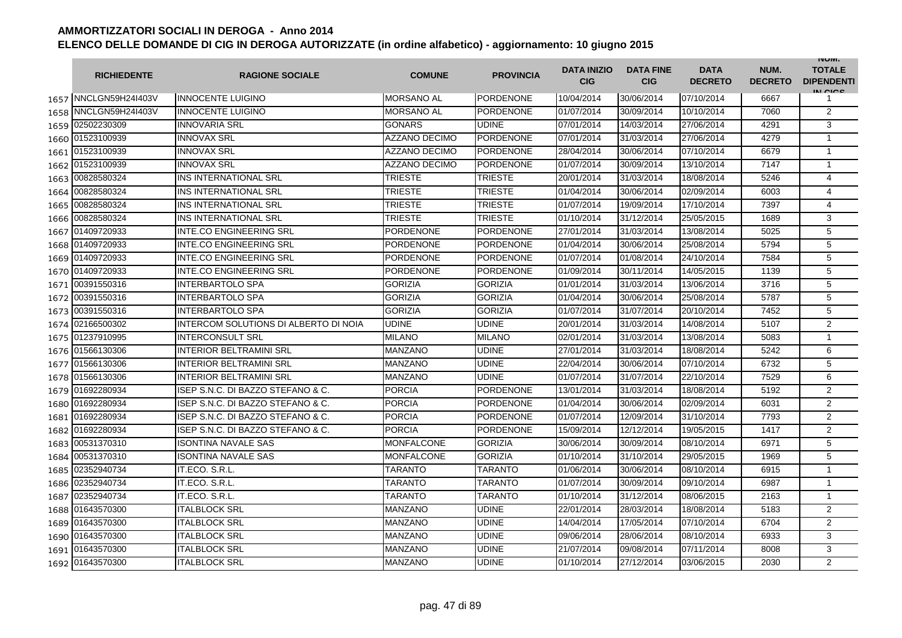|      | <b>RICHIEDENTE</b>    | <b>RAGIONE SOCIALE</b>                | <b>COMUNE</b>        | <b>PROVINCIA</b> | <b>DATA INIZIO</b><br><b>CIG</b> | <b>DATA FINE</b><br><b>CIG</b> | <b>DATA</b><br><b>DECRETO</b> | NUM.<br><b>DECRETO</b> | <b>INUIVI.</b><br><b>TOTALE</b><br><b>DIPENDENTI</b><br>IN CIGO |
|------|-----------------------|---------------------------------------|----------------------|------------------|----------------------------------|--------------------------------|-------------------------------|------------------------|-----------------------------------------------------------------|
|      | 1657 NNCLGN59H24I403V | <b>INNOCENTE LUIGINO</b>              | <b>MORSANO AL</b>    | <b>PORDENONE</b> | 10/04/2014                       | 30/06/2014                     | 07/10/2014                    | 6667                   | 1                                                               |
| 1658 | NNCLGN59H24I403V      | <b>INNOCENTE LUIGINO</b>              | <b>MORSANO AL</b>    | <b>PORDENONE</b> | 01/07/2014                       | 30/09/2014                     | 10/10/2014                    | 7060                   | $\overline{2}$                                                  |
|      | 1659 02502230309      | <b>INNOVARIA SRL</b>                  | <b>GONARS</b>        | <b>UDINE</b>     | 07/01/2014                       | 14/03/2014                     | 27/06/2014                    | 4291                   | 3                                                               |
|      | 1660 01523100939      | <b>INNOVAX SRL</b>                    | <b>AZZANO DECIMO</b> | <b>PORDENONE</b> | 07/01/2014                       | 31/03/2014                     | 27/06/2014                    | 4279                   | $\mathbf{1}$                                                    |
|      | 1661 01523100939      | <b>INNOVAX SRL</b>                    | <b>AZZANO DECIMO</b> | <b>PORDENONE</b> | 28/04/2014                       | 30/06/2014                     | 07/10/2014                    | 6679                   | $\mathbf{1}$                                                    |
|      | 1662 01523100939      | <b>INNOVAX SRL</b>                    | <b>AZZANO DECIMO</b> | <b>PORDENONE</b> | 01/07/2014                       | 30/09/2014                     | 13/10/2014                    | 7147                   | $\mathbf{1}$                                                    |
|      | 1663 00828580324      | INS INTERNATIONAL SRL                 | <b>TRIESTE</b>       | <b>TRIESTE</b>   | 20/01/2014                       | 31/03/2014                     | 18/08/2014                    | 5246                   | 4                                                               |
|      | 1664 00828580324      | <b>INS INTERNATIONAL SRL</b>          | <b>TRIESTE</b>       | <b>TRIESTE</b>   | 01/04/2014                       | 30/06/2014                     | 02/09/2014                    | 6003                   | 4                                                               |
| 1665 | 00828580324           | INS INTERNATIONAL SRL                 | <b>TRIESTE</b>       | <b>TRIESTE</b>   | 01/07/2014                       | 19/09/2014                     | 17/10/2014                    | 7397                   | 4                                                               |
| 1666 | 00828580324           | INS INTERNATIONAL SRL                 | TRIESTE              | <b>TRIESTE</b>   | 01/10/2014                       | 31/12/2014                     | 25/05/2015                    | 1689                   | 3                                                               |
| 1667 | 01409720933           | <b>INTE.CO ENGINEERING SRL</b>        | PORDENONE            | <b>PORDENONE</b> | 27/01/2014                       | 31/03/2014                     | 13/08/2014                    | 5025                   | 5                                                               |
| 1668 | 01409720933           | <b>INTE.CO ENGINEERING SRL</b>        | PORDENONE            | <b>PORDENONE</b> | 01/04/2014                       | 30/06/2014                     | 25/08/2014                    | 5794                   | 5                                                               |
| 1669 | 01409720933           | <b>INTE.CO ENGINEERING SRL</b>        | <b>PORDENONE</b>     | <b>PORDENONE</b> | 01/07/2014                       | 01/08/2014                     | 24/10/2014                    | 7584                   | 5                                                               |
|      | 1670 01409720933      | <b>INTE.CO ENGINEERING SRL</b>        | PORDENONE            | <b>PORDENONE</b> | 01/09/2014                       | 30/11/2014                     | 14/05/2015                    | 1139                   | 5                                                               |
| 1671 | 00391550316           | <b>INTERBARTOLO SPA</b>               | <b>GORIZIA</b>       | <b>GORIZIA</b>   | 01/01/2014                       | 31/03/2014                     | 13/06/2014                    | 3716                   | 5                                                               |
| 1672 | 00391550316           | <b>INTERBARTOLO SPA</b>               | <b>GORIZIA</b>       | <b>GORIZIA</b>   | 01/04/2014                       | 30/06/2014                     | 25/08/2014                    | 5787                   | 5                                                               |
|      | 1673 00391550316      | <b>INTERBARTOLO SPA</b>               | <b>GORIZIA</b>       | <b>GORIZIA</b>   | 01/07/2014                       | 31/07/2014                     | 20/10/2014                    | 7452                   | $\overline{5}$                                                  |
|      | 1674 02166500302      | INTERCOM SOLUTIONS DI ALBERTO DI NOIA | UDINE                | <b>UDINE</b>     | 20/01/2014                       | 31/03/2014                     | 14/08/2014                    | 5107                   | $\overline{2}$                                                  |
|      | 1675 01237910995      | <b>INTERCONSULT SRL</b>               | <b>MILANO</b>        | <b>MILANO</b>    | 02/01/2014                       | 31/03/2014                     | 13/08/2014                    | 5083                   | $\mathbf{1}$                                                    |
|      | 1676 01566130306      | <b>INTERIOR BELTRAMINI SRL</b>        | <b>MANZANO</b>       | <b>UDINE</b>     | 27/01/2014                       | 31/03/2014                     | 18/08/2014                    | 5242                   | 6                                                               |
|      | 1677 01566130306      | <b>INTERIOR BELTRAMINI SRL</b>        | <b>MANZANO</b>       | <b>UDINE</b>     | 22/04/2014                       | 30/06/2014                     | 07/10/2014                    | 6732                   | 5                                                               |
| 1678 | 01566130306           | <b>INTERIOR BELTRAMINI SRL</b>        | MANZANO              | <b>UDINE</b>     | 01/07/2014                       | 31/07/2014                     | 22/10/2014                    | 7529                   | 6                                                               |
|      | 1679 01692280934      | ISEP S.N.C. DI BAZZO STEFANO & C.     | <b>PORCIA</b>        | <b>PORDENONE</b> | 13/01/2014                       | 31/03/2014                     | 18/08/2014                    | 5192                   | $\overline{2}$                                                  |
|      | 1680 01692280934      | ISEP S.N.C. DI BAZZO STEFANO & C.     | <b>PORCIA</b>        | <b>PORDENONE</b> | 01/04/2014                       | 30/06/2014                     | 02/09/2014                    | 6031                   | $\overline{2}$                                                  |
| 1681 | 01692280934           | ISEP S.N.C. DI BAZZO STEFANO & C.     | <b>PORCIA</b>        | <b>PORDENONE</b> | 01/07/2014                       | 12/09/2014                     | 31/10/2014                    | 7793                   | $\overline{2}$                                                  |
| 1682 | 01692280934           | ISEP S.N.C. DI BAZZO STEFANO & C.     | <b>PORCIA</b>        | <b>PORDENONE</b> | 15/09/2014                       | 12/12/2014                     | 19/05/2015                    | 1417                   | $\overline{2}$                                                  |
| 1683 | 00531370310           | <b>ISONTINA NAVALE SAS</b>            | MONFALCONE           | <b>GORIZIA</b>   | 30/06/2014                       | 30/09/2014                     | 08/10/2014                    | 6971                   | 5                                                               |
|      | 1684 00531370310      | <b>ISONTINA NAVALE SAS</b>            | MONFALCONE           | <b>GORIZIA</b>   | 01/10/2014                       | 31/10/2014                     | 29/05/2015                    | 1969                   | 5                                                               |
| 1685 | 02352940734           | IT.ECO. S.R.L.                        | TARANTO              | <b>TARANTO</b>   | 01/06/2014                       | 30/06/2014                     | 08/10/2014                    | 6915                   | $\mathbf{1}$                                                    |
|      | 1686 02352940734      | IT.ECO. S.R.L.                        | TARANTO              | <b>TARANTO</b>   | 01/07/2014                       | 30/09/2014                     | 09/10/2014                    | 6987                   | $\mathbf{1}$                                                    |
|      | 1687 02352940734      | IT.ECO. S.R.L.                        | TARANTO              | TARANTO          | 01/10/2014                       | 31/12/2014                     | 08/06/2015                    | 2163                   | $\mathbf{1}$                                                    |
|      | 1688 01643570300      | <b>ITALBLOCK SRL</b>                  | <b>MANZANO</b>       | <b>UDINE</b>     | 22/01/2014                       | 28/03/2014                     | 18/08/2014                    | 5183                   | 2                                                               |
|      | 1689 01643570300      | <b>ITALBLOCK SRL</b>                  | <b>MANZANO</b>       | <b>UDINE</b>     | 14/04/2014                       | 17/05/2014                     | 07/10/2014                    | 6704                   | $\overline{2}$                                                  |
|      | 1690 01643570300      | <b>ITALBLOCK SRL</b>                  | <b>MANZANO</b>       | <b>UDINE</b>     | 09/06/2014                       | 28/06/2014                     | 08/10/2014                    | 6933                   | 3                                                               |
|      | 1691 01643570300      | <b>ITALBLOCK SRL</b>                  | MANZANO              | <b>UDINE</b>     | 21/07/2014                       | 09/08/2014                     | 07/11/2014                    | 8008                   | 3                                                               |
|      | 1692 01643570300      | <b>ITALBLOCK SRL</b>                  | <b>MANZANO</b>       | <b>UDINE</b>     | 01/10/2014                       | 27/12/2014                     | 03/06/2015                    | 2030                   | $\overline{2}$                                                  |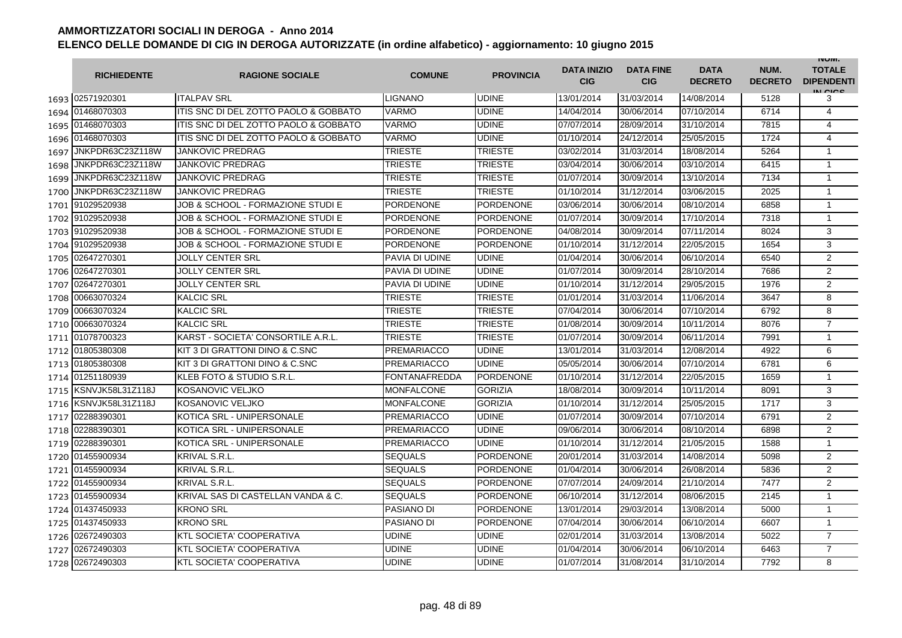|      | <b>RICHIEDENTE</b>    | <b>RAGIONE SOCIALE</b>                    | <b>COMUNE</b>        | <b>PROVINCIA</b> | <b>DATA INIZIO</b><br><b>CIG</b> | <b>DATA FINE</b><br><b>CIG</b> | <b>DATA</b><br><b>DECRETO</b> | NUM.<br><b>DECRETO</b> | <b>INUIVI.</b><br><b>TOTALE</b><br><b>DIPENDENTI</b><br>IN CIGO |
|------|-----------------------|-------------------------------------------|----------------------|------------------|----------------------------------|--------------------------------|-------------------------------|------------------------|-----------------------------------------------------------------|
|      | 1693 02571920301      | <b>ITALPAV SRL</b>                        | LIGNANO              | <b>UDINE</b>     | 13/01/2014                       | 31/03/2014                     | 14/08/2014                    | 5128                   | 3                                                               |
|      | 1694 01468070303      | ITIS SNC DI DEL ZOTTO PAOLO & GOBBATO     | VARMO                | <b>UDINE</b>     | 14/04/2014                       | 30/06/2014                     | 07/10/2014                    | 6714                   | 4                                                               |
|      | 1695 01468070303      | ITIS SNC DI DEL ZOTTO PAOLO & GOBBATO     | VARMO                | <b>UDINE</b>     | 07/07/2014                       | 28/09/2014                     | 31/10/2014                    | 7815                   | 4                                                               |
|      | 1696 01468070303      | ITIS SNC DI DEL ZOTTO PAOLO & GOBBATO     | VARMO                | <b>UDINE</b>     | 01/10/2014                       | 24/12/2014                     | 25/05/2015                    | 1724                   | $\overline{4}$                                                  |
| 1697 | JNKPDR63C23Z118W      | <b>JANKOVIC PREDRAG</b>                   | <b>TRIESTE</b>       | <b>TRIESTE</b>   | 03/02/2014                       | 31/03/2014                     | 18/08/2014                    | 5264                   | $\mathbf{1}$                                                    |
|      | 1698 JNKPDR63C23Z118W | <b>JANKOVIC PREDRAG</b>                   | <b>TRIESTE</b>       | <b>TRIESTE</b>   | 03/04/2014                       | 30/06/2014                     | 03/10/2014                    | 6415                   | $\mathbf{1}$                                                    |
| 1699 | JNKPDR63C23Z118W      | <b>JANKOVIC PREDRAG</b>                   | <b>TRIESTE</b>       | <b>TRIESTE</b>   | 01/07/2014                       | 30/09/2014                     | 13/10/2014                    | 7134                   | $\mathbf{1}$                                                    |
| 1700 | JNKPDR63C23Z118W      | <b>JANKOVIC PREDRAG</b>                   | <b>TRIESTE</b>       | <b>TRIESTE</b>   | 01/10/2014                       | 31/12/2014                     | 03/06/2015                    | 2025                   | $\mathbf{1}$                                                    |
|      | 1701 91029520938      | JOB & SCHOOL - FORMAZIONE STUDI E         | <b>PORDENONE</b>     | <b>PORDENONE</b> | 03/06/2014                       | 30/06/2014                     | 08/10/2014                    | 6858                   | $\mathbf{1}$                                                    |
|      | 1702 91029520938      | JOB & SCHOOL - FORMAZIONE STUDI E         | PORDENONE            | <b>PORDENONE</b> | 01/07/2014                       | 30/09/2014                     | 17/10/2014                    | 7318                   | $\mathbf{1}$                                                    |
|      | 1703 91029520938      | JOB & SCHOOL - FORMAZIONE STUDI E         | <b>PORDENONE</b>     | <b>PORDENONE</b> | 04/08/2014                       | 30/09/2014                     | 07/11/2014                    | 8024                   | 3                                                               |
|      | 1704 91029520938      | JOB & SCHOOL - FORMAZIONE STUDI E         | PORDENONE            | <b>PORDENONE</b> | 01/10/2014                       | 31/12/2014                     | 22/05/2015                    | 1654                   | 3                                                               |
| 1705 | 02647270301           | <b>JOLLY CENTER SRL</b>                   | PAVIA DI UDINE       | <b>UDINE</b>     | 01/04/2014                       | 30/06/2014                     | 06/10/2014                    | 6540                   | $\overline{2}$                                                  |
| 1706 | 02647270301           | <b>JOLLY CENTER SRL</b>                   | PAVIA DI UDINE       | <b>UDINE</b>     | 01/07/2014                       | 30/09/2014                     | 28/10/2014                    | 7686                   | $\overline{2}$                                                  |
| 1707 | 02647270301           | <b>JOLLY CENTER SRL</b>                   | PAVIA DI UDINE       | <b>UDINE</b>     | 01/10/2014                       | 31/12/2014                     | 29/05/2015                    | 1976                   | $\overline{2}$                                                  |
| 1708 | 00663070324           | <b>KALCIC SRL</b>                         | TRIESTE              | <b>TRIESTE</b>   | 01/01/2014                       | 31/03/2014                     | 11/06/2014                    | 3647                   | 8                                                               |
|      | 1709 00663070324      | <b>KALCIC SRL</b>                         | <b>TRIESTE</b>       | <b>TRIESTE</b>   | 07/04/2014                       | 30/06/2014                     | 07/10/2014                    | 6792                   | 8                                                               |
|      | 1710 00663070324      | <b>KALCIC SRL</b>                         | <b>TRIESTE</b>       | <b>TRIESTE</b>   | 01/08/2014                       | 30/09/2014                     | 10/11/2014                    | 8076                   | $\overline{7}$                                                  |
|      | 1711 01078700323      | KARST - SOCIETA' CONSORTILE A.R.L.        | <b>TRIESTE</b>       | <b>TRIESTE</b>   | 01/07/2014                       | 30/09/2014                     | 06/11/2014                    | 7991                   | $\mathbf{1}$                                                    |
|      | 1712 01805380308      | <b>KIT 3 DI GRATTONI DINO &amp; C.SNC</b> | <b>PREMARIACCO</b>   | <b>UDINE</b>     | 13/01/2014                       | 31/03/2014                     | 12/08/2014                    | 4922                   | 6                                                               |
|      | 1713 01805380308      | <b>KIT 3 DI GRATTONI DINO &amp; C.SNC</b> | PREMARIACCO          | <b>UDINE</b>     | 05/05/2014                       | 30/06/2014                     | 07/10/2014                    | 6781                   | 6                                                               |
|      | 1714 01251180939      | KLEB FOTO & STUDIO S.R.L.                 | <b>FONTANAFREDDA</b> | <b>PORDENONE</b> | 01/10/2014                       | 31/12/2014                     | 22/05/2015                    | 1659                   | $\mathbf{1}$                                                    |
|      | 1715 KSNVJK58L31Z118J | KOSANOVIC VELJKO                          | <b>MONFALCONE</b>    | <b>GORIZIA</b>   | 18/08/2014                       | 30/09/2014                     | 10/11/2014                    | 8091                   | 3                                                               |
|      | 1716 KSNVJK58L31Z118J | <b>KOSANOVIC VELJKO</b>                   | <b>MONFALCONE</b>    | <b>GORIZIA</b>   | 01/10/2014                       | 31/12/2014                     | 25/05/2015                    | 1717                   | 3                                                               |
| 1717 | 02288390301           | KOTICA SRL - UNIPERSONALE                 | <b>PREMARIACCO</b>   | <b>UDINE</b>     | 01/07/2014                       | 30/09/2014                     | 07/10/2014                    | 6791                   | $\overline{2}$                                                  |
| 1718 | 02288390301           | KOTICA SRL - UNIPERSONALE                 | <b>PREMARIACCO</b>   | <b>UDINE</b>     | 09/06/2014                       | 30/06/2014                     | 08/10/2014                    | 6898                   | $\overline{2}$                                                  |
| 1719 | 02288390301           | KOTICA SRL - UNIPERSONALE                 | PREMARIACCO          | <b>UDINE</b>     | 01/10/2014                       | 31/12/2014                     | 21/05/2015                    | 1588                   | $\mathbf{1}$                                                    |
|      | 1720 01455900934      | <b>KRIVAL S.R.L.</b>                      | <b>SEQUALS</b>       | <b>PORDENONE</b> | 20/01/2014                       | 31/03/2014                     | 14/08/2014                    | 5098                   | 2                                                               |
|      | 1721 01455900934      | <b>KRIVAL S.R.L.</b>                      | <b>SEQUALS</b>       | <b>PORDENONE</b> | 01/04/2014                       | 30/06/2014                     | 26/08/2014                    | 5836                   | 2                                                               |
|      | 1722 01455900934      | KRIVAL S.R.L.                             | SEQUALS              | <b>PORDENONE</b> | 07/07/2014                       | 24/09/2014                     | 21/10/2014                    | 7477                   | $\overline{2}$                                                  |
|      | 1723 01455900934      | KRIVAL SAS DI CASTELLAN VANDA & C.        | <b>SEQUALS</b>       | <b>PORDENONE</b> | 06/10/2014                       | 31/12/2014                     | 08/06/2015                    | 2145                   | 1                                                               |
|      | 1724 01437450933      | <b>KRONO SRL</b>                          | PASIANO DI           | <b>PORDENONE</b> | 13/01/2014                       | 29/03/2014                     | 13/08/2014                    | 5000                   | $\mathbf{1}$                                                    |
|      | 1725 01437450933      | <b>KRONO SRL</b>                          | PASIANO DI           | <b>PORDENONE</b> | 07/04/2014                       | 30/06/2014                     | 06/10/2014                    | 6607                   | $\mathbf{1}$                                                    |
|      | 1726 02672490303      | <b>KTL SOCIETA' COOPERATIVA</b>           | UDINE                | <b>UDINE</b>     | 02/01/2014                       | 31/03/2014                     | 13/08/2014                    | 5022                   | $\overline{7}$                                                  |
| 1727 | 02672490303           | <b>KTL SOCIETA' COOPERATIVA</b>           | UDINE                | <b>UDINE</b>     | 01/04/2014                       | 30/06/2014                     | 06/10/2014                    | 6463                   | $\overline{7}$                                                  |
| 1728 | 02672490303           | <b>KTL SOCIETA' COOPERATIVA</b>           | UDINE                | <b>UDINE</b>     | 01/07/2014                       | 31/08/2014                     | 31/10/2014                    | 7792                   | 8                                                               |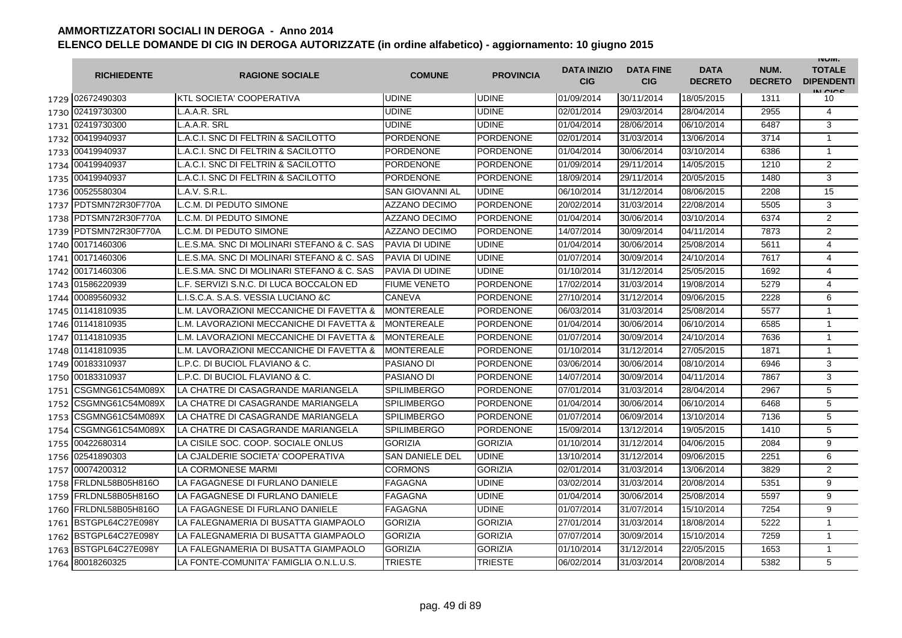|      | <b>RICHIEDENTE</b>    | <b>RAGIONE SOCIALE</b>                     | <b>COMUNE</b>          | <b>PROVINCIA</b> | <b>DATA INIZIO</b><br><b>CIG</b> | <b>DATA FINE</b><br><b>CIG</b> | <b>DATA</b><br><b>DECRETO</b> | NUM.<br><b>DECRETO</b> | <b>INUIVI.</b><br><b>TOTALE</b><br><b>DIPENDENTI</b><br>IN CICE |
|------|-----------------------|--------------------------------------------|------------------------|------------------|----------------------------------|--------------------------------|-------------------------------|------------------------|-----------------------------------------------------------------|
|      | 1729 02672490303      | <b>KTL SOCIETA' COOPERATIVA</b>            | UDINE                  | <b>UDINE</b>     | 01/09/2014                       | 30/11/2014                     | 18/05/2015                    | 1311                   | 10                                                              |
|      | 1730 02419730300      | L.A.A.R. SRL                               | UDINE                  | <b>UDINE</b>     | 02/01/2014                       | 29/03/2014                     | 28/04/2014                    | 2955                   | 4                                                               |
|      | 1731 02419730300      | L.A.A.R. SRL                               | <b>UDINE</b>           | <b>UDINE</b>     | 01/04/2014                       | 28/06/2014                     | 06/10/2014                    | 6487                   | 3                                                               |
|      | 1732 00419940937      | L.A.C.I. SNC DI FELTRIN & SACILOTTO        | PORDENONE              | <b>PORDENONE</b> | 02/01/2014                       | 31/03/2014                     | 13/06/2014                    | 3714                   | 1                                                               |
|      | 1733 00419940937      | L.A.C.I. SNC DI FELTRIN & SACILOTTO        | PORDENONE              | <b>PORDENONE</b> | 01/04/2014                       | 30/06/2014                     | 03/10/2014                    | 6386                   | $\mathbf{1}$                                                    |
|      | 1734 00419940937      | L.A.C.I. SNC DI FELTRIN & SACILOTTO        | <b>PORDENONE</b>       | <b>PORDENONE</b> | 01/09/2014                       | 29/11/2014                     | 14/05/2015                    | 1210                   | $\overline{2}$                                                  |
|      | 1735 00419940937      | L.A.C.I. SNC DI FELTRIN & SACILOTTO        | PORDENONE              | <b>PORDENONE</b> | 18/09/2014                       | 29/11/2014                     | 20/05/2015                    | 1480                   | 3                                                               |
| 1736 | 00525580304           | L.A.V. S.R.L.                              | <b>SAN GIOVANNI AL</b> | <b>UDINE</b>     | 06/10/2014                       | 31/12/2014                     | 08/06/2015                    | 2208                   | 15                                                              |
| 1737 | PDTSMN72R30F770A      | L.C.M. DI PEDUTO SIMONE                    | <b>AZZANO DECIMO</b>   | <b>PORDENONE</b> | 20/02/2014                       | 31/03/2014                     | 22/08/2014                    | 5505                   | 3                                                               |
| 1738 | PDTSMN72R30F770A      | L.C.M. DI PEDUTO SIMONE                    | <b>AZZANO DECIMO</b>   | <b>PORDENONE</b> | 01/04/2014                       | 30/06/2014                     | 03/10/2014                    | 6374                   | $\overline{2}$                                                  |
| 1739 | PDTSMN72R30F770A      | L.C.M. DI PEDUTO SIMONE                    | <b>AZZANO DECIMO</b>   | <b>PORDENONE</b> | 14/07/2014                       | 30/09/2014                     | 04/11/2014                    | 7873                   | 2                                                               |
| 1740 | 00171460306           | L.E.S.MA. SNC DI MOLINARI STEFANO & C. SAS | PAVIA DI UDINE         | <b>UDINE</b>     | 01/04/2014                       | 30/06/2014                     | 25/08/2014                    | 5611                   | 4                                                               |
| 1741 | 00171460306           | L.E.S.MA. SNC DI MOLINARI STEFANO & C. SAS | PAVIA DI UDINE         | <b>UDINE</b>     | 01/07/2014                       | 30/09/2014                     | 24/10/2014                    | 7617                   | 4                                                               |
| 1742 | 00171460306           | LE.S.MA. SNC DI MOLINARI STEFANO & C. SAS  | PAVIA DI UDINE         | <b>UDINE</b>     | 01/10/2014                       | 31/12/2014                     | 25/05/2015                    | 1692                   | 4                                                               |
| 1743 | 01586220939           | L.F. SERVIZI S.N.C. DI LUCA BOCCALON ED    | <b>FIUME VENETO</b>    | <b>PORDENONE</b> | 17/02/2014                       | 31/03/2014                     | 19/08/2014                    | 5279                   | 4                                                               |
| 1744 | 00089560932           | L.I.S.C.A. S.A.S. VESSIA LUCIANO &C        | CANEVA                 | <b>PORDENONE</b> | 27/10/2014                       | 31/12/2014                     | 09/06/2015                    | 2228                   | 6                                                               |
|      | 1745 01141810935      | L.M. LAVORAZIONI MECCANICHE DI FAVETTA &   | <b>MONTEREALE</b>      | <b>PORDENONE</b> | 06/03/2014                       | 31/03/2014                     | 25/08/2014                    | 5577                   | $\mathbf{1}$                                                    |
|      | 1746 01141810935      | L.M. LAVORAZIONI MECCANICHE DI FAVETTA &   | <b>MONTEREALE</b>      | <b>PORDENONE</b> | 01/04/2014                       | 30/06/2014                     | 06/10/2014                    | 6585                   | 1                                                               |
|      | 1747 01141810935      | L.M. LAVORAZIONI MECCANICHE DI FAVETTA &   | <b>MONTEREALE</b>      | <b>PORDENONE</b> | 01/07/2014                       | 30/09/2014                     | 24/10/2014                    | 7636                   | $\mathbf{1}$                                                    |
|      | 1748 01141810935      | L.M. LAVORAZIONI MECCANICHE DI FAVETTA &   | <b>MONTEREALE</b>      | <b>PORDENONE</b> | 01/10/2014                       | 31/12/2014                     | 27/05/2015                    | 1871                   | $\mathbf{1}$                                                    |
| 1749 | 00183310937           | L.P.C. DI BUCIOL FLAVIANO & C.             | <b>PASIANO DI</b>      | <b>PORDENONE</b> | 03/06/2014                       | 30/06/2014                     | 08/10/2014                    | 6946                   | 3                                                               |
| 1750 | 00183310937           | L.P.C. DI BUCIOL FLAVIANO & C.             | PASIANO DI             | <b>PORDENONE</b> | 14/07/2014                       | 30/09/2014                     | 04/11/2014                    | 7867                   | 3                                                               |
| 1751 | CSGMNG61C54M089X      | LA CHATRE DI CASAGRANDE MARIANGELA         | <b>SPILIMBERGO</b>     | <b>PORDENONE</b> | 07/01/2014                       | 31/03/2014                     | 28/04/2014                    | 2967                   | 5                                                               |
| 1752 | CSGMNG61C54M089X      | LA CHATRE DI CASAGRANDE MARIANGELA         | SPILIMBERGO            | <b>PORDENONE</b> | 01/04/2014                       | 30/06/2014                     | 06/10/2014                    | 6468                   | 5                                                               |
| 1753 | CSGMNG61C54M089X      | LA CHATRE DI CASAGRANDE MARIANGELA         | <b>SPILIMBERGO</b>     | <b>PORDENONE</b> | 01/07/2014                       | 06/09/2014                     | 13/10/2014                    | 7136                   | 5                                                               |
| 1754 | CSGMNG61C54M089X      | LA CHATRE DI CASAGRANDE MARIANGELA         | <b>SPILIMBERGO</b>     | <b>PORDENONE</b> | 15/09/2014                       | 13/12/2014                     | 19/05/2015                    | 1410                   | 5                                                               |
| 1755 | 00422680314           | LA CISILE SOC. COOP. SOCIALE ONLUS         | <b>GORIZIA</b>         | <b>GORIZIA</b>   | 01/10/2014                       | 31/12/2014                     | 04/06/2015                    | 2084                   | 9                                                               |
| 1756 | 02541890303           | LA CJALDERIE SOCIETA' COOPERATIVA          | <b>SAN DANIELE DEL</b> | <b>UDINE</b>     | 13/10/2014                       | 31/12/2014                     | 09/06/2015                    | 2251                   | 6                                                               |
|      | 1757 00074200312      | <b>LA CORMONESE MARMI</b>                  | <b>CORMONS</b>         | <b>GORIZIA</b>   | 02/01/2014                       | 31/03/2014                     | 13/06/2014                    | 3829                   | 2                                                               |
|      | 1758 FRLDNL58B05H816O | LA FAGAGNESE DI FURLANO DANIELE            | FAGAGNA                | <b>UDINE</b>     | 03/02/2014                       | 31/03/2014                     | 20/08/2014                    | 5351                   | 9                                                               |
|      | 1759 FRLDNL58B05H816O | LA FAGAGNESE DI FURLANO DANIELE            | <b>FAGAGNA</b>         | <b>UDINE</b>     | 01/04/2014                       | 30/06/2014                     | 25/08/2014                    | 5597                   | 9                                                               |
|      | 1760 FRLDNL58B05H816O | LA FAGAGNESE DI FURLANO DANIELE            | <b>FAGAGNA</b>         | <b>UDINE</b>     | 01/07/2014                       | 31/07/2014                     | 15/10/2014                    | 7254                   | 9                                                               |
|      | 1761 BSTGPL64C27E098Y | LA FALEGNAMERIA DI BUSATTA GIAMPAOLO       | <b>GORIZIA</b>         | <b>GORIZIA</b>   | 27/01/2014                       | 31/03/2014                     | 18/08/2014                    | 5222                   | $\mathbf{1}$                                                    |
|      | 1762 BSTGPL64C27E098Y | LA FALEGNAMERIA DI BUSATTA GIAMPAOLO       | <b>GORIZIA</b>         | <b>GORIZIA</b>   | 07/07/2014                       | 30/09/2014                     | 15/10/2014                    | 7259                   | $\mathbf{1}$                                                    |
| 1763 | BSTGPL64C27E098Y      | LA FALEGNAMERIA DI BUSATTA GIAMPAOLO       | <b>GORIZIA</b>         | <b>GORIZIA</b>   | 01/10/2014                       | 31/12/2014                     | 22/05/2015                    | 1653                   | $\mathbf{1}$                                                    |
|      | 1764 80018260325      | LA FONTE-COMUNITA' FAMIGLIA O.N.L.U.S.     | TRIESTE                | <b>TRIESTE</b>   | 06/02/2014                       | 31/03/2014                     | 20/08/2014                    | 5382                   | 5                                                               |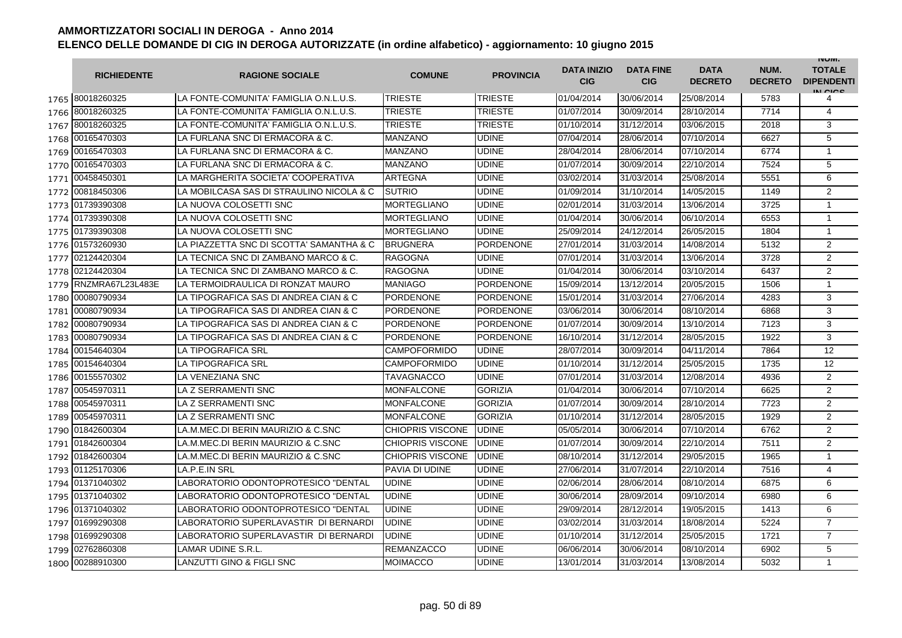|      | <b>RICHIEDENTE</b> | <b>RAGIONE SOCIALE</b>                   | <b>COMUNE</b>           | <b>PROVINCIA</b> | <b>DATA INIZIO</b><br><b>CIG</b> | <b>DATA FINE</b><br><b>CIG</b> | <b>DATA</b><br><b>DECRETO</b> | NUM.<br><b>DECRETO</b> | <b>INUIVI.</b><br><b>TOTALE</b><br><b>DIPENDENTI</b><br>IN CICE |
|------|--------------------|------------------------------------------|-------------------------|------------------|----------------------------------|--------------------------------|-------------------------------|------------------------|-----------------------------------------------------------------|
|      | 1765 80018260325   | LA FONTE-COMUNITA' FAMIGLIA O.N.L.U.S.   | <b>TRIESTE</b>          | <b>TRIESTE</b>   | 01/04/2014                       | 30/06/2014                     | 25/08/2014                    | 5783                   | 4                                                               |
|      | 1766 80018260325   | LA FONTE-COMUNITA' FAMIGLIA O.N.L.U.S.   | <b>TRIESTE</b>          | <b>TRIESTE</b>   | 01/07/2014                       | 30/09/2014                     | 28/10/2014                    | 7714                   | 4                                                               |
|      | 1767 80018260325   | LA FONTE-COMUNITA' FAMIGLIA O.N.L.U.S.   | <b>TRIESTE</b>          | <b>TRIESTE</b>   | 01/10/2014                       | 31/12/2014                     | 03/06/2015                    | 2018                   | 3                                                               |
| 1768 | 00165470303        | LA FURLANA SNC DI ERMACORA & C.          | <b>MANZANO</b>          | <b>UDINE</b>     | 07/04/2014                       | 28/06/2014                     | 07/10/2014                    | 6627                   | 5                                                               |
|      | 1769 00165470303   | LA FURLANA SNC DI ERMACORA & C.          | <b>MANZANO</b>          | <b>UDINE</b>     | 28/04/2014                       | 28/06/2014                     | 07/10/2014                    | 6774                   | $\mathbf{1}$                                                    |
|      | 1770 00165470303   | LA FURLANA SNC DI ERMACORA & C.          | <b>MANZANO</b>          | <b>UDINE</b>     | 01/07/2014                       | 30/09/2014                     | 22/10/2014                    | 7524                   | 5                                                               |
|      | 1771 00458450301   | LA MARGHERITA SOCIETA' COOPERATIVA       | <b>ARTEGNA</b>          | <b>UDINE</b>     | 03/02/2014                       | 31/03/2014                     | 25/08/2014                    | 5551                   | 6                                                               |
|      | 1772 00818450306   | LA MOBILCASA SAS DI STRAULINO NICOLA & C | <b>SUTRIO</b>           | <b>UDINE</b>     | 01/09/2014                       | 31/10/2014                     | 14/05/2015                    | 1149                   | $\overline{2}$                                                  |
|      | 1773 01739390308   | LA NUOVA COLOSETTI SNC                   | <b>MORTEGLIANO</b>      | <b>UDINE</b>     | 02/01/2014                       | 31/03/2014                     | 13/06/2014                    | 3725                   | $\mathbf{1}$                                                    |
|      | 1774 01739390308   | LA NUOVA COLOSETTI SNC                   | <b>MORTEGLIANO</b>      | <b>UDINE</b>     | 01/04/2014                       | 30/06/2014                     | 06/10/2014                    | 6553                   | $\mathbf{1}$                                                    |
| 1775 | 01739390308        | LA NUOVA COLOSETTI SNC                   | MORTEGLIANO             | <b>UDINE</b>     | 25/09/2014                       | 24/12/2014                     | 26/05/2015                    | 1804                   | $\mathbf{1}$                                                    |
| 1776 | 01573260930        | LA PIAZZETTA SNC DI SCOTTA' SAMANTHA & C | <b>BRUGNERA</b>         | <b>PORDENONE</b> | 27/01/2014                       | 31/03/2014                     | 14/08/2014                    | 5132                   | $\overline{2}$                                                  |
|      | 1777 02124420304   | LA TECNICA SNC DI ZAMBANO MARCO & C.     | RAGOGNA                 | <b>UDINE</b>     | 07/01/2014                       | 31/03/2014                     | 13/06/2014                    | 3728                   | $\overline{2}$                                                  |
| 1778 | 02124420304        | LA TECNICA SNC DI ZAMBANO MARCO & C.     | RAGOGNA                 | <b>UDINE</b>     | 01/04/2014                       | 30/06/2014                     | 03/10/2014                    | 6437                   | $\overline{2}$                                                  |
| 1779 | RNZMRA67L23L483E   | LA TERMOIDRAULICA DI RONZAT MAURO        | MANIAGO                 | <b>PORDENONE</b> | 15/09/2014                       | 13/12/2014                     | 20/05/2015                    | 1506                   | $\mathbf{1}$                                                    |
| 1780 | 00080790934        | LA TIPOGRAFICA SAS DI ANDREA CIAN & C    | <b>PORDENONE</b>        | <b>PORDENONE</b> | 15/01/2014                       | 31/03/2014                     | 27/06/2014                    | 4283                   | 3                                                               |
| 1781 | 00080790934        | LA TIPOGRAFICA SAS DI ANDREA CIAN & C    | PORDENONE               | PORDENONE        | 03/06/2014                       | 30/06/2014                     | 08/10/2014                    | 6868                   | 3                                                               |
| 1782 | 00080790934        | LA TIPOGRAFICA SAS DI ANDREA CIAN & C    | <b>PORDENONE</b>        | <b>PORDENONE</b> | 01/07/2014                       | 30/09/2014                     | 13/10/2014                    | 7123                   | 3                                                               |
|      | 1783 00080790934   | LA TIPOGRAFICA SAS DI ANDREA CIAN & C    | <b>PORDENONE</b>        | <b>PORDENONE</b> | 16/10/2014                       | 31/12/2014                     | 28/05/2015                    | 1922                   | 3                                                               |
| 1784 | 00154640304        | <b>LA TIPOGRAFICA SRL</b>                | <b>CAMPOFORMIDO</b>     | <b>UDINE</b>     | 28/07/2014                       | 30/09/2014                     | 04/11/2014                    | 7864                   | 12                                                              |
| 1785 | 00154640304        | <b>LA TIPOGRAFICA SRL</b>                | <b>CAMPOFORMIDO</b>     | <b>UDINE</b>     | 01/10/2014                       | 31/12/2014                     | 25/05/2015                    | 1735                   | 12                                                              |
| 1786 | 00155570302        | LA VENEZIANA SNC                         | TAVAGNACCO              | <b>UDINE</b>     | 07/01/2014                       | 31/03/2014                     | 12/08/2014                    | 4936                   | $\overline{2}$                                                  |
| 1787 | 00545970311        | LA Z SERRAMENTI SNC                      | <b>MONFALCONE</b>       | <b>GORIZIA</b>   | 01/04/2014                       | 30/06/2014                     | 07/10/2014                    | 6625                   | $\overline{2}$                                                  |
| 1788 | 00545970311        | LA Z SERRAMENTI SNC                      | MONFALCONE              | <b>GORIZIA</b>   | 01/07/2014                       | 30/09/2014                     | 28/10/2014                    | 7723                   | $\overline{c}$                                                  |
| 1789 | 00545970311        | LA Z SERRAMENTI SNC                      | <b>MONFALCONE</b>       | <b>GORIZIA</b>   | 01/10/2014                       | 31/12/2014                     | 28/05/2015                    | 1929                   | 2                                                               |
| 1790 | 01842600304        | LA.M.MEC.DI BERIN MAURIZIO & C.SNC       | <b>CHIOPRIS VISCONE</b> | <b>UDINE</b>     | 05/05/2014                       | 30/06/2014                     | 07/10/2014                    | 6762                   | $\overline{2}$                                                  |
|      | 1791 01842600304   | LA.M.MEC.DI BERIN MAURIZIO & C.SNC       | <b>CHIOPRIS VISCONE</b> | <b>UDINE</b>     | 01/07/2014                       | 30/09/2014                     | 22/10/2014                    | 7511                   | 2                                                               |
|      | 1792 01842600304   | LA.M.MEC.DI BERIN MAURIZIO & C.SNC       | <b>CHIOPRIS VISCONE</b> | <b>UDINE</b>     | 08/10/2014                       | 31/12/2014                     | 29/05/2015                    | 1965                   | $\mathbf{1}$                                                    |
|      | 1793 01125170306   | LA.P.E.IN SRL                            | PAVIA DI UDINE          | <b>UDINE</b>     | 27/06/2014                       | 31/07/2014                     | 22/10/2014                    | 7516                   | $\overline{4}$                                                  |
|      | 1794 01371040302   | LABORATORIO ODONTOPROTESICO "DENTAL      | UDINE                   | <b>UDINE</b>     | 02/06/2014                       | 28/06/2014                     | 08/10/2014                    | 6875                   | 6                                                               |
|      | 1795 01371040302   | LABORATORIO ODONTOPROTESICO "DENTAL      | <b>UDINE</b>            | <b>UDINE</b>     | 30/06/2014                       | 28/09/2014                     | 09/10/2014                    | 6980                   | 6                                                               |
|      | 1796 01371040302   | LABORATORIO ODONTOPROTESICO "DENTAL      | <b>UDINE</b>            | <b>UDINE</b>     | 29/09/2014                       | 28/12/2014                     | 19/05/2015                    | 1413                   | 6                                                               |
|      | 1797 01699290308   | LABORATORIO SUPERLAVASTIR DI BERNARDI    | <b>UDINE</b>            | <b>UDINE</b>     | 03/02/2014                       | 31/03/2014                     | 18/08/2014                    | 5224                   | $\overline{7}$                                                  |
|      | 1798 01699290308   | LABORATORIO SUPERLAVASTIR DI BERNARDI    | <b>UDINE</b>            | <b>UDINE</b>     | 01/10/2014                       | 31/12/2014                     | 25/05/2015                    | 1721                   | $\overline{7}$                                                  |
| 1799 | 02762860308        | LAMAR UDINE S.R.L                        | <b>REMANZACCO</b>       | <b>UDINE</b>     | 06/06/2014                       | 30/06/2014                     | 08/10/2014                    | 6902                   | 5                                                               |
|      | 1800 00288910300   | <b>LANZUTTI GINO &amp; FIGLI SNC</b>     | MOIMACCO                | <b>UDINE</b>     | 13/01/2014                       | 31/03/2014                     | 13/08/2014                    | 5032                   | $\mathbf{1}$                                                    |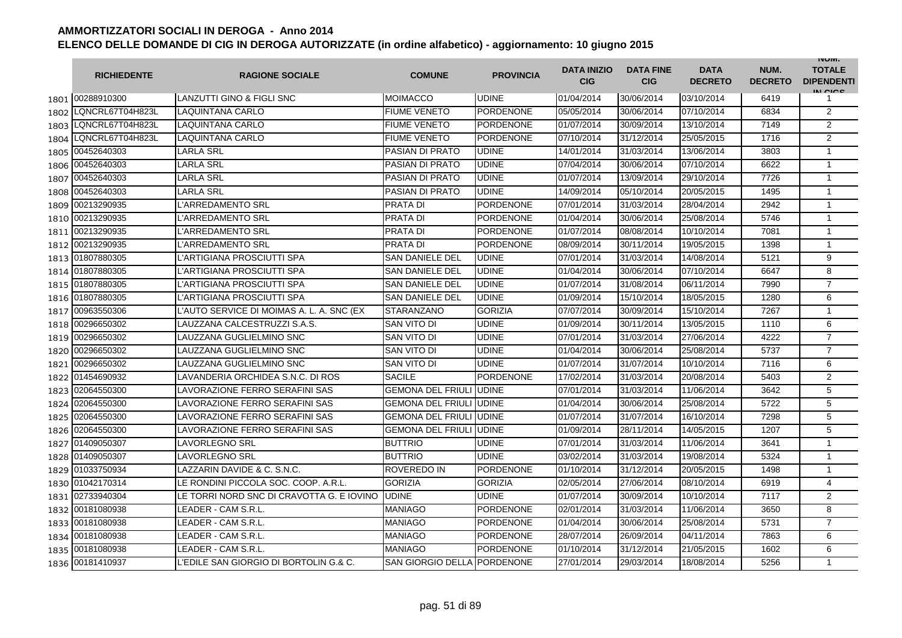|      | <b>RICHIEDENTE</b>    | <b>RAGIONE SOCIALE</b>                    | <b>COMUNE</b>                  | <b>PROVINCIA</b> | <b>DATA INIZIO</b><br><b>CIG</b> | <b>DATA FINE</b><br><b>CIG</b> | <b>DATA</b><br><b>DECRETO</b> | NUM.<br><b>DECRETO</b> | <b>INUIVI.</b><br><b>TOTALE</b><br><b>DIPENDENTI</b><br>IN CICS |
|------|-----------------------|-------------------------------------------|--------------------------------|------------------|----------------------------------|--------------------------------|-------------------------------|------------------------|-----------------------------------------------------------------|
|      | 1801 00288910300      | <b>LANZUTTI GINO &amp; FIGLI SNC</b>      | <b>MOIMACCO</b>                | <b>UDINE</b>     | 01/04/2014                       | 30/06/2014                     | 03/10/2014                    | 6419                   | 1                                                               |
| 1802 | LQNCRL67T04H823L      | <b>LAQUINTANA CARLO</b>                   | <b>FIUME VENETO</b>            | <b>PORDENONE</b> | 05/05/2014                       | 30/06/2014                     | 07/10/2014                    | 6834                   | 2                                                               |
| 1803 | LQNCRL67T04H823L      | LAQUINTANA CARLO                          | <b>FIUME VENETO</b>            | <b>PORDENONE</b> | 01/07/2014                       | 30/09/2014                     | 13/10/2014                    | 7149                   | $\overline{2}$                                                  |
|      | 1804 LQNCRL67T04H823L | <b>LAQUINTANA CARLO</b>                   | <b>FIUME VENETO</b>            | <b>PORDENONE</b> | 07/10/2014                       | 31/12/2014                     | 25/05/2015                    | 1716                   | 2                                                               |
| 1805 | 00452640303           | <b>LARLA SRL</b>                          | PASIAN DI PRATO                | <b>UDINE</b>     | 14/01/2014                       | 31/03/2014                     | 13/06/2014                    | 3803                   | $\mathbf{1}$                                                    |
| 1806 | 00452640303           | <b>LARLA SRL</b>                          | <b>PASIAN DI PRATO</b>         | <b>UDINE</b>     | 07/04/2014                       | 30/06/2014                     | 07/10/2014                    | 6622                   | $\mathbf{1}$                                                    |
| 1807 | 00452640303           | <b>LARLA SRL</b>                          | PASIAN DI PRATO                | <b>UDINE</b>     | 01/07/2014                       | 13/09/2014                     | 29/10/2014                    | 7726                   | $\mathbf{1}$                                                    |
| 1808 | 00452640303           | <b>LARLA SRL</b>                          | <b>PASIAN DI PRATO</b>         | <b>UDINE</b>     | 14/09/2014                       | 05/10/2014                     | 20/05/2015                    | 1495                   | $\mathbf{1}$                                                    |
| 1809 | 00213290935           | L'ARREDAMENTO SRL                         | <b>PRATA DI</b>                | <b>PORDENONE</b> | 07/01/2014                       | 31/03/2014                     | 28/04/2014                    | 2942                   | 1                                                               |
| 1810 | 00213290935           | L'ARREDAMENTO SRL                         | <b>PRATA DI</b>                | <b>PORDENONE</b> | 01/04/2014                       | 30/06/2014                     | 25/08/2014                    | 5746                   | $\mathbf{1}$                                                    |
| 1811 | 00213290935           | L'ARREDAMENTO SRL                         | PRATA DI                       | <b>PORDENONE</b> | 01/07/2014                       | 08/08/2014                     | 10/10/2014                    | 7081                   | $\mathbf{1}$                                                    |
| 1812 | 00213290935           | L'ARREDAMENTO SRL                         | PRATA DI                       | <b>PORDENONE</b> | 08/09/2014                       | 30/11/2014                     | 19/05/2015                    | 1398                   | $\mathbf{1}$                                                    |
|      | 1813 01807880305      | L'ARTIGIANA PROSCIUTTI SPA                | <b>SAN DANIELE DEL</b>         | <b>UDINE</b>     | 07/01/2014                       | 31/03/2014                     | 14/08/2014                    | 5121                   | 9                                                               |
|      | 1814 01807880305      | L'ARTIGIANA PROSCIUTTI SPA                | <b>SAN DANIELE DEL</b>         | <b>UDINE</b>     | 01/04/2014                       | 30/06/2014                     | 07/10/2014                    | 6647                   | 8                                                               |
|      | 1815 01807880305      | L'ARTIGIANA PROSCIUTTI SPA                | <b>SAN DANIELE DEL</b>         | <b>UDINE</b>     | 01/07/2014                       | 31/08/2014                     | 06/11/2014                    | 7990                   | $\overline{7}$                                                  |
|      | 1816 01807880305      | L'ARTIGIANA PROSCIUTTI SPA                | <b>SAN DANIELE DEL</b>         | <b>UDINE</b>     | 01/09/2014                       | 15/10/2014                     | 18/05/2015                    | 1280                   | 6                                                               |
| 1817 | 00963550306           | L'AUTO SERVICE DI MOIMAS A. L. A. SNC (EX | <b>STARANZANO</b>              | <b>GORIZIA</b>   | 07/07/2014                       | 30/09/2014                     | 15/10/2014                    | 7267                   | $\mathbf{1}$                                                    |
| 1818 | 00296650302           | LAUZZANA CALCESTRUZZI S.A.S.              | SAN VITO DI                    | <b>UDINE</b>     | 01/09/2014                       | 30/11/2014                     | 13/05/2015                    | 1110                   | 6                                                               |
|      | 1819 00296650302      | LAUZZANA GUGLIELMINO SNC                  | SAN VITO DI                    | <b>UDINE</b>     | 07/01/2014                       | 31/03/2014                     | 27/06/2014                    | 4222                   | $\overline{7}$                                                  |
| 1820 | 00296650302           | LAUZZANA GUGLIELMINO SNC                  | SAN VITO DI                    | <b>UDINE</b>     | 01/04/2014                       | 30/06/2014                     | 25/08/2014                    | 5737                   | $\overline{7}$                                                  |
| 1821 | 00296650302           | LAUZZANA GUGLIELMINO SNC                  | SAN VITO DI                    | <b>UDINE</b>     | 01/07/2014                       | 31/07/2014                     | 10/10/2014                    | 7116                   | 6                                                               |
|      | 1822 01454690932      | LAVANDERIA ORCHIDEA S.N.C. DI ROS         | <b>SACILE</b>                  | <b>PORDENONE</b> | 17/02/2014                       | 31/03/2014                     | 20/08/2014                    | 5403                   | $\overline{2}$                                                  |
| 1823 | 02064550300           | LAVORAZIONE FERRO SERAFINI SAS            | <b>GEMONA DEL FRIULI UDINE</b> |                  | 07/01/2014                       | 31/03/2014                     | 11/06/2014                    | 3642                   | 5                                                               |
|      | 1824 02064550300      | LAVORAZIONE FERRO SERAFINI SAS            | <b>GEMONA DEL FRIULI UDINE</b> |                  | 01/04/2014                       | 30/06/2014                     | 25/08/2014                    | 5722                   | 5                                                               |
|      | 1825 02064550300      | LAVORAZIONE FERRO SERAFINI SAS            | <b>GEMONA DEL FRIULI UDINE</b> |                  | 01/07/2014                       | 31/07/2014                     | 16/10/2014                    | 7298                   | 5                                                               |
|      | 1826 02064550300      | LAVORAZIONE FERRO SERAFINI SAS            | <b>GEMONA DEL FRIULI UDINE</b> |                  | 01/09/2014                       | 28/11/2014                     | 14/05/2015                    | 1207                   | 5                                                               |
|      | 1827 01409050307      | <b>LAVORLEGNO SRL</b>                     | <b>BUTTRIO</b>                 | <b>UDINE</b>     | 07/01/2014                       | 31/03/2014                     | 11/06/2014                    | 3641                   | $\mathbf{1}$                                                    |
|      | 1828 01409050307      | <b>LAVORLEGNO SRL</b>                     | <b>BUTTRIO</b>                 | <b>UDINE</b>     | 03/02/2014                       | 31/03/2014                     | 19/08/2014                    | 5324                   | $\mathbf{1}$                                                    |
| 1829 | 01033750934           | LAZZARIN DAVIDE & C. S.N.C.               | ROVEREDO IN                    | <b>PORDENONE</b> | 01/10/2014                       | 31/12/2014                     | 20/05/2015                    | 1498                   | $\mathbf{1}$                                                    |
|      | 1830 01042170314      | LE RONDINI PICCOLA SOC. COOP. A.R.L.      | <b>GORIZIA</b>                 | <b>GORIZIA</b>   | 02/05/2014                       | 27/06/2014                     | 08/10/2014                    | 6919                   | $\overline{4}$                                                  |
| 1831 | 02733940304           | LE TORRI NORD SNC DI CRAVOTTA G. E IOVINO | <b>UDINE</b>                   | <b>UDINE</b>     | 01/07/2014                       | 30/09/2014                     | 10/10/2014                    | 7117                   | $\overline{2}$                                                  |
| 1832 | 00181080938           | LEADER - CAM S.R.L                        | MANIAGO                        | <b>PORDENONE</b> | 02/01/2014                       | 31/03/2014                     | 11/06/2014                    | 3650                   | 8                                                               |
| 1833 | 00181080938           | LEADER - CAM S.R.L                        | MANIAGO                        | <b>PORDENONE</b> | 01/04/2014                       | 30/06/2014                     | 25/08/2014                    | 5731                   | $\overline{7}$                                                  |
|      | 1834 00181080938      | LEADER - CAM S.R.L.                       | MANIAGO                        | <b>PORDENONE</b> | 28/07/2014                       | 26/09/2014                     | 04/11/2014                    | 7863                   | 6                                                               |
|      | 1835 00181080938      | LEADER - CAM S.R.L                        | MANIAGO                        | <b>PORDENONE</b> | 01/10/2014                       | 31/12/2014                     | 21/05/2015                    | 1602                   | 6                                                               |
|      | 1836 00181410937      | L'EDILE SAN GIORGIO DI BORTOLIN G.& C.    | SAN GIORGIO DELLA PORDENONE    |                  | 27/01/2014                       | 29/03/2014                     | 18/08/2014                    | 5256                   | $\mathbf{1}$                                                    |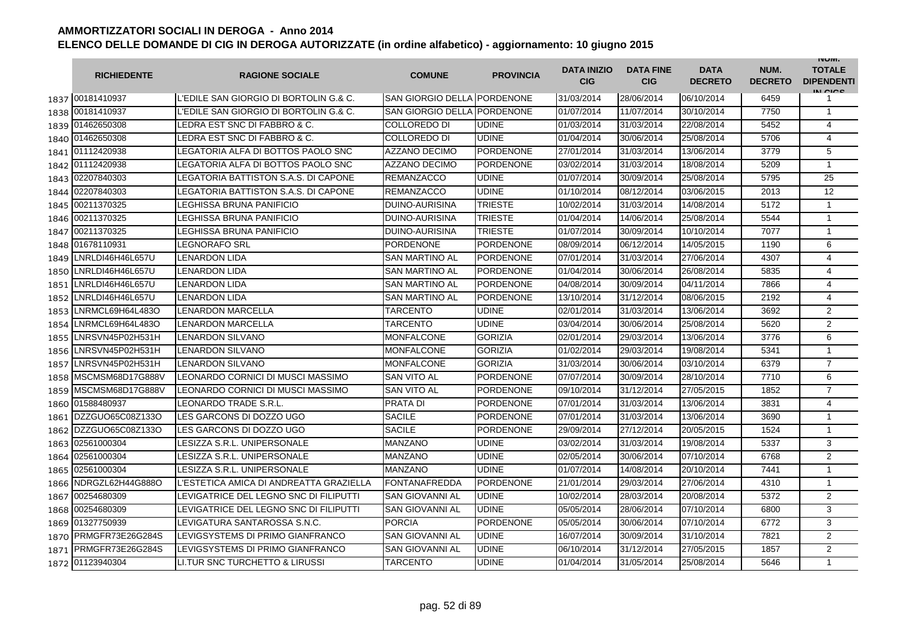|      | <b>RICHIEDENTE</b>    | <b>RAGIONE SOCIALE</b>                  | <b>COMUNE</b>               | <b>PROVINCIA</b> | <b>DATA INIZIO</b><br><b>CIG</b> | <b>DATA FINE</b><br><b>CIG</b> | <b>DATA</b><br><b>DECRETO</b> | NUM.<br><b>DECRETO</b> | <b>INUIVI.</b><br><b>TOTALE</b><br><b>DIPENDENTI</b><br>IN CIGO |
|------|-----------------------|-----------------------------------------|-----------------------------|------------------|----------------------------------|--------------------------------|-------------------------------|------------------------|-----------------------------------------------------------------|
|      | 1837 00181410937      | L'EDILE SAN GIORGIO DI BORTOLIN G.& C.  | SAN GIORGIO DELLA PORDENONE |                  | 31/03/2014                       | 28/06/2014                     | 06/10/2014                    | 6459                   | 1                                                               |
|      | 1838 00181410937      | L'EDILE SAN GIORGIO DI BORTOLIN G.& C.  | SAN GIORGIO DELLA PORDENONE |                  | 01/07/2014                       | 11/07/2014                     | 30/10/2014                    | 7750                   | $\mathbf{1}$                                                    |
|      | 1839 01462650308      | LEDRA EST SNC DI FABBRO & C.            | COLLOREDO DI                | <b>UDINE</b>     | 01/03/2014                       | 31/03/2014                     | 22/08/2014                    | 5452                   | $\overline{4}$                                                  |
|      | 1840 01462650308      | LEDRA EST SNC DI FABBRO & C.            | COLLOREDO DI                | <b>UDINE</b>     | 01/04/2014                       | 30/06/2014                     | 25/08/2014                    | 5706                   | $\overline{4}$                                                  |
|      | 1841 01112420938      | LEGATORIA ALFA DI BOTTOS PAOLO SNC      | <b>AZZANO DECIMO</b>        | <b>PORDENONE</b> | 27/01/2014                       | 31/03/2014                     | 13/06/2014                    | 3779                   | 5                                                               |
|      | 1842 01112420938      | LEGATORIA ALFA DI BOTTOS PAOLO SNC      | <b>AZZANO DECIMO</b>        | <b>PORDENONE</b> | 03/02/2014                       | 31/03/2014                     | 18/08/2014                    | 5209                   | $\mathbf{1}$                                                    |
|      | 1843 02207840303      | LEGATORIA BATTISTON S.A.S. DI CAPONE    | <b>REMANZACCO</b>           | <b>UDINE</b>     | 01/07/2014                       | 30/09/2014                     | 25/08/2014                    | 5795                   | 25                                                              |
| 1844 | 02207840303           | LEGATORIA BATTISTON S.A.S. DI CAPONE    | <b>REMANZACCO</b>           | <b>UDINE</b>     | 01/10/2014                       | 08/12/2014                     | 03/06/2015                    | 2013                   | 12                                                              |
| 1845 | 00211370325           | LEGHISSA BRUNA PANIFICIO                | <b>DUINO-AURISINA</b>       | <b>TRIESTE</b>   | 10/02/2014                       | 31/03/2014                     | 14/08/2014                    | 5172                   | $\mathbf{1}$                                                    |
| 1846 | 00211370325           | LEGHISSA BRUNA PANIFICIO                | DUINO-AURISINA              | <b>TRIESTE</b>   | 01/04/2014                       | 14/06/2014                     | 25/08/2014                    | 5544                   | $\mathbf{1}$                                                    |
| 1847 | 00211370325           | LEGHISSA BRUNA PANIFICIO                | DUINO-AURISINA              | <b>TRIESTE</b>   | 01/07/2014                       | 30/09/2014                     | 10/10/2014                    | 7077                   | 1                                                               |
| 1848 | 01678110931           | LEGNORAFO SRL                           | PORDENONE                   | <b>PORDENONE</b> | 08/09/2014                       | 06/12/2014                     | 14/05/2015                    | 1190                   | 6                                                               |
| 1849 | LNRLDI46H46L657U      | LENARDON LIDA                           | SAN MARTINO AL              | <b>PORDENONE</b> | 07/01/2014                       | 31/03/2014                     | 27/06/2014                    | 4307                   | 4                                                               |
| 1850 | LNRLDI46H46L657U      | LENARDON LIDA                           | <b>SAN MARTINO AL</b>       | <b>PORDENONE</b> | 01/04/2014                       | 30/06/2014                     | 26/08/2014                    | 5835                   | 4                                                               |
| 1851 | LNRLDI46H46L657U      | LENARDON LIDA                           | <b>SAN MARTINO AL</b>       | <b>PORDENONE</b> | 04/08/2014                       | 30/09/2014                     | 04/11/2014                    | 7866                   | 4                                                               |
| 1852 | LNRLDI46H46L657U      | LENARDON LIDA                           | <b>SAN MARTINO AL</b>       | <b>PORDENONE</b> | 13/10/2014                       | 31/12/2014                     | 08/06/2015                    | 2192                   | $\overline{4}$                                                  |
| 1853 | LNRMCL69H64L483O      | LENARDON MARCELLA                       | TARCENTO                    | <b>UDINE</b>     | 02/01/2014                       | 31/03/2014                     | 13/06/2014                    | 3692                   | $\overline{2}$                                                  |
| 1854 | LNRMCL69H64L483O      | LENARDON MARCELLA                       | TARCENTO                    | <b>UDINE</b>     | 03/04/2014                       | 30/06/2014                     | 25/08/2014                    | 5620                   | $\overline{2}$                                                  |
|      | 1855 LNRSVN45P02H531H | <b>LENARDON SILVANO</b>                 | MONFALCONE                  | <b>GORIZIA</b>   | 02/01/2014                       | 29/03/2014                     | 13/06/2014                    | 3776                   | 6                                                               |
| 1856 | LNRSVN45P02H531H      | LENARDON SILVANO                        | MONFALCONE                  | <b>GORIZIA</b>   | 01/02/2014                       | 29/03/2014                     | 19/08/2014                    | 5341                   | $\mathbf{1}$                                                    |
| 1857 | LNRSVN45P02H531H      | <b>LENARDON SILVANO</b>                 | <b>MONFALCONE</b>           | <b>GORIZIA</b>   | 31/03/2014                       | 30/06/2014                     | 03/10/2014                    | 6379                   | $\overline{7}$                                                  |
| 1858 | MSCMSM68D17G888V      | LEONARDO CORNICI DI MUSCI MASSIMO       | <b>SAN VITO AL</b>          | <b>PORDENONE</b> | 07/07/2014                       | 30/09/2014                     | 28/10/2014                    | 7710                   | 6                                                               |
| 1859 | MSCMSM68D17G888V      | LEONARDO CORNICI DI MUSCI MASSIMO       | <b>SAN VITO AL</b>          | <b>PORDENONE</b> | 09/10/2014                       | 31/12/2014                     | 27/05/2015                    | 1852                   | $\overline{7}$                                                  |
|      | 1860 01588480937      | LEONARDO TRADE S.R.L.                   | <b>PRATA DI</b>             | <b>PORDENONE</b> | 07/01/2014                       | 31/03/2014                     | 13/06/2014                    | 3831                   | $\overline{4}$                                                  |
| 1861 | DZZGUO65C08Z133O      | LES GARCONS DI DOZZO UGO                | <b>SACILE</b>               | <b>PORDENONE</b> | 07/01/2014                       | 31/03/2014                     | 13/06/2014                    | 3690                   | $\mathbf{1}$                                                    |
| 1862 | DZZGUO65C08Z133O      | LES GARCONS DI DOZZO UGO                | <b>SACILE</b>               | <b>PORDENONE</b> | 29/09/2014                       | 27/12/2014                     | 20/05/2015                    | 1524                   | $\mathbf{1}$                                                    |
| 1863 | 02561000304           | LESIZZA S.R.L. UNIPERSONALE             | MANZANO                     | <b>UDINE</b>     | 03/02/2014                       | 31/03/2014                     | 19/08/2014                    | 5337                   | 3                                                               |
| 1864 | 02561000304           | LESIZZA S.R.L. UNIPERSONALE             | MANZANO                     | <b>UDINE</b>     | 02/05/2014                       | 30/06/2014                     | 07/10/2014                    | 6768                   | 2                                                               |
| 1865 | 02561000304           | LESIZZA S.R.L. UNIPERSONALE             | <b>MANZANO</b>              | <b>UDINE</b>     | 01/07/2014                       | 14/08/2014                     | 20/10/2014                    | 7441                   | $\mathbf{1}$                                                    |
| 1866 | NDRGZL62H44G888O      | L'ESTETICA AMICA DI ANDREATTA GRAZIELLA | FONTANAFREDDA               | <b>PORDENONE</b> | 21/01/2014                       | 29/03/2014                     | 27/06/2014                    | 4310                   | $\mathbf{1}$                                                    |
|      | 1867 00254680309      | LEVIGATRICE DEL LEGNO SNC DI FILIPUTTI  | SAN GIOVANNI AL             | <b>UDINE</b>     | 10/02/2014                       | 28/03/2014                     | 20/08/2014                    | 5372                   | $\overline{2}$                                                  |
|      | 1868 00254680309      | LEVIGATRICE DEL LEGNO SNC DI FILIPUTTI  | <b>SAN GIOVANNI AL</b>      | <b>UDINE</b>     | 05/05/2014                       | 28/06/2014                     | 07/10/2014                    | 6800                   | 3                                                               |
|      | 1869 01327750939      | LEVIGATURA SANTAROSSA S.N.C.            | <b>PORCIA</b>               | <b>PORDENONE</b> | 05/05/2014                       | 30/06/2014                     | 07/10/2014                    | 6772                   | 3                                                               |
|      | 1870 PRMGFR73E26G284S | LEVIGSYSTEMS DI PRIMO GIANFRANCO        | <b>SAN GIOVANNI AL</b>      | <b>UDINE</b>     | 16/07/2014                       | 30/09/2014                     | 31/10/2014                    | 7821                   | $\overline{2}$                                                  |
| 1871 | PRMGFR73E26G284S      | LEVIGSYSTEMS DI PRIMO GIANFRANCO        | <b>SAN GIOVANNI AL</b>      | <b>UDINE</b>     | 06/10/2014                       | 31/12/2014                     | 27/05/2015                    | 1857                   | $\overline{2}$                                                  |
| 1872 | 01123940304           | LI. TUR SNC TURCHETTO & LIRUSSI         | TARCENTO                    | <b>UDINE</b>     | 01/04/2014                       | 31/05/2014                     | 25/08/2014                    | 5646                   | $\mathbf{1}$                                                    |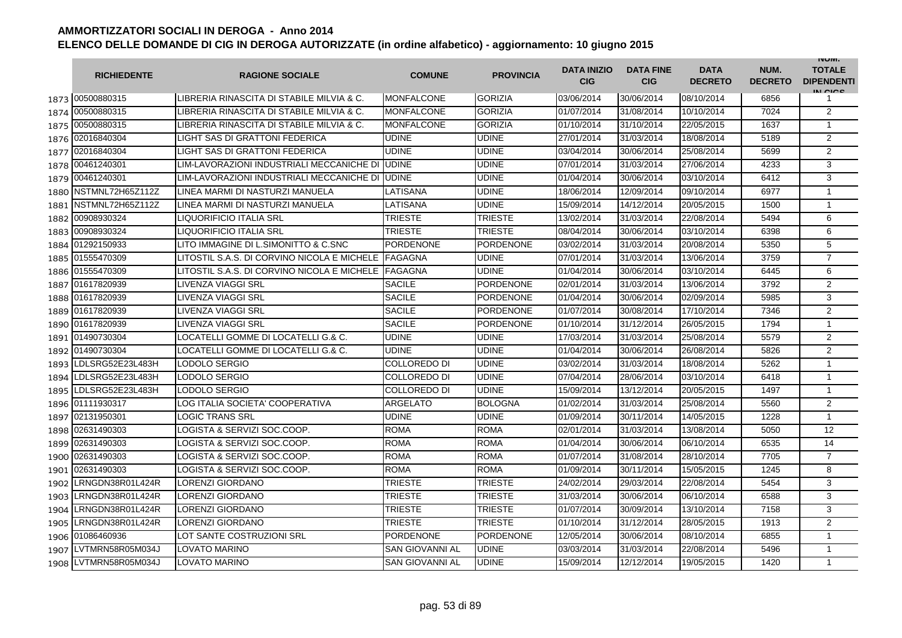|      | <b>RICHIEDENTE</b> | <b>RAGIONE SOCIALE</b>                      | <b>COMUNE</b>          | <b>PROVINCIA</b> | <b>DATA INIZIO</b><br><b>CIG</b> | <b>DATA FINE</b><br><b>CIG</b> | <b>DATA</b><br><b>DECRETO</b> | NUM.<br><b>DECRETO</b> | <b>INUIVI.</b><br><b>TOTALE</b><br><b>DIPENDENTI</b><br>IN CICS |
|------|--------------------|---------------------------------------------|------------------------|------------------|----------------------------------|--------------------------------|-------------------------------|------------------------|-----------------------------------------------------------------|
|      | 1873 00500880315   | LIBRERIA RINASCITA DI STABILE MILVIA & C.   | <b>MONFALCONE</b>      | GORIZIA          | 03/06/2014                       | 30/06/2014                     | 08/10/2014                    | 6856                   | 1                                                               |
|      | 1874 00500880315   | LIBRERIA RINASCITA DI STABILE MILVIA & C.   | <b>MONFALCONE</b>      | <b>GORIZIA</b>   | 01/07/2014                       | 31/08/2014                     | 10/10/2014                    | 7024                   | $\overline{2}$                                                  |
|      | 1875 00500880315   | LIBRERIA RINASCITA DI STABILE MILVIA & C.   | <b>MONFALCONE</b>      | <b>GORIZIA</b>   | 01/10/2014                       | 31/10/2014                     | 22/05/2015                    | 1637                   | 1                                                               |
|      | 1876 02016840304   | LIGHT SAS DI GRATTONI FEDERICA              | <b>UDINE</b>           | <b>UDINE</b>     | 27/01/2014                       | 31/03/2014                     | 18/08/2014                    | 5189                   | 2                                                               |
| 1877 | 02016840304        | LIGHT SAS DI GRATTONI FEDERICA              | UDINE                  | <b>UDINE</b>     | 03/04/2014                       | 30/06/2014                     | 25/08/2014                    | 5699                   | $\overline{2}$                                                  |
| 1878 | 00461240301        | LIM-LAVORAZIONI INDUSTRIALI MECCANICHE DI   | <b>UDINE</b>           | <b>UDINE</b>     | 07/01/2014                       | 31/03/2014                     | 27/06/2014                    | 4233                   | 3                                                               |
| 1879 | 00461240301        | LIM-LAVORAZIONI INDUSTRIALI MECCANICHE DI   | <b>UDINE</b>           | <b>UDINE</b>     | 01/04/2014                       | 30/06/2014                     | 03/10/2014                    | 6412                   | 3                                                               |
| 1880 | NSTMNL72H65Z112Z   | LINEA MARMI DI NASTURZI MANUELA             | LATISANA               | <b>UDINE</b>     | 18/06/2014                       | 12/09/2014                     | 09/10/2014                    | 6977                   | $\mathbf{1}$                                                    |
| 1881 | NSTMNL72H65Z112Z   | LINEA MARMI DI NASTURZI MANUELA             | LATISANA               | <b>UDINE</b>     | 15/09/2014                       | 14/12/2014                     | 20/05/2015                    | 1500                   | $\mathbf{1}$                                                    |
| 1882 | 00908930324        | <b>LIQUORIFICIO ITALIA SRL</b>              | TRIESTE                | <b>TRIESTE</b>   | 13/02/2014                       | 31/03/2014                     | 22/08/2014                    | 5494                   | 6                                                               |
| 1883 | 00908930324        | LIQUORIFICIO ITALIA SRL                     | TRIESTE                | <b>TRIESTE</b>   | 08/04/2014                       | 30/06/2014                     | 03/10/2014                    | 6398                   | 6                                                               |
|      | 1884 01292150933   | LITO IMMAGINE DI L.SIMONITTO & C.SNC        | PORDENONE              | <b>PORDENONE</b> | 03/02/2014                       | 31/03/2014                     | 20/08/2014                    | 5350                   | 5                                                               |
|      | 1885 01555470309   | LITOSTIL S.A.S. DI CORVINO NICOLA E MICHELE | <b>FAGAGNA</b>         | <b>UDINE</b>     | 07/01/2014                       | 31/03/2014                     | 13/06/2014                    | 3759                   | $\overline{7}$                                                  |
|      | 1886 01555470309   | LITOSTIL S.A.S. DI CORVINO NICOLA E MICHELE | <b>FAGAGNA</b>         | <b>UDINE</b>     | 01/04/2014                       | 30/06/2014                     | 03/10/2014                    | 6445                   | 6                                                               |
| 1887 | 01617820939        | <b>LIVENZA VIAGGI SRL</b>                   | <b>SACILE</b>          | <b>PORDENONE</b> | 02/01/2014                       | 31/03/2014                     | 13/06/2014                    | 3792                   | 2                                                               |
| 1888 | 01617820939        | LIVENZA VIAGGI SRL                          | <b>SACILE</b>          | <b>PORDENONE</b> | 01/04/2014                       | 30/06/2014                     | 02/09/2014                    | 5985                   | 3                                                               |
| 1889 | 01617820939        | LIVENZA VIAGGI SRL                          | <b>SACILE</b>          | <b>PORDENONE</b> | 01/07/2014                       | 30/08/2014                     | 17/10/2014                    | 7346                   | $\overline{2}$                                                  |
| 1890 | 01617820939        | LIVENZA VIAGGI SRL                          | <b>SACILE</b>          | <b>PORDENONE</b> | 01/10/2014                       | 31/12/2014                     | 26/05/2015                    | 1794                   | $\mathbf{1}$                                                    |
|      | 1891 01490730304   | LOCATELLI GOMME DI LOCATELLI G.& C.         | <b>UDINE</b>           | <b>UDINE</b>     | 17/03/2014                       | 31/03/2014                     | 25/08/2014                    | 5579                   | $\overline{2}$                                                  |
| 1892 | 01490730304        | LOCATELLI GOMME DI LOCATELLI G.& C.         | <b>UDINE</b>           | <b>UDINE</b>     | 01/04/2014                       | 30/06/2014                     | 26/08/2014                    | 5826                   | $\overline{2}$                                                  |
| 1893 | LDLSRG52E23L483H   | LODOLO SERGIO                               | COLLOREDO DI           | <b>UDINE</b>     | 03/02/2014                       | 31/03/2014                     | 18/08/2014                    | 5262                   | $\mathbf{1}$                                                    |
| 1894 | LDLSRG52E23L483H   | LODOLO SERGIO                               | COLLOREDO DI           | <b>UDINE</b>     | 07/04/2014                       | 28/06/2014                     | 03/10/2014                    | 6418                   | $\mathbf{1}$                                                    |
| 1895 | LDLSRG52E23L483H   | LODOLO SERGIO                               | COLLOREDO DI           | <b>UDINE</b>     | 15/09/2014                       | 13/12/2014                     | 20/05/2015                    | 1497                   | $\mathbf{1}$                                                    |
|      | 1896 01111930317   | LOG ITALIA SOCIETA' COOPERATIVA             | ARGELATO               | <b>BOLOGNA</b>   | 01/02/2014                       | 31/03/2014                     | 25/08/2014                    | 5560                   | $\overline{2}$                                                  |
|      | 1897 02131950301   | <b>LOGIC TRANS SRL</b>                      | UDINE                  | <b>UDINE</b>     | 01/09/2014                       | 30/11/2014                     | 14/05/2015                    | 1228                   | $\mathbf{1}$                                                    |
|      | 1898 02631490303   | LOGISTA & SERVIZI SOC.COOP.                 | <b>ROMA</b>            | <b>ROMA</b>      | 02/01/2014                       | 31/03/2014                     | 13/08/2014                    | 5050                   | 12                                                              |
| 1899 | 02631490303        | LOGISTA & SERVIZI SOC.COOP.                 | <b>ROMA</b>            | <b>ROMA</b>      | 01/04/2014                       | 30/06/2014                     | 06/10/2014                    | 6535                   | 14                                                              |
| 1900 | 02631490303        | LOGISTA & SERVIZI SOC.COOP.                 | <b>ROMA</b>            | <b>ROMA</b>      | 01/07/2014                       | 31/08/2014                     | 28/10/2014                    | 7705                   | $\overline{7}$                                                  |
| 1901 | 02631490303        | LOGISTA & SERVIZI SOC.COOP.                 | <b>ROMA</b>            | <b>ROMA</b>      | 01/09/2014                       | 30/11/2014                     | 15/05/2015                    | 1245                   | 8                                                               |
| 1902 | LRNGDN38R01L424R   | LORENZI GIORDANO                            | TRIESTE                | <b>TRIESTE</b>   | 24/02/2014                       | 29/03/2014                     | 22/08/2014                    | 5454                   | 3                                                               |
| 1903 | LRNGDN38R01L424R   | <b>LORENZI GIORDANO</b>                     | TRIESTE                | <b>TRIESTE</b>   | 31/03/2014                       | 30/06/2014                     | 06/10/2014                    | 6588                   | 3                                                               |
| 1904 | LRNGDN38R01L424R   | LORENZI GIORDANO                            | TRIESTE                | <b>TRIESTE</b>   | 01/07/2014                       | 30/09/2014                     | 13/10/2014                    | 7158                   | 3                                                               |
| 1905 | LRNGDN38R01L424R   | <b>LORENZI GIORDANO</b>                     | TRIESTE                | <b>TRIESTE</b>   | 01/10/2014                       | 31/12/2014                     | 28/05/2015                    | 1913                   | $\overline{2}$                                                  |
| 1906 | 01086460936        | LOT SANTE COSTRUZIONI SRL                   | <b>PORDENONE</b>       | <b>PORDENONE</b> | 12/05/2014                       | 30/06/2014                     | 08/10/2014                    | 6855                   | $\mathbf{1}$                                                    |
| 1907 | LVTMRN58R05M034J   | LOVATO MARINO                               | SAN GIOVANNI AL        | <b>UDINE</b>     | 03/03/2014                       | 31/03/2014                     | 22/08/2014                    | 5496                   | $\mathbf{1}$                                                    |
| 1908 | LVTMRN58R05M034J   | <b>LOVATO MARINO</b>                        | <b>SAN GIOVANNI AL</b> | <b>UDINE</b>     | 15/09/2014                       | 12/12/2014                     | 19/05/2015                    | 1420                   | $\mathbf{1}$                                                    |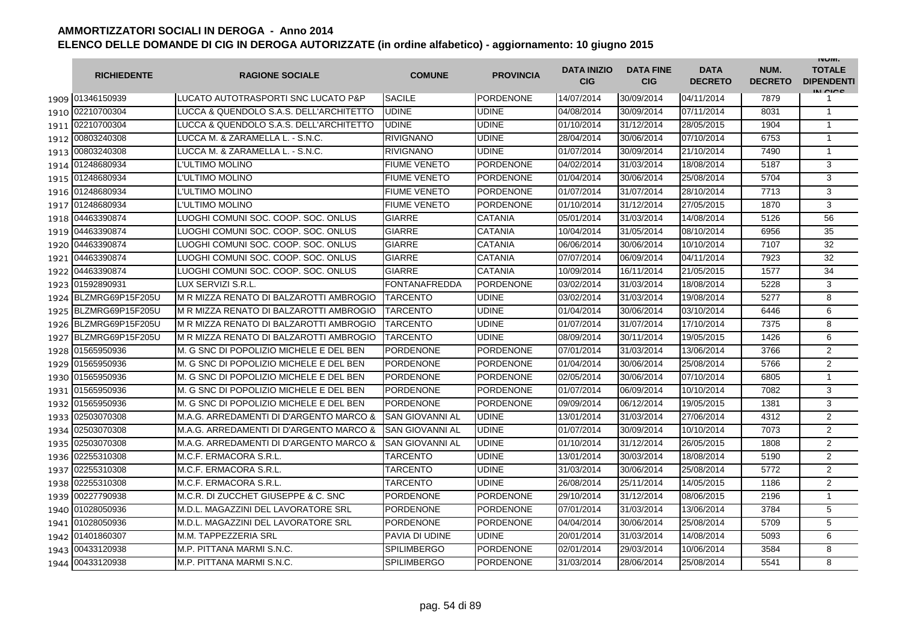|      | <b>RICHIEDENTE</b>    | <b>RAGIONE SOCIALE</b>                  | <b>COMUNE</b>          | <b>PROVINCIA</b> | <b>DATA INIZIO</b><br><b>CIG</b> | <b>DATA FINE</b><br><b>CIG</b> | <b>DATA</b><br><b>DECRETO</b> | NUM.<br><b>DECRETO</b> | <b>INUIVI.</b><br><b>TOTALE</b><br><b>DIPENDENTI</b><br>IN CIGO |
|------|-----------------------|-----------------------------------------|------------------------|------------------|----------------------------------|--------------------------------|-------------------------------|------------------------|-----------------------------------------------------------------|
|      | 1909 01346150939      | LUCATO AUTOTRASPORTI SNC LUCATO P&P     | <b>SACILE</b>          | <b>PORDENONE</b> | 14/07/2014                       | 30/09/2014                     | 04/11/2014                    | 7879                   | 1                                                               |
|      | 1910 02210700304      | LUCCA & QUENDOLO S.A.S. DELL'ARCHITETTO | <b>UDINE</b>           | <b>UDINE</b>     | 04/08/2014                       | 30/09/2014                     | 07/11/2014                    | 8031                   | $\mathbf{1}$                                                    |
|      | 1911 02210700304      | LUCCA & QUENDOLO S.A.S. DELL'ARCHITETTO | <b>UDINE</b>           | <b>UDINE</b>     | 01/10/2014                       | 31/12/2014                     | 28/05/2015                    | 1904                   | $\mathbf{1}$                                                    |
|      | 1912 00803240308      | LUCCA M. & ZARAMELLA L. - S.N.C.        | <b>RIVIGNANO</b>       | <b>UDINE</b>     | 28/04/2014                       | 30/06/2014                     | 07/10/2014                    | 6753                   | $\mathbf{1}$                                                    |
|      | 1913 00803240308      | LUCCA M. & ZARAMELLA L. - S.N.C.        | <b>RIVIGNANO</b>       | <b>UDINE</b>     | 01/07/2014                       | 30/09/2014                     | 21/10/2014                    | 7490                   | $\mathbf{1}$                                                    |
|      | 1914 01248680934      | L'ULTIMO MOLINO                         | <b>FIUME VENETO</b>    | <b>PORDENONE</b> | 04/02/2014                       | 31/03/2014                     | 18/08/2014                    | 5187                   | 3                                                               |
|      | 1915 01248680934      | L'ULTIMO MOLINO                         | <b>FIUME VENETO</b>    | <b>PORDENONE</b> | 01/04/2014                       | 30/06/2014                     | 25/08/2014                    | 5704                   | 3                                                               |
|      | 1916 01248680934      | L'ULTIMO MOLINO                         | <b>FIUME VENETO</b>    | <b>PORDENONE</b> | 01/07/2014                       | 31/07/2014                     | 28/10/2014                    | 7713                   | 3                                                               |
|      | 1917 01248680934      | L'ULTIMO MOLINO                         | <b>FIUME VENETO</b>    | <b>PORDENONE</b> | 01/10/2014                       | 31/12/2014                     | 27/05/2015                    | 1870                   | 3                                                               |
|      | 1918 04463390874      | LUOGHI COMUNI SOC. COOP. SOC. ONLUS     | <b>GIARRE</b>          | <b>CATANIA</b>   | 05/01/2014                       | 31/03/2014                     | 14/08/2014                    | 5126                   | 56                                                              |
|      | 1919 04463390874      | LUOGHI COMUNI SOC. COOP. SOC. ONLUS     | <b>GIARRE</b>          | <b>CATANIA</b>   | 10/04/2014                       | 31/05/2014                     | 08/10/2014                    | 6956                   | 35                                                              |
| 1920 | 04463390874           | LUOGHI COMUNI SOC. COOP. SOC. ONLUS     | <b>GIARRE</b>          | <b>CATANIA</b>   | 06/06/2014                       | 30/06/2014                     | 10/10/2014                    | 7107                   | 32                                                              |
| 1921 | 04463390874           | LUOGHI COMUNI SOC. COOP. SOC. ONLUS     | <b>GIARRE</b>          | <b>CATANIA</b>   | 07/07/2014                       | 06/09/2014                     | 04/11/2014                    | 7923                   | 32                                                              |
| 1922 | 04463390874           | LUOGHI COMUNI SOC. COOP. SOC. ONLUS     | GIARRE                 | <b>CATANIA</b>   | 10/09/2014                       | 16/11/2014                     | 21/05/2015                    | 1577                   | 34                                                              |
| 1923 | 01592890931           | LUX SERVIZI S.R.L                       | <b>FONTANAFREDDA</b>   | <b>PORDENONE</b> | 03/02/2014                       | 31/03/2014                     | 18/08/2014                    | 5228                   | 3                                                               |
|      | 1924 BLZMRG69P15F205U | M R MIZZA RENATO DI BALZAROTTI AMBROGIO | <b>TARCENTO</b>        | <b>UDINE</b>     | 03/02/2014                       | 31/03/2014                     | 19/08/2014                    | 5277                   | 8                                                               |
|      | 1925 BLZMRG69P15F205U | M R MIZZA RENATO DI BALZAROTTI AMBROGIO | <b>TARCENTO</b>        | <b>UDINE</b>     | 01/04/2014                       | 30/06/2014                     | 03/10/2014                    | 6446                   | 6                                                               |
|      | 1926 BLZMRG69P15F205U | M R MIZZA RENATO DI BALZAROTTI AMBROGIO | TARCENTO               | <b>UDINE</b>     | 01/07/2014                       | 31/07/2014                     | 17/10/2014                    | 7375                   | 8                                                               |
|      | 1927 BLZMRG69P15F205U | M R MIZZA RENATO DI BALZAROTTI AMBROGIO | <b>TARCENTO</b>        | <b>UDINE</b>     | 08/09/2014                       | 30/11/2014                     | 19/05/2015                    | 1426                   | 6                                                               |
|      | 1928 01565950936      | M. G SNC DI POPOLIZIO MICHELE E DEL BEN | <b>PORDENONE</b>       | <b>PORDENONE</b> | 07/01/2014                       | 31/03/2014                     | 13/06/2014                    | 3766                   | $\overline{2}$                                                  |
|      | 1929 01565950936      | M. G SNC DI POPOLIZIO MICHELE E DEL BEN | <b>PORDENONE</b>       | <b>PORDENONE</b> | 01/04/2014                       | 30/06/2014                     | 25/08/2014                    | 5766                   | $\overline{2}$                                                  |
| 1930 | 01565950936           | M. G SNC DI POPOLIZIO MICHELE E DEL BEN | <b>PORDENONE</b>       | <b>PORDENONE</b> | 02/05/2014                       | 30/06/2014                     | 07/10/2014                    | 6805                   | $\mathbf{1}$                                                    |
| 1931 | 01565950936           | M. G SNC DI POPOLIZIO MICHELE E DEL BEN | PORDENONE              | <b>PORDENONE</b> | 01/07/2014                       | 06/09/2014                     | 10/10/2014                    | 7082                   | 3                                                               |
| 1932 | 01565950936           | M. G SNC DI POPOLIZIO MICHELE E DEL BEN | <b>PORDENONE</b>       | <b>PORDENONE</b> | 09/09/2014                       | 06/12/2014                     | 19/05/2015                    | 1381                   | 3                                                               |
| 1933 | 02503070308           | M.A.G. ARREDAMENTI DI D'ARGENTO MARCO & | <b>SAN GIOVANNI AL</b> | <b>UDINE</b>     | 13/01/2014                       | 31/03/2014                     | 27/06/2014                    | 4312                   | $\overline{2}$                                                  |
| 1934 | 02503070308           | M.A.G. ARREDAMENTI DI D'ARGENTO MARCO & | <b>SAN GIOVANNI AL</b> | <b>UDINE</b>     | 01/07/2014                       | 30/09/2014                     | 10/10/2014                    | 7073                   | $\overline{2}$                                                  |
| 1935 | 02503070308           | M.A.G. ARREDAMENTI DI D'ARGENTO MARCO & | SAN GIOVANNI AL        | <b>UDINE</b>     | 01/10/2014                       | 31/12/2014                     | 26/05/2015                    | 1808                   | $\overline{2}$                                                  |
| 1936 | 02255310308           | M.C.F. ERMACORA S.R.L.                  | TARCENTO               | <b>UDINE</b>     | 13/01/2014                       | 30/03/2014                     | 18/08/2014                    | 5190                   | 2                                                               |
| 1937 | 02255310308           | M.C.F. ERMACORA S.R.L.                  | TARCENTO               | <b>UDINE</b>     | 31/03/2014                       | 30/06/2014                     | 25/08/2014                    | 5772                   | 2                                                               |
| 1938 | 02255310308           | M.C.F. ERMACORA S.R.L.                  | TARCENTO               | <b>UDINE</b>     | 26/08/2014                       | 25/11/2014                     | 14/05/2015                    | 1186                   | $\overline{2}$                                                  |
|      | 1939 00227790938      | M.C.R. DI ZUCCHET GIUSEPPE & C. SNC     | <b>PORDENONE</b>       | <b>PORDENONE</b> | 29/10/2014                       | 31/12/2014                     | 08/06/2015                    | 2196                   | 1                                                               |
|      | 1940 01028050936      | M.D.L. MAGAZZINI DEL LAVORATORE SRL     | <b>PORDENONE</b>       | <b>PORDENONE</b> | 07/01/2014                       | 31/03/2014                     | 13/06/2014                    | 3784                   | 5                                                               |
|      | 1941 01028050936      | M.D.L. MAGAZZINI DEL LAVORATORE SRL     | <b>PORDENONE</b>       | <b>PORDENONE</b> | 04/04/2014                       | 30/06/2014                     | 25/08/2014                    | 5709                   | 5                                                               |
|      | 1942 01401860307      | M.M. TAPPEZZERIA SRL                    | PAVIA DI UDINE         | <b>UDINE</b>     | 20/01/2014                       | 31/03/2014                     | 14/08/2014                    | 5093                   | 6                                                               |
| 1943 | 00433120938           | M.P. PITTANA MARMI S.N.C.               | <b>SPILIMBERGO</b>     | <b>PORDENONE</b> | 02/01/2014                       | 29/03/2014                     | 10/06/2014                    | 3584                   | 8                                                               |
|      | 1944 00433120938      | M.P. PITTANA MARMI S.N.C.               | <b>SPILIMBERGO</b>     | <b>PORDENONE</b> | 31/03/2014                       | 28/06/2014                     | 25/08/2014                    | 5541                   | 8                                                               |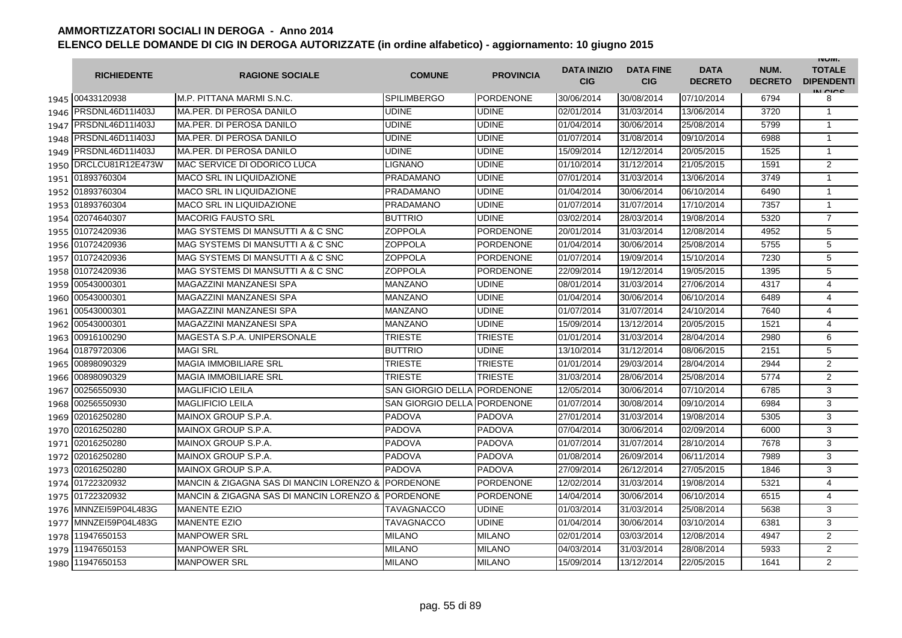|      | <b>RICHIEDENTE</b>    | <b>RAGIONE SOCIALE</b>                   | <b>COMUNE</b>            | <b>PROVINCIA</b> | <b>DATA INIZIO</b><br><b>CIG</b> | <b>DATA FINE</b><br><b>CIG</b> | <b>DATA</b><br><b>DECRETO</b> | NUM.<br><b>DECRETO</b> | <b>INUIVI.</b><br><b>TOTALE</b><br><b>DIPENDENTI</b><br>IN CIGO |
|------|-----------------------|------------------------------------------|--------------------------|------------------|----------------------------------|--------------------------------|-------------------------------|------------------------|-----------------------------------------------------------------|
|      | 1945 00433120938      | M.P. PITTANA MARMI S.N.C.                | <b>SPILIMBERGO</b>       | <b>PORDENONE</b> | 30/06/2014                       | 30/08/2014                     | 07/10/2014                    | 6794                   | 8                                                               |
| 1946 | PRSDNL46D11I403J      | MA.PER. DI PEROSA DANILO                 | <b>UDINE</b>             | <b>UDINE</b>     | 02/01/2014                       | 31/03/2014                     | 13/06/2014                    | 3720                   | $\mathbf{1}$                                                    |
|      | 1947 PRSDNL46D11I403J | MA.PER. DI PEROSA DANILO                 | UDINE                    | <b>UDINE</b>     | 01/04/2014                       | 30/06/2014                     | 25/08/2014                    | 5799                   | $\mathbf{1}$                                                    |
|      | 1948 PRSDNL46D11I403J | MA.PER. DI PEROSA DANILO                 | UDINE                    | <b>UDINE</b>     | 01/07/2014                       | 31/08/2014                     | 09/10/2014                    | 6988                   | 1                                                               |
|      | 1949 PRSDNL46D11I403J | MA.PER. DI PEROSA DANILO                 | UDINE                    | <b>UDINE</b>     | 15/09/2014                       | 12/12/2014                     | 20/05/2015                    | 1525                   | $\mathbf{1}$                                                    |
|      | 1950 DRCLCU81R12E473W | <b>MAC SERVICE DI ODORICO LUCA</b>       | LIGNANO                  | <b>UDINE</b>     | 01/10/2014                       | 31/12/2014                     | 21/05/2015                    | 1591                   | $\overline{2}$                                                  |
|      | 1951 01893760304      | <b>MACO SRL IN LIQUIDAZIONE</b>          | PRADAMANO                | <b>UDINE</b>     | 07/01/2014                       | 31/03/2014                     | 13/06/2014                    | 3749                   | $\mathbf{1}$                                                    |
|      | 1952 01893760304      | MACO SRL IN LIQUIDAZIONE                 | PRADAMANO                | <b>UDINE</b>     | 01/04/2014                       | 30/06/2014                     | 06/10/2014                    | 6490                   | $\mathbf{1}$                                                    |
|      | 1953 01893760304      | <b>MACO SRL IN LIQUIDAZIONE</b>          | PRADAMANO                | <b>UDINE</b>     | 01/07/2014                       | 31/07/2014                     | 17/10/2014                    | 7357                   | $\mathbf{1}$                                                    |
|      | 1954 02074640307      | <b>MACORIG FAUSTO SRL</b>                | <b>BUTTRIO</b>           | <b>UDINE</b>     | 03/02/2014                       | 28/03/2014                     | 19/08/2014                    | 5320                   | $\overline{7}$                                                  |
| 1955 | 01072420936           | MAG SYSTEMS DI MANSUTTI A & C SNC        | <b>ZOPPOLA</b>           | <b>PORDENONE</b> | 20/01/2014                       | 31/03/2014                     | 12/08/2014                    | 4952                   | 5                                                               |
| 1956 | 01072420936           | MAG SYSTEMS DI MANSUTTI A & C SNC        | <b>ZOPPOLA</b>           | <b>PORDENONE</b> | 01/04/2014                       | 30/06/2014                     | 25/08/2014                    | 5755                   | 5                                                               |
| 1957 | 01072420936           | MAG SYSTEMS DI MANSUTTI A & C SNC        | <b>ZOPPOLA</b>           | <b>PORDENONE</b> | 01/07/2014                       | 19/09/2014                     | 15/10/2014                    | 7230                   | 5                                                               |
| 1958 | 01072420936           | MAG SYSTEMS DI MANSUTTI A & C SNC        | <b>ZOPPOLA</b>           | <b>PORDENONE</b> | 22/09/2014                       | 19/12/2014                     | 19/05/2015                    | 1395                   | 5                                                               |
| 1959 | 00543000301           | MAGAZZINI MANZANESI SPA                  | MANZANO                  | <b>UDINE</b>     | 08/01/2014                       | 31/03/2014                     | 27/06/2014                    | 4317                   | $\overline{4}$                                                  |
| 1960 | 00543000301           | MAGAZZINI MANZANESI SPA                  | MANZANO                  | <b>UDINE</b>     | 01/04/2014                       | 30/06/2014                     | 06/10/2014                    | 6489                   | $\overline{4}$                                                  |
|      | 1961 00543000301      | MAGAZZINI MANZANESI SPA                  | <b>MANZANO</b>           | <b>UDINE</b>     | 01/07/2014                       | 31/07/2014                     | 24/10/2014                    | 7640                   | $\overline{4}$                                                  |
|      | 1962 00543000301      | MAGAZZINI MANZANESI SPA                  | <b>MANZANO</b>           | <b>UDINE</b>     | 15/09/2014                       | 13/12/2014                     | 20/05/2015                    | 1521                   | 4                                                               |
|      | 1963 00916100290      | MAGESTA S.P.A. UNIPERSONALE              | <b>TRIESTE</b>           | <b>TRIESTE</b>   | 01/01/2014                       | 31/03/2014                     | 28/04/2014                    | 2980                   | 6                                                               |
|      | 1964 01879720306      | <b>MAGI SRL</b>                          | <b>BUTTRIO</b>           | <b>UDINE</b>     | 13/10/2014                       | 31/12/2014                     | 08/06/2015                    | 2151                   | 5                                                               |
| 1965 | 00898090329           | <b>MAGIA IMMOBILIARE SRL</b>             | TRIESTE                  | <b>TRIESTE</b>   | 01/01/2014                       | 29/03/2014                     | 28/04/2014                    | 2944                   | $\overline{2}$                                                  |
| 1966 | 00898090329           | <b>MAGIA IMMOBILIARE SRL</b>             | TRIESTE                  | <b>TRIESTE</b>   | 31/03/2014                       | 28/06/2014                     | 25/08/2014                    | 5774                   | $\overline{2}$                                                  |
| 1967 | 00256550930           | <b>MAGLIFICIO LEILA</b>                  | <b>SAN GIORGIO DELLA</b> | <b>PORDENONE</b> | 12/05/2014                       | 30/06/2014                     | 07/10/2014                    | 6785                   | 3                                                               |
| 1968 | 00256550930           | <b>MAGLIFICIO LEILA</b>                  | <b>SAN GIORGIO DELLA</b> | <b>PORDENONE</b> | 01/07/2014                       | 30/08/2014                     | 09/10/2014                    | 6984                   | 3                                                               |
| 1969 | 02016250280           | MAINOX GROUP S.P.A.                      | <b>PADOVA</b>            | <b>PADOVA</b>    | 27/01/2014                       | 31/03/2014                     | 19/08/2014                    | 5305                   | 3                                                               |
| 1970 | 02016250280           | MAINOX GROUP S.P.A.                      | PADOVA                   | <b>PADOVA</b>    | 07/04/2014                       | 30/06/2014                     | 02/09/2014                    | 6000                   | 3                                                               |
| 1971 | 02016250280           | MAINOX GROUP S.P.A.                      | PADOVA                   | <b>PADOVA</b>    | 01/07/2014                       | 31/07/2014                     | 28/10/2014                    | 7678                   | 3                                                               |
| 1972 | 02016250280           | MAINOX GROUP S.P.A.                      | PADOVA                   | <b>PADOVA</b>    | 01/08/2014                       | 26/09/2014                     | 06/11/2014                    | 7989                   | 3                                                               |
|      | 1973 02016250280      | MAINOX GROUP S.P.A.                      | <b>PADOVA</b>            | <b>PADOVA</b>    | 27/09/2014                       | 26/12/2014                     | 27/05/2015                    | 1846                   | 3                                                               |
|      | 1974 01722320932      | MANCIN & ZIGAGNA SAS DI MANCIN LORENZO & | <b>PORDENONE</b>         | <b>PORDENONE</b> | 12/02/2014                       | 31/03/2014                     | 19/08/2014                    | 5321                   | 4                                                               |
|      | 1975 01722320932      | MANCIN & ZIGAGNA SAS DI MANCIN LORENZO & | PORDENONE                | <b>PORDENONE</b> | 14/04/2014                       | 30/06/2014                     | 06/10/2014                    | 6515                   | $\overline{4}$                                                  |
|      | 1976 MNNZEI59P04L483G | <b>MANENTE EZIO</b>                      | TAVAGNACCO               | <b>UDINE</b>     | 01/03/2014                       | 31/03/2014                     | 25/08/2014                    | 5638                   | 3                                                               |
|      | 1977 MNNZEI59P04L483G | <b>MANENTE EZIO</b>                      | TAVAGNACCO               | <b>UDINE</b>     | 01/04/2014                       | 30/06/2014                     | 03/10/2014                    | 6381                   | 3                                                               |
| 1978 | 11947650153           | <b>MANPOWER SRL</b>                      | <b>MILANO</b>            | <b>MILANO</b>    | 02/01/2014                       | 03/03/2014                     | 12/08/2014                    | 4947                   | $\overline{2}$                                                  |
| 1979 | 11947650153           | <b>MANPOWER SRL</b>                      | <b>MILANO</b>            | <b>MILANO</b>    | 04/03/2014                       | 31/03/2014                     | 28/08/2014                    | 5933                   | $\overline{2}$                                                  |
| 1980 | 11947650153           | <b>MANPOWER SRL</b>                      | <b>MILANO</b>            | <b>MILANO</b>    | 15/09/2014                       | 13/12/2014                     | 22/05/2015                    | 1641                   | $\overline{2}$                                                  |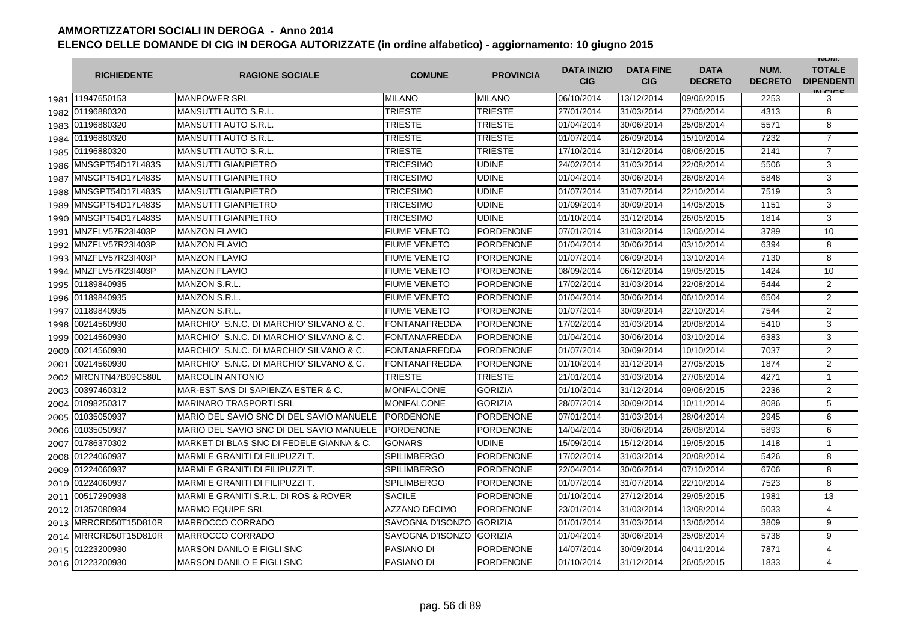|      | <b>RICHIEDENTE</b>    | <b>RAGIONE SOCIALE</b>                   | <b>COMUNE</b>        | <b>PROVINCIA</b> | <b>DATA INIZIO</b><br><b>CIG</b> | <b>DATA FINE</b><br><b>CIG</b> | <b>DATA</b><br><b>DECRETO</b> | NUM.<br><b>DECRETO</b> | <b>INUIVI.</b><br><b>TOTALE</b><br><b>DIPENDENTI</b><br>IN CICS |
|------|-----------------------|------------------------------------------|----------------------|------------------|----------------------------------|--------------------------------|-------------------------------|------------------------|-----------------------------------------------------------------|
|      | 1981 11947650153      | <b>MANPOWER SRL</b>                      | <b>MILANO</b>        | <b>MILANO</b>    | 06/10/2014                       | 13/12/2014                     | 09/06/2015                    | 2253                   | 3                                                               |
|      | 1982 01196880320      | MANSUTTI AUTO S.R.L.                     | <b>TRIESTE</b>       | <b>TRIESTE</b>   | 27/01/2014                       | 31/03/2014                     | 27/06/2014                    | 4313                   | 8                                                               |
|      | 1983 01196880320      | MANSUTTI AUTO S.R.L.                     | TRIESTE              | <b>TRIESTE</b>   | 01/04/2014                       | 30/06/2014                     | 25/08/2014                    | 5571                   | 8                                                               |
|      | 1984 01196880320      | <b>MANSUTTI AUTO S.R.L.</b>              | TRIESTE              | <b>TRIESTE</b>   | 01/07/2014                       | 26/09/2014                     | 15/10/2014                    | 7232                   | $\overline{7}$                                                  |
|      | 1985 01196880320      | <b>MANSUTTI AUTO S.R.L</b>               | TRIESTE              | <b>TRIESTE</b>   | 17/10/2014                       | 31/12/2014                     | 08/06/2015                    | 2141                   | $\overline{7}$                                                  |
|      | 1986 MNSGPT54D17L483S | <b>MANSUTTI GIANPIETRO</b>               | <b>TRICESIMO</b>     | <b>UDINE</b>     | 24/02/2014                       | 31/03/2014                     | 22/08/2014                    | 5506                   | 3                                                               |
| 1987 | MNSGPT54D17L483S      | <b>MANSUTTI GIANPIETRO</b>               | <b>TRICESIMO</b>     | <b>UDINE</b>     | 01/04/2014                       | 30/06/2014                     | 26/08/2014                    | 5848                   | 3                                                               |
| 1988 | MNSGPT54D17L483S      | <b>MANSUTTI GIANPIETRO</b>               | <b>TRICESIMO</b>     | <b>UDINE</b>     | 01/07/2014                       | 31/07/2014                     | 22/10/2014                    | 7519                   | 3                                                               |
| 1989 | MNSGPT54D17L483S      | <b>MANSUTTI GIANPIETRO</b>               | <b>TRICESIMO</b>     | <b>UDINE</b>     | 01/09/2014                       | 30/09/2014                     | 14/05/2015                    | 1151                   | 3                                                               |
| 1990 | MNSGPT54D17L483S      | <b>MANSUTTI GIANPIETRO</b>               | <b>TRICESIMO</b>     | <b>UDINE</b>     | 01/10/2014                       | 31/12/2014                     | 26/05/2015                    | 1814                   | 3                                                               |
| 1991 | MNZFLV57R23I403P      | <b>MANZON FLAVIO</b>                     | <b>FIUME VENETO</b>  | <b>PORDENONE</b> | 07/01/2014                       | 31/03/2014                     | 13/06/2014                    | 3789                   | 10                                                              |
| 1992 | MNZFLV57R23I403P      | <b>MANZON FLAVIO</b>                     | <b>FIUME VENETO</b>  | <b>PORDENONE</b> | 01/04/2014                       | 30/06/2014                     | 03/10/2014                    | 6394                   | 8                                                               |
|      | 1993 MNZFLV57R23I403P | <b>MANZON FLAVIO</b>                     | <b>FIUME VENETO</b>  | <b>PORDENONE</b> | 01/07/2014                       | 06/09/2014                     | 13/10/2014                    | 7130                   | 8                                                               |
|      | 1994 MNZFLV57R23I403P | <b>MANZON FLAVIO</b>                     | <b>FIUME VENETO</b>  | <b>PORDENONE</b> | 08/09/2014                       | 06/12/2014                     | 19/05/2015                    | 1424                   | 10                                                              |
|      | 1995 01189840935      | <b>MANZON S.R.L.</b>                     | <b>FIUME VENETO</b>  | <b>PORDENONE</b> | 17/02/2014                       | 31/03/2014                     | 22/08/2014                    | 5444                   | $\overline{2}$                                                  |
|      | 1996 01189840935      | MANZON S.R.L.                            | <b>FIUME VENETO</b>  | PORDENONE        | 01/04/2014                       | 30/06/2014                     | 06/10/2014                    | 6504                   | $\mathbf{2}$                                                    |
|      | 1997 01189840935      | <b>MANZON S.R.L.</b>                     | <b>FIUME VENETO</b>  | <b>PORDENONE</b> | 01/07/2014                       | 30/09/2014                     | 22/10/2014                    | 7544                   | 2                                                               |
| 1998 | 00214560930           | MARCHIO' S.N.C. DI MARCHIO' SILVANO & C. | <b>FONTANAFREDDA</b> | <b>PORDENONE</b> | 17/02/2014                       | 31/03/2014                     | 20/08/2014                    | 5410                   | 3                                                               |
| 1999 | 00214560930           | MARCHIO' S.N.C. DI MARCHIO' SILVANO & C. | <b>FONTANAFREDDA</b> | <b>PORDENONE</b> | 01/04/2014                       | 30/06/2014                     | 03/10/2014                    | 6383                   | 3                                                               |
| 2000 | 00214560930           | MARCHIO' S.N.C. DI MARCHIO' SILVANO & C. | FONTANAFREDDA        | <b>PORDENONE</b> | 01/07/2014                       | 30/09/2014                     | 10/10/2014                    | 7037                   | 2                                                               |
|      | 2001 00214560930      | MARCHIO' S.N.C. DI MARCHIO' SILVANO & C. | <b>FONTANAFREDDA</b> | <b>PORDENONE</b> | 01/10/2014                       | 31/12/2014                     | 27/05/2015                    | 1874                   | $\mathbf{2}$                                                    |
| 2002 | MRCNTN47B09C580L      | <b>MARCOLIN ANTONIO</b>                  | <b>TRIESTE</b>       | <b>TRIESTE</b>   | 21/01/2014                       | 31/03/2014                     | 27/06/2014                    | 4271                   | 1                                                               |
| 2003 | 00397460312           | MAR-EST SAS DI SAPIENZA ESTER & C.       | <b>MONFALCONE</b>    | <b>GORIZIA</b>   | 01/10/2014                       | 31/12/2014                     | 09/06/2015                    | 2236                   | 2                                                               |
|      | 2004 01098250317      | <b>MARINARO TRASPORTI SRL</b>            | <b>MONFALCONE</b>    | <b>GORIZIA</b>   | 28/07/2014                       | 30/09/2014                     | 10/11/2014                    | 8086                   | 5                                                               |
|      | 2005 01035050937      | MARIO DEL SAVIO SNC DI DEL SAVIO MANUELE | <b>PORDENONE</b>     | PORDENONE        | 07/01/2014                       | 31/03/2014                     | 28/04/2014                    | 2945                   | 6                                                               |
|      | 2006 01035050937      | MARIO DEL SAVIO SNC DI DEL SAVIO MANUELE | <b>PORDENONE</b>     | <b>PORDENONE</b> | 14/04/2014                       | 30/06/2014                     | 26/08/2014                    | 5893                   | 6                                                               |
|      | 2007 01786370302      | MARKET DI BLAS SNC DI FEDELE GIANNA & C. | <b>GONARS</b>        | <b>UDINE</b>     | 15/09/2014                       | 15/12/2014                     | 19/05/2015                    | 1418                   | $\mathbf{1}$                                                    |
|      | 2008 01224060937      | MARMI E GRANITI DI FILIPUZZI T.          | <b>SPILIMBERGO</b>   | <b>PORDENONE</b> | 17/02/2014                       | 31/03/2014                     | 20/08/2014                    | 5426                   | 8                                                               |
| 2009 | 01224060937           | MARMI E GRANITI DI FILIPUZZI T.          | <b>SPILIMBERGO</b>   | <b>PORDENONE</b> | 22/04/2014                       | 30/06/2014                     | 07/10/2014                    | 6706                   | 8                                                               |
|      | 2010 01224060937      | MARMI E GRANITI DI FILIPUZZI T.          | <b>SPILIMBERGO</b>   | <b>PORDENONE</b> | 01/07/2014                       | 31/07/2014                     | 22/10/2014                    | 7523                   | 8                                                               |
| 2011 | 00517290938           | MARMI E GRANITI S.R.L. DI ROS & ROVER    | <b>SACILE</b>        | <b>PORDENONE</b> | 01/10/2014                       | 27/12/2014                     | 29/05/2015                    | 1981                   | 13                                                              |
|      | 2012 01357080934      | <b>MARMO EQUIPE SRL</b>                  | <b>AZZANO DECIMO</b> | <b>PORDENONE</b> | 23/01/2014                       | 31/03/2014                     | 13/08/2014                    | 5033                   | 4                                                               |
|      | 2013 MRRCRD50T15D810R | <b>MARROCCO CORRADO</b>                  | SAVOGNA D'ISONZO     | <b>GORIZIA</b>   | 01/01/2014                       | 31/03/2014                     | 13/06/2014                    | 3809                   | 9                                                               |
|      | 2014 MRRCRD50T15D810R | MARROCCO CORRADO                         | SAVOGNA D'ISONZO     | <b>GORIZIA</b>   | 01/04/2014                       | 30/06/2014                     | 25/08/2014                    | 5738                   | 9                                                               |
|      | 2015 01223200930      | <b>MARSON DANILO E FIGLI SNC</b>         | PASIANO DI           | PORDENONE        | 14/07/2014                       | 30/09/2014                     | 04/11/2014                    | 7871                   | 4                                                               |
|      | 2016 01223200930      | <b>MARSON DANILO E FIGLI SNC</b>         | PASIANO DI           | <b>PORDENONE</b> | 01/10/2014                       | 31/12/2014                     | 26/05/2015                    | 1833                   | 4                                                               |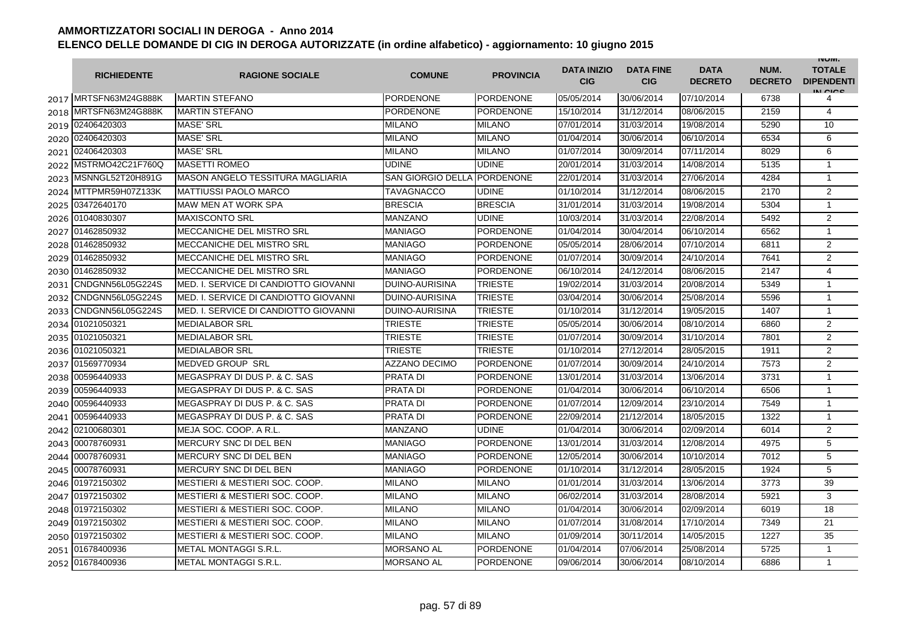|      | <b>RICHIEDENTE</b>    | <b>RAGIONE SOCIALE</b>                    | <b>COMUNE</b>            | <b>PROVINCIA</b> | <b>DATA INIZIO</b><br><b>CIG</b> | <b>DATA FINE</b><br><b>CIG</b> | <b>DATA</b><br><b>DECRETO</b> | NUM.<br><b>DECRETO</b> | <b>INUIVI.</b><br><b>TOTALE</b><br><b>DIPENDENTI</b><br>IN CICS |
|------|-----------------------|-------------------------------------------|--------------------------|------------------|----------------------------------|--------------------------------|-------------------------------|------------------------|-----------------------------------------------------------------|
|      | 2017 MRTSFN63M24G888K | <b>MARTIN STEFANO</b>                     | PORDENONE                | <b>PORDENONE</b> | 05/05/2014                       | 30/06/2014                     | 07/10/2014                    | 6738                   | 4                                                               |
|      | 2018 MRTSFN63M24G888K | <b>MARTIN STEFANO</b>                     | PORDENONE                | <b>PORDENONE</b> | 15/10/2014                       | 31/12/2014                     | 08/06/2015                    | 2159                   | $\overline{4}$                                                  |
|      | 2019 02406420303      | <b>MASE' SRL</b>                          | <b>MILANO</b>            | <b>MILANO</b>    | 07/01/2014                       | 31/03/2014                     | 19/08/2014                    | 5290                   | 10                                                              |
|      | 2020 02406420303      | <b>MASE' SRL</b>                          | <b>MILANO</b>            | <b>MILANO</b>    | 01/04/2014                       | 30/06/2014                     | 06/10/2014                    | 6534                   | 6                                                               |
|      | 2021 02406420303      | <b>MASE' SRL</b>                          | MILANO                   | <b>MILANO</b>    | 01/07/2014                       | 30/09/2014                     | 07/11/2014                    | 8029                   | 6                                                               |
|      | 2022 MSTRMO42C21F760Q | <b>MASETTI ROMEO</b>                      | <b>UDINE</b>             | <b>UDINE</b>     | 20/01/2014                       | 31/03/2014                     | 14/08/2014                    | 5135                   | $\mathbf{1}$                                                    |
|      | 2023 MSNNGL52T20H891G | <b>MASON ANGELO TESSITURA MAGLIARIA</b>   | <b>SAN GIORGIO DELLA</b> | <b>PORDENONE</b> | 22/01/2014                       | 31/03/2014                     | 27/06/2014                    | 4284                   | $\mathbf{1}$                                                    |
|      | 2024 MTTPMR59H07Z133K | <b>MATTIUSSI PAOLO MARCO</b>              | TAVAGNACCO               | <b>UDINE</b>     | 01/10/2014                       | 31/12/2014                     | 08/06/2015                    | 2170                   | $\overline{2}$                                                  |
| 2025 | 03472640170           | MAW MEN AT WORK SPA                       | <b>BRESCIA</b>           | <b>BRESCIA</b>   | 31/01/2014                       | 31/03/2014                     | 19/08/2014                    | 5304                   | $\mathbf{1}$                                                    |
| 2026 | 01040830307           | <b>MAXISCONTO SRL</b>                     | <b>MANZANO</b>           | <b>UDINE</b>     | 10/03/2014                       | 31/03/2014                     | 22/08/2014                    | 5492                   | $\overline{2}$                                                  |
| 2027 | 01462850932           | MECCANICHE DEL MISTRO SRL                 | MANIAGO                  | <b>PORDENONE</b> | 01/04/2014                       | 30/04/2014                     | 06/10/2014                    | 6562                   | $\mathbf{1}$                                                    |
| 2028 | 01462850932           | MECCANICHE DEL MISTRO SRL                 | MANIAGO                  | <b>PORDENONE</b> | 05/05/2014                       | 28/06/2014                     | 07/10/2014                    | 6811                   | 2                                                               |
|      | 2029 01462850932      | MECCANICHE DEL MISTRO SRL                 | <b>MANIAGO</b>           | <b>PORDENONE</b> | 01/07/2014                       | 30/09/2014                     | 24/10/2014                    | 7641                   | $\overline{2}$                                                  |
|      | 2030 01462850932      | MECCANICHE DEL MISTRO SRL                 | <b>MANIAGO</b>           | <b>PORDENONE</b> | 06/10/2014                       | 24/12/2014                     | 08/06/2015                    | 2147                   | $\overline{4}$                                                  |
|      | 2031 CNDGNN56L05G224S | MED. I. SERVICE DI CANDIOTTO GIOVANNI     | <b>DUINO-AURISINA</b>    | <b>TRIESTE</b>   | 19/02/2014                       | 31/03/2014                     | 20/08/2014                    | 5349                   | $\mathbf{1}$                                                    |
| 2032 | CNDGNN56L05G224S      | MED. I. SERVICE DI CANDIOTTO GIOVANNI     | DUINO-AURISINA           | <b>TRIESTE</b>   | 03/04/2014                       | 30/06/2014                     | 25/08/2014                    | 5596                   | 1                                                               |
| 2033 | CNDGNN56L05G224S      | MED. I. SERVICE DI CANDIOTTO GIOVANNI     | <b>DUINO-AURISINA</b>    | <b>TRIESTE</b>   | 01/10/2014                       | 31/12/2014                     | 19/05/2015                    | 1407                   | $\mathbf{1}$                                                    |
|      | 2034 01021050321      | <b>MEDIALABOR SRL</b>                     | <b>TRIESTE</b>           | <b>TRIESTE</b>   | 05/05/2014                       | 30/06/2014                     | 08/10/2014                    | 6860                   | $\overline{2}$                                                  |
|      | 2035 01021050321      | <b>MEDIALABOR SRL</b>                     | TRIESTE                  | <b>TRIESTE</b>   | 01/07/2014                       | 30/09/2014                     | 31/10/2014                    | 7801                   | $\overline{2}$                                                  |
| 2036 | 01021050321           | <b>MEDIALABOR SRL</b>                     | <b>TRIESTE</b>           | <b>TRIESTE</b>   | 01/10/2014                       | 27/12/2014                     | 28/05/2015                    | 1911                   | $\overline{2}$                                                  |
|      | 2037 01569770934      | <b>MEDVED GROUP SRL</b>                   | <b>AZZANO DECIMO</b>     | <b>PORDENONE</b> | 01/07/2014                       | 30/09/2014                     | 24/10/2014                    | 7573                   | $\overline{2}$                                                  |
| 2038 | 00596440933           | MEGASPRAY DI DUS P. & C. SAS              | <b>PRATA DI</b>          | <b>PORDENONE</b> | 13/01/2014                       | 31/03/2014                     | 13/06/2014                    | 3731                   | 1                                                               |
| 2039 | 00596440933           | MEGASPRAY DI DUS P. & C. SAS              | PRATA DI                 | <b>PORDENONE</b> | 01/04/2014                       | 30/06/2014                     | 06/10/2014                    | 6506                   | $\mathbf{1}$                                                    |
|      | 2040 00596440933      | MEGASPRAY DI DUS P. & C. SAS              | PRATA DI                 | PORDENONE        | 01/07/2014                       | 12/09/2014                     | 23/10/2014                    | 7549                   | $\mathbf{1}$                                                    |
|      | 2041 00596440933      | MEGASPRAY DI DUS P. & C. SAS              | <b>PRATA DI</b>          | <b>PORDENONE</b> | 22/09/2014                       | 21/12/2014                     | 18/05/2015                    | 1322                   | $\mathbf{1}$                                                    |
| 2042 | 02100680301           | MEJA SOC. COOP. A R.L                     | <b>MANZANO</b>           | <b>UDINE</b>     | 01/04/2014                       | 30/06/2014                     | 02/09/2014                    | 6014                   | $\overline{2}$                                                  |
| 2043 | 00078760931           | MERCURY SNC DI DEL BEN                    | MANIAGO                  | <b>PORDENONE</b> | 13/01/2014                       | 31/03/2014                     | 12/08/2014                    | 4975                   | 5                                                               |
|      | 2044 00078760931      | MERCURY SNC DI DEL BEN                    | MANIAGO                  | <b>PORDENONE</b> | 12/05/2014                       | 30/06/2014                     | 10/10/2014                    | 7012                   | 5                                                               |
| 2045 | 00078760931           | MERCURY SNC DI DEL BEN                    | <b>MANIAGO</b>           | <b>PORDENONE</b> | 01/10/2014                       | 31/12/2014                     | 28/05/2015                    | 1924                   | 5                                                               |
|      | 2046 01972150302      | <b>MESTIERI &amp; MESTIERI SOC. COOP.</b> | <b>MILANO</b>            | <b>MILANO</b>    | 01/01/2014                       | 31/03/2014                     | 13/06/2014                    | 3773                   | 39                                                              |
| 2047 | 01972150302           | MESTIERI & MESTIERI SOC. COOP.            | <b>MILANO</b>            | <b>MILANO</b>    | 06/02/2014                       | 31/03/2014                     | 28/08/2014                    | 5921                   | 3                                                               |
| 2048 | 01972150302           | <b>MESTIERI &amp; MESTIERI SOC. COOP.</b> | MILANO                   | <b>MILANO</b>    | 01/04/2014                       | 30/06/2014                     | 02/09/2014                    | 6019                   | 18                                                              |
| 2049 | 01972150302           | <b>MESTIERI &amp; MESTIERI SOC. COOP.</b> | <b>MILANO</b>            | <b>MILANO</b>    | 01/07/2014                       | 31/08/2014                     | 17/10/2014                    | 7349                   | 21                                                              |
|      | 2050 01972150302      | MESTIERI & MESTIERI SOC. COOP.            | <b>MILANO</b>            | <b>MILANO</b>    | 01/09/2014                       | 30/11/2014                     | 14/05/2015                    | 1227                   | 35                                                              |
|      | 2051 01678400936      | <b>METAL MONTAGGI S.R.L.</b>              | MORSANO AL               | <b>PORDENONE</b> | 01/04/2014                       | 07/06/2014                     | 25/08/2014                    | 5725                   | $\mathbf{1}$                                                    |
|      | 2052 01678400936      | METAL MONTAGGI S.R.L.                     | <b>MORSANO AL</b>        | <b>PORDENONE</b> | 09/06/2014                       | 30/06/2014                     | 08/10/2014                    | 6886                   | $\mathbf{1}$                                                    |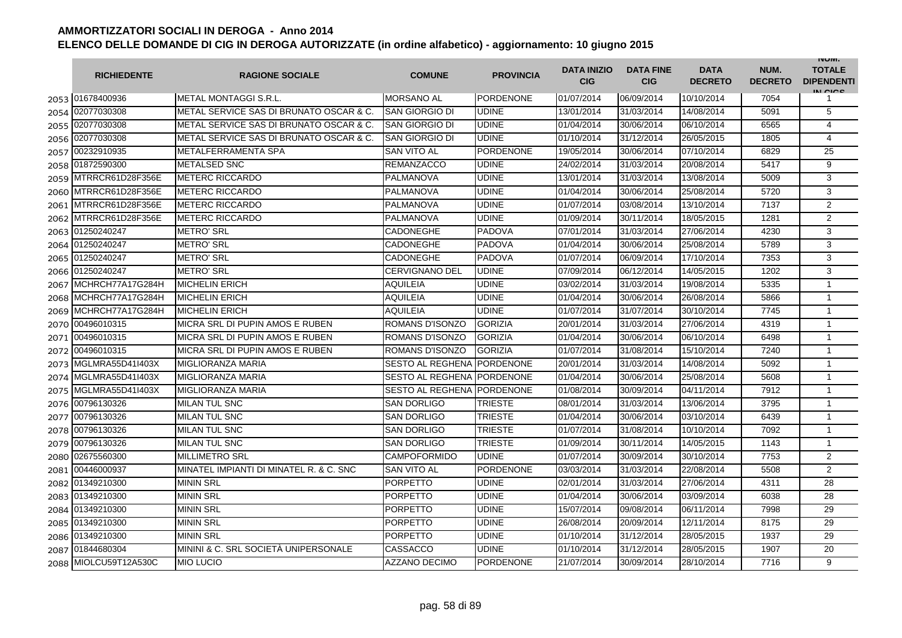|      | <b>RICHIEDENTE</b>    | <b>RAGIONE SOCIALE</b>                  | <b>COMUNE</b>              | <b>PROVINCIA</b> | <b>DATA INIZIO</b><br><b>CIG</b> | <b>DATA FINE</b><br><b>CIG</b> | <b>DATA</b><br><b>DECRETO</b> | NUM.<br><b>DECRETO</b> | <b>INUIVI.</b><br><b>TOTALE</b><br><b>DIPENDENTI</b><br>IN CICE |
|------|-----------------------|-----------------------------------------|----------------------------|------------------|----------------------------------|--------------------------------|-------------------------------|------------------------|-----------------------------------------------------------------|
|      | 2053 01678400936      | METAL MONTAGGI S.R.L.                   | <b>MORSANO AL</b>          | <b>PORDENONE</b> | 01/07/2014                       | 06/09/2014                     | 10/10/2014                    | 7054                   |                                                                 |
|      | 2054 02077030308      | METAL SERVICE SAS DI BRUNATO OSCAR & C. | SAN GIORGIO DI             | <b>UDINE</b>     | 13/01/2014                       | 31/03/2014                     | 14/08/2014                    | 5091                   | 5                                                               |
|      | 2055 02077030308      | METAL SERVICE SAS DI BRUNATO OSCAR & C. | SAN GIORGIO DI             | <b>UDINE</b>     | 01/04/2014                       | 30/06/2014                     | 06/10/2014                    | 6565                   | $\overline{4}$                                                  |
|      | 2056 02077030308      | METAL SERVICE SAS DI BRUNATO OSCAR & C. | SAN GIORGIO DI             | <b>UDINE</b>     | 01/10/2014                       | 31/12/2014                     | 26/05/2015                    | 1805                   | 4                                                               |
|      | 2057 00232910935      | METALFERRAMENTA SPA                     | <b>SAN VITO AL</b>         | <b>PORDENONE</b> | 19/05/2014                       | 30/06/2014                     | 07/10/2014                    | 6829                   | 25                                                              |
|      | 2058 01872590300      | <b>METALSED SNC</b>                     | <b>REMANZACCO</b>          | <b>UDINE</b>     | 24/02/2014                       | 31/03/2014                     | 20/08/2014                    | 5417                   | 9                                                               |
|      | 2059 MTRRCR61D28F356E | <b>METERC RICCARDO</b>                  | PALMANOVA                  | <b>UDINE</b>     | 13/01/2014                       | 31/03/2014                     | 13/08/2014                    | 5009                   | 3                                                               |
|      | 2060 MTRRCR61D28F356E | <b>METERC RICCARDO</b>                  | PALMANOVA                  | <b>UDINE</b>     | 01/04/2014                       | 30/06/2014                     | 25/08/2014                    | 5720                   | 3                                                               |
|      | 2061 MTRRCR61D28F356E | <b>METERC RICCARDO</b>                  | PALMANOVA                  | <b>UDINE</b>     | 01/07/2014                       | 03/08/2014                     | 13/10/2014                    | 7137                   | 2                                                               |
|      | 2062 MTRRCR61D28F356E | <b>METERC RICCARDO</b>                  | PALMANOVA                  | <b>UDINE</b>     | 01/09/2014                       | 30/11/2014                     | 18/05/2015                    | 1281                   | $\overline{2}$                                                  |
| 2063 | 01250240247           | <b>METRO' SRL</b>                       | CADONEGHE                  | <b>PADOVA</b>    | 07/01/2014                       | 31/03/2014                     | 27/06/2014                    | 4230                   | 3                                                               |
| 2064 | 01250240247           | <b>METRO' SRL</b>                       | CADONEGHE                  | <b>PADOVA</b>    | 01/04/2014                       | 30/06/2014                     | 25/08/2014                    | 5789                   | 3                                                               |
| 2065 | 01250240247           | <b>METRO' SRL</b>                       | CADONEGHE                  | <b>PADOVA</b>    | 01/07/2014                       | 06/09/2014                     | 17/10/2014                    | 7353                   | 3                                                               |
| 2066 | 01250240247           | <b>METRO' SRL</b>                       | CERVIGNANO DEL             | <b>UDINE</b>     | 07/09/2014                       | 06/12/2014                     | 14/05/2015                    | 1202                   | 3                                                               |
| 2067 | MCHRCH77A17G284H      | <b>MICHELIN ERICH</b>                   | AQUILEIA                   | <b>UDINE</b>     | 03/02/2014                       | 31/03/2014                     | 19/08/2014                    | 5335                   | $\mathbf{1}$                                                    |
| 2068 | MCHRCH77A17G284H      | <b>MICHELIN ERICH</b>                   | AQUILEIA                   | <b>UDINE</b>     | 01/04/2014                       | 30/06/2014                     | 26/08/2014                    | 5866                   | $\mathbf{1}$                                                    |
|      | 2069 MCHRCH77A17G284H | IMICHELIN ERICH                         | AQUILEIA                   | <b>UDINE</b>     | 01/07/2014                       | 31/07/2014                     | 30/10/2014                    | 7745                   | $\mathbf{1}$                                                    |
|      | 2070 00496010315      | MICRA SRL DI PUPIN AMOS E RUBEN         | ROMANS D'ISONZO            | <b>GORIZIA</b>   | 20/01/2014                       | 31/03/2014                     | 27/06/2014                    | 4319                   | $\mathbf{1}$                                                    |
|      | 2071 00496010315      | MICRA SRL DI PUPIN AMOS E RUBEN         | ROMANS D'ISONZO            | <b>GORIZIA</b>   | 01/04/2014                       | 30/06/2014                     | 06/10/2014                    | 6498                   | $\mathbf{1}$                                                    |
|      | 2072 00496010315      | MICRA SRL DI PUPIN AMOS E RUBEN         | ROMANS D'ISONZO            | <b>GORIZIA</b>   | 01/07/2014                       | 31/08/2014                     | 15/10/2014                    | 7240                   | 1                                                               |
|      | 2073 MGLMRA55D41I403X | <b>MIGLIORANZA MARIA</b>                | SESTO AL REGHENA PORDENONE |                  | 20/01/2014                       | 31/03/2014                     | 14/08/2014                    | 5092                   | 1                                                               |
|      | 2074 MGLMRA55D41I403X | <b>MIGLIORANZA MARIA</b>                | SESTO AL REGHENA PORDENONE |                  | 01/04/2014                       | 30/06/2014                     | 25/08/2014                    | 5608                   | $\mathbf{1}$                                                    |
|      | 2075 MGLMRA55D41I403X | <b>MIGLIORANZA MARIA</b>                | SESTO AL REGHENA PORDENONE |                  | 01/08/2014                       | 30/09/2014                     | 04/11/2014                    | 7912                   | 1                                                               |
| 2076 | 00796130326           | <b>MILAN TUL SNC</b>                    | <b>SAN DORLIGO</b>         | <b>TRIESTE</b>   | 08/01/2014                       | 31/03/2014                     | 13/06/2014                    | 3795                   | 1                                                               |
| 2077 | 00796130326           | <b>MILAN TUL SNC</b>                    | <b>SAN DORLIGO</b>         | <b>TRIESTE</b>   | 01/04/2014                       | 30/06/2014                     | 03/10/2014                    | 6439                   | $\mathbf{1}$                                                    |
| 2078 | 00796130326           | <b>MILAN TUL SNC</b>                    | SAN DORLIGO                | <b>TRIESTE</b>   | 01/07/2014                       | 31/08/2014                     | 10/10/2014                    | 7092                   | 1                                                               |
| 2079 | 00796130326           | <b>MILAN TUL SNC</b>                    | SAN DORLIGO                | <b>TRIESTE</b>   | 01/09/2014                       | 30/11/2014                     | 14/05/2015                    | 1143                   | $\mathbf{1}$                                                    |
|      | 2080 02675560300      | <b>MILLIMETRO SRL</b>                   | <b>CAMPOFORMIDO</b>        | <b>UDINE</b>     | 01/07/2014                       | 30/09/2014                     | 30/10/2014                    | 7753                   | 2                                                               |
|      | 2081 00446000937      | MINATEL IMPIANTI DI MINATEL R. & C. SNC | <b>SAN VITO AL</b>         | <b>PORDENONE</b> | 03/03/2014                       | 31/03/2014                     | 22/08/2014                    | 5508                   | $\overline{2}$                                                  |
|      | 2082 01349210300      | <b>MININ SRL</b>                        | <b>PORPETTO</b>            | <b>UDINE</b>     | 02/01/2014                       | 31/03/2014                     | 27/06/2014                    | 4311                   | 28                                                              |
|      | 2083 01349210300      | <b>MININ SRL</b>                        | PORPETTO                   | <b>UDINE</b>     | 01/04/2014                       | 30/06/2014                     | 03/09/2014                    | 6038                   | 28                                                              |
|      | 2084 01349210300      | <b>MININ SRL</b>                        | PORPETTO                   | <b>UDINE</b>     | 15/07/2014                       | 09/08/2014                     | 06/11/2014                    | 7998                   | 29                                                              |
|      | 2085 01349210300      | <b>MININ SRL</b>                        | PORPETTO                   | <b>UDINE</b>     | 26/08/2014                       | 20/09/2014                     | 12/11/2014                    | 8175                   | 29                                                              |
|      | 2086 01349210300      | <b>MININ SRL</b>                        | PORPETTO                   | <b>UDINE</b>     | 01/10/2014                       | 31/12/2014                     | 28/05/2015                    | 1937                   | 29                                                              |
|      | 2087 01844680304      | MININI & C. SRL SOCIETÀ UNIPERSONALE    | CASSACCO                   | <b>UDINE</b>     | 01/10/2014                       | 31/12/2014                     | 28/05/2015                    | 1907                   | 20                                                              |
|      | 2088 MIOLCU59T12A530C | <b>MIO LUCIO</b>                        | <b>AZZANO DECIMO</b>       | <b>PORDENONE</b> | 21/07/2014                       | 30/09/2014                     | 28/10/2014                    | 7716                   | 9                                                               |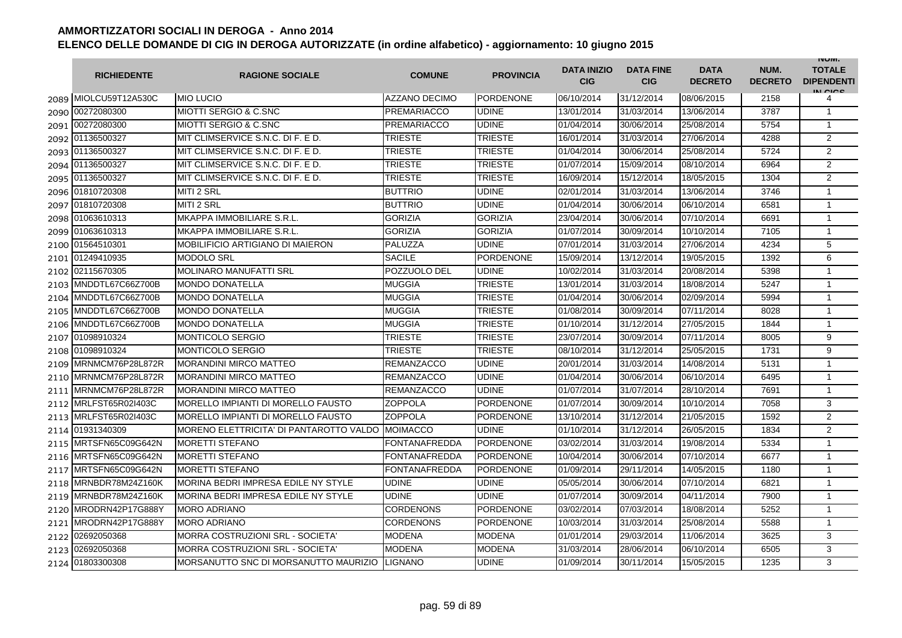|      | <b>RICHIEDENTE</b>    | <b>RAGIONE SOCIALE</b>                  | <b>COMUNE</b>        | <b>PROVINCIA</b> | <b>DATA INIZIO</b><br><b>CIG</b> | <b>DATA FINE</b><br><b>CIG</b> | <b>DATA</b><br><b>DECRETO</b> | NUM.<br><b>DECRETO</b> | <b>INUIVI.</b><br><b>TOTALE</b><br><b>DIPENDENTI</b><br>IN CICS |
|------|-----------------------|-----------------------------------------|----------------------|------------------|----------------------------------|--------------------------------|-------------------------------|------------------------|-----------------------------------------------------------------|
|      | 2089 MIOLCU59T12A530C | <b>MIO LUCIO</b>                        | <b>AZZANO DECIMO</b> | <b>PORDENONE</b> | 06/10/2014                       | 31/12/2014                     | 08/06/2015                    | 2158                   | 4                                                               |
|      | 2090 00272080300      | <b>MIOTTI SERGIO &amp; C.SNC</b>        | <b>PREMARIACCO</b>   | <b>UDINE</b>     | 13/01/2014                       | 31/03/2014                     | 13/06/2014                    | 3787                   | $\mathbf{1}$                                                    |
|      | 2091 00272080300      | <b>MIOTTI SERGIO &amp; C.SNC</b>        | <b>PREMARIACCO</b>   | <b>UDINE</b>     | 01/04/2014                       | 30/06/2014                     | 25/08/2014                    | 5754                   | 1                                                               |
|      | 2092 01136500327      | MIT CLIMSERVICE S.N.C. DI F. E D.       | <b>TRIESTE</b>       | <b>TRIESTE</b>   | 16/01/2014                       | 31/03/2014                     | 27/06/2014                    | 4288                   | 2                                                               |
|      | 2093 01136500327      | MIT CLIMSERVICE S.N.C. DI F. E D.       | <b>TRIESTE</b>       | <b>TRIESTE</b>   | 01/04/2014                       | 30/06/2014                     | 25/08/2014                    | 5724                   | $\overline{2}$                                                  |
|      | 2094 01136500327      | MIT CLIMSERVICE S.N.C. DI F. E D.       | TRIESTE              | <b>TRIESTE</b>   | 01/07/2014                       | 15/09/2014                     | 08/10/2014                    | 6964                   | $\overline{2}$                                                  |
|      | 2095 01136500327      | MIT CLIMSERVICE S.N.C. DI F. E D.       | TRIESTE              | <b>TRIESTE</b>   | 16/09/2014                       | 15/12/2014                     | 18/05/2015                    | 1304                   | $\overline{2}$                                                  |
|      | 2096 01810720308      | <b>MITI 2 SRL</b>                       | <b>BUTTRIO</b>       | <b>UDINE</b>     | 02/01/2014                       | 31/03/2014                     | 13/06/2014                    | 3746                   | $\mathbf{1}$                                                    |
| 2097 | 01810720308           | MITI 2 SRL                              | <b>BUTTRIO</b>       | <b>UDINE</b>     | 01/04/2014                       | 30/06/2014                     | 06/10/2014                    | 6581                   | $\mathbf{1}$                                                    |
| 2098 | 01063610313           | MKAPPA IMMOBILIARE S.R.L.               | <b>GORIZIA</b>       | <b>GORIZIA</b>   | 23/04/2014                       | 30/06/2014                     | 07/10/2014                    | 6691                   | $\mathbf{1}$                                                    |
| 2099 | 01063610313           | MKAPPA IMMOBILIARE S.R.L.               | <b>GORIZIA</b>       | <b>GORIZIA</b>   | 01/07/2014                       | 30/09/2014                     | 10/10/2014                    | 7105                   | $\mathbf{1}$                                                    |
|      | 2100 01564510301      | MOBILIFICIO ARTIGIANO DI MAIERON        | PALUZZA              | <b>UDINE</b>     | 07/01/2014                       | 31/03/2014                     | 27/06/2014                    | 4234                   | 5                                                               |
|      | 2101 01249410935      | <b>MODOLO SRL</b>                       | <b>SACILE</b>        | <b>PORDENONE</b> | 15/09/2014                       | 13/12/2014                     | 19/05/2015                    | 1392                   | 6                                                               |
|      | 2102 02115670305      | <b>MOLINARO MANUFATTI SRL</b>           | POZZUOLO DEL         | <b>UDINE</b>     | 10/02/2014                       | 31/03/2014                     | 20/08/2014                    | 5398                   | 1                                                               |
|      | 2103 MNDDTL67C66Z700B | <b>MONDO DONATELLA</b>                  | <b>MUGGIA</b>        | <b>TRIESTE</b>   | 13/01/2014                       | 31/03/2014                     | 18/08/2014                    | 5247                   | $\mathbf{1}$                                                    |
|      | 2104 MNDDTL67C66Z700B | <b>MONDO DONATELLA</b>                  | MUGGIA               | <b>TRIESTE</b>   | 01/04/2014                       | 30/06/2014                     | 02/09/2014                    | 5994                   | $\mathbf{1}$                                                    |
| 2105 | MNDDTL67C66Z700B      | <b>MONDO DONATELLA</b>                  | <b>MUGGIA</b>        | <b>TRIESTE</b>   | 01/08/2014                       | 30/09/2014                     | 07/11/2014                    | 8028                   | $\mathbf{1}$                                                    |
| 2106 | MNDDTL67C66Z700B      | <b>MONDO DONATELLA</b>                  | MUGGIA               | <b>TRIESTE</b>   | 01/10/2014                       | 31/12/2014                     | 27/05/2015                    | 1844                   | $\mathbf{1}$                                                    |
| 2107 | 01098910324           | <b>MONTICOLO SERGIO</b>                 | TRIESTE              | <b>TRIESTE</b>   | 23/07/2014                       | 30/09/2014                     | 07/11/2014                    | 8005                   | 9                                                               |
| 2108 | 01098910324           | <b>MONTICOLO SERGIO</b>                 | TRIESTE              | <b>TRIESTE</b>   | 08/10/2014                       | 31/12/2014                     | 25/05/2015                    | 1731                   | 9                                                               |
| 2109 | MRNMCM76P28L872R      | <b>MORANDINI MIRCO MATTEO</b>           | REMANZACCO           | <b>UDINE</b>     | 20/01/2014                       | 31/03/2014                     | 14/08/2014                    | 5131                   | $\mathbf{1}$                                                    |
| 2110 | MRNMCM76P28L872R      | <b>MORANDINI MIRCO MATTEO</b>           | <b>REMANZACCO</b>    | <b>UDINE</b>     | 01/04/2014                       | 30/06/2014                     | 06/10/2014                    | 6495                   | $\mathbf{1}$                                                    |
| 2111 | MRNMCM76P28L872R      | <b>MORANDINI MIRCO MATTEO</b>           | <b>REMANZACCO</b>    | <b>UDINE</b>     | 01/07/2014                       | 31/07/2014                     | 28/10/2014                    | 7691                   | $\mathbf{1}$                                                    |
|      | 2112 MRLFST65R02I403C | MORELLO IMPIANTI DI MORELLO FAUSTO      | <b>ZOPPOLA</b>       | <b>PORDENONE</b> | 01/07/2014                       | 30/09/2014                     | 10/10/2014                    | 7058                   | 3                                                               |
|      | 2113 MRLFST65R02I403C | MORELLO IMPIANTI DI MORELLO FAUSTO      | ZOPPOLA              | <b>PORDENONE</b> | 13/10/2014                       | 31/12/2014                     | 21/05/2015                    | 1592                   | 2                                                               |
|      | 2114 01931340309      | MORENO ELETTRICITA' DI PANTAROTTO VALDO | <b>MOIMACCO</b>      | <b>UDINE</b>     | 01/10/2014                       | 31/12/2014                     | 26/05/2015                    | 1834                   | $\overline{2}$                                                  |
| 2115 | MRTSFN65C09G642N      | <b>MORETTI STEFANO</b>                  | <b>FONTANAFREDDA</b> | <b>PORDENONE</b> | 03/02/2014                       | 31/03/2014                     | 19/08/2014                    | 5334                   | $\mathbf{1}$                                                    |
|      | 2116 MRTSFN65C09G642N | <b>MORETTI STEFANO</b>                  | <b>FONTANAFREDDA</b> | <b>PORDENONE</b> | 10/04/2014                       | 30/06/2014                     | 07/10/2014                    | 6677                   | $\mathbf{1}$                                                    |
| 2117 | MRTSFN65C09G642N      | <b>MORETTI STEFANO</b>                  | <b>FONTANAFREDDA</b> | <b>PORDENONE</b> | 01/09/2014                       | 29/11/2014                     | 14/05/2015                    | 1180                   | $\mathbf{1}$                                                    |
| 2118 | MRNBDR78M24Z160K      | MORINA BEDRI IMPRESA EDILE NY STYLE     | UDINE                | <b>UDINE</b>     | 05/05/2014                       | 30/06/2014                     | 07/10/2014                    | 6821                   | 1                                                               |
| 2119 | MRNBDR78M24Z160K      | MORINA BEDRI IMPRESA EDILE NY STYLE     | <b>UDINE</b>         | <b>UDINE</b>     | 01/07/2014                       | 30/09/2014                     | 04/11/2014                    | 7900                   | $\mathbf{1}$                                                    |
| 2120 | MRODRN42P17G888Y      | <b>MORO ADRIANO</b>                     | CORDENONS            | <b>PORDENONE</b> | 03/02/2014                       | 07/03/2014                     | 18/08/2014                    | 5252                   | $\mathbf{1}$                                                    |
| 2121 | MRODRN42P17G888Y      | <b>MORO ADRIANO</b>                     | CORDENONS            | <b>PORDENONE</b> | 10/03/2014                       | 31/03/2014                     | 25/08/2014                    | 5588                   | $\mathbf{1}$                                                    |
| 2122 | 02692050368           | MORRA COSTRUZIONI SRL - SOCIETA'        | <b>MODENA</b>        | <b>MODENA</b>    | 01/01/2014                       | 29/03/2014                     | 11/06/2014                    | 3625                   | 3                                                               |
|      | 2123 02692050368      | MORRA COSTRUZIONI SRL - SOCIETA'        | MODENA               | <b>MODENA</b>    | 31/03/2014                       | 28/06/2014                     | 06/10/2014                    | 6505                   | 3                                                               |
|      | 2124 01803300308      | MORSANUTTO SNC DI MORSANUTTO MAURIZIO   | LIGNANO              | <b>UDINE</b>     | 01/09/2014                       | 30/11/2014                     | 15/05/2015                    | 1235                   | 3                                                               |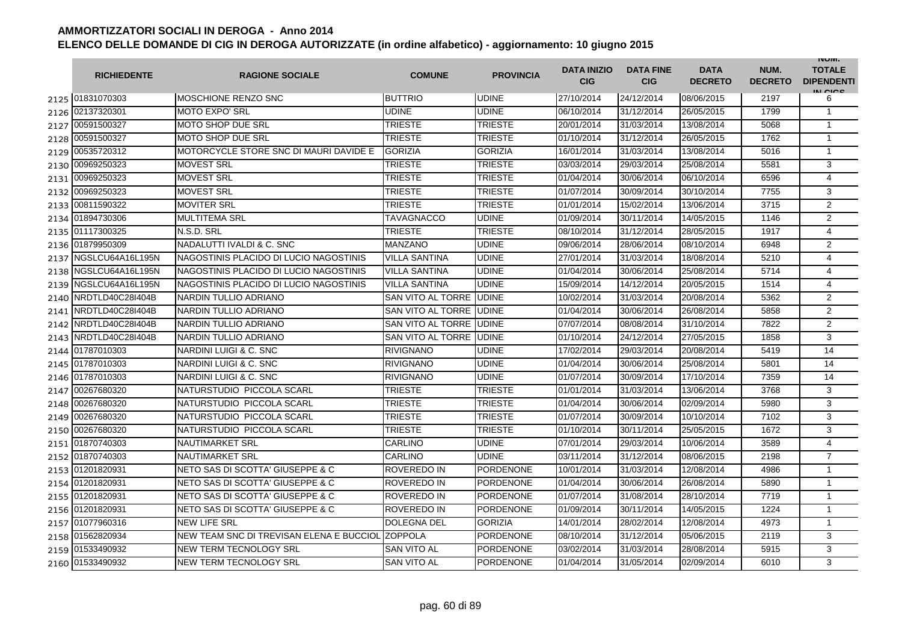|      | <b>RICHIEDENTE</b>    | <b>RAGIONE SOCIALE</b>                   | <b>COMUNE</b>        | <b>PROVINCIA</b> | <b>DATA INIZIO</b><br><b>CIG</b> | <b>DATA FINE</b><br><b>CIG</b> | <b>DATA</b><br><b>DECRETO</b> | NUM.<br><b>DECRETO</b> | <b>INUIVI.</b><br><b>TOTALE</b><br><b>DIPENDENTI</b><br>IN CICS |
|------|-----------------------|------------------------------------------|----------------------|------------------|----------------------------------|--------------------------------|-------------------------------|------------------------|-----------------------------------------------------------------|
|      | 2125 01831070303      | <b>MOSCHIONE RENZO SNC</b>               | <b>BUTTRIO</b>       | <b>UDINE</b>     | 27/10/2014                       | 24/12/2014                     | 08/06/2015                    | 2197                   | 6                                                               |
|      | 2126 02137320301      | <b>MOTO EXPO' SRL</b>                    | UDINE                | <b>UDINE</b>     | 06/10/2014                       | 31/12/2014                     | 26/05/2015                    | 1799                   | $\mathbf{1}$                                                    |
|      | 2127 00591500327      | <b>MOTO SHOP DUE SRL</b>                 | <b>TRIESTE</b>       | <b>TRIESTE</b>   | 20/01/2014                       | 31/03/2014                     | 13/08/2014                    | 5068                   | $\mathbf{1}$                                                    |
|      | 2128 00591500327      | <b>MOTO SHOP DUE SRL</b>                 | <b>TRIESTE</b>       | <b>TRIESTE</b>   | 01/10/2014                       | 31/12/2014                     | 26/05/2015                    | 1762                   | $\mathbf{1}$                                                    |
|      | 2129 00535720312      | MOTORCYCLE STORE SNC DI MAURI DAVIDE E   | <b>GORIZIA</b>       | <b>GORIZIA</b>   | 16/01/2014                       | 31/03/2014                     | 13/08/2014                    | 5016                   | $\mathbf{1}$                                                    |
|      | 2130 00969250323      | <b>MOVEST SRL</b>                        | <b>TRIESTE</b>       | <b>TRIESTE</b>   | 03/03/2014                       | 29/03/2014                     | 25/08/2014                    | 5581                   | 3                                                               |
| 2131 | 00969250323           | <b>MOVEST SRL</b>                        | <b>TRIESTE</b>       | <b>TRIESTE</b>   | 01/04/2014                       | 30/06/2014                     | 06/10/2014                    | 6596                   | 4                                                               |
| 2132 | 00969250323           | <b>MOVEST SRL</b>                        | <b>TRIESTE</b>       | <b>TRIESTE</b>   | 01/07/2014                       | 30/09/2014                     | 30/10/2014                    | 7755                   | 3                                                               |
|      | 2133 00811590322      | <b>MOVITER SRL</b>                       | <b>TRIESTE</b>       | <b>TRIESTE</b>   | 01/01/2014                       | 15/02/2014                     | 13/06/2014                    | 3715                   | $\overline{2}$                                                  |
| 2134 | 01894730306           | <b>MULTITEMA SRL</b>                     | <b>TAVAGNACCO</b>    | <b>UDINE</b>     | 01/09/2014                       | 30/11/2014                     | 14/05/2015                    | 1146                   | 2                                                               |
| 2135 | 01117300325           | N.S.D. SRL                               | TRIESTE              | <b>TRIESTE</b>   | 08/10/2014                       | 31/12/2014                     | 28/05/2015                    | 1917                   | 4                                                               |
|      | 2136 01879950309      | NADALUTTI IVALDI & C. SNC                | MANZANO              | <b>UDINE</b>     | 09/06/2014                       | 28/06/2014                     | 08/10/2014                    | 6948                   | $\overline{2}$                                                  |
|      | 2137 NGSLCU64A16L195N | NAGOSTINIS PLACIDO DI LUCIO NAGOSTINIS   | <b>VILLA SANTINA</b> | <b>UDINE</b>     | 27/01/2014                       | 31/03/2014                     | 18/08/2014                    | 5210                   | $\overline{4}$                                                  |
| 2138 | NGSLCU64A16L195N      | NAGOSTINIS PLACIDO DI LUCIO NAGOSTINIS   | VILLA SANTINA        | <b>UDINE</b>     | 01/04/2014                       | 30/06/2014                     | 25/08/2014                    | 5714                   | 4                                                               |
| 2139 | NGSLCU64A16L195N      | NAGOSTINIS PLACIDO DI LUCIO NAGOSTINIS   | VILLA SANTINA        | <b>UDINE</b>     | 15/09/2014                       | 14/12/2014                     | 20/05/2015                    | 1514                   | 4                                                               |
| 2140 | NRDTLD40C28I404B      | <b>NARDIN TULLIO ADRIANO</b>             | SAN VITO AL TORRE    | <b>UDINE</b>     | 10/02/2014                       | 31/03/2014                     | 20/08/2014                    | 5362                   | $\overline{2}$                                                  |
| 2141 | NRDTLD40C28I404B      | <b>NARDIN TULLIO ADRIANO</b>             | SAN VITO AL TORRE    | <b>UDINE</b>     | 01/04/2014                       | 30/06/2014                     | 26/08/2014                    | 5858                   | 2                                                               |
| 2142 | NRDTLD40C28I404B      | <b>NARDIN TULLIO ADRIANO</b>             | SAN VITO AL TORRE    | <b>UDINE</b>     | 07/07/2014                       | 08/08/2014                     | 31/10/2014                    | 7822                   | $\overline{2}$                                                  |
|      | 2143 NRDTLD40C28I404B | <b>NARDIN TULLIO ADRIANO</b>             | SAN VITO AL TORRE    | <b>UDINE</b>     | 01/10/2014                       | 24/12/2014                     | 27/05/2015                    | 1858                   | 3                                                               |
| 2144 | 01787010303           | NARDINI LUIGI & C. SNC                   | <b>RIVIGNANO</b>     | <b>UDINE</b>     | 17/02/2014                       | 29/03/2014                     | 20/08/2014                    | 5419                   | 14                                                              |
| 2145 | 01787010303           | NARDINI LUIGI & C. SNC                   | <b>RIVIGNANO</b>     | <b>UDINE</b>     | 01/04/2014                       | 30/06/2014                     | 25/08/2014                    | 5801                   | 14                                                              |
|      | 2146 01787010303      | NARDINI LUIGI & C. SNC                   | <b>RIVIGNANO</b>     | <b>UDINE</b>     | 01/07/2014                       | 30/09/2014                     | 17/10/2014                    | 7359                   | 14                                                              |
| 2147 | 00267680320           | NATURSTUDIO PICCOLA SCARL                | TRIESTE              | <b>TRIESTE</b>   | 01/01/2014                       | 31/03/2014                     | 13/06/2014                    | 3768                   | 3                                                               |
|      | 2148 00267680320      | NATURSTUDIO PICCOLA SCARL                | TRIESTE              | <b>TRIESTE</b>   | 01/04/2014                       | 30/06/2014                     | 02/09/2014                    | 5980                   | 3                                                               |
|      | 2149 00267680320      | NATURSTUDIO PICCOLA SCARL                | <b>TRIESTE</b>       | <b>TRIESTE</b>   | 01/07/2014                       | 30/09/2014                     | 10/10/2014                    | 7102                   | 3                                                               |
|      | 2150 00267680320      | NATURSTUDIO PICCOLA SCARL                | <b>TRIESTE</b>       | <b>TRIESTE</b>   | 01/10/2014                       | 30/11/2014                     | 25/05/2015                    | 1672                   | 3                                                               |
|      | 2151 01870740303      | <b>NAUTIMARKET SRL</b>                   | CARLINO              | <b>UDINE</b>     | 07/01/2014                       | 29/03/2014                     | 10/06/2014                    | 3589                   | 4                                                               |
|      | 2152 01870740303      | <b>NAUTIMARKET SRL</b>                   | CARLINO              | <b>UDINE</b>     | 03/11/2014                       | 31/12/2014                     | 08/06/2015                    | 2198                   | $\overline{7}$                                                  |
|      | 2153 01201820931      | NETO SAS DI SCOTTA' GIUSEPPE & C         | ROVEREDO IN          | <b>PORDENONE</b> | 10/01/2014                       | 31/03/2014                     | 12/08/2014                    | 4986                   | $\mathbf{1}$                                                    |
|      | 2154 01201820931      | NETO SAS DI SCOTTA' GIUSEPPE & C         | ROVEREDO IN          | <b>PORDENONE</b> | 01/04/2014                       | 30/06/2014                     | 26/08/2014                    | 5890                   | $\mathbf{1}$                                                    |
|      | 2155 01201820931      | NETO SAS DI SCOTTA' GIUSEPPE & C         | ROVEREDO IN          | <b>PORDENONE</b> | 01/07/2014                       | 31/08/2014                     | 28/10/2014                    | 7719                   | $\mathbf{1}$                                                    |
|      | 2156 01201820931      | NETO SAS DI SCOTTA' GIUSEPPE & C         | ROVEREDO IN          | <b>PORDENONE</b> | 01/09/2014                       | 30/11/2014                     | 14/05/2015                    | 1224                   | $\mathbf{1}$                                                    |
|      | 2157 01077960316      | <b>NEW LIFE SRL</b>                      | <b>DOLEGNA DEL</b>   | <b>GORIZIA</b>   | 14/01/2014                       | 28/02/2014                     | 12/08/2014                    | 4973                   | $\mathbf{1}$                                                    |
|      | 2158 01562820934      | NEW TEAM SNC DI TREVISAN ELENA E BUCCIOL | <b>ZOPPOLA</b>       | <b>PORDENONE</b> | 08/10/2014                       | 31/12/2014                     | 05/06/2015                    | 2119                   | 3                                                               |
|      | 2159 01533490932      | NEW TERM TECNOLOGY SRL                   | SAN VITO AL          | <b>PORDENONE</b> | 03/02/2014                       | 31/03/2014                     | 28/08/2014                    | 5915                   | 3                                                               |
|      | 2160 01533490932      | NEW TERM TECNOLOGY SRL                   | <b>SAN VITO AL</b>   | <b>PORDENONE</b> | 01/04/2014                       | 31/05/2014                     | 02/09/2014                    | 6010                   | 3                                                               |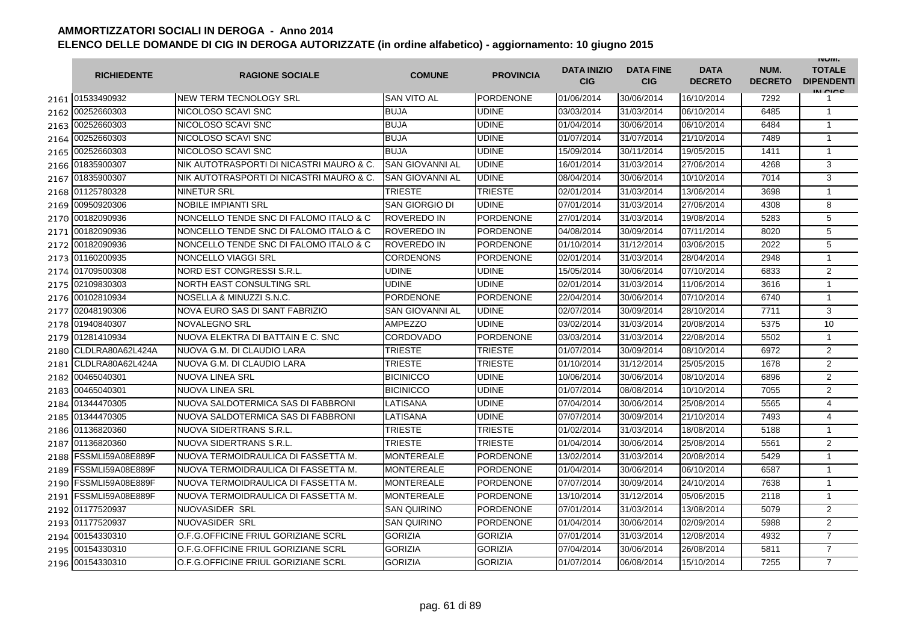|      | <b>RICHIEDENTE</b> | <b>RAGIONE SOCIALE</b>                   | <b>COMUNE</b>          | <b>PROVINCIA</b> | <b>DATA INIZIO</b><br><b>CIG</b> | <b>DATA FINE</b><br><b>CIG</b> | <b>DATA</b><br><b>DECRETO</b> | NUM.<br><b>DECRETO</b> | <b>INUIVI.</b><br><b>TOTALE</b><br><b>DIPENDENTI</b><br>IN CIGO |
|------|--------------------|------------------------------------------|------------------------|------------------|----------------------------------|--------------------------------|-------------------------------|------------------------|-----------------------------------------------------------------|
|      | 2161 01533490932   | INEW TERM TECNOLOGY SRL                  | <b>SAN VITO AL</b>     | <b>PORDENONE</b> | 01/06/2014                       | 30/06/2014                     | 16/10/2014                    | 7292                   | 1                                                               |
| 2162 | 00252660303        | NICOLOSO SCAVI SNC                       | <b>BUJA</b>            | <b>UDINE</b>     | 03/03/2014                       | 31/03/2014                     | 06/10/2014                    | 6485                   | $\mathbf{1}$                                                    |
| 2163 | 00252660303        | NICOLOSO SCAVI SNC                       | <b>BUJA</b>            | <b>UDINE</b>     | 01/04/2014                       | 30/06/2014                     | 06/10/2014                    | 6484                   | $\mathbf{1}$                                                    |
| 2164 | 00252660303        | NICOLOSO SCAVI SNC                       | <b>BUJA</b>            | <b>UDINE</b>     | 01/07/2014                       | 31/07/2014                     | 21/10/2014                    | 7489                   | $\mathbf{1}$                                                    |
| 2165 | 00252660303        | NICOLOSO SCAVI SNC                       | <b>BUJA</b>            | <b>UDINE</b>     | 15/09/2014                       | 30/11/2014                     | 19/05/2015                    | 1411                   | $\mathbf{1}$                                                    |
| 2166 | 01835900307        | NIK AUTOTRASPORTI DI NICASTRI MAURO & C. | <b>SAN GIOVANNI AL</b> | <b>UDINE</b>     | 16/01/2014                       | 31/03/2014                     | 27/06/2014                    | 4268                   | 3                                                               |
| 2167 | 01835900307        | NIK AUTOTRASPORTI DI NICASTRI MAURO & C. | <b>SAN GIOVANNI AL</b> | <b>UDINE</b>     | 08/04/2014                       | 30/06/2014                     | 10/10/2014                    | 7014                   | 3                                                               |
| 2168 | 01125780328        | <b>NINETUR SRL</b>                       | <b>TRIESTE</b>         | <b>TRIESTE</b>   | 02/01/2014                       | 31/03/2014                     | 13/06/2014                    | 3698                   | $\mathbf{1}$                                                    |
| 2169 | 00950920306        | <b>NOBILE IMPIANTI SRL</b>               | <b>SAN GIORGIO DI</b>  | <b>UDINE</b>     | 07/01/2014                       | 31/03/2014                     | 27/06/2014                    | 4308                   | 8                                                               |
| 2170 | 00182090936        | NONCELLO TENDE SNC DI FALOMO ITALO & C   | <b>ROVEREDO IN</b>     | PORDENONE        | 27/01/2014                       | 31/03/2014                     | 19/08/2014                    | 5283                   | 5                                                               |
| 2171 | 00182090936        | NONCELLO TENDE SNC DI FALOMO ITALO & C   | <b>ROVEREDO IN</b>     | <b>PORDENONE</b> | 04/08/2014                       | 30/09/2014                     | 07/11/2014                    | 8020                   | 5                                                               |
| 2172 | 00182090936        | NONCELLO TENDE SNC DI FALOMO ITALO & C   | <b>ROVEREDO IN</b>     | <b>PORDENONE</b> | 01/10/2014                       | 31/12/2014                     | 03/06/2015                    | 2022                   | 5                                                               |
| 2173 | 01160200935        | NONCELLO VIAGGI SRL                      | <b>CORDENONS</b>       | <b>PORDENONE</b> | 02/01/2014                       | 31/03/2014                     | 28/04/2014                    | 2948                   | $\mathbf{1}$                                                    |
| 2174 | 01709500308        | NORD EST CONGRESSI S.R.L                 | <b>UDINE</b>           | <b>UDINE</b>     | 15/05/2014                       | 30/06/2014                     | 07/10/2014                    | 6833                   | $\overline{2}$                                                  |
| 2175 | 02109830303        | NORTH EAST CONSULTING SRL                | <b>UDINE</b>           | <b>UDINE</b>     | 02/01/2014                       | 31/03/2014                     | 11/06/2014                    | 3616                   | $\mathbf{1}$                                                    |
| 2176 | 00102810934        | NOSELLA & MINUZZI S.N.C.                 | <b>PORDENONE</b>       | <b>PORDENONE</b> | 22/04/2014                       | 30/06/2014                     | 07/10/2014                    | 6740                   | $\mathbf{1}$                                                    |
| 2177 | 02048190306        | NOVA EURO SAS DI SANT FABRIZIO           | SAN GIOVANNI AL        | <b>UDINE</b>     | 02/07/2014                       | 30/09/2014                     | 28/10/2014                    | 7711                   | 3                                                               |
| 2178 | 01940840307        | NOVALEGNO SRL                            | <b>AMPEZZO</b>         | <b>UDINE</b>     | 03/02/2014                       | 31/03/2014                     | 20/08/2014                    | 5375                   | 10                                                              |
| 2179 | 01281410934        | NUOVA ELEKTRA DI BATTAIN E C. SNC        | <b>CORDOVADO</b>       | <b>PORDENONE</b> | 03/03/2014                       | 31/03/2014                     | 22/08/2014                    | 5502                   | $\mathbf{1}$                                                    |
| 2180 | CLDLRA80A62L424A   | NUOVA G.M. DI CLAUDIO LARA               | <b>TRIESTE</b>         | <b>TRIESTE</b>   | 01/07/2014                       | 30/09/2014                     | 08/10/2014                    | 6972                   | $\overline{2}$                                                  |
| 2181 | CLDLRA80A62L424A   | NUOVA G.M. DI CLAUDIO LARA               | <b>TRIESTE</b>         | <b>TRIESTE</b>   | 01/10/2014                       | 31/12/2014                     | 25/05/2015                    | 1678                   | $\overline{2}$                                                  |
| 2182 | 00465040301        | <b>NUOVA LINEA SRL</b>                   | <b>BICINICCO</b>       | <b>UDINE</b>     | 10/06/2014                       | 30/06/2014                     | 08/10/2014                    | 6896                   | $\overline{2}$                                                  |
| 2183 | 00465040301        | <b>NUOVA LINEA SRL</b>                   | <b>BICINICCO</b>       | <b>UDINE</b>     | 01/07/2014                       | 08/08/2014                     | 10/10/2014                    | 7055                   | $\overline{2}$                                                  |
| 2184 | 01344470305        | NUOVA SALDOTERMICA SAS DI FABBRONI       | LATISANA               | <b>UDINE</b>     | 07/04/2014                       | 30/06/2014                     | 25/08/2014                    | 5565                   | 4                                                               |
| 2185 | 01344470305        | NUOVA SALDOTERMICA SAS DI FABBRONI       | LATISANA               | <b>UDINE</b>     | 07/07/2014                       | 30/09/2014                     | 21/10/2014                    | 7493                   | 4                                                               |
| 2186 | 01136820360        | NUOVA SIDERTRANS S.R.L.                  | <b>TRIESTE</b>         | <b>TRIESTE</b>   | 01/02/2014                       | 31/03/2014                     | 18/08/2014                    | 5188                   | $\mathbf{1}$                                                    |
| 2187 | 01136820360        | NUOVA SIDERTRANS S.R.L.                  | <b>TRIESTE</b>         | <b>TRIESTE</b>   | 01/04/2014                       | 30/06/2014                     | 25/08/2014                    | 5561                   | $\overline{2}$                                                  |
| 2188 | FSSMLI59A08E889F   | NUOVA TERMOIDRAULICA DI FASSETTA M.      | <b>MONTEREALE</b>      | <b>PORDENONE</b> | 13/02/2014                       | 31/03/2014                     | 20/08/2014                    | 5429                   | $\mathbf{1}$                                                    |
| 2189 | FSSMLI59A08E889F   | NUOVA TERMOIDRAULICA DI FASSETTA M.      | <b>MONTEREALE</b>      | <b>PORDENONE</b> | 01/04/2014                       | 30/06/2014                     | 06/10/2014                    | 6587                   | $\mathbf{1}$                                                    |
| 2190 | FSSMLI59A08E889F   | NUOVA TERMOIDRAULICA DI FASSETTA M.      | <b>MONTEREALE</b>      | PORDENONE        | 07/07/2014                       | 30/09/2014                     | 24/10/2014                    | 7638                   | $\mathbf{1}$                                                    |
| 2191 | FSSMLI59A08E889F   | NUOVA TERMOIDRAULICA DI FASSETTA M.      | <b>MONTEREALE</b>      | <b>PORDENONE</b> | 13/10/2014                       | 31/12/2014                     | 05/06/2015                    | 2118                   | $\mathbf{1}$                                                    |
|      | 2192 01177520937   | NUOVASIDER SRL                           | <b>SAN QUIRINO</b>     | <b>PORDENONE</b> | 07/01/2014                       | 31/03/2014                     | 13/08/2014                    | 5079                   | 2                                                               |
| 2193 | 01177520937        | NUOVASIDER SRL                           | <b>SAN QUIRINO</b>     | <b>PORDENONE</b> | 01/04/2014                       | 30/06/2014                     | 02/09/2014                    | 5988                   | $\overline{2}$                                                  |
| 2194 | 00154330310        | O.F.G.OFFICINE FRIUL GORIZIANE SCRL      | <b>GORIZIA</b>         | <b>GORIZIA</b>   | 07/01/2014                       | 31/03/2014                     | 12/08/2014                    | 4932                   | $\overline{7}$                                                  |
| 2195 | 00154330310        | O.F.G.OFFICINE FRIUL GORIZIANE SCRL      | <b>GORIZIA</b>         | <b>GORIZIA</b>   | 07/04/2014                       | 30/06/2014                     | 26/08/2014                    | 5811                   | $\overline{7}$                                                  |
|      | 2196 00154330310   | O.F.G.OFFICINE FRIUL GORIZIANE SCRL      | <b>GORIZIA</b>         | <b>GORIZIA</b>   | 01/07/2014                       | 06/08/2014                     | 15/10/2014                    | 7255                   | $\overline{7}$                                                  |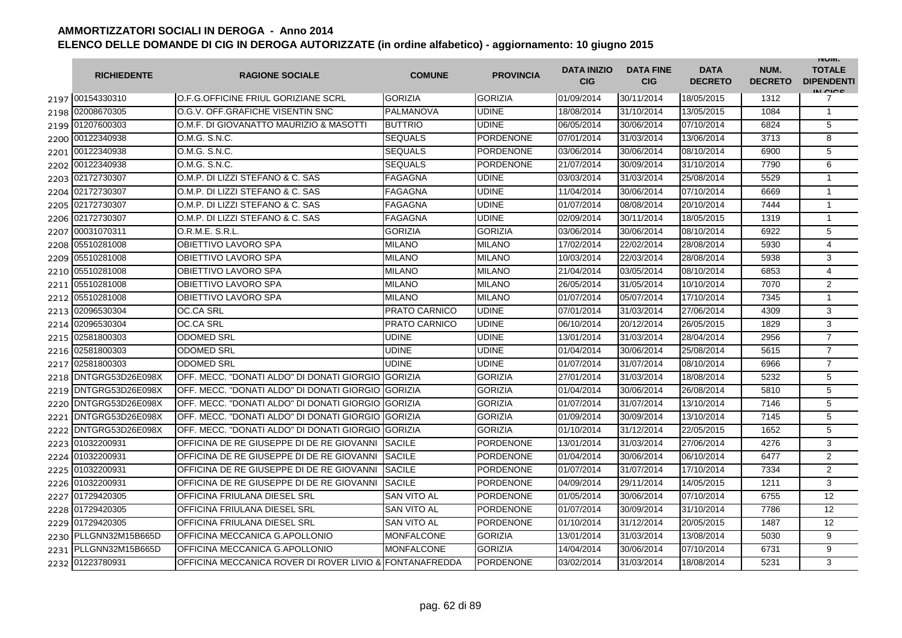|      | <b>RICHIEDENTE</b>    | <b>RAGIONE SOCIALE</b>                                  | <b>COMUNE</b>        | <b>PROVINCIA</b> | <b>DATA INIZIO</b><br><b>CIG</b> | <b>DATA FINE</b><br><b>CIG</b> | <b>DATA</b><br><b>DECRETO</b> | NUM.<br><b>DECRETO</b> | <b>INUIVI.</b><br><b>TOTALE</b><br><b>DIPENDENTI</b><br>IN CICE |
|------|-----------------------|---------------------------------------------------------|----------------------|------------------|----------------------------------|--------------------------------|-------------------------------|------------------------|-----------------------------------------------------------------|
|      | 2197 00154330310      | O.F.G.OFFICINE FRIUL GORIZIANE SCRL                     | <b>GORIZIA</b>       | <b>GORIZIA</b>   | 01/09/2014                       | 30/11/2014                     | 18/05/2015                    | 1312                   | 7                                                               |
|      | 2198 02008670305      | O.G.V. OFF.GRAFICHE VISENTIN SNC                        | PALMANOVA            | <b>UDINE</b>     | 18/08/2014                       | 31/10/2014                     | 13/05/2015                    | 1084                   | $\mathbf{1}$                                                    |
|      | 2199 01207600303      | O.M.F. DI GIOVANATTO MAURIZIO & MASOTTI                 | <b>BUTTRIO</b>       | <b>UDINE</b>     | 06/05/2014                       | 30/06/2014                     | 07/10/2014                    | 6824                   | 5                                                               |
|      | 2200 00122340938      | O.M.G. S.N.C.                                           | <b>SEQUALS</b>       | PORDENONE        | 07/01/2014                       | 31/03/2014                     | 13/06/2014                    | 3713                   | 8                                                               |
|      | 2201 00122340938      | O.M.G. S.N.C.                                           | <b>SEQUALS</b>       | <b>PORDENONE</b> | 03/06/2014                       | 30/06/2014                     | 08/10/2014                    | 6900                   | 5                                                               |
|      | 2202 00122340938      | O.M.G. S.N.C.                                           | <b>SEQUALS</b>       | <b>PORDENONE</b> | 21/07/2014                       | 30/09/2014                     | 31/10/2014                    | 7790                   | 6                                                               |
|      | 2203 02172730307      | O.M.P. DI LIZZI STEFANO & C. SAS                        | <b>FAGAGNA</b>       | <b>UDINE</b>     | 03/03/2014                       | 31/03/2014                     | 25/08/2014                    | 5529                   | 1                                                               |
|      | 2204 02172730307      | O.M.P. DI LIZZI STEFANO & C. SAS                        | <b>FAGAGNA</b>       | <b>UDINE</b>     | 11/04/2014                       | 30/06/2014                     | 07/10/2014                    | 6669                   | $\mathbf{1}$                                                    |
|      | 2205 02172730307      | O.M.P. DI LIZZI STEFANO & C. SAS                        | <b>FAGAGNA</b>       | <b>UDINE</b>     | 01/07/2014                       | 08/08/2014                     | 20/10/2014                    | 7444                   | $\mathbf{1}$                                                    |
| 2206 | 02172730307           | O.M.P. DI LIZZI STEFANO & C. SAS                        | <b>FAGAGNA</b>       | <b>UDINE</b>     | 02/09/2014                       | 30/11/2014                     | 18/05/2015                    | 1319                   | $\mathbf{1}$                                                    |
| 2207 | 00031070311           | O.R.M.E. S.R.L.                                         | <b>GORIZIA</b>       | <b>GORIZIA</b>   | 03/06/2014                       | 30/06/2014                     | 08/10/2014                    | 6922                   | 5                                                               |
| 2208 | 05510281008           | OBIETTIVO LAVORO SPA                                    | MILANO               | <b>MILANO</b>    | 17/02/2014                       | 22/02/2014                     | 28/08/2014                    | 5930                   | 4                                                               |
| 2209 | 05510281008           | OBIETTIVO LAVORO SPA                                    | MILANO               | <b>MILANO</b>    | 10/03/2014                       | 22/03/2014                     | 28/08/2014                    | 5938                   | 3                                                               |
| 2210 | 05510281008           | OBIETTIVO LAVORO SPA                                    | MILANO               | <b>MILANO</b>    | 21/04/2014                       | 03/05/2014                     | 08/10/2014                    | 6853                   | 4                                                               |
| 2211 | 05510281008           | OBIETTIVO LAVORO SPA                                    | MILANO               | <b>MILANO</b>    | 26/05/2014                       | 31/05/2014                     | 10/10/2014                    | 7070                   | 2                                                               |
| 2212 | 05510281008           | OBIETTIVO LAVORO SPA                                    | <b>MILANO</b>        | <b>MILANO</b>    | 01/07/2014                       | 05/07/2014                     | 17/10/2014                    | 7345                   | $\mathbf{1}$                                                    |
| 2213 | 02096530304           | <b>OC.CA SRL</b>                                        | PRATO CARNICO        | <b>UDINE</b>     | 07/01/2014                       | 31/03/2014                     | 27/06/2014                    | 4309                   | 3                                                               |
| 2214 | 02096530304           | <b>OC.CA SRL</b>                                        | <b>PRATO CARNICO</b> | <b>UDINE</b>     | 06/10/2014                       | 20/12/2014                     | 26/05/2015                    | 1829                   | 3                                                               |
|      | 2215 02581800303      | <b>ODOMED SRL</b>                                       | UDINE                | <b>UDINE</b>     | 13/01/2014                       | 31/03/2014                     | 28/04/2014                    | 2956                   | $\overline{7}$                                                  |
| 2216 | 02581800303           | <b>ODOMED SRL</b>                                       | UDINE                | <b>UDINE</b>     | 01/04/2014                       | 30/06/2014                     | 25/08/2014                    | 5615                   | $\overline{7}$                                                  |
| 2217 | 02581800303           | <b>ODOMED SRL</b>                                       | <b>UDINE</b>         | <b>UDINE</b>     | 01/07/2014                       | 31/07/2014                     | 08/10/2014                    | 6966                   | $\overline{7}$                                                  |
| 2218 | DNTGRG53D26E098X      | OFF. MECC. "DONATI ALDO" DI DONATI GIORGIO IGORIZIA     |                      | <b>GORIZIA</b>   | 27/01/2014                       | 31/03/2014                     | 18/08/2014                    | 5232                   | 5                                                               |
| 2219 | DNTGRG53D26E098X      | OFF. MECC. "DONATI ALDO" DI DONATI GIORGIO GORIZIA      |                      | <b>GORIZIA</b>   | 01/04/2014                       | 30/06/2014                     | 26/08/2014                    | 5810                   | 5                                                               |
| 2220 | DNTGRG53D26E098X      | OFF. MECC. "DONATI ALDO" DI DONATI GIORGIO GORIZIA      |                      | <b>GORIZIA</b>   | 01/07/2014                       | 31/07/2014                     | 13/10/2014                    | 7146                   | 5                                                               |
| 2221 | DNTGRG53D26E098X      | OFF, MECC. "DONATI ALDO" DI DONATI GIORGIO              | <b>GORIZIA</b>       | <b>GORIZIA</b>   | 01/09/2014                       | 30/09/2014                     | 13/10/2014                    | 7145                   | 5                                                               |
| 2222 | DNTGRG53D26E098X      | OFF, MECC. "DONATI ALDO" DI DONATI GIORGIO              | <b>GORIZIA</b>       | <b>GORIZIA</b>   | 01/10/2014                       | 31/12/2014                     | 22/05/2015                    | 1652                   | 5                                                               |
| 2223 | 01032200931           | OFFICINA DE RE GIUSEPPE DI DE RE GIOVANNI               | <b>SACILE</b>        | <b>PORDENONE</b> | 13/01/2014                       | 31/03/2014                     | 27/06/2014                    | 4276                   | 3                                                               |
| 2224 | 01032200931           | OFFICINA DE RE GIUSEPPE DI DE RE GIOVANNI               | <b>SACILE</b>        | <b>PORDENONE</b> | 01/04/2014                       | 30/06/2014                     | 06/10/2014                    | 6477                   | 2                                                               |
| 2225 | 01032200931           | OFFICINA DE RE GIUSEPPE DI DE RE GIOVANNI               | <b>SACILE</b>        | <b>PORDENONE</b> | 01/07/2014                       | 31/07/2014                     | 17/10/2014                    | 7334                   | 2                                                               |
|      | 2226 01032200931      | OFFICINA DE RE GIUSEPPE DI DE RE GIOVANNI               | <b>SACILE</b>        | <b>PORDENONE</b> | 04/09/2014                       | 29/11/2014                     | 14/05/2015                    | 1211                   | 3                                                               |
| 2227 | 01729420305           | OFFICINA FRIULANA DIESEL SRL                            | <b>SAN VITO AL</b>   | PORDENONE        | 01/05/2014                       | 30/06/2014                     | 07/10/2014                    | 6755                   | 12                                                              |
|      | 2228 01729420305      | OFFICINA FRIULANA DIESEL SRL                            | <b>SAN VITO AL</b>   | <b>PORDENONE</b> | 01/07/2014                       | 30/09/2014                     | 31/10/2014                    | 7786                   | 12                                                              |
|      | 2229 01729420305      | OFFICINA FRIULANA DIESEL SRL                            | <b>SAN VITO AL</b>   | <b>PORDENONE</b> | 01/10/2014                       | 31/12/2014                     | 20/05/2015                    | 1487                   | 12                                                              |
|      | 2230 PLLGNN32M15B665D | OFFICINA MECCANICA G.APOLLONIO                          | <b>MONFALCONE</b>    | <b>GORIZIA</b>   | 13/01/2014                       | 31/03/2014                     | 13/08/2014                    | 5030                   | 9                                                               |
| 2231 | PLLGNN32M15B665D      | OFFICINA MECCANICA G.APOLLONIO                          | <b>MONFALCONE</b>    | <b>GORIZIA</b>   | 14/04/2014                       | 30/06/2014                     | 07/10/2014                    | 6731                   | 9                                                               |
|      | 2232 01223780931      | OFFICINA MECCANICA ROVER DI ROVER LIVIO & FONTANAFREDDA |                      | <b>PORDENONE</b> | 03/02/2014                       | 31/03/2014                     | 18/08/2014                    | 5231                   | 3                                                               |

C. S.N.C.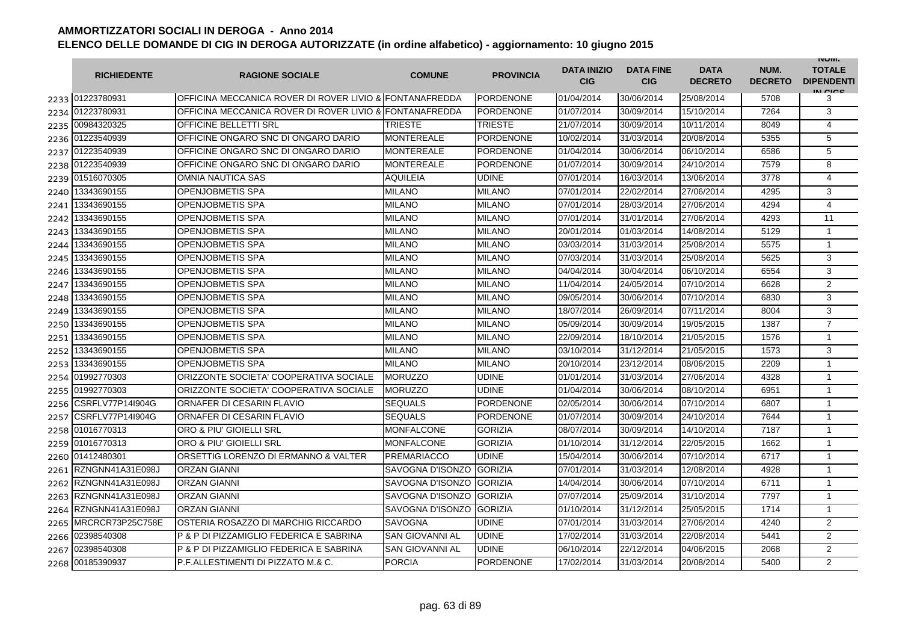|      | <b>RICHIEDENTE</b>    | <b>RAGIONE SOCIALE</b>                                  | <b>COMUNE</b>          | <b>PROVINCIA</b> | <b>DATA INIZIO</b><br><b>CIG</b> | <b>DATA FINE</b><br><b>CIG</b> | <b>DATA</b><br><b>DECRETO</b> | NUM.<br><b>DECRETO</b> | <b>INUIVI.</b><br><b>TOTALE</b><br><b>DIPENDENTI</b><br>IN CICE |
|------|-----------------------|---------------------------------------------------------|------------------------|------------------|----------------------------------|--------------------------------|-------------------------------|------------------------|-----------------------------------------------------------------|
|      | 2233 01223780931      | OFFICINA MECCANICA ROVER DI ROVER LIVIO & FONTANAFREDDA |                        | <b>PORDENONE</b> | 01/04/2014                       | 30/06/2014                     | 25/08/2014                    | 5708                   | 3                                                               |
|      | 2234 01223780931      | OFFICINA MECCANICA ROVER DI ROVER LIVIO & FONTANAFREDDA |                        | <b>PORDENONE</b> | 01/07/2014                       | 30/09/2014                     | 15/10/2014                    | 7264                   | 3                                                               |
|      | 2235 00984320325      | <b>OFFICINE BELLETTI SRL</b>                            | <b>TRIESTE</b>         | <b>TRIESTE</b>   | 21/07/2014                       | 30/09/2014                     | 10/11/2014                    | 8049                   | $\overline{4}$                                                  |
|      | 2236 01223540939      | OFFICINE ONGARO SNC DI ONGARO DARIO                     | <b>MONTEREALE</b>      | PORDENONE        | 10/02/2014                       | 31/03/2014                     | 20/08/2014                    | 5355                   | 5                                                               |
|      | 2237 01223540939      | OFFICINE ONGARO SNC DI ONGARO DARIO                     | <b>MONTEREALE</b>      | PORDENONE        | 01/04/2014                       | 30/06/2014                     | 06/10/2014                    | 6586                   | 5                                                               |
|      | 2238 01223540939      | OFFICINE ONGARO SNC DI ONGARO DARIO                     | <b>MONTEREALE</b>      | <b>PORDENONE</b> | 01/07/2014                       | 30/09/2014                     | 24/10/2014                    | 7579                   | 8                                                               |
|      | 2239 01516070305      | <b>OMNIA NAUTICA SAS</b>                                | AQUILEIA               | <b>UDINE</b>     | 07/01/2014                       | 16/03/2014                     | 13/06/2014                    | 3778                   | 4                                                               |
| 2240 | 13343690155           | <b>OPENJOBMETIS SPA</b>                                 | <b>MILANO</b>          | <b>MILANO</b>    | 07/01/2014                       | 22/02/2014                     | 27/06/2014                    | 4295                   | 3                                                               |
| 2241 | 13343690155           | <b>OPENJOBMETIS SPA</b>                                 | <b>MILANO</b>          | <b>MILANO</b>    | 07/01/2014                       | 28/03/2014                     | 27/06/2014                    | 4294                   | $\overline{4}$                                                  |
| 2242 | 13343690155           | <b>OPENJOBMETIS SPA</b>                                 | <b>MILANO</b>          | <b>MILANO</b>    | 07/01/2014                       | 31/01/2014                     | 27/06/2014                    | 4293                   | 11                                                              |
| 2243 | 13343690155           | <b>OPENJOBMETIS SPA</b>                                 | <b>MILANO</b>          | <b>MILANO</b>    | 20/01/2014                       | 01/03/2014                     | 14/08/2014                    | 5129                   | 1                                                               |
| 2244 | 13343690155           | <b>OPENJOBMETIS SPA</b>                                 | <b>MILANO</b>          | <b>MILANO</b>    | 03/03/2014                       | 31/03/2014                     | 25/08/2014                    | 5575                   | $\mathbf{1}$                                                    |
| 2245 | 13343690155           | <b>OPENJOBMETIS SPA</b>                                 | <b>MILANO</b>          | <b>MILANO</b>    | 07/03/2014                       | 31/03/2014                     | 25/08/2014                    | 5625                   | 3                                                               |
| 2246 | 13343690155           | <b>OPENJOBMETIS SPA</b>                                 | MILANO                 | <b>MILANO</b>    | 04/04/2014                       | 30/04/2014                     | 06/10/2014                    | 6554                   | 3                                                               |
| 2247 | 13343690155           | <b>OPENJOBMETIS SPA</b>                                 | MILANO                 | <b>MILANO</b>    | 11/04/2014                       | 24/05/2014                     | 07/10/2014                    | 6628                   | 2                                                               |
| 2248 | 13343690155           | <b>OPENJOBMETIS SPA</b>                                 | MILANO                 | <b>MILANO</b>    | 09/05/2014                       | 30/06/2014                     | 07/10/2014                    | 6830                   | 3                                                               |
| 2249 | 13343690155           | OPENJOBMETIS SPA                                        | <b>MILANO</b>          | <b>MILANO</b>    | 18/07/2014                       | 26/09/2014                     | 07/11/2014                    | 8004                   | 3                                                               |
| 2250 | 13343690155           | <b>OPENJOBMETIS SPA</b>                                 | <b>MILANO</b>          | <b>MILANO</b>    | 05/09/2014                       | 30/09/2014                     | 19/05/2015                    | 1387                   | $\overline{7}$                                                  |
| 2251 | 13343690155           | <b>OPENJOBMETIS SPA</b>                                 | <b>MILANO</b>          | <b>MILANO</b>    | 22/09/2014                       | 18/10/2014                     | 21/05/2015                    | 1576                   | $\mathbf{1}$                                                    |
|      | 2252 13343690155      | <b>OPENJOBMETIS SPA</b>                                 | <b>MILANO</b>          | <b>MILANO</b>    | 03/10/2014                       | 31/12/2014                     | 21/05/2015                    | 1573                   | 3                                                               |
|      | 2253 13343690155      | <b>OPENJOBMETIS SPA</b>                                 | <b>MILANO</b>          | <b>MILANO</b>    | 20/10/2014                       | 23/12/2014                     | 08/06/2015                    | 2209                   | $\mathbf{1}$                                                    |
|      | 2254 01992770303      | ORIZZONTE SOCIETA' COOPERATIVA SOCIALE                  | <b>MORUZZO</b>         | <b>UDINE</b>     | 01/01/2014                       | 31/03/2014                     | 27/06/2014                    | 4328                   | $\mathbf{1}$                                                    |
|      | 2255 01992770303      | ORIZZONTE SOCIETA' COOPERATIVA SOCIALE                  | <b>MORUZZO</b>         | <b>UDINE</b>     | 01/04/2014                       | 30/06/2014                     | 08/10/2014                    | 6951                   | $\mathbf{1}$                                                    |
| 2256 | CSRFLV77P14I904G      | ORNAFER DI CESARIN FLAVIO                               | <b>SEQUALS</b>         | <b>PORDENONE</b> | 02/05/2014                       | 30/06/2014                     | 07/10/2014                    | 6807                   | 1                                                               |
| 2257 | CSRFLV77P14I904G      | ORNAFER DI CESARIN FLAVIO                               | <b>SEQUALS</b>         | <b>PORDENONE</b> | 01/07/2014                       | 30/09/2014                     | 24/10/2014                    | 7644                   | $\mathbf{1}$                                                    |
| 2258 | 01016770313           | ORO & PIU' GIOIELLI SRL                                 | MONFALCONE             | <b>GORIZIA</b>   | 08/07/2014                       | 30/09/2014                     | 14/10/2014                    | 7187                   | $\mathbf{1}$                                                    |
| 2259 | 01016770313           | ORO & PIU' GIOIELLI SRL                                 | MONFALCONE             | <b>GORIZIA</b>   | 01/10/2014                       | 31/12/2014                     | 22/05/2015                    | 1662                   | $\mathbf{1}$                                                    |
|      | 2260 01412480301      | ORSETTIG LORENZO DI ERMANNO & VALTER                    | <b>PREMARIACCO</b>     | <b>UDINE</b>     | 15/04/2014                       | 30/06/2014                     | 07/10/2014                    | 6717                   | $\mathbf{1}$                                                    |
| 2261 | RZNGNN41A31E098J      | <b>ORZAN GIANNI</b>                                     | SAVOGNA D'ISONZO       | <b>GORIZIA</b>   | 07/01/2014                       | 31/03/2014                     | 12/08/2014                    | 4928                   | $\mathbf{1}$                                                    |
| 2262 | RZNGNN41A31E098J      | <b>ORZAN GIANNI</b>                                     | SAVOGNA D'ISONZO       | <b>GORIZIA</b>   | 14/04/2014                       | 30/06/2014                     | 07/10/2014                    | 6711                   | $\mathbf{1}$                                                    |
| 2263 | RZNGNN41A31E098J      | <b>ORZAN GIANNI</b>                                     | SAVOGNA D'ISONZO       | <b>GORIZIA</b>   | 07/07/2014                       | 25/09/2014                     | 31/10/2014                    | 7797                   | 1                                                               |
|      | 2264 RZNGNN41A31E098J | <b>ORZAN GIANNI</b>                                     | SAVOGNA D'ISONZO       | <b>GORIZIA</b>   | 01/10/2014                       | 31/12/2014                     | 25/05/2015                    | 1714                   | $\mathbf{1}$                                                    |
| 2265 | MRCRCR73P25C758E      | OSTERIA ROSAZZO DI MARCHIG RICCARDO                     | <b>SAVOGNA</b>         | <b>UDINE</b>     | 07/01/2014                       | 31/03/2014                     | 27/06/2014                    | 4240                   | $\overline{2}$                                                  |
|      | 2266 02398540308      | P & P DI PIZZAMIGLIO FEDERICA E SABRINA                 | <b>SAN GIOVANNI AL</b> | <b>UDINE</b>     | 17/02/2014                       | 31/03/2014                     | 22/08/2014                    | 5441                   | $\overline{2}$                                                  |
| 2267 | 02398540308           | P & P DI PIZZAMIGLIO FEDERICA E SABRINA                 | <b>SAN GIOVANNI AL</b> | <b>UDINE</b>     | 06/10/2014                       | 22/12/2014                     | 04/06/2015                    | 2068                   | $\overline{2}$                                                  |
|      | 2268 00185390937      | P.F.ALLESTIMENTI DI PIZZATO M.& C.                      | <b>PORCIA</b>          | <b>PORDENONE</b> | 17/02/2014                       | 31/03/2014                     | 20/08/2014                    | 5400                   | $\overline{2}$                                                  |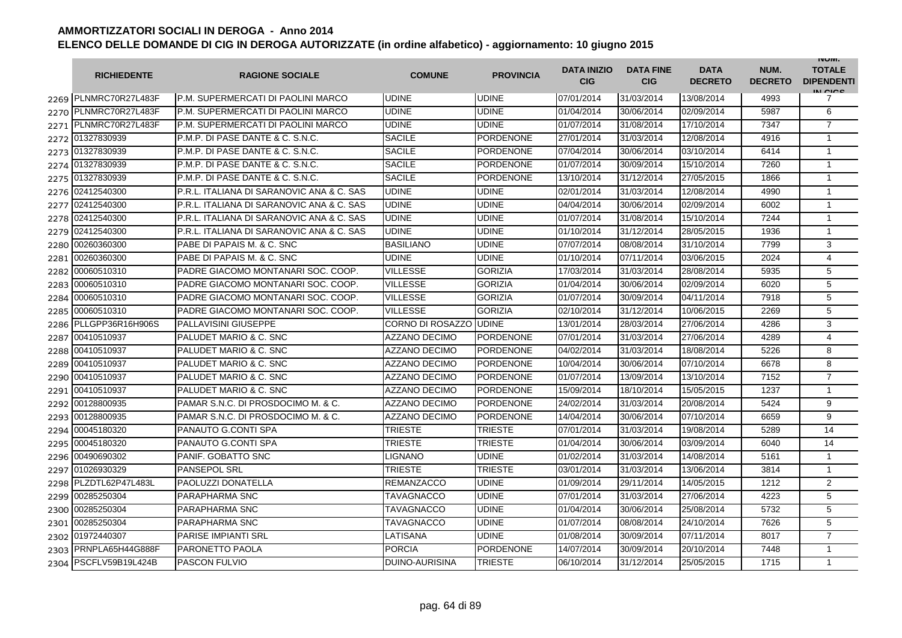|      | <b>RICHIEDENTE</b>    | <b>RAGIONE SOCIALE</b>                    | <b>COMUNE</b>         | <b>PROVINCIA</b> | <b>DATA INIZIO</b><br><b>CIG</b> | <b>DATA FINE</b><br><b>CIG</b> | <b>DATA</b><br><b>DECRETO</b> | NUM.<br><b>DECRETO</b> | <b>INUIVI.</b><br><b>TOTALE</b><br><b>DIPENDENTI</b><br>IN CIGO |
|------|-----------------------|-------------------------------------------|-----------------------|------------------|----------------------------------|--------------------------------|-------------------------------|------------------------|-----------------------------------------------------------------|
|      | 2269 PLNMRC70R27L483F | IP.M. SUPERMERCATI DI PAOLINI MARCO       | <b>UDINE</b>          | <b>UDINE</b>     | 07/01/2014                       | 31/03/2014                     | 13/08/2014                    | 4993                   | 7                                                               |
|      | 2270 PLNMRC70R27L483F | P.M. SUPERMERCATI DI PAOLINI MARCO        | <b>UDINE</b>          | <b>UDINE</b>     | 01/04/2014                       | 30/06/2014                     | 02/09/2014                    | 5987                   | 6                                                               |
|      | 2271 PLNMRC70R27L483F | P.M. SUPERMERCATI DI PAOLINI MARCO        | <b>UDINE</b>          | <b>UDINE</b>     | 01/07/2014                       | 31/08/2014                     | 17/10/2014                    | 7347                   | $\overline{7}$                                                  |
|      | 2272 01327830939      | P.M.P. DI PASE DANTE & C. S.N.C.          | <b>SACILE</b>         | PORDENONE        | 27/01/2014                       | 31/03/2014                     | 12/08/2014                    | 4916                   | 1                                                               |
|      | 2273 01327830939      | P.M.P. DI PASE DANTE & C. S.N.C.          | <b>SACILE</b>         | <b>PORDENONE</b> | 07/04/2014                       | 30/06/2014                     | 03/10/2014                    | 6414                   | $\mathbf{1}$                                                    |
|      | 2274 01327830939      | P.M.P. DI PASE DANTE & C. S.N.C.          | <b>SACILE</b>         | <b>PORDENONE</b> | 01/07/2014                       | 30/09/2014                     | 15/10/2014                    | 7260                   | $\mathbf{1}$                                                    |
|      | 2275 01327830939      | P.M.P. DI PASE DANTE & C. S.N.C.          | <b>SACILE</b>         | <b>PORDENONE</b> | 13/10/2014                       | 31/12/2014                     | 27/05/2015                    | 1866                   | $\mathbf{1}$                                                    |
|      | 2276 02412540300      | P.R.L. ITALIANA DI SARANOVIC ANA & C. SAS | <b>UDINE</b>          | <b>UDINE</b>     | 02/01/2014                       | 31/03/2014                     | 12/08/2014                    | 4990                   | $\mathbf{1}$                                                    |
| 2277 | 02412540300           | P.R.L. ITALIANA DI SARANOVIC ANA & C. SAS | <b>UDINE</b>          | <b>UDINE</b>     | 04/04/2014                       | 30/06/2014                     | 02/09/2014                    | 6002                   | $\mathbf{1}$                                                    |
|      | 2278 02412540300      | P.R.L. ITALIANA DI SARANOVIC ANA & C. SAS | <b>UDINE</b>          | <b>UDINE</b>     | 01/07/2014                       | 31/08/2014                     | 15/10/2014                    | 7244                   | $\mathbf{1}$                                                    |
| 2279 | 02412540300           | P.R.L. ITALIANA DI SARANOVIC ANA & C. SAS | <b>UDINE</b>          | <b>UDINE</b>     | 01/10/2014                       | 31/12/2014                     | 28/05/2015                    | 1936                   | $\mathbf{1}$                                                    |
| 2280 | 00260360300           | PABE DI PAPAIS M. & C. SNC                | <b>BASILIANO</b>      | <b>UDINE</b>     | 07/07/2014                       | 08/08/2014                     | 31/10/2014                    | 7799                   | 3                                                               |
| 2281 | 00260360300           | PABE DI PAPAIS M. & C. SNC                | UDINE                 | <b>UDINE</b>     | 01/10/2014                       | 07/11/2014                     | 03/06/2015                    | 2024                   | 4                                                               |
| 2282 | 00060510310           | PADRE GIACOMO MONTANARI SOC. COOP.        | <b>VILLESSE</b>       | <b>GORIZIA</b>   | 17/03/2014                       | 31/03/2014                     | 28/08/2014                    | 5935                   | 5                                                               |
| 2283 | 00060510310           | PADRE GIACOMO MONTANARI SOC. COOP.        | <b>VILLESSE</b>       | <b>GORIZIA</b>   | 01/04/2014                       | 30/06/2014                     | 02/09/2014                    | 6020                   | 5                                                               |
| 2284 | 00060510310           | PADRE GIACOMO MONTANARI SOC. COOP.        | VILLESSE              | <b>GORIZIA</b>   | 01/07/2014                       | 30/09/2014                     | 04/11/2014                    | 7918                   | 5                                                               |
| 2285 | 00060510310           | PADRE GIACOMO MONTANARI SOC. COOP.        | VILLESSE              | <b>GORIZIA</b>   | 02/10/2014                       | 31/12/2014                     | 10/06/2015                    | 2269                   | 5                                                               |
| 2286 | PLLGPP36R16H906S      | <b>PALLAVISINI GIUSEPPE</b>               | CORNO DI ROSAZZO      | <b>UDINE</b>     | 13/01/2014                       | 28/03/2014                     | 27/06/2014                    | 4286                   | 3                                                               |
|      | 2287 00410510937      | <b>PALUDET MARIO &amp; C. SNC</b>         | <b>AZZANO DECIMO</b>  | <b>PORDENONE</b> | 07/01/2014                       | 31/03/2014                     | 27/06/2014                    | 4289                   | 4                                                               |
| 2288 | 00410510937           | <b>PALUDET MARIO &amp; C. SNC</b>         | <b>AZZANO DECIMO</b>  | <b>PORDENONE</b> | 04/02/2014                       | 31/03/2014                     | 18/08/2014                    | 5226                   | 8                                                               |
| 2289 | 00410510937           | <b>PALUDET MARIO &amp; C. SNC</b>         | <b>AZZANO DECIMO</b>  | <b>PORDENONE</b> | 10/04/2014                       | 30/06/2014                     | 07/10/2014                    | 6678                   | 8                                                               |
|      | 2290 00410510937      | <b>PALUDET MARIO &amp; C. SNC</b>         | <b>AZZANO DECIMO</b>  | <b>PORDENONE</b> | 01/07/2014                       | 13/09/2014                     | 13/10/2014                    | 7152                   | $\overline{7}$                                                  |
| 2291 | 00410510937           | <b>PALUDET MARIO &amp; C. SNC</b>         | <b>AZZANO DECIMO</b>  | <b>PORDENONE</b> | 15/09/2014                       | 18/10/2014                     | 15/05/2015                    | 1237                   | $\mathbf{1}$                                                    |
| 2292 | 00128800935           | PAMAR S.N.C. DI PROSDOCIMO M. & C.        | <b>AZZANO DECIMO</b>  | <b>PORDENONE</b> | 24/02/2014                       | 31/03/2014                     | 20/08/2014                    | 5424                   | 9                                                               |
| 2293 | 00128800935           | PAMAR S.N.C. DI PROSDOCIMO M. & C.        | <b>AZZANO DECIMO</b>  | <b>PORDENONE</b> | 14/04/2014                       | 30/06/2014                     | 07/10/2014                    | 6659                   | 9                                                               |
| 2294 | 00045180320           | PANAUTO G.CONTI SPA                       | TRIESTE               | <b>TRIESTE</b>   | 07/01/2014                       | 31/03/2014                     | 19/08/2014                    | 5289                   | 14                                                              |
| 2295 | 00045180320           | PANAUTO G.CONTI SPA                       | TRIESTE               | <b>TRIESTE</b>   | 01/04/2014                       | 30/06/2014                     | 03/09/2014                    | 6040                   | 14                                                              |
|      | 2296 00490690302      | PANIF, GOBATTO SNC                        | LIGNANO               | <b>UDINE</b>     | 01/02/2014                       | 31/03/2014                     | 14/08/2014                    | 5161                   | $\mathbf{1}$                                                    |
|      | 2297 01026930329      | <b>PANSEPOL SRL</b>                       | TRIESTE               | <b>TRIESTE</b>   | 03/01/2014                       | 31/03/2014                     | 13/06/2014                    | 3814                   | $\mathbf{1}$                                                    |
|      | 2298 PLZDTL62P47L483L | <b>PAOLUZZI DONATELLA</b>                 | <b>REMANZACCO</b>     | <b>UDINE</b>     | 01/09/2014                       | 29/11/2014                     | 14/05/2015                    | 1212                   | $\overline{2}$                                                  |
|      | 2299 00285250304      | <b>PARAPHARMA SNC</b>                     | TAVAGNACCO            | <b>UDINE</b>     | 07/01/2014                       | 31/03/2014                     | 27/06/2014                    | 4223                   | 5                                                               |
|      | 2300 00285250304      | <b>PARAPHARMA SNC</b>                     | <b>TAVAGNACCO</b>     | <b>UDINE</b>     | 01/04/2014                       | 30/06/2014                     | 25/08/2014                    | 5732                   | 5                                                               |
|      | 2301 00285250304      | <b>PARAPHARMA SNC</b>                     | TAVAGNACCO            | <b>UDINE</b>     | 01/07/2014                       | 08/08/2014                     | 24/10/2014                    | 7626                   | 5                                                               |
|      | 2302 01972440307      | <b>PARISE IMPIANTI SRL</b>                | LATISANA              | <b>UDINE</b>     | 01/08/2014                       | 30/09/2014                     | 07/11/2014                    | 8017                   | $\overline{7}$                                                  |
|      | 2303 PRNPLA65H44G888F | <b>PARONETTO PAOLA</b>                    | <b>PORCIA</b>         | <b>PORDENONE</b> | 14/07/2014                       | 30/09/2014                     | 20/10/2014                    | 7448                   | $\mathbf{1}$                                                    |
| 2304 | PSCFLV59B19L424B      | <b>PASCON FULVIO</b>                      | <b>DUINO-AURISINA</b> | <b>TRIESTE</b>   | 06/10/2014                       | 31/12/2014                     | 25/05/2015                    | 1715                   | $\mathbf{1}$                                                    |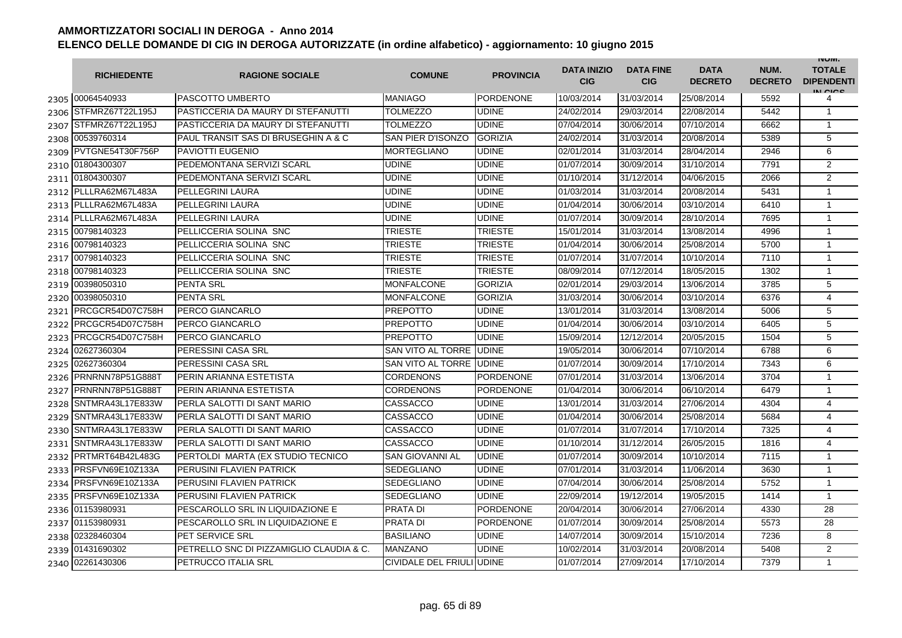|      | <b>RICHIEDENTE</b>    | <b>RAGIONE SOCIALE</b>                   | <b>COMUNE</b>             | <b>PROVINCIA</b> | <b>DATA INIZIO</b><br><b>CIG</b> | <b>DATA FINE</b><br><b>CIG</b> | <b>DATA</b><br><b>DECRETO</b> | NUM.<br><b>DECRETO</b> | <b>INUIVI.</b><br><b>TOTALE</b><br><b>DIPENDENTI</b><br>IN CICO |
|------|-----------------------|------------------------------------------|---------------------------|------------------|----------------------------------|--------------------------------|-------------------------------|------------------------|-----------------------------------------------------------------|
|      | 2305 00064540933      | <b>PASCOTTO UMBERTO</b>                  | <b>MANIAGO</b>            | <b>PORDENONE</b> | 10/03/2014                       | 31/03/2014                     | 25/08/2014                    | 5592                   | 4                                                               |
|      | 2306 STFMRZ67T22L195J | PASTICCERIA DA MAURY DI STEFANUTTI       | <b>TOLMEZZO</b>           | <b>UDINE</b>     | 24/02/2014                       | 29/03/2014                     | 22/08/2014                    | 5442                   | $\mathbf{1}$                                                    |
| 2307 | STFMRZ67T22L195J      | PASTICCERIA DA MAURY DI STEFANUTTI       | <b>TOLMEZZO</b>           | <b>UDINE</b>     | 07/04/2014                       | 30/06/2014                     | 07/10/2014                    | 6662                   | $\mathbf{1}$                                                    |
|      | 2308 00539760314      | PAUL TRANSIT SAS DI BRUSEGHIN A & C      | <b>SAN PIER D'ISONZO</b>  | <b>GORIZIA</b>   | 24/02/2014                       | 31/03/2014                     | 20/08/2014                    | 5389                   | 5                                                               |
|      | 2309 PVTGNE54T30F756P | <b>PAVIOTTI EUGENIO</b>                  | <b>MORTEGLIANO</b>        | <b>UDINE</b>     | 02/01/2014                       | 31/03/2014                     | 28/04/2014                    | 2946                   | 6                                                               |
|      | 2310 01804300307      | PEDEMONTANA SERVIZI SCARL                | <b>UDINE</b>              | <b>UDINE</b>     | 01/07/2014                       | 30/09/2014                     | 31/10/2014                    | 7791                   | $\overline{2}$                                                  |
|      | 2311 01804300307      | PEDEMONTANA SERVIZI SCARL                | <b>UDINE</b>              | <b>UDINE</b>     | 01/10/2014                       | 31/12/2014                     | 04/06/2015                    | 2066                   | $\overline{2}$                                                  |
|      | 2312 PLLLRA62M67L483A | PELLEGRINI LAURA                         | <b>UDINE</b>              | <b>UDINE</b>     | 01/03/2014                       | 31/03/2014                     | 20/08/2014                    | 5431                   | $\mathbf{1}$                                                    |
|      | 2313 PLLLRA62M67L483A | PELLEGRINI LAURA                         | <b>UDINE</b>              | <b>UDINE</b>     | 01/04/2014                       | 30/06/2014                     | 03/10/2014                    | 6410                   | $\mathbf{1}$                                                    |
|      | 2314 PLLLRA62M67L483A | PELLEGRINI LAURA                         | <b>UDINE</b>              | <b>UDINE</b>     | 01/07/2014                       | 30/09/2014                     | 28/10/2014                    | 7695                   | $\mathbf{1}$                                                    |
|      | 2315 00798140323      | PELLICCERIA SOLINA SNC                   | TRIESTE                   | <b>TRIESTE</b>   | 15/01/2014                       | 31/03/2014                     | 13/08/2014                    | 4996                   | 1                                                               |
| 2316 | 00798140323           | PELLICCERIA SOLINA SNC                   | <b>TRIESTE</b>            | TRIESTE          | 01/04/2014                       | 30/06/2014                     | 25/08/2014                    | 5700                   | $\mathbf{1}$                                                    |
|      | 2317 00798140323      | PELLICCERIA SOLINA SNC                   | TRIESTE                   | TRIESTE          | 01/07/2014                       | 31/07/2014                     | 10/10/2014                    | 7110                   | $\mathbf{1}$                                                    |
| 2318 | 00798140323           | PELLICCERIA SOLINA SNC                   | TRIESTE                   | <b>TRIESTE</b>   | 08/09/2014                       | 07/12/2014                     | 18/05/2015                    | 1302                   | $\mathbf{1}$                                                    |
| 2319 | 00398050310           | <b>PENTA SRL</b>                         | <b>MONFALCONE</b>         | <b>GORIZIA</b>   | 02/01/2014                       | 29/03/2014                     | 13/06/2014                    | 3785                   | 5                                                               |
| 2320 | 00398050310           | <b>PENTA SRL</b>                         | <b>MONFALCONE</b>         | <b>GORIZIA</b>   | 31/03/2014                       | 30/06/2014                     | 03/10/2014                    | 6376                   | $\overline{4}$                                                  |
| 2321 | PRCGCR54D07C758H      | PERCO GIANCARLO                          | <b>PREPOTTO</b>           | <b>UDINE</b>     | 13/01/2014                       | 31/03/2014                     | 13/08/2014                    | 5006                   | 5                                                               |
|      | 2322 PRCGCR54D07C758H | PERCO GIANCARLO                          | PREPOTTO                  | <b>UDINE</b>     | 01/04/2014                       | 30/06/2014                     | 03/10/2014                    | 6405                   | 5                                                               |
|      | 2323 PRCGCR54D07C758H | <b>PERCO GIANCARLO</b>                   | <b>IPREPOTTO</b>          | <b>UDINE</b>     | 15/09/2014                       | 12/12/2014                     | 20/05/2015                    | 1504                   | 5                                                               |
|      | 2324 02627360304      | PERESSINI CASA SRL                       | <b>SAN VITO AL TORRE</b>  | <b>UDINE</b>     | 19/05/2014                       | 30/06/2014                     | 07/10/2014                    | 6788                   | 6                                                               |
|      | 2325 02627360304      | PERESSINI CASA SRL                       | SAN VITO AL TORRE         | <b>UDINE</b>     | 01/07/2014                       | 30/09/2014                     | 17/10/2014                    | 7343                   | 6                                                               |
| 2326 | PRNRNN78P51G888T      | PERIN ARIANNA ESTETISTA                  | <b>CORDENONS</b>          | <b>PORDENONE</b> | 07/01/2014                       | 31/03/2014                     | 13/06/2014                    | 3704                   | $\mathbf{1}$                                                    |
| 2327 | PRNRNN78P51G888T      | PERIN ARIANNA ESTETISTA                  | <b>CORDENONS</b>          | PORDENONE        | 01/04/2014                       | 30/06/2014                     | 06/10/2014                    | 6479                   | $\mathbf{1}$                                                    |
| 2328 | SNTMRA43L17E833W      | PERLA SALOTTI DI SANT MARIO              | <b>CASSACCO</b>           | <b>UDINE</b>     | 13/01/2014                       | 31/03/2014                     | 27/06/2014                    | 4304                   | $\overline{4}$                                                  |
| 2329 | SNTMRA43L17E833W      | PERLA SALOTTI DI SANT MARIO              | <b>CASSACCO</b>           | <b>UDINE</b>     | 01/04/2014                       | 30/06/2014                     | 25/08/2014                    | 5684                   | 4                                                               |
| 2330 | SNTMRA43L17E833W      | PERLA SALOTTI DI SANT MARIO              | <b>CASSACCO</b>           | <b>UDINE</b>     | 01/07/2014                       | 31/07/2014                     | 17/10/2014                    | 7325                   | $\overline{4}$                                                  |
| 2331 | SNTMRA43L17E833W      | PERLA SALOTTI DI SANT MARIO              | <b>CASSACCO</b>           | <b>UDINE</b>     | 01/10/2014                       | 31/12/2014                     | 26/05/2015                    | 1816                   | 4                                                               |
| 2332 | PRTMRT64B42L483G      | PERTOLDI MARTA (EX STUDIO TECNICO        | <b>SAN GIOVANNI AL</b>    | <b>UDINE</b>     | 01/07/2014                       | 30/09/2014                     | 10/10/2014                    | 7115                   | $\mathbf{1}$                                                    |
|      | 2333 PRSFVN69E10Z133A | PERUSINI FLAVIEN PATRICK                 | <b>SEDEGLIANO</b>         | <b>UDINE</b>     | 07/01/2014                       | 31/03/2014                     | 11/06/2014                    | 3630                   | $\mathbf{1}$                                                    |
|      | 2334 PRSFVN69E10Z133A | PERUSINI FLAVIEN PATRICK                 | <b>SEDEGLIANO</b>         | <b>UDINE</b>     | 07/04/2014                       | 30/06/2014                     | 25/08/2014                    | 5752                   | $\mathbf{1}$                                                    |
|      | 2335 PRSFVN69E10Z133A | PERUSINI FLAVIEN PATRICK                 | <b>SEDEGLIANO</b>         | <b>UDINE</b>     | 22/09/2014                       | 19/12/2014                     | 19/05/2015                    | 1414                   | $\mathbf{1}$                                                    |
|      | 2336 01153980931      | PESCAROLLO SRL IN LIQUIDAZIONE E         | <b>PRATA DI</b>           | <b>PORDENONE</b> | 20/04/2014                       | 30/06/2014                     | 27/06/2014                    | 4330                   | 28                                                              |
|      | 2337 01153980931      | PESCAROLLO SRL IN LIQUIDAZIONE E         | <b>PRATA DI</b>           | <b>PORDENONE</b> | 01/07/2014                       | 30/09/2014                     | 25/08/2014                    | 5573                   | 28                                                              |
|      | 2338 02328460304      | <b>PET SERVICE SRL</b>                   | <b>BASILIANO</b>          | <b>UDINE</b>     | 14/07/2014                       | 30/09/2014                     | 15/10/2014                    | 7236                   | 8                                                               |
|      | 2339 01431690302      | PETRELLO SNC DI PIZZAMIGLIO CLAUDIA & C. | <b>MANZANO</b>            | <b>UDINE</b>     | 10/02/2014                       | 31/03/2014                     | 20/08/2014                    | 5408                   | 2                                                               |
|      | 2340 02261430306      | PETRUCCO ITALIA SRL                      | CIVIDALE DEL FRIULI UDINE |                  | 01/07/2014                       | 27/09/2014                     | 17/10/2014                    | 7379                   | $\mathbf{1}$                                                    |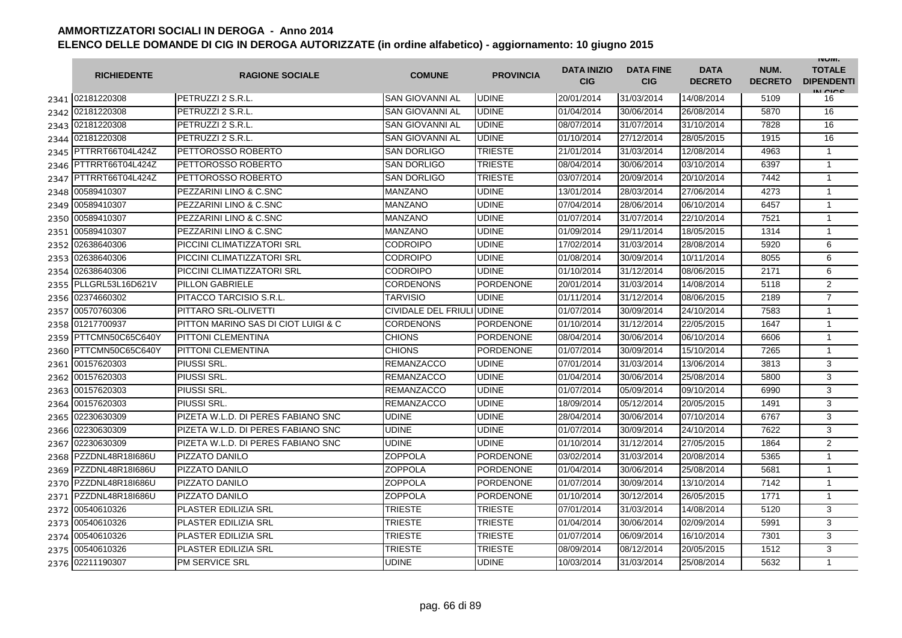|      | <b>RICHIEDENTE</b>    | <b>RAGIONE SOCIALE</b>              | <b>COMUNE</b>             | <b>PROVINCIA</b> | <b>DATA INIZIO</b><br><b>CIG</b> | <b>DATA FINE</b><br><b>CIG</b> | <b>DATA</b><br><b>DECRETO</b> | NUM.<br><b>DECRETO</b> | <b>INUIVI.</b><br><b>TOTALE</b><br><b>DIPENDENTI</b><br>IN CICE |
|------|-----------------------|-------------------------------------|---------------------------|------------------|----------------------------------|--------------------------------|-------------------------------|------------------------|-----------------------------------------------------------------|
|      | 2341 02181220308      | PETRUZZI 2 S.R.L.                   | SAN GIOVANNI AL           | <b>UDINE</b>     | 20/01/2014                       | 31/03/2014                     | 14/08/2014                    | 5109                   | 16                                                              |
| 2342 | 02181220308           | PETRUZZI 2 S.R.L.                   | SAN GIOVANNI AL           | <b>UDINE</b>     | 01/04/2014                       | 30/06/2014                     | 26/08/2014                    | 5870                   | 16                                                              |
|      | 2343 02181220308      | PETRUZZI 2 S.R.L.                   | <b>SAN GIOVANNI AL</b>    | <b>UDINE</b>     | 08/07/2014                       | 31/07/2014                     | 31/10/2014                    | 7828                   | 16                                                              |
|      | 2344 02181220308      | PETRUZZI 2 S.R.L.                   | SAN GIOVANNI AL           | <b>UDINE</b>     | 01/10/2014                       | 27/12/2014                     | 28/05/2015                    | 1915                   | 16                                                              |
|      | 2345 PTTRRT66T04L424Z | PETTOROSSO ROBERTO                  | <b>SAN DORLIGO</b>        | <b>TRIESTE</b>   | 21/01/2014                       | 31/03/2014                     | 12/08/2014                    | 4963                   | $\mathbf{1}$                                                    |
|      | 2346 PTTRRT66T04L424Z | PETTOROSSO ROBERTO                  | <b>SAN DORLIGO</b>        | <b>TRIESTE</b>   | 08/04/2014                       | 30/06/2014                     | 03/10/2014                    | 6397                   | $\mathbf{1}$                                                    |
|      | 2347 PTTRRT66T04L424Z | PETTOROSSO ROBERTO                  | SAN DORLIGO               | <b>TRIESTE</b>   | 03/07/2014                       | 20/09/2014                     | 20/10/2014                    | 7442                   | $\mathbf{1}$                                                    |
| 2348 | 00589410307           | PEZZARINI LINO & C.SNC              | <b>MANZANO</b>            | <b>UDINE</b>     | 13/01/2014                       | 28/03/2014                     | 27/06/2014                    | 4273                   | $\mathbf{1}$                                                    |
| 2349 | 00589410307           | PEZZARINI LINO & C.SNC              | MANZANO                   | <b>UDINE</b>     | 07/04/2014                       | 28/06/2014                     | 06/10/2014                    | 6457                   | $\mathbf{1}$                                                    |
| 2350 | 00589410307           | PEZZARINI LINO & C.SNC              | MANZANO                   | <b>UDINE</b>     | 01/07/2014                       | 31/07/2014                     | 22/10/2014                    | 7521                   | $\mathbf{1}$                                                    |
| 2351 | 00589410307           | PEZZARINI LINO & C.SNC              | MANZANO                   | <b>UDINE</b>     | 01/09/2014                       | 29/11/2014                     | 18/05/2015                    | 1314                   | 1                                                               |
| 2352 | 02638640306           | PICCINI CLIMATIZZATORI SRL          | CODROIPO                  | <b>UDINE</b>     | 17/02/2014                       | 31/03/2014                     | 28/08/2014                    | 5920                   | 6                                                               |
| 2353 | 02638640306           | PICCINI CLIMATIZZATORI SRL          | CODROIPO                  | <b>UDINE</b>     | 01/08/2014                       | 30/09/2014                     | 10/11/2014                    | 8055                   | 6                                                               |
| 2354 | 02638640306           | PICCINI CLIMATIZZATORI SRL          | CODROIPO                  | <b>UDINE</b>     | 01/10/2014                       | 31/12/2014                     | 08/06/2015                    | 2171                   | 6                                                               |
|      | 2355 PLLGRL53L16D621V | PILLON GABRIELE                     | <b>CORDENONS</b>          | <b>PORDENONE</b> | 20/01/2014                       | 31/03/2014                     | 14/08/2014                    | 5118                   | $\overline{2}$                                                  |
| 2356 | 02374660302           | PITACCO TARCISIO S.R.L.             | <b>TARVISIO</b>           | <b>UDINE</b>     | 01/11/2014                       | 31/12/2014                     | 08/06/2015                    | 2189                   | $\overline{7}$                                                  |
|      | 2357 00570760306      | PITTARO SRL-OLIVETTI                | CIVIDALE DEL FRIULI UDINE |                  | 01/07/2014                       | 30/09/2014                     | 24/10/2014                    | 7583                   | $\mathbf{1}$                                                    |
|      | 2358 01217700937      | PITTON MARINO SAS DI CIOT LUIGI & C | <b>CORDENONS</b>          | <b>PORDENONE</b> | 01/10/2014                       | 31/12/2014                     | 22/05/2015                    | 1647                   | 1                                                               |
|      | 2359 PTTCMN50C65C640Y | <b>PITTONI CLEMENTINA</b>           | <b>CHIONS</b>             | <b>PORDENONE</b> | 08/04/2014                       | 30/06/2014                     | 06/10/2014                    | 6606                   | $\mathbf{1}$                                                    |
|      | 2360 PTTCMN50C65C640Y | <b>PITTONI CLEMENTINA</b>           | <b>CHIONS</b>             | <b>PORDENONE</b> | 01/07/2014                       | 30/09/2014                     | 15/10/2014                    | 7265                   | $\mathbf{1}$                                                    |
|      | 2361 00157620303      | <b>PIUSSI SRL.</b>                  | <b>REMANZACCO</b>         | <b>UDINE</b>     | 07/01/2014                       | 31/03/2014                     | 13/06/2014                    | 3813                   | 3                                                               |
| 2362 | 00157620303           | <b>PIUSSI SRL</b>                   | <b>REMANZACCO</b>         | <b>UDINE</b>     | 01/04/2014                       | 30/06/2014                     | 25/08/2014                    | 5800                   | 3                                                               |
|      | 2363 00157620303      | PIUSSI SRL.                         | <b>REMANZACCO</b>         | <b>UDINE</b>     | 01/07/2014                       | 05/09/2014                     | 09/10/2014                    | 6990                   | 3                                                               |
|      | 2364 00157620303      | <b>PIUSSI SRL.</b>                  | REMANZACCO                | <b>UDINE</b>     | 18/09/2014                       | 05/12/2014                     | 20/05/2015                    | 1491                   | 3                                                               |
| 2365 | 02230630309           | PIZETA W.L.D. DI PERES FABIANO SNC  | UDINE                     | <b>UDINE</b>     | 28/04/2014                       | 30/06/2014                     | 07/10/2014                    | 6767                   | 3                                                               |
| 2366 | 02230630309           | PIZETA W.L.D. DI PERES FABIANO SNC  | UDINE                     | <b>UDINE</b>     | 01/07/2014                       | 30/09/2014                     | 24/10/2014                    | 7622                   | 3                                                               |
| 2367 | 02230630309           | PIZETA W.L.D. DI PERES FABIANO SNC  | UDINE                     | <b>UDINE</b>     | 01/10/2014                       | 31/12/2014                     | 27/05/2015                    | 1864                   | 2                                                               |
| 2368 | PZZDNL48R18I686U      | PIZZATO DANILO                      | <b>ZOPPOLA</b>            | <b>PORDENONE</b> | 03/02/2014                       | 31/03/2014                     | 20/08/2014                    | 5365                   | $\mathbf{1}$                                                    |
|      | 2369 PZZDNL48R18I686U | PIZZATO DANILO                      | ZOPPOLA                   | <b>PORDENONE</b> | 01/04/2014                       | 30/06/2014                     | 25/08/2014                    | 5681                   | $\mathbf{1}$                                                    |
|      | 2370 PZZDNL48R18I686U | PIZZATO DANILO                      | ZOPPOLA                   | <b>PORDENONE</b> | 01/07/2014                       | 30/09/2014                     | 13/10/2014                    | 7142                   | $\mathbf{1}$                                                    |
|      | 2371 PZZDNL48R18I686U | PIZZATO DANILO                      | ZOPPOLA                   | <b>PORDENONE</b> | 01/10/2014                       | 30/12/2014                     | 26/05/2015                    | 1771                   | 1                                                               |
|      | 2372 00540610326      | <b>PLASTER EDILIZIA SRL</b>         | <b>TRIESTE</b>            | <b>TRIESTE</b>   | 07/01/2014                       | 31/03/2014                     | 14/08/2014                    | 5120                   | 3                                                               |
|      | 2373 00540610326      | <b>PLASTER EDILIZIA SRL</b>         | <b>TRIESTE</b>            | <b>TRIESTE</b>   | 01/04/2014                       | 30/06/2014                     | 02/09/2014                    | 5991                   | 3                                                               |
|      | 2374 00540610326      | <b>PLASTER EDILIZIA SRL</b>         | <b>TRIESTE</b>            | <b>TRIESTE</b>   | 01/07/2014                       | 06/09/2014                     | 16/10/2014                    | 7301                   | 3                                                               |
| 2375 | 00540610326           | PLASTER EDILIZIA SRL                | TRIESTE                   | <b>TRIESTE</b>   | 08/09/2014                       | 08/12/2014                     | 20/05/2015                    | 1512                   | 3                                                               |
|      | 2376 02211190307      | <b>PM SERVICE SRL</b>               | <b>UDINE</b>              | <b>UDINE</b>     | 10/03/2014                       | 31/03/2014                     | 25/08/2014                    | 5632                   | $\mathbf{1}$                                                    |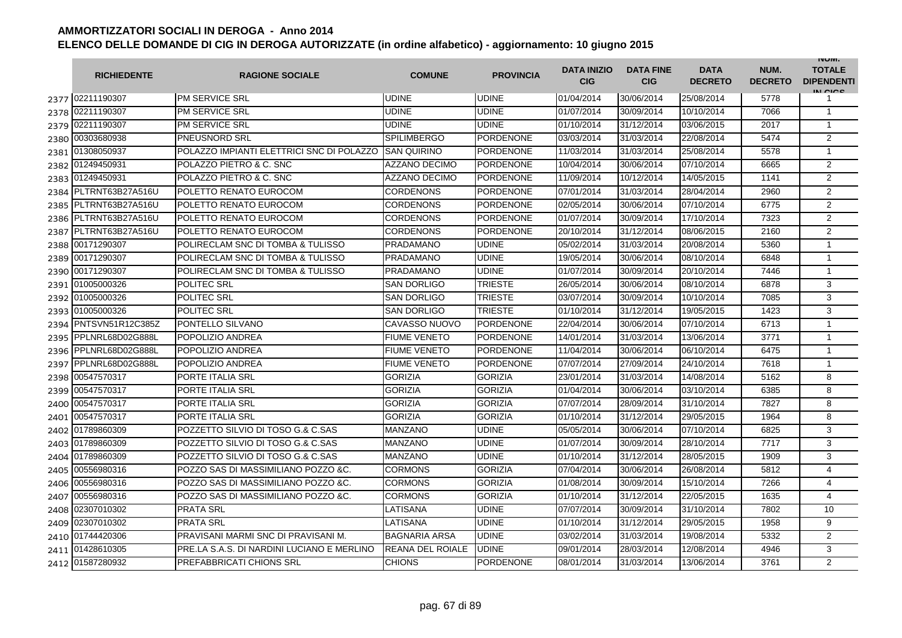|      | <b>RICHIEDENTE</b>    | <b>RAGIONE SOCIALE</b>                     | <b>COMUNE</b>        | <b>PROVINCIA</b> | <b>DATA INIZIO</b><br><b>CIG</b> | <b>DATA FINE</b><br><b>CIG</b> | <b>DATA</b><br><b>DECRETO</b> | NUM.<br><b>DECRETO</b> | <b>INUIVI.</b><br><b>TOTALE</b><br><b>DIPENDENTI</b><br>IN CIGO |
|------|-----------------------|--------------------------------------------|----------------------|------------------|----------------------------------|--------------------------------|-------------------------------|------------------------|-----------------------------------------------------------------|
|      | 2377 02211190307      | <b>PM SERVICE SRL</b>                      | <b>UDINE</b>         | <b>UDINE</b>     | 01/04/2014                       | 30/06/2014                     | 25/08/2014                    | 5778                   | 1                                                               |
|      | 2378 02211190307      | <b>PM SERVICE SRL</b>                      | <b>UDINE</b>         | <b>UDINE</b>     | 01/07/2014                       | 30/09/2014                     | 10/10/2014                    | 7066                   | $\mathbf{1}$                                                    |
|      | 2379 02211190307      | <b>PM SERVICE SRL</b>                      | <b>UDINE</b>         | <b>UDINE</b>     | 01/10/2014                       | 31/12/2014                     | 03/06/2015                    | 2017                   | $\mathbf{1}$                                                    |
|      | 2380 00303680938      | PNEUSNORD SRL                              | <b>SPILIMBERGO</b>   | PORDENONE        | 03/03/2014                       | 31/03/2014                     | 22/08/2014                    | 5474                   | $\overline{2}$                                                  |
|      | 2381 01308050937      | POLAZZO IMPIANTI ELETTRICI SNC DI POLAZZO  | <b>SAN QUIRINO</b>   | <b>PORDENONE</b> | 11/03/2014                       | 31/03/2014                     | 25/08/2014                    | 5578                   | $\mathbf{1}$                                                    |
|      | 2382 01249450931      | <b>POLAZZO PIETRO &amp; C. SNC</b>         | <b>AZZANO DECIMO</b> | <b>PORDENONE</b> | 10/04/2014                       | 30/06/2014                     | 07/10/2014                    | 6665                   | 2                                                               |
|      | 2383 01249450931      | <b>POLAZZO PIETRO &amp; C. SNC</b>         | <b>AZZANO DECIMO</b> | <b>PORDENONE</b> | 11/09/2014                       | 10/12/2014                     | 14/05/2015                    | 1141                   | $\overline{2}$                                                  |
|      | 2384 PLTRNT63B27A516U | POLETTO RENATO EUROCOM                     | <b>CORDENONS</b>     | <b>PORDENONE</b> | 07/01/2014                       | 31/03/2014                     | 28/04/2014                    | 2960                   | $\overline{2}$                                                  |
|      | 2385 PLTRNT63B27A516U | POLETTO RENATO EUROCOM                     | <b>CORDENONS</b>     | <b>PORDENONE</b> | 02/05/2014                       | 30/06/2014                     | 07/10/2014                    | 6775                   | $\overline{2}$                                                  |
| 2386 | PLTRNT63B27A516U      | POLETTO RENATO EUROCOM                     | CORDENONS            | <b>PORDENONE</b> | 01/07/2014                       | 30/09/2014                     | 17/10/2014                    | 7323                   | $\overline{2}$                                                  |
| 2387 | PLTRNT63B27A516U      | POLETTO RENATO EUROCOM                     | <b>CORDENONS</b>     | <b>PORDENONE</b> | 20/10/2014                       | 31/12/2014                     | 08/06/2015                    | 2160                   | $\overline{2}$                                                  |
| 2388 | 00171290307           | POLIRECLAM SNC DI TOMBA & TULISSO          | PRADAMANO            | <b>UDINE</b>     | 05/02/2014                       | 31/03/2014                     | 20/08/2014                    | 5360                   | $\mathbf{1}$                                                    |
| 2389 | 00171290307           | POLIRECLAM SNC DI TOMBA & TULISSO          | PRADAMANO            | <b>UDINE</b>     | 19/05/2014                       | 30/06/2014                     | 08/10/2014                    | 6848                   | $\mathbf{1}$                                                    |
| 2390 | 00171290307           | POLIRECLAM SNC DI TOMBA & TULISSO          | PRADAMANO            | <b>UDINE</b>     | 01/07/2014                       | 30/09/2014                     | 20/10/2014                    | 7446                   | $\mathbf{1}$                                                    |
| 2391 | 01005000326           | POLITEC SRL                                | <b>SAN DORLIGO</b>   | <b>TRIESTE</b>   | 26/05/2014                       | 30/06/2014                     | 08/10/2014                    | 6878                   | 3                                                               |
| 2392 | 01005000326           | POLITEC SRL                                | <b>SAN DORLIGO</b>   | <b>TRIESTE</b>   | 03/07/2014                       | 30/09/2014                     | 10/10/2014                    | 7085                   | 3                                                               |
|      | 2393 01005000326      | POLITEC SRL                                | <b>SAN DORLIGO</b>   | <b>TRIESTE</b>   | 01/10/2014                       | 31/12/2014                     | 19/05/2015                    | 1423                   | 3                                                               |
| 2394 | PNTSVN51R12C385Z      | <b>PONTELLO SILVANO</b>                    | CAVASSO NUOVO        | <b>PORDENONE</b> | 22/04/2014                       | 30/06/2014                     | 07/10/2014                    | 6713                   | $\mathbf{1}$                                                    |
| 2395 | PPLNRL68D02G888L      | <b>POPOLIZIO ANDREA</b>                    | <b>FIUME VENETO</b>  | <b>PORDENONE</b> | 14/01/2014                       | 31/03/2014                     | 13/06/2014                    | 3771                   | $\mathbf{1}$                                                    |
|      | 2396 PPLNRL68D02G888L | <b>POPOLIZIO ANDREA</b>                    | <b>FIUME VENETO</b>  | <b>PORDENONE</b> | 11/04/2014                       | 30/06/2014                     | 06/10/2014                    | 6475                   | $\mathbf{1}$                                                    |
|      | 2397 PPLNRL68D02G888L | POPOLIZIO ANDREA                           | <b>FIUME VENETO</b>  | <b>PORDENONE</b> | 07/07/2014                       | 27/09/2014                     | 24/10/2014                    | 7618                   | $\mathbf{1}$                                                    |
|      | 2398 00547570317      | <b>PORTE ITALIA SRL</b>                    | <b>GORIZIA</b>       | <b>GORIZIA</b>   | 23/01/2014                       | 31/03/2014                     | 14/08/2014                    | 5162                   | 8                                                               |
|      | 2399 00547570317      | <b>PORTE ITALIA SRL</b>                    | <b>GORIZIA</b>       | <b>GORIZIA</b>   | 01/04/2014                       | 30/06/2014                     | 03/10/2014                    | 6385                   | 8                                                               |
| 2400 | 00547570317           | <b>PORTE ITALIA SRL</b>                    | <b>GORIZIA</b>       | <b>GORIZIA</b>   | 07/07/2014                       | 28/09/2014                     | 31/10/2014                    | 7827                   | 8                                                               |
| 2401 | 00547570317           | <b>PORTE ITALIA SRL</b>                    | <b>GORIZIA</b>       | <b>GORIZIA</b>   | 01/10/2014                       | 31/12/2014                     | 29/05/2015                    | 1964                   | 8                                                               |
| 2402 | 01789860309           | POZZETTO SILVIO DI TOSO G.& C.SAS          | <b>MANZANO</b>       | <b>UDINE</b>     | 05/05/2014                       | 30/06/2014                     | 07/10/2014                    | 6825                   | 3                                                               |
| 2403 | 01789860309           | POZZETTO SILVIO DI TOSO G.& C.SAS          | MANZANO              | <b>UDINE</b>     | 01/07/2014                       | 30/09/2014                     | 28/10/2014                    | 7717                   | 3                                                               |
| 2404 | 01789860309           | POZZETTO SILVIO DI TOSO G.& C.SAS          | MANZANO              | <b>UDINE</b>     | 01/10/2014                       | 31/12/2014                     | 28/05/2015                    | 1909                   | 3                                                               |
| 2405 | 00556980316           | POZZO SAS DI MASSIMILIANO POZZO & C.       | <b>CORMONS</b>       | <b>GORIZIA</b>   | 07/04/2014                       | 30/06/2014                     | 26/08/2014                    | 5812                   | $\overline{4}$                                                  |
| 2406 | 00556980316           | POZZO SAS DI MASSIMILIANO POZZO &C.        | CORMONS              | <b>GORIZIA</b>   | 01/08/2014                       | 30/09/2014                     | 15/10/2014                    | 7266                   | 4                                                               |
| 2407 | 00556980316           | POZZO SAS DI MASSIMILIANO POZZO &C.        | <b>CORMONS</b>       | <b>GORIZIA</b>   | 01/10/2014                       | 31/12/2014                     | 22/05/2015                    | 1635                   | 4                                                               |
|      | 2408 02307010302      | <b>PRATA SRL</b>                           | LATISANA             | <b>UDINE</b>     | 07/07/2014                       | 30/09/2014                     | 31/10/2014                    | 7802                   | 10                                                              |
|      | 2409 02307010302      | <b>PRATA SRL</b>                           | LATISANA             | <b>UDINE</b>     | 01/10/2014                       | 31/12/2014                     | 29/05/2015                    | 1958                   | 9                                                               |
|      | 2410 01744420306      | PRAVISANI MARMI SNC DI PRAVISANI M.        | <b>BAGNARIA ARSA</b> | <b>UDINE</b>     | 03/02/2014                       | 31/03/2014                     | 19/08/2014                    | 5332                   | $\overline{2}$                                                  |
|      | 2411 01428610305      | PRE.LA S.A.S. DI NARDINI LUCIANO E MERLINO | REANA DEL ROIALE     | <b>UDINE</b>     | 09/01/2014                       | 28/03/2014                     | 12/08/2014                    | 4946                   | 3                                                               |
|      | 2412 01587280932      | PREFABBRICATI CHIONS SRL                   | <b>CHIONS</b>        | <b>PORDENONE</b> | 08/01/2014                       | 31/03/2014                     | 13/06/2014                    | 3761                   | $\overline{2}$                                                  |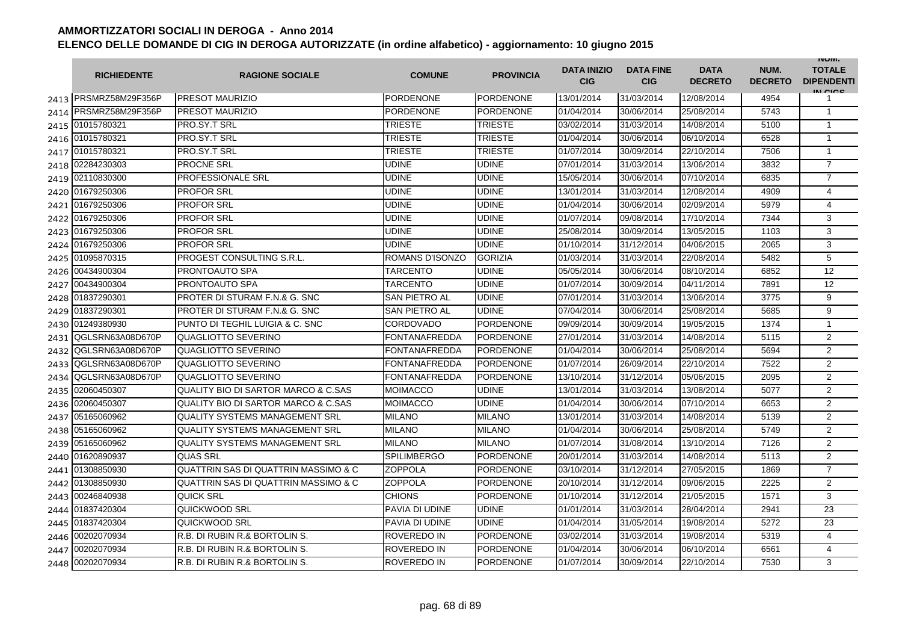|      | <b>RICHIEDENTE</b>    | <b>RAGIONE SOCIALE</b>                         | <b>COMUNE</b>        | <b>PROVINCIA</b> | <b>DATA INIZIO</b><br><b>CIG</b> | <b>DATA FINE</b><br><b>CIG</b> | <b>DATA</b><br><b>DECRETO</b> | NUM.<br><b>DECRETO</b> | <b>INUIVI.</b><br><b>TOTALE</b><br><b>DIPENDENTI</b><br>IN CICS |
|------|-----------------------|------------------------------------------------|----------------------|------------------|----------------------------------|--------------------------------|-------------------------------|------------------------|-----------------------------------------------------------------|
|      | 2413 PRSMRZ58M29F356P | <b>PRESOT MAURIZIO</b>                         | PORDENONE            | <b>PORDENONE</b> | 13/01/2014                       | 31/03/2014                     | 12/08/2014                    | 4954                   | 1                                                               |
| 2414 | PRSMRZ58M29F356P      | <b>PRESOT MAURIZIO</b>                         | PORDENONE            | <b>PORDENONE</b> | 01/04/2014                       | 30/06/2014                     | 25/08/2014                    | 5743                   | $\mathbf{1}$                                                    |
|      | 2415 01015780321      | <b>PRO.SY.T SRL</b>                            | <b>TRIESTE</b>       | <b>TRIESTE</b>   | 03/02/2014                       | 31/03/2014                     | 14/08/2014                    | 5100                   | $\mathbf{1}$                                                    |
|      | 2416 01015780321      | PRO.SY.T SRL                                   | <b>TRIESTE</b>       | <b>TRIESTE</b>   | 01/04/2014                       | 30/06/2014                     | 06/10/2014                    | 6528                   | $\mathbf{1}$                                                    |
|      | 2417 01015780321      | PRO.SY.T SRL                                   | <b>TRIESTE</b>       | <b>TRIESTE</b>   | 01/07/2014                       | 30/09/2014                     | 22/10/2014                    | 7506                   | $\mathbf{1}$                                                    |
| 2418 | 02284230303           | <b>PROCNE SRL</b>                              | <b>UDINE</b>         | <b>UDINE</b>     | 07/01/2014                       | 31/03/2014                     | 13/06/2014                    | 3832                   | $\overline{7}$                                                  |
|      | 2419 02110830300      | <b>PROFESSIONALE SRL</b>                       | <b>UDINE</b>         | <b>UDINE</b>     | 15/05/2014                       | 30/06/2014                     | 07/10/2014                    | 6835                   | $\overline{7}$                                                  |
|      | 2420 01679250306      | <b>PROFOR SRL</b>                              | <b>UDINE</b>         | <b>UDINE</b>     | 13/01/2014                       | 31/03/2014                     | 12/08/2014                    | 4909                   | 4                                                               |
| 2421 | 01679250306           | <b>PROFOR SRL</b>                              | <b>UDINE</b>         | <b>UDINE</b>     | 01/04/2014                       | 30/06/2014                     | 02/09/2014                    | 5979                   | 4                                                               |
| 2422 | 01679250306           | <b>PROFOR SRL</b>                              | <b>UDINE</b>         | <b>UDINE</b>     | 01/07/2014                       | 09/08/2014                     | 17/10/2014                    | 7344                   | 3                                                               |
| 2423 | 01679250306           | <b>PROFOR SRL</b>                              | UDINE                | <b>UDINE</b>     | 25/08/2014                       | 30/09/2014                     | 13/05/2015                    | 1103                   | 3                                                               |
| 2424 | 01679250306           | <b>PROFOR SRL</b>                              | <b>UDINE</b>         | <b>UDINE</b>     | 01/10/2014                       | 31/12/2014                     | 04/06/2015                    | 2065                   | 3                                                               |
| 2425 | 01095870315           | PROGEST CONSULTING S.R.L.                      | ROMANS D'ISONZO      | <b>GORIZIA</b>   | 01/03/2014                       | 31/03/2014                     | 22/08/2014                    | 5482                   | 5                                                               |
| 2426 | 00434900304           | PRONTOAUTO SPA                                 | <b>TARCENTO</b>      | <b>UDINE</b>     | 05/05/2014                       | 30/06/2014                     | 08/10/2014                    | 6852                   | 12                                                              |
| 2427 | 00434900304           | PRONTOAUTO SPA                                 | <b>TARCENTO</b>      | <b>UDINE</b>     | 01/07/2014                       | 30/09/2014                     | 04/11/2014                    | 7891                   | 12                                                              |
| 2428 | 01837290301           | <b>PROTER DI STURAM F.N.&amp; G. SNC</b>       | <b>SAN PIETRO AL</b> | <b>UDINE</b>     | 07/01/2014                       | 31/03/2014                     | 13/06/2014                    | 3775                   | 9                                                               |
| 2429 | 01837290301           | PROTER DI STURAM F.N.& G. SNC                  | SAN PIETRO AL        | <b>UDINE</b>     | 07/04/2014                       | 30/06/2014                     | 25/08/2014                    | 5685                   | 9                                                               |
| 2430 | 01249380930           | PUNTO DI TEGHIL LUIGIA & C. SNC                | <b>CORDOVADO</b>     | <b>PORDENONE</b> | 09/09/2014                       | 30/09/2014                     | 19/05/2015                    | 1374                   | $\mathbf{1}$                                                    |
| 2431 | QGLSRN63A08D670P      | QUAGLIOTTO SEVERINO                            | FONTANAFREDDA        | <b>PORDENONE</b> | 27/01/2014                       | 31/03/2014                     | 14/08/2014                    | 5115                   | $\overline{2}$                                                  |
| 2432 | QGLSRN63A08D670P      | <b>QUAGLIOTTO SEVERINO</b>                     | FONTANAFREDDA        | <b>PORDENONE</b> | 01/04/2014                       | 30/06/2014                     | 25/08/2014                    | 5694                   | 2                                                               |
| 2433 | QGLSRN63A08D670P      | QUAGLIOTTO SEVERINO                            | <b>FONTANAFREDDA</b> | <b>PORDENONE</b> | 01/07/2014                       | 26/09/2014                     | 22/10/2014                    | 7522                   | $\overline{2}$                                                  |
| 2434 | QGLSRN63A08D670P      | QUAGLIOTTO SEVERINO                            | FONTANAFREDDA        | <b>PORDENONE</b> | 13/10/2014                       | 31/12/2014                     | 05/06/2015                    | 2095                   | $\overline{2}$                                                  |
| 2435 | 02060450307           | <b>QUALITY BIO DI SARTOR MARCO &amp; C.SAS</b> | MOIMACCO             | <b>UDINE</b>     | 13/01/2014                       | 31/03/2014                     | 13/08/2014                    | 5077                   | 2                                                               |
| 2436 | 02060450307           | <b>QUALITY BIO DI SARTOR MARCO &amp; C.SAS</b> | MOIMACCO             | <b>UDINE</b>     | 01/04/2014                       | 30/06/2014                     | 07/10/2014                    | 6653                   | $\overline{2}$                                                  |
|      | 2437 05165060962      | <b>QUALITY SYSTEMS MANAGEMENT SRL</b>          | <b>MILANO</b>        | <b>MILANO</b>    | 13/01/2014                       | 31/03/2014                     | 14/08/2014                    | 5139                   | $\overline{2}$                                                  |
|      | 2438 05165060962      | <b>QUALITY SYSTEMS MANAGEMENT SRL</b>          | <b>MILANO</b>        | <b>MILANO</b>    | 01/04/2014                       | 30/06/2014                     | 25/08/2014                    | 5749                   | 2                                                               |
| 2439 | 05165060962           | <b>QUALITY SYSTEMS MANAGEMENT SRL</b>          | <b>MILANO</b>        | <b>MILANO</b>    | 01/07/2014                       | 31/08/2014                     | 13/10/2014                    | 7126                   | $\overline{2}$                                                  |
|      | 2440 01620890937      | <b>QUAS SRL</b>                                | <b>SPILIMBERGO</b>   | <b>PORDENONE</b> | 20/01/2014                       | 31/03/2014                     | 14/08/2014                    | 5113                   | $\overline{2}$                                                  |
| 2441 | 01308850930           | QUATTRIN SAS DI QUATTRIN MASSIMO & C           | <b>ZOPPOLA</b>       | <b>PORDENONE</b> | 03/10/2014                       | 31/12/2014                     | 27/05/2015                    | 1869                   | $\overline{7}$                                                  |
| 2442 | 01308850930           | QUATTRIN SAS DI QUATTRIN MASSIMO & C           | ZOPPOLA              | <b>PORDENONE</b> | 20/10/2014                       | 31/12/2014                     | 09/06/2015                    | 2225                   | $\overline{2}$                                                  |
| 2443 | 00246840938           | <b>QUICK SRL</b>                               | <b>CHIONS</b>        | <b>PORDENONE</b> | 01/10/2014                       | 31/12/2014                     | 21/05/2015                    | 1571                   | 3                                                               |
| 2444 | 01837420304           | QUICKWOOD SRL                                  | PAVIA DI UDINE       | <b>UDINE</b>     | 01/01/2014                       | 31/03/2014                     | 28/04/2014                    | 2941                   | 23                                                              |
| 2445 | 01837420304           | QUICKWOOD SRL                                  | PAVIA DI UDINE       | <b>UDINE</b>     | 01/04/2014                       | 31/05/2014                     | 19/08/2014                    | 5272                   | 23                                                              |
| 2446 | 00202070934           | R.B. DI RUBIN R.& BORTOLIN S.                  | ROVEREDO IN          | <b>PORDENONE</b> | 03/02/2014                       | 31/03/2014                     | 19/08/2014                    | 5319                   | $\overline{4}$                                                  |
|      | 2447 00202070934      | R.B. DI RUBIN R.& BORTOLIN S.                  | ROVEREDO IN          | <b>PORDENONE</b> | 01/04/2014                       | 30/06/2014                     | 06/10/2014                    | 6561                   | 4                                                               |
| 2448 | 00202070934           | R.B. DI RUBIN R.& BORTOLIN S.                  | ROVEREDO IN          | PORDENONE        | 01/07/2014                       | 30/09/2014                     | 22/10/2014                    | 7530                   | 3                                                               |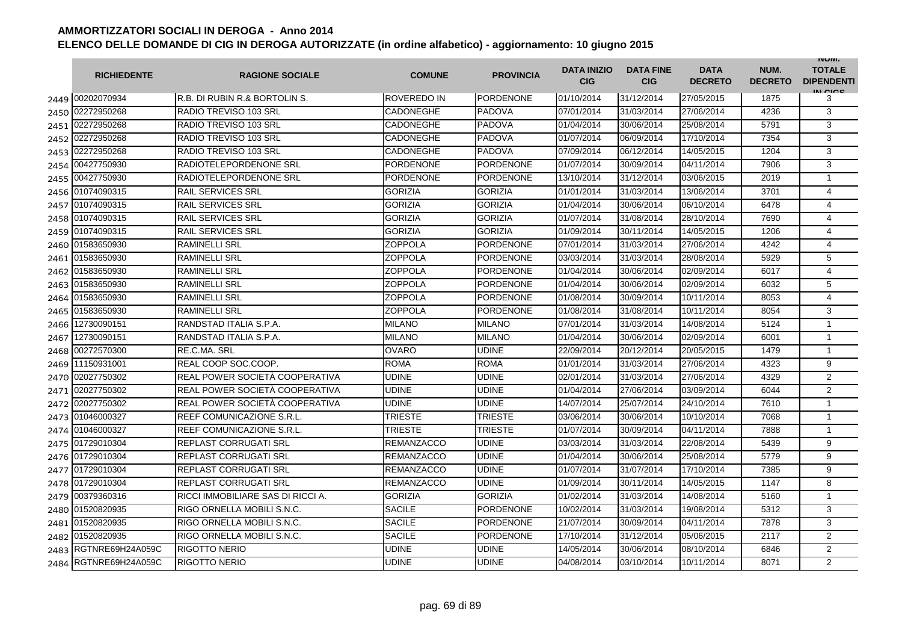|      | <b>RICHIEDENTE</b> | <b>RAGIONE SOCIALE</b>            | <b>COMUNE</b>      | <b>PROVINCIA</b> | <b>DATA INIZIO</b><br><b>CIG</b> | <b>DATA FINE</b><br><b>CIG</b> | <b>DATA</b><br><b>DECRETO</b> | NUM.<br><b>DECRETO</b> | <b>INUIVI.</b><br><b>TOTALE</b><br><b>DIPENDENTI</b><br>IN CIGO |
|------|--------------------|-----------------------------------|--------------------|------------------|----------------------------------|--------------------------------|-------------------------------|------------------------|-----------------------------------------------------------------|
|      | 2449 00202070934   | IR.B. DI RUBIN R.& BORTOLIN S.    | <b>ROVEREDO IN</b> | <b>PORDENONE</b> | 01/10/2014                       | 31/12/2014                     | 27/05/2015                    | 1875                   | 3                                                               |
| 2450 | 02272950268        | RADIO TREVISO 103 SRL             | CADONEGHE          | <b>PADOVA</b>    | 07/01/2014                       | 31/03/2014                     | 27/06/2014                    | 4236                   | 3                                                               |
| 2451 | 02272950268        | RADIO TREVISO 103 SRL             | CADONEGHE          | <b>PADOVA</b>    | 01/04/2014                       | 30/06/2014                     | 25/08/2014                    | 5791                   | 3                                                               |
| 2452 | 02272950268        | RADIO TREVISO 103 SRL             | <b>CADONEGHE</b>   | <b>PADOVA</b>    | 01/07/2014                       | 06/09/2014                     | 17/10/2014                    | 7354                   | 3                                                               |
| 2453 | 02272950268        | RADIO TREVISO 103 SRL             | <b>CADONEGHE</b>   | <b>PADOVA</b>    | 07/09/2014                       | 06/12/2014                     | 14/05/2015                    | 1204                   | 3                                                               |
| 2454 | 00427750930        | <b>RADIOTELEPORDENONE SRL</b>     | <b>PORDENONE</b>   | <b>PORDENONE</b> | 01/07/2014                       | 30/09/2014                     | 04/11/2014                    | 7906                   | 3                                                               |
| 2455 | 00427750930        | <b>RADIOTELEPORDENONE SRL</b>     | <b>PORDENONE</b>   | <b>PORDENONE</b> | 13/10/2014                       | 31/12/2014                     | 03/06/2015                    | 2019                   | $\mathbf{1}$                                                    |
| 2456 | 01074090315        | <b>RAIL SERVICES SRL</b>          | <b>GORIZIA</b>     | <b>GORIZIA</b>   | 01/01/2014                       | 31/03/2014                     | 13/06/2014                    | 3701                   | $\overline{4}$                                                  |
| 2457 | 01074090315        | <b>RAIL SERVICES SRL</b>          | <b>GORIZIA</b>     | <b>GORIZIA</b>   | 01/04/2014                       | 30/06/2014                     | 06/10/2014                    | 6478                   | 4                                                               |
| 2458 | 01074090315        | <b>RAIL SERVICES SRL</b>          | <b>GORIZIA</b>     | <b>GORIZIA</b>   | 01/07/2014                       | 31/08/2014                     | 28/10/2014                    | 7690                   | 4                                                               |
| 2459 | 01074090315        | <b>RAIL SERVICES SRL</b>          | <b>GORIZIA</b>     | <b>GORIZIA</b>   | 01/09/2014                       | 30/11/2014                     | 14/05/2015                    | 1206                   | 4                                                               |
| 2460 | 01583650930        | <b>RAMINELLI SRL</b>              | <b>ZOPPOLA</b>     | <b>PORDENONE</b> | 07/01/2014                       | 31/03/2014                     | 27/06/2014                    | 4242                   | 4                                                               |
| 2461 | 01583650930        | <b>RAMINELLI SRL</b>              | ZOPPOLA            | <b>PORDENONE</b> | 03/03/2014                       | 31/03/2014                     | 28/08/2014                    | 5929                   | 5                                                               |
| 2462 | 01583650930        | <b>RAMINELLI SRL</b>              | ZOPPOLA            | <b>PORDENONE</b> | 01/04/2014                       | 30/06/2014                     | 02/09/2014                    | 6017                   | 4                                                               |
| 2463 | 01583650930        | <b>RAMINELLI SRL</b>              | ZOPPOLA            | PORDENONE        | 01/04/2014                       | 30/06/2014                     | 02/09/2014                    | 6032                   | 5                                                               |
| 2464 | 01583650930        | <b>RAMINELLI SRL</b>              | ZOPPOLA            | PORDENONE        | 01/08/2014                       | 30/09/2014                     | 10/11/2014                    | 8053                   | $\overline{4}$                                                  |
| 2465 | 01583650930        | <b>RAMINELLI SRL</b>              | ZOPPOLA            | <b>PORDENONE</b> | 01/08/2014                       | 31/08/2014                     | 10/11/2014                    | 8054                   | 3                                                               |
| 2466 | 12730090151        | RANDSTAD ITALIA S.P.A.            | <b>MILANO</b>      | <b>MILANO</b>    | 07/01/2014                       | 31/03/2014                     | 14/08/2014                    | 5124                   | $\mathbf{1}$                                                    |
| 2467 | 12730090151        | RANDSTAD ITALIA S.P.A.            | <b>MILANO</b>      | <b>MILANO</b>    | 01/04/2014                       | 30/06/2014                     | 02/09/2014                    | 6001                   | $\mathbf{1}$                                                    |
| 2468 | 00272570300        | <b>RE.C.MA. SRL</b>               | <b>OVARO</b>       | <b>UDINE</b>     | 22/09/2014                       | 20/12/2014                     | 20/05/2015                    | 1479                   | $\mathbf{1}$                                                    |
| 2469 | 11150931001        | <b>REAL COOP SOC.COOP.</b>        | <b>ROMA</b>        | <b>ROMA</b>      | 01/01/2014                       | 31/03/2014                     | 27/06/2014                    | 4323                   | 9                                                               |
| 2470 | 02027750302        | REAL POWER SOCIETÀ COOPERATIVA    | <b>UDINE</b>       | <b>UDINE</b>     | 02/01/2014                       | 31/03/2014                     | 27/06/2014                    | 4329                   | $\overline{2}$                                                  |
| 2471 | 02027750302        | REAL POWER SOCIETÀ COOPERATIVA    | <b>UDINE</b>       | <b>UDINE</b>     | 01/04/2014                       | 27/06/2014                     | 03/09/2014                    | 6044                   | $\overline{2}$                                                  |
| 2472 | 02027750302        | REAL POWER SOCIETÀ COOPERATIVA    | <b>UDINE</b>       | <b>UDINE</b>     | 14/07/2014                       | 25/07/2014                     | 24/10/2014                    | 7610                   | $\mathbf{1}$                                                    |
| 2473 | 01046000327        | REEF COMUNICAZIONE S.R.L.         | <b>TRIESTE</b>     | <b>TRIESTE</b>   | 03/06/2014                       | 30/06/2014                     | 10/10/2014                    | 7068                   | $\mathbf{1}$                                                    |
| 2474 | 01046000327        | <b>REEF COMUNICAZIONE S.R.L.</b>  | TRIESTE            | <b>TRIESTE</b>   | 01/07/2014                       | 30/09/2014                     | 04/11/2014                    | 7888                   | $\mathbf{1}$                                                    |
| 2475 | 01729010304        | <b>REPLAST CORRUGATI SRL</b>      | <b>REMANZACCO</b>  | <b>UDINE</b>     | 03/03/2014                       | 31/03/2014                     | 22/08/2014                    | 5439                   | 9                                                               |
| 2476 | 01729010304        | <b>REPLAST CORRUGATI SRL</b>      | <b>REMANZACCO</b>  | <b>UDINE</b>     | 01/04/2014                       | 30/06/2014                     | 25/08/2014                    | 5779                   | 9                                                               |
| 2477 | 01729010304        | <b>REPLAST CORRUGATI SRL</b>      | <b>REMANZACCO</b>  | <b>UDINE</b>     | 01/07/2014                       | 31/07/2014                     | 17/10/2014                    | 7385                   | 9                                                               |
| 2478 | 01729010304        | <b>REPLAST CORRUGATI SRL</b>      | <b>REMANZACCO</b>  | <b>UDINE</b>     | 01/09/2014                       | 30/11/2014                     | 14/05/2015                    | 1147                   | 8                                                               |
|      | 2479 00379360316   | RICCI IMMOBILIARE SAS DI RICCI A. | <b>GORIZIA</b>     | <b>GORIZIA</b>   | 01/02/2014                       | 31/03/2014                     | 14/08/2014                    | 5160                   | $\mathbf{1}$                                                    |
| 2480 | 01520820935        | <b>RIGO ORNELLA MOBILI S.N.C.</b> | <b>SACILE</b>      | <b>PORDENONE</b> | 10/02/2014                       | 31/03/2014                     | 19/08/2014                    | 5312                   | 3                                                               |
| 2481 | 01520820935        | IRIGO ORNELLA MOBILI S.N.C.       | <b>SACILE</b>      | PORDENONE        | 21/07/2014                       | 30/09/2014                     | 04/11/2014                    | 7878                   | 3                                                               |
| 2482 | 01520820935        | <b>RIGO ORNELLA MOBILI S.N.C.</b> | <b>SACILE</b>      | <b>PORDENONE</b> | 17/10/2014                       | 31/12/2014                     | 05/06/2015                    | 2117                   | $\overline{2}$                                                  |
| 2483 | RGTNRE69H24A059C   | <b>RIGOTTO NERIO</b>              | <b>UDINE</b>       | <b>UDINE</b>     | 14/05/2014                       | 30/06/2014                     | 08/10/2014                    | 6846                   | $\overline{2}$                                                  |
| 2484 | RGTNRE69H24A059C   | <b>RIGOTTO NERIO</b>              | <b>UDINE</b>       | <b>UDINE</b>     | 04/08/2014                       | 03/10/2014                     | 10/11/2014                    | 8071                   | $\overline{2}$                                                  |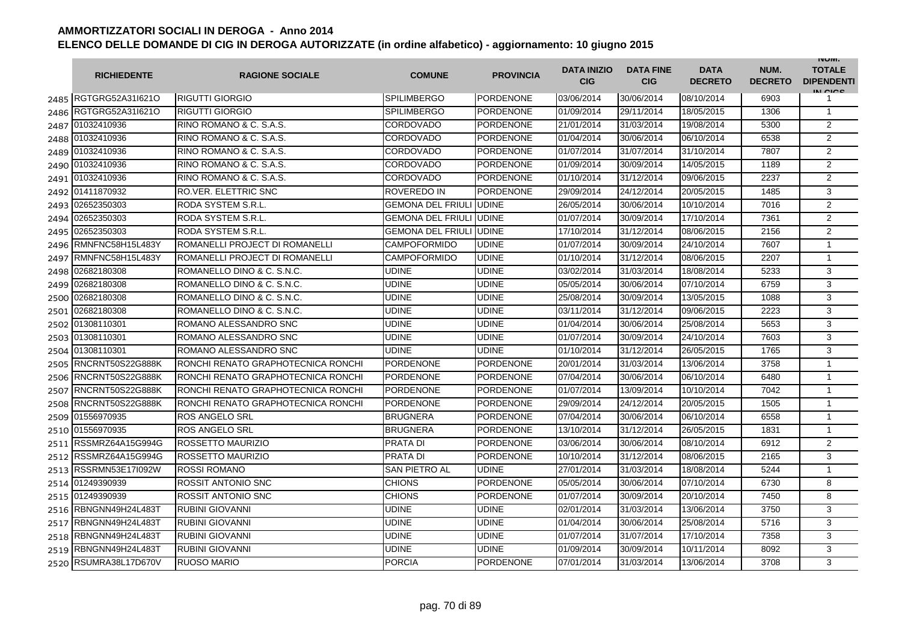|      | <b>RICHIEDENTE</b>    | <b>RAGIONE SOCIALE</b>             | <b>COMUNE</b>                   | <b>PROVINCIA</b> | <b>DATA INIZIO</b><br><b>CIG</b> | <b>DATA FINE</b><br><b>CIG</b> | <b>DATA</b><br><b>DECRETO</b> | NUM.<br><b>DECRETO</b> | <b>INUIVI.</b><br><b>TOTALE</b><br><b>DIPENDENTI</b><br>IN CIGO |
|------|-----------------------|------------------------------------|---------------------------------|------------------|----------------------------------|--------------------------------|-------------------------------|------------------------|-----------------------------------------------------------------|
|      | 2485 RGTGRG52A311621O | <b>RIGUTTI GIORGIO</b>             | <b>SPILIMBERGO</b>              | <b>PORDENONE</b> | 03/06/2014                       | 30/06/2014                     | 08/10/2014                    | 6903                   | 1                                                               |
| 2486 | RGTGRG52A31I621O      | <b>RIGUTTI GIORGIO</b>             | <b>SPILIMBERGO</b>              | <b>PORDENONE</b> | 01/09/2014                       | 29/11/2014                     | 18/05/2015                    | 1306                   | $\mathbf{1}$                                                    |
|      | 2487 01032410936      | RINO ROMANO & C. S.A.S.            | CORDOVADO                       | <b>PORDENONE</b> | 21/01/2014                       | 31/03/2014                     | 19/08/2014                    | 5300                   | $\overline{2}$                                                  |
|      | 2488 01032410936      | RINO ROMANO & C. S.A.S.            | CORDOVADO                       | <b>PORDENONE</b> | 01/04/2014                       | 30/06/2014                     | 06/10/2014                    | 6538                   | $\overline{c}$                                                  |
|      | 2489 01032410936      | RINO ROMANO & C. S.A.S.            | CORDOVADO                       | PORDENONE        | 01/07/2014                       | 31/07/2014                     | 31/10/2014                    | 7807                   | 2                                                               |
|      | 2490 01032410936      | RINO ROMANO & C. S.A.S.            | CORDOVADO                       | <b>PORDENONE</b> | 01/09/2014                       | 30/09/2014                     | 14/05/2015                    | 1189                   | $\overline{2}$                                                  |
|      | 2491 01032410936      | RINO ROMANO & C. S.A.S.            | CORDOVADO                       | <b>PORDENONE</b> | 01/10/2014                       | 31/12/2014                     | 09/06/2015                    | 2237                   | $\overline{2}$                                                  |
|      | 2492 01411870932      | <b>RO.VER. ELETTRIC SNC</b>        | ROVEREDO IN                     | <b>PORDENONE</b> | 29/09/2014                       | 24/12/2014                     | 20/05/2015                    | 1485                   | 3                                                               |
|      | 2493 02652350303      | <b>RODA SYSTEM S.R.L.</b>          | <b>GEMONA DEL FRIULI UDINE</b>  |                  | 26/05/2014                       | 30/06/2014                     | 10/10/2014                    | 7016                   | $\overline{2}$                                                  |
| 2494 | 02652350303           | RODA SYSTEM S.R.L.                 | <b>GEMONA DEL FRIULI JUDINE</b> |                  | 01/07/2014                       | 30/09/2014                     | 17/10/2014                    | 7361                   | $\overline{2}$                                                  |
| 2495 | 02652350303           | RODA SYSTEM S.R.L.                 | <b>GEMONA DEL FRIULI JUDINE</b> |                  | 17/10/2014                       | 31/12/2014                     | 08/06/2015                    | 2156                   | $\overline{2}$                                                  |
| 2496 | RMNFNC58H15L483Y      | ROMANELLI PROJECT DI ROMANELLI     | <b>CAMPOFORMIDO</b>             | <b>UDINE</b>     | 01/07/2014                       | 30/09/2014                     | 24/10/2014                    | 7607                   | $\mathbf{1}$                                                    |
| 2497 | RMNFNC58H15L483Y      | ROMANELLI PROJECT DI ROMANELLI     | <b>CAMPOFORMIDO</b>             | <b>UDINE</b>     | 01/10/2014                       | 31/12/2014                     | 08/06/2015                    | 2207                   | $\mathbf{1}$                                                    |
| 2498 | 02682180308           | ROMANELLO DINO & C. S.N.C.         | UDINE                           | <b>UDINE</b>     | 03/02/2014                       | 31/03/2014                     | 18/08/2014                    | 5233                   | 3                                                               |
| 2499 | 02682180308           | ROMANELLO DINO & C. S.N.C.         | UDINE                           | <b>UDINE</b>     | 05/05/2014                       | 30/06/2014                     | 07/10/2014                    | 6759                   | 3                                                               |
| 2500 | 02682180308           | ROMANELLO DINO & C. S.N.C.         | UDINE                           | <b>UDINE</b>     | 25/08/2014                       | 30/09/2014                     | 13/05/2015                    | 1088                   | 3                                                               |
|      | 2501 02682180308      | ROMANELLO DINO & C. S.N.C.         | UDINE                           | <b>UDINE</b>     | 03/11/2014                       | 31/12/2014                     | 09/06/2015                    | 2223                   | 3                                                               |
|      | 2502 01308110301      | ROMANO ALESSANDRO SNC              | UDINE                           | <b>UDINE</b>     | 01/04/2014                       | 30/06/2014                     | 25/08/2014                    | 5653                   | 3                                                               |
|      | 2503 01308110301      | ROMANO ALESSANDRO SNC              | UDINE                           | <b>UDINE</b>     | 01/07/2014                       | 30/09/2014                     | 24/10/2014                    | 7603                   | 3                                                               |
|      | 2504 01308110301      | ROMANO ALESSANDRO SNC              | UDINE                           | <b>UDINE</b>     | 01/10/2014                       | 31/12/2014                     | 26/05/2015                    | 1765                   | 3                                                               |
| 2505 | RNCRNT50S22G888K      | RONCHI RENATO GRAPHOTECNICA RONCHI | <b>PORDENONE</b>                | <b>PORDENONE</b> | 20/01/2014                       | 31/03/2014                     | 13/06/2014                    | 3758                   | $\mathbf{1}$                                                    |
| 2506 | RNCRNT50S22G888K      | RONCHI RENATO GRAPHOTECNICA RONCHI | <b>PORDENONE</b>                | <b>PORDENONE</b> | 07/04/2014                       | 30/06/2014                     | 06/10/2014                    | 6480                   | $\mathbf{1}$                                                    |
| 2507 | RNCRNT50S22G888K      | RONCHI RENATO GRAPHOTECNICA RONCHI | <b>PORDENONE</b>                | <b>PORDENONE</b> | 01/07/2014                       | 13/09/2014                     | 10/10/2014                    | 7042                   | 1                                                               |
| 2508 | RNCRNT50S22G888K      | RONCHI RENATO GRAPHOTECNICA RONCHI | <b>PORDENONE</b>                | <b>PORDENONE</b> | 29/09/2014                       | 24/12/2014                     | 20/05/2015                    | 1505                   | 1                                                               |
| 2509 | 01556970935           | <b>ROS ANGELO SRL</b>              | <b>BRUGNERA</b>                 | <b>PORDENONE</b> | 07/04/2014                       | 30/06/2014                     | 06/10/2014                    | 6558                   | $\mathbf{1}$                                                    |
| 2510 | 01556970935           | <b>ROS ANGELO SRL</b>              | BRUGNERA                        | <b>PORDENONE</b> | 13/10/2014                       | 31/12/2014                     | 26/05/2015                    | 1831                   | $\mathbf{1}$                                                    |
| 2511 | RSSMRZ64A15G994G      | <b>ROSSETTO MAURIZIO</b>           | PRATA DI                        | <b>PORDENONE</b> | 03/06/2014                       | 30/06/2014                     | 08/10/2014                    | 6912                   | $\overline{2}$                                                  |
| 2512 | RSSMRZ64A15G994G      | <b>ROSSETTO MAURIZIO</b>           | <b>PRATA DI</b>                 | <b>PORDENONE</b> | 10/10/2014                       | 31/12/2014                     | 08/06/2015                    | 2165                   | 3                                                               |
|      | 2513 RSSRMN53E17I092W | <b>ROSSI ROMANO</b>                | SAN PIETRO AL                   | <b>UDINE</b>     | 27/01/2014                       | 31/03/2014                     | 18/08/2014                    | 5244                   | $\mathbf{1}$                                                    |
|      | 2514 01249390939      | <b>ROSSIT ANTONIO SNC</b>          | <b>CHIONS</b>                   | <b>PORDENONE</b> | 05/05/2014                       | 30/06/2014                     | 07/10/2014                    | 6730                   | 8                                                               |
|      | 2515 01249390939      | <b>ROSSIT ANTONIO SNC</b>          | <b>CHIONS</b>                   | <b>PORDENONE</b> | 01/07/2014                       | 30/09/2014                     | 20/10/2014                    | 7450                   | 8                                                               |
|      | 2516 RBNGNN49H24L483T | <b>RUBINI GIOVANNI</b>             | UDINE                           | <b>UDINE</b>     | 02/01/2014                       | 31/03/2014                     | 13/06/2014                    | 3750                   | 3                                                               |
|      | 2517 RBNGNN49H24L483T | <b>RUBINI GIOVANNI</b>             | UDINE                           | <b>UDINE</b>     | 01/04/2014                       | 30/06/2014                     | 25/08/2014                    | 5716                   | 3                                                               |
|      | 2518 RBNGNN49H24L483T | <b>RUBINI GIOVANNI</b>             | UDINE                           | <b>UDINE</b>     | 01/07/2014                       | 31/07/2014                     | 17/10/2014                    | 7358                   | 3                                                               |
|      | 2519 RBNGNN49H24L483T | <b>RUBINI GIOVANNI</b>             | <b>UDINE</b>                    | <b>UDINE</b>     | 01/09/2014                       | 30/09/2014                     | 10/11/2014                    | 8092                   | 3                                                               |
|      | 2520 RSUMRA38L17D670V | <b>RUOSO MARIO</b>                 | <b>PORCIA</b>                   | <b>PORDENONE</b> | 07/01/2014                       | 31/03/2014                     | 13/06/2014                    | 3708                   | 3                                                               |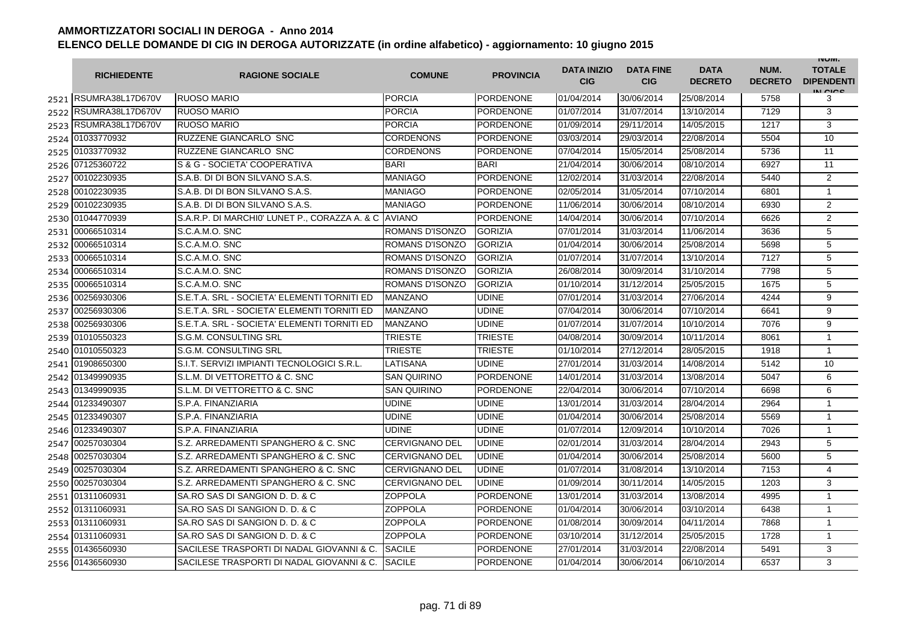|      | <b>RICHIEDENTE</b>    | <b>RAGIONE SOCIALE</b>                               | <b>COMUNE</b>          | <b>PROVINCIA</b> | <b>DATA INIZIO</b><br><b>CIG</b> | <b>DATA FINE</b><br><b>CIG</b> | <b>DATA</b><br><b>DECRETO</b> | NUM.<br><b>DECRETO</b> | <b>INUIVI.</b><br><b>TOTALE</b><br><b>DIPENDENTI</b><br>IN CICO |
|------|-----------------------|------------------------------------------------------|------------------------|------------------|----------------------------------|--------------------------------|-------------------------------|------------------------|-----------------------------------------------------------------|
|      | 2521 RSUMRA38L17D670V | <b>RUOSO MARIO</b>                                   | <b>PORCIA</b>          | <b>PORDENONE</b> | 01/04/2014                       | 30/06/2014                     | 25/08/2014                    | 5758                   | 3                                                               |
|      | 2522 RSUMRA38L17D670V | <b>RUOSO MARIO</b>                                   | <b>PORCIA</b>          | <b>PORDENONE</b> | 01/07/2014                       | 31/07/2014                     | 13/10/2014                    | 7129                   | 3                                                               |
|      | 2523 RSUMRA38L17D670V | <b>RUOSO MARIO</b>                                   | <b>PORCIA</b>          | <b>PORDENONE</b> | 01/09/2014                       | 29/11/2014                     | 14/05/2015                    | 1217                   | 3                                                               |
|      | 2524 01033770932      | RUZZENE GIANCARLO SNC                                | <b>CORDENONS</b>       | <b>PORDENONE</b> | 03/03/2014                       | 29/03/2014                     | 22/08/2014                    | 5504                   | 10                                                              |
|      | 2525 01033770932      | RUZZENE GIANCARLO SNC                                | CORDENONS              | <b>PORDENONE</b> | 07/04/2014                       | 15/05/2014                     | 25/08/2014                    | 5736                   | 11                                                              |
|      | 2526 07125360722      | S & G - SOCIETA' COOPERATIVA                         | <b>BARI</b>            | <b>BARI</b>      | 21/04/2014                       | 30/06/2014                     | 08/10/2014                    | 6927                   | 11                                                              |
|      | 2527 00102230935      | S.A.B. DI DI BON SILVANO S.A.S.                      | MANIAGO                | <b>PORDENONE</b> | 12/02/2014                       | 31/03/2014                     | 22/08/2014                    | 5440                   | $\overline{2}$                                                  |
|      | 2528 00102230935      | S.A.B. DI DI BON SILVANO S.A.S.                      | <b>MANIAGO</b>         | <b>PORDENONE</b> | 02/05/2014                       | 31/05/2014                     | 07/10/2014                    | 6801                   | $\mathbf{1}$                                                    |
|      | 2529 00102230935      | S.A.B. DI DI BON SILVANO S.A.S.                      | MANIAGO                | <b>PORDENONE</b> | 11/06/2014                       | 30/06/2014                     | 08/10/2014                    | 6930                   | 2                                                               |
|      | 2530 01044770939      | S.A.R.P. DI MARCHI0' LUNET P., CORAZZA A. & C AVIANO |                        | <b>PORDENONE</b> | 14/04/2014                       | 30/06/2014                     | 07/10/2014                    | 6626                   | $\overline{2}$                                                  |
| 2531 | 00066510314           | S.C.A.M.O. SNC                                       | <b>ROMANS D'ISONZO</b> | <b>GORIZIA</b>   | 07/01/2014                       | 31/03/2014                     | 11/06/2014                    | 3636                   | 5                                                               |
| 2532 | 00066510314           | S.C.A.M.O. SNC                                       | ROMANS D'ISONZO        | <b>GORIZIA</b>   | 01/04/2014                       | 30/06/2014                     | 25/08/2014                    | 5698                   | 5                                                               |
| 2533 | 00066510314           | S.C.A.M.O. SNC                                       | ROMANS D'ISONZO        | <b>GORIZIA</b>   | 01/07/2014                       | 31/07/2014                     | 13/10/2014                    | 7127                   | 5                                                               |
| 2534 | 00066510314           | S.C.A.M.O. SNC                                       | ROMANS D'ISONZO        | <b>GORIZIA</b>   | 26/08/2014                       | 30/09/2014                     | 31/10/2014                    | 7798                   | 5                                                               |
| 2535 | 00066510314           | S.C.A.M.O. SNC                                       | ROMANS D'ISONZO        | <b>GORIZIA</b>   | 01/10/2014                       | 31/12/2014                     | 25/05/2015                    | 1675                   | 5                                                               |
| 2536 | 00256930306           | S.E.T.A. SRL - SOCIETA' ELEMENTI TORNITI ED          | <b>MANZANO</b>         | <b>UDINE</b>     | 07/01/2014                       | 31/03/2014                     | 27/06/2014                    | 4244                   | 9                                                               |
|      | 2537 00256930306      | S.E.T.A. SRL - SOCIETA' ELEMENTI TORNITI ED          | <b>MANZANO</b>         | <b>UDINE</b>     | 07/04/2014                       | 30/06/2014                     | 07/10/2014                    | 6641                   | 9                                                               |
|      | 2538 00256930306      | S.E.T.A. SRL - SOCIETA' ELEMENTI TORNITI ED          | MANZANO                | <b>UDINE</b>     | 01/07/2014                       | 31/07/2014                     | 10/10/2014                    | 7076                   | $\overline{9}$                                                  |
|      | 2539 01010550323      | S.G.M. CONSULTING SRL                                | <b>TRIESTE</b>         | <b>TRIESTE</b>   | 04/08/2014                       | 30/09/2014                     | 10/11/2014                    | 8061                   | $\mathbf{1}$                                                    |
|      | 2540 01010550323      | S.G.M. CONSULTING SRL                                | <b>TRIESTE</b>         | <b>TRIESTE</b>   | 01/10/2014                       | 27/12/2014                     | 28/05/2015                    | 1918                   | $\mathbf{1}$                                                    |
|      | 2541 01908650300      | S.I.T. SERVIZI IMPIANTI TECNOLOGICI S.R.L.           | LATISANA               | <b>UDINE</b>     | 27/01/2014                       | 31/03/2014                     | 14/08/2014                    | 5142                   | 10                                                              |
| 2542 | 01349990935           | S.L.M. DI VETTORETTO & C. SNC                        | <b>SAN QUIRINO</b>     | <b>PORDENONE</b> | 14/01/2014                       | 31/03/2014                     | 13/08/2014                    | 5047                   | 6                                                               |
|      | 2543 01349990935      | S.L.M. DI VETTORETTO & C. SNC                        | <b>SAN QUIRINO</b>     | <b>PORDENONE</b> | 22/04/2014                       | 30/06/2014                     | 07/10/2014                    | 6698                   | 6                                                               |
|      | 2544 01233490307      | S.P.A. FINANZIARIA                                   | UDINE                  | <b>UDINE</b>     | 13/01/2014                       | 31/03/2014                     | 28/04/2014                    | 2964                   | 1                                                               |
|      | 2545 01233490307      | S.P.A. FINANZIARIA                                   | UDINE                  | <b>UDINE</b>     | 01/04/2014                       | 30/06/2014                     | 25/08/2014                    | 5569                   | $\mathbf{1}$                                                    |
| 2546 | 01233490307           | S.P.A. FINANZIARIA                                   | <b>UDINE</b>           | <b>UDINE</b>     | 01/07/2014                       | 12/09/2014                     | 10/10/2014                    | 7026                   | $\mathbf{1}$                                                    |
| 2547 | 00257030304           | S.Z. ARREDAMENTI SPANGHERO & C. SNC                  | <b>CERVIGNANO DEL</b>  | <b>UDINE</b>     | 02/01/2014                       | 31/03/2014                     | 28/04/2014                    | 2943                   | 5                                                               |
| 2548 | 00257030304           | S.Z. ARREDAMENTI SPANGHERO & C. SNC                  | <b>CERVIGNANO DEL</b>  | <b>UDINE</b>     | 01/04/2014                       | 30/06/2014                     | 25/08/2014                    | 5600                   | 5                                                               |
| 2549 | 00257030304           | S.Z. ARREDAMENTI SPANGHERO & C. SNC                  | CERVIGNANO DEL         | <b>UDINE</b>     | 01/07/2014                       | 31/08/2014                     | 13/10/2014                    | 7153                   | $\overline{4}$                                                  |
|      | 2550 00257030304      | S.Z. ARREDAMENTI SPANGHERO & C. SNC                  | CERVIGNANO DEL         | <b>UDINE</b>     | 01/09/2014                       | 30/11/2014                     | 14/05/2015                    | 1203                   | 3                                                               |
|      | 2551 01311060931      | SA.RO SAS DI SANGION D. D. & C                       | <b>ZOPPOLA</b>         | <b>PORDENONE</b> | 13/01/2014                       | 31/03/2014                     | 13/08/2014                    | 4995                   | 1                                                               |
|      | 2552 01311060931      | SA.RO SAS DI SANGION D. D. & C                       | <b>ZOPPOLA</b>         | <b>PORDENONE</b> | 01/04/2014                       | 30/06/2014                     | 03/10/2014                    | 6438                   | $\mathbf{1}$                                                    |
|      | 2553 01311060931      | SA.RO SAS DI SANGION D. D. & C                       | <b>ZOPPOLA</b>         | <b>PORDENONE</b> | 01/08/2014                       | 30/09/2014                     | 04/11/2014                    | 7868                   | $\mathbf{1}$                                                    |
|      | 2554 01311060931      | SA.RO SAS DI SANGION D. D. & C                       | <b>ZOPPOLA</b>         | <b>PORDENONE</b> | 03/10/2014                       | 31/12/2014                     | 25/05/2015                    | 1728                   | $\mathbf{1}$                                                    |
|      | 2555 01436560930      | SACILESE TRASPORTI DI NADAL GIOVANNI & C.            | <b>SACILE</b>          | <b>PORDENONE</b> | 27/01/2014                       | 31/03/2014                     | 22/08/2014                    | 5491                   | 3                                                               |
|      | 2556 01436560930      | SACILESE TRASPORTI DI NADAL GIOVANNI & C.            | <b>SACILE</b>          | <b>PORDENONE</b> | 01/04/2014                       | 30/06/2014                     | 06/10/2014                    | 6537                   | 3                                                               |

S.A.S.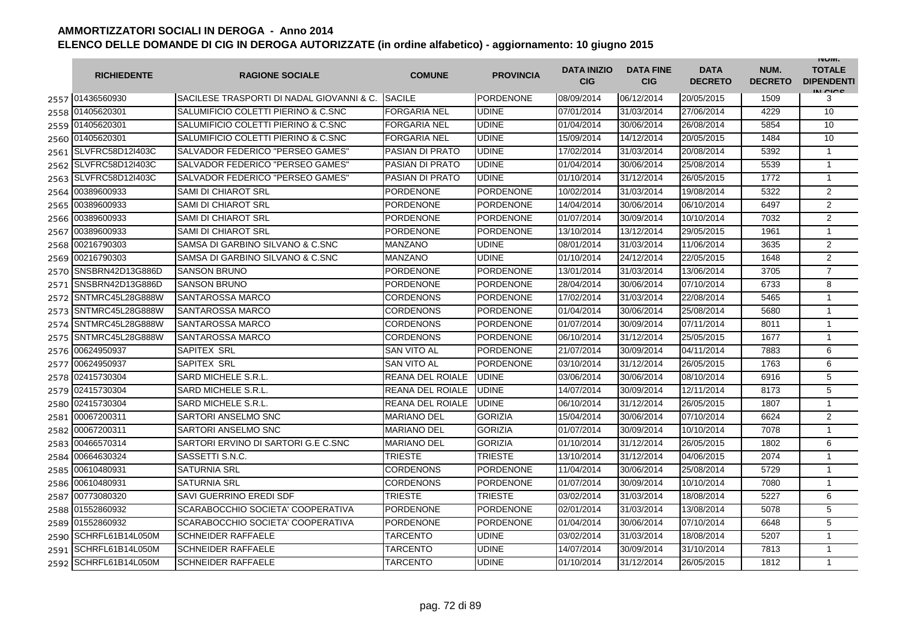|      | <b>RICHIEDENTE</b>    | <b>RAGIONE SOCIALE</b>                    | <b>COMUNE</b>           | <b>PROVINCIA</b> | <b>DATA INIZIO</b><br><b>CIG</b> | <b>DATA FINE</b><br><b>CIG</b> | <b>DATA</b><br><b>DECRETO</b> | NUM.<br><b>DECRETO</b> | <b>INUIVI.</b><br><b>TOTALE</b><br><b>DIPENDENTI</b><br>IN CICE |
|------|-----------------------|-------------------------------------------|-------------------------|------------------|----------------------------------|--------------------------------|-------------------------------|------------------------|-----------------------------------------------------------------|
|      | 2557 01436560930      | SACILESE TRASPORTI DI NADAL GIOVANNI & C. | <b>SACILE</b>           | PORDENONE        | 08/09/2014                       | 06/12/2014                     | 20/05/2015                    | 1509                   | 3                                                               |
|      | 2558 01405620301      | SALUMIFICIO COLETTI PIERINO & C.SNC       | <b>FORGARIA NEL</b>     | <b>UDINE</b>     | 07/01/2014                       | 31/03/2014                     | 27/06/2014                    | 4229                   | 10                                                              |
|      | 2559 01405620301      | SALUMIFICIO COLETTI PIERINO & C.SNC       | <b>FORGARIA NEL</b>     | <b>UDINE</b>     | 01/04/2014                       | 30/06/2014                     | 26/08/2014                    | 5854                   | 10                                                              |
|      | 2560 01405620301      | SALUMIFICIO COLETTI PIERINO & C.SNC       | <b>FORGARIA NEL</b>     | <b>UDINE</b>     | 15/09/2014                       | 14/12/2014                     | 20/05/2015                    | 1484                   | 10                                                              |
|      | 2561 SLVFRC58D12I403C | SALVADOR FEDERICO "PERSEO GAMES"          | <b>PASIAN DI PRATO</b>  | <b>UDINE</b>     | 17/02/2014                       | 31/03/2014                     | 20/08/2014                    | 5392                   | $\mathbf{1}$                                                    |
|      | 2562 SLVFRC58D12I403C | SALVADOR FEDERICO "PERSEO GAMES"          | <b>PASIAN DI PRATO</b>  | <b>UDINE</b>     | 01/04/2014                       | 30/06/2014                     | 25/08/2014                    | 5539                   | $\mathbf{1}$                                                    |
|      | 2563 SLVFRC58D12I403C | SALVADOR FEDERICO "PERSEO GAMES"          | <b>PASIAN DI PRATO</b>  | <b>UDINE</b>     | 01/10/2014                       | 31/12/2014                     | 26/05/2015                    | 1772                   | $\mathbf{1}$                                                    |
|      | 2564 00389600933      | <b>SAMI DI CHIAROT SRL</b>                | <b>PORDENONE</b>        | <b>PORDENONE</b> | 10/02/2014                       | 31/03/2014                     | 19/08/2014                    | 5322                   | $\overline{2}$                                                  |
| 2565 | 00389600933           | <b>SAMI DI CHIAROT SRL</b>                | <b>PORDENONE</b>        | <b>PORDENONE</b> | 14/04/2014                       | 30/06/2014                     | 06/10/2014                    | 6497                   | $\overline{2}$                                                  |
| 2566 | 00389600933           | SAMI DI CHIAROT SRL                       | PORDENONE               | <b>PORDENONE</b> | 01/07/2014                       | 30/09/2014                     | 10/10/2014                    | 7032                   | $\overline{2}$                                                  |
| 2567 | 00389600933           | SAMI DI CHIAROT SRL                       | <b>PORDENONE</b>        | PORDENONE        | 13/10/2014                       | 13/12/2014                     | 29/05/2015                    | 1961                   | 1                                                               |
| 2568 | 00216790303           | SAMSA DI GARBINO SILVANO & C.SNC          | MANZANO                 | <b>UDINE</b>     | 08/01/2014                       | 31/03/2014                     | 11/06/2014                    | 3635                   | $\overline{2}$                                                  |
| 2569 | 00216790303           | SAMSA DI GARBINO SILVANO & C.SNC          | MANZANO                 | <b>UDINE</b>     | 01/10/2014                       | 24/12/2014                     | 22/05/2015                    | 1648                   | $\overline{2}$                                                  |
| 2570 | SNSBRN42D13G886D      | <b>SANSON BRUNO</b>                       | PORDENONE               | <b>PORDENONE</b> | 13/01/2014                       | 31/03/2014                     | 13/06/2014                    | 3705                   | $\overline{7}$                                                  |
| 2571 | SNSBRN42D13G886D      | <b>SANSON BRUNO</b>                       | <b>PORDENONE</b>        | <b>PORDENONE</b> | 28/04/2014                       | 30/06/2014                     | 07/10/2014                    | 6733                   | 8                                                               |
| 2572 | SNTMRC45L28G888W      | SANTAROSSA MARCO                          | <b>CORDENONS</b>        | <b>PORDENONE</b> | 17/02/2014                       | 31/03/2014                     | 22/08/2014                    | 5465                   | $\mathbf{1}$                                                    |
|      | 2573 SNTMRC45L28G888W | <b>SANTAROSSA MARCO</b>                   | CORDENONS               | <b>PORDENONE</b> | 01/04/2014                       | 30/06/2014                     | 25/08/2014                    | 5680                   | $\mathbf{1}$                                                    |
|      | 2574 SNTMRC45L28G888W | SANTAROSSA MARCO                          | CORDENONS               | <b>PORDENONE</b> | 01/07/2014                       | 30/09/2014                     | 07/11/2014                    | 8011                   | 1                                                               |
|      | 2575 SNTMRC45L28G888W | <b>SANTAROSSA MARCO</b>                   | CORDENONS               | <b>PORDENONE</b> | 06/10/2014                       | 31/12/2014                     | 25/05/2015                    | 1677                   | $\mathbf{1}$                                                    |
|      | 2576 00624950937      | SAPITEX SRL                               | SAN VITO AL             | <b>PORDENONE</b> | 21/07/2014                       | 30/09/2014                     | 04/11/2014                    | 7883                   | 6                                                               |
|      | 2577 00624950937      | SAPITEX SRL                               | <b>SAN VITO AL</b>      | <b>PORDENONE</b> | 03/10/2014                       | 31/12/2014                     | 26/05/2015                    | 1763                   | 6                                                               |
| 2578 | 02415730304           | <b>SARD MICHELE S.R.L.</b>                | <b>REANA DEL ROIALE</b> | <b>UDINE</b>     | 03/06/2014                       | 30/06/2014                     | 08/10/2014                    | 6916                   | 5                                                               |
|      | 2579 02415730304      | SARD MICHELE S.R.L.                       | REANA DEL ROIALE        | <b>UDINE</b>     | 14/07/2014                       | 30/09/2014                     | 12/11/2014                    | 8173                   | 5                                                               |
|      | 2580 02415730304      | SARD MICHELE S.R.L.                       | REANA DEL ROIALE        | <b>UDINE</b>     | 06/10/2014                       | 31/12/2014                     | 26/05/2015                    | 1807                   | 1                                                               |
| 2581 | 00067200311           | SARTORI ANSELMO SNC                       | <b>MARIANO DEL</b>      | <b>GORIZIA</b>   | 15/04/2014                       | 30/06/2014                     | 07/10/2014                    | 6624                   | 2                                                               |
| 2582 | 00067200311           | SARTORI ANSELMO SNC                       | <b>MARIANO DEL</b>      | <b>GORIZIA</b>   | 01/07/2014                       | 30/09/2014                     | 10/10/2014                    | 7078                   | $\mathbf{1}$                                                    |
| 2583 | 00466570314           | SARTORI ERVINO DI SARTORI G.E C.SNC       | MARIANO DEL             | <b>GORIZIA</b>   | 01/10/2014                       | 31/12/2014                     | 26/05/2015                    | 1802                   | 6                                                               |
| 2584 | 00664630324           | SASSETTI S.N.C.                           | TRIESTE                 | <b>TRIESTE</b>   | 13/10/2014                       | 31/12/2014                     | 04/06/2015                    | 2074                   | $\mathbf{1}$                                                    |
| 2585 | 00610480931           | <b>SATURNIA SRL</b>                       | <b>CORDENONS</b>        | <b>PORDENONE</b> | 11/04/2014                       | 30/06/2014                     | 25/08/2014                    | 5729                   | $\mathbf{1}$                                                    |
|      | 2586 00610480931      | <b>SATURNIA SRL</b>                       | CORDENONS               | <b>PORDENONE</b> | 01/07/2014                       | 30/09/2014                     | 10/10/2014                    | 7080                   | $\mathbf{1}$                                                    |
|      | 2587 00773080320      | SAVI GUERRINO EREDI SDF                   | TRIESTE                 | <b>TRIESTE</b>   | 03/02/2014                       | 31/03/2014                     | 18/08/2014                    | 5227                   | 6                                                               |
|      | 2588 01552860932      | SCARABOCCHIO SOCIETA' COOPERATIVA         | <b>PORDENONE</b>        | <b>PORDENONE</b> | 02/01/2014                       | 31/03/2014                     | 13/08/2014                    | 5078                   | 5                                                               |
|      | 2589 01552860932      | SCARABOCCHIO SOCIETA' COOPERATIVA         | <b>PORDENONE</b>        | <b>PORDENONE</b> | 01/04/2014                       | 30/06/2014                     | 07/10/2014                    | 6648                   | 5                                                               |
|      | 2590 SCHRFL61B14L050M | <b>SCHNEIDER RAFFAELE</b>                 | TARCENTO                | <b>UDINE</b>     | 03/02/2014                       | 31/03/2014                     | 18/08/2014                    | 5207                   | $\mathbf{1}$                                                    |
|      | 2591 SCHRFL61B14L050M | <b>SCHNEIDER RAFFAELE</b>                 | TARCENTO                | <b>UDINE</b>     | 14/07/2014                       | 30/09/2014                     | 31/10/2014                    | 7813                   | $\mathbf{1}$                                                    |
| 2592 | SCHRFL61B14L050M      | <b>SCHNEIDER RAFFAELE</b>                 | <b>TARCENTO</b>         | <b>UDINE</b>     | 01/10/2014                       | 31/12/2014                     | 26/05/2015                    | 1812                   | $\mathbf{1}$                                                    |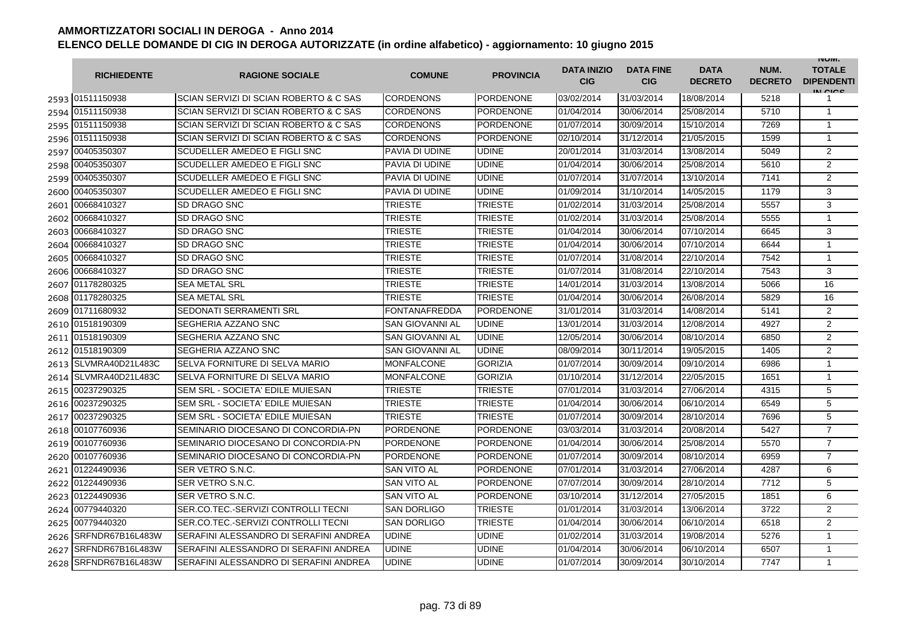|      | <b>RICHIEDENTE</b>    | <b>RAGIONE SOCIALE</b>                 | <b>COMUNE</b>          | <b>PROVINCIA</b> | <b>DATA INIZIO</b><br><b>CIG</b> | <b>DATA FINE</b><br><b>CIG</b> | <b>DATA</b><br><b>DECRETO</b> | NUM.<br><b>DECRETO</b> | <b>INUIVI.</b><br><b>TOTALE</b><br><b>DIPENDENTI</b><br>IN CIGO |
|------|-----------------------|----------------------------------------|------------------------|------------------|----------------------------------|--------------------------------|-------------------------------|------------------------|-----------------------------------------------------------------|
|      | 2593 01511150938      | SCIAN SERVIZI DI SCIAN ROBERTO & C SAS | CORDENONS              | <b>PORDENONE</b> | 03/02/2014                       | 31/03/2014                     | 18/08/2014                    | 5218                   | 1                                                               |
|      | 2594 01511150938      | SCIAN SERVIZI DI SCIAN ROBERTO & C SAS | <b>CORDENONS</b>       | <b>PORDENONE</b> | 01/04/2014                       | 30/06/2014                     | 25/08/2014                    | 5710                   | $\mathbf{1}$                                                    |
|      | 2595 01511150938      | SCIAN SERVIZI DI SCIAN ROBERTO & C SAS | <b>CORDENONS</b>       | <b>PORDENONE</b> | 01/07/2014                       | 30/09/2014                     | 15/10/2014                    | 7269                   | $\mathbf{1}$                                                    |
|      | 2596 01511150938      | SCIAN SERVIZI DI SCIAN ROBERTO & C SAS | CORDENONS              | PORDENONE        | 02/10/2014                       | 31/12/2014                     | 21/05/2015                    | 1599                   | $\mathbf{1}$                                                    |
|      | 2597 00405350307      | SCUDELLER AMEDEO E FIGLI SNC           | PAVIA DI UDINE         | <b>UDINE</b>     | 20/01/2014                       | 31/03/2014                     | 13/08/2014                    | 5049                   | 2                                                               |
|      | 2598 00405350307      | SCUDELLER AMEDEO E FIGLI SNC           | PAVIA DI UDINE         | <b>UDINE</b>     | 01/04/2014                       | 30/06/2014                     | 25/08/2014                    | 5610                   | $\overline{2}$                                                  |
|      | 2599 00405350307      | SCUDELLER AMEDEO E FIGLI SNC           | PAVIA DI UDINE         | <b>UDINE</b>     | 01/07/2014                       | 31/07/2014                     | 13/10/2014                    | 7141                   | 2                                                               |
|      | 2600 00405350307      | <b>SCUDELLER AMEDEO E FIGLI SNC</b>    | PAVIA DI UDINE         | <b>UDINE</b>     | 01/09/2014                       | 31/10/2014                     | 14/05/2015                    | 1179                   | 3                                                               |
| 2601 | 00668410327           | <b>SD DRAGO SNC</b>                    | <b>TRIESTE</b>         | <b>TRIESTE</b>   | 01/02/2014                       | 31/03/2014                     | 25/08/2014                    | 5557                   | 3                                                               |
| 2602 | 00668410327           | <b>SD DRAGO SNC</b>                    | TRIESTE                | <b>TRIESTE</b>   | 01/02/2014                       | 31/03/2014                     | 25/08/2014                    | 5555                   | $\mathbf{1}$                                                    |
| 2603 | 00668410327           | SD DRAGO SNC                           | TRIESTE                | <b>TRIESTE</b>   | 01/04/2014                       | 30/06/2014                     | 07/10/2014                    | 6645                   | 3                                                               |
| 2604 | 00668410327           | SD DRAGO SNC                           | TRIESTE                | <b>TRIESTE</b>   | 01/04/2014                       | 30/06/2014                     | 07/10/2014                    | 6644                   | $\mathbf{1}$                                                    |
| 2605 | 00668410327           | SD DRAGO SNC                           | <b>TRIESTE</b>         | <b>TRIESTE</b>   | 01/07/2014                       | 31/08/2014                     | 22/10/2014                    | 7542                   | $\mathbf{1}$                                                    |
| 2606 | 00668410327           | <b>SD DRAGO SNC</b>                    | TRIESTE                | <b>TRIESTE</b>   | 01/07/2014                       | 31/08/2014                     | 22/10/2014                    | 7543                   | 3                                                               |
|      | 2607 01178280325      | <b>SEA METAL SRL</b>                   | TRIESTE                | <b>TRIESTE</b>   | 14/01/2014                       | 31/03/2014                     | 13/08/2014                    | 5066                   | 16                                                              |
|      | 2608 01178280325      | <b>SEA METAL SRL</b>                   | TRIESTE                | <b>TRIESTE</b>   | 01/04/2014                       | 30/06/2014                     | 26/08/2014                    | 5829                   | 16                                                              |
|      | 2609 01711680932      | SEDONATI SERRAMENTI SRL                | <b>FONTANAFREDDA</b>   | <b>PORDENONE</b> | 31/01/2014                       | 31/03/2014                     | 14/08/2014                    | 5141                   | $\overline{2}$                                                  |
|      | 2610 01518190309      | SEGHERIA AZZANO SNC                    | <b>SAN GIOVANNI AL</b> | <b>UDINE</b>     | 13/01/2014                       | 31/03/2014                     | 12/08/2014                    | 4927                   | $\overline{2}$                                                  |
|      | 2611 01518190309      | SEGHERIA AZZANO SNC                    | <b>SAN GIOVANNI AL</b> | <b>UDINE</b>     | 12/05/2014                       | 30/06/2014                     | 08/10/2014                    | 6850                   | 2                                                               |
|      | 2612 01518190309      | SEGHERIA AZZANO SNC                    | <b>SAN GIOVANNI AL</b> | <b>UDINE</b>     | 08/09/2014                       | 30/11/2014                     | 19/05/2015                    | 1405                   | $\overline{2}$                                                  |
|      | 2613 SLVMRA40D21L483C | SELVA FORNITURE DI SELVA MARIO         | <b>MONFALCONE</b>      | <b>GORIZIA</b>   | 01/07/2014                       | 30/09/2014                     | 09/10/2014                    | 6986                   | $\mathbf{1}$                                                    |
|      | 2614 SLVMRA40D21L483C | SELVA FORNITURE DI SELVA MARIO         | <b>MONFALCONE</b>      | <b>GORIZIA</b>   | 01/10/2014                       | 31/12/2014                     | 22/05/2015                    | 1651                   | $\mathbf{1}$                                                    |
|      | 2615 00237290325      | SEM SRL - SOCIETA' EDILE MUIESAN       | <b>TRIESTE</b>         | <b>TRIESTE</b>   | 07/01/2014                       | 31/03/2014                     | 27/06/2014                    | 4315                   | 5                                                               |
| 2616 | 00237290325           | SEM SRL - SOCIETA' EDILE MUIESAN       | <b>TRIESTE</b>         | <b>TRIESTE</b>   | 01/04/2014                       | 30/06/2014                     | 06/10/2014                    | 6549                   | 5                                                               |
| 2617 | 00237290325           | SEM SRL - SOCIETA' EDILE MUIESAN       | <b>TRIESTE</b>         | <b>TRIESTE</b>   | 01/07/2014                       | 30/09/2014                     | 28/10/2014                    | 7696                   | 5                                                               |
| 2618 | 00107760936           | SEMINARIO DIOCESANO DI CONCORDIA-PN    | <b>PORDENONE</b>       | <b>PORDENONE</b> | 03/03/2014                       | 31/03/2014                     | 20/08/2014                    | 5427                   | $\overline{7}$                                                  |
| 2619 | 00107760936           | SEMINARIO DIOCESANO DI CONCORDIA-PN    | PORDENONE              | <b>PORDENONE</b> | 01/04/2014                       | 30/06/2014                     | 25/08/2014                    | 5570                   | $\overline{7}$                                                  |
|      | 2620 00107760936      | SEMINARIO DIOCESANO DI CONCORDIA-PN    | <b>PORDENONE</b>       | <b>PORDENONE</b> | 01/07/2014                       | 30/09/2014                     | 08/10/2014                    | 6959                   | $\overline{7}$                                                  |
|      | 2621 01224490936      | SER VETRO S.N.C.                       | <b>SAN VITO AL</b>     | <b>PORDENONE</b> | 07/01/2014                       | 31/03/2014                     | 27/06/2014                    | 4287                   | 6                                                               |
|      | 2622 01224490936      | SER VETRO S.N.C.                       | SAN VITO AL            | <b>PORDENONE</b> | 07/07/2014                       | 30/09/2014                     | 28/10/2014                    | 7712                   | 5                                                               |
|      | 2623 01224490936      | SER VETRO S.N.C.                       | <b>SAN VITO AL</b>     | PORDENONE        | 03/10/2014                       | 31/12/2014                     | 27/05/2015                    | 1851                   | 6                                                               |
|      | 2624 00779440320      | SER.CO.TEC.-SERVIZI CONTROLLI TECNI    | <b>SAN DORLIGO</b>     | <b>TRIESTE</b>   | 01/01/2014                       | 31/03/2014                     | 13/06/2014                    | 3722                   | 2                                                               |
|      | 2625 00779440320      | SER.CO.TEC.-SERVIZI CONTROLLI TECNI    | <b>SAN DORLIGO</b>     | <b>TRIESTE</b>   | 01/04/2014                       | 30/06/2014                     | 06/10/2014                    | 6518                   | $\overline{2}$                                                  |
|      | 2626 SRFNDR67B16L483W | SERAFINI ALESSANDRO DI SERAFINI ANDREA | <b>UDINE</b>           | <b>UDINE</b>     | 01/02/2014                       | 31/03/2014                     | 19/08/2014                    | 5276                   | $\mathbf{1}$                                                    |
| 2627 | SRFNDR67B16L483W      | SERAFINI ALESSANDRO DI SERAFINI ANDREA | <b>UDINE</b>           | <b>UDINE</b>     | 01/04/2014                       | 30/06/2014                     | 06/10/2014                    | 6507                   | $\mathbf{1}$                                                    |
|      | 2628 SRFNDR67B16L483W | SERAFINI ALESSANDRO DI SERAFINI ANDREA | <b>UDINE</b>           | <b>UDINE</b>     | 01/07/2014                       | 30/09/2014                     | 30/10/2014                    | 7747                   | $\mathbf{1}$                                                    |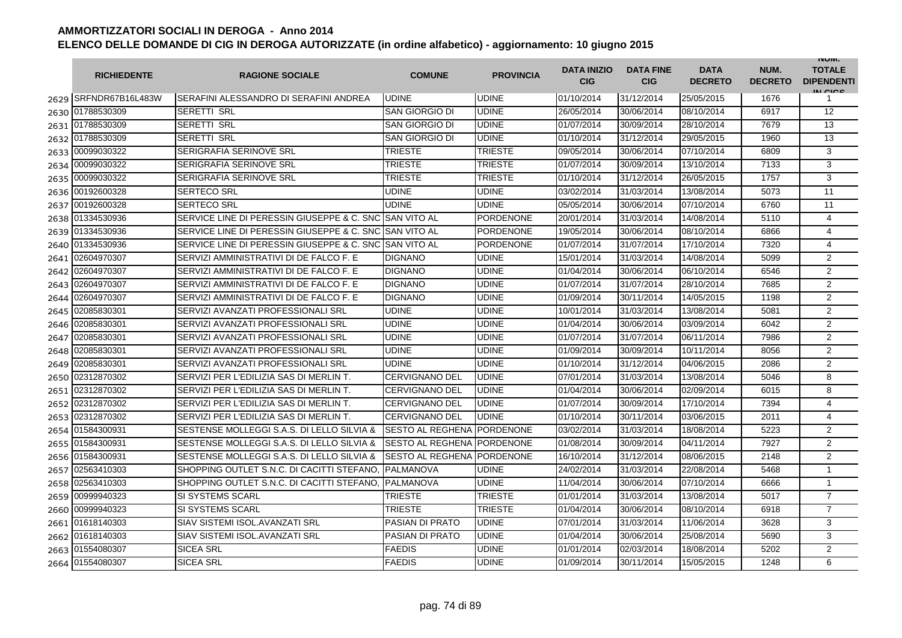|      | <b>RICHIEDENTE</b>    | <b>RAGIONE SOCIALE</b>                                 | <b>COMUNE</b>              | <b>PROVINCIA</b> | <b>DATA INIZIO</b><br><b>CIG</b> | <b>DATA FINE</b><br><b>CIG</b> | <b>DATA</b><br><b>DECRETO</b> | NUM.<br><b>DECRETO</b> | <b>INUIVI.</b><br><b>TOTALE</b><br><b>DIPENDENTI</b><br>IN CIGO |
|------|-----------------------|--------------------------------------------------------|----------------------------|------------------|----------------------------------|--------------------------------|-------------------------------|------------------------|-----------------------------------------------------------------|
|      | 2629 SRFNDR67B16L483W | ISERAFINI ALESSANDRO DI SERAFINI ANDREA                | <b>UDINE</b>               | <b>UDINE</b>     | 01/10/2014                       | 31/12/2014                     | 25/05/2015                    | 1676                   | 1                                                               |
| 2630 | 01788530309           | <b>SERETTI SRL</b>                                     | <b>SAN GIORGIO DI</b>      | <b>UDINE</b>     | 26/05/2014                       | 30/06/2014                     | 08/10/2014                    | 6917                   | 12                                                              |
| 2631 | 01788530309           | <b>SERETTI SRL</b>                                     | <b>SAN GIORGIO DI</b>      | <b>UDINE</b>     | 01/07/2014                       | 30/09/2014                     | 28/10/2014                    | 7679                   | 13                                                              |
| 2632 | 01788530309           | <b>SERETTI SRL</b>                                     | <b>SAN GIORGIO DI</b>      | <b>UDINE</b>     | 01/10/2014                       | 31/12/2014                     | 29/05/2015                    | 1960                   | 13                                                              |
|      | 2633 00099030322      | <b>SERIGRAFIA SERINOVE SRL</b>                         | <b>TRIESTE</b>             | TRIESTE          | 09/05/2014                       | 30/06/2014                     | 07/10/2014                    | 6809                   | 3                                                               |
| 2634 | 00099030322           | <b>SERIGRAFIA SERINOVE SRL</b>                         | <b>TRIESTE</b>             | TRIESTE          | 01/07/2014                       | 30/09/2014                     | 13/10/2014                    | 7133                   | 3                                                               |
| 2635 | 00099030322           | <b>SERIGRAFIA SERINOVE SRL</b>                         | TRIESTE                    | TRIESTE          | 01/10/2014                       | 31/12/2014                     | 26/05/2015                    | 1757                   | 3                                                               |
| 2636 | 00192600328           | <b>SERTECO SRL</b>                                     | <b>UDINE</b>               | <b>UDINE</b>     | 03/02/2014                       | 31/03/2014                     | 13/08/2014                    | 5073                   | 11                                                              |
| 2637 | 00192600328           | <b>SERTECO SRL</b>                                     | <b>UDINE</b>               | <b>UDINE</b>     | 05/05/2014                       | 30/06/2014                     | 07/10/2014                    | 6760                   | 11                                                              |
| 2638 | 01334530936           | SERVICE LINE DI PERESSIN GIUSEPPE & C. SNC SAN VITO AL |                            | PORDENONE        | 20/01/2014                       | 31/03/2014                     | 14/08/2014                    | 5110                   | 4                                                               |
| 2639 | 01334530936           | SERVICE LINE DI PERESSIN GIUSEPPE & C. SNC             | <b>SAN VITO AL</b>         | <b>PORDENONE</b> | 19/05/2014                       | 30/06/2014                     | 08/10/2014                    | 6866                   | 4                                                               |
| 2640 | 01334530936           | SERVICE LINE DI PERESSIN GIUSEPPE & C. SNC             | <b>SAN VITO AL</b>         | PORDENONE        | 01/07/2014                       | 31/07/2014                     | 17/10/2014                    | 7320                   | 4                                                               |
| 2641 | 02604970307           | SERVIZI AMMINISTRATIVI DI DE FALCO F. E                | <b>DIGNANO</b>             | <b>UDINE</b>     | 15/01/2014                       | 31/03/2014                     | 14/08/2014                    | 5099                   | $\overline{2}$                                                  |
| 2642 | 02604970307           | SERVIZI AMMINISTRATIVI DI DE FALCO F. E                | <b>DIGNANO</b>             | UDINE            | 01/04/2014                       | 30/06/2014                     | 06/10/2014                    | 6546                   | $\overline{2}$                                                  |
| 2643 | 02604970307           | SERVIZI AMMINISTRATIVI DI DE FALCO F. E                | <b>DIGNANO</b>             | UDINE            | 01/07/2014                       | 31/07/2014                     | 28/10/2014                    | 7685                   | 2                                                               |
| 2644 | 02604970307           | SERVIZI AMMINISTRATIVI DI DE FALCO F. E                | <b>DIGNANO</b>             | <b>UDINE</b>     | 01/09/2014                       | 30/11/2014                     | 14/05/2015                    | 1198                   | $\overline{2}$                                                  |
| 2645 | 02085830301           | SERVIZI AVANZATI PROFESSIONALI SRL                     | <b>UDINE</b>               | <b>UDINE</b>     | 10/01/2014                       | 31/03/2014                     | 13/08/2014                    | 5081                   | $\overline{2}$                                                  |
| 2646 | 02085830301           | SERVIZI AVANZATI PROFESSIONALI SRL                     | <b>UDINE</b>               | <b>UDINE</b>     | 01/04/2014                       | 30/06/2014                     | 03/09/2014                    | 6042                   | $\overline{2}$                                                  |
| 2647 | 02085830301           | SERVIZI AVANZATI PROFESSIONALI SRL                     | <b>UDINE</b>               | <b>UDINE</b>     | 01/07/2014                       | 31/07/2014                     | 06/11/2014                    | 7986                   | 2                                                               |
| 2648 | 02085830301           | SERVIZI AVANZATI PROFESSIONALI SRL                     | <b>UDINE</b>               | <b>UDINE</b>     | 01/09/2014                       | 30/09/2014                     | 10/11/2014                    | 8056                   | 2                                                               |
| 2649 | 02085830301           | SERVIZI AVANZATI PROFESSIONALI SRL                     | <b>UDINE</b>               | <b>UDINE</b>     | 01/10/2014                       | 31/12/2014                     | 04/06/2015                    | 2086                   | $\overline{2}$                                                  |
| 2650 | 02312870302           | SERVIZI PER L'EDILIZIA SAS DI MERLIN T.                | <b>CERVIGNANO DEL</b>      | <b>UDINE</b>     | 07/01/2014                       | 31/03/2014                     | 13/08/2014                    | 5046                   | 8                                                               |
| 2651 | 02312870302           | SERVIZI PER L'EDILIZIA SAS DI MERLIN T.                | <b>CERVIGNANO DEL</b>      | <b>UDINE</b>     | 01/04/2014                       | 30/06/2014                     | 02/09/2014                    | 6015                   | 8                                                               |
| 2652 | 02312870302           | SERVIZI PER L'EDILIZIA SAS DI MERLIN T.                | <b>CERVIGNANO DEL</b>      | <b>UDINE</b>     | 01/07/2014                       | 30/09/2014                     | 17/10/2014                    | 7394                   | 4                                                               |
| 2653 | 02312870302           | SERVIZI PER L'EDILIZIA SAS DI MERLIN T.                | <b>CERVIGNANO DEL</b>      | <b>UDINE</b>     | 01/10/2014                       | 30/11/2014                     | 03/06/2015                    | 2011                   | 4                                                               |
| 2654 | 01584300931           | SESTENSE MOLLEGGI S.A.S. DI LELLO SILVIA &             | <b>SESTO AL REGHENA</b>    | <b>PORDENONE</b> | 03/02/2014                       | 31/03/2014                     | 18/08/2014                    | 5223                   | $\overline{2}$                                                  |
| 2655 | 01584300931           | SESTENSE MOLLEGGI S.A.S. DI LELLO SILVIA &             | <b>SESTO AL REGHENA</b>    | <b>PORDENONE</b> | 01/08/2014                       | 30/09/2014                     | 04/11/2014                    | 7927                   | 2                                                               |
| 2656 | 01584300931           | SESTENSE MOLLEGGI S.A.S. DI LELLO SILVIA &             | SESTO AL REGHENA PORDENONE |                  | 16/10/2014                       | 31/12/2014                     | 08/06/2015                    | 2148                   | $\overline{2}$                                                  |
| 2657 | 02563410303           | SHOPPING OUTLET S.N.C. DI CACITTI STEFANO.             | <b>PALMANOVA</b>           | <b>UDINE</b>     | 24/02/2014                       | 31/03/2014                     | 22/08/2014                    | 5468                   | $\mathbf{1}$                                                    |
| 2658 | 02563410303           | SHOPPING OUTLET S.N.C. DI CACITTI STEFANO,             | <b>PALMANOVA</b>           | <b>UDINE</b>     | 11/04/2014                       | 30/06/2014                     | 07/10/2014                    | 6666                   | $\mathbf{1}$                                                    |
| 2659 | 00999940323           | <b>SI SYSTEMS SCARL</b>                                | TRIESTE                    | <b>TRIESTE</b>   | 01/01/2014                       | 31/03/2014                     | 13/08/2014                    | 5017                   | $\overline{7}$                                                  |
| 2660 | 00999940323           | <b>SI SYSTEMS SCARL</b>                                | <b>TRIESTE</b>             | TRIESTE          | 01/04/2014                       | 30/06/2014                     | 08/10/2014                    | 6918                   | $\overline{7}$                                                  |
| 2661 | 01618140303           | <b>SIAV SISTEMI ISOL.AVANZATI SRL</b>                  | <b>PASIAN DI PRATO</b>     | <b>UDINE</b>     | 07/01/2014                       | 31/03/2014                     | 11/06/2014                    | 3628                   | 3                                                               |
|      | 2662 01618140303      | <b>SIAV SISTEMI ISOL.AVANZATI SRL</b>                  | <b>PASIAN DI PRATO</b>     | <b>UDINE</b>     | 01/04/2014                       | 30/06/2014                     | 25/08/2014                    | 5690                   | 3                                                               |
| 2663 | 01554080307           | <b>SICEA SRL</b>                                       | <b>FAEDIS</b>              | <b>UDINE</b>     | 01/01/2014                       | 02/03/2014                     | 18/08/2014                    | 5202                   | $\overline{2}$                                                  |
| 2664 | 01554080307           | <b>SICEA SRL</b>                                       | <b>FAEDIS</b>              | <b>UDINE</b>     | 01/09/2014                       | 30/11/2014                     | 15/05/2015                    | 1248                   | 6                                                               |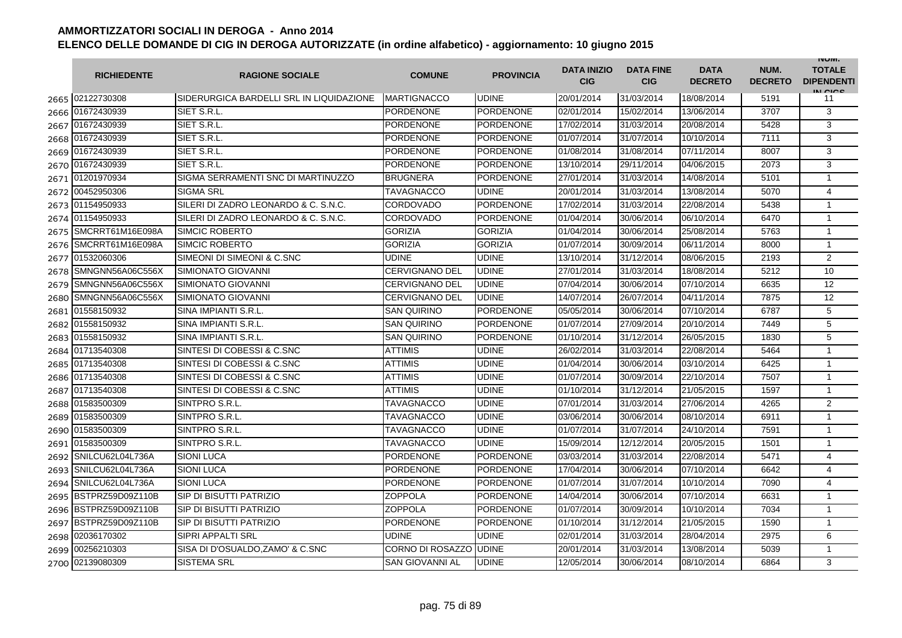|      | <b>RICHIEDENTE</b>    | <b>RAGIONE SOCIALE</b>                   | <b>COMUNE</b>          | <b>PROVINCIA</b> | <b>DATA INIZIO</b><br><b>CIG</b> | <b>DATA FINE</b><br><b>CIG</b> | <b>DATA</b><br><b>DECRETO</b> | NUM.<br><b>DECRETO</b> | <b>INUIVI.</b><br><b>TOTALE</b><br><b>DIPENDENTI</b><br>IN CICS |
|------|-----------------------|------------------------------------------|------------------------|------------------|----------------------------------|--------------------------------|-------------------------------|------------------------|-----------------------------------------------------------------|
|      | 2665 02122730308      | SIDERURGICA BARDELLI SRL IN LIQUIDAZIONE | <b>MARTIGNACCO</b>     | <b>UDINE</b>     | 20/01/2014                       | 31/03/2014                     | 18/08/2014                    | 5191                   | 11                                                              |
|      | 2666 01672430939      | SIET S.R.L.                              | PORDENONE              | <b>PORDENONE</b> | 02/01/2014                       | 15/02/2014                     | 13/06/2014                    | 3707                   | 3                                                               |
|      | 2667 01672430939      | SIET S.R.L.                              | PORDENONE              | PORDENONE        | 17/02/2014                       | 31/03/2014                     | 20/08/2014                    | 5428                   | 3                                                               |
|      | 2668 01672430939      | SIET S.R.L.                              | <b>PORDENONE</b>       | <b>PORDENONE</b> | 01/07/2014                       | 31/07/2014                     | 10/10/2014                    | 7111                   | 3                                                               |
|      | 2669 01672430939      | SIET S.R.L.                              | <b>PORDENONE</b>       | <b>PORDENONE</b> | 01/08/2014                       | 31/08/2014                     | 07/11/2014                    | 8007                   | 3                                                               |
|      | 2670 01672430939      | SIET S.R.L                               | <b>PORDENONE</b>       | <b>PORDENONE</b> | 13/10/2014                       | 29/11/2014                     | 04/06/2015                    | 2073                   | 3                                                               |
| 2671 | 01201970934           | SIGMA SERRAMENTI SNC DI MARTINUZZO       | <b>BRUGNERA</b>        | <b>PORDENONE</b> | 27/01/2014                       | 31/03/2014                     | 14/08/2014                    | 5101                   | $\mathbf{1}$                                                    |
|      | 2672 00452950306      | <b>SIGMA SRL</b>                         | <b>TAVAGNACCO</b>      | <b>UDINE</b>     | 20/01/2014                       | 31/03/2014                     | 13/08/2014                    | 5070                   | 4                                                               |
|      | 2673 01154950933      | SILERI DI ZADRO LEONARDO & C. S.N.C.     | CORDOVADO              | <b>PORDENONE</b> | 17/02/2014                       | 31/03/2014                     | 22/08/2014                    | 5438                   | $\mathbf{1}$                                                    |
| 2674 | 01154950933           | SILERI DI ZADRO LEONARDO & C. S.N.C.     | <b>CORDOVADO</b>       | <b>PORDENONE</b> | 01/04/2014                       | 30/06/2014                     | 06/10/2014                    | 6470                   | $\mathbf{1}$                                                    |
| 2675 | SMCRRT61M16E098A      | <b>SIMCIC ROBERTO</b>                    | <b>GORIZIA</b>         | <b>GORIZIA</b>   | 01/04/2014                       | 30/06/2014                     | 25/08/2014                    | 5763                   | $\mathbf{1}$                                                    |
| 2676 | SMCRRT61M16E098A      | <b>SIMCIC ROBERTO</b>                    | GORIZIA                | <b>GORIZIA</b>   | 01/07/2014                       | 30/09/2014                     | 06/11/2014                    | 8000                   | $\mathbf{1}$                                                    |
|      | 2677 01532060306      | SIMEONI DI SIMEONI & C.SNC               | <b>UDINE</b>           | <b>UDINE</b>     | 13/10/2014                       | 31/12/2014                     | 08/06/2015                    | 2193                   | $\overline{2}$                                                  |
| 2678 | SMNGNN56A06C556X      | <b>SIMIONATO GIOVANNI</b>                | <b>CERVIGNANO DEL</b>  | <b>UDINE</b>     | 27/01/2014                       | 31/03/2014                     | 18/08/2014                    | 5212                   | 10                                                              |
| 2679 | SMNGNN56A06C556X      | SIMIONATO GIOVANNI                       | <b>CERVIGNANO DEL</b>  | <b>UDINE</b>     | 07/04/2014                       | 30/06/2014                     | 07/10/2014                    | 6635                   | 12                                                              |
| 2680 | SMNGNN56A06C556X      | <b>SIMIONATO GIOVANNI</b>                | <b>CERVIGNANO DEL</b>  | <b>UDINE</b>     | 14/07/2014                       | 26/07/2014                     | 04/11/2014                    | 7875                   | 12                                                              |
| 2681 | 01558150932           | <b>SINA IMPIANTI S.R.L.</b>              | <b>SAN QUIRINO</b>     | <b>PORDENONE</b> | 05/05/2014                       | 30/06/2014                     | 07/10/2014                    | 6787                   | 5                                                               |
| 2682 | 01558150932           | SINA IMPIANTI S.R.L.                     | <b>SAN QUIRINO</b>     | <b>PORDENONE</b> | 01/07/2014                       | 27/09/2014                     | 20/10/2014                    | 7449                   | 5                                                               |
|      | 2683 01558150932      | SINA IMPIANTI S.R.L.                     | <b>SAN QUIRINO</b>     | <b>PORDENONE</b> | 01/10/2014                       | 31/12/2014                     | 26/05/2015                    | 1830                   | 5                                                               |
| 2684 | 01713540308           | SINTESI DI COBESSI & C.SNC               | <b>ATTIMIS</b>         | <b>UDINE</b>     | 26/02/2014                       | 31/03/2014                     | 22/08/2014                    | 5464                   | $\mathbf{1}$                                                    |
| 2685 | 01713540308           | SINTESI DI COBESSI & C.SNC               | ATTIMIS                | <b>UDINE</b>     | 01/04/2014                       | 30/06/2014                     | 03/10/2014                    | 6425                   | $\mathbf{1}$                                                    |
|      | 2686 01713540308      | SINTESI DI COBESSI & C.SNC               | ATTIMIS                | <b>UDINE</b>     | 01/07/2014                       | 30/09/2014                     | 22/10/2014                    | 7507                   | $\mathbf{1}$                                                    |
|      | 2687 01713540308      | SINTESI DI COBESSI & C.SNC               | ATTIMIS                | <b>UDINE</b>     | 01/10/2014                       | 31/12/2014                     | 21/05/2015                    | 1597                   | $\mathbf{1}$                                                    |
|      | 2688 01583500309      | SINTPRO S.R.L.                           | TAVAGNACCO             | <b>UDINE</b>     | 07/01/2014                       | 31/03/2014                     | 27/06/2014                    | 4265                   | 2                                                               |
|      | 2689 01583500309      | SINTPRO S.R.L.                           | TAVAGNACCO             | <b>UDINE</b>     | 03/06/2014                       | 30/06/2014                     | 08/10/2014                    | 6911                   | $\mathbf{1}$                                                    |
|      | 2690 01583500309      | SINTPRO S.R.L.                           | <b>TAVAGNACCO</b>      | <b>UDINE</b>     | 01/07/2014                       | 31/07/2014                     | 24/10/2014                    | 7591                   | $\mathbf{1}$                                                    |
|      | 2691 01583500309      | SINTPRO S.R.L.                           | TAVAGNACCO             | <b>UDINE</b>     | 15/09/2014                       | 12/12/2014                     | 20/05/2015                    | 1501                   | $\mathbf{1}$                                                    |
|      | 2692 SNILCU62L04L736A | <b>SIONI LUCA</b>                        | <b>PORDENONE</b>       | <b>PORDENONE</b> | 03/03/2014                       | 31/03/2014                     | 22/08/2014                    | 5471                   | $\overline{4}$                                                  |
|      | 2693 SNILCU62L04L736A | <b>SIONI LUCA</b>                        | <b>PORDENONE</b>       | <b>PORDENONE</b> | 17/04/2014                       | 30/06/2014                     | 07/10/2014                    | 6642                   | 4                                                               |
| 2694 | SNILCU62L04L736A      | <b>SIONI LUCA</b>                        | <b>PORDENONE</b>       | <b>PORDENONE</b> | 01/07/2014                       | 31/07/2014                     | 10/10/2014                    | 7090                   | 4                                                               |
| 2695 | BSTPRZ59D09Z110B      | SIP DI BISUTTI PATRIZIO                  | <b>ZOPPOLA</b>         | <b>PORDENONE</b> | 14/04/2014                       | 30/06/2014                     | 07/10/2014                    | 6631                   | $\mathbf{1}$                                                    |
| 2696 | BSTPRZ59D09Z110B      | SIP DI BISUTTI PATRIZIO                  | ZOPPOLA                | <b>PORDENONE</b> | 01/07/2014                       | 30/09/2014                     | 10/10/2014                    | 7034                   | $\mathbf{1}$                                                    |
|      | 2697 BSTPRZ59D09Z110B | <b>SIP DI BISUTTI PATRIZIO</b>           | PORDENONE              | <b>PORDENONE</b> | 01/10/2014                       | 31/12/2014                     | 21/05/2015                    | 1590                   | $\mathbf 1$                                                     |
| 2698 | 02036170302           | <b>SIPRI APPALTI SRL</b>                 | <b>UDINE</b>           | <b>UDINE</b>     | 02/01/2014                       | 31/03/2014                     | 28/04/2014                    | 2975                   | 6                                                               |
|      | 2699 00256210303      | SISA DI D'OSUALDO, ZAMO' & C.SNC         | CORNO DI ROSAZZO       | <b>UDINE</b>     | 20/01/2014                       | 31/03/2014                     | 13/08/2014                    | 5039                   | $\mathbf{1}$                                                    |
|      | 2700 02139080309      | <b>SISTEMA SRL</b>                       | <b>SAN GIOVANNI AL</b> | <b>UDINE</b>     | 12/05/2014                       | 30/06/2014                     | 08/10/2014                    | 6864                   | 3                                                               |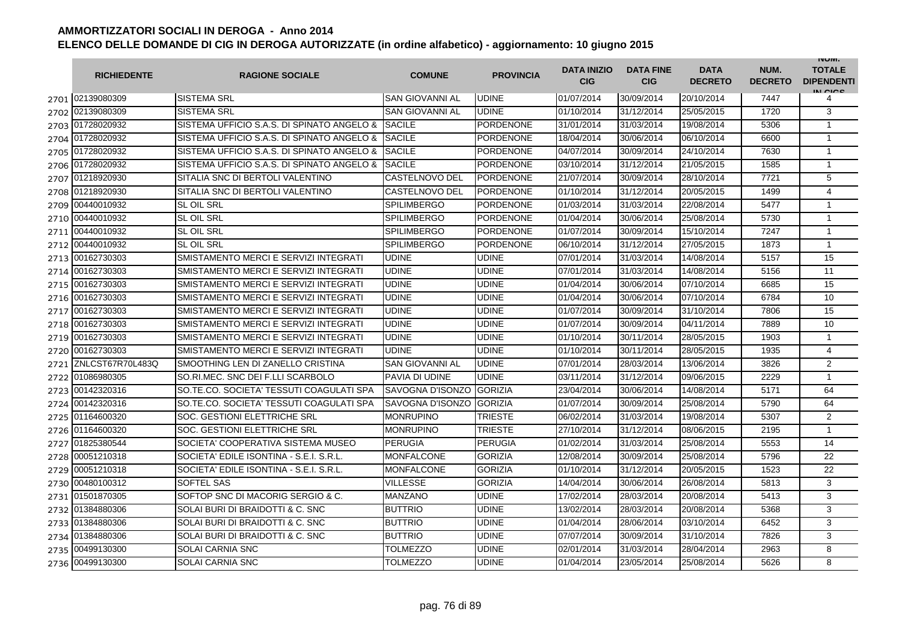|      | <b>RICHIEDENTE</b> | <b>RAGIONE SOCIALE</b>                     | <b>COMUNE</b>          | <b>PROVINCIA</b> | <b>DATA INIZIO</b><br><b>CIG</b> | <b>DATA FINE</b><br><b>CIG</b> | <b>DATA</b><br><b>DECRETO</b> | NUM.<br><b>DECRETO</b> | <b>INUIVI.</b><br><b>TOTALE</b><br><b>DIPENDENTI</b><br>IN CIGO |
|------|--------------------|--------------------------------------------|------------------------|------------------|----------------------------------|--------------------------------|-------------------------------|------------------------|-----------------------------------------------------------------|
|      | 2701 02139080309   | SISTEMA SRL                                | <b>SAN GIOVANNI AL</b> | <b>UDINE</b>     | 01/07/2014                       | 30/09/2014                     | 20/10/2014                    | 7447                   | 4                                                               |
| 2702 | 02139080309        | <b>SISTEMA SRL</b>                         | <b>SAN GIOVANNI AL</b> | <b>UDINE</b>     | 01/10/2014                       | 31/12/2014                     | 25/05/2015                    | 1720                   | 3                                                               |
| 2703 | 01728020932        | SISTEMA UFFICIO S.A.S. DI SPINATO ANGELO & | <b>SACILE</b>          | <b>PORDENONE</b> | 31/01/2014                       | 31/03/2014                     | 19/08/2014                    | 5306                   | $\mathbf{1}$                                                    |
| 2704 | 01728020932        | SISTEMA UFFICIO S.A.S. DI SPINATO ANGELO & | <b>SACILE</b>          | PORDENONE        | 18/04/2014                       | 30/06/2014                     | 06/10/2014                    | 6600                   | $\mathbf{1}$                                                    |
| 2705 | 01728020932        | SISTEMA UFFICIO S.A.S. DI SPINATO ANGELO & | <b>SACILE</b>          | <b>PORDENONE</b> | 04/07/2014                       | 30/09/2014                     | 24/10/2014                    | 7630                   | $\mathbf{1}$                                                    |
| 2706 | 01728020932        | SISTEMA UFFICIO S.A.S. DI SPINATO ANGELO & | <b>SACILE</b>          | <b>PORDENONE</b> | 03/10/2014                       | 31/12/2014                     | 21/05/2015                    | 1585                   | $\mathbf{1}$                                                    |
| 2707 | 01218920930        | SITALIA SNC DI BERTOLI VALENTINO           | <b>CASTELNOVO DEL</b>  | <b>PORDENONE</b> | 21/07/2014                       | 30/09/2014                     | 28/10/2014                    | 7721                   | 5                                                               |
| 2708 | 01218920930        | SITALIA SNC DI BERTOLI VALENTINO           | CASTELNOVO DEL         | <b>PORDENONE</b> | 01/10/2014                       | 31/12/2014                     | 20/05/2015                    | 1499                   | $\overline{4}$                                                  |
| 2709 | 00440010932        | <b>SL OIL SRL</b>                          | <b>SPILIMBERGO</b>     | <b>PORDENONE</b> | 01/03/2014                       | 31/03/2014                     | 22/08/2014                    | 5477                   | $\mathbf{1}$                                                    |
| 2710 | 00440010932        | <b>SL OIL SRL</b>                          | <b>SPILIMBERGO</b>     | PORDENONE        | 01/04/2014                       | 30/06/2014                     | 25/08/2014                    | 5730                   | $\mathbf{1}$                                                    |
| 2711 | 00440010932        | <b>SL OIL SRL</b>                          | <b>SPILIMBERGO</b>     | <b>PORDENONE</b> | 01/07/2014                       | 30/09/2014                     | 15/10/2014                    | 7247                   | $\mathbf{1}$                                                    |
| 2712 | 00440010932        | <b>SL OIL SRL</b>                          | <b>SPILIMBERGO</b>     | <b>PORDENONE</b> | 06/10/2014                       | 31/12/2014                     | 27/05/2015                    | 1873                   | $\mathbf{1}$                                                    |
| 2713 | 00162730303        | SMISTAMENTO MERCI E SERVIZI INTEGRATI      | <b>UDINE</b>           | <b>UDINE</b>     | 07/01/2014                       | 31/03/2014                     | 14/08/2014                    | 5157                   | 15                                                              |
| 2714 | 00162730303        | SMISTAMENTO MERCI E SERVIZI INTEGRATI      | <b>UDINE</b>           | UDINE            | 07/01/2014                       | 31/03/2014                     | 14/08/2014                    | 5156                   | 11                                                              |
| 2715 | 00162730303        | SMISTAMENTO MERCI E SERVIZI INTEGRATI      | <b>UDINE</b>           | UDINE            | 01/04/2014                       | 30/06/2014                     | 07/10/2014                    | 6685                   | 15                                                              |
| 2716 | 00162730303        | SMISTAMENTO MERCI E SERVIZI INTEGRATI      | <b>UDINE</b>           | <b>UDINE</b>     | 01/04/2014                       | 30/06/2014                     | 07/10/2014                    | 6784                   | 10 <sup>10</sup>                                                |
| 2717 | 00162730303        | SMISTAMENTO MERCI E SERVIZI INTEGRATI      | <b>UDINE</b>           | <b>UDINE</b>     | 01/07/2014                       | 30/09/2014                     | 31/10/2014                    | 7806                   | 15                                                              |
| 2718 | 00162730303        | SMISTAMENTO MERCI E SERVIZI INTEGRATI      | <b>UDINE</b>           | <b>UDINE</b>     | 01/07/2014                       | 30/09/2014                     | 04/11/2014                    | 7889                   | 10                                                              |
| 2719 | 00162730303        | SMISTAMENTO MERCI E SERVIZI INTEGRATI      | <b>UDINE</b>           | <b>UDINE</b>     | 01/10/2014                       | 30/11/2014                     | 28/05/2015                    | 1903                   | $\mathbf{1}$                                                    |
|      | 2720 00162730303   | SMISTAMENTO MERCI E SERVIZI INTEGRATI      | <b>UDINE</b>           | <b>UDINE</b>     | 01/10/2014                       | 30/11/2014                     | 28/05/2015                    | 1935                   | 4                                                               |
| 2721 | ZNLCST67R70L483Q   | SMOOTHING LEN DI ZANELLO CRISTINA          | <b>SAN GIOVANNI AL</b> | <b>UDINE</b>     | 07/01/2014                       | 28/03/2014                     | 13/06/2014                    | 3826                   | $\overline{2}$                                                  |
| 2722 | 01086980305        | SO.RI.MEC. SNC DEI F.LLI SCARBOLO          | <b>PAVIA DI UDINE</b>  | <b>UDINE</b>     | 03/11/2014                       | 31/12/2014                     | 09/06/2015                    | 2229                   | $\mathbf{1}$                                                    |
| 2723 | 00142320316        | SO.TE.CO. SOCIETA' TESSUTI COAGULATI SPA   | SAVOGNA D'ISONZO       | <b>GORIZIA</b>   | 23/04/2014                       | 30/06/2014                     | 14/08/2014                    | 5171                   | 64                                                              |
| 2724 | 00142320316        | SO.TE.CO. SOCIETA' TESSUTI COAGULATI SPA   | SAVOGNA D'ISONZO       | <b>GORIZIA</b>   | 01/07/2014                       | 30/09/2014                     | 25/08/2014                    | 5790                   | 64                                                              |
| 2725 | 01164600320        | <b>SOC. GESTIONI ELETTRICHE SRL</b>        | <b>MONRUPINO</b>       | TRIESTE          | 06/02/2014                       | 31/03/2014                     | 19/08/2014                    | 5307                   | 2                                                               |
| 2726 | 01164600320        | SOC. GESTIONI ELETTRICHE SRL               | <b>MONRUPINO</b>       | <b>TRIESTE</b>   | 27/10/2014                       | 31/12/2014                     | 08/06/2015                    | 2195                   | $\mathbf{1}$                                                    |
| 2727 | 01825380544        | SOCIETA' COOPERATIVA SISTEMA MUSEO         | <b>PERUGIA</b>         | PERUGIA          | 01/02/2014                       | 31/03/2014                     | 25/08/2014                    | 5553                   | 14                                                              |
| 2728 | 00051210318        | SOCIETA' EDILE ISONTINA - S.E.I. S.R.L.    | <b>MONFALCONE</b>      | <b>GORIZIA</b>   | 12/08/2014                       | 30/09/2014                     | 25/08/2014                    | 5796                   | 22                                                              |
| 2729 | 00051210318        | SOCIETA' EDILE ISONTINA - S.E.I. S.R.L.    | MONFALCONE             | <b>GORIZIA</b>   | 01/10/2014                       | 31/12/2014                     | 20/05/2015                    | 1523                   | 22                                                              |
| 2730 | 00480100312        | <b>SOFTEL SAS</b>                          | <b>VILLESSE</b>        | <b>GORIZIA</b>   | 14/04/2014                       | 30/06/2014                     | 26/08/2014                    | 5813                   | 3                                                               |
| 2731 | 01501870305        | SOFTOP SNC DI MACORIG SERGIO & C.          | MANZANO                | <b>UDINE</b>     | 17/02/2014                       | 28/03/2014                     | 20/08/2014                    | 5413                   | 3                                                               |
| 2732 | 01384880306        | SOLAI BURI DI BRAIDOTTI & C. SNC           | <b>BUTTRIO</b>         | <b>UDINE</b>     | 13/02/2014                       | 28/03/2014                     | 20/08/2014                    | 5368                   | 3                                                               |
| 2733 | 01384880306        | SOLAI BURI DI BRAIDOTTI & C. SNC           | <b>BUTTRIO</b>         | <b>UDINE</b>     | 01/04/2014                       | 28/06/2014                     | 03/10/2014                    | 6452                   | 3                                                               |
| 2734 | 01384880306        | SOLAI BURI DI BRAIDOTTI & C. SNC           | <b>BUTTRIO</b>         | <b>UDINE</b>     | 07/07/2014                       | 30/09/2014                     | 31/10/2014                    | 7826                   | 3                                                               |
| 2735 | 00499130300        | <b>SOLAI CARNIA SNC</b>                    | TOLMEZZO               | <b>UDINE</b>     | 02/01/2014                       | 31/03/2014                     | 28/04/2014                    | 2963                   | 8                                                               |
| 2736 | 00499130300        | <b>SOLAI CARNIA SNC</b>                    | <b>TOLMEZZO</b>        | <b>UDINE</b>     | 01/04/2014                       | 23/05/2014                     | 25/08/2014                    | 5626                   | 8                                                               |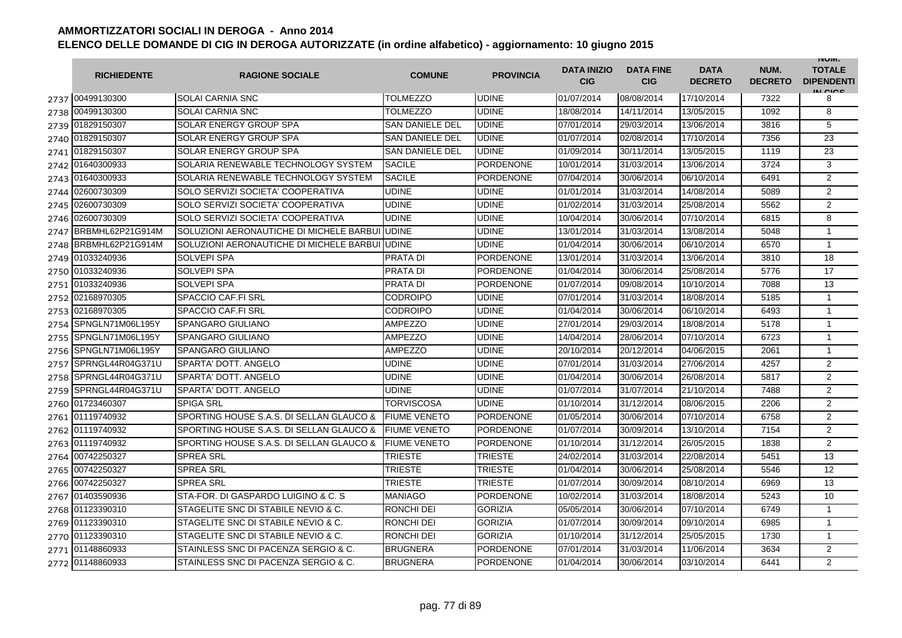|      | <b>RICHIEDENTE</b>    | <b>RAGIONE SOCIALE</b>                   | <b>COMUNE</b>          | <b>PROVINCIA</b> | <b>DATA INIZIO</b><br><b>CIG</b> | <b>DATA FINE</b><br><b>CIG</b> | <b>DATA</b><br><b>DECRETO</b> | NUM.<br><b>DECRETO</b> | <b>INUIVI.</b><br><b>TOTALE</b><br><b>DIPENDENTI</b><br>IN CICE |
|------|-----------------------|------------------------------------------|------------------------|------------------|----------------------------------|--------------------------------|-------------------------------|------------------------|-----------------------------------------------------------------|
|      | 2737 00499130300      | <b>SOLAI CARNIA SNC</b>                  | <b>TOLMEZZO</b>        | <b>UDINE</b>     | 01/07/2014                       | 08/08/2014                     | 17/10/2014                    | 7322                   | 8                                                               |
|      | 2738 00499130300      | <b>SOLAI CARNIA SNC</b>                  | <b>TOLMEZZO</b>        | <b>UDINE</b>     | 18/08/2014                       | 14/11/2014                     | 13/05/2015                    | 1092                   | 8                                                               |
|      | 2739 01829150307      | SOLAR ENERGY GROUP SPA                   | <b>SAN DANIELE DEL</b> | <b>UDINE</b>     | 07/01/2014                       | 29/03/2014                     | 13/06/2014                    | 3816                   | 5                                                               |
|      | 2740 01829150307      | SOLAR ENERGY GROUP SPA                   | <b>SAN DANIELE DEL</b> | <b>UDINE</b>     | 01/07/2014                       | 02/08/2014                     | 17/10/2014                    | 7356                   | 23                                                              |
|      | 2741 01829150307      | SOLAR ENERGY GROUP SPA                   | <b>SAN DANIELE DEL</b> | <b>UDINE</b>     | 01/09/2014                       | 30/11/2014                     | 13/05/2015                    | 1119                   | 23                                                              |
|      | 2742 01640300933      | SOLARIA RENEWABLE TECHNOLOGY SYSTEM      | <b>SACILE</b>          | <b>PORDENONE</b> | 10/01/2014                       | 31/03/2014                     | 13/06/2014                    | 3724                   | 3                                                               |
|      | 2743 01640300933      | SOLARIA RENEWABLE TECHNOLOGY SYSTEM      | <b>SACILE</b>          | <b>PORDENONE</b> | 07/04/2014                       | 30/06/2014                     | 06/10/2014                    | 6491                   | $\overline{2}$                                                  |
| 2744 | 02600730309           | SOLO SERVIZI SOCIETA' COOPERATIVA        | <b>UDINE</b>           | <b>UDINE</b>     | 01/01/2014                       | 31/03/2014                     | 14/08/2014                    | 5089                   | $\overline{2}$                                                  |
|      | 2745 02600730309      | SOLO SERVIZI SOCIETA' COOPERATIVA        | <b>UDINE</b>           | <b>UDINE</b>     | 01/02/2014                       | 31/03/2014                     | 25/08/2014                    | 5562                   | $\overline{2}$                                                  |
|      | 2746 02600730309      | SOLO SERVIZI SOCIETA' COOPERATIVA        | <b>UDINE</b>           | <b>UDINE</b>     | 10/04/2014                       | 30/06/2014                     | 07/10/2014                    | 6815                   | 8                                                               |
| 2747 | BRBMHL62P21G914M      | SOLUZIONI AERONAUTICHE DI MICHELE BARBUI | <b>UDINE</b>           | <b>UDINE</b>     | 13/01/2014                       | 31/03/2014                     | 13/08/2014                    | 5048                   | 1                                                               |
| 2748 | BRBMHL62P21G914M      | SOLUZIONI AERONAUTICHE DI MICHELE BARBUI | <b>UDINE</b>           | <b>UDINE</b>     | 01/04/2014                       | 30/06/2014                     | 06/10/2014                    | 6570                   | $\mathbf{1}$                                                    |
| 2749 | 01033240936           | SOLVEPI SPA                              | <b>PRATA DI</b>        | <b>PORDENONE</b> | 13/01/2014                       | 31/03/2014                     | 13/06/2014                    | 3810                   | 18                                                              |
| 2750 | 01033240936           | <b>SOLVEPI SPA</b>                       | PRATA DI               | <b>PORDENONE</b> | 01/04/2014                       | 30/06/2014                     | 25/08/2014                    | 5776                   | 17                                                              |
|      | 2751 01033240936      | <b>SOLVEPI SPA</b>                       | PRATA DI               | <b>PORDENONE</b> | 01/07/2014                       | 09/08/2014                     | 10/10/2014                    | 7088                   | 13                                                              |
| 2752 | 02168970305           | <b>SPACCIO CAF.FI SRL</b>                | <b>CODROIPO</b>        | <b>UDINE</b>     | 07/01/2014                       | 31/03/2014                     | 18/08/2014                    | 5185                   | $\mathbf{1}$                                                    |
|      | 2753 02168970305      | SPACCIO CAF.FI SRL                       | <b>CODROIPO</b>        | <b>UDINE</b>     | 01/04/2014                       | 30/06/2014                     | 06/10/2014                    | 6493                   | $\mathbf{1}$                                                    |
| 2754 | SPNGLN71M06L195Y      | SPANGARO GIULIANO                        | <b>AMPEZZO</b>         | <b>UDINE</b>     | 27/01/2014                       | 29/03/2014                     | 18/08/2014                    | 5178                   | 1                                                               |
|      | 2755 SPNGLN71M06L195Y | <b>SPANGARO GIULIANO</b>                 | <b>AMPEZZO</b>         | <b>UDINE</b>     | 14/04/2014                       | 28/06/2014                     | 07/10/2014                    | 6723                   | $\mathbf{1}$                                                    |
| 2756 | SPNGLN71M06L195Y      | <b>SPANGARO GIULIANO</b>                 | <b>AMPEZZO</b>         | <b>UDINE</b>     | 20/10/2014                       | 20/12/2014                     | 04/06/2015                    | 2061                   | $\mathbf{1}$                                                    |
|      | 2757 SPRNGL44R04G371U | <b>SPARTA' DOTT, ANGELO</b>              | <b>UDINE</b>           | <b>UDINE</b>     | 07/01/2014                       | 31/03/2014                     | 27/06/2014                    | 4257                   | $\overline{2}$                                                  |
| 2758 | SPRNGL44R04G371U      | <b>SPARTA' DOTT, ANGELO</b>              | <b>UDINE</b>           | <b>UDINE</b>     | 01/04/2014                       | 30/06/2014                     | 26/08/2014                    | 5817                   | $\overline{2}$                                                  |
| 2759 | SPRNGL44R04G371U      | SPARTA' DOTT. ANGELO                     | <b>UDINE</b>           | <b>UDINE</b>     | 01/07/2014                       | 31/07/2014                     | 21/10/2014                    | 7488                   | $\overline{2}$                                                  |
|      | 2760 01723460307      | <b>SPIGA SRL</b>                         | TORVISCOSA             | <b>UDINE</b>     | 01/10/2014                       | 31/12/2014                     | 08/06/2015                    | 2206                   | $\overline{c}$                                                  |
|      | 2761 01119740932      | SPORTING HOUSE S.A.S. DI SELLAN GLAUCO & | <b>FIUME VENETO</b>    | <b>PORDENONE</b> | 01/05/2014                       | 30/06/2014                     | 07/10/2014                    | 6758                   | 2                                                               |
|      | 2762 01119740932      | SPORTING HOUSE S.A.S. DI SELLAN GLAUCO & | <b>FIUME VENETO</b>    | <b>PORDENONE</b> | 01/07/2014                       | 30/09/2014                     | 13/10/2014                    | 7154                   | $\overline{2}$                                                  |
|      | 2763 01119740932      | SPORTING HOUSE S.A.S. DI SELLAN GLAUCO & | <b>FIUME VENETO</b>    | <b>PORDENONE</b> | 01/10/2014                       | 31/12/2014                     | 26/05/2015                    | 1838                   | $\overline{2}$                                                  |
|      | 2764 00742250327      | <b>SPREA SRL</b>                         | TRIESTE                | <b>TRIESTE</b>   | 24/02/2014                       | 31/03/2014                     | 22/08/2014                    | 5451                   | 13                                                              |
|      | 2765 00742250327      | <b>SPREA SRL</b>                         | <b>TRIESTE</b>         | <b>TRIESTE</b>   | 01/04/2014                       | 30/06/2014                     | 25/08/2014                    | 5546                   | 12                                                              |
|      | 2766 00742250327      | <b>SPREA SRL</b>                         | TRIESTE                | <b>TRIESTE</b>   | 01/07/2014                       | 30/09/2014                     | 08/10/2014                    | 6969                   | 13                                                              |
|      | 2767 01403590936      | STA-FOR, DI GASPARDO LUIGINO & C. S.     | <b>MANIAGO</b>         | <b>PORDENONE</b> | 10/02/2014                       | 31/03/2014                     | 18/08/2014                    | 5243                   | 10                                                              |
|      | 2768 01123390310      | STAGELITE SNC DI STABILE NEVIO & C.      | RONCHI DEI             | <b>GORIZIA</b>   | 05/05/2014                       | 30/06/2014                     | 07/10/2014                    | 6749                   | $\mathbf{1}$                                                    |
|      | 2769 01123390310      | STAGELITE SNC DI STABILE NEVIO & C.      | RONCHI DEI             | <b>GORIZIA</b>   | 01/07/2014                       | 30/09/2014                     | 09/10/2014                    | 6985                   | $\mathbf{1}$                                                    |
|      | 2770 01123390310      | STAGELITE SNC DI STABILE NEVIO & C.      | RONCHI DEI             | <b>GORIZIA</b>   | 01/10/2014                       | 31/12/2014                     | 25/05/2015                    | 1730                   | $\mathbf{1}$                                                    |
|      | 2771 01148860933      | STAINLESS SNC DI PACENZA SERGIO & C.     | <b>BRUGNERA</b>        | <b>PORDENONE</b> | 07/01/2014                       | 31/03/2014                     | 11/06/2014                    | 3634                   | $\overline{2}$                                                  |
|      | 2772 01148860933      | STAINLESS SNC DI PACENZA SERGIO & C.     | <b>BRUGNERA</b>        | <b>PORDENONE</b> | 01/04/2014                       | 30/06/2014                     | 03/10/2014                    | 6441                   | $\overline{2}$                                                  |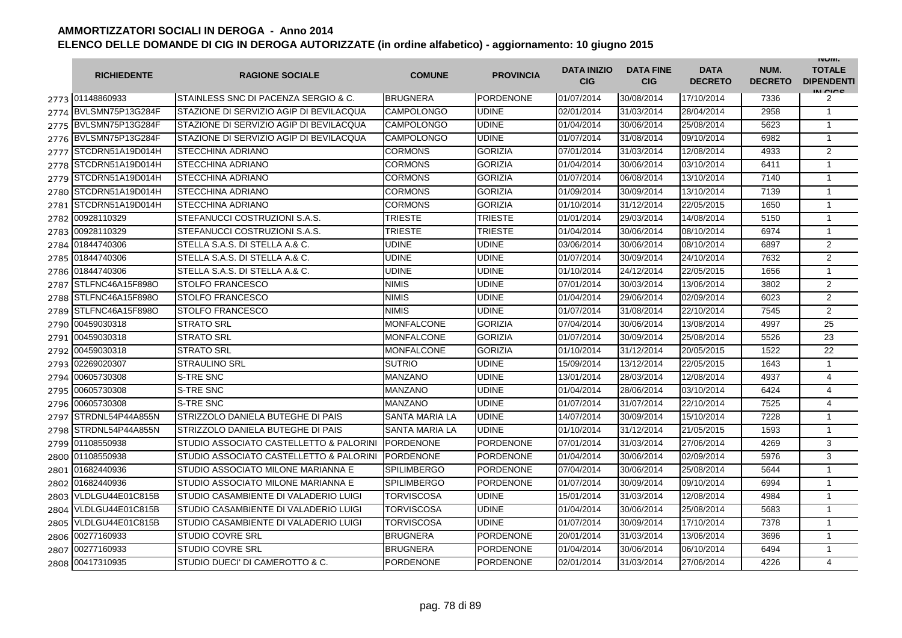|      | <b>RICHIEDENTE</b>    | <b>RAGIONE SOCIALE</b>                  | <b>COMUNE</b>         | <b>PROVINCIA</b> | <b>DATA INIZIO</b><br><b>CIG</b> | <b>DATA FINE</b><br><b>CIG</b> | <b>DATA</b><br><b>DECRETO</b> | NUM.<br><b>DECRETO</b> | <b>INUIVI.</b><br><b>TOTALE</b><br><b>DIPENDENTI</b><br>IN CIGO |
|------|-----------------------|-----------------------------------------|-----------------------|------------------|----------------------------------|--------------------------------|-------------------------------|------------------------|-----------------------------------------------------------------|
|      | 2773 01148860933      | STAINLESS SNC DI PACENZA SERGIO & C.    | <b>BRUGNERA</b>       | <b>PORDENONE</b> | 01/07/2014                       | 30/08/2014                     | 17/10/2014                    | 7336                   | 2                                                               |
| 2774 | BVLSMN75P13G284F      | STAZIONE DI SERVIZIO AGIP DI BEVILACQUA | <b>CAMPOLONGO</b>     | <b>UDINE</b>     | 02/01/2014                       | 31/03/2014                     | 28/04/2014                    | 2958                   | $\overline{1}$                                                  |
|      | 2775 BVLSMN75P13G284F | STAZIONE DI SERVIZIO AGIP DI BEVILACQUA | <b>CAMPOLONGO</b>     | <b>UDINE</b>     | 01/04/2014                       | 30/06/2014                     | 25/08/2014                    | 5623                   | $\overline{1}$                                                  |
|      | 2776 BVLSMN75P13G284F | STAZIONE DI SERVIZIO AGIP DI BEVILACQUA | <b>CAMPOLONGO</b>     | <b>UDINE</b>     | 01/07/2014                       | 31/08/2014                     | 09/10/2014                    | 6982                   | $\overline{1}$                                                  |
| 2777 | STCDRN51A19D014H      | STECCHINA ADRIANO                       | <b>CORMONS</b>        | <b>GORIZIA</b>   | 07/01/2014                       | 31/03/2014                     | 12/08/2014                    | 4933                   | $\overline{2}$                                                  |
| 2778 | STCDRN51A19D014H      | <b>STECCHINA ADRIANO</b>                | <b>CORMONS</b>        | <b>GORIZIA</b>   | 01/04/2014                       | 30/06/2014                     | 03/10/2014                    | 6411                   | $\mathbf{1}$                                                    |
| 2779 | STCDRN51A19D014H      | <b>STECCHINA ADRIANO</b>                | <b>CORMONS</b>        | <b>GORIZIA</b>   | 01/07/2014                       | 06/08/2014                     | 13/10/2014                    | 7140                   | $\overline{1}$                                                  |
| 2780 | STCDRN51A19D014H      | <b>STECCHINA ADRIANO</b>                | <b>CORMONS</b>        | <b>GORIZIA</b>   | 01/09/2014                       | 30/09/2014                     | 13/10/2014                    | 7139                   | $\mathbf{1}$                                                    |
| 2781 | STCDRN51A19D014H      | <b>STECCHINA ADRIANO</b>                | <b>CORMONS</b>        | <b>GORIZIA</b>   | 01/10/2014                       | 31/12/2014                     | 22/05/2015                    | 1650                   | $\overline{1}$                                                  |
| 2782 | 00928110329           | STEFANUCCI COSTRUZIONI S.A.S.           | <b>TRIESTE</b>        | <b>TRIESTE</b>   | 01/01/2014                       | 29/03/2014                     | 14/08/2014                    | 5150                   | $\overline{1}$                                                  |
| 2783 | 00928110329           | STEFANUCCI COSTRUZIONI S.A.S.           | TRIESTE               | <b>TRIESTE</b>   | 01/04/2014                       | 30/06/2014                     | 08/10/2014                    | 6974                   | $\overline{1}$                                                  |
| 2784 | 01844740306           | STELLA S.A.S. DI STELLA A.& C.          | <b>UDINE</b>          | <b>UDINE</b>     | 03/06/2014                       | 30/06/2014                     | 08/10/2014                    | 6897                   | $\overline{2}$                                                  |
| 2785 | 01844740306           | STELLA S.A.S. DI STELLA A.& C.          | <b>UDINE</b>          | <b>UDINE</b>     | 01/07/2014                       | 30/09/2014                     | 24/10/2014                    | 7632                   | $\overline{2}$                                                  |
| 2786 | 01844740306           | STELLA S.A.S. DI STELLA A.& C.          | <b>UDINE</b>          | <b>UDINE</b>     | 01/10/2014                       | 24/12/2014                     | 22/05/2015                    | 1656                   | $\mathbf{1}$                                                    |
| 2787 | STLFNC46A15F898O      | STOLFO FRANCESCO                        | <b>NIMIS</b>          | <b>UDINE</b>     | 07/01/2014                       | 30/03/2014                     | 13/06/2014                    | 3802                   | $\overline{2}$                                                  |
| 2788 | STLFNC46A15F898O      | <b>STOLFO FRANCESCO</b>                 | <b>NIMIS</b>          | <b>UDINE</b>     | 01/04/2014                       | 29/06/2014                     | 02/09/2014                    | 6023                   | $\overline{2}$                                                  |
| 2789 | STLFNC46A15F898O      | STOLFO FRANCESCO                        | <b>NIMIS</b>          | <b>UDINE</b>     | 01/07/2014                       | 31/08/2014                     | 22/10/2014                    | 7545                   | $\overline{2}$                                                  |
| 2790 | 00459030318           | <b>STRATO SRL</b>                       | <b>MONFALCONE</b>     | <b>GORIZIA</b>   | 07/04/2014                       | 30/06/2014                     | 13/08/2014                    | 4997                   | $\overline{25}$                                                 |
| 2791 | 00459030318           | <b>STRATO SRL</b>                       | <b>MONFALCONE</b>     | <b>GORIZIA</b>   | 01/07/2014                       | 30/09/2014                     | 25/08/2014                    | 5526                   | 23                                                              |
|      | 2792 00459030318      | <b>STRATO SRL</b>                       | <b>MONFALCONE</b>     | <b>GORIZIA</b>   | 01/10/2014                       | 31/12/2014                     | 20/05/2015                    | 1522                   | 22                                                              |
| 2793 | 02269020307           | <b>STRAULINO SRL</b>                    | <b>SUTRIO</b>         | <b>UDINE</b>     | 15/09/2014                       | 13/12/2014                     | 22/05/2015                    | 1643                   | $\mathbf{1}$                                                    |
| 2794 | 00605730308           | S-TRE SNC                               | <b>MANZANO</b>        | <b>UDINE</b>     | 13/01/2014                       | 28/03/2014                     | 12/08/2014                    | 4937                   | 4                                                               |
| 2795 | 00605730308           | S-TRE SNC                               | <b>MANZANO</b>        | <b>UDINE</b>     | 01/04/2014                       | 28/06/2014                     | 03/10/2014                    | 6424                   | 4                                                               |
| 2796 | 00605730308           | <b>S-TRE SNC</b>                        | <b>MANZANO</b>        | <b>UDINE</b>     | 01/07/2014                       | 31/07/2014                     | 22/10/2014                    | 7525                   | $\overline{4}$                                                  |
| 2797 | STRDNL54P44A855N      | STRIZZOLO DANIELA BUTEGHE DI PAIS       | <b>SANTA MARIA LA</b> | <b>UDINE</b>     | 14/07/2014                       | 30/09/2014                     | 15/10/2014                    | 7228                   | $\mathbf{1}$                                                    |
| 2798 | STRDNL54P44A855N      | STRIZZOLO DANIELA BUTEGHE DI PAIS       | <b>SANTA MARIA LA</b> | <b>UDINE</b>     | 01/10/2014                       | 31/12/2014                     | 21/05/2015                    | 1593                   | $\overline{1}$                                                  |
| 2799 | 01108550938           | STUDIO ASSOCIATO CASTELLETTO & PALORINI | <b>PORDENONE</b>      | <b>PORDENONE</b> | 07/01/2014                       | 31/03/2014                     | 27/06/2014                    | 4269                   | 3                                                               |
| 2800 | 01108550938           | STUDIO ASSOCIATO CASTELLETTO & PALORINI | <b>PORDENONE</b>      | <b>PORDENONE</b> | 01/04/2014                       | 30/06/2014                     | 02/09/2014                    | 5976                   | 3                                                               |
| 2801 | 01682440936           | STUDIO ASSOCIATO MILONE MARIANNA E      | <b>SPILIMBERGO</b>    | <b>PORDENONE</b> | 07/04/2014                       | 30/06/2014                     | 25/08/2014                    | 5644                   | $\mathbf{1}$                                                    |
| 2802 | 01682440936           | STUDIO ASSOCIATO MILONE MARIANNA E      | <b>SPILIMBERGO</b>    | <b>PORDENONE</b> | 01/07/2014                       | 30/09/2014                     | 09/10/2014                    | 6994                   | $\overline{1}$                                                  |
| 2803 | VLDLGU44E01C815B      | STUDIO CASAMBIENTE DI VALADERIO LUIGI   | TORVISCOSA            | <b>UDINE</b>     | 15/01/2014                       | 31/03/2014                     | 12/08/2014                    | 4984                   | $\overline{1}$                                                  |
| 2804 | VLDLGU44E01C815B      | STUDIO CASAMBIENTE DI VALADERIO LUIGI   | <b>TORVISCOSA</b>     | <b>UDINE</b>     | 01/04/2014                       | 30/06/2014                     | 25/08/2014                    | 5683                   | $\overline{1}$                                                  |
| 2805 | VLDLGU44E01C815B      | STUDIO CASAMBIENTE DI VALADERIO LUIGI   | <b>TORVISCOSA</b>     | <b>UDINE</b>     | 01/07/2014                       | 30/09/2014                     | 17/10/2014                    | 7378                   | $\overline{1}$                                                  |
| 2806 | 00277160933           | <b>STUDIO COVRE SRL</b>                 | <b>BRUGNERA</b>       | <b>PORDENONE</b> | 20/01/2014                       | 31/03/2014                     | 13/06/2014                    | 3696                   | $\overline{1}$                                                  |
| 2807 | 00277160933           | <b>STUDIO COVRE SRL</b>                 | <b>BRUGNERA</b>       | <b>PORDENONE</b> | 01/04/2014                       | 30/06/2014                     | 06/10/2014                    | 6494                   | $\overline{1}$                                                  |
| 2808 | 00417310935           | STUDIO DUECI' DI CAMEROTTO & C.         | <b>PORDENONE</b>      | <b>PORDENONE</b> | 02/01/2014                       | 31/03/2014                     | 27/06/2014                    | 4226                   | 4                                                               |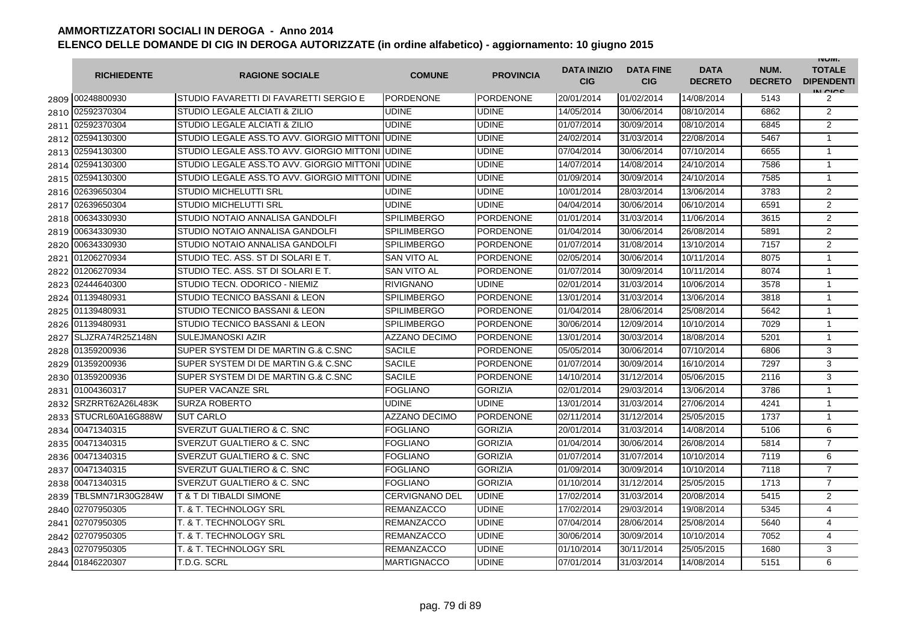|      | <b>RICHIEDENTE</b> | <b>RAGIONE SOCIALE</b>                           | <b>COMUNE</b>         | <b>PROVINCIA</b> | <b>DATA INIZIO</b><br><b>CIG</b> | <b>DATA FINE</b><br><b>CIG</b> | <b>DATA</b><br><b>DECRETO</b> | NUM.<br><b>DECRETO</b> | <b>INUIVI.</b><br><b>TOTALE</b><br><b>DIPENDENTI</b><br>IN CIGO |
|------|--------------------|--------------------------------------------------|-----------------------|------------------|----------------------------------|--------------------------------|-------------------------------|------------------------|-----------------------------------------------------------------|
|      | 2809 00248800930   | STUDIO FAVARETTI DI FAVARETTI SERGIO E           | PORDENONE             | <b>PORDENONE</b> | 20/01/2014                       | 01/02/2014                     | 14/08/2014                    | 5143                   | 2                                                               |
| 2810 | 02592370304        | <b>STUDIO LEGALE ALCIATI &amp; ZILIO</b>         | <b>UDINE</b>          | <b>UDINE</b>     | 14/05/2014                       | 30/06/2014                     | 08/10/2014                    | 6862                   | 2                                                               |
| 2811 | 02592370304        | <b>STUDIO LEGALE ALCIATI &amp; ZILIO</b>         | <b>UDINE</b>          | <b>UDINE</b>     | 01/07/2014                       | 30/09/2014                     | 08/10/2014                    | 6845                   | 2                                                               |
| 2812 | 02594130300        | STUDIO LEGALE ASS.TO AVV. GIORGIO MITTONI IUDINE |                       | <b>UDINE</b>     | 24/02/2014                       | 31/03/2014                     | 22/08/2014                    | 5467                   | $\mathbf{1}$                                                    |
|      | 2813 02594130300   | STUDIO LEGALE ASS.TO AVV. GIORGIO MITTONI IUDINE |                       | UDINE            | 07/04/2014                       | 30/06/2014                     | 07/10/2014                    | 6655                   | $\mathbf{1}$                                                    |
| 2814 | 02594130300        | STUDIO LEGALE ASS.TO AVV. GIORGIO MITTONI        | <b>UDINE</b>          | <b>UDINE</b>     | 14/07/2014                       | 14/08/2014                     | 24/10/2014                    | 7586                   | $\mathbf{1}$                                                    |
| 2815 | 02594130300        | STUDIO LEGALE ASS.TO AVV. GIORGIO MITTONI        | <b>UDINE</b>          | <b>UDINE</b>     | 01/09/2014                       | 30/09/2014                     | 24/10/2014                    | 7585                   | $\mathbf{1}$                                                    |
| 2816 | 02639650304        | <b>STUDIO MICHELUTTI SRL</b>                     | <b>UDINE</b>          | <b>UDINE</b>     | 10/01/2014                       | 28/03/2014                     | 13/06/2014                    | 3783                   | $\overline{2}$                                                  |
| 2817 | 02639650304        | <b>STUDIO MICHELUTTI SRL</b>                     | <b>UDINE</b>          | <b>UDINE</b>     | 04/04/2014                       | 30/06/2014                     | 06/10/2014                    | 6591                   | $\overline{2}$                                                  |
| 2818 | 00634330930        | STUDIO NOTAIO ANNALISA GANDOLFI                  | <b>SPILIMBERGO</b>    | <b>PORDENONE</b> | 01/01/2014                       | 31/03/2014                     | 11/06/2014                    | 3615                   | $\overline{2}$                                                  |
| 2819 | 00634330930        | <b>STUDIO NOTAIO ANNALISA GANDOLFI</b>           | <b>SPILIMBERGO</b>    | <b>PORDENONE</b> | 01/04/2014                       | 30/06/2014                     | 26/08/2014                    | 5891                   | $\overline{2}$                                                  |
| 2820 | 00634330930        | STUDIO NOTAIO ANNALISA GANDOLFI                  | <b>SPILIMBERGO</b>    | <b>PORDENONE</b> | 01/07/2014                       | 31/08/2014                     | 13/10/2014                    | 7157                   | $\overline{2}$                                                  |
| 2821 | 01206270934        | STUDIO TEC. ASS. ST DI SOLARI E T.               | <b>SAN VITO AL</b>    | <b>PORDENONE</b> | 02/05/2014                       | 30/06/2014                     | 10/11/2014                    | 8075                   | $\mathbf{1}$                                                    |
| 2822 | 01206270934        | STUDIO TEC. ASS. ST DI SOLARI E T.               | <b>SAN VITO AL</b>    | <b>PORDENONE</b> | 01/07/2014                       | 30/09/2014                     | 10/11/2014                    | 8074                   | $\mathbf{1}$                                                    |
| 2823 | 02444640300        | STUDIO TECN. ODORICO - NIEMIZ                    | <b>RIVIGNANO</b>      | <b>UDINE</b>     | 02/01/2014                       | 31/03/2014                     | 10/06/2014                    | 3578                   | $\mathbf{1}$                                                    |
| 2824 | 01139480931        | STUDIO TECNICO BASSANI & LEON                    | <b>SPILIMBERGO</b>    | <b>PORDENONE</b> | 13/01/2014                       | 31/03/2014                     | 13/06/2014                    | 3818                   | $\mathbf{1}$                                                    |
| 2825 | 01139480931        | <b>STUDIO TECNICO BASSANI &amp; LEON</b>         | <b>SPILIMBERGO</b>    | <b>PORDENONE</b> | 01/04/2014                       | 28/06/2014                     | 25/08/2014                    | 5642                   | $\mathbf{1}$                                                    |
| 2826 | 01139480931        | <b>STUDIO TECNICO BASSANI &amp; LEON</b>         | <b>SPILIMBERGO</b>    | <b>PORDENONE</b> | 30/06/2014                       | 12/09/2014                     | 10/10/2014                    | 7029                   | $\mathbf{1}$                                                    |
| 2827 | SLJZRA74R25Z148N   | <b>SULEJMANOSKI AZIR</b>                         | <b>AZZANO DECIMO</b>  | <b>PORDENONE</b> | 13/01/2014                       | 30/03/2014                     | 18/08/2014                    | 5201                   | $\mathbf{1}$                                                    |
| 2828 | 01359200936        | SUPER SYSTEM DI DE MARTIN G.& C.SNC              | <b>SACILE</b>         | PORDENONE        | 05/05/2014                       | 30/06/2014                     | 07/10/2014                    | 6806                   | 3                                                               |
| 2829 | 01359200936        | SUPER SYSTEM DI DE MARTIN G.& C.SNC              | <b>SACILE</b>         | <b>PORDENONE</b> | 01/07/2014                       | 30/09/2014                     | 16/10/2014                    | 7297                   | 3                                                               |
| 2830 | 01359200936        | SUPER SYSTEM DI DE MARTIN G.& C.SNC              | <b>SACILE</b>         | <b>PORDENONE</b> | 14/10/2014                       | 31/12/2014                     | 05/06/2015                    | 2116                   | 3                                                               |
| 2831 | 01004360317        | <b>SUPER VACANZE SRL</b>                         | <b>FOGLIANO</b>       | <b>GORIZIA</b>   | 02/01/2014                       | 29/03/2014                     | 13/06/2014                    | 3786                   | $\mathbf{1}$                                                    |
| 2832 | SRZRRT62A26L483K   | <b>SURZA ROBERTO</b>                             | <b>UDINE</b>          | <b>UDINE</b>     | 13/01/2014                       | 31/03/2014                     | 27/06/2014                    | 4241                   | $\mathbf{1}$                                                    |
| 2833 | STUCRL60A16G888W   | <b>SUT CARLO</b>                                 | <b>AZZANO DECIMO</b>  | <b>PORDENONE</b> | 02/11/2014                       | 31/12/2014                     | 25/05/2015                    | 1737                   | $\mathbf{1}$                                                    |
| 2834 | 00471340315        | <b>SVERZUT GUALTIERO &amp; C. SNC</b>            | <b>FOGLIANO</b>       | <b>GORIZIA</b>   | 20/01/2014                       | 31/03/2014                     | 14/08/2014                    | 5106                   | 6                                                               |
| 2835 | 00471340315        | SVERZUT GUALTIERO & C. SNC                       | FOGLIANO              | <b>GORIZIA</b>   | 01/04/2014                       | 30/06/2014                     | 26/08/2014                    | 5814                   | $\overline{7}$                                                  |
| 2836 | 00471340315        | <b>SVERZUT GUALTIERO &amp; C. SNC</b>            | <b>FOGLIANO</b>       | <b>GORIZIA</b>   | 01/07/2014                       | 31/07/2014                     | 10/10/2014                    | 7119                   | 6                                                               |
| 2837 | 00471340315        | SVERZUT GUALTIERO & C. SNC                       | <b>FOGLIANO</b>       | <b>GORIZIA</b>   | 01/09/2014                       | 30/09/2014                     | 10/10/2014                    | 7118                   | $\overline{7}$                                                  |
| 2838 | 00471340315        | <b>SVERZUT GUALTIERO &amp; C. SNC</b>            | <b>FOGLIANO</b>       | <b>GORIZIA</b>   | 01/10/2014                       | 31/12/2014                     | 25/05/2015                    | 1713                   | $\overline{7}$                                                  |
| 2839 | TBLSMN71R30G284W   | <b>T &amp; T DI TIBALDI SIMONE</b>               | <b>CERVIGNANO DEL</b> | <b>UDINE</b>     | 17/02/2014                       | 31/03/2014                     | 20/08/2014                    | 5415                   | 2                                                               |
| 2840 | 02707950305        | T. & T. TECHNOLOGY SRL                           | <b>REMANZACCO</b>     | <b>UDINE</b>     | 17/02/2014                       | 29/03/2014                     | 19/08/2014                    | 5345                   | 4                                                               |
| 2841 | 02707950305        | T. & T. TECHNOLOGY SRL                           | <b>REMANZACCO</b>     | <b>UDINE</b>     | 07/04/2014                       | 28/06/2014                     | 25/08/2014                    | 5640                   | 4                                                               |
| 2842 | 02707950305        | T. & T. TECHNOLOGY SRL                           | <b>REMANZACCO</b>     | <b>UDINE</b>     | 30/06/2014                       | 30/09/2014                     | 10/10/2014                    | 7052                   | $\overline{4}$                                                  |
| 2843 | 02707950305        | T. & T. TECHNOLOGY SRL                           | <b>REMANZACCO</b>     | <b>UDINE</b>     | 01/10/2014                       | 30/11/2014                     | 25/05/2015                    | 1680                   | 3                                                               |
| 2844 | 01846220307        | T.D.G. SCRL                                      | <b>MARTIGNACCO</b>    | <b>UDINE</b>     | 07/01/2014                       | 31/03/2014                     | 14/08/2014                    | 5151                   | 6                                                               |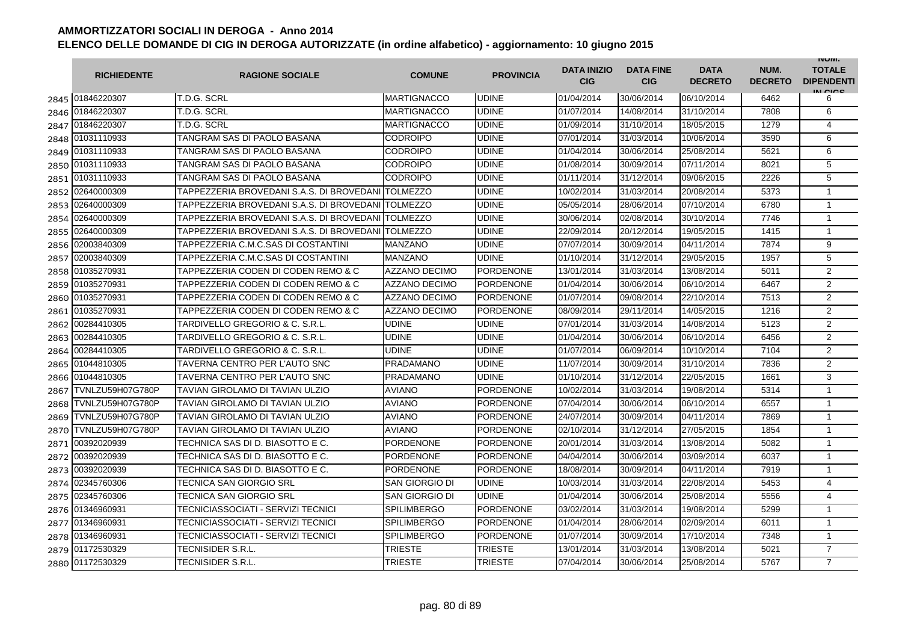|      | <b>RICHIEDENTE</b> | <b>RAGIONE SOCIALE</b>                              | <b>COMUNE</b>         | <b>PROVINCIA</b> | <b>DATA INIZIO</b><br><b>CIG</b> | <b>DATA FINE</b><br><b>CIG</b> | <b>DATA</b><br><b>DECRETO</b> | NUM.<br><b>DECRETO</b> | <b>INUIVI.</b><br><b>TOTALE</b><br><b>DIPENDENTI</b><br>IN CIGO |
|------|--------------------|-----------------------------------------------------|-----------------------|------------------|----------------------------------|--------------------------------|-------------------------------|------------------------|-----------------------------------------------------------------|
|      | 2845 01846220307   | T.D.G. SCRL                                         | <b>MARTIGNACCO</b>    | <b>UDINE</b>     | 01/04/2014                       | 30/06/2014                     | 06/10/2014                    | 6462                   | 6                                                               |
| 2846 | 01846220307        | T.D.G. SCRL                                         | <b>MARTIGNACCO</b>    | <b>UDINE</b>     | 01/07/2014                       | 14/08/2014                     | 31/10/2014                    | 7808                   | 6                                                               |
| 2847 | 01846220307        | T.D.G. SCRL                                         | <b>MARTIGNACCO</b>    | <b>UDINE</b>     | 01/09/2014                       | 31/10/2014                     | 18/05/2015                    | 1279                   | $\overline{4}$                                                  |
| 2848 | 01031110933        | TANGRAM SAS DI PAOLO BASANA                         | <b>CODROIPO</b>       | <b>UDINE</b>     | 07/01/2014                       | 31/03/2014                     | 10/06/2014                    | 3590                   | 6                                                               |
| 2849 | 01031110933        | TANGRAM SAS DI PAOLO BASANA                         | <b>CODROIPO</b>       | <b>UDINE</b>     | 01/04/2014                       | 30/06/2014                     | 25/08/2014                    | 5621                   | 6                                                               |
| 2850 | 01031110933        | TANGRAM SAS DI PAOLO BASANA                         | <b>CODROIPO</b>       | <b>UDINE</b>     | 01/08/2014                       | 30/09/2014                     | 07/11/2014                    | 8021                   | 5                                                               |
| 2851 | 01031110933        | TANGRAM SAS DI PAOLO BASANA                         | <b>CODROIPO</b>       | <b>UDINE</b>     | 01/11/2014                       | 31/12/2014                     | 09/06/2015                    | 2226                   | 5                                                               |
| 2852 | 02640000309        | TAPPEZZERIA BROVEDANI S.A.S. DI BROVEDANI TOLMEZZO  |                       | <b>UDINE</b>     | 10/02/2014                       | 31/03/2014                     | 20/08/2014                    | 5373                   | $\mathbf{1}$                                                    |
| 2853 | 02640000309        | TAPPEZZERIA BROVEDANI S.A.S. DI BROVEDANI TOLMEZZO  |                       | <b>UDINE</b>     | 05/05/2014                       | 28/06/2014                     | 07/10/2014                    | 6780                   | $\mathbf{1}$                                                    |
| 2854 | 02640000309        | TAPPEZZERIA BROVEDANI S.A.S. DI BROVEDANI TOLMEZZO  |                       | <b>UDINE</b>     | 30/06/2014                       | 02/08/2014                     | 30/10/2014                    | 7746                   | $\mathbf{1}$                                                    |
| 2855 | 02640000309        | TAPPEZZERIA BROVEDANI S.A.S. DI BROVEDANI ITOLMEZZO |                       | <b>UDINE</b>     | 22/09/2014                       | 20/12/2014                     | 19/05/2015                    | 1415                   | $\mathbf{1}$                                                    |
| 2856 | 02003840309        | TAPPEZZERIA C.M.C.SAS DI COSTANTINI                 | <b>MANZANO</b>        | UDINE            | 07/07/2014                       | 30/09/2014                     | 04/11/2014                    | 7874                   | 9                                                               |
| 2857 | 02003840309        | TAPPEZZERIA C.M.C.SAS DI COSTANTINI                 | <b>MANZANO</b>        | <b>UDINE</b>     | 01/10/2014                       | 31/12/2014                     | 29/05/2015                    | 1957                   | 5                                                               |
| 2858 | 01035270931        | TAPPEZZERIA CODEN DI CODEN REMO & C                 | <b>AZZANO DECIMO</b>  | <b>PORDENONE</b> | 13/01/2014                       | 31/03/2014                     | 13/08/2014                    | 5011                   | $\overline{2}$                                                  |
| 2859 | 01035270931        | TAPPEZZERIA CODEN DI CODEN REMO & C                 | <b>AZZANO DECIMO</b>  | <b>PORDENONE</b> | 01/04/2014                       | 30/06/2014                     | 06/10/2014                    | 6467                   | 2                                                               |
| 2860 | 01035270931        | TAPPEZZERIA CODEN DI CODEN REMO & C                 | AZZANO DECIMO         | <b>PORDENONE</b> | 01/07/2014                       | 09/08/2014                     | 22/10/2014                    | 7513                   | $\overline{2}$                                                  |
| 2861 | 01035270931        | TAPPEZZERIA CODEN DI CODEN REMO & C                 | <b>AZZANO DECIMO</b>  | PORDENONE        | 08/09/2014                       | 29/11/2014                     | 14/05/2015                    | 1216                   | $\overline{2}$                                                  |
| 2862 | 00284410305        | TARDIVELLO GREGORIO & C. S.R.L.                     | <b>UDINE</b>          | <b>UDINE</b>     | 07/01/2014                       | 31/03/2014                     | 14/08/2014                    | 5123                   | $\overline{2}$                                                  |
| 2863 | 00284410305        | TARDIVELLO GREGORIO & C. S.R.L.                     | <b>UDINE</b>          | <b>UDINE</b>     | 01/04/2014                       | 30/06/2014                     | 06/10/2014                    | 6456                   | 2                                                               |
| 2864 | 00284410305        | TARDIVELLO GREGORIO & C. S.R.L.                     | <b>UDINE</b>          | <b>UDINE</b>     | 01/07/2014                       | 06/09/2014                     | 10/10/2014                    | 7104                   | $\overline{2}$                                                  |
| 2865 | 01044810305        | TAVERNA CENTRO PER L'AUTO SNC                       | PRADAMANO             | <b>UDINE</b>     | 11/07/2014                       | 30/09/2014                     | 31/10/2014                    | 7836                   | $\overline{2}$                                                  |
| 2866 | 01044810305        | TAVERNA CENTRO PER L'AUTO SNC                       | <b>PRADAMANO</b>      | UDINE            | 01/10/2014                       | 31/12/2014                     | 22/05/2015                    | 1661                   | 3                                                               |
| 2867 | TVNLZU59H07G780P   | TAVIAN GIROLAMO DI TAVIAN ULZIO                     | <b>AVIANO</b>         | <b>PORDENONE</b> | 10/02/2014                       | 31/03/2014                     | 19/08/2014                    | 5314                   | $\mathbf{1}$                                                    |
| 2868 | TVNLZU59H07G780P   | TAVIAN GIROLAMO DI TAVIAN ULZIO                     | <b>AVIANO</b>         | <b>PORDENONE</b> | 07/04/2014                       | 30/06/2014                     | 06/10/2014                    | 6557                   | $\mathbf{1}$                                                    |
| 2869 | TVNLZU59H07G780P   | TAVIAN GIROLAMO DI TAVIAN ULZIO                     | <b>AVIANO</b>         | <b>PORDENONE</b> | 24/07/2014                       | 30/09/2014                     | 04/11/2014                    | 7869                   | $\mathbf{1}$                                                    |
| 2870 | TVNLZU59H07G780P   | TAVIAN GIROLAMO DI TAVIAN ULZIO                     | <b>AVIANO</b>         | <b>PORDENONE</b> | 02/10/2014                       | 31/12/2014                     | 27/05/2015                    | 1854                   | $\mathbf{1}$                                                    |
| 2871 | 00392020939        | TECHNICA SAS DI D. BIASOTTO E C.                    | <b>PORDENONE</b>      | PORDENONE        | 20/01/2014                       | 31/03/2014                     | 13/08/2014                    | 5082                   | $\mathbf{1}$                                                    |
| 2872 | 00392020939        | TECHNICA SAS DI D. BIASOTTO E C.                    | <b>PORDENONE</b>      | PORDENONE        | 04/04/2014                       | 30/06/2014                     | 03/09/2014                    | 6037                   | $\mathbf{1}$                                                    |
| 2873 | 00392020939        | TECHNICA SAS DI D. BIASOTTO E C.                    | <b>PORDENONE</b>      | <b>PORDENONE</b> | 18/08/2014                       | 30/09/2014                     | 04/11/2014                    | 7919                   | $\mathbf{1}$                                                    |
| 2874 | 02345760306        | TECNICA SAN GIORGIO SRL                             | SAN GIORGIO DI        | <b>UDINE</b>     | 10/03/2014                       | 31/03/2014                     | 22/08/2014                    | 5453                   | $\overline{4}$                                                  |
| 2875 | 02345760306        | TECNICA SAN GIORGIO SRL                             | <b>SAN GIORGIO DI</b> | <b>UDINE</b>     | 01/04/2014                       | 30/06/2014                     | 25/08/2014                    | 5556                   | 4                                                               |
| 2876 | 01346960931        | TECNICIASSOCIATI - SERVIZI TECNICI                  | <b>SPILIMBERGO</b>    | <b>PORDENONE</b> | 03/02/2014                       | 31/03/2014                     | 19/08/2014                    | 5299                   | $\mathbf{1}$                                                    |
| 2877 | 01346960931        | <b>TECNICIASSOCIATI - SERVIZI TECNICI</b>           | <b>SPILIMBERGO</b>    | <b>PORDENONE</b> | 01/04/2014                       | 28/06/2014                     | 02/09/2014                    | 6011                   | $\mathbf{1}$                                                    |
| 2878 | 01346960931        | TECNICIASSOCIATI - SERVIZI TECNICI                  | <b>SPILIMBERGO</b>    | <b>PORDENONE</b> | 01/07/2014                       | 30/09/2014                     | 17/10/2014                    | 7348                   | $\mathbf{1}$                                                    |
| 2879 | 01172530329        | TECNISIDER S.R.L                                    | TRIESTE               | <b>TRIESTE</b>   | 13/01/2014                       | 31/03/2014                     | 13/08/2014                    | 5021                   | $\overline{7}$                                                  |
| 2880 | 01172530329        | TECNISIDER S.R.L.                                   | <b>TRIESTE</b>        | <b>TRIESTE</b>   | 07/04/2014                       | 30/06/2014                     | 25/08/2014                    | 5767                   | $\overline{7}$                                                  |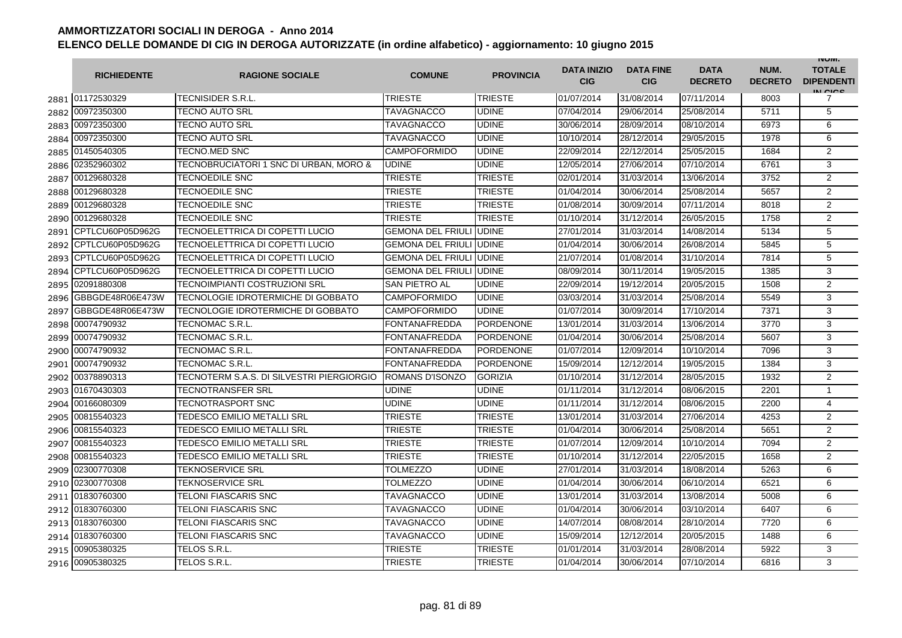|      | <b>RICHIEDENTE</b> | <b>RAGIONE SOCIALE</b>                    | <b>COMUNE</b>            | <b>PROVINCIA</b> | <b>DATA INIZIO</b><br><b>CIG</b> | <b>DATA FINE</b><br><b>CIG</b> | <b>DATA</b><br><b>DECRETO</b> | NUM.<br><b>DECRETO</b> | <b>INUIVI.</b><br><b>TOTALE</b><br><b>DIPENDENTI</b><br>IN CIGO |
|------|--------------------|-------------------------------------------|--------------------------|------------------|----------------------------------|--------------------------------|-------------------------------|------------------------|-----------------------------------------------------------------|
|      | 2881 01172530329   | <b>TECNISIDER S.R.L.</b>                  | <b>TRIESTE</b>           | <b>TRIESTE</b>   | 01/07/2014                       | 31/08/2014                     | 07/11/2014                    | 8003                   | 7                                                               |
|      | 2882 00972350300   | TECNO AUTO SRL                            | TAVAGNACCO               | <b>UDINE</b>     | 07/04/2014                       | 29/06/2014                     | 25/08/2014                    | 5711                   | 5                                                               |
|      | 2883 00972350300   | TECNO AUTO SRL                            | TAVAGNACCO               | <b>UDINE</b>     | 30/06/2014                       | 28/09/2014                     | 08/10/2014                    | 6973                   | 6                                                               |
|      | 2884 00972350300   | TECNO AUTO SRL                            | TAVAGNACCO               | <b>UDINE</b>     | 10/10/2014                       | 28/12/2014                     | 29/05/2015                    | 1978                   | 6                                                               |
|      | 2885 01450540305   | TECNO.MED SNC                             | <b>CAMPOFORMIDO</b>      | <b>UDINE</b>     | 22/09/2014                       | 22/12/2014                     | 25/05/2015                    | 1684                   | 2                                                               |
|      | 2886 02352960302   | TECNOBRUCIATORI 1 SNC DI URBAN, MORO &    | <b>UDINE</b>             | <b>UDINE</b>     | 12/05/2014                       | 27/06/2014                     | 07/10/2014                    | 6761                   | 3                                                               |
|      | 2887 00129680328   | TECNOEDILE SNC                            | <b>TRIESTE</b>           | <b>TRIESTE</b>   | 02/01/2014                       | 31/03/2014                     | 13/06/2014                    | 3752                   | $\overline{2}$                                                  |
| 2888 | 00129680328        | <b>TECNOEDILE SNC</b>                     | <b>TRIESTE</b>           | <b>TRIESTE</b>   | 01/04/2014                       | 30/06/2014                     | 25/08/2014                    | 5657                   | $\overline{2}$                                                  |
| 2889 | 00129680328        | <b>TECNOEDILE SNC</b>                     | <b>TRIESTE</b>           | <b>TRIESTE</b>   | 01/08/2014                       | 30/09/2014                     | 07/11/2014                    | 8018                   | $\overline{2}$                                                  |
| 2890 | 00129680328        | TECNOEDILE SNC                            | TRIESTE                  | <b>TRIESTE</b>   | 01/10/2014                       | 31/12/2014                     | 26/05/2015                    | 1758                   | $\overline{2}$                                                  |
| 2891 | CPTLCU60P05D962G   | TECNOELETTRICA DI COPETTI LUCIO           | <b>GEMONA DEL FRIUL</b>  | <b>UDINE</b>     | 27/01/2014                       | 31/03/2014                     | 14/08/2014                    | 5134                   | 5                                                               |
| 2892 | CPTLCU60P05D962G   | TECNOELETTRICA DI COPETTI LUCIO           | GEMONA DEL FRIULI        | <b>UDINE</b>     | 01/04/2014                       | 30/06/2014                     | 26/08/2014                    | 5845                   | 5                                                               |
| 2893 | CPTLCU60P05D962G   | TECNOELETTRICA DI COPETTI LUCIO           | <b>GEMONA DEL FRIULI</b> | <b>UDINE</b>     | 21/07/2014                       | 01/08/2014                     | 31/10/2014                    | 7814                   | 5                                                               |
| 2894 | CPTLCU60P05D962G   | TECNOELETTRICA DI COPETTI LUCIO           | GEMONA DEL FRIULI UDINE  |                  | 08/09/2014                       | 30/11/2014                     | 19/05/2015                    | 1385                   | 3                                                               |
| 2895 | 02091880308        | TECNOIMPIANTI COSTRUZIONI SRL             | <b>SAN PIETRO AL</b>     | <b>UDINE</b>     | 22/09/2014                       | 19/12/2014                     | 20/05/2015                    | 1508                   | 2                                                               |
| 2896 | GBBGDE48R06E473W   | TECNOLOGIE IDROTERMICHE DI GOBBATO        | <b>CAMPOFORMIDO</b>      | <b>UDINE</b>     | 03/03/2014                       | 31/03/2014                     | 25/08/2014                    | 5549                   | 3                                                               |
| 2897 | GBBGDE48R06E473W   | TECNOLOGIE IDROTERMICHE DI GOBBATO        | <b>CAMPOFORMIDO</b>      | <b>UDINE</b>     | 01/07/2014                       | 30/09/2014                     | 17/10/2014                    | 7371                   | $\overline{3}$                                                  |
| 2898 | 00074790932        | TECNOMAC S.R.L.                           | FONTANAFREDDA            | <b>PORDENONE</b> | 13/01/2014                       | 31/03/2014                     | 13/06/2014                    | 3770                   | 3                                                               |
|      | 2899 00074790932   | TECNOMAC S.R.L.                           | <b>FONTANAFREDDA</b>     | <b>PORDENONE</b> | 01/04/2014                       | 30/06/2014                     | 25/08/2014                    | 5607                   | 3                                                               |
|      | 2900 00074790932   | TECNOMAC S.R.L.                           | <b>FONTANAFREDDA</b>     | <b>PORDENONE</b> | 01/07/2014                       | 12/09/2014                     | 10/10/2014                    | 7096                   | 3                                                               |
|      | 2901 00074790932   | TECNOMAC S.R.L.                           | FONTANAFREDDA            | <b>PORDENONE</b> | 15/09/2014                       | 12/12/2014                     | 19/05/2015                    | 1384                   | 3                                                               |
| 2902 | 00378890313        | TECNOTERM S.A.S. DI SILVESTRI PIERGIORGIO | ROMANS D'ISONZO          | <b>GORIZIA</b>   | 01/10/2014                       | 31/12/2014                     | 28/05/2015                    | 1932                   | $\overline{2}$                                                  |
|      | 2903 01670430303   | <b>TECNOTRANSFER SRL</b>                  | <b>UDINE</b>             | <b>UDINE</b>     | 01/11/2014                       | 31/12/2014                     | 08/06/2015                    | 2201                   | $\mathbf{1}$                                                    |
| 2904 | 00166080309        | TECNOTRASPORT SNC                         | <b>UDINE</b>             | <b>UDINE</b>     | 01/11/2014                       | 31/12/2014                     | 08/06/2015                    | 2200                   | 4                                                               |
| 2905 | 00815540323        | TEDESCO EMILIO METALLI SRL                | <b>TRIESTE</b>           | <b>TRIESTE</b>   | 13/01/2014                       | 31/03/2014                     | 27/06/2014                    | 4253                   | 2                                                               |
| 2906 | 00815540323        | TEDESCO EMILIO METALLI SRL                | TRIESTE                  | <b>TRIESTE</b>   | 01/04/2014                       | 30/06/2014                     | 25/08/2014                    | 5651                   | $\overline{2}$                                                  |
| 2907 | 00815540323        | TEDESCO EMILIO METALLI SRL                | TRIESTE                  | <b>TRIESTE</b>   | 01/07/2014                       | 12/09/2014                     | 10/10/2014                    | 7094                   | $\overline{2}$                                                  |
| 2908 | 00815540323        | TEDESCO EMILIO METALLI SRL                | TRIESTE                  | <b>TRIESTE</b>   | 01/10/2014                       | 31/12/2014                     | 22/05/2015                    | 1658                   | $\overline{2}$                                                  |
| 2909 | 02300770308        | <b>TEKNOSERVICE SRL</b>                   | <b>TOLMEZZO</b>          | <b>UDINE</b>     | 27/01/2014                       | 31/03/2014                     | 18/08/2014                    | 5263                   | 6                                                               |
|      | 2910 02300770308   | TEKNOSERVICE SRL                          | TOLMEZZO                 | <b>UDINE</b>     | 01/04/2014                       | 30/06/2014                     | 06/10/2014                    | 6521                   | 6                                                               |
|      | 2911 01830760300   | TELONI FIASCARIS SNC                      | <b>TAVAGNACCO</b>        | <b>UDINE</b>     | 13/01/2014                       | 31/03/2014                     | 13/08/2014                    | 5008                   | 6                                                               |
|      | 2912 01830760300   | TELONI FIASCARIS SNC                      | TAVAGNACCO               | <b>UDINE</b>     | 01/04/2014                       | 30/06/2014                     | 03/10/2014                    | 6407                   | 6                                                               |
|      | 2913 01830760300   | TELONI FIASCARIS SNC                      | <b>TAVAGNACCO</b>        | <b>UDINE</b>     | 14/07/2014                       | 08/08/2014                     | 28/10/2014                    | 7720                   | 6                                                               |
|      | 2914 01830760300   | TELONI FIASCARIS SNC                      | <b>TAVAGNACCO</b>        | <b>UDINE</b>     | 15/09/2014                       | 12/12/2014                     | 20/05/2015                    | 1488                   | 6                                                               |
| 2915 | 00905380325        | TELOS S.R.L.                              | <b>TRIESTE</b>           | <b>TRIESTE</b>   | 01/01/2014                       | 31/03/2014                     | 28/08/2014                    | 5922                   | 3                                                               |
|      | 2916 00905380325   | TELOS S.R.L.                              | <b>TRIESTE</b>           | <b>TRIESTE</b>   | 01/04/2014                       | 30/06/2014                     | 07/10/2014                    | 6816                   | 3                                                               |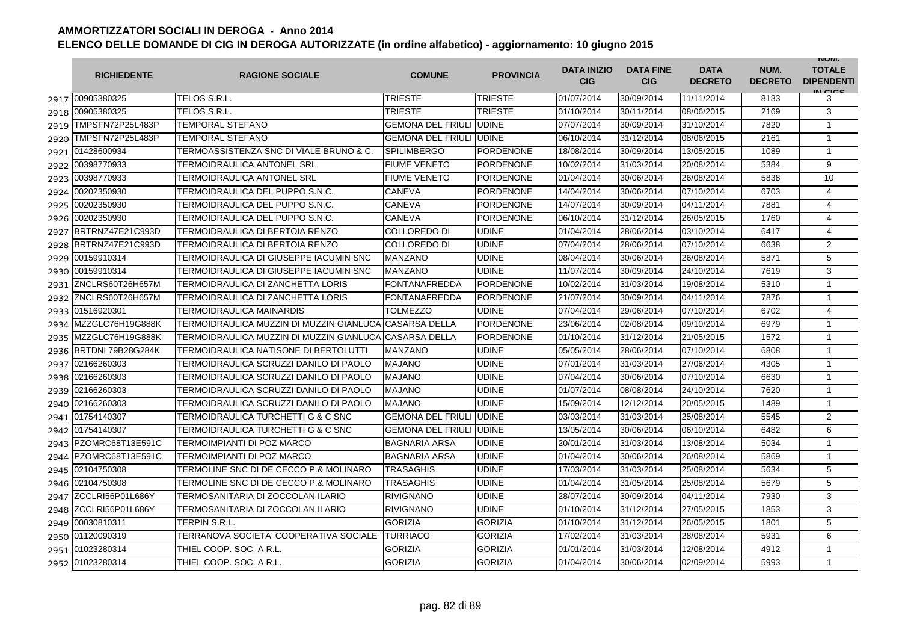|      | <b>RICHIEDENTE</b>    | <b>RAGIONE SOCIALE</b>                                  | <b>COMUNE</b>                  | <b>PROVINCIA</b> | <b>DATA INIZIO</b><br><b>CIG</b> | <b>DATA FINE</b><br><b>CIG</b> | <b>DATA</b><br><b>DECRETO</b> | NUM.<br><b>DECRETO</b> | <b>INUIVI.</b><br><b>TOTALE</b><br><b>DIPENDENTI</b><br>IN CIGO |
|------|-----------------------|---------------------------------------------------------|--------------------------------|------------------|----------------------------------|--------------------------------|-------------------------------|------------------------|-----------------------------------------------------------------|
|      | 2917 00905380325      | TELOS S.R.L.                                            | <b>TRIESTE</b>                 | <b>TRIESTE</b>   | 01/07/2014                       | 30/09/2014                     | 11/11/2014                    | 8133                   | 3                                                               |
| 2918 | 00905380325           | TELOS S.R.L.                                            | TRIESTE                        | <b>TRIESTE</b>   | 01/10/2014                       | 30/11/2014                     | 08/06/2015                    | 2169                   | 3                                                               |
| 2919 | TMPSFN72P25L483P      | <b>TEMPORAL STEFANO</b>                                 | <b>GEMONA DEL FRIULI UDINE</b> |                  | 07/07/2014                       | 30/09/2014                     | 31/10/2014                    | 7820                   | $\mathbf{1}$                                                    |
| 2920 | TMPSFN72P25L483P      | TEMPORAL STEFANO                                        | <b>GEMONA DEL FRIULI UDINE</b> |                  | 06/10/2014                       | 31/12/2014                     | 08/06/2015                    | 2161                   | $\mathbf{1}$                                                    |
|      | 2921 01428600934      | TERMOASSISTENZA SNC DI VIALE BRUNO & C.                 | <b>SPILIMBERGO</b>             | <b>PORDENONE</b> | 18/08/2014                       | 30/09/2014                     | 13/05/2015                    | 1089                   | $\mathbf{1}$                                                    |
|      | 2922 00398770933      | <b>TERMOIDRAULICA ANTONEL SRL</b>                       | <b>FIUME VENETO</b>            | <b>PORDENONE</b> | 10/02/2014                       | 31/03/2014                     | 20/08/2014                    | 5384                   | 9                                                               |
|      | 2923 00398770933      | TERMOIDRAULICA ANTONEL SRL                              | <b>FIUME VENETO</b>            | <b>PORDENONE</b> | 01/04/2014                       | 30/06/2014                     | 26/08/2014                    | 5838                   | 10                                                              |
| 2924 | 00202350930           | TERMOIDRAULICA DEL PUPPO S.N.C.                         | CANEVA                         | <b>PORDENONE</b> | 14/04/2014                       | 30/06/2014                     | 07/10/2014                    | 6703                   | $\overline{4}$                                                  |
| 2925 | 00202350930           | TERMOIDRAULICA DEL PUPPO S.N.C.                         | CANEVA                         | <b>PORDENONE</b> | 14/07/2014                       | 30/09/2014                     | 04/11/2014                    | 7881                   | 4                                                               |
| 2926 | 00202350930           | TERMOIDRAULICA DEL PUPPO S.N.C.                         | CANEVA                         | <b>PORDENONE</b> | 06/10/2014                       | 31/12/2014                     | 26/05/2015                    | 1760                   | 4                                                               |
| 2927 | BRTRNZ47E21C993D      | TERMOIDRAULICA DI BERTOIA RENZO                         | COLLOREDO DI                   | <b>UDINE</b>     | 01/04/2014                       | 28/06/2014                     | 03/10/2014                    | 6417                   | 4                                                               |
| 2928 | BRTRNZ47E21C993D      | TERMOIDRAULICA DI BERTOIA RENZO                         | COLLOREDO DI                   | <b>UDINE</b>     | 07/04/2014                       | 28/06/2014                     | 07/10/2014                    | 6638                   | $\overline{2}$                                                  |
| 2929 | 00159910314           | TERMOIDRAULICA DI GIUSEPPE IACUMIN SNC                  | MANZANO                        | <b>UDINE</b>     | 08/04/2014                       | 30/06/2014                     | 26/08/2014                    | 5871                   | 5                                                               |
| 2930 | 00159910314           | TERMOIDRAULICA DI GIUSEPPE IACUMIN SNC                  | <b>MANZANO</b>                 | <b>UDINE</b>     | 11/07/2014                       | 30/09/2014                     | 24/10/2014                    | 7619                   | 3                                                               |
| 2931 | ZNCLRS60T26H657M      | TERMOIDRAULICA DI ZANCHETTA LORIS                       | <b>FONTANAFREDDA</b>           | <b>PORDENONE</b> | 10/02/2014                       | 31/03/2014                     | 19/08/2014                    | 5310                   | $\mathbf{1}$                                                    |
| 2932 | ZNCLRS60T26H657M      | TERMOIDRAULICA DI ZANCHETTA LORIS                       | <b>FONTANAFREDDA</b>           | <b>PORDENONE</b> | 21/07/2014                       | 30/09/2014                     | 04/11/2014                    | 7876                   | $\mathbf{1}$                                                    |
|      | 2933 01516920301      | TERMOIDRAULICA MAINARDIS                                | <b>TOLMEZZO</b>                | <b>UDINE</b>     | 07/04/2014                       | 29/06/2014                     | 07/10/2014                    | 6702                   | $\overline{4}$                                                  |
|      | 2934 MZZGLC76H19G888K | TERMOIDRAULICA MUZZIN DI MUZZIN GIANLUCA CASARSA DELLA  |                                | <b>PORDENONE</b> | 23/06/2014                       | 02/08/2014                     | 09/10/2014                    | 6979                   | 1                                                               |
|      | 2935 MZZGLC76H19G888K | TERMOIDRAULICA MUZZIN DI MUZZIN GIANLUCA ICASARSA DELLA |                                | <b>PORDENONE</b> | 01/10/2014                       | 31/12/2014                     | 21/05/2015                    | 1572                   | $\mathbf{1}$                                                    |
|      | 2936 BRTDNL79B28G284K | TERMOIDRAULICA NATISONE DI BERTOLUTTI                   | <b>MANZANO</b>                 | <b>UDINE</b>     | 05/05/2014                       | 28/06/2014                     | 07/10/2014                    | 6808                   | $\mathbf{1}$                                                    |
|      | 2937 02166260303      | TERMOIDRAULICA SCRUZZI DANILO DI PAOLO                  | <b>MAJANO</b>                  | <b>UDINE</b>     | 07/01/2014                       | 31/03/2014                     | 27/06/2014                    | 4305                   | $\mathbf{1}$                                                    |
| 2938 | 02166260303           | TERMOIDRAULICA SCRUZZI DANILO DI PAOLO                  | <b>MAJANO</b>                  | <b>UDINE</b>     | 07/04/2014                       | 30/06/2014                     | 07/10/2014                    | 6630                   | $\mathbf{1}$                                                    |
| 2939 | 02166260303           | TERMOIDRAULICA SCRUZZI DANILO DI PAOLO                  | <b>MAJANO</b>                  | <b>UDINE</b>     | 01/07/2014                       | 08/08/2014                     | 24/10/2014                    | 7620                   | $\mathbf{1}$                                                    |
| 2940 | 02166260303           | TERMOIDRAULICA SCRUZZI DANILO DI PAOLO                  | <b>MAJANO</b>                  | <b>UDINE</b>     | 15/09/2014                       | 12/12/2014                     | 20/05/2015                    | 1489                   | 1                                                               |
| 2941 | 01754140307           | TERMOIDRAULICA TURCHETTI G & C SNC                      | <b>GEMONA DEL FRIULI</b>       | <b>UDINE</b>     | 03/03/2014                       | 31/03/2014                     | 25/08/2014                    | 5545                   | 2                                                               |
| 2942 | 01754140307           | TERMOIDRAULICA TURCHETTI G & C SNC                      | <b>GEMONA DEL FRIULI</b>       | <b>UDINE</b>     | 13/05/2014                       | 30/06/2014                     | 06/10/2014                    | 6482                   | 6                                                               |
| 2943 | PZOMRC68T13E591C      | TERMOIMPIANTI DI POZ MARCO                              | BAGNARIA ARSA                  | <b>UDINE</b>     | 20/01/2014                       | 31/03/2014                     | 13/08/2014                    | 5034                   | $\mathbf{1}$                                                    |
| 2944 | PZOMRC68T13E591C      | TERMOIMPIANTI DI POZ MARCO                              | <b>BAGNARIA ARSA</b>           | <b>UDINE</b>     | 01/04/2014                       | 30/06/2014                     | 26/08/2014                    | 5869                   | $\mathbf{1}$                                                    |
| 2945 | 02104750308           | TERMOLINE SNC DI DE CECCO P.& MOLINARO                  | TRASAGHIS                      | <b>UDINE</b>     | 17/03/2014                       | 31/03/2014                     | 25/08/2014                    | 5634                   | 5                                                               |
| 2946 | 02104750308           | TERMOLINE SNC DI DE CECCO P.& MOLINARO                  | TRASAGHIS                      | <b>UDINE</b>     | 01/04/2014                       | 31/05/2014                     | 25/08/2014                    | 5679                   | 5                                                               |
| 2947 | ZCCLRI56P01L686Y      | TERMOSANITARIA DI ZOCCOLAN ILARIO                       | RIVIGNANO                      | <b>UDINE</b>     | 28/07/2014                       | 30/09/2014                     | 04/11/2014                    | 7930                   | 3                                                               |
| 2948 | ZCCLRI56P01L686Y      | TERMOSANITARIA DI ZOCCOLAN ILARIO                       | <b>RIVIGNANO</b>               | <b>UDINE</b>     | 01/10/2014                       | 31/12/2014                     | 27/05/2015                    | 1853                   | 3                                                               |
|      | 2949 00030810311      | <b>TERPIN S.R.L.</b>                                    | <b>GORIZIA</b>                 | <b>GORIZIA</b>   | 01/10/2014                       | 31/12/2014                     | 26/05/2015                    | 1801                   | 5                                                               |
|      | 2950 01120090319      | TERRANOVA SOCIETA' COOPERATIVA SOCIALE                  | TURRIACO                       | <b>GORIZIA</b>   | 17/02/2014                       | 31/03/2014                     | 28/08/2014                    | 5931                   | 6                                                               |
|      | 2951 01023280314      | THIEL COOP. SOC. A R.L.                                 | <b>GORIZIA</b>                 | <b>GORIZIA</b>   | 01/01/2014                       | 31/03/2014                     | 12/08/2014                    | 4912                   | $\mathbf{1}$                                                    |
| 2952 | 01023280314           | THIEL COOP, SOC, A R.L.                                 | <b>GORIZIA</b>                 | <b>GORIZIA</b>   | 01/04/2014                       | 30/06/2014                     | 02/09/2014                    | 5993                   | $\mathbf{1}$                                                    |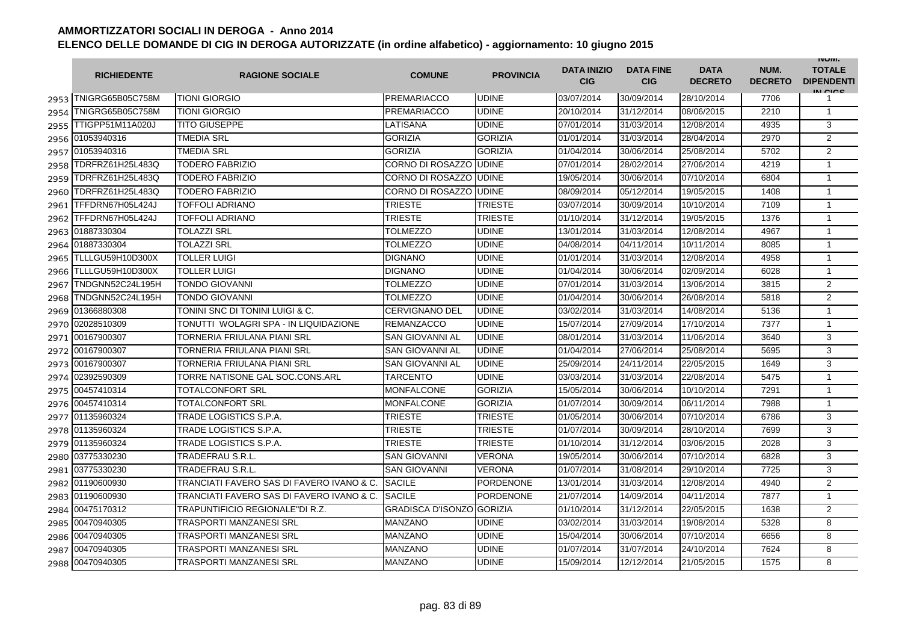|      | <b>RICHIEDENTE</b>      | <b>RAGIONE SOCIALE</b>                    | <b>COMUNE</b>                    | <b>PROVINCIA</b> | <b>DATA INIZIO</b><br><b>CIG</b> | <b>DATA FINE</b><br><b>CIG</b> | <b>DATA</b><br><b>DECRETO</b> | NUM.<br><b>DECRETO</b> | <b>INUIVI.</b><br><b>TOTALE</b><br><b>DIPENDENTI</b><br>IN CICE |
|------|-------------------------|-------------------------------------------|----------------------------------|------------------|----------------------------------|--------------------------------|-------------------------------|------------------------|-----------------------------------------------------------------|
|      | 2953 TNIGRG65B05C758M   | <b>TIONI GIORGIO</b>                      | <b>PREMARIACCO</b>               | <b>UDINE</b>     | 03/07/2014                       | 30/09/2014                     | 28/10/2014                    | 7706                   |                                                                 |
| 2954 | TNIGRG65B05C758M        | <b>TIONI GIORGIO</b>                      | <b>PREMARIACCO</b>               | <b>UDINE</b>     | 20/10/2014                       | 31/12/2014                     | 08/06/2015                    | 2210                   | $\mathbf{1}$                                                    |
| 2955 | <b>TTIGPP51M11A020J</b> | <b>TITO GIUSEPPE</b>                      | LATISANA                         | <b>UDINE</b>     | 07/01/2014                       | 31/03/2014                     | 12/08/2014                    | 4935                   | 3                                                               |
|      | 2956 01053940316        | TMEDIA SRL                                | <b>GORIZIA</b>                   | <b>GORIZIA</b>   | 01/01/2014                       | 31/03/2014                     | 28/04/2014                    | 2970                   | $\overline{2}$                                                  |
|      | 2957 01053940316        | <b>TMEDIA SRL</b>                         | <b>GORIZIA</b>                   | <b>GORIZIA</b>   | 01/04/2014                       | 30/06/2014                     | 25/08/2014                    | 5702                   | 2                                                               |
|      | 2958 TDRFRZ61H25L483Q   | <b>TODERO FABRIZIO</b>                    | CORNO DI ROSAZZO                 | <b>UDINE</b>     | 07/01/2014                       | 28/02/2014                     | 27/06/2014                    | 4219                   | $\mathbf{1}$                                                    |
| 2959 | TDRFRZ61H25L483Q        | TODERO FABRIZIO                           | CORNO DI ROSAZZO                 | <b>UDINE</b>     | 19/05/2014                       | 30/06/2014                     | 07/10/2014                    | 6804                   | $\mathbf{1}$                                                    |
| 2960 | TDRFRZ61H25L483Q        | TODERO FABRIZIO                           | CORNO DI ROSAZZO                 | <b>UDINE</b>     | 08/09/2014                       | 05/12/2014                     | 19/05/2015                    | 1408                   | $\mathbf{1}$                                                    |
| 2961 | TFFDRN67H05L424J        | <b>TOFFOLI ADRIANO</b>                    | <b>TRIESTE</b>                   | <b>TRIESTE</b>   | 03/07/2014                       | 30/09/2014                     | 10/10/2014                    | 7109                   | $\mathbf{1}$                                                    |
| 2962 | TFFDRN67H05L424J        | <b>TOFFOLI ADRIANO</b>                    | <b>TRIESTE</b>                   | <b>TRIESTE</b>   | 01/10/2014                       | 31/12/2014                     | 19/05/2015                    | 1376                   | $\mathbf{1}$                                                    |
| 2963 | 01887330304             | TOLAZZI SRL                               | TOLMEZZO                         | <b>UDINE</b>     | 13/01/2014                       | 31/03/2014                     | 12/08/2014                    | 4967                   | 1                                                               |
| 2964 | 01887330304             | TOLAZZI SRL                               | TOLMEZZO                         | <b>UDINE</b>     | 04/08/2014                       | 04/11/2014                     | 10/11/2014                    | 8085                   | $\mathbf{1}$                                                    |
| 2965 | TLLLGU59H10D300X        | TOLLER LUIGI                              | <b>DIGNANO</b>                   | <b>UDINE</b>     | 01/01/2014                       | 31/03/2014                     | 12/08/2014                    | 4958                   | $\mathbf{1}$                                                    |
| 2966 | TLLLGU59H10D300X        | TOLLER LUIGI                              | <b>DIGNANO</b>                   | <b>UDINE</b>     | 01/04/2014                       | 30/06/2014                     | 02/09/2014                    | 6028                   | 1                                                               |
| 2967 | TNDGNN52C24L195H        | TONDO GIOVANNI                            | TOLMEZZO                         | <b>UDINE</b>     | 07/01/2014                       | 31/03/2014                     | 13/06/2014                    | 3815                   | $\mathbf{2}$                                                    |
| 2968 | TNDGNN52C24L195H        | TONDO GIOVANNI                            | TOLMEZZO                         | <b>UDINE</b>     | 01/04/2014                       | 30/06/2014                     | 26/08/2014                    | 5818                   | 2                                                               |
|      | 2969 01366880308        | TONINI SNC DI TONINI LUIGI & C.           | <b>CERVIGNANO DEL</b>            | <b>UDINE</b>     | 03/02/2014                       | 31/03/2014                     | 14/08/2014                    | 5136                   | $\mathbf{1}$                                                    |
|      | 2970 02028510309        | TONUTTI WOLAGRI SPA - IN LIQUIDAZIONE     | <b>REMANZACCO</b>                | <b>UDINE</b>     | 15/07/2014                       | 27/09/2014                     | 17/10/2014                    | 7377                   | $\mathbf{1}$                                                    |
|      | 2971 00167900307        | TORNERIA FRIULANA PIANI SRL               | <b>SAN GIOVANNI AL</b>           | <b>UDINE</b>     | 08/01/2014                       | 31/03/2014                     | 11/06/2014                    | 3640                   | 3                                                               |
|      | 2972 00167900307        | TORNERIA FRIULANA PIANI SRL               | <b>SAN GIOVANNI AL</b>           | <b>UDINE</b>     | 01/04/2014                       | 27/06/2014                     | 25/08/2014                    | 5695                   | 3                                                               |
|      | 2973 00167900307        | TORNERIA FRIULANA PIANI SRL               | <b>SAN GIOVANNI AL</b>           | <b>UDINE</b>     | 25/09/2014                       | 24/11/2014                     | 22/05/2015                    | 1649                   | 3                                                               |
| 2974 | 02392590309             | <b>TORRE NATISONE GAL SOC.CONS.ARL</b>    | TARCENTO                         | <b>UDINE</b>     | 03/03/2014                       | 31/03/2014                     | 22/08/2014                    | 5475                   | $\mathbf{1}$                                                    |
|      | 2975 00457410314        | TOTALCONFORT SRL                          | <b>MONFALCONE</b>                | <b>GORIZIA</b>   | 15/05/2014                       | 30/06/2014                     | 10/10/2014                    | 7291                   | $\mathbf{1}$                                                    |
|      | 2976 00457410314        | TOTALCONFORT SRL                          | <b>MONFALCONE</b>                | <b>GORIZIA</b>   | 01/07/2014                       | 30/09/2014                     | 06/11/2014                    | 7988                   | $\overline{1}$                                                  |
|      | 2977 01135960324        | TRADE LOGISTICS S.P.A.                    | TRIESTE                          | <b>TRIESTE</b>   | 01/05/2014                       | 30/06/2014                     | 07/10/2014                    | 6786                   | 3                                                               |
|      | 2978 01135960324        | TRADE LOGISTICS S.P.A.                    | TRIESTE                          | <b>TRIESTE</b>   | 01/07/2014                       | 30/09/2014                     | 28/10/2014                    | 7699                   | 3                                                               |
|      | 2979 01135960324        | TRADE LOGISTICS S.P.A.                    | TRIESTE                          | <b>TRIESTE</b>   | 01/10/2014                       | 31/12/2014                     | 03/06/2015                    | 2028                   | 3                                                               |
| 2980 | 03775330230             | TRADEFRAU S.R.L                           | <b>SAN GIOVANNI</b>              | <b>VERONA</b>    | 19/05/2014                       | 30/06/2014                     | 07/10/2014                    | 6828                   | 3                                                               |
| 2981 | 03775330230             | TRADEFRAU S.R.L.                          | <b>SAN GIOVANNI</b>              | <b>VERONA</b>    | 01/07/2014                       | 31/08/2014                     | 29/10/2014                    | 7725                   | 3                                                               |
|      | 2982 01190600930        | TRANCIATI FAVERO SAS DI FAVERO IVANO & C. | <b>SACILE</b>                    | PORDENONE        | 13/01/2014                       | 31/03/2014                     | 12/08/2014                    | 4940                   | $\overline{2}$                                                  |
|      | 2983 01190600930        | TRANCIATI FAVERO SAS DI FAVERO IVANO & C. | <b>SACILE</b>                    | PORDENONE        | 21/07/2014                       | 14/09/2014                     | 04/11/2014                    | 7877                   | $\mathbf{1}$                                                    |
|      | 2984 00475170312        | TRAPUNTIFICIO REGIONALE"DI R.Z.           | <b>GRADISCA D'ISONZO GORIZIA</b> |                  | 01/10/2014                       | 31/12/2014                     | 22/05/2015                    | 1638                   | 2                                                               |
|      | 2985 00470940305        | TRASPORTI MANZANESI SRL                   | <b>MANZANO</b>                   | <b>UDINE</b>     | 03/02/2014                       | 31/03/2014                     | 19/08/2014                    | 5328                   | 8                                                               |
|      | 2986 00470940305        | TRASPORTI MANZANESI SRL                   | <b>MANZANO</b>                   | <b>UDINE</b>     | 15/04/2014                       | 30/06/2014                     | 07/10/2014                    | 6656                   | 8                                                               |
|      | 2987 00470940305        | TRASPORTI MANZANESI SRL                   | <b>MANZANO</b>                   | <b>UDINE</b>     | 01/07/2014                       | 31/07/2014                     | 24/10/2014                    | 7624                   | 8                                                               |
|      | 2988 00470940305        | TRASPORTI MANZANESI SRL                   | <b>MANZANO</b>                   | <b>UDINE</b>     | 15/09/2014                       | 12/12/2014                     | 21/05/2015                    | 1575                   | 8                                                               |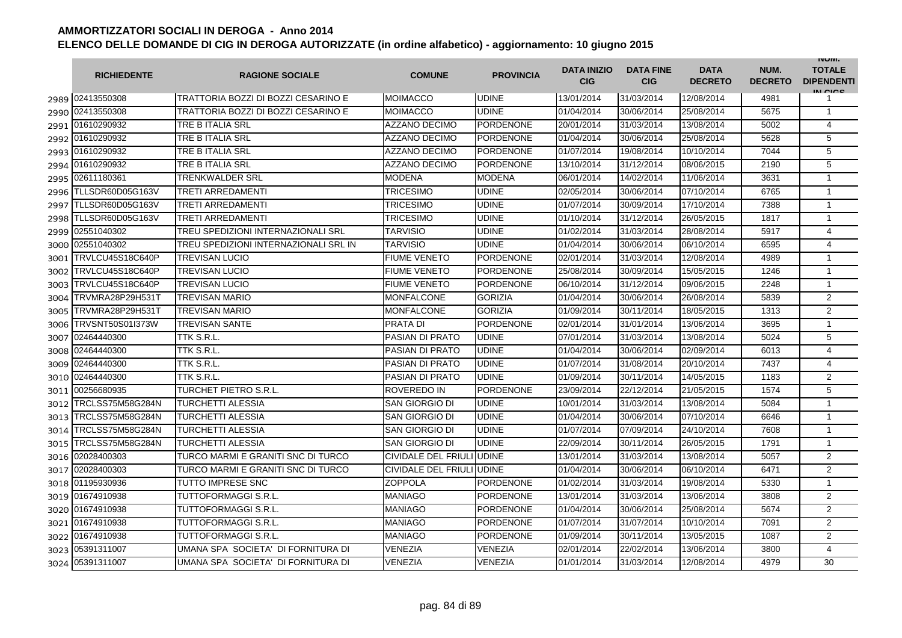|      | <b>RICHIEDENTE</b> | <b>RAGIONE SOCIALE</b>                | <b>COMUNE</b>             | <b>PROVINCIA</b> | <b>DATA INIZIO</b><br><b>CIG</b> | <b>DATA FINE</b><br><b>CIG</b> | <b>DATA</b><br><b>DECRETO</b> | NUM.<br><b>DECRETO</b> | <b>INUIVI.</b><br><b>TOTALE</b><br><b>DIPENDENTI</b><br>IN CICS |
|------|--------------------|---------------------------------------|---------------------------|------------------|----------------------------------|--------------------------------|-------------------------------|------------------------|-----------------------------------------------------------------|
|      | 2989 02413550308   | TRATTORIA BOZZI DI BOZZI CESARINO E   | <b>MOIMACCO</b>           | <b>UDINE</b>     | 13/01/2014                       | 31/03/2014                     | 12/08/2014                    | 4981                   | 1                                                               |
|      | 2990 02413550308   | TRATTORIA BOZZI DI BOZZI CESARINO E   | MOIMACCO                  | <b>UDINE</b>     | 01/04/2014                       | 30/06/2014                     | 25/08/2014                    | 5675                   | $\mathbf{1}$                                                    |
|      | 2991 01610290932   | TRE B ITALIA SRL                      | <b>AZZANO DECIMO</b>      | <b>PORDENONE</b> | 20/01/2014                       | 31/03/2014                     | 13/08/2014                    | 5002                   | $\overline{4}$                                                  |
|      | 2992 01610290932   | TRE B ITALIA SRL                      | <b>AZZANO DECIMO</b>      | <b>PORDENONE</b> | 01/04/2014                       | 30/06/2014                     | 25/08/2014                    | 5628                   | 5                                                               |
|      | 2993 01610290932   | TRE B ITALIA SRL                      | AZZANO DECIMO             | <b>PORDENONE</b> | 01/07/2014                       | 19/08/2014                     | 10/10/2014                    | 7044                   | 5                                                               |
|      | 2994 01610290932   | TRE B ITALIA SRL                      | <b>AZZANO DECIMO</b>      | <b>PORDENONE</b> | 13/10/2014                       | 31/12/2014                     | 08/06/2015                    | 2190                   | 5                                                               |
| 2995 | 02611180361        | <b>TRENKWALDER SRL</b>                | <b>MODENA</b>             | <b>MODENA</b>    | 06/01/2014                       | 14/02/2014                     | 11/06/2014                    | 3631                   | $\mathbf{1}$                                                    |
| 2996 | TLLSDR60D05G163V   | <b>TRETI ARREDAMENTI</b>              | <b>TRICESIMO</b>          | <b>UDINE</b>     | 02/05/2014                       | 30/06/2014                     | 07/10/2014                    | 6765                   | $\mathbf{1}$                                                    |
| 2997 | TLLSDR60D05G163V   | <b>TRETI ARREDAMENTI</b>              | <b>TRICESIMO</b>          | <b>UDINE</b>     | 01/07/2014                       | 30/09/2014                     | 17/10/2014                    | 7388                   | $\mathbf{1}$                                                    |
| 2998 | TLLSDR60D05G163V   | <b>TRETI ARREDAMENTI</b>              | TRICESIMO                 | <b>UDINE</b>     | 01/10/2014                       | 31/12/2014                     | 26/05/2015                    | 1817                   | $\mathbf{1}$                                                    |
| 2999 | 02551040302        | TREU SPEDIZIONI INTERNAZIONALI SRL    | TARVISIO                  | <b>UDINE</b>     | 01/02/2014                       | 31/03/2014                     | 28/08/2014                    | 5917                   | 4                                                               |
| 3000 | 02551040302        | TREU SPEDIZIONI INTERNAZIONALI SRL IN | TARVISIO                  | <b>UDINE</b>     | 01/04/2014                       | 30/06/2014                     | 06/10/2014                    | 6595                   | $\overline{4}$                                                  |
| 3001 | TRVLCU45S18C640P   | <b>TREVISAN LUCIO</b>                 | <b>FIUME VENETO</b>       | <b>PORDENONE</b> | 02/01/2014                       | 31/03/2014                     | 12/08/2014                    | 4989                   | $\mathbf{1}$                                                    |
| 3002 | TRVLCU45S18C640P   | <b>TREVISAN LUCIO</b>                 | <b>FIUME VENETO</b>       | <b>PORDENONE</b> | 25/08/2014                       | 30/09/2014                     | 15/05/2015                    | 1246                   | 1                                                               |
| 3003 | TRVLCU45S18C640P   | <b>TREVISAN LUCIO</b>                 | <b>FIUME VENETO</b>       | <b>PORDENONE</b> | 06/10/2014                       | 31/12/2014                     | 09/06/2015                    | 2248                   | $\mathbf{1}$                                                    |
| 3004 | TRVMRA28P29H531T   | <b>TREVISAN MARIO</b>                 | <b>MONFALCONE</b>         | <b>GORIZIA</b>   | 01/04/2014                       | 30/06/2014                     | 26/08/2014                    | 5839                   | $\overline{2}$                                                  |
| 3005 | TRVMRA28P29H531T   | <b>TREVISAN MARIO</b>                 | <b>MONFALCONE</b>         | <b>GORIZIA</b>   | 01/09/2014                       | 30/11/2014                     | 18/05/2015                    | 1313                   | $\overline{2}$                                                  |
| 3006 | TRVSNT50S01I373W   | <b>TREVISAN SANTE</b>                 | <b>PRATA DI</b>           | <b>PORDENONE</b> | 02/01/2014                       | 31/01/2014                     | 13/06/2014                    | 3695                   | $\mathbf{1}$                                                    |
| 3007 | 02464440300        | TTK S.R.L.                            | <b>PASIAN DI PRATO</b>    | <b>UDINE</b>     | 07/01/2014                       | 31/03/2014                     | 13/08/2014                    | 5024                   | 5                                                               |
| 3008 | 02464440300        | TTK S.R.L                             | <b>PASIAN DI PRATO</b>    | <b>UDINE</b>     | 01/04/2014                       | 30/06/2014                     | 02/09/2014                    | 6013                   | $\overline{4}$                                                  |
| 3009 | 02464440300        | TTK S.R.L                             | <b>PASIAN DI PRATO</b>    | <b>UDINE</b>     | 01/07/2014                       | 31/08/2014                     | 20/10/2014                    | 7437                   | 4                                                               |
| 3010 | 02464440300        | TTK S.R.L                             | <b>PASIAN DI PRATO</b>    | <b>UDINE</b>     | 01/09/2014                       | 30/11/2014                     | 14/05/2015                    | 1183                   | $\overline{2}$                                                  |
| 3011 | 00256680935        | <b>TURCHET PIETRO S.R.L.</b>          | ROVEREDO IN               | <b>PORDENONE</b> | 23/09/2014                       | 22/12/2014                     | 21/05/2015                    | 1574                   | 5                                                               |
| 3012 | TRCLSS75M58G284N   | <b>TURCHETTI ALESSIA</b>              | SAN GIORGIO DI            | <b>UDINE</b>     | 10/01/2014                       | 31/03/2014                     | 13/08/2014                    | 5084                   | $\mathbf{1}$                                                    |
| 3013 | TRCLSS75M58G284N   | <b>TURCHETTI ALESSIA</b>              | <b>SAN GIORGIO DI</b>     | <b>UDINE</b>     | 01/04/2014                       | 30/06/2014                     | 07/10/2014                    | 6646                   | $\mathbf{1}$                                                    |
| 3014 | TRCLSS75M58G284N   | <b>TURCHETTI ALESSIA</b>              | SAN GIORGIO DI            | <b>UDINE</b>     | 01/07/2014                       | 07/09/2014                     | 24/10/2014                    | 7608                   | $\mathbf{1}$                                                    |
| 3015 | TRCLSS75M58G284N   | <b>TURCHETTI ALESSIA</b>              | <b>SAN GIORGIO DI</b>     | <b>UDINE</b>     | 22/09/2014                       | 30/11/2014                     | 26/05/2015                    | 1791                   | $\mathbf{1}$                                                    |
| 3016 | 02028400303        | TURCO MARMI E GRANITI SNC DI TURCO    | CIVIDALE DEL FRIULI UDINE |                  | 13/01/2014                       | 31/03/2014                     | 13/08/2014                    | 5057                   | $\overline{2}$                                                  |
| 3017 | 02028400303        | TURCO MARMI E GRANITI SNC DI TURCO    | <b>CIVIDALE DEL FRIUL</b> | <b>IUDINE</b>    | 01/04/2014                       | 30/06/2014                     | 06/10/2014                    | 6471                   | $\overline{2}$                                                  |
|      | 3018 01195930936   | <b>TUTTO IMPRESE SNC</b>              | <b>ZOPPOLA</b>            | <b>PORDENONE</b> | 01/02/2014                       | 31/03/2014                     | 19/08/2014                    | 5330                   | $\mathbf{1}$                                                    |
| 3019 | 01674910938        | <b>TUTTOFORMAGGI S.R.L.</b>           | MANIAGO                   | <b>PORDENONE</b> | 13/01/2014                       | 31/03/2014                     | 13/06/2014                    | 3808                   | $\overline{2}$                                                  |
|      | 3020 01674910938   | TUTTOFORMAGGI S.R.L.                  | MANIAGO                   | <b>PORDENONE</b> | 01/04/2014                       | 30/06/2014                     | 25/08/2014                    | 5674                   | $\overline{2}$                                                  |
| 3021 | 01674910938        | <b>TUTTOFORMAGGI S.R.L.</b>           | MANIAGO                   | <b>PORDENONE</b> | 01/07/2014                       | 31/07/2014                     | 10/10/2014                    | 7091                   | $\overline{2}$                                                  |
|      | 3022 01674910938   | <b>TUTTOFORMAGGI S.R.L.</b>           | MANIAGO                   | <b>PORDENONE</b> | 01/09/2014                       | 30/11/2014                     | 13/05/2015                    | 1087                   | 2                                                               |
|      | 3023 05391311007   | UMANA SPA SOCIETA' DI FORNITURA DI    | VENEZIA                   | VENEZIA          | 02/01/2014                       | 22/02/2014                     | 13/06/2014                    | 3800                   | $\overline{4}$                                                  |
|      | 3024 05391311007   | UMANA SPA SOCIETA' DI FORNITURA DI    | VENEZIA                   | <b>VENEZIA</b>   | 01/01/2014                       | 31/03/2014                     | 12/08/2014                    | 4979                   | 30                                                              |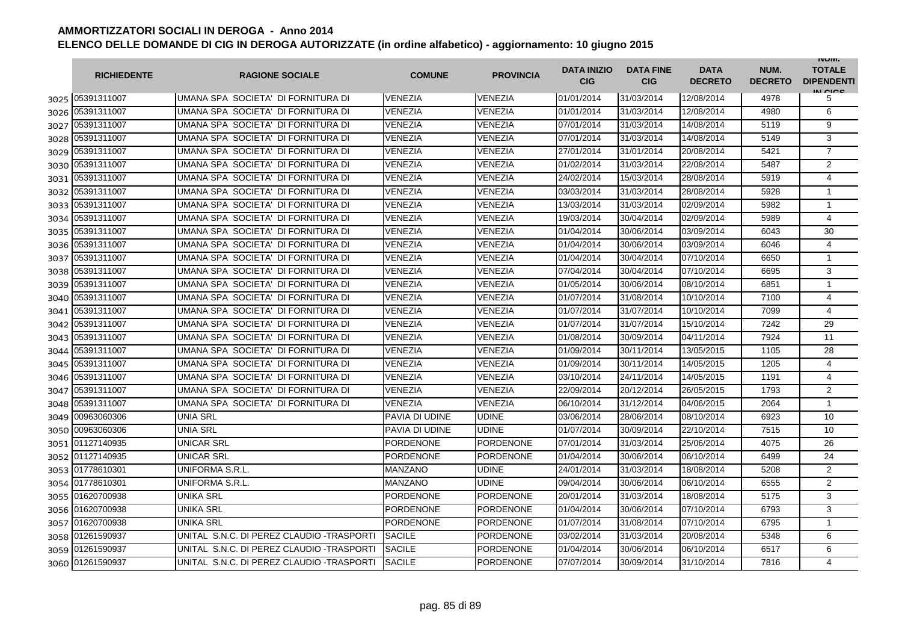|        | <b>RICHIEDENTE</b> | <b>RAGIONE SOCIALE</b>                     | <b>COMUNE</b>         | <b>PROVINCIA</b> | <b>DATA INIZIO</b><br><b>CIG</b> | <b>DATA FINE</b><br><b>CIG</b> | <b>DATA</b><br><b>DECRETO</b> | NUM.<br><b>DECRETO</b> | <b>INUIVI.</b><br><b>TOTALE</b><br><b>DIPENDENTI</b><br>IN CICS |
|--------|--------------------|--------------------------------------------|-----------------------|------------------|----------------------------------|--------------------------------|-------------------------------|------------------------|-----------------------------------------------------------------|
|        | 3025 05391311007   | IUMANA SPA SOCIETA' DI FORNITURA DI        | <b>VENEZIA</b>        | VENEZIA          | 01/01/2014                       | 31/03/2014                     | 12/08/2014                    | 4978                   | 5                                                               |
| 3026   | 05391311007        | UMANA SPA SOCIETA' DI FORNITURA DI         | <b>VENEZIA</b>        | VENEZIA          | 01/01/2014                       | 31/03/2014                     | 12/08/2014                    | 4980                   | 6                                                               |
| 3027   | 05391311007        | UMANA SPA SOCIETA' DI FORNITURA DI         | <b>VENEZIA</b>        | VENEZIA          | 07/01/2014                       | 31/03/2014                     | 14/08/2014                    | 5119                   | 9                                                               |
| 3028   | 05391311007        | UMANA SPA SOCIETA' DI FORNITURA DI         | <b>VENEZIA</b>        | VENEZIA          | 07/01/2014                       | 31/03/2014                     | 14/08/2014                    | 5149                   | 3                                                               |
| 3029   | 05391311007        | UMANA SPA SOCIETA' DI FORNITURA DI         | VENEZIA               | VENEZIA          | 27/01/2014                       | 31/01/2014                     | 20/08/2014                    | 5421                   | $\overline{7}$                                                  |
| 3030   | 05391311007        | UMANA SPA SOCIETA' DI FORNITURA DI         | <b>VENEZIA</b>        | <b>VENEZIA</b>   | 01/02/2014                       | 31/03/2014                     | 22/08/2014                    | 5487                   | $\overline{2}$                                                  |
| 3031   | 05391311007        | UMANA SPA SOCIETA' DI FORNITURA DI         | <b>VENEZIA</b>        | <b>VENEZIA</b>   | 24/02/2014                       | 15/03/2014                     | 28/08/2014                    | 5919                   | 4                                                               |
| 3032   | 05391311007        | UMANA SPA SOCIETA' DI FORNITURA DI         | <b>VENEZIA</b>        | VENEZIA          | 03/03/2014                       | 31/03/2014                     | 28/08/2014                    | 5928                   | $\mathbf{1}$                                                    |
| 3033   | 05391311007        | UMANA SPA SOCIETA' DI FORNITURA DI         | <b>VENEZIA</b>        | VENEZIA          | 13/03/2014                       | 31/03/2014                     | 02/09/2014                    | 5982                   | $\mathbf{1}$                                                    |
| 3034   | 05391311007        | UMANA SPA SOCIETA' DI FORNITURA DI         | VENEZIA               | VENEZIA          | 19/03/2014                       | 30/04/2014                     | 02/09/2014                    | 5989                   | 4                                                               |
| 3035   | 05391311007        | UMANA SPA SOCIETA' DI FORNITURA DI         | VENEZIA               | VENEZIA          | 01/04/2014                       | 30/06/2014                     | 03/09/2014                    | 6043                   | 30                                                              |
| 3036   | 05391311007        | UMANA SPA SOCIETA' DI FORNITURA DI         | <b>VENEZIA</b>        | VENEZIA          | 01/04/2014                       | 30/06/2014                     | 03/09/2014                    | 6046                   | 4                                                               |
| 3037   | 05391311007        | UMANA SPA SOCIETA' DI FORNITURA DI         | <b>VENEZIA</b>        | VENEZIA          | 01/04/2014                       | 30/04/2014                     | 07/10/2014                    | 6650                   | $\mathbf{1}$                                                    |
| 3038   | 05391311007        | UMANA SPA SOCIETA' DI FORNITURA DI         | VENEZIA               | <b>VENEZIA</b>   | 07/04/2014                       | 30/04/2014                     | 07/10/2014                    | 6695                   | 3                                                               |
| 3039   | 05391311007        | UMANA SPA SOCIETA' DI FORNITURA DI         | <b>VENEZIA</b>        | VENEZIA          | 01/05/2014                       | 30/06/2014                     | 08/10/2014                    | 6851                   | $\mathbf{1}$                                                    |
| 3040   | 05391311007        | UMANA SPA SOCIETA' DI FORNITURA DI         | <b>VENEZIA</b>        | <b>VENEZIA</b>   | 01/07/2014                       | 31/08/2014                     | 10/10/2014                    | 7100                   | 4                                                               |
| 3041   | 05391311007        | UMANA SPA SOCIETA' DI FORNITURA DI         | <b>VENEZIA</b>        | VENEZIA          | 01/07/2014                       | 31/07/2014                     | 10/10/2014                    | 7099                   | $\overline{4}$                                                  |
| 3042   | 05391311007        | UMANA SPA SOCIETA' DI FORNITURA DI         | <b>VENEZIA</b>        | <b>VENEZIA</b>   | 01/07/2014                       | 31/07/2014                     | 15/10/2014                    | 7242                   | 29                                                              |
| 3043   | 05391311007        | UMANA SPA SOCIETA' DI FORNITURA DI         | <b>VENEZIA</b>        | VENEZIA          | 01/08/2014                       | 30/09/2014                     | 04/11/2014                    | 7924                   | 11                                                              |
| 3044   | 05391311007        | UMANA SPA SOCIETA' DI FORNITURA DI         | VENEZIA               | VENEZIA          | 01/09/2014                       | 30/11/2014                     | 13/05/2015                    | 1105                   | 28                                                              |
| 3045   | 05391311007        | UMANA SPA SOCIETA' DI FORNITURA DI         | VENEZIA               | VENEZIA          | 01/09/2014                       | 30/11/2014                     | 14/05/2015                    | 1205                   | 4                                                               |
| 3046   | 05391311007        | UMANA SPA SOCIETA' DI FORNITURA DI         | VENEZIA               | VENEZIA          | 03/10/2014                       | 24/11/2014                     | 14/05/2015                    | 1191                   | 4                                                               |
| 3047   | 05391311007        | UMANA SPA SOCIETA' DI FORNITURA DI         | <b>VENEZIA</b>        | VENEZIA          | 22/09/2014                       | 20/12/2014                     | 26/05/2015                    | 1793                   | 2                                                               |
| 3048   | 05391311007        | UMANA SPA SOCIETA' DI FORNITURA DI         | <b>VENEZIA</b>        | VENEZIA          | 06/10/2014                       | 31/12/2014                     | 04/06/2015                    | 2064                   | $\mathbf{1}$                                                    |
| 3049   | 00963060306        | <b>UNIA SRL</b>                            | PAVIA DI UDINE        | <b>UDINE</b>     | 03/06/2014                       | 28/06/2014                     | 08/10/2014                    | 6923                   | 10                                                              |
| 3050   | 00963060306        | <b>UNIA SRL</b>                            | <b>PAVIA DI UDINE</b> | UDINE            | 01/07/2014                       | 30/09/2014                     | 22/10/2014                    | 7515                   | 10                                                              |
| 3051 l | 01127140935        | <b>UNICAR SRL</b>                          | PORDENONE             | <b>PORDENONE</b> | 07/01/2014                       | 31/03/2014                     | 25/06/2014                    | 4075                   | 26                                                              |
| 3052   | 01127140935        | <b>UNICAR SRL</b>                          | <b>PORDENONE</b>      | <b>PORDENONE</b> | 01/04/2014                       | 30/06/2014                     | 06/10/2014                    | 6499                   | 24                                                              |
| 3053   | 01778610301        | UNIFORMA S.R.L.                            | <b>MANZANO</b>        | UDINE            | 24/01/2014                       | 31/03/2014                     | 18/08/2014                    | 5208                   | $\overline{2}$                                                  |
| 3054   | 01778610301        | UNIFORMA S.R.L.                            | <b>MANZANO</b>        | UDINE            | 09/04/2014                       | 30/06/2014                     | 06/10/2014                    | 6555                   | $\overline{2}$                                                  |
| 3055   | 01620700938        | <b>UNIKA SRL</b>                           | <b>PORDENONE</b>      | <b>PORDENONE</b> | 20/01/2014                       | 31/03/2014                     | 18/08/2014                    | 5175                   | 3                                                               |
| 3056   | 01620700938        | <b>UNIKA SRL</b>                           | <b>PORDENONE</b>      | PORDENONE        | 01/04/2014                       | 30/06/2014                     | 07/10/2014                    | 6793                   | 3                                                               |
| 3057   | 01620700938        | UNIKA SRL                                  | <b>PORDENONE</b>      | PORDENONE        | 01/07/2014                       | 31/08/2014                     | 07/10/2014                    | 6795                   | $\mathbf 1$                                                     |
| 3058   | 01261590937        | UNITAL S.N.C. DI PEREZ CLAUDIO -TRASPORTI  | <b>SACILE</b>         | <b>PORDENONE</b> | 03/02/2014                       | 31/03/2014                     | 20/08/2014                    | 5348                   | 6                                                               |
| 3059   | 01261590937        | UNITAL S.N.C. DI PEREZ CLAUDIO - TRASPORTI | <b>SACILE</b>         | PORDENONE        | 01/04/2014                       | 30/06/2014                     | 06/10/2014                    | 6517                   | 6                                                               |
|        | 3060 01261590937   | UNITAL S.N.C. DI PEREZ CLAUDIO - TRASPORTI | <b>SACILE</b>         | <b>PORDENONE</b> | 07/07/2014                       | 30/09/2014                     | 31/10/2014                    | 7816                   | 4                                                               |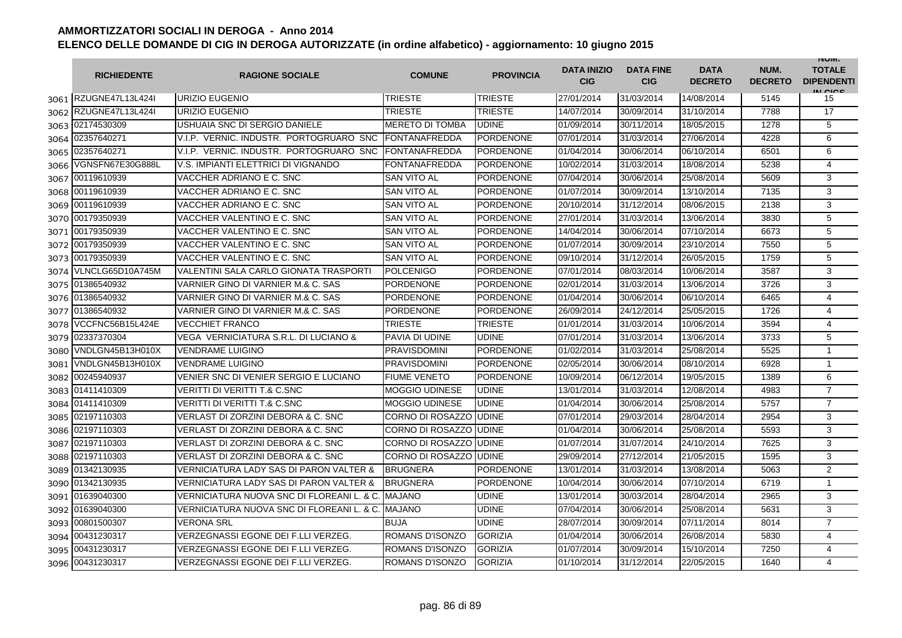|      | <b>RICHIEDENTE</b>    | <b>RAGIONE SOCIALE</b>                             | <b>COMUNE</b>           | <b>PROVINCIA</b> | <b>DATA INIZIO</b><br><b>CIG</b> | <b>DATA FINE</b><br><b>CIG</b> | <b>DATA</b><br><b>DECRETO</b> | NUM.<br><b>DECRETO</b> | <b>INUIVI.</b><br><b>TOTALE</b><br><b>DIPENDENTI</b><br>IN CICE |
|------|-----------------------|----------------------------------------------------|-------------------------|------------------|----------------------------------|--------------------------------|-------------------------------|------------------------|-----------------------------------------------------------------|
|      | 3061 RZUGNE47L13L424  | URIZIO EUGENIO                                     | TRIESTE                 | <b>TRIESTE</b>   | 27/01/2014                       | 31/03/2014                     | 14/08/2014                    | 5145                   | 15                                                              |
|      | 3062 RZUGNE47L13L424I | URIZIO EUGENIO                                     | TRIESTE                 | <b>TRIESTE</b>   | 14/07/2014                       | 30/09/2014                     | 31/10/2014                    | 7788                   | 17                                                              |
|      | 3063 02174530309      | USHUAIA SNC DI SERGIO DANIELE                      | <b>MERETO DI TOMBA</b>  | <b>UDINE</b>     | 01/09/2014                       | 30/11/2014                     | 18/05/2015                    | 1278                   | 5                                                               |
|      | 3064 02357640271      | V.I.P. VERNIC. INDUSTR. PORTOGRUARO SNC            | <b>FONTANAFREDDA</b>    | PORDENONE        | 07/01/2014                       | 31/03/2014                     | 27/06/2014                    | 4228                   | 6                                                               |
|      | 3065 02357640271      | V.I.P. VERNIC. INDUSTR. PORTOGRUARO SNC            | <b>FONTANAFREDDA</b>    | <b>PORDENONE</b> | 01/04/2014                       | 30/06/2014                     | 06/10/2014                    | 6501                   | 6                                                               |
| 3066 | VGNSFN67E30G888L      | V.S. IMPIANTI ELETTRICI DI VIGNANDO                | <b>FONTANAFREDDA</b>    | <b>PORDENONE</b> | 10/02/2014                       | 31/03/2014                     | 18/08/2014                    | 5238                   | $\overline{4}$                                                  |
|      | 3067 00119610939      | VACCHER ADRIANO E C. SNC                           | SAN VITO AL             | <b>PORDENONE</b> | 07/04/2014                       | 30/06/2014                     | 25/08/2014                    | 5609                   | 3                                                               |
| 3068 | 00119610939           | VACCHER ADRIANO E C. SNC                           | <b>SAN VITO AL</b>      | <b>PORDENONE</b> | 01/07/2014                       | 30/09/2014                     | 13/10/2014                    | 7135                   | 3                                                               |
|      | 3069 00119610939      | VACCHER ADRIANO E C. SNC                           | <b>SAN VITO AL</b>      | <b>PORDENONE</b> | 20/10/2014                       | 31/12/2014                     | 08/06/2015                    | 2138                   | 3                                                               |
| 3070 | 00179350939           | VACCHER VALENTINO E C. SNC                         | <b>SAN VITO AL</b>      | <b>PORDENONE</b> | 27/01/2014                       | 31/03/2014                     | 13/06/2014                    | 3830                   | 5                                                               |
| 3071 | 00179350939           | VACCHER VALENTINO E C. SNC                         | SAN VITO AL             | <b>PORDENONE</b> | 14/04/2014                       | 30/06/2014                     | 07/10/2014                    | 6673                   | 5                                                               |
| 3072 | 00179350939           | VACCHER VALENTINO E C. SNC                         | SAN VITO AL             | <b>PORDENONE</b> | 01/07/2014                       | 30/09/2014                     | 23/10/2014                    | 7550                   | 5                                                               |
| 3073 | 00179350939           | VACCHER VALENTINO E C. SNC                         | SAN VITO AL             | <b>PORDENONE</b> | 09/10/2014                       | 31/12/2014                     | 26/05/2015                    | 1759                   | 5                                                               |
| 3074 | VLNCLG65D10A745M      | VALENTINI SALA CARLO GIONATA TRASPORTI             | POLCENIGO               | <b>PORDENONE</b> | 07/01/2014                       | 08/03/2014                     | 10/06/2014                    | 3587                   | 3                                                               |
| 3075 | 01386540932           | VARNIER GINO DI VARNIER M.& C. SAS                 | <b>PORDENONE</b>        | PORDENONE        | 02/01/2014                       | 31/03/2014                     | 13/06/2014                    | 3726                   | 3                                                               |
| 3076 | 01386540932           | VARNIER GINO DI VARNIER M.& C. SAS                 | <b>PORDENONE</b>        | <b>PORDENONE</b> | 01/04/2014                       | 30/06/2014                     | 06/10/2014                    | 6465                   | $\overline{4}$                                                  |
| 3077 | 01386540932           | VARNIER GINO DI VARNIER M.& C. SAS                 | PORDENONE               | <b>PORDENONE</b> | 26/09/2014                       | 24/12/2014                     | 25/05/2015                    | 1726                   | $\overline{4}$                                                  |
| 3078 | VCCFNC56B15L424E      | <b>VECCHIET FRANCO</b>                             | <b>TRIESTE</b>          | <b>TRIESTE</b>   | 01/01/2014                       | 31/03/2014                     | 10/06/2014                    | 3594                   | 4                                                               |
|      | 3079 02337370304      | VEGA VERNICIATURA S.R.L. DI LUCIANO &              | PAVIA DI UDINE          | <b>UDINE</b>     | 07/01/2014                       | 31/03/2014                     | 13/06/2014                    | 3733                   | 5                                                               |
| 3080 | VNDLGN45B13H010X      | <b>VENDRAME LUIGINO</b>                            | <b>PRAVISDOMINI</b>     | <b>PORDENONE</b> | 01/02/2014                       | 31/03/2014                     | 25/08/2014                    | 5525                   | $\mathbf{1}$                                                    |
| 3081 | VNDLGN45B13H010X      | <b>VENDRAME LUIGINO</b>                            | <b>PRAVISDOMINI</b>     | <b>PORDENONE</b> | 02/05/2014                       | 30/06/2014                     | 08/10/2014                    | 6928                   | 1                                                               |
| 3082 | 00245940937           | VENIER SNC DI VENIER SERGIO E LUCIANO              | <b>FIUME VENETO</b>     | <b>PORDENONE</b> | 10/09/2014                       | 06/12/2014                     | 19/05/2015                    | 1389                   | 6                                                               |
|      | 3083 01411410309      | <b>VERITTI DI VERITTI T.&amp; C.SNC</b>            | <b>MOGGIO UDINESE</b>   | <b>UDINE</b>     | 13/01/2014                       | 31/03/2014                     | 12/08/2014                    | 4983                   | $\overline{7}$                                                  |
| 3084 | 01411410309           | <b>VERITTI DI VERITTI T.&amp; C.SNC</b>            | <b>MOGGIO UDINESE</b>   | <b>UDINE</b>     | 01/04/2014                       | 30/06/2014                     | 25/08/2014                    | 5757                   | $\overline{7}$                                                  |
| 3085 | 02197110303           | VERLAST DI ZORZINI DEBORA & C. SNC                 | CORNO DI ROSAZZO        | <b>UDINE</b>     | 07/01/2014                       | 29/03/2014                     | 28/04/2014                    | 2954                   | 3                                                               |
| 3086 | 02197110303           | VERLAST DI ZORZINI DEBORA & C. SNC                 | CORNO DI ROSAZZO IUDINE |                  | 01/04/2014                       | 30/06/2014                     | 25/08/2014                    | 5593                   | 3                                                               |
| 3087 | 02197110303           | VERLAST DI ZORZINI DEBORA & C. SNC                 | CORNO DI ROSAZZO IUDINE |                  | 01/07/2014                       | 31/07/2014                     | 24/10/2014                    | 7625                   | 3                                                               |
| 3088 | 02197110303           | VERLAST DI ZORZINI DEBORA & C. SNC                 | CORNO DI ROSAZZO IUDINE |                  | 29/09/2014                       | 27/12/2014                     | 21/05/2015                    | 1595                   | 3                                                               |
| 3089 | 01342130935           | <b>VERNICIATURA LADY SAS DI PARON VALTER &amp;</b> | <b>BRUGNERA</b>         | <b>PORDENONE</b> | 13/01/2014                       | 31/03/2014                     | 13/08/2014                    | 5063                   | 2                                                               |
|      | 3090 01342130935      | VERNICIATURA LADY SAS DI PARON VALTER &            | <b>BRUGNERA</b>         | <b>PORDENONE</b> | 10/04/2014                       | 30/06/2014                     | 07/10/2014                    | 6719                   | $\mathbf{1}$                                                    |
|      | 3091 01639040300      | VERNICIATURA NUOVA SNC DI FLOREANI L. & C.         | <b>MAJANO</b>           | <b>UDINE</b>     | 13/01/2014                       | 30/03/2014                     | 28/04/2014                    | 2965                   | 3                                                               |
|      | 3092 01639040300      | VERNICIATURA NUOVA SNC DI FLOREANI L. & C.         | <b>MAJANO</b>           | <b>UDINE</b>     | 07/04/2014                       | 30/06/2014                     | 25/08/2014                    | 5631                   | 3                                                               |
|      | 3093 00801500307      | <b>VERONA SRL</b>                                  | <b>BUJA</b>             | <b>UDINE</b>     | 28/07/2014                       | 30/09/2014                     | 07/11/2014                    | 8014                   | $\overline{7}$                                                  |
|      | 3094 00431230317      | VERZEGNASSI EGONE DEI F.LLI VERZEG.                | ROMANS D'ISONZO         | <b>GORIZIA</b>   | 01/04/2014                       | 30/06/2014                     | 26/08/2014                    | 5830                   | 4                                                               |
| 3095 | 00431230317           | VERZEGNASSI EGONE DEI F.LLI VERZEG.                | <b>ROMANS D'ISONZO</b>  | <b>GORIZIA</b>   | 01/07/2014                       | 30/09/2014                     | 15/10/2014                    | 7250                   | 4                                                               |
|      | 3096 00431230317      | VERZEGNASSI EGONE DEI F.LLI VERZEG.                | ROMANS D'ISONZO         | <b>GORIZIA</b>   | 01/10/2014                       | 31/12/2014                     | 22/05/2015                    | 1640                   | 4                                                               |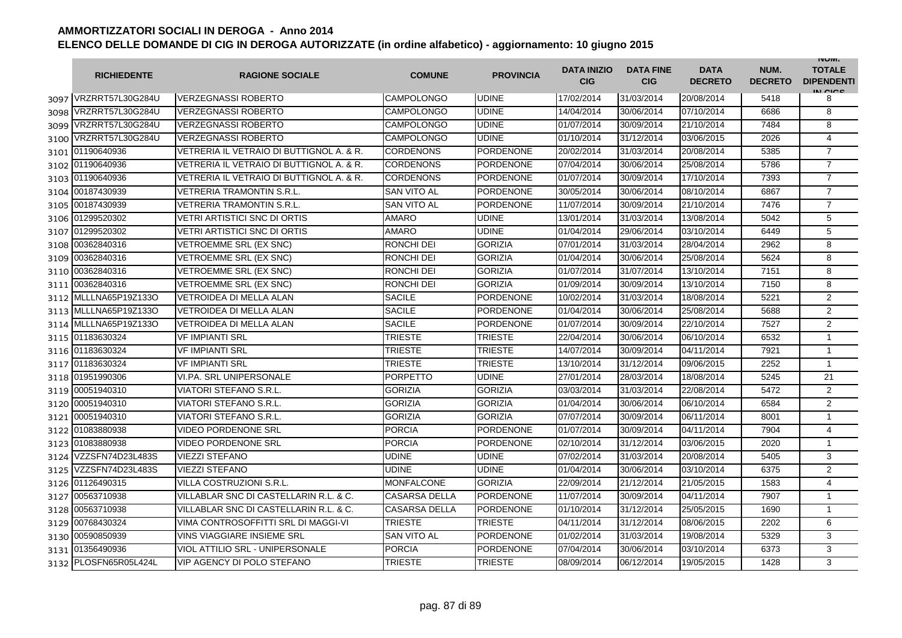|      | <b>RICHIEDENTE</b>    | <b>RAGIONE SOCIALE</b>                   | <b>COMUNE</b>        | <b>PROVINCIA</b> | <b>DATA INIZIO</b><br><b>CIG</b> | <b>DATA FINE</b><br><b>CIG</b> | <b>DATA</b><br><b>DECRETO</b> | NUM.<br><b>DECRETO</b> | <b>INUIVI.</b><br><b>TOTALE</b><br><b>DIPENDENTI</b><br>IN CIGO |
|------|-----------------------|------------------------------------------|----------------------|------------------|----------------------------------|--------------------------------|-------------------------------|------------------------|-----------------------------------------------------------------|
|      | 3097 VRZRRT57L30G284U | <b>VERZEGNASSI ROBERTO</b>               | CAMPOLONGO           | <b>UDINE</b>     | 17/02/2014                       | 31/03/2014                     | 20/08/2014                    | 5418                   | 8                                                               |
| 3098 | VRZRRT57L30G284U      | <b>VERZEGNASSI ROBERTO</b>               | <b>CAMPOLONGO</b>    | <b>UDINE</b>     | 14/04/2014                       | 30/06/2014                     | 07/10/2014                    | 6686                   | 8                                                               |
|      | 3099 VRZRRT57L30G284U | <b>VERZEGNASSI ROBERTO</b>               | <b>CAMPOLONGO</b>    | <b>UDINE</b>     | 01/07/2014                       | 30/09/2014                     | 21/10/2014                    | 7484                   | 8                                                               |
|      | 3100 VRZRRT57L30G284U | <b>VERZEGNASSI ROBERTO</b>               | CAMPOLONGO           | <b>UDINE</b>     | 01/10/2014                       | 31/12/2014                     | 03/06/2015                    | 2026                   | $\overline{4}$                                                  |
|      | 3101 01190640936      | VETRERIA IL VETRAIO DI BUTTIGNOL A. & R. | CORDENONS            | <b>PORDENONE</b> | 20/02/2014                       | 31/03/2014                     | 20/08/2014                    | 5385                   | $\overline{7}$                                                  |
|      | 3102 01190640936      | VETRERIA IL VETRAIO DI BUTTIGNOL A. & R. | <b>CORDENONS</b>     | <b>PORDENONE</b> | 07/04/2014                       | 30/06/2014                     | 25/08/2014                    | 5786                   | $\overline{7}$                                                  |
|      | 3103 01190640936      | VETRERIA IL VETRAIO DI BUTTIGNOL A. & R. | CORDENONS            | <b>PORDENONE</b> | 01/07/2014                       | 30/09/2014                     | 17/10/2014                    | 7393                   | $\overline{7}$                                                  |
|      | 3104 00187430939      | <b>VETRERIA TRAMONTIN S.R.L.</b>         | <b>SAN VITO AL</b>   | <b>PORDENONE</b> | 30/05/2014                       | 30/06/2014                     | 08/10/2014                    | 6867                   | $\overline{7}$                                                  |
|      | 3105 00187430939      | <b>VETRERIA TRAMONTIN S.R.L</b>          | <b>SAN VITO AL</b>   | <b>PORDENONE</b> | 11/07/2014                       | 30/09/2014                     | 21/10/2014                    | 7476                   | $\overline{7}$                                                  |
|      | 3106 01299520302      | <b>VETRI ARTISTICI SNC DI ORTIS</b>      | <b>AMARO</b>         | <b>UDINE</b>     | 13/01/2014                       | 31/03/2014                     | 13/08/2014                    | 5042                   | 5                                                               |
| 3107 | 01299520302           | <b>VETRI ARTISTICI SNC DI ORTIS</b>      | <b>AMARO</b>         | <b>UDINE</b>     | 01/04/2014                       | 29/06/2014                     | 03/10/2014                    | 6449                   | 5                                                               |
| 3108 | 00362840316           | VETROEMME SRL (EX SNC)                   | RONCHI DEI           | <b>GORIZIA</b>   | 07/01/2014                       | 31/03/2014                     | 28/04/2014                    | 2962                   | 8                                                               |
| 3109 | 00362840316           | VETROEMME SRL (EX SNC)                   | RONCHI DEI           | <b>GORIZIA</b>   | 01/04/2014                       | 30/06/2014                     | 25/08/2014                    | 5624                   | 8                                                               |
| 3110 | 00362840316           | VETROEMME SRL (EX SNC)                   | RONCHI DEI           | <b>GORIZIA</b>   | 01/07/2014                       | 31/07/2014                     | 13/10/2014                    | 7151                   | 8                                                               |
| 3111 | 00362840316           | VETROEMME SRL (EX SNC)                   | RONCHI DEI           | <b>GORIZIA</b>   | 01/09/2014                       | 30/09/2014                     | 13/10/2014                    | 7150                   | 8                                                               |
| 3112 | MLLLNA65P19Z133O      | <b>VETROIDEA DI MELLA ALAN</b>           | <b>SACILE</b>        | <b>PORDENONE</b> | 10/02/2014                       | 31/03/2014                     | 18/08/2014                    | 5221                   | $\overline{2}$                                                  |
|      | 3113 MLLLNA65P19Z133O | VETROIDEA DI MELLA ALAN                  | <b>SACILE</b>        | <b>PORDENONE</b> | 01/04/2014                       | 30/06/2014                     | 25/08/2014                    | 5688                   | $\overline{2}$                                                  |
|      | 3114 MLLLNA65P19Z133O | <b>VETROIDEA DI MELLA ALAN</b>           | <b>SACILE</b>        | <b>PORDENONE</b> | 01/07/2014                       | 30/09/2014                     | 22/10/2014                    | 7527                   | $\overline{2}$                                                  |
|      | 3115 01183630324      | <b>VF IMPIANTI SRL</b>                   | TRIESTE              | <b>TRIESTE</b>   | 22/04/2014                       | 30/06/2014                     | 06/10/2014                    | 6532                   | $\mathbf{1}$                                                    |
|      | 3116 01183630324      | <b>VF IMPIANTI SRL</b>                   | TRIESTE              | <b>TRIESTE</b>   | 14/07/2014                       | 30/09/2014                     | 04/11/2014                    | 7921                   | $\mathbf{1}$                                                    |
|      | 3117 01183630324      | <b>VF IMPIANTI SRL</b>                   | TRIESTE              | <b>TRIESTE</b>   | 13/10/2014                       | 31/12/2014                     | 09/06/2015                    | 2252                   | $\mathbf{1}$                                                    |
|      | 3118 01951990306      | <b>VI.PA. SRL UNIPERSONALE</b>           | <b>PORPETTO</b>      | <b>UDINE</b>     | 27/01/2014                       | 28/03/2014                     | 18/08/2014                    | 5245                   | 21                                                              |
|      | 3119 00051940310      | VIATORI STEFANO S.R.L.                   | <b>GORIZIA</b>       | <b>GORIZIA</b>   | 03/03/2014                       | 31/03/2014                     | 22/08/2014                    | 5472                   | $\overline{2}$                                                  |
|      | 3120 00051940310      | <b>VIATORI STEFANO S.R.L.</b>            | <b>GORIZIA</b>       | <b>GORIZIA</b>   | 01/04/2014                       | 30/06/2014                     | 06/10/2014                    | 6584                   | $\overline{2}$                                                  |
| 3121 | 00051940310           | <b>VIATORI STEFANO S.R.L.</b>            | <b>GORIZIA</b>       | <b>GORIZIA</b>   | 07/07/2014                       | 30/09/2014                     | 06/11/2014                    | 8001                   | $\mathbf{1}$                                                    |
| 3122 | 01083880938           | <b>VIDEO PORDENONE SRL</b>               | <b>PORCIA</b>        | <b>PORDENONE</b> | 01/07/2014                       | 30/09/2014                     | 04/11/2014                    | 7904                   | $\overline{4}$                                                  |
| 3123 | 01083880938           | <b>VIDEO PORDENONE SRL</b>               | PORCIA               | <b>PORDENONE</b> | 02/10/2014                       | 31/12/2014                     | 03/06/2015                    | 2020                   | $\mathbf{1}$                                                    |
| 3124 | VZZSFN74D23L483S      | <b>VIEZZI STEFANO</b>                    | UDINE                | <b>UDINE</b>     | 07/02/2014                       | 31/03/2014                     | 20/08/2014                    | 5405                   | 3                                                               |
| 3125 | VZZSFN74D23L483S      | <b>VIEZZI STEFANO</b>                    | UDINE                | <b>UDINE</b>     | 01/04/2014                       | 30/06/2014                     | 03/10/2014                    | 6375                   | 2                                                               |
|      | 3126 01126490315      | VILLA COSTRUZIONI S.R.L.                 | MONFALCONE           | <b>GORIZIA</b>   | 22/09/2014                       | 21/12/2014                     | 21/05/2015                    | 1583                   | $\overline{4}$                                                  |
|      | 3127 00563710938      | VILLABLAR SNC DI CASTELLARIN R.L. & C.   | <b>CASARSA DELLA</b> | PORDENONE        | 11/07/2014                       | 30/09/2014                     | 04/11/2014                    | 7907                   | 1                                                               |
|      | 3128 00563710938      | VILLABLAR SNC DI CASTELLARIN R.L. & C.   | <b>CASARSA DELLA</b> | <b>PORDENONE</b> | 01/10/2014                       | 31/12/2014                     | 25/05/2015                    | 1690                   | $\mathbf{1}$                                                    |
|      | 3129 00768430324      | VIMA CONTROSOFFITTI SRL DI MAGGI-VI      | <b>TRIESTE</b>       | <b>TRIESTE</b>   | 04/11/2014                       | 31/12/2014                     | 08/06/2015                    | 2202                   | 6                                                               |
|      | 3130 00590850939      | <b>VINS VIAGGIARE INSIEME SRL</b>        | <b>SAN VITO AL</b>   | <b>PORDENONE</b> | 01/02/2014                       | 31/03/2014                     | 19/08/2014                    | 5329                   | 3                                                               |
|      | 3131 01356490936      | <b>VIOL ATTILIO SRL - UNIPERSONALE</b>   | <b>PORCIA</b>        | <b>PORDENONE</b> | 07/04/2014                       | 30/06/2014                     | 03/10/2014                    | 6373                   | 3                                                               |
|      | 3132 PLOSFN65R05L424L | <b>VIP AGENCY DI POLO STEFANO</b>        | TRIESTE              | <b>TRIESTE</b>   | 08/09/2014                       | 06/12/2014                     | 19/05/2015                    | 1428                   | 3                                                               |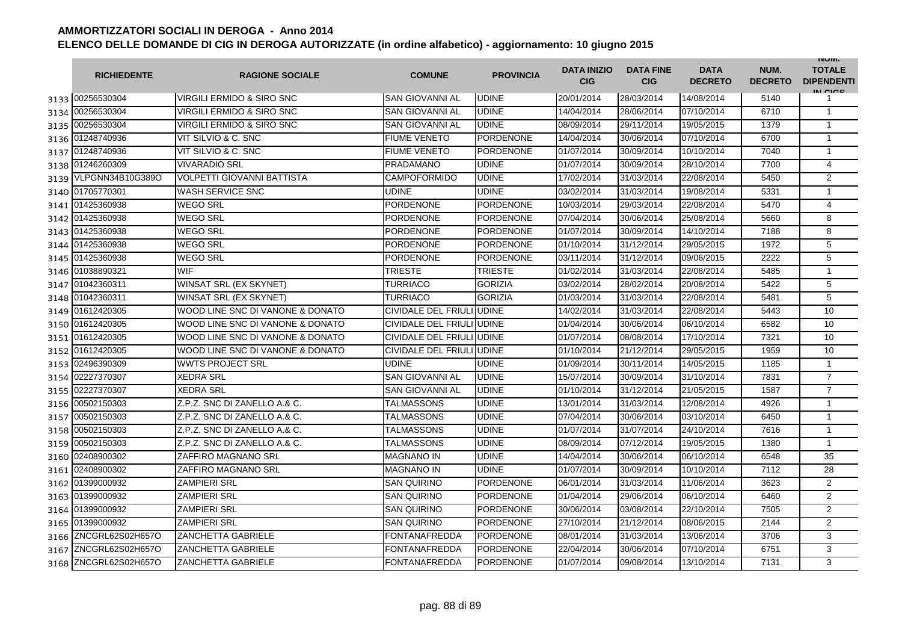|      | <b>RICHIEDENTE</b>    | <b>RAGIONE SOCIALE</b>           | <b>COMUNE</b>             | <b>PROVINCIA</b> | <b>DATA INIZIO</b><br><b>CIG</b> | <b>DATA FINE</b><br><b>CIG</b> | <b>DATA</b><br><b>DECRETO</b> | NUM.<br><b>DECRETO</b> | <b>INUIVI.</b><br><b>TOTALE</b><br><b>DIPENDENTI</b><br>IN CICE |
|------|-----------------------|----------------------------------|---------------------------|------------------|----------------------------------|--------------------------------|-------------------------------|------------------------|-----------------------------------------------------------------|
|      | 3133 00256530304      | VIRGILI ERMIDO & SIRO SNC        | SAN GIOVANNI AL           | <b>UDINE</b>     | 20/01/2014                       | 28/03/2014                     | 14/08/2014                    | 5140                   |                                                                 |
|      | 3134 00256530304      | VIRGILI ERMIDO & SIRO SNC        | <b>SAN GIOVANNI AL</b>    | <b>UDINE</b>     | 14/04/2014                       | 28/06/2014                     | 07/10/2014                    | 6710                   | $\mathbf{1}$                                                    |
|      | 3135 00256530304      | VIRGILI ERMIDO & SIRO SNC        | <b>SAN GIOVANNI AL</b>    | <b>UDINE</b>     | 08/09/2014                       | 29/11/2014                     | 19/05/2015                    | 1379                   | $\mathbf{1}$                                                    |
|      | 3136 01248740936      | VIT SILVIO & C. SNC              | <b>FIUME VENETO</b>       | <b>PORDENONE</b> | 14/04/2014                       | 30/06/2014                     | 07/10/2014                    | 6700                   | $\mathbf{1}$                                                    |
|      | 3137 01248740936      | VIT SILVIO & C. SNC              | <b>FIUME VENETO</b>       | <b>PORDENONE</b> | 01/07/2014                       | 30/09/2014                     | 10/10/2014                    | 7040                   | $\mathbf{1}$                                                    |
|      | 3138 01246260309      | <b>VIVARADIO SRL</b>             | <b>PRADAMANO</b>          | <b>UDINE</b>     | 01/07/2014                       | 30/09/2014                     | 28/10/2014                    | 7700                   | $\overline{4}$                                                  |
|      | 3139 VLPGNN34B10G389O | VOLPETTI GIOVANNI BATTISTA       | <b>CAMPOFORMIDO</b>       | <b>UDINE</b>     | 17/02/2014                       | 31/03/2014                     | 22/08/2014                    | 5450                   | 2                                                               |
|      | 3140 01705770301      | <b>WASH SERVICE SNC</b>          | <b>UDINE</b>              | <b>UDINE</b>     | 03/02/2014                       | 31/03/2014                     | 19/08/2014                    | 5331                   | $\mathbf{1}$                                                    |
|      | 3141 01425360938      | <b>WEGO SRL</b>                  | <b>PORDENONE</b>          | <b>PORDENONE</b> | 10/03/2014                       | 29/03/2014                     | 22/08/2014                    | 5470                   | $\overline{4}$                                                  |
|      | 3142 01425360938      | <b>WEGO SRL</b>                  | PORDENONE                 | PORDENONE        | 07/04/2014                       | 30/06/2014                     | 25/08/2014                    | 5660                   | 8                                                               |
|      | 3143 01425360938      | <b>WEGO SRL</b>                  | PORDENONE                 | PORDENONE        | 01/07/2014                       | 30/09/2014                     | 14/10/2014                    | 7188                   | 8                                                               |
| 3144 | 01425360938           | <b>WEGO SRL</b>                  | PORDENONE                 | <b>PORDENONE</b> | 01/10/2014                       | 31/12/2014                     | 29/05/2015                    | 1972                   | 5                                                               |
| 3145 | 01425360938           | <b>WEGO SRL</b>                  | <b>PORDENONE</b>          | <b>PORDENONE</b> | 03/11/2014                       | 31/12/2014                     | 09/06/2015                    | 2222                   | 5                                                               |
| 3146 | 01038890321           | <b>WIF</b>                       | TRIESTE                   | <b>TRIESTE</b>   | 01/02/2014                       | 31/03/2014                     | 22/08/2014                    | 5485                   | $\mathbf{1}$                                                    |
|      | 3147 01042360311      | <b>WINSAT SRL (EX SKYNET)</b>    | TURRIACO                  | <b>GORIZIA</b>   | 03/02/2014                       | 28/02/2014                     | 20/08/2014                    | 5422                   | 5                                                               |
| 3148 | 01042360311           | <b>WINSAT SRL (EX SKYNET)</b>    | TURRIACO                  | <b>GORIZIA</b>   | 01/03/2014                       | 31/03/2014                     | 22/08/2014                    | 5481                   | 5                                                               |
| 3149 | 01612420305           | WOOD LINE SNC DI VANONE & DONATO | CIVIDALE DEL FRIULI UDINE |                  | 14/02/2014                       | 31/03/2014                     | 22/08/2014                    | 5443                   | 10                                                              |
|      | 3150 01612420305      | WOOD LINE SNC DI VANONE & DONATO | CIVIDALE DEL FRIULI UDINE |                  | 01/04/2014                       | 30/06/2014                     | 06/10/2014                    | 6582                   | 10                                                              |
|      | 3151 01612420305      | WOOD LINE SNC DI VANONE & DONATO | CIVIDALE DEL FRIULI UDINE |                  | 01/07/2014                       | 08/08/2014                     | 17/10/2014                    | 7321                   | 10                                                              |
|      | 3152 01612420305      | WOOD LINE SNC DI VANONE & DONATO | CIVIDALE DEL FRIULI UDINE |                  | 01/10/2014                       | 21/12/2014                     | 29/05/2015                    | 1959                   | 10                                                              |
|      | 3153 02496390309      | <b>WWTS PROJECT SRL</b>          | <b>UDINE</b>              | <b>UDINE</b>     | 01/09/2014                       | 30/11/2014                     | 14/05/2015                    | 1185                   | $\mathbf{1}$                                                    |
|      | 3154 02227370307      | <b>XEDRA SRL</b>                 | <b>SAN GIOVANNI AL</b>    | <b>UDINE</b>     | 15/07/2014                       | 30/09/2014                     | 31/10/2014                    | 7831                   | $\overline{7}$                                                  |
|      | 3155 02227370307      | <b>XEDRA SRL</b>                 | SAN GIOVANNI AL           | <b>UDINE</b>     | 01/10/2014                       | 31/12/2014                     | 21/05/2015                    | 1587                   | $\overline{7}$                                                  |
| 3156 | 00502150303           | Z.P.Z. SNC DI ZANELLO A.& C.     | TALMASSONS                | <b>UDINE</b>     | 13/01/2014                       | 31/03/2014                     | 12/08/2014                    | 4926                   | $\mathbf{1}$                                                    |
| 3157 | 00502150303           | Z.P.Z. SNC DI ZANELLO A.& C.     | TALMASSONS                | <b>UDINE</b>     | 07/04/2014                       | 30/06/2014                     | 03/10/2014                    | 6450                   | $\mathbf{1}$                                                    |
| 3158 | 00502150303           | Z.P.Z. SNC DI ZANELLO A.& C.     | TALMASSONS                | <b>UDINE</b>     | 01/07/2014                       | 31/07/2014                     | 24/10/2014                    | 7616                   | $\mathbf{1}$                                                    |
| 3159 | 00502150303           | Z.P.Z. SNC DI ZANELLO A.& C.     | TALMASSONS                | <b>UDINE</b>     | 08/09/2014                       | 07/12/2014                     | 19/05/2015                    | 1380                   | $\mathbf{1}$                                                    |
|      | 3160 02408900302      | <b>ZAFFIRO MAGNANO SRL</b>       | MAGNANO IN                | <b>UDINE</b>     | 14/04/2014                       | 30/06/2014                     | 06/10/2014                    | 6548                   | 35                                                              |
|      | 3161 02408900302      | ZAFFIRO MAGNANO SRL              | <b>MAGNANO IN</b>         | <b>UDINE</b>     | 01/07/2014                       | 30/09/2014                     | 10/10/2014                    | 7112                   | 28                                                              |
|      | 3162 01399000932      | <b>ZAMPIERI SRL</b>              | SAN QUIRINO               | <b>PORDENONE</b> | 06/01/2014                       | 31/03/2014                     | 11/06/2014                    | 3623                   | $\mathbf{2}$                                                    |
|      | 3163 01399000932      | <b>ZAMPIERI SRL</b>              | <b>SAN QUIRINO</b>        | <b>PORDENONE</b> | 01/04/2014                       | 29/06/2014                     | 06/10/2014                    | 6460                   | $\mathbf{2}$                                                    |
|      | 3164 01399000932      | <b>ZAMPIERI SRL</b>              | <b>SAN QUIRINO</b>        | <b>PORDENONE</b> | 30/06/2014                       | 03/08/2014                     | 22/10/2014                    | 7505                   | 2                                                               |
|      | 3165 01399000932      | <b>ZAMPIERI SRL</b>              | <b>SAN QUIRINO</b>        | <b>PORDENONE</b> | 27/10/2014                       | 21/12/2014                     | 08/06/2015                    | 2144                   | 2                                                               |
|      | 3166 ZNCGRL62S02H657O | <b>ZANCHETTA GABRIELE</b>        | <b>FONTANAFREDDA</b>      | <b>PORDENONE</b> | 08/01/2014                       | 31/03/2014                     | 13/06/2014                    | 3706                   | 3                                                               |
| 3167 | ZNCGRL62S02H657O      | <b>ZANCHETTA GABRIELE</b>        | <b>FONTANAFREDDA</b>      | <b>PORDENONE</b> | 22/04/2014                       | 30/06/2014                     | 07/10/2014                    | 6751                   | 3                                                               |
|      | 3168 ZNCGRL62S02H657O | <b>ZANCHETTA GABRIELE</b>        | <b>FONTANAFREDDA</b>      | <b>PORDENONE</b> | 01/07/2014                       | 09/08/2014                     | 13/10/2014                    | 7131                   | 3                                                               |